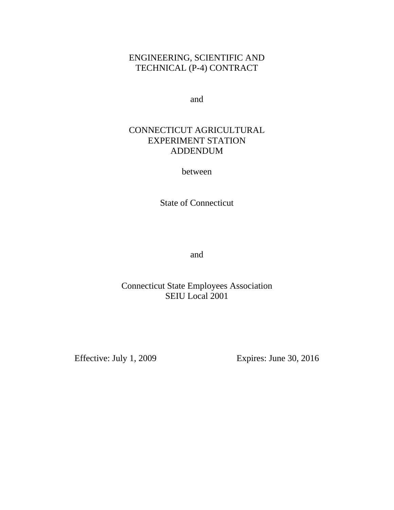# ENGINEERING, SCIENTIFIC AND TECHNICAL (P-4) CONTRACT

and

# CONNECTICUT AGRICULTURAL EXPERIMENT STATION ADDENDUM

between

State of Connecticut

and

# Connecticut State Employees Association SEIU Local 2001

Effective: July 1, 2009 Expires: June 30, 2016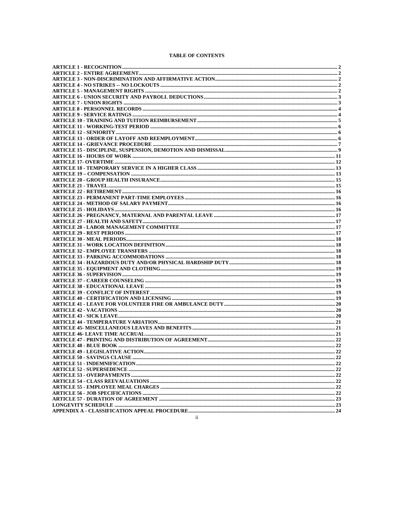# **TABLE OF CONTENTS**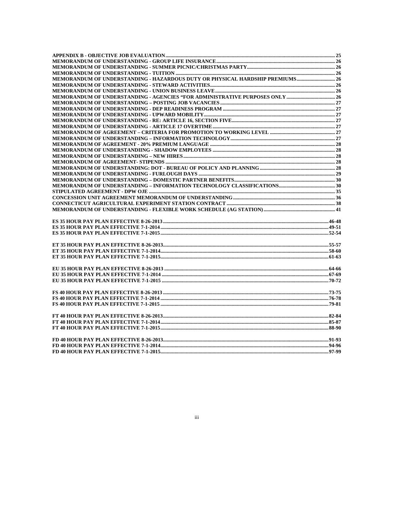| MEMORANDUM OF UNDERSTANDING - HAZARDOUS DUTY OR PHYSICAL HARDSHIP PREMIUMS 26 |  |
|-------------------------------------------------------------------------------|--|
|                                                                               |  |
|                                                                               |  |
|                                                                               |  |
|                                                                               |  |
|                                                                               |  |
|                                                                               |  |
|                                                                               |  |
|                                                                               |  |
|                                                                               |  |
|                                                                               |  |
|                                                                               |  |
|                                                                               |  |
|                                                                               |  |
|                                                                               |  |
|                                                                               |  |
|                                                                               |  |
|                                                                               |  |
|                                                                               |  |
|                                                                               |  |
|                                                                               |  |
|                                                                               |  |
|                                                                               |  |
|                                                                               |  |
|                                                                               |  |
|                                                                               |  |
|                                                                               |  |
|                                                                               |  |
|                                                                               |  |
|                                                                               |  |
|                                                                               |  |
|                                                                               |  |
|                                                                               |  |
|                                                                               |  |
|                                                                               |  |
|                                                                               |  |
|                                                                               |  |
|                                                                               |  |
|                                                                               |  |
|                                                                               |  |
|                                                                               |  |
|                                                                               |  |
|                                                                               |  |
|                                                                               |  |
|                                                                               |  |
|                                                                               |  |
|                                                                               |  |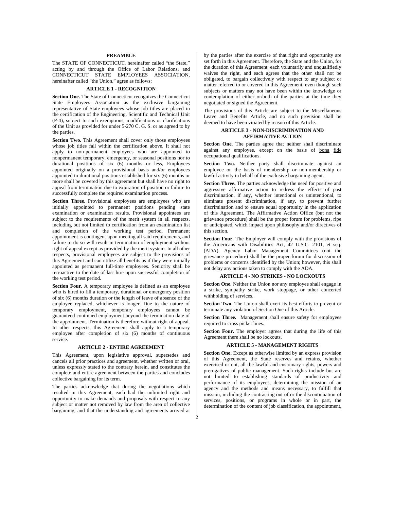## **PREAMBLE**

The STATE OF CONNECTICUT, hereinafter called "the State," acting by and through the Office of Labor Relations, and CONNECTICUT STATE EMPLOYEES ASSOCIATION, hereinafter called "the Union," agree as follows:

# **ARTICLE 1 - RECOGNITION**

**Section One.** The State of Connecticut recognizes the Connecticut State Employees Association as the exclusive bargaining representative of State employees whose job titles are placed in the certification of the Engineering, Scientific and Technical Unit (P-4), subject to such exemptions, modifications or clarifications of the Unit as provided for under 5-270 C. G. S. or as agreed to by the parties.

**Section Two.** This Agreement shall cover only those employees whose job titles fall within the certification above. It shall not apply to non-permanent employees who are appointed to nonpermanent temporary, emergency, or seasonal positions nor to durational positions of six (6) months or less, Employees appointed originally on a provisional basis and/or employees appointed to durational positions established for six (6) months or more shall be covered by this agreement but shall have no right to appeal from termination due to expiration of position or failure to successfully complete the required examination process.

Section Three. Provisional employees are employees who are initially appointed to permanent positions pending state examination or examination results. Provisional appointees are subject to the requirements of the merit system in all respects, including but not limited to certification from an examination list and completion of the working test period. Permanent appointment is contingent upon meeting all said requirements, and failure to do so will result in termination of employment without right of appeal except as provided by the merit system. In all other respects, provisional employees are subject to the provisions of this Agreement and can utilize all benefits as if they were initially appointed as permanent full-time employees. Seniority shall be retroactive to the date of last hire upon successful completion of the working test period.

**Section Four.** A temporary employee is defined as an employee who is hired to fill a temporary, durational or emergency position of six (6) months duration or the length of leave of absence of the employee replaced, whichever is longer. Due to the nature of temporary employment, temporary employees cannot be guaranteed continued employment beyond the termination date of the appointment. Termination is therefore without right of appeal. In other respects, this Agreement shall apply to a temporary employee after completion of six (6) months of continuous service.

## **ARTICLE 2 - ENTIRE AGREEMENT**

This Agreement, upon legislative approval, supersedes and cancels all prior practices and agreement, whether written or oral, unless expressly stated to the contrary herein, and constitutes the complete and entire agreement between the parties and concludes collective bargaining for its term.

The parties acknowledge that during the negotiations which resulted in this Agreement, each had the unlimited right and opportunity to make demands and proposals with respect to any subject or matter not removed by law from the area of collective bargaining, and that the understanding and agreements arrived at by the parties after the exercise of that right and opportunity are set forth in this Agreement. Therefore, the State and the Union, for the duration of this Agreement, each voluntarily and unqualifiedly waives the right, and each agrees that the other shall not be obligated, to bargain collectively with respect to any subject or matter referred to or covered in this Agreement, even though such subjects or matters may not have been within the knowledge or contemplation of either or/both of the parties at the time they negotiated or signed the Agreement.

The provisions of this Article are subject to the Miscellaneous Leave and Benefits Article, and no such provision shall be deemed to have been vitiated by reason of this Article.

## **ARTICLE 3 - NON-DISCRIMINATION AND AFFIRMATIVE ACTION**

Section One. The parties agree that neither shall discriminate against any employee, except on the basis of bona fide occupational qualifications.

**Section Two.** Neither party shall discriminate against an employee on the basis of membership or non-membership or lawful activity in behalf of the exclusive bargaining agent.

**Section Three.** The parties acknowledge the need for positive and aggressive affirmative action to redress the effects of past discrimination, if any, whether intentional or unintentional, to eliminate present discrimination, if any, to prevent further discrimination and to ensure equal opportunity in the application of this Agreement. The Affirmative Action Office (but not the grievance procedure) shall be the proper forum for problems, ripe or anticipated, which impact upon philosophy and/or directives of this section.

**Section Four.** The Employer will comply with the provisions of the Americans with Disabilities Act, 42 U.S.C. 2101, et seq. (ADA). Agency Labor Management Committees (not the grievance procedure) shall be the proper forum for discussion of problems or concerns identified by the Union; however, this shall not delay any actions taken to comply with the ADA.

# **ARTICLE 4 - NO STRIKES - NO LOCKOUTS**

**Section One.** Neither the Union nor any employee shall engage in a strike, sympathy strike, work stoppage, or other concerted withholding of services.

**Section Two.** The Union shall exert its best efforts to prevent or terminate any violation of Section One of this Article.

**Section Three.** Management shall ensure safety for employees required to cross picket lines.

**Section Four.** The employer agrees that during the life of this Agreement there shall be no lockouts.

#### **ARTICLE 5 - MANAGEMENT RIGHTS**

**Section One.** Except as otherwise limited by an express provision of this Agreement, the State reserves and retains, whether exercised or not, all the lawful and customary rights, powers and prerogatives of public management. Such rights include but are not limited to establishing standards of productivity and performance of its employees, determining the mission of an agency and the methods and means necessary, to fulfill that mission, including the contracting out of or the discontinuation of services, positions, or programs in whole or in part, the determination of the content of job classification, the appointment,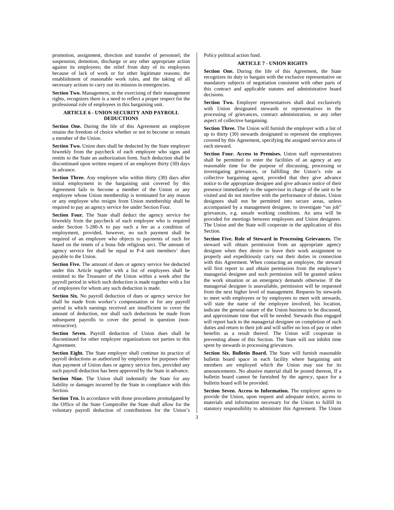promotion, assignment, direction and transfer of personnel; the suspension, demotion, discharge or any other appropriate action against its employees; the relief from duty of its employees because of lack of work or for other legitimate reasons; the establishment of reasonable work rules, and the taking of all necessary actions to carry out its mission in emergencies.

**Section Two.** Management, in the exercising of their management rights, recognizes there is a need to reflect a proper respect for the professional role of employees in this bargaining unit.

# **ARTICLE 6 - UNION SECURITY AND PAYROLL DEDUCTIONS**

Section One. During the life of this Agreement an employee retains the freedom of choice whether or not to become or remain a member of the Union.

**Section Two.** Union dues shall be deducted by the State employer biweekly from the paycheck of each employee who signs and remits to the State an authorization form. Such deduction shall be discontinued upon written request of an employee thirty (30) days in advance.

**Section Three.** Any employee who within thirty (30) days after initial employment in the bargaining unit covered by this Agreement fails to become a member of the Union or any employee whose Union membership is terminated for any reason or any employee who resigns from Union membership shall be required to pay an agency service fee under Section Four.

Section Four. The State shall deduct the agency service fee biweekly from the paycheck of each employee who is required under Section 5-280-A to pay such a fee as a condition of employment, provided, however, no such payment shall be required of an employee who objects to payments of such fee based on the tenets of a bona fide religious sect. The amount of agency service fee shall be equal to P-4 unit members' dues payable to the Union.

Section Five. The amount of dues or agency service fee deducted under this Article together with a list of employees shall be remitted to the Treasurer of the Union within a week after the payroll period in which such deduction is made together with a list of employees for whom any such deduction is made.

**Section Six.** No payroll deduction of dues or agency service fee shall be made from worker's compensation or for any payroll period in which earnings received are insufficient to cover the amount of deduction, nor shall such deductions be made from subsequent payrolls to cover the period in question (nonretroactive).

**Section Seven.** Payroll deduction of Union dues shall be discontinued for other employee organizations not parties to this Agreement.

**Section Eight.** The State employer shall continue its practice of payroll deductions as authorized by employees for purposes other than payment of Union dues or agency service fees, provided any such payroll deduction has been approved by the State in advance.

**Section Nine.** The Union shall indemnify the State for any liability or damages incurred by the State in compliance with this Section.

**Section Ten.** In accordance with those procedures promulgated by the Office of the State Comptroller the State shall allow for the voluntary payroll deduction of contributions for the Union's Policy political action fund.

# **ARTICLE 7 - UNION RIGHTS**

**Section One.** During the life of this Agreement, the State recognizes its duty to bargain with the exclusive representative on mandatory subjects of negotiation consistent with other parts of this contract and applicable statutes and administrative board decisions.

Section Two. Employer representatives shall deal exclusively with Union designated stewards or representatives in the processing of grievances, contract administration, or any other aspect of collective bargaining.

**Section Three.** The Union will furnish the employer with a list of up to thirty (30) stewards designated to represent the employees covered by this Agreement, specifying the assigned service area of each steward.

**Section Four. Access to Premises.** Union staff representatives shall be permitted to enter the facilities of an agency at any reasonable time for the purpose of discussing, processing or investigating grievances, or fulfilling the Union's role as collective bargaining agent, provided that they give advance notice to the appropriate designee and give advance notice of their presence immediately to the supervisor in charge of the unit to be visited and do not interfere with the performance of duties. Union designees shall not be permitted into secure areas, unless accompanied by a management designee, to investigate "on job" grievances, e.g. unsafe working conditions. An area will be provided for meetings between employees and Union designees. The Union and the State will cooperate in the application of this Section.

**Section Five. Role of Steward in Processing Grievances.** The steward will obtain permission from an appropriate agency designee when they desire to leave their work assignment to properly and expeditiously carry out their duties in connection with this Agreement. When contacting an employee, the steward will first report to and obtain permission from the employee's managerial designee and such permission will be granted unless the work situation or an emergency demands otherwise. If the managerial designee is unavailable, permission will be requested from the next higher level of management. Requests by stewards to meet with employees or by employees to meet with stewards, will state the name of the employee involved, his location, indicate the general nature of the Union business to be discussed, and approximate time that will be needed. Stewards thus engaged will report back to the managerial designee on completion of such duties and return to their job and will suffer no loss of pay or other benefits as a result thereof. The Union will cooperate in preventing abuse of this Section. The State will not inhibit time spent by stewards in processing grievances.

**Section Six. Bulletin Board.** The State will furnish reasonable bulletin board space in each facility where bargaining unit members are employed which the Union may use for its announcements. No abusive material shall be posted thereon, If a bulletin board cannot be furnished by the agency, space for a bulletin board will be provided.

Section Seven. Access to Information. The employer agrees to provide the Union, upon request and adequate notice, access to materials and information necessary for the Union to fulfill its statutory responsibility to administer this Agreement. The Union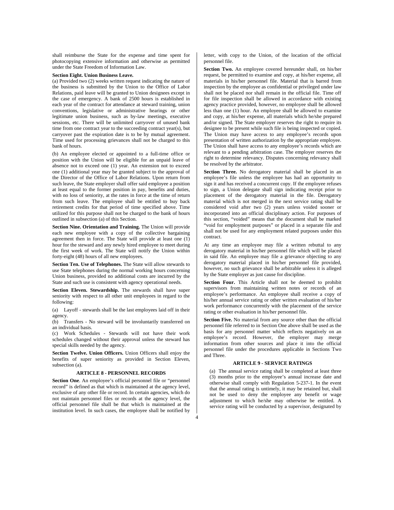shall reimburse the State for the expense and time spent for photocopying extensive information and otherwise as permitted under the State Freedom of Information Law.

#### **Section Eight. Union Business Leave.**

(a) Provided two (2) weeks written request indicating the nature of the business is submitted by the Union to the Office of Labor Relations, paid leave will be granted to Union designees except in the case of emergency. A bank of 2500 hours is established in each year of the contract for attendance at steward training, union conventions, legislative or administrative hearings or other legitimate union business, such as by-law meetings, executive sessions, etc. There will be unlimited carryover of unused bank time from one contract year to the succeeding contract year(s), but carryover past the expiration date is to be by mutual agreement. Time used for processing grievances shall not be charged to this bank of hours.

(b) An employee elected or appointed to a full-time office or position with the Union will be eligible for an unpaid leave of absence not to exceed one (1) year. An extension not to exceed one (1) additional year may be granted subject to the approval of the Director of the Office of Labor Relations. Upon return from such leave, the State employer shall offer said employee a position at least equal to the former position in pay, benefits and duties, with no loss of seniority, at the rates in force at the time of return from such leave. The employee shall be entitled to buy back retirement credits for that period of time specified above. Time utilized for this purpose shall not be charged to the bank of hours outlined in subsection (a) of this Section.

**Section Nine. Orientation and Training.** The Union will provide each new employee with a copy of the collective bargaining agreement then in force. The State will provide at least one (1) hour for the steward and any newly hired employee to meet during the first week of work. The State will notify the Union within forty-eight (48) hours of all new employees.

**Section Ten. Use of Telephones.** The State will allow stewards to use State telephones during the normal working hours concerning Union business, provided no additional costs are incurred by the State and such use is consistent with agency operational needs.

**Section Eleven. Stewardship.** The stewards shall have super seniority with respect to all other unit employees in regard to the following:

(a) Layoff - stewards shall be the last employees laid off in their agency.

(b) Transfers - No steward will be involuntarily transferred on an individual basis.

(c) Work Schedules - Stewards will not have their work schedules changed without their approval unless the steward has special skills needed by the agency.

**Section Twelve. Union Officers.** Union Officers shall enjoy the benefits of super seniority as provided in Section Eleven, subsection (a).

# **ARTICLE 8 - PERSONNEL RECORDS**

**Section One**. An employee's official personnel file or "personnel record" is defined as that which is maintained at the agency level, exclusive of any other file or record. In certain agencies, which do not maintain personnel files or records at the agency level, the official personnel file shall be that which is maintained at the institution level. In such cases, the employee shall be notified by letter, with copy to the Union, of the location of the official personnel file.

**Section Two.** An employee covered hereunder shall, on his/her request, be permitted to examine and copy, at his/her expense, all materials in his/her personnel file. Material that is barred from inspection by the employee as confidential or privileged under law shall not be placed nor shall remain in the official file. Time off for file inspection shall be allowed in accordance with existing agency practice provided, however, no employee shall be allowed less than one (1) hour. An employee shall be allowed to examine and copy, at his/her expense, all materials which he/she prepared and/or signed. The State employer reserves the right to require its designee to be present while such file is being inspected or copied. The Union may have access to any employee's records upon presentation of written authorization by the appropriate employee. The Union shall have access to any employee's records which are relevant to a pending arbitration case. The employer reserves the right to determine relevancy. Disputes concerning relevancy shall be resolved by the arbitrator.

Section Three. No derogatory material shall be placed in an employee's file unless the employee has had an opportunity to sign it and has received a concurrent copy. If the employee refuses to sign, a Union delegate shall sign indicating receipt prior to placement of the derogatory material in the file. Derogatory material which is not merged in the next service rating shall be considered void after two (2) years unless voided sooner or incorporated into an official disciplinary action. For purposes of this section, "voided" means that the document shall be marked "void for employment purposes" or placed in a separate file and shall not be used for any employment related purposes under this contract.

At any time an employee may file a written rebuttal to any derogatory material in his/her personnel file which will be placed in said file. An employee may file a grievance objecting to any derogatory material placed in his/her personnel file provided, however, no such grievance shall be arbitrable unless it is alleged by the State employer as just cause for discipline.

**Section Four.** This Article shall not be deemed to prohibit supervisors from maintaining written notes or records of an employee's performance. An employee shall receive a copy of his/her annual service rating or other written evaluation of his/her work performance concurrently with the placement of the service rating or other evaluation in his/her personnel file.

**Section Five.** No material from any source other than the official personnel file referred to in Section One above shall be used as the basis for any personnel matter which reflects negatively on an employee's record. However, the employer may merge information from other sources and place it into the official personnel file under the procedures applicable in Sections Two and Three.

#### **ARTICLE 9 - SERVICE RATINGS**

(a) The annual service rating shall be completed at least three (3) months prior to the employee's annual increase date and otherwise shall comply with Regulation 5-237-1. In the event that the annual rating is untimely, it may be retained but, shall not be used to deny the employee any benefit or wage adjustment to which he/she may otherwise be entitled. A service rating will be conducted by a supervisor, designated by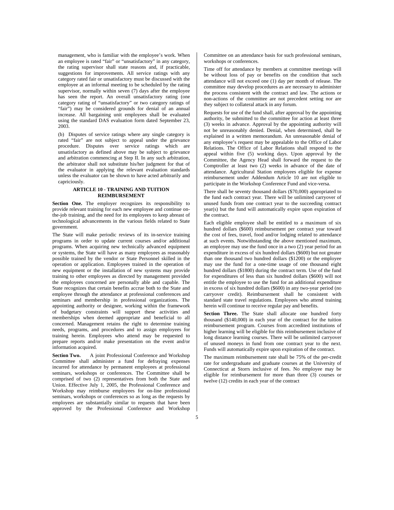management, who is familiar with the employee's work. When an employee is rated "fair" or "unsatisfactory" in any category, the rating supervisor shall state reasons and, if practicable, suggestions for improvements. All service ratings with any category rated fair or unsatisfactory must be discussed with the employee at an informal meeting to be scheduled by the rating supervisor, normally within seven (7) days after the employee has seen the report. An overall unsatisfactory rating (one category rating of "unsatisfactory" or two category ratings of "fair") may be considered grounds for denial of an annual increase. All bargaining unit employees shall be evaluated using the standard DAS evaluation form dated September 23, 2003.

(b) Disputes of service ratings where any single category is rated "fair" are not subject to appeal under the grievance procedure. Disputes over service ratings which are unsatisfactory as defined above may be subject to grievance and arbitration commencing at Step II. In any such arbitration, the arbitrator shall not substitute his/her judgment for that of the evaluator in applying the relevant evaluation standards unless the evaluator can be shown to have acted arbitrarily and capriciously.

## **ARTICLE 10 - TRAINING AND TUITION REIMBURSEMENT**

Section One. The employer recognizes its responsibility to provide relevant training for each new employee and continue onthe-job training, and the need for its employees to keep abreast of technological advancements in the various fields related to State government.

The State will make periodic reviews of its in-service training programs in order to update current courses and/or additional programs. When acquiring new technically advanced equipment or systems, the State will have as many employees as reasonably possible trained by the vendor or State Personnel skilled in the operation or application. Employees trained in the operation of new equipment or the installation of new systems may provide training to other employees as directed by management provided the employees concerned are personally able and capable. The State recognizes that certain benefits accrue both to the State and employee through the attendance at professional conferences and seminars and membership in professional organizations. The appointing authority or designee, working within the framework of budgetary constraints will support these activities and memberships when deemed appropriate and beneficial to all concerned. Management retains the right to determine training needs, programs, and procedures and to assign employees for training herein. Employees who attend may be requested to prepare reports and/or make presentation on the event and/or information acquired.

**Section Two.** A joint Professional Conference and Workshop Committee shall administer a fund for defraying expenses incurred for attendance by permanent employees at professional seminars, workshops or conferences. The Committee shall be comprised of two (2) representatives from both the State and Union. Effective July 1, 2005, the Professional Conference and Workshop may reimburse employees for on-line professional seminars, workshops or conferences so as long as the requests by employees are substantially similar to requests that have been approved by the Professional Conference and Workshop Committee on an attendance basis for such professional seminars, workshops or conferences.

Time off for attendance by members at committee meetings will be without loss of pay or benefits on the condition that such attendance will not exceed one (1) day per month of release. The committee may develop procedures as are necessary to administer the process consistent with the contract and law. The actions or non-actions of the committee are not precedent setting nor are they subject to collateral attack in any forum.

Requests for use of the fund shall, after approval by the appointing authority, be submitted to the committee for action at least three (3) weeks in advance. Approval by the appointing authority will not be unreasonably denied. Denial, when determined, shall be explained in a written memorandum. An unreasonable denial of any employee's request may be appealable to the Office of Labor Relations. The Office of Labor Relations shall respond to the appeal within five (5) working days. Upon approval by the Committee, the Agency Head shall forward the request to the Comptroller at least two (2) weeks in advance of the date of attendance. Agricultural Station employees eligible for expense reimbursement under Addendum Article 10 are not eligible to participate in the Workshop Conference Fund and vice-versa.

There shall be seventy thousand dollars (\$70,000) appropriated to the fund each contract year. There will be unlimited carryover of unused funds from one contract year to the succeeding contract year(s) but the fund will automatically expire upon expiration of the contract.

Each eligible employee shall be entitled to a maximum of six hundred dollars (\$600) reimbursement per contract year toward the cost of fees, travel, food and/or lodging related to attendance at such events. Notwithstanding the above mentioned maximum, an employee may use the fund once in a two (2) year period for an expenditure in excess of six hundred dollars (\$600) but not greater than one thousand two hundred dollars (\$1200) or the employee may use the fund for a one-time usage of one thousand eight hundred dollars (\$1800) during the contract term. Use of the fund for expenditures of less than six hundred dollars (\$600) will not entitle the employee to use the fund for an additional expenditure in excess of six hundred dollars (\$600) in any two-year period (no carryover credit). Reimbursement shall he consistent with standard state travel regulations. Employees who attend training herein will continue to receive regular pay and benefits.

**Section Three.** The State shall allocate one hundred forty thousand (\$140,000) in each year of the contract for the tuition reimbursement program. Courses from accredited institutions of higher learning will be eligible for this reimbursement inclusive of long distance learning courses. There will be unlimited carryover of unused moneys in fund from one contract year to the next. Funds will automatically expire upon expiration of the contract.

The maximum reimbursement rate shall be 75% of the per-credit rate for undergraduate and graduate courses at the University of Connecticut at Storrs inclusive of fees. No employee may be eligible for reimbursement for more than three (3) courses or twelve (12) credits in each year of the contract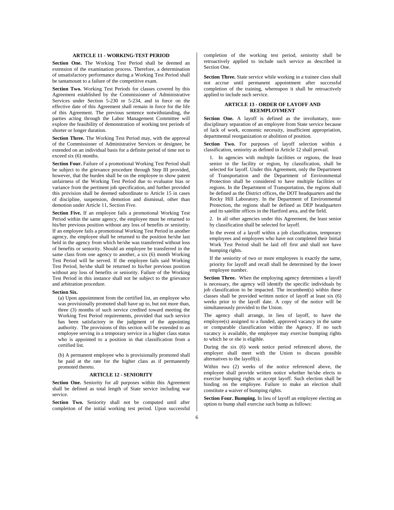## **ARTICLE 11 - WORKING-TEST PERIOD**

**Section One.** The Working Test Period shall be deemed an extension of the examination process. Therefore, a determination of unsatisfactory performance during a Working Test Period shall be tantamount to a failure of the competitive exam.

**Section Two.** Working Test Periods for classes covered by this Agreement established by the Commissioner of Administrative Services under Section 5-230 or 5-234, and in force on the effective date of this Agreement shall remain in force for the life of this Agreement. The previous sentence notwithstanding, the parties acting through the Labor Management Committee will explore the feasibility of demonstration of working test periods of shorter or longer duration.

**Section Three.** The Working Test Period may, with the approval of the Commissioner of Administrative Services or designee, be extended on an individual basis for a definite period of time not to exceed six (6) months.

**Section Four.** Failure of a promotional Working Test Period shall be subject to the grievance procedure through Step III provided, however, that the burden shall be on the employee to show patent unfairness of the Working Test Period due to evaluator bias or variance from the pertinent job specification, and further provided this provision shall be deemed subordinate to Article 15 in cases of discipline, suspension, demotion and dismissal, other than demotion under Article 11, Section Five.

**Section Five.** If an employee fails a promotional Working Test Period within the same agency, the employee must be returned to his/her previous position without any loss of benefits or seniority. If an employee fails a promotional Working Test Period in another agency, the employee shall be returned to the position he/she last held in the agency from which he/she was transferred without loss of benefits or seniority. Should an employee be transferred in the same class from one agency to another, a six (6) month Working Test Period will be served. If the employee fails said Working Test Period, he/she shall be returned to his/her previous position without any loss of benefits or seniority. Failure of the Working Test Period in this instance shall not be subject to the grievance and arbitration procedure.

#### **Section Six.**

(a) Upon appointment from the certified list, an employee who was provisionally promoted shall have up to, but not more than, three (3) months of such service credited toward meeting the Working Test Period requirements, provided that such service has been satisfactory in the judgment of the appointing authority. The provisions of this section will be extended to an employee serving in a temporary service in a higher class status who is appointed to a position in that classification from a certified list.

(b) A permanent employee who is provisionally promoted shall be paid at the rate for the higher class as if permanently promoted thereto.

## **ARTICLE 12 - SENIORITY**

Section One. Seniority for all purposes within this Agreement shall be defined as total length of State service including war service.

**Section Two.** Seniority shall not be computed until after completion of the initial working test period. Upon successful completion of the working test period, seniority shall be retroactively applied to include such service as described in Section One.

**Section Three.** State service while working in a trainee class shall not accrue until permanent appointment after successful completion of the training, whereupon it shall be retroactively applied to include such service.

## **ARTICLE 13 - ORDER OF LAYOFF AND REEMPLOYMENT**

Section One. A layoff is defined as the involuntary, nondisciplinary separation of an employee from State service because of lack of work, economic necessity, insufficient appropriation, departmental reorganization or abolition of position.

Section Two. For purposes of layoff selection within a classification, seniority as defined in Article 12 shall prevail.

1. In agencies with multiple facilities or regions, the least senior in the facility or region, by classification, shall be selected for layoff. Under this Agreement, only the Department of Transportation and the Department of Environmental Protection shall be considered to have multiple facilities or regions. In the Department of Transportation, the regions shall be defined as the District offices, the DOT headquarters and the Rocky Hill Laboratory. In the Department of Environmental Protection, the regions shall be defined as DEP headquarters and its satellite offices in the Hartford area, and the field.

2. In all other agencies under this Agreement, the least senior by classification shall be selected for layoff.

In the event of a layoff within a job classification, temporary employees and employees who have not completed their Initial Work Test Period shall be laid off first and shall not have bumping rights.

If the seniority of two or more employees is exactly the same, priority for layoff and recall shall be determined by the lower employee number.

Section Three. When the employing agency determines a layoff is necessary, the agency will identify the specific individuals by job classification to be impacted. The incumbent(s) within these classes shall be provided written notice of layoff at least six (6) weeks prior to the layoff date. A copy of the notice will be simultaneously provided to the Union.

The agency shall arrange, in lieu of layoff, to have the employee(s) assigned to a funded, approved vacancy in the same or comparable classification within the Agency. If no such vacancy is available, the employee may exercise bumping rights to which he or she is eligible.

During the six (6) week notice period referenced above, the employer shall meet with the Union to discuss possible alternatives to the layoff(s).

Within two (2) weeks of the notice referenced above, the employee shall provide written notice whether he/she elects to exercise bumping rights or accept layoff. Such election shall be binding on the employee. Failure to make an election shall constitute a waiver of bumping rights.

**Section Four. Bumping.** In lieu of layoff an employee electing an option to bump shall exercise such bump as follows: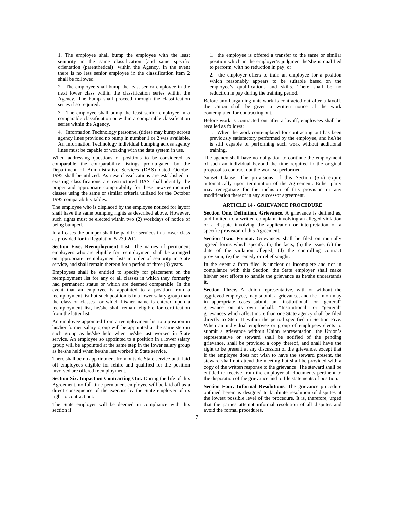1. The employee shall bump the employee with the least seniority in the same classification [and same specific orientation (parenthetical)] within the Agency. In the event there is no less senior employee in the classification item 2 shall be followed.

2. The employee shall bump the least senior employee in the next lower class within the classification series within the Agency. The bump shall proceed through the classification series if so required.

3. The employee shall bump the least senior employee in a comparable classification or within a comparable classification series within the Agency.

4. Information Technology personnel (titles) may bump across agency lines provided no bump in number 1 or 2 was available. An Information Technology individual bumping across agency lines must be capable of working with the data system in use.

When addressing questions of positions to be considered as comparable the comparability listings promulgated by the Department of Administrative Services (DAS) dated October 1995 shall be utilized. As new classifications are established or existing classifications are restructured DAS shall identify the proper and appropriate comparability for these new/restructured classes using the same or similar criteria utilized for the October 1995 comparability tables.

The employee who is displaced by the employee noticed for layoff shall have the same bumping rights as described above. However, such rights must be elected within two (2) workdays of notice of being bumped.

In all cases the bumper shall be paid for services in a lower class as provided for in Regulation 5-239-2(f).

**Section Five. Reemployment List.** The names of permanent employees who are eligible for reemployment shall be arranged on appropriate reemployment lists in order of seniority in State service, and shall remain thereon for a period of three (3) years.

Employees shall be entitled to specify for placement on the reemployment list for any or all classes in which they formerly had permanent status or which are deemed comparable. In the event that an employee is appointed to a position from a reemployment list but such position is in a lower salary group than the class or classes for which his/her name is entered upon a reemployment list, he/she shall remain eligible for certification from the latter list.

An employee appointed from a reemployment list to a position in his/her former salary group will be appointed at the same step in such group as he/she held when he/she last worked in State service. An employee so appointed to a position in a lower salary group will be appointed at the same step in the lower salary group as he/she held when he/she last worked in State service.

There shall be no appointment from outside State service until laid off employees eligible for rehire and qualified for the position involved are offered reemployment.

**Section Six. Impact on Contracting Out.** During the life of this Agreement, no full-time permanent employee will be laid off as a direct consequence of the exercise by the State employer of its right to contract out.

The State employer will be deemed in compliance with this section if:

1. the employee is offered a transfer to the same or similar position which in the employer's judgment he/she is qualified to perform, with no reduction in pay; or

2. the employer offers to train an employee for a position which reasonably appears to be suitable based on the employee's qualifications and skills. There shall be no reduction in pay during the training period.

Before any bargaining unit work is contracted out after a layoff, the Union shall be given a written notice of the work contemplated for contracting out.

Before work is contracted out after a layoff, employees shall be recalled as follows:

1. When the work contemplated for contracting out has been previously satisfactory performed by the employee, and he/she is still capable of performing such work without additional training.

The agency shall have no obligation to continue the employment of such an individual beyond the time required in the original proposal to contract out the work so performed.

Sunset Clause: The provisions of this Section (Six) expire automatically upon termination of the Agreement. Either party may renegotiate for the inclusion of this provision or any modification thereof in any successor agreement.

# **ARTICLE 14 - GRIEVANCE PROCEDURE**

**Section One. Definition. Grievance.** A grievance is defined as, and limited to, a written complaint involving an alleged violation or a dispute involving the application or interpretation of a specific provision of this Agreement.

**Section Two. Format.** Grievances shall be filed on mutually agreed forms which specify: (a) the facts; (b) the issue; (c) the date of the violation alleged; (d) the controlling contract provision; (e) the remedy or relief sought.

In the event a form filed is unclear or incomplete and not in compliance with this Section, the State employer shall make his/her best efforts to handle the grievance as he/she understands it.

**Section Three.** A Union representative, with or without the aggrieved employee, may submit a grievance, and the Union may in appropriate cases submit an "institutional" or "general" grievance on its own behalf. "Institutional" or "general" grievances which affect more than one State agency shall be filed directly to Step III within the period specified in Section Five. When an individual employee or group of employees elects to submit a grievance without Union representation, the Union's representative or steward shall be notified of the pending grievance, shall be provided a copy thereof, and shall have the right to be present at any discussion of the grievance, except that if the employee does not wish to have the steward present, the steward shall not attend the meeting but shall be provided with a copy of the written response to the grievance. The steward shall be entitled to receive from the employer all documents pertinent to the disposition of the grievance and to file statements of position.

**Section Four. Informal Resolutions.** The grievance procedure outlined herein is designed to facilitate resolution of disputes at the lowest possible level of the procedure. It is, therefore, urged that the parties attempt informal resolution of all disputes and avoid the formal procedures.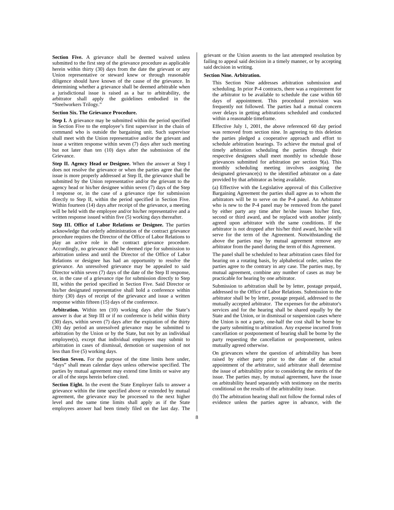**Section Five.** A grievance shall be deemed waived unless submitted to the first step of the grievance procedure as applicable herein within thirty (30) days from the date the grievant or any Union representative or steward knew or through reasonable diligence should have known of the cause of the grievance. In determining whether a grievance shall be deemed arbitrable when a jurisdictional issue is raised as a bar to arbitrability, the arbitrator shall apply the guidelines embodied in the "Steelworkers Trilogy."

### **Section Six. The Grievance Procedure.**

**Step I.** A grievance may be submitted within the period specified in Section Five to the employee's first supervisor in the chain of command who is outside the bargaining unit. Such supervisor shall meet with the Union representative and/or the grievant and issue a written response within seven (7) days after such meeting but not later than ten (10) days after the submission of the Grievance.

**Step II. Agency Head or Designee.** When the answer at Step I does not resolve the grievance or when the parties agree that the issue is more properly addressed at Step II, the grievance shall be submitted by the Union representative and/or the grievant to the agency head or his/her designee within seven (7) days of the Step I response or, in the case of a grievance ripe for submission directly to Step II, within the period specified in Section Five. Within fourteen (14) days after receipt of the grievance, a meeting will be held with the employee and/or his/her representative and a written response issued within five (5) working days thereafter.

**Step III. Office of Labor Relations or Designee.** The parties acknowledge that orderly administration of the contract grievance procedure requires the Director of the Office of Labor Relations to play an active role in the contract grievance procedure. Accordingly, no grievance shall be deemed ripe for submission to arbitration unless and until the Director of the Office of Labor Relations or designee has had an opportunity to resolve the grievance. An unresolved grievance may be appealed to said Director within seven (7) days of the date of the Step II response, or, in the case of a grievance ripe for submission directly to Step III, within the period specified in Section Five. Said Director or his/her designated representative shall hold a conference within thirty (30) days of receipt of the grievance and issue a written response within fifteen (15) days of the conference.

**Arbitration.** Within ten (10) working days after the State's answer is due at Step III or if no conference is held within thirty (30) days, within seven (7) days after the expiration of the thirty (30) day period an unresolved grievance may be submitted to arbitration by the Union or by the State, but not by an individual employee(s), except that individual employees may submit to arbitration in cases of dismissal, demotion or suspension of not less than five (5) working days.

**Section Seven.** For the purpose of the time limits here under, "days" shall mean calendar days unless otherwise specified. The parties by mutual agreement may extend time limits or waive any or all of the steps herein before cited.

**Section Eight.** In the event the State Employer fails to answer a grievance within the time specified above or extended by mutual agreement, the grievance may be processed to the next higher level and the same time limits shall apply as if the State employees answer had been timely filed on the last day. The

grievant or the Union assents to the last attempted resolution by failing to appeal said decision in a timely manner, or by accepting said decision in writing.

## **Section Nine. Arbitration.**

This Section Nine addresses arbitration submission and scheduling. In prior P-4 contracts, there was a requirement for the arbitrator to be available to schedule the case within 60 days of appointment. This procedural provision was frequently not followed. The parties had a mutual concern over delays in getting arbitrations scheduled and conducted within a reasonable timeframe.

Effective July 1, 2001, the above referenced 60 day period was removed from section nine. In agreeing to this deletion the parties pledged a cooperative approach and effort to schedule arbitration hearings. To achieve the mutual goal of timely arbitration scheduling the parties through their respective designees shall meet monthly to schedule those grievances submitted for arbitration per section 9(a). This monthly scheduling meeting involves assigning the designated grievance(s) to the identified arbitrator on a date provided by that arbitrator as being available.

(a) Effective with the Legislative approval of this Collective Bargaining Agreement the parties shall agree as to whom the arbitrators will be to serve on the P-4 panel. An Arbitrator who is new to the P-4 panel may be removed from the panel by either party any time after he/she issues his/her first, second or third award, and be replaced with another jointly agreed upon arbitrator with the same conditions. If the arbitrator is not dropped after his/her third award, he/she will serve for the term of the Agreement. Notwithstanding the above the parties may by mutual agreement remove any arbitrator from the panel during the term of this Agreement.

The panel shall be scheduled to hear arbitration cases filed for hearing on a rotating basis, by alphabetical order, unless the parties agree to the contrary in any case. The parties may, by mutual agreement, combine any number of cases as may be practicable for hearing by one arbitrator.

Submission to arbitration shall be by letter, postage prepaid, addressed to the Office of Labor Relations. Submission to the arbitrator shall be by letter, postage prepaid, addressed to the mutually accepted arbitrator. The expenses for the arbitrator's services and for the hearing shall be shared equally by the State and the Union, or in dismissal or suspension cases where the Union is not a party, one-half the cost shall be borne by the party submitting to arbitration. Any expense incurred from cancellation or postponement of hearing shall be borne by the party requesting the cancellation or postponement, unless mutually agreed otherwise.

On grievances where the question of arbitrability has been raised by either party prior to the date of the actual appointment of the arbitrator, said arbitrator shall determine the issue of arbitrability prior to considering the merits of the issue. The parties may, by mutual agreement, have the issue on arbitrability heard separately with testimony on the merits conditional on the results of the arbitrability issue.

(b) The arbitration hearing shall not follow the formal rules of evidence unless the parties agree in advance, with the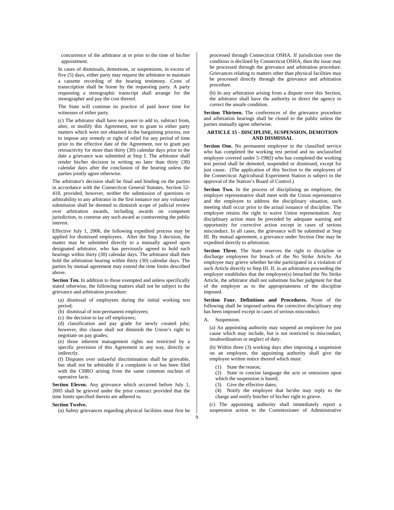concurrence of the arbitrator at or prior to the time of his/her appointment.

In cases of dismissals, demotions, or suspensions, in excess of five (5) days, either party may request the arbitrator to maintain a cassette recording of the hearing testimony. Costs of transcription shall be borne by the requesting party. A party requesting a stenographic transcript shall arrange for the stenographer and pay the cost thereof.

The State will continue its practice of paid leave time for witnesses of either party.

(c) The arbitrator shall have no power to add to, subtract from, alter, or modify this Agreement, nor to grant to either party matters which were not obtained in the bargaining process, nor to impose any remedy or right of relief for any period of time prior to the effective date of the Agreement, nor to grant pay retroactivity for more than thirty (30) calendar days prior to the date a grievance was submitted at Step I. The arbitrator shall render his/her decision in writing no later than thirty (30) calendar days after the conclusion of the hearing unless the parties jointly agree otherwise.

The arbitrator's decision shall be final and binding on the parties in accordance with the Connecticut General Statutes, Section 52- 418, provided, however, neither the submission of questions or arbitrability to any arbitrator in the first instance nor any voluntary submission shall be deemed to diminish scope of judicial review over arbitration awards, including awards on competent jurisdiction, to construe any such award as contravening the public interest.

Effective July 1, 2006, the following expedited process may be applied for dismissed employees. After the Step 3 decision, the matter may be submitted directly to a mutually agreed upon designated arbitrator, who has previously agreed to hold such hearings within thirty (30) calendar days. The arbitrator shall then hold the arbitration hearing within thirty (30) calendar days. The parties by mutual agreement may extend the time limits described above.

**Section Ten.** In addition to those exempted and unless specifically stated otherwise, the following matters shall not be subject to the grievance and arbitration procedure:

(a) dismissal of employees during the initial working test period;

(b) dismissal of non-permanent employees;

(c) the decision to lay off employees;

(d) classification and pay grade for newly created jobs; however, this clause shall not diminish the Union's right to negotiate on pay grades;

(e) those inherent management rights not restricted by a specific provision of this Agreement in any way, directly or indirectly.

(f) Disputes over unlawful discrimination shall be grievable, but shall not be arbitrable if a complaint is or has been filed with the CHRO arising from the same common nucleus of operative facts.

Section Eleven. Any grievance which occurred before July 1, 2005 shall be grieved under the prior contract provided that the time limits specified therein are adhered to.

#### **Section Twelve.**

(a) Safety grievances regarding physical facilities must first be

processed through Connecticut OSHA. If jurisdiction over the condition is declined by Connecticut OSHA, then the issue may be processed through the grievance and arbitration procedure. Grievances relating to matters other than physical facilities may be processed directly through the grievance and arbitration procedure.

(b) In any arbitration arising from a dispute over this Section, the arbitrator shall have the authority to direct the agency to correct the unsafe condition.

**Section Thirteen.** The conferences of the grievance procedure and arbitration hearings shall be closed to the public unless the parties mutually agree otherwise.

#### **ARTICLE 15 - DISCIPLINE, SUSPENSION, DEMOTION AND DISMISSAL**

**Section One.** No permanent employee in the classified service who has completed the working test period and no unclassified employee covered under 5-198(l) who has completed the working test period shall be demoted, suspended or dismissed, except for just cause. (The application of this Section to the employees of the Connecticut Agricultural Experiment Station is subject to the approval of the Station's Board of Control.)

**Section Two.** In the process of disciplining an employee, the employer representative shall meet with the Union representative and the employee to address the disciplinary situation, such meeting shall occur prior to the actual issuance of discipline. The employee retains the right to waive Union representation. Any disciplinary action must be preceded by adequate warning and opportunity for corrective action except in cases of serious misconduct. In all cases, the grievance will be submitted at Step III. By mutual agreement, a grievance under Section One may be expedited directly to arbitration.

Section Three. The State reserves the right to discipline or discharge employees for breach of the No Strike Article. An employee may grieve whether he/she participated in a violation of such Article directly to Step III. If, in an arbitration proceeding the employer establishes that the employee(s) breached the No Strike Article, the arbitrator shall not substitute his/her judgment for that of the employer as to the appropriateness of the discipline imposed.

**Section Four. Definitions and Procedures.** None of the following shall be imposed unless the corrective disciplinary step has been imposed except in cases of serious misconduct.

A. Suspension.

(a) An appointing authority may suspend an employee for just cause which may include, but is not restricted to misconduct, insubordination or neglect of duty.

(b) Within three (3) working days after imposing a suspension on an employee, the appointing authority shall give the employee written notice thereof which must:

- (1) State the reason;
- (2) State in concise language the acts or omissions upon which the suspension is based;
- (3) Give the effective dates;
- (4) Notify the employee that he/she may reply to the charge and notify him/her of his/her right to grieve.

(c) The appointing authority shall immediately report a suspension action to the Commissioner of Administrative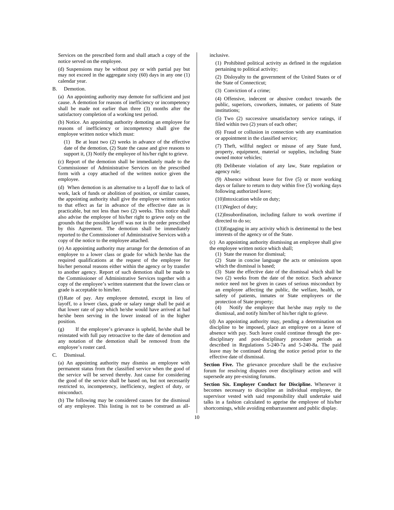Services on the prescribed form and shall attach a copy of the notice served on the employee.

(d) Suspensions may be without pay or with partial pay but may not exceed in the aggregate sixty (60) days in any one (1) calendar year.

### B. Demotion.

(a) An appointing authority may demote for sufficient and just cause. A demotion for reasons of inefficiency or incompetency shall be made not earlier than three (3) months after the satisfactory completion of a working test period.

(b) Notice. An appointing authority demoting an employee for reasons of inefficiency or incompetency shall give the employee written notice which must:

(1) Be at least two (2) weeks in advance of the effective date of the demotion, (2) State the cause and give reasons to support it, (3) Notify the employee of his/her right to grieve.

(c) Report of the demotion shall be immediately made to the Commissioner of Administrative Services on the prescribed form with a copy attached of the written notice given the employee.

(d) When demotion is an alternative to a layoff due to lack of work, lack of funds or abolition of position, or similar causes, the appointing authority shall give the employee written notice to that effect as far in advance of the effective date as is practicable, but not less than two (2) weeks. This notice shall also advise the employee of his/her right to grieve only on the grounds that the possible layoff was not in the order prescribed by this Agreement. The demotion shall be immediately reported to the Commissioner of Administrative Services with a copy of the notice to the employee attached.

(e) An appointing authority may arrange for the demotion of an employee to a lower class or grade for which he/she has the required qualifications at the request of the employee for his/her personal reasons either within the agency or by transfer to another agency. Report of such demotion shall be made to the Commissioner of Administrative Services together with a copy of the employee's written statement that the lower class or grade is acceptable to him/her.

(f) Rate of pay. Any employee demoted, except in lieu of layoff, to a lower class, grade or salary range shall be paid at that lower rate of pay which he/she would have arrived at had he/she been serving in the lower instead of in the higher position.

(g) If the employee's grievance is upheld, he/she shall be reinstated with full pay retroactive to the date of demotion and any notation of the demotion shall be removed from the employee's roster card.

C. Dismissal.

(a) An appointing authority may dismiss an employee with permanent status from the classified service when the good of the service will be served thereby. Just cause for considering the good of the service shall be based on, but not necessarily restricted to, incompetency, inefficiency, neglect of duty, or misconduct.

(b) The following may be considered causes for the dismissal of any employee. This listing is not to be construed as allinclusive.

(1) Prohibited political activity as defined in the regulation pertaining to political activity;

(2) Disloyalty to the government of the United States or of the State of Connecticut;

(3) Conviction of a crime;

(4) Offensive, indecent or abusive conduct towards the public, superiors, coworkers, inmates, or patients of State institutions;

(5) Two (2) successive unsatisfactory service ratings, if filed within two (2) years of each other;

(6) Fraud or collusion in connection with any examination or appointment in the classified service;

(7) Theft, willful neglect or misuse of any State fund, property, equipment, material or supplies, including State owned motor vehicles;

(8) Deliberate violation of any law, State regulation or agency rule;

(9) Absence without leave for five (5) or more working days or failure to return to duty within five (5) working days following authorized leave;

(10) Intoxication while on duty;

(11) Neglect of duty;

(12) Insubordination, including failure to work overtime if directed to do so;

(13) Engaging in any activity which is detrimental to the best interests of the agency or of the State.

(c) An appointing authority dismissing an employee shall give the employee written notice which shall;

(1) State the reason for dismissal;

(2) State in concise language the acts or omissions upon which the dismissal is based;

(3) State the effective date of the dismissal which shall be two (2) weeks from the date of the notice. Such advance notice need not be given in cases of serious misconduct by an employee affecting the public, the welfare, health, or safety of patients, inmates or State employees or the protection of State property;

(4) Notify the employee that he/she may reply to the dismissal, and notify him/her of his/her right to grieve.

(d) An appointing authority may, pending a determination on discipline to be imposed, place an employee on a leave of absence with pay. Such leave could continue through the predisciplinary and post-disciplinary procedure periods as described in Regulations 5-240-7a and 5-240-8a. The paid leave may be continued during the notice period prior to the effective date of dismissal.

**Section Five.** The grievance procedure shall be the exclusive forum for resolving disputes over disciplinary action and will supersede any pre-existing forums.

**Section Six. Employer Conduct for Discipline.** Whenever it becomes necessary to discipline an individual employee, the supervisor vested with said responsibility shall undertake said talks in a fashion calculated to apprise the employee of his/her shortcomings, while avoiding embarrassment and public display.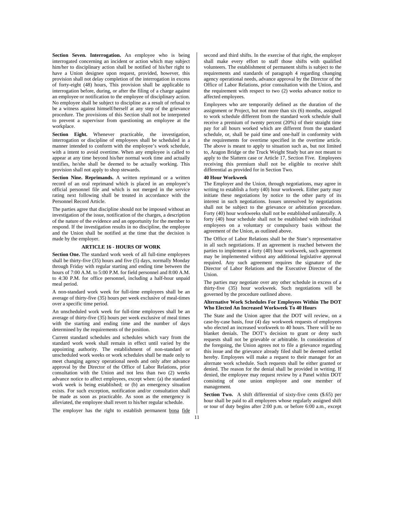**Section Seven. Interrogation.** An employee who is being interrogated concerning an incident or action which may subject him/her to disciplinary action shall be notified of his/her right to have a Union designee upon request, provided, however, this provision shall not delay completion of the interrogation in excess of forty-eight (48) hours, This provision shall be applicable to interrogation before, during, or after the filing of a charge against an employee or notification to the employee of disciplinary action. No employee shall be subject to discipline as a result of refusal to be a witness against himself/herself at any step of the grievance procedure. The provisions of this Section shall not be interpreted to prevent a supervisor from questioning an employee at the workplace

**Section Eight.** Whenever practicable, the investigation, interrogation or discipline of employees shall be scheduled in a manner intended to conform with the employee's work schedule, with a intent to avoid overtime. When any employee is called to appear at any time beyond his/her normal work time and actually testifies, he/she shall be deemed to be actually working. This provision shall not apply to shop stewards.

**Section Nine. Reprimands.** A written reprimand or a written record of an oral reprimand which is placed in an employee's official personnel file and which is not merged in the service rating next following shall be treated in accordance with the Personnel Record Article.

The parties agree that discipline should not be imposed without an investigation of the issue, notification of the charges, a description of the nature of the evidence and an opportunity for the member to respond. If the investigation results in no discipline, the employee and the Union shall be notified at the time that the decision is made by the employer.

#### **ARTICLE 16 - HOURS OF WORK**

**Section One.** The standard work week of all full-time employees shall be thirty-five (35) hours and five (5) days, normally Monday through Friday with regular starting and ending time between the hours of 7:00 A.M. to 5:00 P.M. for field personnel and 8:00 A.M. to 4:30 P.M. for office personnel, including a half-hour unpaid meal period.

A non-standard work week for full-time employees shall be an average of thirty-five (35) hours per week exclusive of meal-times over a specific time period.

An unscheduled work week for full-time employees shall be an average of thirty-five (35) hours per week exclusive of meal times with the starting and ending time and the number of days determined by the requirements of the position.

Current standard schedules and schedules which vary from the standard work week shall remain in effect until varied by the appointing authority. The establishment of non-standard or unscheduled work weeks or work schedules shall be made only to meet changing agency operational needs and only after advance approval by the Director of the Office of Labor Relations, prior consultation with the Union and not less than two (2) weeks advance notice to affect employees, except when: (a) the standard work week is being established; or (b) an emergency situation exists. For such exception, notification and/or consultation shall be made as soon as practicable. As soon as the emergency is alleviated, the employee shall revert to his/her regular schedule.

The employer has the right to establish permanent bona fide

second and third shifts. In the exercise of that right, the employer shall make every effort to staff those shifts with qualified volunteers. The establishment of permanent shifts is subject to the requirements and standards of paragraph 4 regarding changing agency operational needs, advance approval by the Director of the Office of Labor Relations, prior consultation with the Union, and the requirement with respect to two (2) weeks advance notice to affected employees.

Employees who are temporarily defined as the duration of the assignment or Project, but not more than six (6) months, assigned to work schedule different from the standard work schedule shall receive a premium of twenty percent (20%) of their straight time pay for all hours worked which are different from the standard schedule, or, shall be paid time and one-half in conformity with the requirements for overtime specified in the overtime article. The above is meant to apply to situation such as, but not limited to, Aragon Bridge or the Truck Weight Study but are not meant to apply to the Slattern case or Article 17, Section Five. Employees receiving this premium shall not be eligible to receive shift differential as provided for in Section Two.

# **40 Hour Workweek**

The Employer and the Union, through negotiations, may agree in writing to establish a forty (40) hour workweek. Either party may initiate these negotiations by notice to the other party of its interest in such negotiations. Issues unresolved by negotiations shall not be subject to the grievance or arbitration procedure. Forty (40) hour workweeks shall not be established unilaterally. A forty (40) hour schedule shall not be established with individual employees on a voluntary or compulsory basis without the agreement of the Union, as outlined above.

The Office of Labor Relations shall be the State's representative in all such negotiations. If an agreement is reached between the parties to implement a forty (40) hour workweek, such agreement may be implemented without any additional legislative approval required. Any such agreement requires the signature of the Director of Labor Relations and the Executive Director of the Union.

The parties may negotiate over any other schedule in excess of a thirty-five (35) hour workweek. Such negotiations will be governed by the procedure outlined above.

#### **Alternative Work Schedules For Employees Within The DOT Who Elected An Increased Workweek To 40 Hours**

The State and the Union agree that the DOT will review, on a case-by-case basis, four (4) day workweek requests of employees who elected an increased workweek to 40 hours. There will be no blanket denials. The DOT's decision to grant or deny such requests shall not be grievable or arbitrable. In consideration of the foregoing, the Union agrees not to file a grievance regarding this issue and the grievance already filed shall be deemed settled hereby. Employees will make a request to their manager for an alternate work schedule. Such requests shall be either granted or denied. The reason for the denial shall be provided in writing. If denied, the employee may request review by a Panel within DOT consisting of one union employee and one member of management*.* 

**Section Two.** A shift differential of sixty-five cents  $(\$.65)$  per hour shall be paid to all employees whose regularly assigned shift or tour of duty begins after 2:00 p.m. or before 6:00 a.m., except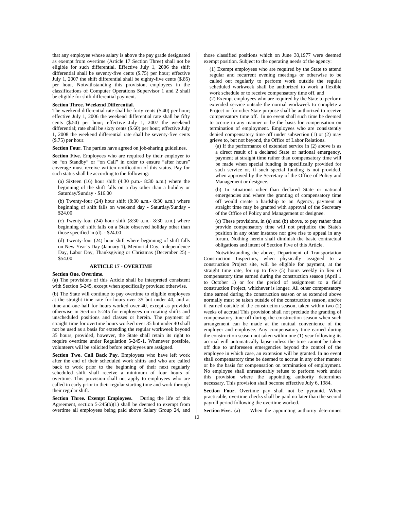that any employee whose salary is above the pay grade designated as exempt from overtime (Article 17 Section Three) shall not be eligible for such differential. Effective July 1, 2006 the shift differential shall be seventy-five cents (\$.75) per hour; effective July 1, 2007 the shift differential shall be eighty-five cents (\$.85) per hour. Notwithstanding this provision, employees in the classifications of Computer Operations Supervisor 1 and 2 shall be eligible for shift differential payment.

#### **Section Three. Weekend Differential.**

The weekend differential rate shall be forty cents (\$.40) per hour; effective July 1, 2006 the weekend differential rate shall be fifty cents (\$.50) per hour; effective July 1, 2007 the weekend differential; rate shall be sixty cents (\$.60) per hour; effective July 1, 2008 the weekend differential rate shall be seventy-five cents (\$.75) per hour.

**Section Four.** The parties have agreed on job-sharing guidelines.

Section Five. Employees who are required by their employer to be "on Standby" or "on Call" in order to ensure "after hours" coverage must receive written notification of this status. Pay for such status shall be according to the following:

(a) Sixteen  $(16)$  hour shift  $(4:30 \text{ p.m.}-8:30 \text{ a.m.})$  where the beginning of the shift falls on a day other than a holiday or Saturday/Sunday - \$16.00

(b) Twenty-four  $(24)$  hour shift  $(8:30$  a.m.-  $8:30$  a.m.) where beginning of shift falls on weekend day - Saturday/Sunday - \$24.00

(c) Twenty-four  $(24)$  hour shift  $(8:30 a.m.-8:30 a.m.)$  where beginning of shift falls on a State observed holiday other than those specified in (d). - \$24.00

(d) Twenty-four (24) hour shift where beginning of shift falls on New Year's Day (January 1), Memorial Day, Independence Day, Labor Day, Thanksgiving or Christmas (December 25) - \$54.00

#### **ARTICLE 17 - OVERTIME**

#### **Section One. Overtime.**

(a) The provisions of this Article shall be interpreted consistent with Section 5-245, except when specifically provided otherwise.

(b) The State will continue to pay overtime to eligible employees at the straight time rate for hours over 35 but under 40, and at time-and-one-half for hours worked over 40, except as provided otherwise in Section 5-245 for employees on rotating shifts and unscheduled positions and classes or herein. The payment of straight time for overtime hours worked over 35 but under 40 shall not be used as a basis for extending the regular workweek beyond 35 hours, provided, however, the State shall retain its right to require overtime under Regulation 5-245-1. Whenever possible, volunteers will be solicited before employees are assigned.

Section Two. Call Back Pay. Employees who have left work after the end of their scheduled work shifts and who are called back to work prior to the beginning of their next regularly scheduled shift shall receive a minimum of four hours of overtime. This provision shall not apply to employees who are called in early prior to their regular starting time and work through their regular shift.

**Section Three. Exempt Employees.** During the life of this Agreement, section 5-245(b)(1) shall be deemed to exempt from overtime all employees being paid above Salary Group 24, and those classified positions which on June 30,1977 were deemed exempt position. Subject to the operating needs of the agency:

(1) Exempt employees who are required by the State to attend regular and recurrent evening meetings or otherwise to be called out regularly to perform work outside the regular scheduled workweek shall be authorized to work a flexible work schedule or to receive compensatory time off, and

(2) Exempt employees who are required by the State to perform extended service outside the normal workweek to complete a Project or for other State purpose shall be authorized to receive compensatory time off. In no event shall such time be deemed to accrue in any manner or be the basis for compensation on termination of employment. Employees who are consistently denied compensatory time off under subsection (1) or (2) may grieve to, but not beyond, the Office of Labor Relations.

(a) If the performance of extended service in (2) above is as a direct result of a declared State or national emergency, payment at straight time rather than compensatory time will be made when special funding is specifically provided for such service or, if such special funding is not provided, when approved by the Secretary of the Office of Policy and Management or designee.

(b) In situations other than declared State or national emergencies and where the granting of compensatory time off would create a hardship to an Agency, payment at straight time may be granted with approval of the Secretary of the Office of Policy and Management or designee.

(c) These provisions, in (a) and (b) above, to pay rather than provide compensatory time will not prejudice the State's position in any other instance nor give rise to appeal in any forum. Nothing herein shall diminish the basic contractual obligations and intent of Section Five of this Article.

Notwithstanding the above, Department of Transportation Construction Inspectors, when physically assigned to a construction Project site, will be eligible for payment, at the straight time rate, for up to five (5) hours weekly in lieu of compensatory time earned during the construction season (April 1 to October 1) or for the period of assignment to a field construction Project, whichever is longer. All other compensatory time earned during the construction season or as extended above normally must be taken outside of the construction season, and/or if earned outside of the construction season, taken within two (2) weeks of accrual This provision shall not preclude the granting of compensatory time off during the construction season when such arrangement can be made at the mutual convenience of the employer and employee. Any compensatory time earned during the construction season not taken within one (1) year following its accrual will automatically lapse unless the time cannot be taken off due to unforeseen emergencies beyond the control of the employee in which case, an extension will be granted. In no event shall compensatory time be deemed to accrue in any other manner or be the basis for compensation on termination of employment. No employee shall unreasonably refuse to perform work under this provision where the appointing authority determines necessary. This provision shall become effective July 6, 1984.

**Section Four.** Overtime pay shall not be pyramid. When practicable, overtime checks shall be paid no later than the second payroll period following the overtime worked.

**Section Five.** (a) When the appointing authority determines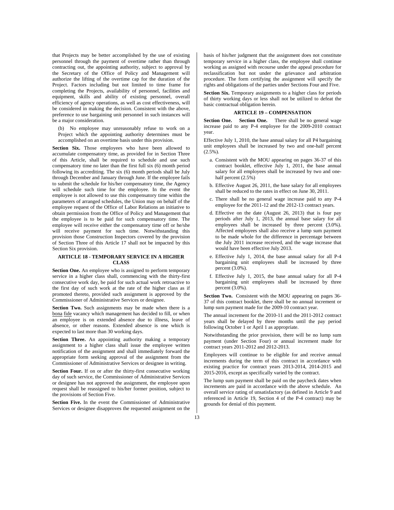that Projects may be better accomplished by the use of existing personnel through the payment of overtime rather than through contracting out, the appointing authority, subject to approval by the Secretary of the Office of Policy and Management will authorize the lifting of the overtime cap for the duration of the Project. Factors including but not limited to time frame for completing the Projects, availability of personnel, facilities and equipment, skills and ability of existing personnel, overall efficiency of agency operations, as well as cost effectiveness, will be considered in making the decision. Consistent with the above, preference to use bargaining unit personnel in such instances will be a major consideration.

(b) No employee may unreasonably refuse to work on a Project which the appointing authority determines must be accomplished on an overtime basis under this provision.

Section Six. Those employees who have been allowed to accumulate compensatory time, as provided for in Section Three of this Article, shall be required to schedule and use such compensatory time no later than the first full six (6) month period following its accrediting. The six (6) month periods shall be July through December and January through June. If the employee fails to submit the schedule for his/her compensatory time, the Agency will schedule such time for the employee. In the event the employee is not allowed to use this compensatory time within the parameters of arranged schedules, the Union may on behalf of the employee request of the Office of Labor Relations an initiative to obtain permission from the Office of Policy and Management that the employee is to be paid for such compensatory time. The employee will receive either the compensatory time off or he/she will receive payment for such time. Notwithstanding this provision those Construction Inspectors covered by the provision of Section Three of this Article 17 shall not be impacted by this Section Six provision.

## **ARTICLE 18 - TEMPORARY SERVICE IN A HIGHER CLASS**

**Section One.** An employee who is assigned to perform temporary service in a higher class shall, commencing with the thirty-first consecutive work day, be paid for such actual work retroactive to the first day of such work at the rate of the higher class as if promoted thereto, provided such assignment is approved by the Commissioner of Administrative Services or designee.

**Section Two.** Such assignments may be made when there is a bona fide vacancy which management has decided to fill, or when an employee is on extended absence due to illness, leave of absence, or other reasons. Extended absence is one which is expected to last more than 30 working days.

**Section Three.** An appointing authority making a temporary assignment to a higher class shall issue the employee written notification of the assignment and shall immediately forward the appropriate form seeking approval of the assignment from the Commissioner of Administrative Services or designee in writing.

Section Four. If on or after the thirty-first consecutive working day of such service, the Commissioner of Administrative Services or designee has not approved the assignment, the employee upon request shall be reassigned to his/her former position, subject to the provisions of Section Five.

**Section Five.** In the event the Commissioner of Administrative Services or designee disapproves the requested assignment on the basis of his/her judgment that the assignment does not constitute temporary service in a higher class, the employee shall continue working as assigned with recourse under the appeal procedure for reclassification but not under the grievance and arbitration procedure. The form certifying the assignment will specify the rights and obligations of the parties under Sections Four and Five.

**Section Six.** Temporary assignments to a higher class for periods of thirty working days or less shall not be utilized to defeat the basic contractual obligation herein.

## **ARTICLE 19 – COMPENSATION**

Section One. Section One. There shall be no general wage increase paid to any P-4 employee for the 2009-2010 contract year.

Effective July 1, 2010, the base annual salary for all P4 bargaining unit employees shall be increased by two and one-half percent  $(2.5\%)$ .

- a. Consistent with the MOU appearing on pages 36-37 of this contract booklet, effective July 1, 2011, the base annual salary for all employees shall be increased by two and onehalf percent (2.5%)
- b. Effective August 26, 2011, the base salary for all employees shall be reduced to the rates in effect on June 30, 2011.
- c. There shall be no general wage increase paid to any P-4 employee for the 2011-12 and the 2012-13 contract years.
- d. Effective on the date (August 26, 2013) that is four pay periods after July 1, 2013, the annual base salary for all employees shall be increased by three percent (3.0%). Affected employees shall also receive a lump sum payment to be made whole for the difference in percentage between the July 2011 increase received, and the wage increase that would have been effective July 2013.
- e. Effective July 1, 2014*,* the base annual salary for all P-4 bargaining unit employees shall be increased by three percent (3.0%).
- f. Effective July 1, 2015*,* the base annual salary for all P-4 bargaining unit employees shall be increased by three percent (3.0%).

**Section Two.** Consistent with the MOU appearing on pages 36- 37 of this contract booklet, there shall be no annual increment or lump sum payment made for the 2009-10 contract year.

The annual increment for the 2010-11 and the 2011-2012 contract years shall be delayed by three months until the pay period following October 1 or April 1 as appropriate.

Notwithstanding the prior provision, there will be no lump sum payment (under Section Four) or annual increment made for contract years 2011-2012 and 2012-2013.

Employees will continue to be eligible for and receive annual increments during the term of this contract in accordance with existing practice for contract years 2013-2014, 2014-2015 and 2015-2016, except as specifically varied by the contract.

The lump sum payment shall be paid on the paycheck dates when increments are paid in accordance with the above schedule. An overall service rating of unsatisfactory (as defined in Article 9 and referenced in Article 19, Section 4 of the P-4 contract) may be grounds for denial of this payment.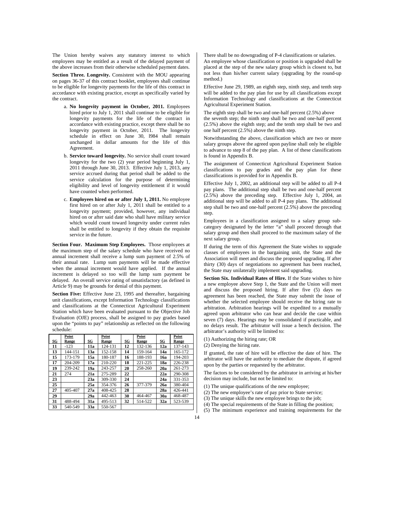The Union hereby waives any statutory interest to which employees may be entitled as a result of the delayed payment of the above increases from their otherwise scheduled payment dates.

**Section Three. Longevity.** Consistent with the MOU appearing on pages 36-37 of this contract booklet, employees shall continue to be eligible for longevity payments for the life of this contract in accordance with existing practice, except as specifically varied by the contract.

- a. **No longevity payment in October, 2011.** Employees hired prior to July 1, 2011 shall continue to be eligible for longevity payments for the life of the contract in accordance with existing practice, except there shall be no longevity payment in October, 2011. The longevity schedule in effect on June 30, l984 shall remain unchanged in dollar amounts for the life of this Agreement.
- b. **Service toward longevity.** No service shall count toward longevity for the two (2) year period beginning July 1, 2011 through June 30, 2013. Effective July 1, 2013, any service accrued during that period shall be added to the service calculation for the purpose of determining eligibility and level of longevity entitlement if it would have counted when performed.
- c. **Employees hired on or after July 1, 2011.** No employee first hired on or after July 1, 2011 shall be entitled to a longevity payment; provided, however, any individual hired on or after said date who shall have military service which would count toward longevity under current rules shall be entitled to longevity if they obtain the requisite service in the future.

**Section Four. Maximum Step Employees.** Those employees at the maximum step of the salary schedule who have received no annual increment shall receive a lump sum payment of 2.5% of their annual rate. Lump sum payments will be made effective when the annual increment would have applied. If the annual increment is delayed so too will the lump sum payment be delayed. An overall service rating of unsatisfactory (as defined in Article 9) may be grounds for denial of this payment.

**Section Five:** Effective June 23, 1995 and thereafter, bargaining unit classifications, except Information Technology classifications and classifications at the Connecticut Agricultural Experiment Station which have been evaluated pursuant to the Objective Job Evaluation (OJE) process, shall be assigned to pay grades based upon the "points to pay" relationship as reflected on the following schedule:

| SG | Point<br>Range | SG  | Point<br>Range | SG | Point<br>Range | SG  | Point<br>Range |
|----|----------------|-----|----------------|----|----------------|-----|----------------|
| 11 | $-123$         | 11a | 124-131        | 12 | 132-136        | 12a | 137-143        |
| 13 | 144-151        | 13a | 152-158        | 14 | 159-164        | 14a | 165-172        |
| 15 | 173-179        | 15a | 180-187        | 16 | 188-193        | 16a | 194-203        |
| 17 | 204-209        | 17a | 210-220        | 18 | 221-225        | 18a | 226-238        |
| 19 | 239-242        | 19a | 243-257        | 20 | 258-260        | 20a | 261-273        |
| 21 | 274            | 21a | 275-289        | 22 |                | 22a | 290-308        |
| 23 |                | 23a | 309-330        | 24 |                | 24a | 331-353        |
| 25 |                | 25a | 354-376        | 26 | 377-379        | 26a | 380-404        |
| 27 | 405-407        | 27a | 408-425        | 28 |                | 28a | 426-441        |
| 29 |                | 29a | 442-463        | 30 | 464-467        | 30a | 468-487        |
| 31 | 488-494        | 31a | 495-513        | 32 | 514-522        | 32a | 523-539        |
| 33 | 540-549        | 33a | 550-567        |    |                |     |                |

There shall be no downgrading of P-4 classifications or salaries. An employee whose classification or position is upgraded shall be placed at the step of the new salary group which is closest to, but not less than his/her current salary (upgrading by the round-up method.)

Effective June 29, 1989, an eighth step, ninth step, and tenth step will be added to the pay plan for use by all classifications except Information Technology and classifications at the Connecticut Agricultural Experiment Station.

The eighth step shall be two and one-half percent (2.5%) above the seventh step; the ninth step shall be two and one-half percent (2.5%) above the eighth step; and the tenth step shall be two and one half percent (2.5%) above the ninth step.

Notwithstanding the above, classification which are two or more salary groups above the agreed upon payline shall only be eligible to advance to step 8 of the pay plan. A list of these classifications is found in Appendix B.

The assignment of Connecticut Agricultural Experiment Station classifications to pay grades and the pay plan for these classifications is provided for in Appendix B.

Effective July 1, 2002, an additional step will be added to all P-4 pay plans. The additional step shall be two and one-half percent (2.5%) above the preceding step. Effective July 1, 2004, an additional step will be added to all P-4 pay plans. The additional step shall be two and one-half percent (2.5%) above the preceding step.

Employees in a classification assigned to a salary group subcategory designated by the letter "a" shall proceed through that salary group and then shall proceed to the maximum salary of the next salary group.

If during the term of this Agreement the State wishes to upgrade classes of employees in the bargaining unit, the State and the Association will meet and discuss the proposed upgrading. If after thirty (30) days of negotiations no agreement has been reached, the State may unilaterally implement said upgrading.

**Section Six. Individual Rates of Hire.** If the State wishes to hire a new employee above Step 1, the State and the Union will meet and discuss the proposed hiring. If after five (5) days no agreement has been reached, the State may submit the issue of whether the selected employee should receive the hiring rate to arbitration. Arbitration hearings will be expedited to a mutually agreed upon arbitrator who can hear and decide the case within seven (7) days. Hearings may be consolidated if practicable, and no delays result. The arbitrator will issue a bench decision. The arbitrator's authority will be limited to:

(1) Authorizing the hiring rate; OR

(2) Denying the hiring rate.

If granted, the rate of hire will be effective the date of hire. The arbitrator will have the authority to mediate the dispute, if agreed upon by the parties or requested by the arbitrator.

The factors to be considered by the arbitrator in arriving at his/her decision may include, but not be limited to:

- (1) The unique qualifications of the new employee;
- (2) The new employee's rate of pay prior to State service;
- (3) The unique skills the new employee brings to the job;
- (4) The special requirements of the State in filling the position;
- (5) The minimum experience and training requirements for the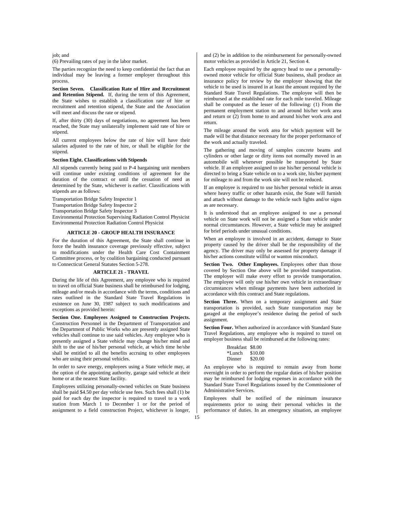job; and

(6) Prevailing rates of pay in the labor market.

The parties recognize the need to keep confidential the fact that an individual may be leaving a former employer throughout this process.

**Section Seven. Classification Rate of Hire and Recruitment and Retention Stipend.** If, during the term of this Agreement, the State wishes to establish a classification rate of hire or recruitment and retention stipend, the State and the Association will meet and discuss the rate or stipend.

If, after thirty (30) days of negotiations, no agreement has been reached, the State may unilaterally implement said rate of hire or stipend.

All current employees below the rate of hire will have their salaries adjusted to the rate of hire, or shall be eligible for the stipend.

## **Section Eight. Classifications with Stipends**

All stipends currently being paid to P-4 bargaining unit members will continue under existing conditions of agreement for the duration of the contract or until the cessation of need as determined by the State, whichever is earlier. Classifications with stipends are as follows:

Transportation Bridge Safety Inspector 1

Transportation Bridge Safety Inspector 2

Transportation Bridge Safety Inspector 3

Environmental Protection Supervising Radiation Control Physicist Environmental Protection Radiation Control Physicist

## **ARTICLE 20 - GROUP HEALTH INSURANCE**

For the duration of this Agreement, the State shall continue in force the health insurance coverage previously effective, subject to modifications under the Health Care Cost Containment Committee process, or by coalition bargaining conducted pursuant to Connecticut General Statutes Section 5-278.

#### **ARTICLE 21 - TRAVEL**

During the life of this Agreement, any employee who is required to travel on official State business shall be reimbursed for lodging, mileage and/or meals in accordance with the terms, conditions and rates outlined in the Standard State Travel Regulations in existence on June 30, 1987 subject to such modifications and exceptions as provided herein:

**Section One. Employees Assigned to Construction Projects.**  Construction Personnel in the Department of Transportation and the Department of Public Works who are presently assigned State vehicles shall continue to use said vehicles. Any employee who is presently assigned a State vehicle may change his/her mind and shift to the use of his/her personal vehicle, at which time he/she shall be entitled to all the benefits accruing to other employees who are using their personal vehicles.

In order to save energy, employees using a State vehicle may, at the option of the appointing authority, garage said vehicle at their home or at the nearest State facility.

Employees utilizing personally-owned vehicles on State business shall be paid \$4.50 per day vehicle use fees. Such fees shall (1) be paid for each day the inspector is required to travel to a work station from March 1 to December 1 or for the period of assignment to a field construction Project, whichever is longer, and (2) be in addition to the reimbursement for personally-owned motor vehicles as provided in Article 21, Section 4.

Each employee required by the agency head to use a personallyowned motor vehicle for official State business, shall produce an insurance policy for review by the employer showing that the vehicle to be used is insured in at least the amount required by the Standard State Travel Regulations. The employee will then be reimbursed at the established rate for each mile traveled. Mileage shall be computed as the lesser of the following: (1) From the permanent employment station to and around his/her work area and return or (2) from home to and around his/her work area and return.

The mileage around the work area for which payment will be made will be that distance necessary for the proper performance of the work and actually traveled.

The gathering and moving of samples concrete beams and cylinders or other large or dirty items not normally moved in an automobile will whenever possible be transported by State vehicle. If an employee assigned to use his/her personal vehicle is directed to bring a State vehicle on to a work site, his/her payment for mileage to and from the work site will not be reduced.

If an employee is required to use his/her personal vehicle in areas where heavy traffic or other hazards exist, the State will furnish and attach without damage to the vehicle such lights and/or signs as are necessary.

It is understood that an employee assigned to use a personal vehicle on State work will not be assigned a State vehicle under normal circumstances. However, a State vehicle may be assigned for brief periods under unusual conditions.

When an employee is involved in an accident, damage to State property caused by the driver shall be the responsibility of the agency. The driver may only be assessed for property damage if his/her actions constitute willful or wanton misconduct.

Section Two. Other Employees. Employees other than those covered by Section One above will be provided transportation. The employer will make every effort to provide transportation. The employee will only use his/her own vehicle in extraordinary circumstances when mileage payments have been authorized in accordance with this contract and State regulations.

**Section Three.** When on a temporary assignment and State transportation is provided, such State transportation may be garaged at the employee's residence during the period of such assignment.

**Section Four.** When authorized in accordance with Standard State Travel Regulations, any employee who is required to travel on employer business shall be reimbursed at the following rates:

| Breakfast \$8.00 |         |
|------------------|---------|
| *Lunch           | \$10.00 |
| Dinner           | \$20.00 |

An employee who is required to remain away from home overnight in order to perform the regular duties of his/her position may be reimbursed for lodging expenses in accordance with the Standard State Travel Regulations issued by the Commissioner of Administrative Services.

Employees shall be notified of the minimum insurance requirements prior to using their personal vehicles in the performance of duties. In an emergency situation, an employee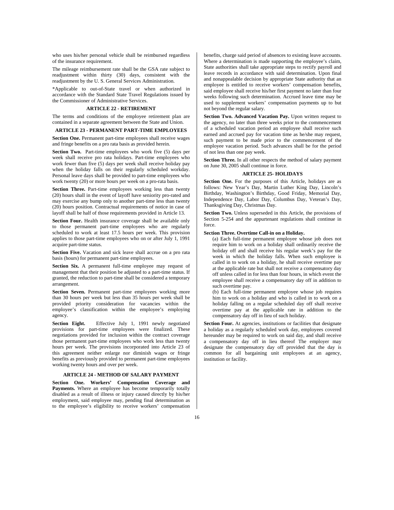who uses his/her personal vehicle shall be reimbursed regardless of the insurance requirement.

The mileage reimbursement rate shall be the GSA rate subject to readjustment within thirty (30) days, consistent with the readjustment by the U. S. General Services Administration.

\*Applicable to out-of-State travel or when authorized in accordance with the Standard State Travel Regulations issued by the Commissioner of Administrative Services.

#### **ARTICLE 22 - RETIREMENT**

The terms and conditions of the employee retirement plan are contained in a separate agreement between the State and Union.

# **ARTICLE 23 - PERMANENT PART-TIME EMPLOYEES**

**Section One.** Permanent part-time employees shall receive wages and fringe benefits on a pro rata basis as provided herein.

**Section Two.** Part-time employees who work five (5) days per week shall receive pro rata holidays. Part-time employees who work fewer than five (5) days per week shall receive holiday pay when the holiday falls on their regularly scheduled workday. Personal leave days shall be provided to part-time employees who work twenty (20) or more hours per week on a pro-rata basis.

**Section Three.** Part-time employees working less than twenty (20) hours shall in the event of layoff have seniority pro-rated and may exercise any bump only to another part-time less than twenty (20) hours position. Contractual requirements of notice in case of layoff shall be half of those requirements provided in Article 13.

Section Four. Health insurance coverage shall be available only to those permanent part-time employees who are regularly scheduled to work at least 17.5 hours per week. This provision applies to those part-time employees who on or after July 1, 1991 acquire part-time status.

**Section Five.** Vacation and sick leave shall accrue on a pro rata basis (hours) for permanent part-time employees.

**Section Six.** A permanent full-time employee may request of management that their position be adjusted to a part-time status. If granted, the reduction to part-time shall be considered a temporary arrangement.

**Section Seven.** Permanent part-time employees working more than 30 hours per week but less than 35 hours per week shall be provided priority consideration for vacancies within the employee's classification within the employee's employing agency.

**Section Eight.** Effective July 1, 1991 newly negotiated provisions for part-time employees were finalized. These negotiations provided for inclusion within the contract coverage those permanent part-time employees who work less than twenty hours per week. The provisions incorporated into Article 23 of this agreement neither enlarge nor diminish wages or fringe benefits as previously provided to permanent part-time employees working twenty hours and over per week.

## **ARTICLE 24 - METHOD OF SALARY PAYMENT**

**Section One. Workers' Compensation Coverage and Payments.** Where an employee has become temporarily totally disabled as a result of illness or injury caused directly by his/her employment, said employee may, pending final determination as to the employee's eligibility to receive workers' compensation

benefits, charge said period of absences to existing leave accounts. Where a determination is made supporting the employee's claim, State authorities shall take appropriate steps to rectify payroll and leave records in accordance with said determination. Upon final and nonappealable decision by appropriate State authority that an employee is entitled to receive workers' compensation benefits, said employee shall receive his/her first payment no later than four weeks following such determination. Accrued leave time may be used to supplement workers' compensation payments up to but not beyond the regular salary.

Section Two. Advanced Vacation Pay. Upon written request to the agency, no later than three weeks prior to the commencement of a scheduled vacation period an employee shall receive such earned and accrued pay for vacation time as he/she may request, such payment to be made prior to the commencement of the employee vacation period. Such advances shall be for the period of not less than one pay week.

**Section Three.** In all other respects the method of salary payment on June 30, 2005 shall continue in force.

#### **ARTICLE 25- HOLIDAYS**

**Section One.** For the purposes of this Article, holidays are as follows: New Year's Day, Martin Luther King Day, Lincoln's Birthday, Washington's Birthday, Good Friday, Memorial Day, Independence Day, Labor Day, Columbus Day, Veteran's Day, Thanksgiving Day, Christmas Day.

**Section Two.** Unless superseded in this Article, the provisions of Section 5-254 and the appurtenant regulations shall continue in force.

# **Section Three. Overtime Call-in on a Holiday.**

(a) Each full-time permanent employee whose job does not require him to work on a holiday shall ordinarily receive the holiday off and shall receive his regular week's pay for the week in which the holiday falls. When such employee is called in to work on a holiday, he shall receive overtime pay at the applicable rate but shall not receive a compensatory day off unless called in for less than four hours, in which event the employee shall receive a compensatory day off in addition to such overtime pay.

(b) Each full-time permanent employee whose job requires him to work on a holiday and who is called in to work on a holiday falling on a regular scheduled day off shall receive overtime pay at the applicable rate in addition to the compensatory day off in lieu of such holiday.

Section Four. At agencies, institutions or facilities that designate a holiday as a regularly scheduled work day, employees covered hereunder may be required to work on said day, and shall receive a compensatory day off in lieu thereof The employer may designate the compensatory day off provided that the day is common for all bargaining unit employees at an agency, institution or facility.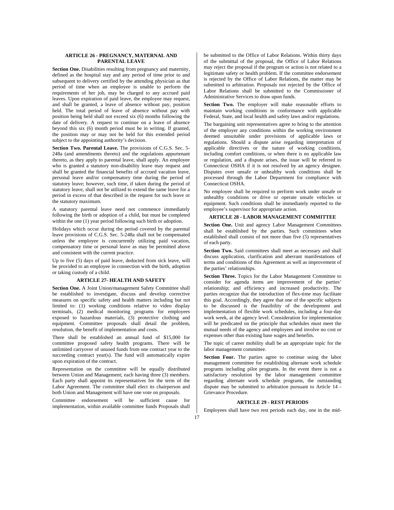# **ARTICLE 26 - PREGNANCY, MATERNAL AND PARENTAL LEAVE**

**Section One.** Disabilities resulting from pregnancy and maternity, defined as the hospital stay and any period of time prior to and subsequent to delivery certified by the attending physician as that period of time when an employee is unable to perform the requirements of her job, may be charged to any accrued paid leaves. Upon expiration of paid leave, the employee may request, and shall be granted, a leave of absence without pay, position held. The total period of leave of absence without pay with position being held shall not exceed six (6) months following the date of delivery. A request to continue on a leave of absence beyond this six (6) month period must be in writing. If granted, the position may or may not be held for this extended period subject to the appointing authority's decision.

**Section Two. Parental Leave.** The provisions of C.G.S. Sec. 5- 248a (and amendments thereto) and the regulations appurtenant thereto, as they apply to parental leave, shall apply. An employee who is granted a statutory non-disability leave may request and shall be granted the financial benefits of accrued vacation leave, personal leave and/or compensatory time during the period of statutory leave; however, such time, if taken during the period of statutory leave, shall not be utilized to extend the same leave for a period in excess of that described in the request for such leave or the statutory maximum.

A statutory parental leave need not commence immediately following the birth or adoption of a child, but must be completed within the one (1) year period following such birth or adoption.

Holidays which occur during the period covered by the parental leave provisions of C.G.S. Sec. 5-248a shall not be compensated unless the employee is concurrently utilizing paid vacation, compensatory time or personal leave as may be permitted above and consistent with the current practice.

Up to five (5) days of paid leave, deducted from sick leave, will be provided to an employee in connection with the birth, adoption or taking custody of a child.

## **ARTICLE 27- HEALTH AND SAFETY**

**Section One.** A Joint Union/management Safety Committee shall be established to investigate, discuss and develop corrective measures on specific safety and health matters including but not limited to: (1) working conditions relative to video display terminals, (2) medical monitoring programs for employees exposed to hazardous materials, (3) protective clothing and equipment. Committee proposals shall detail the problem, resolution, the benefit of implementation and costs.

There shall be established an annual fund of \$15,000 for committee proposed safety health programs. There will be unlimited carryover of unused funds from one contract year to the succeeding contract year(s). The fund will automatically expire upon expiration of the contract.

Representation on the committee will be equally distributed between Union and Management; each having three (3) members. Each party shall appoint its representatives for the term of the Labor Agreement. The committee shall elect its chairperson and both Union and Management will have one vote on proposals.

Committee endorsement will be sufficient cause for implementation, within available committee funds Proposals shall be submitted to the Office of Labor Relations. Within thirty days of the submittal of the proposal, the Office of Labor Relations may reject the proposal if the program or action is not related to a legitimate safety or health problem. If the committee endorsement is rejected by the Office of Labor Relations, the matter may be submitted to arbitration. Proposals not rejected by the Office of Labor Relations shall be submitted to the Commissioner of Administrative Services to draw upon funds.

**Section Two.** The employer will make reasonable efforts to maintain working conditions in conformance with applicable Federal, State, and local health and safety laws and/or regulations.

The bargaining unit representatives agree to bring to the attention of the employer any conditions within the working environment deemed unsuitable under provisions of applicable laws or regulations. Should a dispute arise regarding interpretation of applicable directives or the nature of working conditions, including comfort conditions, or when there is no applicable law or regulation, and a dispute arises, the issue will be referred to Connecticut OSHA if it is not resolved by an agency designee. Disputes over unsafe or unhealthy work conditions shall be processed through the Labor Department for compliance with Connecticut OSHA.

No employee shall be required to perform work under unsafe or unhealthy conditions or drive or operate unsafe vehicles or equipment. Such conditions shall be immediately reported to the employee's supervisor for appropriate action.

# **ARTICLE 28 - LABOR MANAGEMENT COMMITTEE**

**Section One.** Unit and agency Labor Management Committees shall be established by the parties. Such committees when established shall consist of not more than five (5) representatives of each party.

Section Two. Said committees shall meet as necessary and shall discuss application, clarification and aberrant manifestations of terms and conditions of this Agreement as well as improvement of the parties' relationships.

Section Three. Topics for the Labor Management Committee to consider for agenda items are improvement of the parties' relationship; and efficiency and increased productivity. The parties recognize that the introduction of flex-time may facilitate this goal. Accordingly, they agree that one of the specific subjects to be discussed is the feasibility of the development and implementation of flexible work schedules, including a four-day work week, at the agency level. Consideration for implementation will be predicated on the principle that schedules must meet the mutual needs of the agency and employees and involve no cost or expenses other than existing base wages and benefits.

The topic of career mobility shall be an appropriate topic for the labor management committee.

Section Four. The parties agree to continue using the labor management committee for establishing alternate work schedule programs including pilot programs. In the event there is not a satisfactory resolution by the labor management committee regarding alternate work schedule programs, the outstanding dispute may be submitted to arbitration pursuant to Article 14 - Grievance Procedure.

#### **ARTICLE 29 - REST PERIODS**

Employees shall have two rest periods each day, one in the mid-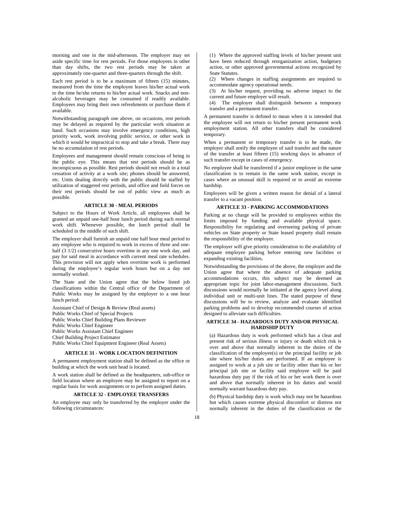morning and one in the mid-afternoon. The employer may set aside specific time for rest periods. For those employees in other than day shifts, the two rest periods may be taken at approximately one-quarter and three-quarters through the shift.

Each rest period is to be a maximum of fifteen (15) minutes, measured from the time the employee leaves his/her actual work to the time he/she returns to his/her actual work. Snacks and nonalcoholic beverages may be consumed if readily available. Employees may bring their own refreshments or purchase them if available.

Notwithstanding paragraph one above, on occasions, rest periods may be delayed as required by the particular work situation at hand. Such occasions may involve emergency conditions, high priority work, work involving public service, or other work in which it would be impractical to stop and take a break. There may be no accumulation of rest periods.

Employees and management should remain conscious of being in the public eye. This means that rest periods should be as inconspicuous as possible. Rest periods should not result in a total cessation of activity at a work site; phones should be answered, etc. Units dealing directly with the public should be staffed by utilization of staggered rest periods, and office and field forces on their rest periods should be out of public view as much as possible.

#### **ARTICLE 30 - MEAL PERIODS**

Subject to the Hours of Work Article, all employees shall be granted an unpaid one-half hour lunch period during each normal work shift. Whenever possible, the lunch period shall be scheduled in the middle of such shift.

The employer shall furnish an unpaid one half hour meal period to any employee who is required to work in excess of three and onehalf (3 1/2) consecutive hours overtime in any one work day, and pay for said meal in accordance with current meal rate schedules. This provision will not apply when overtime work is performed during the employee's regular work hours but on a day not normally worked.

The State and the Union agree that the below listed job classifications within the Central office of the Department of Public Works may be assigned by the employer to a one hour lunch period:

Assistant Chief of Design & Review (Real assets) Public Works Chief of Special Projects Public Works Chief Building Plans Reviewer Public Works Chief Engineer Public Works Assistant Chief Engineer Chief Building Project Estimator Public Works Chief Equipment Engineer (Real Assets)

#### **ARTICLE 31 - WORK LOCATION DEFINITION**

A permanent employment station shall be defined as the office or building at which the work unit head is located.

A work station shall be defined as the headquarters, sub-office or field location where an employee may be assigned to report on a regular basis for work assignments or to perform assigned duties.

## **ARTICLE 32 - EMPLOYEE TRANSFERS**

An employee may only be transferred by the employer under the following circumstances:

(1) Where the approved staffing levels of his/her present unit have been reduced through reorganization action, budgetary action, or other approved governmental actions recognized by State Statutes.

(2) Where changes in staffing assignments are required to accommodate agency operational needs.

(3) At his/her request, providing no adverse impact to the current and future employer will result.

(4) The employer shall distinguish between a temporary transfer and a permanent transfer.

A permanent transfer is defined to mean when it is intended that the employee will not return to his/her present permanent work employment station. All other transfers shall be considered temporary.

When a permanent or temporary transfer is to be made, the employer shall notify the employee of said transfer and the nature of the transfer at least fifteen (15) working days in advance of such transfer except in cases of emergency.

No employee shall be transferred if a junior employee in the same classification is to remain in the same work station, except in cases where an unusual skill is required or to avoid an extreme hardship.

Employees will be given a written reason for denial of a lateral transfer to a vacant position.

#### **ARTICLE 33 - PARKING ACCOMMODATIONS**

Parking at no charge will be provided to employees within the limits imposed by funding and available physical space. Responsibility for regulating and overseeing parking of private vehicles on State property or State leased property shall remain the responsibility of the employer.

The employer will give priority consideration to the availability of adequate employee parking before entering new facilities or expanding existing facilities.

Notwithstanding the provisions of the above, the employer and the Union agree that where the absence of adequate parking accommodations occurs, this subject may be deemed an appropriate topic for joint labor-management discussions. Such discussions would normally be initiated at the agency level along individual unit or multi-unit lines. The stated purpose of these discussions will be to review, analyze and evaluate identified parking problems and to develop recommended courses of action designed to alleviate such difficulties.

## **ARTICLE 34 - HAZARDOUS DUTY AND/OR PHYSICAL HARDSHIP DUTY**

(a) Hazardous duty is work performed which has a clear and present risk of serious illness or injury or death which risk is over and above that normally inherent in the duties of the classification of the employee(s) or the principal facility or job site where his/her duties are performed. If an employee is assigned to work at a job site or facility other than his or her principal job site or facility said employee will be paid hazardous duty pay if the risk of his or her work there is over and above that normally inherent in his duties and would normally warrant hazardous duty pay.

(b) Physical hardship duty is work which may not be hazardous but which causes extreme physical discomfort or distress not normally inherent in the duties of the classification or the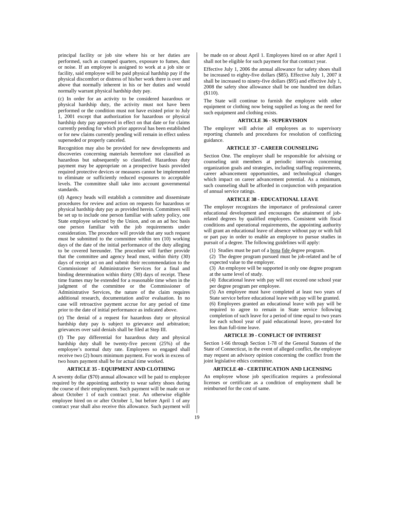principal facility or job site where his or her duties are performed, such as cramped quarters, exposure to fumes, dust or noise. If an employee is assigned to work at a job site or facility, said employee will be paid physical hardship pay if the physical discomfort or distress of his/her work there is over and above that normally inherent in his or her duties and would normally warrant physical hardship duty pay.

(c) In order for an activity to be considered hazardous or physical hardship duty, the activity must not have been performed or the condition must not have existed prior to July 1, 2001 except that authorization for hazardous or physical hardship duty pay approved in effect on that date or for claims currently pending for which prior approval has been established or for new claims currently pending will remain in effect unless superseded or properly canceled.

Recognition may also be provided for new developments and discoveries concerning materials heretofore not classified as hazardous but subsequently so classified. Hazardous duty payment may be appropriate on a prospective basis provided required protective devices or measures cannot be implemented to eliminate or sufficiently reduced exposures to acceptable levels. The committee shall take into account governmental standards.

(d) Agency heads will establish a committee and disseminate procedures for review and action on requests for hazardous or physical hardship duty pay as provided herein. Committees will be set up to include one person familiar with safety policy, one State employee selected by the Union, and on an ad hoc basis one person familiar with the job requirements under consideration. The procedure will provide that any such request must be submitted to the committee within ten (10) working days of the date of the initial performance of the duty alleging to be covered hereunder. The procedure will further provide that the committee and agency head must, within thirty (30) days of receipt act on and submit their recommendation to the Commissioner of Administrative Services for a final and binding determination within thirty (30) days of receipt. These time frames may be extended for a reasonable time when in the judgment of the committee or the Commissioner of Administrative Services, the nature of the claim requires additional research, documentation and/or evaluation. In no case will retroactive payment accrue for any period of time prior to the date of initial performance as indicated above.

(e) The denial of a request for hazardous duty or physical hardship duty pay is subject to grievance and arbitration; grievances over said denials shall be filed at Step III.

(f) The pay differential for hazardous duty and physical hardship duty shall be twenty-five percent (25%) of the employee's normal duty rate. Employees so engaged shall receive two (2) hours minimum payment. For work in excess of two hours payment shall be for actual time worked.

#### **ARTICLE 35 - EQUIPMENT AND CLOTHING**

A seventy dollar (\$70) annual allowance will be paid to employee required by the appointing authority to wear safety shoes during the course of their employment. Such payment will be made on or about October 1 of each contract year. An otherwise eligible employee hired on or after October 1, but before April 1 of any contract year shall also receive this allowance. Such payment will

be made on or about April 1. Employees hired on or after April 1 shall not be eligible for such payment for that contract year.

Effective July 1, 2006 the annual allowance for safety shoes shall be increased to eighty-five dollars (\$85). Effective July 1, 2007 it shall be increased to ninety-five dollars (\$95) and effective July 1, 2008 the safety shoe allowance shall be one hundred ten dollars (\$110).

The State will continue to furnish the employee with other equipment or clothing now being supplied as long as the need for such equipment and clothing exists.

#### **ARTICLE 36 - SUPERVISION**

The employer will advise all employees as to supervisory reporting channels and procedures for resolution of conflicting guidance.

# **ARTICLE 37 - CAREER COUNSELING**

Section One. The employer shall be responsible for advising or counseling unit members at periodic intervals concerning organization goals and strategies, including staffing requirements, career advancement opportunities, and technological changes which impact on career advancement potential. As a minimum, such counseling shall be afforded in conjunction with preparation of annual service ratings.

## **ARTICLE 38 - EDUCATIONAL LEAVE**

The employer recognizes the importance of professional career educational development and encourages the attainment of jobrelated degrees by qualified employees. Consistent with fiscal conditions and operational requirements, the appointing authority will grant an educational leave of absence without pay or with full or part pay in order to enable an employee to pursue studies in pursuit of a degree. The following guidelines will apply:

(1) Studies must be part of a bona fide degree program.

(2) The degree program pursued must be job-related and be of expected value to the employer.

(3) An employee will be supported in only one degree program at the same level of study.

(4) Educational leave with pay will not exceed one school year per degree program per employee.

(5) An employee must have completed at least two years of State service before educational leave with pay will be granted. (6) Employees granted an educational leave with pay will be required to agree to remain in State service following completion of such leave for a period of time equal to two years for each school year of paid educational leave, pro-rated for less than full-time leave.

## **ARTICLE 39 - CONFLICT OF INTEREST**

Section 1-66 through Section 1-78 of the General Statutes of the State of Connecticut, in the event of alleged conflict, the employee may request an advisory opinion concerning the conflict from the joint legislative ethics committee.

## **ARTICLE 40 - CERTIFICATION AND LICENSING**

An employee whose job specification requires a professional licenses or certificate as a condition of employment shall be reimbursed for the cost of same.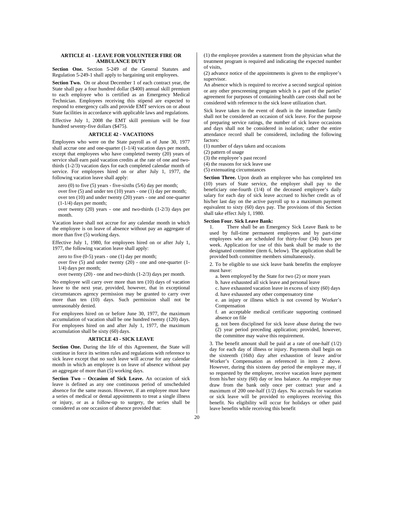# **ARTICLE 41 - LEAVE FOR VOLUNTEER FIRE OR AMBULANCE DUTY**

**Section One.** Section 5-249 of the General Statutes and Regulation 5-249-1 shall apply to bargaining unit employees.

**Section Two.** On or about December 1 of each contract year, the State shall pay a four hundred dollar (\$400) annual skill premium to each employee who is certified as an Emergency Medical Technician. Employees receiving this stipend are expected to respond to emergency calls and provide EMT services on or about State facilities in accordance with applicable laws and regulations.

Effective July 1, 2008 the EMT skill premium will be four hundred seventy-five dollars (\$475).

# **ARTICLE 42 - VACATIONS**

Employees who were on the State payroll as of June 30, 1977 shall accrue one and one-quarter  $(1-1/4)$  vacation days per month, except that employees who have completed twenty (20) years of service shall earn paid vacation credits at the rate of one and twothirds (1-2/3) vacation days for each completed calendar month of service. For employees hired on or after July 1, 1977, the following vacation leave shall apply:

zero  $(0)$  to five  $(5)$  years - five-sixths  $(5/6)$  day per month;

over five (5) and under ten (10) years - one (1) day per month; over ten (10) and under twenty (20) years - one and one-quarter (1-1/4) days per month;

over twenty (20) years - one and two-thirds (1-2/3) days per month.

Vacation leave shall not accrue for any calendar month in which the employee is on leave of absence without pay an aggregate of more than five (5) working days.

Effective July 1, 1980, for employees hired on or after July 1, 1977, the following vacation leave shall apply:

zero to five  $(0-5)$  years - one  $(1)$  day per month;

over five (5) and under twenty (20) - one and one-quarter (1- 1/4) days per month;

over twenty (20) - one and two-thirds (1-2/3) days per month.

No employee will carry over more than ten (10) days of vacation leave to the next year, provided, however, that in exceptional circumstances agency permission may be granted to carry over more than ten (10) days. Such permission shall not be unreasonably denied.

For employees hired on or before June 30, 1977, the maximum accumulation of vacation shall be one hundred twenty (120) days. For employees hired on and after July 1, 1977, the maximum accumulation shall be sixty (60) days.

## **ARTICLE 43 - SICK LEAVE**

**Section One.** During the life of this Agreement, the State will continue in force its written rules and regulations with reference to sick leave except that no such leave will accrue for any calendar month in which an employee is on leave of absence without pay an aggregate of more than (5) working days.

**Section Two – Occasion of Sick Leave.** An occasion of sick leave is defined as any one continuous period of unscheduled absence for the same reason. However, if an employee must have a series of medical or dental appointments to treat a single illness or injury, or as a follow-up to surgery, the series shall be considered as one occasion of absence provided that:

(1) the employee provides a statement from the physician what the treatment program is required and indicating the expected number of visits,

(2) advance notice of the appointments is given to the employee's supervisor.

An absence which is required to receive a second surgical opinion or any other prescreening program which is a part of the parties' agreement for purposes of containing health care costs shall not be considered with reference to the sick leave utilization chart.

Sick leave taken in the event of death in the immediate family shall not be considered an occasion of sick leave. For the purpose of preparing service ratings, the number of sick leave occasions and days shall not be considered in isolation; rather the entire attendance record shall be considered, including the following factors:

(1) number of days taken and occasions

(2) pattern of usage

(3) the employee's past record

(4) the reasons for sick leave use

(5) extenuating circumstances

**Section Three.** Upon death an employee who has completed ten (10) years of State service, the employer shall pay to the beneficiary one-fourth (1/4) of the deceased employee's daily salary for each day of sick leave accrued to his/her credit as of his/her last day on the active payroll up to a maximum payment equivalent to sixty (60) days pay. The provisions of this Section shall take effect July 1, 1980.

#### **Section Four. Sick Leave Bank:**

1. There shall be an Emergency Sick Leave Bank to be used by full-time permanent employees and by part-time employees who are scheduled for thirty-four (34) hours per week. Application for use of this bank shall be made to the designated committee (item 6, below). The application shall be provided both committee members simultaneously.

2. To be eligible to use sick leave bank benefits the employee must have:

a. been employed by the State for two (2) or more years

b. have exhausted all sick leave and personal leave

c. have exhausted vacation leave in excess of sixty (60) days

d. have exhausted any other compensatory time

e. an injury or illness which is not covered by Worker's Compensation

f. an acceptable medical certificate supporting continued absence on file

g. not been disciplined for sick leave abuse during the two (2) year period preceding application; provided, however, the committee may waive this requirement.

3. The benefit amount shall be paid at a rate of one-half (1/2) day for each day of illness or injury. Payments shall begin on the sixteenth (16th) day after exhaustion of leave and/or Worker's Compensation as referenced in item 2 above. However, during this sixteen day period the employee may, if so requested by the employee, receive vacation leave payment from his/her sixty (60) day or less balance. An employee may draw from the bank only once per contract year and a maximum of 200 one-half (1/2) days. No accruals for vacation or sick leave will be provided to employees receiving this benefit. No eligibility will occur for holidays or other paid leave benefits while receiving this benefit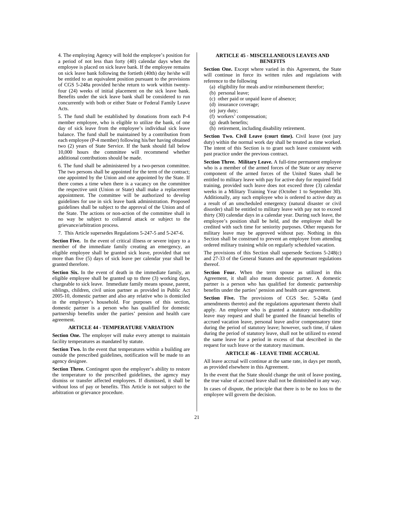4. The employing Agency will hold the employee's position for a period of not less than forty (40) calendar days when the employee is placed on sick leave bank. If the employee remains on sick leave bank following the fortieth (40th) day he/she will be entitled to an equivalent position pursuant to the provisions of CGS 5-248a provided he/she return to work within twentyfour (24) weeks of initial placement on the sick leave bank. Benefits under the sick leave bank shall be considered to run concurrently with both or either State or Federal Family Leave Acts.

5. The fund shall be established by donations from each P-4 member employee, who is eligible to utilize the bank, of one day of sick leave from the employee's individual sick leave balance. The fund shall be maintained by a contribution from each employee (P-4 member) following his/her having obtained two (2) years of State Service. If the bank should fall below 10,000 hours the committee will recommend whether additional contributions should be made.

6. The fund shall be administered by a two-person committee. The two persons shall be appointed for the term of the contract; one appointed by the Union and one appointed by the State. If there comes a time when there is a vacancy on the committee the respective unit (Union or State) shall make a replacement appointment. The committee will be authorized to develop guidelines for use in sick leave bank administration. Proposed guidelines shall be subject to the approval of the Union and of the State. The actions or non-action of the committee shall in no way be subject to collateral attack or subject to the grievance/arbitration process.

7. This Article supersedes Regulations 5-247-5 and 5-247-6.

**Section Five.** In the event of critical illness or severe injury to a member of the immediate family creating an emergency, an eligible employee shall be granted sick leave, provided that not more than five (5) days of sick leave per calendar year shall be granted therefore.

**Section Six.** In the event of death in the immediate family, an eligible employee shall be granted up to three (3) working days, chargeable to sick leave. Immediate family means spouse, parent, siblings, children, civil union partner as provided in Public Act 2005-10, domestic partner and also any relative who is domiciled in the employee's household. For purposes of this section, domestic partner is a person who has qualified for domestic partnership benefits under the parties' pension and health care agreement.

#### **ARTICLE 44 - TEMPERATURE VARIATION**

**Section One.** The employer will make every attempt to maintain facility temperatures as mandated by statute.

**Section Two.** In the event that temperatures within a building are outside the prescribed guidelines, notification will be made to an agency designee.

Section Three. Contingent upon the employer's ability to restore the temperature to the prescribed guidelines, the agency may dismiss or transfer affected employees. If dismissed, it shall be without loss of pay or benefits. This Article is not subject to the arbitration or grievance procedure.

# **ARTICLE 45 - MISCELLANEOUS LEAVES AND BENEFITS**

**Section One.** Except where varied in this Agreement, the State will continue in force its written rules and regulations with reference to the following

- (a) eligibility for meals and/or reimbursement therefor;
- (b) personal leave;
- (c) other paid or unpaid leave of absence;
- (d) insurance coverage;
- (e) jury duty;
- (f) workers' compensation;
- (g) death benefits;
- (h) retirement, including disability retirement.

**Section Two. Civil Leave (court time).** Civil leave (not jury duty) within the normal work day shall be treated as time worked. The intent of this Section is to grant such leave consistent with past practice under the previous contract.

**Section Three. Military Leave.** A full-time permanent employee who is a member of the armed forces of the State or any reserve component of the armed forces of the United States shall be entitled to military leave with pay for active duty for required field training, provided such leave does not exceed three (3) calendar weeks in a Military Training Year (October 1 to September 30). Additionally, any such employee who is ordered to active duty as a result of an unscheduled emergency (natural disaster or civil disorder) shall be entitled to military leave with pay not to exceed thirty (30) calendar days in a calendar year. During such leave, the employee's position shall be held, and the employee shall be credited with such time for seniority purposes. Other requests for military leave may be approved without pay. Nothing in this Section shall be construed to prevent an employee from attending ordered military training while on regularly scheduled vacation.

The provisions of this Section shall supersede Sections 5-248(c) and 27-33 of the General Statutes and the appurtenant regulations thereof.

Section Four. When the term spouse as utilized in this Agreement, it shall also mean domestic partner. A domestic partner is a person who has qualified for domestic partnership benefits under the parties' pension and health care agreement.

**Section Five.** The provisions of CGS Sec. 5-248a (and amendments thereto) and the regulations appurtenant thereto shall apply. An employee who is granted a statutory non-disability leave may request and shall be granted the financial benefits of accrued vacation leave, personal leave and/or compensatory time during the period of statutory leave; however, such time, if taken during the period of statutory leave, shall not be utilized to extend the same leave for a period in excess of that described in the request for such leave or the statutory maximum.

#### **ARTICLE 46 - LEAVE TIME ACCRUAL**

All leave accrual will continue at the same rate, in days per month, as provided elsewhere in this Agreement.

In the event that the State should change the unit of leave posting, the true value of accrued leave shall not be diminished in any way.

In cases of dispute, the principle that there is to be no loss to the employee will govern the decision.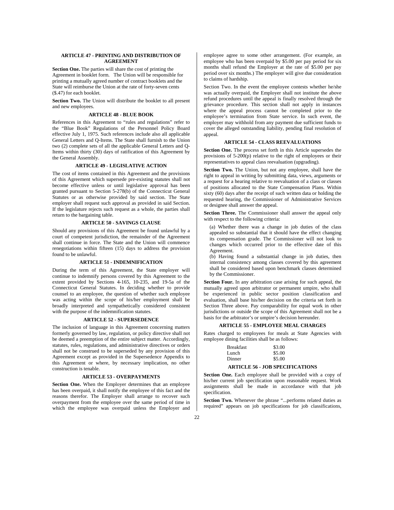# **ARTICLE 47 - PRINTING AND DISTRIBUTION OF AGREEMENT**

**Section One.** The parties will share the cost of printing the Agreement in booklet form. The Union will be responsible for printing a mutually agreed number of contract booklets and the State will reimburse the Union at the rate of forty-seven cents (\$.47) for each booklet.

**Section Two.** The Union will distribute the booklet to all present and new employees.

#### **ARTICLE 48 - BLUE BOOK**

References in this Agreement to "rules and regulations" refer to the "Blue Book" Regulations of the Personnel Policy Board effective July 1, 1975. Such references include also all applicable General Letters and Q-Items. The State shall furnish to the Union two (2) complete sets of all the applicable General Letters and Q-Items within thirty (30) days of ratification of this Agreement by the General Assembly.

#### **ARTICLE 49 - LEGISLATIVE ACTION**

The cost of items contained in this Agreement and the provisions of this Agreement which supersede pre-existing statutes shall not become effective unless or until legislative approval has been granted pursuant to Section 5-278(b) of the Connecticut General Statutes or as otherwise provided by said section. The State employer shall request such approval as provided in said Section. If the legislature rejects such request as a whole, the parties shall return to the bargaining table.

# **ARTICLE 50 - SAVINGS CLAUSE**

Should any provisions of this Agreement be found unlawful by a court of competent jurisdiction, the remainder of the Agreement shall continue in force. The State and the Union will commence renegotiations within fifteen (15) days to address the provision found to be unlawful.

## **ARTICLE 51 - INDEMNIFICATION**

During the term of this Agreement, the State employer will continue to indemnify persons covered by this Agreement to the extent provided by Sections 4-165, 10-235, and 19-5a of the Connecticut General Statutes. In deciding whether to provide counsel to an employee, the question of whether such employee was acting within the scope of his/her employment shall be broadly interpreted and sympathetically considered consistent with the purpose of the indemnification statutes.

#### **ARTICLE 52 - SUPERSEDENCE**

The inclusion of language in this Agreement concerning matters formerly governed by law, regulation, or policy directive shall not be deemed a preemption of the entire subject matter. Accordingly, statutes, rules, regulations, and administrative directives or orders shall not be construed to be superseded by any provision of this Agreement except as provided in the Supersedence Appendix to this Agreement or where, by necessary implication, no other construction is tenable.

#### **ARTICLE 53 - OVERPAYMENTS**

Section One. When the Employer determines that an employee has been overpaid, it shall notify the employee of this fact and the reasons therefor. The Employer shall arrange to recover such overpayment from the employee over the same period of time in which the employee was overpaid unless the Employer and

employee agree to some other arrangement. (For example, an employee who has been overpaid by \$5.00 per pay period for six months shall refund the Employer at the rate of \$5.00 per pay period over six months.) The employer will give due consideration to claims of hardship.

Section Two. In the event the employee contests whether he/she was actually overpaid, the Employer shall not institute the above refund procedures until the appeal is finally resolved through the grievance procedure. This section shall not apply in instances where the appeal process cannot be completed prior to the employee's termination from State service. In such event, the employer may withhold from any payment due sufficient funds to cover the alleged outstanding liability, pending final resolution of appeal.

# **ARTICLE 54 - CLASS REEVALUATIONS**

**Section One.** The process set forth in this Article supersedes the provisions of  $5-200(p)$  relative to the right of employees or their representatives to appeal class reevaluation (upgrading).

**Section Two.** The Union, but not any employee, shall have the right to appeal in writing by submitting data, views, arguments or a request for a hearing relative to reevaluation of a class or classes of positions allocated to the State Compensation Plans. Within sixty (60) days after the receipt of such written data or holding the requested hearing, the Commissioner of Administrative Services or designee shall answer the appeal.

**Section Three.** The Commissioner shall answer the appeal only with respect to the following criteria:

(a) Whether there was a change in job duties of the class appealed so substantial that it should have the effect changing its compensation grade. The Commissioner will not look to changes which occurred prior to the effective date of this Agreement.

(b) Having found a substantial change in job duties, then internal consistency among classes covered by this agreement shall be considered based upon benchmark classes determined by the Commissioner.

**Section Four.** In any arbitration case arising for such appeal, the mutually agreed upon arbitrator or permanent umpire, who shall be experienced in public sector position classification and evaluation, shall base his/her decision on the criteria set forth in Section Three above. Pay comparability for equal work in other jurisdictions or outside the scope of this Agreement shall not be a basis for the arbitrator's or umpire's decision hereunder.

## **ARTICLE 55 - EMPLOYEE MEAL CHARGES**

Rates charged to employees for meals at State Agencies with employee dining facilities shall be as follows:

| <b>Breakfast</b> | \$3.00 |
|------------------|--------|
| Lunch            | \$5.00 |
| Dinner           | \$5.00 |

## **ARTICLE 56 - JOB SPECIFICATIONS**

**Section One.** Each employee shall be provided with a copy of his/her current job specification upon reasonable request. Work assignments shall be made in accordance with that job specification.

**Section Two.** Whenever the phrase "...performs related duties as required" appears on job specifications for job classifications,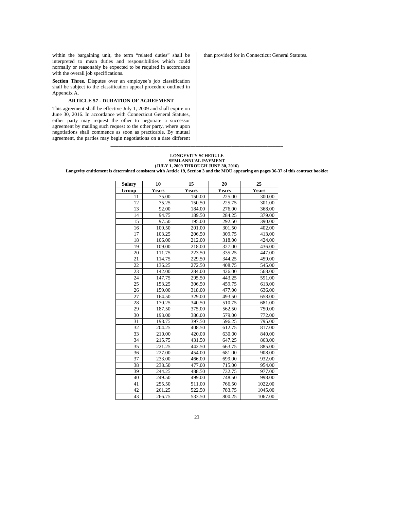within the bargaining unit, the term "related duties" shall be interpreted to mean duties and responsibilities which could normally or reasonably be expected to be required in accordance with the overall job specifications.

**Section Three.** Disputes over an employee's job classification shall be subject to the classification appeal procedure outlined in Appendix A.

# **ARTICLE 57 - DURATION OF AGREEMENT**

This agreement shall be effective July 1, 2009 and shall expire on June 30, 2016. In accordance with Connecticut General Statutes, either party may request the other to negotiate a successor agreement by mailing such request to the other party, where upon negotiations shall commence as soon as practicable. By mutual agreement, the parties may begin negotiations on a date different than provided for in Connecticut General Statutes.

# **LONGEVITY SCHEDULE SEMI-ANNUAL PAYMENT (JULY 1, 2009 THROUGH JUNE 30, 2016)**

**Longevity entitlement is determined consistent with Article 19, Section 3 and the MOU appearing on pages 36-37 of this contract booklet** 

**\_\_\_\_\_\_\_\_\_\_\_\_\_\_\_\_\_\_\_\_\_\_\_\_\_\_\_\_\_\_\_\_\_\_\_\_\_\_\_\_\_\_\_\_\_\_\_\_\_\_\_\_\_\_\_\_\_\_\_\_\_\_\_\_\_\_\_** 

| <b>Salary</b> | 10           | 15           | 20     | 25      |
|---------------|--------------|--------------|--------|---------|
| Group         | <b>Years</b> | <b>Years</b> | Years  | Years   |
| 11            | 75.00        | 150.00       | 225.00 | 300.00  |
| 12            | 75.25        | 150.50       | 225.75 | 301.00  |
| 13            | 92.00        | 184.00       | 276.00 | 368.00  |
| 14            | 94.75        | 189.50       | 284.25 | 379.00  |
| 15            | 97.50        | 195.00       | 292.50 | 390.00  |
| 16            | 100.50       | 201.00       | 301.50 | 402.00  |
| 17            | 103.25       | 206.50       | 309.75 | 413.00  |
| 18            | 106.00       | 212.00       | 318.00 | 424.00  |
| 19            | 109.00       | 218.00       | 327.00 | 436.00  |
| 20            | 111.75       | 223.50       | 335.25 | 447.00  |
| 21            | 114.75       | 229.50       | 344.25 | 459.00  |
| 22            | 136.25       | 272.50       | 408.75 | 545.00  |
| 23            | 142.00       | 284.00       | 426.00 | 568.00  |
| 24            | 147.75       | 295.50       | 443.25 | 591.00  |
| 25            | 153.25       | 306.50       | 459.75 | 613.00  |
| 26            | 159.00       | 318.00       | 477.00 | 636.00  |
| 27            | 164.50       | 329.00       | 493.50 | 658.00  |
| 28            | 170.25       | 340.50       | 510.75 | 681.00  |
| 29            | 187.50       | 375.00       | 562.50 | 750.00  |
| 30            | 193.00       | 386.00       | 579.00 | 772.00  |
| 31            | 198.75       | 397.50       | 596.25 | 795.00  |
| 32            | 204.25       | 408.50       | 612.75 | 817.00  |
| 33            | 210.00       | 420.00       | 630.00 | 840.00  |
| 34            | 215.75       | 431.50       | 647.25 | 863.00  |
| 35            | 221.25       | 442.50       | 663.75 | 885.00  |
| 36            | 227.00       | 454.00       | 681.00 | 908.00  |
| 37            | 233.00       | 466.00       | 699.00 | 932.00  |
| 38            | 238.50       | 477.00       | 715.00 | 954.00  |
| 39            | 244.25       | 488.50       | 732.75 | 977.00  |
| 40            | 249.50       | 499.00       | 748.50 | 998.00  |
| 41            | 255.50       | 511.00       | 766.50 | 1022.00 |
| 42            | 261.25       | 522.50       | 783.75 | 1045.00 |
| 43            | 266.75       | 533.50       | 800.25 | 1067.00 |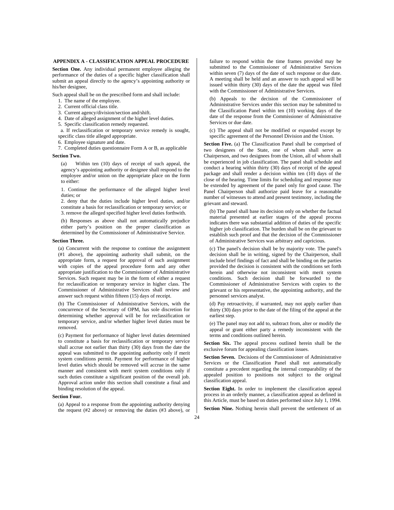# **APPENDIX A - CLASSIFICATION APPEAL PROCEDURE**

**Section One.** Any individual permanent employee alleging the performance of the duties of a specific higher classification shall submit an appeal directly to the agency's appointing authority or his/her designee,

Such appeal shall be on the prescribed form and shall include:

- 1. The name of the employee.
- 2. Current official class title.
- 3. Current agency/division/section and/shift.
- 4. Date of alleged assignment of the higher level duties.
- 5. Specific classification remedy requested.

 a. If reclassification or temporary service remedy is sought, specific class title alleged appropriate.

6. Employee signature and date.

7. Completed duties questionnaire Form A or B, as applicable

#### **Section Two.**

(a) Within ten (10) days of receipt of such appeal, the agency's appointing authority or designee shall respond to the employee and/or union on the appropriate place on the form to either:

1. Continue the performance of the alleged higher level duties; or

2. deny that the duties include higher level duties, and/or constitute a basis for reclassification or temporary service; or 3. remove the alleged specified higher level duties forthwith.

(b) Responses as above shall not automatically prejudice either party's position on the proper classification as determined by the Commissioner of Administrative Service.

## **Section Three.**

(a) Concurrent with the response to continue the assignment (#1 above), the appointing authority shall submit, on the appropriate form, a request for approval of such assignment with copies of the appeal procedure form and any other appropriate justification to the Commissioner of Administrative Services. Such request may be in the form of either a request for reclassification or temporary service in higher class. The Commissioner of Administrative Services shall review and answer such request within fifteen (15) days of receipt.

(b) The Commissioner of Administrative Services, with the concurrence of the Secretary of OPM, has sole discretion for determining whether approval will be for reclassification or temporary service, and/or whether higher level duties must be removed.

(c) Payment for performance of higher level duties determined to constitute a basis for reclassification or temporary service shall accrue not earlier than thirty (30) days from the date the appeal was submitted to the appointing authority only if merit system conditions permit. Payment for performance of higher level duties which should be removed will accrue in the same manner and consistent with merit system conditions only if such duties constitute a significant position of the overall job. Approval action under this section shall constitute a final and binding resolution of the appeal.

#### **Section Four.**

(a) Appeal to a response from the appointing authority denying the request (#2 above) or removing the duties (#3 above), or

failure to respond within the time frames provided may be submitted to the Commissioner of Administrative Services within seven (7) days of the date of such response or due date. A meeting shall be held and an answer to such appeal will be issued within thirty (30) days of the date the appeal was filed with the Commissioner of Administrative Services.

(b) Appeals to the decision of the Commissioner of Administrative Services under this section may be submitted to the Classification Panel within ten (10) working days of the date of the response from the Commissioner of Administrative Services or due date.

(c) The appeal shall not be modified or expanded except by specific agreement of the Personnel Division and the Union.

**Section Five.** (a) The Classification Panel shall be comprised of two designees of the State, one of whom shall serve as Chairperson, and two designees from the Union, all of whom shall be experienced in job classification. The panel shall schedule and conduct a hearing within thirty (30) days of receipt of the appeal package and shall render a decision within ten (10) days of the close of the hearing. Time limits for scheduling and response may be extended by agreement of the panel only for good cause. The Panel Chairperson shall authorize paid leave for a reasonable number of witnesses to attend and present testimony, including the grievant and steward.

(b) The panel shall base its decision only on whether the factual material presented at earlier stages of the appeal process indicates there was substantial addition of duties of the specific higher job classification. The burden shall be on the grievant to establish such proof and that the decision of the Commissioner of Administrative Services was arbitrary and capricious.

(c) The panel's decision shall be by majority vote. The panel's decision shall be in writing, signed by the Chairperson, shall include brief findings of fact and shall be binding on the parties provided the decision is consistent with the conditions set forth herein and otherwise not inconsistent with merit system conditions. Such decision shall be forwarded to the Commissioner of Administrative Services with copies to the grievant or his representative, the appointing authority, and the personnel services analyst.

(d) Pay retroactivity, if warranted, may not apply earlier than thirty (30) days prior to the date of the filing of the appeal at the earliest step.

(e) The panel may not add to, subtract from, alter or modify the appeal or grant either party a remedy inconsistent with the terms and conditions outlined herein.

**Section Six.** The appeal process outlined herein shall be the exclusive forum for appealing classification issues.

**Section Seven.** Decisions of the Commissioner of Administrative Services or the Classification Panel shall not automatically constitute a precedent regarding the internal comparability of the appealed position to positions not subject to the original classification appeal.

**Section Eight.** In order to implement the classification appeal process in an orderly manner, a classification appeal as defined in this Article, must be based on duties performed since July 1, 1994.

**Section Nine.** Nothing herein shall prevent the settlement of an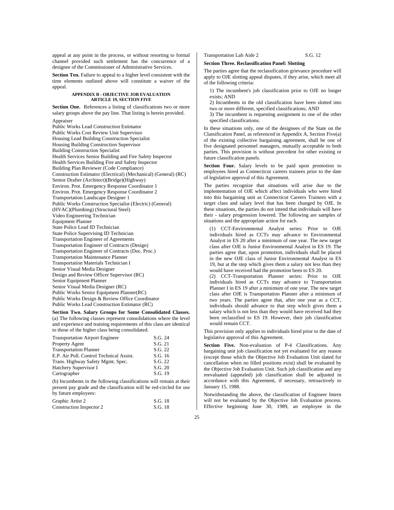appeal at any point in the process, or without resorting to formal channel provided such settlement has the concurrence of a designee of the Commissioner of Administrative Services.

**Section Ten.** Failure to appeal to a higher level consistent with the time elements outlined above will constitute a waiver of the appeal.

#### **APPENDIX B - OBJECTIVE JOB EVALUATION ARTICLE 19, SECTION FIVE**

**Section One.** References a listing of classifications two or more salary groups above the pay line. That listing is herein provided.

Appraiser

Public Works Lead Construction Estimator Public Works Cost Review Unit Supervisor Housing Lead Building Construction Specialist Housing Building Construction Supervisor Building Construction Specialist Health Services Senior Building and Fire Safety Inspector Health Services Building Fire and Safety Inspector Building Plan Reviewer (Code Compliance) Construction Estimator (Electrical) (Mechanical) (General) (RC) Senior Drafter (Architect)(Bridge)(Highway) Environ. Prot. Emergency Response Coordinator 1 Environ. Prot. Emergency Response Coordinator 2 Transportation Landscape Designer 1 Public Works Construction Specialist (Electric) (General) (HVAC)(Plumbing) (Structural Steel) Video Engineering Technician Equipment Planner State Police Lead ID Technician State Police Supervising ID Technician Transportation Engineer of Agreements Transportation Engineer of Contracts (Design) Transportation Engineer of Contracts (Doc. Proc.) Transportation Maintenance Planner Transportation Materials Technician I Senior Visual Media Designer Design and Review Officer Supervisor (RC) Senior Equipment Planner Senior Visual Media Designer (RC) Public Works Senior Equipment Planner(RC) Public Works Design & Review Office Coordinator Public Works Lead Construction Estimator (RC)

#### **Section Two. Salary Groups for Some Consolidated Classes.**

(a) The following classes represent consolidations where the level and experience and training requirements of this class are identical to those of the higher class being consolidated.

| <b>Transportation Airport Engineer</b>   | S.G. 24 |
|------------------------------------------|---------|
| Property Agent                           | S.G. 21 |
| <b>Transportation Planner</b>            | S.G. 22 |
| E.P. Air Poll. Control Technical Assist. | S.G. 16 |
| Trans. Highway Safety Mgmt. Spec.        | S.G. 22 |
| Hatchery Supervisor I                    | S.G. 20 |
| Cartographer                             | S.G. 19 |

(b) Incumbents in the following classifications will remain at their present pay grade and the classification will be red-circled for use by future employees:

| Graphic Artist 2         | S.G. 18 |
|--------------------------|---------|
| Construction Inspector 2 | S.G. 18 |

Transportation Lab Aide 2 S.G. 12

# **Section Three. Reclassification Panel: Slotting**

The parties agree that the reclassification grievance procedure will apply to OJE slotting appeal disputes, if they arise, which meet all of the following criteria:

1) The incumbent's job classification prior to OJE no longer exists; AND

2) Incumbents in the old classification have been slotted into two or more different, specified classifications; AND

3) The incumbent is requesting assignment to one of the other specified classifications.

In these situations only, one of the designees of the State on the Classification Panel, as referenced in Appendix A, Section Five(a) of the existing collective bargaining agreement, shall be one of five designated personnel managers, mutually acceptable to both parties. This provision is without precedent for other existing or future classification panels.

**Section Four.** Salary levels to be paid upon promotion to employees hired as Connecticut careers trainees prior to the date of legislative approval of this Agreement.

The parties recognize that situations will arise due to the implementation of OJE which affect individuals who were hired into this bargaining unit as Connecticut Careers Trainees with a target class and salary level that has been changed by OJE. In these situations, the parties do not intend that individuals will have their - salary progression lowered. The following are samples of situations and the appropriate action for each.

(1) CCT-Environmental Analyst series: Prior to OJE individuals hired as CCTs may advance to Environmental Analyst in ES 20 after a minimum of one year. The new target class after OJE is Junior Environmental Analyst in ES 19. The parties agree that, upon promotion, individuals shall be placed in the new OJE class of Junior Environmental Analyst in ES 19, but at the step which gives them a salary not less than they would have received had the promotion been to ES 20.

(2) CCT-Transportation Planner series: Prior to OJE individuals hired as CCTs may advance to Transportation Planner I in ES 19 after a minimum of one year. The new target class after OJE is Transportation Planner after a minimum of two years. The parties agree that, after one year as a CCT, individuals should advance to that step which gives them a salary which is not less than they would have received had they been reclassified to ES 19. However, their job classification would remain CCT.

This provision only applies to individuals hired prior to the date of legislative approval of this Agreement.

**Section Five.** Non-evaluation of P-4 Classifications. Any bargaining unit job classification not yet evaluated for any reason (except those which the Objective Job Evaluation Unit slated for cancellation when no filled positions exist) shall be evaluated by the Objective Job Evaluation Unit. Such job classification and any reevaluated (appealed) job classification shall be adjusted in accordance with this Agreement, if necessary, retroactively to January 15, 1988.

Notwithstanding the above, the classification of Engineer Intern will not be evaluated by the Objective Job Evaluation process. Effective beginning June 30, 1989, an employee in the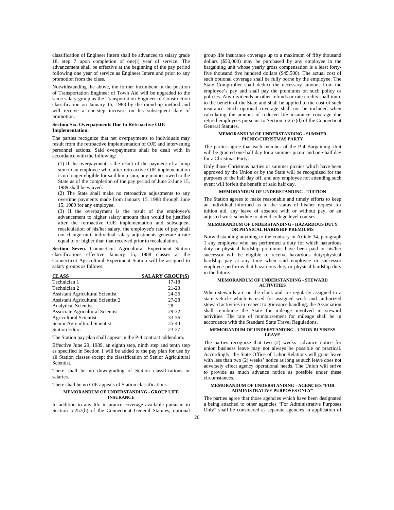classification of Engineer Intern shall be advanced to salary grade 18, step 7 upon completion of one(l) year of service. The advancement shall be effective at the beginning of the pay period following one year of service as Engineer Intern and prior to any promotion from the class.

Notwithstanding the above, the former incumbent in the position of Transportation Engineer of Town Aid will be upgraded to the same salary group as the Transportation Engineer of Construction classification on January 15, 1988 by the round-up method and will receive a one-step increase on his subsequent date of promotion.

#### **Section Six. Overpayments Due to Retroactive OJE Implementation.**

The parties recognize that net overpayments to individuals may result from the retroactive implementation of OJE and intervening personnel actions. Said overpayments shall be dealt with in accordance with the following:

(1) If the overpayment is the result of the payment of a lump sum to an employee who, after retroactive OJE implementation is no longer eligible for said lump sum, any monies owed to the State as of the completion of the pay period of June 2-June 15, 1989 shall be waived.

(2) The State shall make no retroactive adjustments to any overtime payments made from January 15, 1988 through June 15, 1989 for any employee.

(3) If the overpayment is the result of the employee's advancement to higher salary amount than would be justified after the retroactive OJE implementation and subsequent recalculation of his/her salary, the employee's rate of pay shall not change until individual salary adjustments generate a rate equal to or higher than that received prior to recalculation.

**Section Seven.** Connecticut Agricultural Experiment Station classifications effective January 15, 1988 classes at the Connecticut Agricultural Experiment Station will be assigned to salary groups as follows:

| <b>CLASS</b>                              | <b>SALARY GROUP(S)</b> |
|-------------------------------------------|------------------------|
| Technician 1                              | $17-18$                |
| Technician 2                              | $21 - 23$              |
| <b>Assistant Agricultural Scientist</b>   | $24 - 26$              |
| <b>Assistant Agricultural Scientist 2</b> | $27 - 28$              |
| <b>Analytical Scientist</b>               | 28                     |
| Associate Agricultural Scientist          | 29-32                  |
| <b>Agricultural Scientist</b>             | $33 - 36$              |
| Senior Agricultural Scientist             | $35-40$                |
| <b>Station Editor</b>                     | $23 - 27$              |

The Station pay plan shall appear in the P-4 contract addendum.

Effective June 29, 1989, an eighth step, ninth step and tenth step as specified in Section 1 will be added to the pay plan for use by all Station classes except the classification of Senior Agricultural Scientist.

There shall be no downgrading of Station classifications or salaries

There shall be no OJE appeals of Station classifications.

#### **MEMORANDUM OF UNDERSTANDING - GROUP LIFE INSURANCE**

In addition to any life insurance coverage available pursuant to Section 5-257(b) of the Connecticut General Statutes, optional

group life insurance coverage up to a maximum of fifty thousand dollars (\$50,000) may be purchased by any employee in the bargaining unit whose yearly gross compensation is a least fortyfive thousand five hundred dollars (\$45,500). The actual cost of such optional coverage shall be fully borne by the employee. The State Comptroller shall deduct the necessary amount from the employee's pay and shall pay the premiums on such policy or policies. Any dividends or other refunds or rate credits shall inure to the benefit of the State and shall be applied to the cost of such insurance. Such optional coverage shall not be included when calculating the amount of reduced life insurance coverage due retired employees pursuant to Section 5-257(d) of the Connecticut General Statutes.

#### **MEMORANDUM OF UNDERSTANDING - SUMMER PICNIC/CHRISTMAS PARTY**

The parties agree that each member of the P-4 Bargaining Unit will be granted one-half day for a summer picnic and one-half day for a Christmas Party.

Only those Christmas parties or summer picnics which have been approved by the Union or by the State will be recognized for the purposes of the half day off, and any employee not attending such event will forfeit the benefit of said half day.

#### **MEMORANDUM OF UNDERSTANDING - TUITION**

The Station agrees to make reasonable and timely efforts to keep an individual informed as to the status of his/her request for tuition aid, any leave of absence with or without pay, or an adjusted work schedule to attend college level courses.

#### **MEMORANDUM OF UNDERSTANDING - HAZARDOUS DUTY OR PHYSICAL HARDSHIP PREMIUMS**

Notwithstanding anything to the contrary in Article 34, paragraph 1 any employee who has performed a duty for which hazardous duty or physical hardship premiums have been paid or his/her successor will be eligible to receive hazardous duty/physical hardship pay at any time when said employee or successor employee performs that hazardous duty or physical hardship duty in the future.

#### **MEMORANDUM OF UNDERSTANDING - STEWARD ACTIVITIES**

When stewards are on the clock and are regularly assigned to a state vehicle which is used for assigned work and authorized steward activities in respect to grievance handling, the Association shall reimburse the State for mileage involved in steward activities. The rate of reimbursement for mileage shall be in accordance with the Standard State Travel Regulations.

#### **MEMORANDUM OF UNDERSTANDING - UNION BUSINESS LEAVE**

The parties recognize that two (2) weeks' advance notice for union business leave may not always be possible or practical. Accordingly, the State Office of Labor Relations will grant leave with less than two (2) weeks' notice as long as such leave does not adversely effect agency operational needs. The Union will strive to provide as much advance notice as possible under these circumstances.

#### **MEMORANDUM OF UNDERSTANDING - AGENCIES "FOR ADMINISTRATIVE PURPOSES ONLY"**

The parties agree that those agencies which have been designated a being attached to other agencies "For Administrative Purposes Only" shall be considered as separate agencies in application of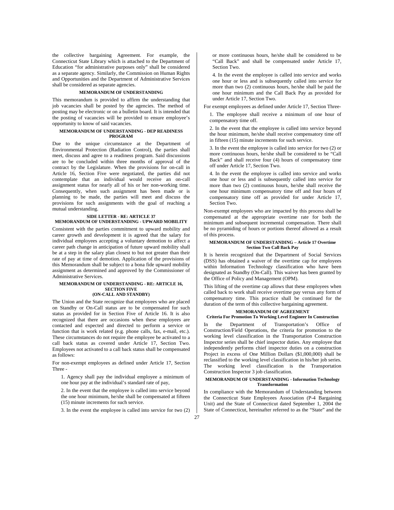the collective bargaining Agreement. For example, the Connecticut State Library which is attached to the Department of Education "for administrative purposes only" shall be considered as a separate agency. Similarly, the Commission on Human Rights and Opportunities and the Department of Administrative Services shall be considered as separate agencies.

## **MEMORANDUM OF UNDERSTANDING**

This memorandum is provided to affirm the understanding that job vacancies shall be posted by the agencies. The method of posting may be electronic or on a bulletin board. It is intended that the posting of vacancies will be provided to ensure employee's opportunity to know of said vacancies.

### **MEMORANDUM OF UNDERSTANDING - DEP READINESS PROGRAM**

Due to the unique circumstance at the Department of Environmental Protection (Radiation Control), the parties shall meet, discuss and agree to a readiness program. Said discussions are to be concluded within three months of approval of the contract by the Legislature. When the provisions for on-call in Article 16, Section Five were negotiated, the parties did not contemplate that an individual would receive an on-call assignment status for nearly all of his or her non-working time. Consequently, when such assignment has been made or is planning to be made, the parties will meet and discuss the provisions for such assignments with the goal of reaching a .<br>mutual understanding.

#### **SIDE LETTER - RE: ARTICLE 37 MEMORANDUM OF UNDERSTANDING - UPWARD MOBILITY**

Consistent with the parties commitment to upward mobility and career growth and development it is agreed that the salary for individual employees accepting a voluntary demotion to affect a career path change in anticipation of future upward mobility shall be at a step in the salary plan closest to but not greater than their rate of pay at time of demotion. Application of the provisions of this Memorandum shall be subject to a bona fide upward mobility assignment as determined and approved by the Commissioner of Administrative Services.

#### **MEMORANDUM OF UNDERSTANDING - RE: ARTICLE 16, SECTION FIVE (ON-CALL AND STANDBY)**

The Union and the State recognize that employees who are placed on Standby or On-Call status are to be compensated for such status as provided for in Section Five of Article 16. It is also recognized that there are occasions when these employees are contacted and expected and directed to perform a service or function that is work related (e.g. phone calls, fax, e-mail, etc.). These circumstances do not require the employee be activated to a call back status as covered under Article 17, Section Two. Employees not activated to a call back status shall be compensated as follows:

For non-exempt employees as defined under Article 17, Section Three -

1. Agency shall pay the individual employee a minimum of one hour pay at the individual's standard rate of pay,

2. In the event that the employee is called into service beyond the one hour minimum, he/she shall be compensated at fifteen (15) minute increments for such service.

3. In the event the employee is called into service for two (2)

or more continuous hours, he/she shall be considered to be "Call Back" and shall be compensated under Article 17, Section Two.

4. In the event the employee is called into service and works one hour or less and is subsequently called into service for more than two (2) continuous hours, he/she shall be paid the one hour minimum and the Call Back Pay as provided for under Article 17, Section Two.

For exempt employees as defined under Article 17, Section Three-

1. The employee shall receive a minimum of one hour of compensatory time off.

2. In the event that the employee is called into service beyond the hour minimum, he/she shall receive compensatory time off in fifteen (15) minute increments for such service.

3. In the event the employee is called into service for two (2) or more continuous hours, he/she shall be considered to be "Call Back" and shall receive four (4) hours of compensatory time off under Article 17, Section Two.

4. In the event the employee is called into service and works one hour or less and is subsequently called into service for more than two (2) continuous hours, he/she shall receive the one hour minimum compensatory time off and four hours of compensatory time off as provided for under Article 17, Section Two.

Non-exempt employees who are impacted by this process shall be compensated at the appropriate overtime rate for both the minimum and subsequent incremental compensation. There shall be no pyramiding of hours or portions thereof allowed as a result of this process.

#### **MEMORANDUM OF UNDERSTANDING – Article 17 Overtime Section Two Call Back Pay**

It is herein recognized that the Department of Social Services (DSS) has obtained a waiver of the overtime cap for employees within Information Technology classification who have been designated as Standby (On-Call). This waiver has been granted by the Office of Policy and Management (OPM).

This lifting of the overtime cap allows that these employees when called back to work shall receive overtime pay versus any form of compensatory time. This practice shall be continued for the duration of the term of this collective bargaining agreement.

## **MEMORANDUM OF AGREEMENT Criteria For Promotion To Working Level Engineer In Construction**

In the Department of Transportation's Office of Construction/Field Operations, the criteria for promotion to the working level classification in the Transportation Construction Inspector series shall be chief inspector duties. Any employee that independently performs chief inspector duties on a construction Project in excess of One Million Dollars (\$1,000,000) shall be reclassified to the working level classification in his/her job series. The working level classification is the Transportation Construction Inspector 3 job classification.

## **MEMORANDUM OF UNDERSTANDING - Information Technology Transformation**

In compliance with the Memorandum of Understanding between the Connecticut State Employees Association (P-4 Bargaining Unit) and the State of Connecticut dated September 1, 2004 the State of Connecticut, hereinafter referred to as the "State" and the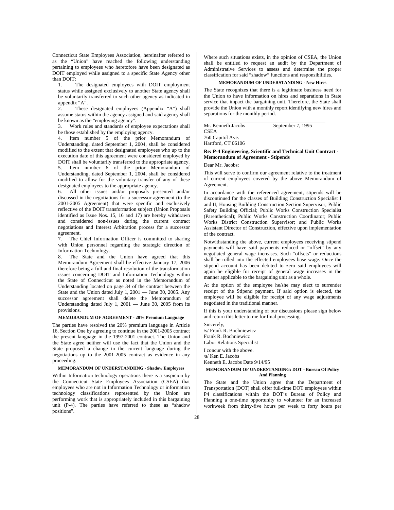Connecticut State Employees Association, hereinafter referred to as the "Union" have reached the following understanding pertaining to employees who heretofore have been designated as DOIT employed while assigned to a specific State Agency other than DOIT:

1. The designated employees with DOIT employment status while assigned exclusively to another State agency shall be voluntarily transferred to such other agency as indicated in appendix "A".

2. These designated employees (Appendix "A") shall assume status within the agency assigned and said agency shall be known as the "employing agency".

3. Work rules and standards of employee expectations shall be those established by the employing agency.

4. Item number 5 of the prior Memorandum of Understanding, dated September 1, 2004, shall be considered modified to the extent that designated employees who up to the execution date of this agreement were considered employed by DOIT shall be voluntarily transferred to the appropriate agency.

5. Item number 6 of the prior Memorandum of Understanding, dated September 1, 2004, shall be considered modified to allow for the voluntary transfer of any of these designated employees to the appropriate agency.

6. All other issues and/or proposals presented and/or discussed in the negotiations for a successor agreement (to the 2001-2005 Agreement) that were specific and exclusively reflective of the DOIT transformation subject (Union Proposals identified as Issue Nos. 15, 16 and 17) are hereby withdrawn and considered non-issues during the current contract negotiations and Interest Arbitration process for a successor agreement.

7. The Chief Information Officer is committed to sharing with Union personnel regarding the strategic direction of Information Technology.

8. The State and the Union have agreed that this Memorandum Agreement shall be effective January 17, 2006 therefore being a full and final resolution of the transformation issues concerning DOIT and Information Technology within the State of Connecticut as noted in the Memorandum of Understanding located on page 34 of the contract between the State and the Union dated July 1, 2001 — June 30, 2005. Any successor agreement shall delete the Memorandum of Understanding dated July 1, 2001 — June 30, 2005 from its provisions.

### **MEMORANDUM OF AGREEMENT - 20% Premium Language**

The parties have resolved the 20% premium language in Article 16, Section One by agreeing to continue in the 2001-2005 contract the present language in the 1997-2001 contract. The Union and the State agree neither will use the fact that the Union and the State proposed a change in the current language during the negotiations up to the 2001-2005 contract as evidence in any proceeding.

## **MEMORANDUM OF UNDERSTANDIING - Shadow Employees**

Within Information technology operations there is a suspicion by the Connecticut State Employees Association (CSEA) that employees who are not in Information Technology or information technology classifications represented by the Union are performing work that is appropriately included in this bargaining unit (P-4). The parties have referred to these as "shadow positions".

Where such situations exists, in the opinion of CSEA, the Union shall be entitled to request an audit by the Department of Administrative Services to assess and determine the proper classification for said "shadow" functions and responsibilities.

# **MEMORANDUM OF UNDERSTANDING - New Hires**

The State recognizes that there is a legitimate business need for the Union to have information on hires and separations in State service that impact the bargaining unit. Therefore, the State shall provide the Union with a monthly report identifying new hires and separations for the monthly period.

**\_\_\_\_\_\_\_\_\_\_\_\_\_\_\_\_\_\_\_\_\_\_\_\_\_\_\_\_\_\_\_\_\_\_\_\_\_\_\_\_\_** 

Mr. Kenneth Jacobs September 7, 1995 CSEA 760 Capitol Ave. Hartford, CT 06106

## **Re: P-4 Engineering, Scientific and Technical Unit Contract - Memorandum of Agreement - Stipends**

Dear Mr. Jacobs:

This will serve to confirm our agreement relative to the treatment of current employees covered by the above Memorandum of Agreement.

In accordance with the referenced agreement, stipends will be discontinued for the classes of Building Construction Specialist I and II; Housing Building Construction Section Supervisor; Public Safety Building Official; Public Works Construction Specialist (Parenthetical); Public Works Construction Coordinator; Public Works District Construction Supervisor; and Public Works Assistant Director of Construction, effective upon implementation of the contract.

Notwithstanding the above, current employees receiving stipend payments will have said payments reduced or "offset" by any negotiated general wage increases. Such "offsets" or reductions shall be rolled into the effected employees base wage. Once the stipend account has been debited to zero said employees will again be eligible for receipt of general wage increases in the manner applicable to the bargaining unit as a whole.

At the option of the employee he/she may elect to surrender receipt of the Stipend payment. If said option is elected, the employee will be eligible for receipt of any wage adjustments negotiated in the traditional manner.

If this is your understanding of our discussions please sign below and return this letter to me for final processing.

Sincerely, /s/ Frank R. Bochniewicz Frank R. Bochniewicz Labor Relations Specialist

I concur with the above. /s/ Ken E. Jacobs

Kenneth E. Jacobs Date 9/14/95

**MEMORANDUM OF UNDERSTANDING: DOT - Bureau Of Policy And Planning** 

The State and the Union agree that the Department of Transportation (DOT) shall offer full-time DOT employees within P4 classifications within the DOT's Bureau of Policy and Planning a one-time opportunity to volunteer for an increased workweek from thirty-five hours per week to forty hours per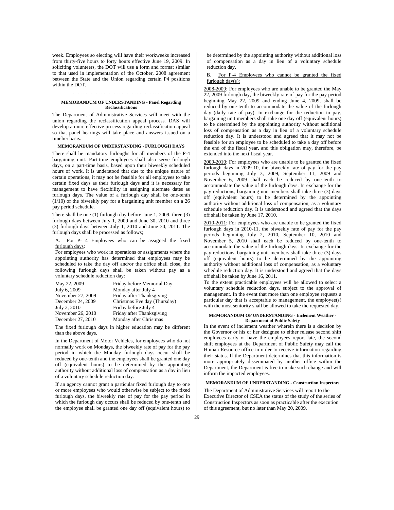week. Employees so electing will have their workweeks increased from thirty-five hours to forty hours effective June 19, 2009. In soliciting volunteers, the DOT will use a form and format similar to that used in implementation of the October, 2008 agreement between the State and the Union regarding certain P4 positions within the DOT.

## **MEMORANDUM OF UNDERSTANDING - Panel Regarding Reclassifications**

**\_\_\_\_\_\_\_\_\_\_\_\_\_\_\_\_\_\_\_\_\_\_\_\_\_\_\_\_\_\_\_\_\_\_\_\_\_\_\_\_\_** 

The Department of Administrative Services will meet with the union regarding the reclassification appeal process. DAS will develop a more effective process regarding reclassification appeal so that panel hearings will take place and answers issued on a timelier basis.

#### **MEMORANDUM OF UNDERSTANDING - FURLOUGH DAYS**

There shall be mandatory furloughs for all members of the P-4 bargaining unit. Part-time employees shall also serve furlough days, on a part-time basis, based upon their biweekly scheduled hours of work. It is understood that due to the unique nature of certain operations, it may not be feasible for all employees to take certain fixed days as their furlough days and it is necessary for management to have flexibility in assigning alternate dates as furlough days. The value of a furlough day shall be one-tenth (1/10) of the biweekly pay for a bargaining unit member on a 26 pay period schedule.

There shall be one (1) furlough day before June 1, 2009, three (3) furlough days between July 1, 2009 and June 30, 2010 and three (3) furlough days between July 1, 2010 and June 30, 2011. The furlough days shall be processed as follows;

# A. For P- 4 Employees who can be assigned the fixed furlough days:

For employees who work in operations or assignments where the appointing authority has determined that employees may be scheduled to take the day off and/or the office shall close, the following furlough days shall be taken without pay as a voluntary schedule reduction day:

| May 22, 2009      | Friday before Memorial Day   |
|-------------------|------------------------------|
| July 6, 2009      | Monday after July 4          |
| November 27, 2009 | Friday after Thanksgiving    |
| December 24, 2009 | Christmas Eve day (Thursday) |
| July 2, 2010      | Friday before July 4         |
| November 26, 2010 | Friday after Thanksgiving    |
| December 27, 2010 | Monday after Christmas       |

The fixed furlough days in higher education may be different than the above days.

In the Department of Motor Vehicles, for employees who do not normally work on Mondays, the biweekly rate of pay for the pay period in which the Monday furlough days occur shall be reduced by one-tenth and the employees shall be granted one day off (equivalent hours) to be determined by the appointing authority without additional loss of compensation as a day in lieu of a voluntary schedule reduction day.

If an agency cannot grant a particular fixed furlough day to one or more employees who would otherwise be subject to the fixed furlough days, the biweekly rate of pay for the pay period in which the furlough day occurs shall be reduced by one-tenth and the employee shall be granted one day off (equivalent hours) to

be determined by the appointing authority without additional loss of compensation as a day in lieu of a voluntary schedule reduction day.

B. For P-4 Employees who cannot be granted the fixed furlough day(s):

2008-2009: For employees who are unable to be granted the May 22, 2009 furlough day, the biweekly rate of pay for the pay period beginning May 22, 2009 and ending June 4, 2009, shall be reduced by one-tenth to accommodate the value of the furlough day (daily rate of pay). In exchange for the reduction in pay, bargaining unit members shall take one day off (equivalent hours) to be determined by the appointing authority without additional loss of compensation as a day in lieu of a voluntary schedule reduction day. It is understood and agreed that it may not be feasible for an employee to be scheduled to take a day off before the end of the fiscal year, and this obligation may, therefore, be extended into the next fiscal year.

2009-2010: For employees who are unable to be granted the fixed furlough days in 2009-10, the biweekly rate of pay for the pay periods beginning July 3, 2009, September 11, 2009 and November 6, 2009 shall each be reduced by one-tenth to accommodate the value of the furlough days. In exchange for the pay reductions, bargaining unit members shall take three (3) days off (equivalent hours) to be determined by the appointing authority without additional loss of compensation, as a voluntary schedule reduction day. It is understood and agreed that the days off shall be taken by June 17, 2010.

2010-2011: For employees who are unable to be granted the fixed furlough days in 2010-11, the biweekly rate of pay for the pay periods beginning July 2, 2010, September 10, 2010 and November 5, 2010 shall each be reduced by one-tenth to accommodate the value of the furlough days. In exchange for the pay reductions, bargaining unit members shall take three (3) days off (equivalent hours) to be determined by the appointing authority without additional loss of compensation, as a voluntary schedule reduction day. It is understood and agreed that the days off shall be taken by June 16, 2011.

To the extent practicable employees will be allowed to select a voluntary schedule reduction days, subject to the approval of management. In the event that more than one employee requests a particular day that is acceptable to management, the employee(s) with the most seniority shall be allowed to take the requested day.

#### **MEMORANDUM OF UNDERSTANDING - Inclement Weather - Department of Public Safety**

In the event of inclement weather wherein there is a decision by the Governor or his or her designee to either release second shift employees early or have the employees report late, the second shift employees at the Department of Public Safety may call the Human Resource office in order to receive information regarding their status. If the Department determines that this information is more appropriately disseminated by another office within the Department, the Department is free to make such change and will inform the impacted employees.

# **MEMORANDUM OF UNDERSTANDING - Construction Inspectors**

The Department of Administrative Services will report to the Executive Director of CSEA the status of the study of the series of Construction Inspectors as soon as practicable after the execution of this agreement, but no later than May 20, 2009.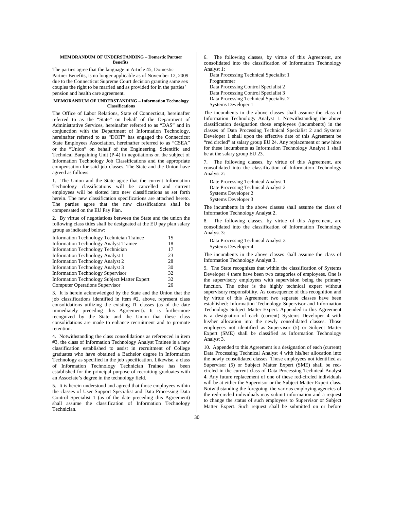## **MEMORANDUM OF UNDERSTANDING – Domestic Partner Benefits**

The parties agree that the language in Article 45, Domestic Partner Benefits, is no longer applicable as of November 12, 2009 due to the Connecticut Supreme Court decision granting same sex couples the right to be married and as provided for in the parties' pension and health care agreement.

#### **MEMORANDUM OF UNDERSTANDING – Information Technology Classifications**

The Office of Labor Relations, State of Connecticut, hereinafter referred to as the "State" on behalf of the Department of Administrative Services, hereinafter referred to as "DAS" and in conjunction with the Department of Information Technology, hereinafter referred to as "DOIT" has engaged the Connecticut State Employees Association, hereinafter referred to as "CSEA" or the "Union" on behalf of the Engineering, Scientific and Technical Bargaining Unit (P-4) in negotiations on the subject of Information Technology Job Classifications and the appropriate compensation for said job classes. The State and the Union have agreed as follows:

1. The Union and the State agree that the current Information Technology classifications will be cancelled and current employees will be slotted into new classifications as set forth herein. The new classification specifications are attached hereto. The parties agree that the new classifications shall be compensated on the EU Pay Plan.

2. By virtue of negotiations between the State and the union the following class titles shall be designated at the EU pay plan salary group as indicated below:

| <b>Information Technology Technician Trainee</b>    | 15 |
|-----------------------------------------------------|----|
| <b>Information Technology Analyst Trainee</b>       | 18 |
| <b>Information Technology Technician</b>            | 17 |
| <b>Information Technology Analyst 1</b>             | 23 |
| <b>Information Technology Analyst 2</b>             | 28 |
| <b>Information Technology Analyst 3</b>             | 30 |
| <b>Information Technology Supervisor</b>            | 32 |
| <b>Information Technology Subject Matter Expert</b> | 32 |
| <b>Computer Operations Supervisor</b>               | 26 |

3. It is herein acknowledged by the State and the Union that the job classifications identified in item #2, above, represent class consolidations utilizing the existing IT classes (as of the date immediately preceding this Agreement). It is furthermore recognized by the State and the Union that these class consolidations are made to enhance recruitment and to promote retention.

4. Notwithstanding the class consolidations as referenced in item #3, the class of Information Technology Analyst Trainee is a new classification established to assist in recruitment of College graduates who have obtained a Bachelor degree in Information Technology as specified in the job specification. Likewise, a class of Information Technology Technician Trainee has been established for the principal purpose of recruiting graduates with an Associate's degree in the technology field.

5. It is herein understood and agreed that those employees within the classes of User Support Specialist and Data Processing Data Control Specialist 1 (as of the date preceding this Agreement) shall assume the classification of Information Technology Technician.

6. The following classes, by virtue of this Agreement, are consolidated into the classification of Information Technology Analyst 1:

Data Processing Technical Specialist 1 Programmer Data Processing Control Specialist 2 Data Processing Control Specialist 3 Data Processing Technical Specialist 2 Systems Developer 1

The incumbents in the above classes shall assume the class of Information Technology Analyst 1. Notwithstanding the above classification designation those employees (incumbents) in the classes of Data Processing Technical Specialist 2 and Systems Developer 1 shall upon the effective date of this Agreement be "red circled" at salary group EU 24. Any replacement or new hires for these incumbents as Information Technology Analyst 1 shall be at the salary group EU 23.

7. The following classes, by virtue of this Agreement, are consolidated into the classification of Information Technology Analyst 2:

Date Processing Technical Analyst 1 Date Processing Technical Analyst 2 Systems Developer 2 Systems Developer 3

The incumbents in the above classes shall assume the class of Information Technology Analyst 2.

The following classes, by virtue of this Agreement, are consolidated into the classification of Information Technology Analyst 3:

Data Processing Technical Analyst 3

Systems Developer 4

The incumbents in the above classes shall assume the class of Information Technology Analyst 3.

9. The State recognizes that within the classification of Systems Developer 4 there have been two categories of employees. One is the supervisory employees with supervision being the primary function. The other is the highly technical expert without supervisory responsibility. As consequence of this recognition and by virtue of this Agreement two separate classes have been established: Information Technology Supervisor and Information Technology Subject Matter Expert. Appended to this Agreement is a designation of each (current) Systems Developer 4 with his/her allocation into the newly consolidated classes. Those employees not identified as Supervisor (5) or Subject Matter Expert (SME) shall be classified as Information Technology Analyst 3.

10. Appended to this Agreement is a designation of each (current) Data Processing Technical Analyst 4 with his/her allocation into the newly consolidated classes. Those employees not identified as Supervisor (5) or Subject Matter Expert (SME) shall be redcircled in the current class of Data Processing Technical Analyst 4. Any future replacement of one of these red-circled individuals will be at either the Supervisor or the Subject Matter Expert class. Notwithstanding the foregoing, the various employing agencies of the red-circled individuals may submit information and a request to change the status of such employees to Supervisor or Subject Matter Expert. Such request shall be submitted on or before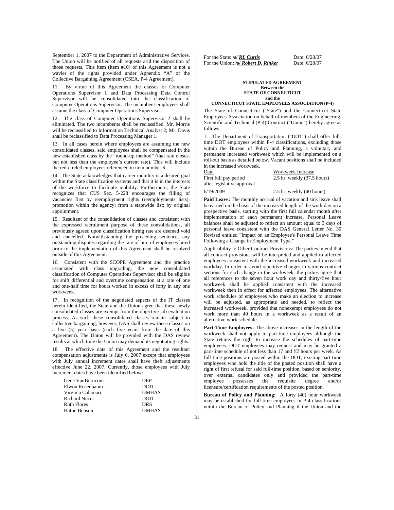September 1, 2007 to the Department of Administrative Services. The Union will be notified of all requests arid the disposition of those requests. This item (item #10) of this Agreement is not a wavier of the rights provided under Appendix "A" of the Collective Bargaining Agreement (CSEA, P-4 Agreement).

11. By virtue of this Agreement the classes of Computer Operations Supervisor 1 and Data Processing Data Control Supervisor will be consolidated into the classification of Computer Operations Supervisor. The incumbent employees shall assume the class of Computer Operations Supervisor.

12. The class of Computer Operations Supervisor 2 shall be eliminated. The two incumbents shall be reclassified. Mr. Morris will be reclassified to Information Technical Analyst 2; Mr. Davis shall be reclassified to Data Processing Manager 1.

13. In all cases herein where employees are assuming the new consolidated classes, said employees shall be compensated in the new established class by the "round-up method" (that rate closest but not less than the employee's current rate). This will include the red-circled employees referenced in item number 6.

14. The State acknowledges that career mobility is a desired goal within the State classification systems and that it is in the interests of the workforce to facilitate mobility. Furthermore, the State recognizes that CUS Sec. 5-228 encourages the filling of vacancies first by reemployment rights (reemployments lists); promotion within the agency; from a statewide list; by original appointment.

15. Resultant of the consolidation of classes and consistent with the expressed recruitment purpose of these consolidations, all previously agreed upon classification hiring rate are deemed void and cancelled. Notwithstanding the preceding sentence, any outstanding disputes regarding the rate of hire of employees hired prior to the implementation of this Agreement shall be resolved outside of this Agreement.

16. Consistent with the SCOPE Agreement and the practice associated with class upgrading, the new consolidated classification of Computer Operations Supervisor shall be eligible for shift differential and overtime compensation at a rate of one and one-half time for hours worked in excess of forty in any one workweek.

17. In recognition of the negotiated aspects of the IT classes herein identified, the State and the Union agree that these newly consolidated classes are exempt from the objective job evaluation process. As such these consolidated classes remain subject to collective bargaining; however, DAS shall review these classes on a five (5) year basis (each five years from the date of this Agreement). The Union will be provided with the DAS review results at which time the Union may demand its negotiating rights.

18. The effective date of this Agreement and the resultant compensation adjustments is July 6, 2007 except that employees with July annual increment dates shall have theft adjustments effective June 22, 2007. Currently, those employees with July increment dates have been identified below:

For the State: */s/ RL Curtis* Date: 6/28/07<br>For the Union: /s/ *Robert D. Rinker* Date: 6/28/07 For the Union: /s/ Robert D. Rinker

#### **STIPULATED AGREEMENT Between the STATE OF CONNECTICUT and the**

\_\_\_\_\_\_\_\_\_\_\_\_\_\_\_\_\_\_\_\_\_\_\_\_\_\_\_\_\_\_\_\_\_\_\_\_\_\_\_\_\_\_\_\_\_

## **CONNECTICUT STATE EMPLOYEES ASSOCIATION (P-4)**

The State of Connecticut ("State") and the Connecticut State Employees Association on behalf of members of the Engineering, Scientific and Technical (P-4) Contract ("Union") hereby agree as follows:

1. The Department of Transportation ("DOT") shall offer fulltime DOT employees within P-4 classifications, excluding those within the Bureau of Policy and Planning, a voluntary and permanent increased workweek which will be implemented on a roll-out basis as detailed below. Vacant positions shall be included in the increased workweek.

Date Workweek Increase after legislative approval

First full pay period 2.5 hr. weekly (37.5 hours)

6/19/20092.5 hr. weekly (40 hours)

**Paid Leave:** The monthly accrual of vacation and sick leave shall be earned on the basis of the increased length of the work day on a prospective basis, starting with the first full calendar month after implementation of each permanent increase. Personal Leave balances shall be adjusted to reflect an amount equal to 3 days of personal leave consistent with the DAS General Letter No. 30 Revised entitled "Impact on an Employee's Personal Leave Time Following a Change in Employment Type."

Applicability to Other Contract Provisions: The parties intend that all contract provisions will be interpreted and applied to affected employees consistent with the increased workweek and increased workday. In order to avoid repetitive changes in various contract sections for each change in the workweek, the parties agree that all references to the seven hour work day and thirty-five hour workweek shall be applied consistent with the increased workweek then in effect for affected employees. The alternative work schedules of employees who make an election to increase will be adjusted, as appropriate and needed, to reflect the increased workweek, provided that nonexempt employees do not work more than 40 hours in a workweek as a result of an alternative work schedule.

**Part-Time Employees:** The above increases in the length of the workweek shall not apply to part-time employees although the State retains the right to increase the schedules of part-time employees. DOT employees may request and may be granted a part-time schedule of not less than 17 and *Y2* hours per week. As full time positions are posted within the DOT, existing part time employees who hold the title of the posted position shall have a right of first refusal for said full-time position, based on seniority, over external candidates only and provided the part-time employee possesses the requisite degree and/or employee possesses the requisite degree licensure/certification requirements of the posted position.

**Bureau of Policy and Planning:** A forty (40) hour workweek may be established for full-time employees in P-4 classifications within the Bureau of Policy and Planning if the Union and the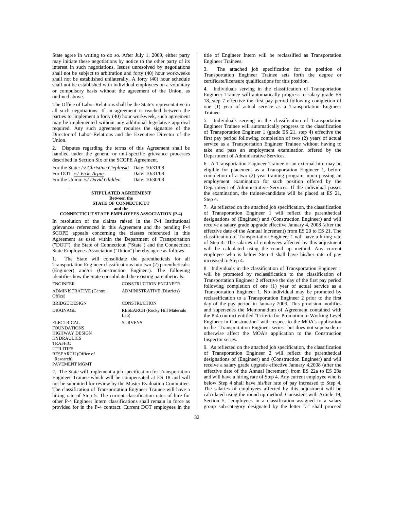State agree in writing to do so. After July 1, 2009, either party may initiate these negotiations by notice to the other party of its interest in such negotiations. Issues unresolved by negotiations shall not be subject to arbitration and forty (40) hour workweeks shall not be established unilaterally. A forty (40) hour schedule shall not be established with individual employees on a voluntary or compulsory basis without the agreement of the Union, as outlined above.

The Office of Labor Relations shall be the State's representative in all such negotiations. If an agreement is reached between the parties to implement a forty (40) hour workweek, such agreement may be implemented without any additional legislative approval required. Any such agreement requires the signature of the Director of Labor Relations and the Executive Director of the Union.

2. Disputes regarding the terms of this Agreement shall be handled under the general or unit-specific grievance processes described in Section Six of the SCOPE Agreement.

**\_\_\_\_\_\_\_\_\_\_\_\_\_\_\_\_\_\_\_\_\_\_\_\_\_\_\_\_\_\_\_\_\_\_\_\_\_\_\_\_\_** 

| For the State: /s/ <i>Christine Cieplinski</i> Date: 10/31/08 |                |
|---------------------------------------------------------------|----------------|
| For DOT: /s/ Vicki Arpin                                      | Date: 10/31/08 |
| For the Union: /s/ David Glidden                              | Date: 10/30/08 |

**STIPULATED AGREEMENT Between the STATE OF CONNECTICUT and the CONNECTICUT STATE EMPLOYEES ASSOCIATION (P-4)** 

In resolution of the claims raised in the P-4 Institutional grievances referenced in this Agreement and the pending P-4 SCOPE appeals concerning the classes referenced in this Agreement as used within the Department of Transportation ("DOT"), the State of Connecticut ("State") and the Connecticut State Employees Association ("Union") hereby agree as follows.

1. The State will consolidate the parentheticals for all Transportation Engineer classifications into two (2) parentheticals: (Engineer) and/or (Construction Engineer). The following identifies how the State consolidated the existing parentheticals: ENGINEER CONSTRUCTION ENGINEER

| EINUIDEEK                                           | <b>CONSTRUCTION ENGINEER</b>                   |
|-----------------------------------------------------|------------------------------------------------|
| ADMINISTRATIVE (Central<br>Office)                  | <b>ADMINISTRATIVE (Districts)</b>              |
| <b>BRIDGE DESIGN</b>                                | <b>CONSTRUCTION</b>                            |
| DRAINAGE                                            | <b>RESEARCH (Rocky Hill Materials)</b><br>Lab) |
| ELECTRICAL<br>FOUNDATIONS<br><b>HICHBLAY DECICM</b> | <b>SURVEYS</b>                                 |

HIGHWAY DESIGN **HYDRAULICS** TRAFFIC UTILITIES RESEARCH (Office of Research) PAVEMENT MGMT

2. The State will implement a job specification for Transportation Engineer Trainee which will be compensated at ES 18 and will not be submitted for review by the Master Evaluation Committee. The classification of Transportation Engineer Trainee will have a hiring rate of Step 5. The current classification rates of hire for other P-4 Engineer Intern classifications shall remain in force as provided for in the P-4 contract. Current DOT employees in the

title of Engineer Intern will be reclassified as Transportation Engineer Trainees.

3. The attached job specification for the position of Transportation Engineer Trainee sets forth the degree or certificate/licensure qualifications for this position.

4. Individuals serving in the classification of Transportation Engineer Trainee will automatically progress to salary grade ES 18, step 7 effective the first pay period following completion of one (1) year of actual service as a Transportation Engineer Trainee.

5. Individuals serving in the classification of Transportation Engineer Trainee will automatically progress to the classification of Transportation Engineer 1 (grade ES 21, step 4) effective the first pay period following completion of two (2) years of actual service as a Transportation Engineer Trainee without having to take and pass an employment examination offered by the Department of Administrative Services.

6. A Transportation Engineer Trainee or an external hire may be eligible for placement as a Transportation Engineer 1, before completion of a two (2) year training program, upon passing an employment examination for such position offered by the Department of Administrative Services. If the individual passes the examination, the trainee/candidate will be placed at ES 21, Step 4.

7. As reflected on the attached job specification, the classification of Transportation Engineer 1 will reflect the parenthetical designations of (Engineer) and (Construction Engineer) and will receive a salary grade upgrade effective January 4, 2008 (after the effective date of the Annual Increment) from ES 20 to ES 21. The classification of Transportation Engineer 1 will have a hiring rate of Step 4. The salaries of employees affected by this adjustment will be calculated using the round up method. Any current employee who is below Step 4 shall have his/her rate of pay increased to Step 4.

8. Individuals in the classification of Transportation Engineer 1 will be promoted by reclassification to the classification of Transportation Engineer 2 effective the day of the first pay period following completion of one (1) year of actual service as a Transportation Engineer 1. No individual may be promoted by reclassification to a Transportation Engineer 2 prior to the first day of the pay period in January 2009. This provision modifies and supersedes the Memorandum of Agreement contained with the P-4 contract entitled "Criteria for Promotion to Working Level Engineer in Construction" with respect to the MOA's application to the "Transportation Engineer series" but does not supersede or otherwise affect the MOA's application to the Construction Inspector series.

9. As reflected on the attached job specification, the classification of Transportation Engineer 2 will reflect the parenthetical designations of (Engineer) and (Construction Engineer) and will receive a salary grade upgrade effective January 4,2008 (after the effective date of the Annual Increment) from ES 22a to ES 23a and will have a hiring rate of Step 4. Any current employee who is below Step 4 shall have his/her rate of pay increased to Step 4. The salaries of employees affected by this adjustment will be calculated using the round up method. Consistent with Article 19, Section 5, "employees in a classification assigned to a salary group sub-category designated by the letter "a" shall proceed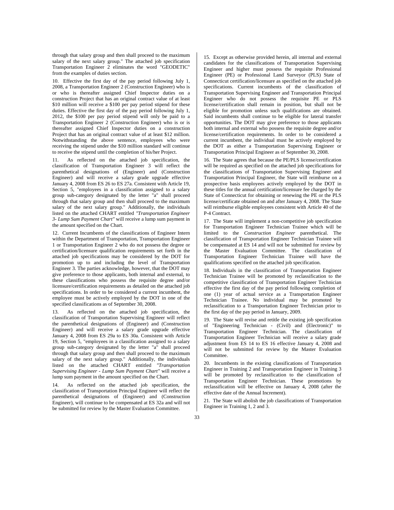through that salary group and then shall proceed to the maximum salary of the next salary group." The attached job specification Transportation Engineer 2 eliminates the word "GEODETIC" from the examples of duties section.

10. Effective the first day of the pay period following July 1, 2008, a Transportation Engineer 2 (Construction Engineer) who is or who is thereafter assigned Chief Inspector duties on a construction Project that has an original contract value of at least \$10 million will receive a \$100 per pay period stipend for these duties. Effective the first day of the pay period following July 1, 2012, the \$100 per pay period stipend will only be paid to a Transportation Engineer 2 (Construction Engineer) who is or is thereafter assigned Chief Inspector duties on a construction Project that has an original contract value of at least \$12 million. Notwithstanding the above sentence, employees who were receiving the stipend under the \$10 million standard will continue to receive the stipend until the completion of his/her Project.

11. As reflected on the attached job specification, the classification of Transportation Engineer 3 will reflect the parenthetical designations of (Engineer) and (Construction Engineer) and will receive a salary grade upgrade effective January 4, 2008 from ES 26 to ES 27a. Consistent with Article 19, Section 5, "employees in a classification assigned to a salary group sub-category designated by the letter "a" shall proceed through that salary group and then shall proceed to the maximum salary of the next salary group." Additionally, the individuals listed on the attached CHART entitled *"Transportation Engineer 3- Lump Sum Payment Chart"* will receive a lump sum payment in the amount specified on the Chart.

12. Current Incumbents of the classifications of Engineer Intern within the Department of Transportation, Transportation Engineer 1 or Transportation Engineer 2 who do not possess the degree or certification/licensure qualification requirements set forth in the attached job specifications may be considered by the DOT for promotion up to and including the level of Transportation Engineer 3. The parties acknowledge, however, that the DOT may give preference to those applicants, both internal and external, to these classifications who possess the requisite degree and/or licensure/certification requirements as detailed on the attached job specifications. In order to be considered a current incumbent, the employee must be actively employed by the DOT in one of the specified classifications as of September 30, 2008.

13. As reflected on the attached job specification, the classification of Transportation Supervising Engineer will reflect the parenthetical designations of (Engineer) and (Construction Engineer) and will receive a salary grade upgrade effective January 4, 2008 from ES 29a to ES 30a. Consistent with Article 19, Section 5, "employees in a classification assigned to a salary group sub-category designated by the letter "a" shall proceed through that salary group and then shall proceed to the maximum salary of the next salary group." Additionally, the individuals listed on the attached CHART entitled *"Transportation Supervising Engineer* - *Lump Sum Payment Chart"* will receive a lump sum payment in the amount specified on the Chart.

14. As reflected on the attached job specification, the classification of Transportation Principal Engineer will reflect the parenthetical designations of (Engineer) and (Construction Engineer), will continue to be compensated at ES 32a and will not be submitted for review by the Master Evaluation Committee.

15. Except as otherwise provided herein, all internal and external candidates for the classifications of Transportation Supervising Engineer and higher must possess the requisite Professional Engineer (PE) or Professional Land Surveyor (PLS) State of Connecticut certification/licensure as specified on the attached job specifications. Current incumbents of the classification of Transportation Supervising Engineer and Transportation Principal Engineer who do not possess the requisite PE or PLS license/certification shall remain in position, but shall not be eligible for promotion unless such qualifications are obtained. Said incumbents shall continue to be eligible for lateral transfer opportunities. The DOT may give preference to those applicants both internal and external who possess the requisite degree and/or license/certification requirements. In order to be considered a current incumbent, the individual must be actively employed by the DOT as either a Transportation Supervising Engineer or Transportation Principal Engineer as of September 30, 2008.

16. The State agrees that because the PE/PLS license/certification will be required as specified on the attached job specifications for the classifications of Transportation Supervising Engineer and Transportation Principal Engineer, the State will reimburse on a prospective basis employees actively employed by the DOT in these titles for the annual certification/licensure fee charged by the State of Connecticut for obtaining or renewing the PE or the PLS license/certificate obtained on and after January 4, 2008. The State will reimburse eligible employees consistent with Article 40 of the P-4 Contract.

17. The State will implement a non-competitive job specification for Transportation Engineer Technician Trainee which will be limited to the *Construction Engineer* parenthetical. The classification of Transportation Engineer Technician Trainee will be compensated at ES 14 and will not be submitted for review by the Master Evaluation Committee. The classification of Transportation Engineer Technician Trainee will have the qualifications specified on the attached job specification.

18. Individuals in the classification of Transportation Engineer Technician Trainee will be promoted by reclassification to the competitive classification of Transportation Engineer Technician effective the first day of the pay period following completion of one (1) year of actual service as a Transportation Engineer Technician Trainee. No individual may be promoted by reclassification to a Transportation Engineer Technician prior to the first day of the pay period in January, 2009.

19. The State will revise and retitle the existing job specification of "Engineering Technician - (Civil) and (Electronic)" to Transportation Engineer Technician. The classification of Transportation Engineer Technician will receive a salary grade adjustment from ES 14 to ES 16 effective January 4, 2008 and will not be submitted for review by the Master Evaluation Committee.

20. Incumbents in the existing classifications of Transportation Engineer in Training 2 and Transportation Engineer in Training 3 will be promoted by reclassification to the classification of Transportation Engineer Technician. These promotions by reclassification will be effective on January 4, 2008 (after the effective date of the Annual Increment).

21. The State will abolish the job classifications of Transportation Engineer in Training 1, 2 and 3.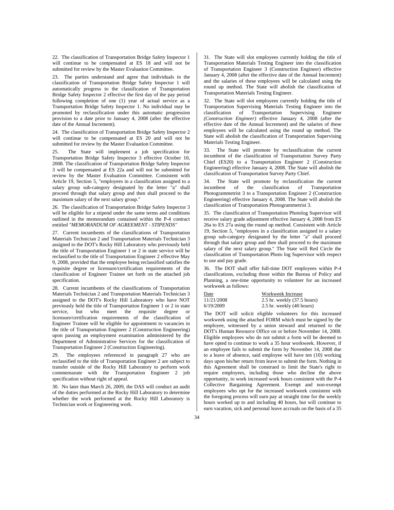22. The classification of Transportation Bridge Safety Inspector 1 will continue to be compensated at ES 18 and will not be submitted for review by the Master Evaluation Committee.

23. The parties understand and agree that individuals in the classification of Transportation Bridge Safety Inspector 1 will automatically progress to the classification of Transportation Bridge Safety Inspector 2 effective the first day of the pay period following completion of one (1) year of actual service as a Transportation Bridge Safety Inspector 1. No individual may be promoted by reclassification under this automatic progression provision to a date prior to January 4, 2008 (after the effective date of the Annual Increment).

24. The classification of Transportation Bridge Safety Inspector 2 will continue to be compensated at ES 20 and will not be submitted for review by the Master Evaluation Committee.

25. The State will implement a job specification for Transportation Bridge Safety Inspector 3 effective October 10, 2008. The classification of Transportation Bridge Safety Inspector 3 will be compensated at ES 22a and will not be submitted for review by the Master Evaluation Committee. Consistent with Article 19, Section 5, "employees in a classification assigned to a salary group sub-category designated by the letter "a" shall proceed through that salary group and then shall proceed to the maximum salary of the next salary group."

26. The classification of Transportation Bridge Safety Inspector 3 will be eligible for a stipend under the same terms and conditions outlined in the memorandum contained within the P-4 contract entitled *"MEMORANDUM OF AGREEMENT - STIPENDS"* 

27. Current incumbents of the classifications of Transportation Materials Technician 2 and Transportation Materials Technician 3 assigned to the DOT's Rocky Hill Laboratory who previously held the title of Transportation Engineer 1 or 2 in state service will be reclassified to the title of Transportation Engineer 2 effective May 9, 2008, provided that the employee being reclassified satisfies the requisite degree or licensure/certification requirements of the classification of Engineer Trainee set forth on the attached job specification.

28. Current incumbents of the classifications of Transportation Materials Technician 2 and Transportation Materials Technician 3 assigned to the DOT's Rocky Hill Laboratory who have NOT previously held the title of Transportation Engineer 1 or 2 in state service, but who meet the requisite degree or licensure/certification requirements of the classification of Engineer Trainee will be eligible for appointment to vacancies in the title of Transportation Engineer 2 (Construction Engineering) upon passing an employment examination administered by the Department of Administrative Services for the classification of Transportation Engineer 2 (Construction Engineering).

29. The employees referenced in paragraph 27 who are reclassified to the title of Transportation Engineer 2 are subject to transfer outside of the Rocky Hill Laboratory to perform work commensurate with the Transportation Engineer 2 job specification without right of appeal.

30. No later than March 26, 2009, the DAS will conduct an audit of the duties performed at the Rocky Hill Laboratory to determine whether the work performed at the Rocky Hill Laboratory is Technician work or Engineering work.

31. The State will slot employees currently holding the title of Transportation Materials Testing Engineer into the classification of Transportation Engineer 3 (Construction Engineer) effective January 4, 2008 (after the effective date of the Annual Increment) and the salaries of these employees will be calculated using the round up method. The State will abolish the classification of Transportation Materials Testing Engineer.

32. The State will slot employees currently holding the title of Transportation Supervising Materials Testing Engineer into the classification of Transportation Supervising Engineer *(Construction Engineer)* effective January 4, 2008 (after the effective date of the Annual Increment) and the salaries of these employees will be calculated using the round up method. The State will abolish the classification of Transportation Supervising Materials Testing Engineer.

33. The State will promote by reclassification the current incumbent of the classification of Transportation Survey Party Chief (ES20) to a Transportation Engineer 2 (Construction Engineering) effective January 4, 2008. The State will abolish the classification of Transportation Survey Party Chief.

34. The State will promote by reclassification the current incumbent of the classification of Transportation Photogrammetrist 3 to a Transportation Engineer 2 (Construction Engineering) effective January 4, 2008. The State will abolish the classification of Transportation Photogrammetrist 3.

35. The classification of Transportation Photolog Supervisor will receive salary grade adjustment effective January 4, 2008 from ES 26a to ES 27a using the round up method. Consistent with Article 19, Section 5, "employees in a classification assigned to a salary group sub-category designated by the letter "a" shall proceed through that salary group and then shall proceed to the maximum salary of the next salary group." The State will Red Circle the classification of Transportation Photo log Supervisor with respect to use and pay grade.

36. The DOT shall offer full-time DOT employees within P-4 classifications, excluding those within the Bureau of Policy and Planning, a one-time opportunity to volunteer for an increased workweek as follows:

 $\frac{\text{Date}}{11/21/2008}$   $\frac{\text{Workweek Increase}}{2.5 \text{ hr. weekly} (37.5)}$  $2.5$  hr. weekly  $(37.5$  hours) 6/19/2009 2.5 hr. weekly (40 hours)

The DOT will solicit eligible volunteers for this increased workweek using the attached FORM which must be signed by the employee, witnessed by a union steward and returned to the DOT's Human Resource Office on or before November 14, 2008. Eligible employees who do not submit a form will be deemed to have opted to continue to work a 35 hour workweek. However, if an employee fails to submit the form by November 14, 2008 due to a leave of absence, said employee will have ten (10) working days upon his/her return from leave to submit the form. Nothing in this Agreement shall be construed to limit the State's right to require employees, including those who decline the above opportunity, to work increased work hours consistent with the P-4 Collective Bargaining Agreement. Exempt and non-exempt employees who opt for the increased workweek consistent with the foregoing process will earn pay at straight time for the weekly hours worked up to and including 40 hours, but will continue to earn vacation, sick and personal leave accruals on the basis of a 35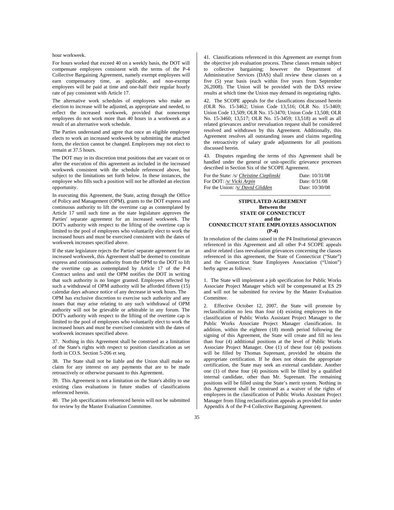#### hour workweek.

For hours worked that exceed 40 on a weekly basis, the DOT will compensate employees consistent with the terms of the P-4 Collective Bargaining Agreement, namely exempt employees will earn compensatory time, as applicable, and non-exempt employees will be paid at time and one-half their regular hourly rate of pay consistent with Article 17.

The alternative work schedules of employees who make an election to increase will be adjusted, as appropriate and needed, to reflect the increased workweek, provided that nonexempt employees do not work more than 40 hours in a workweek as a result of an alternative work schedule.

The Parties understand and agree that once an eligible employee elects to work an increased workweek by submitting the attached form, the election cannot be changed. Employees may not elect to remain at 37.5 hours.

The DOT may in its discretion treat positions that are vacant on or after the execution of this agreement as included in the increased workweek consistent with the schedule referenced above, but subject to the limitations set forth below. In these instances, the employee who fills such a position will not be afforded an election opportunity.

In executing this Agreement, the State, acting through the Office of Policy and Management (OPM), grants to the DOT express and continuous authority to lift the overtime cap as contemplated by Article 17 until such time as the state legislature approves the Parties' separate agreement for an increased workweek. The DOT's authority with respect to the lifting of the overtime cap is limited to the pool of employees who voluntarily elect to work the increased hours and must be exercised consistent with the dates of workweek increases specified above.

If the state legislature rejects the Parties' separate agreement for an increased workweek, this Agreement shall be deemed to constitute express and continuous authority from the OPM to the DOT to lift the overtime cap as contemplated by Article 17 of the P-4 Contract unless and until the OPM notifies the DOT in writing that such authority is no longer granted. Employees affected by such a withdrawal of OPM authority will be afforded fifteen  $(15)$ calendar days advance notice of any decrease in work hours. The OPM has exclusive discretion to exercise such authority and any issues that may arise relating to any such withdrawal of OPM authority will not be grievable or arbitrable in any forum. The DOT's authority with respect to the lifting of the overtime cap is limited to the pool of employees who voluntarily elect to work the increased hours and must be exercised consistent with the dates of workweek increases specified above.

37. Nothing in this Agreement shall be construed as a limitation of the State's rights with respect to position classification as set forth in CO.S. Section 5-206 et seq.

38. The State shall not be liable and the Union shall make no claim for any interest on any payments that are to be made retroactively or otherwise pursuant to this Agreement.

39. This Agreement is not a limitation on the State's ability to use existing class evaluations in future studies of classifications referenced herein.

40. The job specifications referenced herein will not be submitted for review by the Master Evaluation Committee.

41. Classifications referenced in this Agreement are exempt from the objective job evaluation process. These classes remain subject to collective bargaining; however the Department of Administrative Services (DAS) shall review these classes on a five (5) year basis (each within five years from September 26,2008). The Union will be provided with the DAS review results at which time the Union may demand its negotiating rights.

42. The SCOPE appeals for the classifications discussed herein (OLR No. 15-3462; Union Code 13,516; OLR No. 15-3469; Union Code 13,509; OLR No. 15-3470; Union Code 13,508; OLR No. 15-3460; 13,517; OLR No. 15-3459; 13,518) as well as all related grievances and/or reevaluation request shall be considered resolved and withdrawn by this Agreement. Additionally, this Agreement resolves all outstanding issues and claims regarding the retroactivity of salary grade adjustments for all positions discussed herein.

43. Disputes regarding the terms of this Agreement shall be handled under the general or unit-specific grievance processes described in Section Six of the SCOPE Agreement.

| For the State: /s/ Christine Cieplinski | Date: 10/31/08  |
|-----------------------------------------|-----------------|
| For DOT: /s/ <i>Vicki Arpin</i>         | Date: $0/31/08$ |
| For the Union: /s/ David Glidden        | Date: 10/30/08  |

### **STIPULATED AGREEMENT Between the STATE OF CONNECTICUT and the CONNECTICUT STATE EMPLOYEES ASSOCIATION (P-4)**

\_\_\_\_\_\_\_\_\_\_\_\_\_\_\_\_\_\_\_\_\_\_\_\_\_\_\_\_\_\_\_\_\_\_\_\_\_\_\_\_\_\_\_

In resolution of the claims raised in the P4 Institutional grievances referenced in this Agreement and all other P-4 SCOPE appeals and/or related class reevaluation grievances concerning the classes referenced in this agreement, the State of Connecticut ("State") and the Connecticut State Employees Association ("Union") herby agree as follows:

1. The State will implement a job specification for Public Works Associate Project Manager which will be compensated at ES 29 and will not be submitted for review by the Master Evaluation Committee.

Effective October 12, 2007, the State will promote by reclassification no less than four (4) existing employees in the classification of Public Works Assistant Project Manager to the Public Works Associate Project Manager classification. In addition, within the eighteen (18) month period following the signing of this Agreement, the State will create and fill no less than four (4) additional positions at the level of Public Works Associate Project Manager. One (1) of these four (4) positions will be filled by Thomas Suprenant, provided he obtains the appropriate certification. If he does not obtain the appropriate certification, the State may seek an external candidate. Another one (1) of these four (4) positions will be filled by a qualified internal candidate, other than Mr. Suprenant. The remaining positions will be filled using the State's merit system. Nothing in this Agreement shall be construed as a waiver of the rights of employees in the classification of Public Works Assistant Project Manager from filing reclassification appeals as provided for under Appendix A of the P-4 Collective Bargaining Agreement.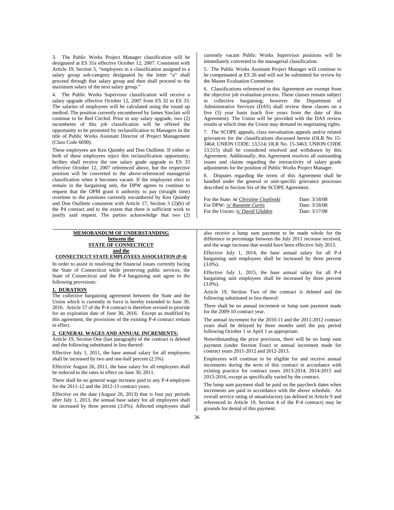3. The Public Works Project Manager classification will be designated at ES 31a effective October 12, 2007. Consistent with Article 19, Section 5, "employees in a classification assigned to a salary group sub-category designated by the letter "a" shall proceed through that salary group and then shall proceed to the maximum salary of the next salary group."

4. The Public Works Supervisor classification will receive a salary upgrade effective October 12, 2007 from ES 32 to ES 33. The salaries of employees will be calculated using the round up method. The position currently encumbered by James Sinclair will continue to be Red Circled. Prior to any salary upgrade, two (2) incumbents of this job classification will be offered the opportunity to be promoted by reclassification to Managers in the title of Public Works Assistant Director of Project Management (Class Code 6690).

These employees are Ken Quimby and Don Ouillette. If either or both of these employees reject this reclassification opportunity, he/they shall receive the one salary grade upgrade to ES 33 effective October 12, 2007 referenced above, but the respective position will be converted to the above-referenced managerial classification when it becomes vacant. If the employees elect to remain in the bargaining unit, the DPW agrees to continue to request that the OPM grant it authority to pay (straight time) overtime to the positions currently encumbered by Ken Quimby and Don Ouillette consistent with Article 17, Section 3 (2)(b) of the P4 contract and to the extent that there is sufficient work to justify said request. The parties acknowledge that two (2)

### **MEMORANDUM OF UNDERSTANDING between the STATE OF CONNECTICUT and the CONNECTICUT STATE EMPLOYEES ASSOCIATION (P-4)**

In order to assist in resolving the financial issues currently facing the State of Connecticut while preserving public services, the State of Connecticut and the P-4 bargaining unit agree to the following provisions:

### **1. DURATION**

The collective bargaining agreement between the State and the Union which is currently in force is hereby extended to June 30, 2016. Article 57 of the P-4 contract is therefore revised to provide for an expiration date of June 30, 2016. Except as modified by this agreement, the provisions of the existing P-4 contract remain in effect.

### **2. GENERAL WAGES AND ANNUAL INCREMENTS:**

Article 19, Section One (last paragraph) of the contract is deleted and the following substituted in lieu thereof:

Effective July 1, 2011, the base annual salary for all employees shall be increased by two and one-half percent (2.5%)

Effective August 26, 2011, the base salary for all employees shall be reduced to the rates in effect on June 30, 2011.

There shall be no general wage increase paid to any P-4 employee for the 2011-12 and the 2012-13 contract years.

Effective on the date (August 26, 2013) that is four pay periods after July 1, 2013, the annual base salary for all employees shall be increased by three percent (3.0%). Affected employees shall currently vacant Public Works Supervisor positions will be immediately converted to the managerial classification.

5. The Public Works Assistant Project Manager will continue to be compensated at ES 26 and will not be submitted for review by the Master Evaluation Committee.

6. Classifications referenced in this Agreement are exempt from the objective job evaluation process. These classes remain subject to collective bargaining; however the Department of Administrative Services (DAS) shall review these classes on a five (5) year basis (each five years from the date of this Agreement). The Union will be provided with the DAS review results at which time the Union may demand its negotiating rights.

7. The SCOPE appeals, class reevaluation appeals and/or related grievances for the classifications discussed herein (OLR No 15- 3464; UNION CODE: 13,514; OLR No. 15-3463; UNION CODE 13,515) shall be considered resolved and withdrawn by this Agreement. Additionally, this Agreement resolves all outstanding issues and claims regarding the retroactivity of salary grade adjustments for the position of Public Works Project Manager.

8. Disputes regarding the terms of this Agreement shall be handled under the general or unit-specific grievance processes described in Section Six of the SCOPE Agreement.

| For the State: /s/ Christine Cieplinski | Date: 3/18/08 |
|-----------------------------------------|---------------|
| For DPW: /s/ Raeanne Curtis             | Date: 3/18/08 |
| For the Union: /s/ David Glidden        | Date: 3/17/08 |

also receive a lump sum payment to be made whole for the difference in percentage between the July 2011 increase received, and the wage increase that would have been effective July 2013.

Effective July 1, 2014, the base annual salary for all P-4 bargaining unit employees shall be increased by three percent (3.0%).

Effective July 1, 2015, the base annual salary for all P-4 bargaining unit employees shall be increased by three percent (3.0%).

Article 19, Section Two of the contract is deleted and the following substituted in lieu thereof:

There shall be no annual increment or lump sum payment made for the 2009-10 contract year.

The annual increment for the 2010-11 and the 2011-2012 contract years shall be delayed by three months until the pay period following October 1 or April 1 as appropriate.

Notwithstanding the prior provision, there will be no lump sum payment (under Section Four) or annual increment made for contract years 2011-2012 and 2012-2013.

Employees will continue to be eligible for and receive annual increments during the term of this contract in accordance with existing practice for contract years 2013-2014, 2014-2015 and 2015-2016, except as specifically varied by the contract.

The lump sum payment shall be paid on the paycheck dates when increments are paid in accordance with the above schedule. An overall service rating of unsatisfactory (as defined in Article 9 and referenced in Article 19, Section 4 of the P-4 contract) may be grounds for denial of this payment.

**\_\_\_\_\_\_\_\_\_\_\_\_\_\_\_\_\_\_\_\_\_\_\_\_\_\_\_\_\_\_\_\_\_\_\_\_\_\_\_\_\_\_\_\_\_\_\_\_\_\_\_\_\_\_\_\_\_\_\_\_\_\_\_\_\_\_\_\_\_\_\_\_\_\_\_\_\_\_\_\_\_\_\_\_\_\_\_\_\_\_\_\_\_\_\_\_\_\_\_\_\_\_\_\_\_\_\_\_\_\_\_\_**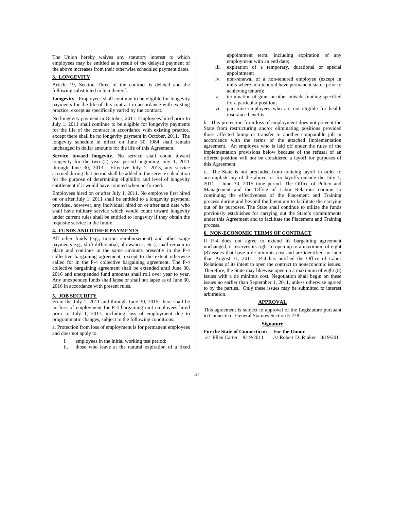The Union hereby waives any statutory interest to which employees may be entitled as a result of the delayed payment of the above increases from their otherwise scheduled payment dates.

### **3. LONGEVITY**

Article 19, Section Three of the contract is deleted and the following substituted in lieu thereof:

**Longevity.** Employees shall continue to be eligible for longevity payments for the life of this contract in accordance with existing practice, except as specifically varied by the contract.

No longevity payment in October, 2011. Employees hired prior to July 1, 2011 shall continue to be eligible for longevity payments for the life of the contract in accordance with existing practice, except there shall be no longevity payment in October, 2011. The longevity schedule in effect on June 30, l984 shall remain unchanged in dollar amounts for the life of this Agreement.

**Service toward longevity.** No service shall count toward longevity for the two (2) year period beginning July 1, 2011 through June 30, 2013. Effective July 1, 2013, any service accrued during that period shall be added to the service calculation for the purpose of determining eligibility and level of longevity entitlement if it would have counted when performed.

Employees hired on or after July 1, 2011. No employee first hired on or after July 1, 2011 shall be entitled to a longevity payment; provided, however, any individual hired on or after said date who shall have military service which would count toward longevity under current rules shall be entitled to longevity if they obtain the requisite service in the future.

### **4. FUNDS AND OTHER PAYMENTS**

All other funds (e.g., tuition reimbursement) and other wage payments e.g., shift differential, allowances, etc.), shall remain in place and continue in the same amounts presently in the P-4 collective bargaining agreement, except to the extent otherwise called for in the P-4 collective bargaining agreement. The P-4 collective bargaining agreement shall be extended until June 30, 2016 and unexpended fund amounts shall roll over year to year. Any unexpended funds shall lapse or shall not lapse as of June 30, 2016 in accordance with present rules.

#### **5. JOB SECURITY**

From the July 1, 2011 and through June 30, 2015, there shall be no loss of employment for P-4 bargaining unit employees hired prior to July 1, 2011, including loss of employment due to programmatic changes, subject to the following conditions:

a. Protection from loss of employment is for permanent employees and does not apply to:

- i. employees in the initial working test period;
- ii. those who leave at the natural expiration of a fixed

appointment term, including expiration of any employment with an end date;

- iii. expiration of a temporary, durational or special appointment;
- iv. non-renewal of a non-tenured employee (except in units where non-tenured have permanent status prior to achieving tenure);
- v. termination of grant or other outside funding specified for a particular position;
- vi. part-time employees who are not eligible for health insurance benefits.

b. This protection from loss of employment does not prevent the State from restructuring and/or eliminating positions provided those affected bump or transfer to another comparable job in accordance with the terms of the attached implementation agreement. An employee who is laid off under the rules of the implementation provisions below because of the refusal of an offered position will not be considered a layoff for purposes of this Agreement.

c. The State is not precluded from noticing layoff in order to accomplish any of the above, or for layoffs outside the July 1, 2011 – June 30, 2015 time period. The Office of Policy and Management and the Office of Labor Relations commit to continuing the effectiveness of the Placement and Training process during and beyond the biennium to facilitate the carrying out of its purposes. The State shall continue to utilize the funds previously establishes for carrying out the State's commitments under this Agreement and to facilitate the Placement and Training process.

### **6. NON-ECONOMIC TERMS OF CONTRACT**

If P-4 does not agree to extend its bargaining agreement unchanged, it reserves its right to open up to a maximum of eight (8) issues that have a de minimis cost and are identified no later than August 31, 2011. P-4 has notified the Office of Labor Relations of its intent to open the contract to noneconomic issues. Therefore, the State may likewise open up a maximum of eight (8) issues with a de minimis cost. Negotiation shall begin on these issues no earlier than September 1, 2011, unless otherwise agreed to by the parties. Only these issues may be submitted to interest arbitration.

#### **APPROVAL**

This agreement is subject to approval of the Legislature pursuant to Connecticut General Statutes Section 5-278.

#### **Signature**

**For the State of Connecticut:** For the Union:<br>  $\sqrt{s}$  Ellen Carter 8/19/2011 /s/ Robert D. Ri /s/ Robert D. Rinker 8/19/2011

37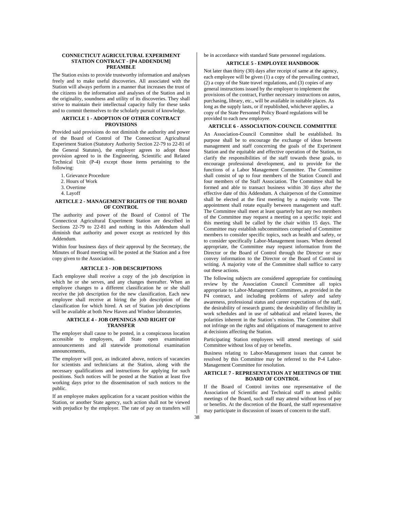#### **CONNECTICUT AGRICULTURAL EXPERIMENT STATION CONTRACT - [P4 ADDENDUM] PREAMBLE**

The Station exists to provide trustworthy information and analyses freely and to make useful discoveries. All associated with the Station will always perform in a manner that increases the trust of the citizens in the information and analyses of the Station and in the originality, soundness and utility of its discoveries. They shall strive to maintain their intellectual capacity fully for these tasks and to commit themselves to the scholarly pursuit of knowledge.

### **ARTICLE 1 - ADOPTION OF OTHER CONTRACT PROVISIONS**

Provided said provisions do not diminish the authority and power of the Board of Control of The Connecticut Agricultural Experiment Station (Statutory Authority Section 22-79 to 22-81 of the General Statutes), the employer agrees to adopt those provision agreed to in the Engineering, Scientific and Related Technical Unit (P-4) except those items pertaining to the following:

- 1. Grievance Procedure
- 2. Hours of Work
- 3. Overtime
- 4. Layoff

### **ARTICLE 2 - MANAGEMENT RIGHTS OF THE BOARD OF CONTROL**

The authority and power of the Board of Control of The Connecticut Agricultural Experiment Station are described in Sections 22-79 to 22-81 and nothing in this Addendum shall diminish that authority and power except as restricted by this Addendum.

Within four business days of their approval by the Secretary, the Minutes of Board meeting will be posted at the Station and a free copy given to the Association.

#### **ARTICLE 3 - JOB DESCRIPTIONS**

Each employee shall receive a copy of the job description in which he or she serves, and any changes thereafter. When an employee changes to a different classification he or she shall receive the job description for the new classification. Each new employee shall receive at hiring the job description of the classification for which hired. A set of Station job descriptions will be available at both New Haven and Windsor laboratories.

### **ARTICLE 4 - JOB OPENINGS AND RIGHT OF TRANSFER**

The employer shall cause to be posted, in a conspicuous location accessible to employees, all State open examination announcements and all statewide promotional examination announcements,

The employer will post, as indicated above, notices of vacancies for scientists and technicians at the Station, along with the necessary qualifications and instructions for applying for such positions. Such notices will be posted at the Station at least five working days prior to the dissemination of such notices to the public.

If an employee makes application for a vacant position within the Station, or another State agency, such action shall not be viewed with prejudice by the employer. The rate of pay on transfers will

be in accordance with standard State personnel regulations.

### **ARTICLE 5 - EMPLOYEE HANDBOOK**

Not later than thirty (30) days after receipt of same at the agency, each employee will be given (1) a copy of the prevailing contract, (2) a copy of the State travel regulations, and (3) copies of any general instructions issued by the employer to implement the provisions of the contract, Further necessary instructions on autos, purchasing, library, etc., will be available in suitable places. As long as the supply lasts, or if republished, whichever applies, a copy of the State Personnel Policy Board regulations will be provided to each new employee.

### **ARTICLE 6 - ASSOCIATION-COUNCIL COMMITTEE**

An Association-Council Committee shall be established. Its purpose shall be to encourage the exchange of ideas between management and staff concerning the goals of the Experiment Station and the equitable and effective operation of the Station, to clarify the responsibilities of the staff towards these goals, to encourage professional development, and to provide for the functions of a Labor Management Committee. The Committee shall consist of up to four members of the Station Council and four members of the Staff Association. The Committee shall be formed and able to transact business within 30 days after the effective date of this Addendum. A chairperson of the Committee shall be elected at the first meeting by a majority vote. The appointment shall rotate equally between management and staff. The Committee shall meet at least quarterly but any two members of the Committee may request a meeting on a specific topic and this meeting shall be called by the chair within 15 days. The Committee may establish subcommittees comprised of Committee members to consider specific topics, such as health and safety, or to consider specifically Labor-Management issues. When deemed appropriate, the Committee may request information from the Director or the Board of Control through the Director or may convey information to the Director or the Board of Control in writing. A majority vote of the Committee shall suffice to carry out these actions.

The following subjects are considered appropriate for continuing review by the Association Council Committee all topics appropriate to Labor-Management Committees, as provided in the P4 contract, and including problems of safety and safety awareness, professional status and career expectations of the staff, the desirability of research grants; the desirability of flexibility in work schedules and in use of sabbatical and related leaves, the polarities inherent in the Station's mission. The Committee shall not infringe on the rights and obligations of management to arrive at decisions affecting the Station.

Participating Station employees will attend meetings of said Committee without loss of pay or benefits.

Business relating to Labor-Management issues that cannot be resolved by this Committee may be referred to the P-4 Labor-Management Committee for resolution.

### **ARTICLE 7 - REPRESENTATION AT MEETINGS OF THE BOARD OF CONTROL**

If the Board of Control invites one representative of the Association of Scientific and Technical staff to attend public meetings of the Board, such staff may attend without loss of pay or benefits. At the discretion of the Board, the staff representative may participate in discussion of issues of concern to the staff.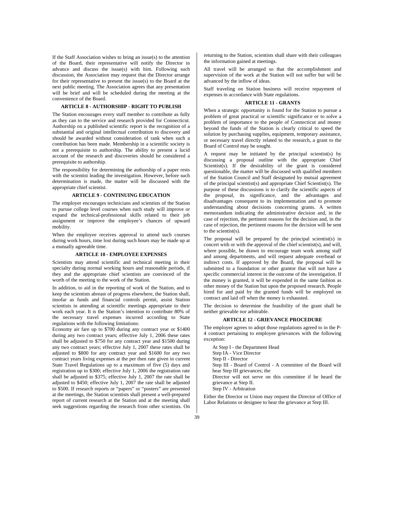If the Staff Association wishes to bring an issue(s) to the attention of the Board, their representative will notify the Director in advance and discuss the issue(s) with him. Following such discussion, the Association may request that the Director arrange for their representative to present the issue(s) to the Board at the next public meeting. The Association agrees that any presentation will be brief and will be scheduled during the meeting at the convenience of the Board.

#### **ARTICLE 8 - AUTHORSHIP - RIGHT TO PUBLISH**

The Station encourages every staff member to contribute as fully as they can to the service and research provided for Connecticut. Authorship on a published scientific report is the recognition of a substantial and original intellectual contribution to discovery and should be awarded without consideration of rank when such a contribution has been made. Membership in a scientific society is not a prerequisite to authorship. The ability to present a lucid account of the research and discoveries should be considered a prerequisite to authorship.

The responsibility for determining the authorship of a paper rests with the scientist leading the investigation. However, before such determination is made, the matter will be discussed with the appropriate chief scientist.

#### **ARTICLE 9 - CONTINUING EDUCATION**

The employer encourages technicians and scientists of the Station to pursue college level courses when such study will improve or expand the technical-professional skills related to their job assignment or improve the employee's chances of upward mobility.

When the employee receives approval to attend such courses during work hours, time lost during such hours may be made up at a mutually agreeable time.

#### **ARTICLE 10 - EMPLOYEE EXPENSES**

Scientists may attend scientific and technical meeting in their specialty during normal working hours and reasonable periods, if they and the appropriate chief scientists are convinced of the worth of the meeting to the work of the Station.

In addition, to aid in the reporting of work of the Station, and to keep the scientists abreast of progress elsewhere, the Station shall, insofar as funds and financial controls permit, assist Station scientists in attending at scientific meetings appropriate to their work each year. It is the Station's intention to contribute 80% of the necessary travel expenses incurred according to State regulations with the following limitations:

Economy air fare up to \$700 during any contract year or \$1400 during any two contract years; effective July 1, 2006 these rates shall be adjusted to \$750 for any contract year and \$1500 during any two contract years; effective July 1, 2007 these rates shall be adjusted to \$800 for any contract year and \$1600 for any two contract years living expenses at the per then rate given in current State Travel Regulations up to a maximum of five (5) days and registration up to \$300; effective July 1, 2006 the registration rate shall be adjusted to \$375; effective July 1, 2007 the rate shall be adjusted to \$450; effective July 1, 2007 the rate shall be adjusted to \$500. If research reports or "papers" or "posters" are presented at the meetings, the Station scientists shall present a well-prepared report of current research at the Station and at the meeting shall seek suggestions regarding the research from other scientists. On

returning to the Station, scientists shall share with their colleagues the information gained at meetings.

All travel will be arranged so that the accomplishment and supervision of the work at the Station will not suffer but will be advanced by the inflow of ideas.

Staff traveling on Station business will receive repayment of expenses in accordance with State regulations.

### **ARTICLE 11 - GRANTS**

When a strategic opportunity is found for the Station to pursue a problem of great practical or scientific significance or to solve a problem of importance to the people of Connecticut and money beyond the funds of the Station is clearly critical to speed the solution by purchasing supplies, equipment, temporary assistance, or necessary travel directly related to the research, a grant to the Board of Control may be sought.

A request may be initiated by the principal scientist(s) by discussing a proposal outline with the appropriate Chief Scientist(s). If the desirability of the grant is considered questionable, the matter will be discussed with qualified members of the Station Council and Staff designated by mutual agreement of the principal scientist(s) and appropriate Chief Scientist(s). The purpose of these discussions is to clarify the scientific aspects of the proposal, its significance, and the advantages and disadvantages consequent to its implementation and to promote understanding about decisions concerning grants. A written memorandum indicating the administrative decision and, in the case of rejection, the pertinent reasons for the decision and, in the case of rejection, the pertinent reasons for the decision will be sent to the scientist(s).

The proposal will be prepared by the principal scientist(s) in concert with or with the approval of the chief scientist(s), and will, where possible, be drawn to encourage team work among staff and among departments, and will request adequate overhead or indirect costs. If approved by the Board, the proposal will be submitted to a foundation or other grantor that will not have a specific commercial interest in the outcome of the investigation. If the money is granted, it will be expended in the same fashion as other money of the Station but upon the proposed research. People hired for and paid by the granted funds will be employed on contract and laid off when the money is exhausted.

The decision to determine the feasibility of the grant shall be neither grievable nor arbitrable.

#### **ARTICLE 12 - GRIEVANCE PROCEDURE**

The employer agrees to adopt those regulations agreed to in the P-4 contract pertaining to employee grievances with the following exception:

At Step I - the Department Head Step IA - Vice Director Step II - Director Step III - Board of Control - A committee of the Board will hear Step III grievances; the Director will not serve on this committee if he heard the grievance at Step II. Step IV - Arbitration

Either the Director or Union may request the Director of Office of Labor Relations or designee to hear the grievance at Step III.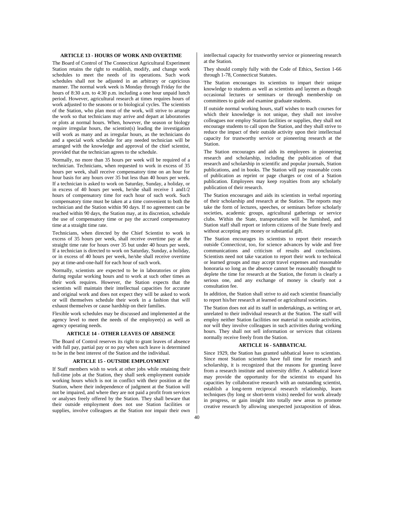### **ARTICLE 13 - HOURS OF WORK AND OVERTIME**

The Board of Control of The Connecticut Agricultural Experiment Station retains the right to establish, modify, and change work schedules to meet the needs of its operations. Such work schedules shall not be adjusted in an arbitrary or capricious manner. The normal work week is Monday through Friday for the hours of 8:30 a.m. to 4:30 p.m. including a one hour unpaid lunch period. However, agricultural research at times requires hours of work adjusted to the seasons or to biological cycles. The scientists of the Station, who plan most of the work, will strive to arrange the work so that technicians may arrive and depart at laboratories or plots at normal hours. When, however, the season or biology require irregular hours, the scientist(s) leading the investigation will work as many and as irregular hours, as the technicians do and a special work schedule for any needed technician will be arranged with the knowledge and approval of the chief scientist, provided that the technician agrees to the schedule.

Normally, no more than 35 hours per week will be required of a technician. Technicians, when requested to work in excess of 35 hours per week, shall receive compensatory time on an hour for hour basis for any hours over 35 but less than 40 hours per week. If a technician is asked to work on Saturday, Sunday, a holiday, or in excess of 40 hours per week, he/she shall receive 1 and1/2 hours of compensatory time for each hour of such work. Such compensatory time must be taken at a time convenient to both the technician and the Station within 90 days. If no agreement can be reached within 90 days, the Station may, at its discretion, schedule the use of compensatory time or pay the accrued compensatory time at a straight time rate.

Technicians, when directed by the Chief Scientist to work in excess of 35 hours per week, shall receive overtime pay at the straight time rate for hours over 35 but under 40 hours per week. If a technician is directed to work on Saturday, Sunday, a holiday, or in excess of 40 hours per week, he/she shall receive overtime pay at time-and-one-half for each hour of such work.

Normally, scientists are expected to be in laboratories or plots during regular working hours and to work at such other times as their work requires. However, the Station expects that the scientists will maintain their intellectual capacities for accurate and original work and does not expect they will be asked to work or will themselves schedule their work in a fashion that will exhaust themselves or cause hardship on their families.

Flexible work schedules may be discussed and implemented at the agency level to meet the needs of the employee(s) as well as agency operating needs.

### **ARTICLE 14 - OTHER LEAVES OF ABSENCE**

The Board of Control reserves its right to grant leaves of absence with full pay, partial pay or no pay when such leave is determined to be in the best interest of the Station and the individual.

### **ARTICLE 15 - OUTSIDE EMPLOYMENT**

If Staff members wish to work at other jobs while retaining their full-time jobs at the Station, they shall seek employment outside working hours which is not in conflict with their position at the Station, where their independence of judgment at the Station will not be impaired, and where they are not paid a profit from services or analyses freely offered by the Station. They shall beware that their outside employment does not use Station facilities or supplies, involve colleagues at the Station nor impair their own intellectual capacity for trustworthy service or pioneering research at the Station.

They should comply fully with the Code of Ethics, Section 1-66 through 1-78, Connecticut Statutes.

The Station encourages its scientists to impart their unique knowledge to students as well as scientists and laymen as though occasional lectures or seminars or through membership on committees to guide and examine graduate students.

If outside normal working hours, staff wishes to teach courses for which their knowledge is not unique, they shall not involve colleagues nor employ Station facilities or supplies, they shall not encourage students to call upon the Station, and they shall strive to reduce the impact of their outside activity upon their intellectual capacity for trustworthy service or pioneering research at the Station.

The Station encourages and aids its employees in pioneering research and scholarship, including the publication of that research and scholarship in scientific and popular journals, Station publications, and in books. The Station will pay reasonable costs of publication as reprint or page charges or cost of a Station publication. Employees may keep royalties from any scholarly publication of their research.

The Station encourages and aids its scientists in verbal reporting of their scholarship and research at the Station. The reports may take the form of lectures, speeches, or seminars before scholarly societies, academic groups, agricultural gatherings or service clubs. Within the State, transportation will be furnished, and Station staff shall report or inform citizens of the State freely and without accepting any money or substantial gift.

The Station encourages its scientists to report their research outside Connecticut, too, for science advances by wide and free communications and criticism of results and conclusions. Scientists need not take vacation to report their work to technical or learned groups and may accept travel expenses and reasonable honoraria so long as the absence cannot be reasonably thought to deplete the time for research at the Station, the forum is clearly a serious one, and any exchange of money is clearly not a consultation fee.

In addition, the Station shall strive to aid each scientist financially to report his/her research at learned or agricultural societies.

The Station does not aid its staff in undertakings, as writing or art, unrelated to their individual research at the Station. The staff will employ neither Station facilities nor material in outside activities, nor will they involve colleagues in such activities during working hours. They shall not sell information or services that citizens normally receive freely from the Station.

#### **ARTICLE 16 - SABBATICAL**

Since 1929, the Station has granted sabbatical leave to scientists. Since most Station scientists have full time for research and scholarship, it is recognized that the reasons for granting leave from a research institute and university differ. A sabbatical leave may provide the opportunity for the scientist to expand his capacities by collaborative research with an outstanding scientist, establish a long-term reciprocal research relationship, learn techniques (by long or short-term visits) needed for work already in progress, or gain insight into totally new areas to promote creative research by allowing unexpected juxtaposition of ideas.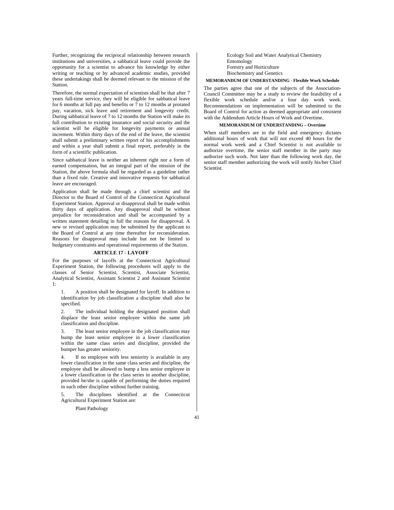Further, recognizing the reciprocal relationship between research institutions and universities, a sabbatical leave could provide the opportunity for a scientist to advance his knowledge by either writing or teaching or by advanced academic studies, provided these undertakings shall be deemed relevant to the mission of the **Station** 

Therefore, the normal expectation of scientists shall be that after 7 years full-time service, they will be eligible for sabbatical leave for 6 months at full pay and benefits or 7 to 12 months at prorated pay, vacation, sick leave and retirement and longevity credit. During sabbatical leave of 7 to 12 months the Station will make its full contribution to existing insurance and social security and the scientist will be eligible for longevity payments or annual increment. Within thirty days of the end of the leave, the scientist shall submit a preliminary written report of his accomplishments and within a year shall submit a final report, preferably in the form of a scientific publication.

Since sabbatical leave is neither an inherent right nor a form of earned compensation, but an integral part of the mission of the Station, the above formula shall be regarded as a guideline rather than a fixed rule. Creative and innovative requests for sabbatical leave are encouraged.

Application shall be made through a chief scientist and the Director to the Board of Control of the Connecticut Agricultural Experiment Station. Approval or disapproval shall be made within thirty days of application. Any disapproval shall be without prejudice for reconsideration and shall be accompanied by a written statement detailing in full the reasons for disapproval. A new or revised application may be submitted by the applicant to the Board of Control at any time thereafter for reconsideration. Reasons for disapproval may include but not be limited to budgetary constraints and operational requirements of the Station.

#### **ARTICLE 17 - LAYOFF**

For the purposes of layoffs at the Connecticut Agricultural Experiment Station, the following procedures will apply to the classes of Senior Scientist, Scientist, Associate Scientist, Analytical Scientist, Assistant Scientist 2 and Assistant Scientist 1:

1. A position shall be designated for layoff. In addition to identification by job classification a discipline shall also be specified.

2. The individual holding the designated position shall displace the least senior employee within the same job classification and discipline.

3. The least senior employee in the job classification may bump the least senior employee in a lower classification within the same class series and discipline, provided the bumper has greater seniority.

4. If no employee with less seniority is available in any lower classification in the same class series and discipline, the employee shall be allowed to bump a less senior employee in a lower classification in the class series in another discipline, provided he/she is capable of performing the duties required in such other discipline without further training.

5. The disciplines identified at the Connecticut Agricultural Experiment Station are:

Plant Pathology

 Ecology Soil and Water Analytical Chemistry Entomology Forestry and Horticulture Biochemistry and Genetics

### **MEMORANDUM OF UNDERSTANDING - Flexible Work Schedule**

The parties agree that one of the subjects of the Association-Council Committee may be a study to review the feasibility of a flexible work schedule and/or a four day work week. Recommendations on implementation will be submitted to the Board of Control for action as deemed appropriate and consistent with the Addendum Article Hours of Work and Overtime.

#### **MEMORANDUM OF UNDERSTANDING – Overtime**

When staff members are in the field and emergency dictates additional hours of work that will not exceed 40 hours for the normal work week and a Chief Scientist is not available to authorize overtime, the senior staff member in the party may authorize such work. Not later than the following work day, the senior staff member authorizing the work will notify his/her Chief Scientist.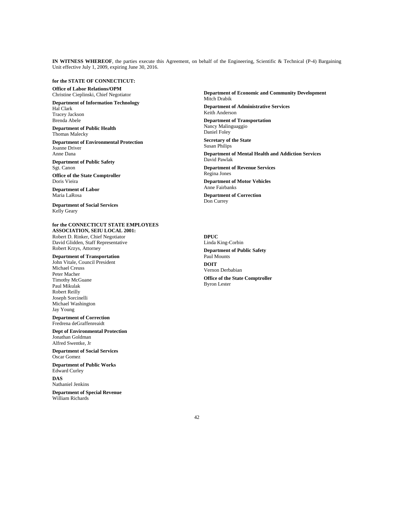**IN WITNESS WHEREOF**, the parties execute this Agreement, on behalf of the Engineering, Scientific & Technical (P-4) Bargaining Unit effective July 1, 2009, expiring June 30, 2016.

### **for the STATE OF CONNECTICUT:**

**Office of Labor Relations/OPM**  Christine Cieplinski, Chief Negotiator

**Department of Information Technology**  Hal Clark

Tracey Jackson Brenda Abele

**Department of Public Health**  Thomas Malecky

**Department of Environmental Protection**  Joanne Driver Anne Dana

**Department of Public Safety**  Sgt. Canon 

**Office of the State Comptroller**  Doris Vieira

**Department of Labor**  Maria LaRosa

**Department of Social Services**  Kelly Geary

**for the CONNECTICUT STATE EMPLOYEES ASSOCIATION, SEIU LOCAL 2001:**

Robert D. Rinker, Chief Negotiator David Glidden, Staff Representative Robert Krzys, Attorney

**Department of Transportation** 

John Vitale, Council President Michael Creuss Peter Macher Timothy McGuane Paul Mikulak Robert Reilly Joseph Sorcinelli Michael Washington Jay Young

**Department of Correction**  Fredrena deGraffenreaidt

**Dept of Environmental Protection**  Jonathan Goldman Alfred Swentke, Jr

**Department of Social Services**  Oscar Gomez

**Department of Public Works**  Edward Curley

**DAS**  Nathaniel Jenkins

**Department of Special Revenue**  William Richards

**Department of Economic and Community Development**  Mitch Drabik **Department of Administrative Services**  Keith Anderson

**Department of Transportation**  Nancy Malinguaggio Daniel Foley

**Secretary of the State**  Susan Philips

**Department of Mental Health and Addiction Services**  David Pawlak

**Department of Revenue Services**  Regina Jones

**Department of Motor Vehicles**  Anne Fairbanks

**Department of Correction**  Don Currey

**DPUC**  Linda King-Corbin **Department of Public Safety**  Paul Mounts **DOIT**  Vernon Derbabian **Office of the State Comptroller**  Byron Lester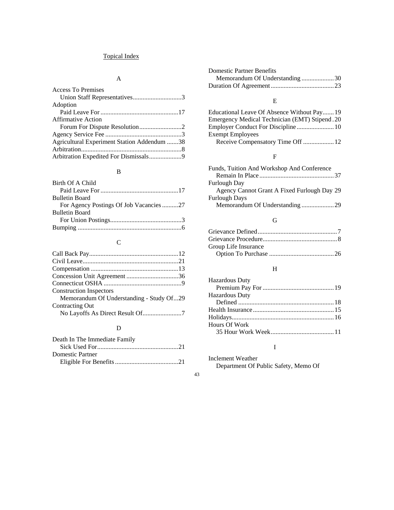## Topical Index

## A

| <b>Access To Premises</b>                   |  |
|---------------------------------------------|--|
| Union Staff Representatives3                |  |
| Adoption                                    |  |
|                                             |  |
| <b>Affirmative Action</b>                   |  |
|                                             |  |
|                                             |  |
| Agricultural Experiment Station Addendum 38 |  |
|                                             |  |
| Arbitration Expedited For Dismissals9       |  |

## B

| Birth Of A Child                       |
|----------------------------------------|
|                                        |
| <b>Bulletin Board</b>                  |
| For Agency Postings Of Job Vacancies27 |
| <b>Bulletin Board</b>                  |
|                                        |
|                                        |

# C

| <b>Construction Inspectors</b>           |
|------------------------------------------|
| Memorandum Of Understanding - Study Of29 |
| Contracting Out                          |
|                                          |
|                                          |

## D

| Death In The Immediate Family |
|-------------------------------|
|                               |
| Domestic Partner              |
|                               |

| <b>Domestic Partner Benefits</b> |  |
|----------------------------------|--|
| Memorandum Of Understanding30    |  |
|                                  |  |

## E

| Educational Leave Of Absence Without Pay19           |  |
|------------------------------------------------------|--|
| <b>Emergency Medical Technician (EMT) Stipend.20</b> |  |
|                                                      |  |
| <b>Exempt Employees</b>                              |  |
|                                                      |  |

## F

| Agency Cannot Grant A Fixed Furlough Day 29 |
|---------------------------------------------|
|                                             |
| Memorandum Of Understanding29               |
|                                             |

### G

| Group Life Insurance |  |
|----------------------|--|
|                      |  |

## H

| <b>Hazardous Duty</b> |  |
|-----------------------|--|
|                       |  |
| <b>Hazardous Duty</b> |  |
|                       |  |
|                       |  |
|                       |  |
| Hours Of Work         |  |
|                       |  |

## I

Inclement Weather Department Of Public Safety, Memo Of

43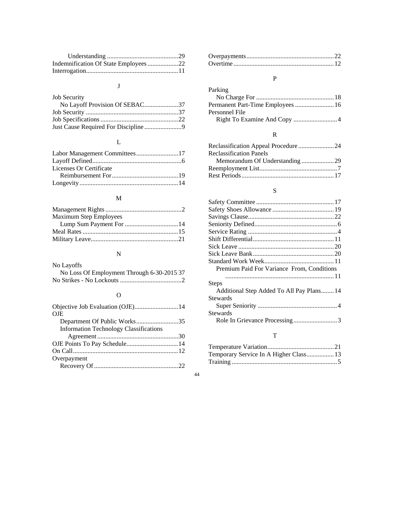| Indemnification Of State Employees22 |  |
|--------------------------------------|--|
|                                      |  |

# J

| <b>Job Security</b>            |  |
|--------------------------------|--|
| No Layoff Provision Of SEBAC37 |  |
|                                |  |
|                                |  |
|                                |  |

# L

| Licenses Or Certificate |  |
|-------------------------|--|
|                         |  |
|                         |  |

## M

| <b>Maximum Step Employees</b> |  |
|-------------------------------|--|
|                               |  |
|                               |  |
|                               |  |

## N

| No Layoffs                                 |
|--------------------------------------------|
| No Loss Of Employment Through 6-30-2015 37 |
|                                            |

# O

| Objective Job Evaluation (OJE)14              |  |
|-----------------------------------------------|--|
| <b>OJE</b>                                    |  |
| Department Of Public Works35                  |  |
| <b>Information Technology Classifications</b> |  |
|                                               |  |
|                                               |  |
|                                               |  |
| Overpayment                                   |  |
|                                               |  |

## P

| Parking                           |  |
|-----------------------------------|--|
|                                   |  |
| Permanent Part-Time Employees  16 |  |
| Personnel File                    |  |
|                                   |  |

## R

| <b>Reclassification Panels</b> |  |
|--------------------------------|--|
|                                |  |
|                                |  |
|                                |  |

## S

| Premium Paid For Variance From, Conditions |
|--------------------------------------------|
|                                            |
| Steps                                      |
| Additional Step Added To All Pay Plans14   |
| Stewards                                   |
|                                            |
| Stewards                                   |
| Role In Grievance Processing3              |
|                                            |

# T

| Temporary Service In A Higher Class 13 |  |
|----------------------------------------|--|
|                                        |  |

### 44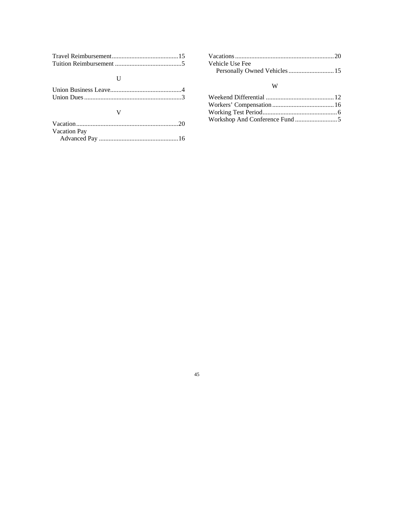## $\mathbf U$

## V

| <b>Vacation Pay</b> |  |
|---------------------|--|
|                     |  |

| Vehicle Use Fee               |  |
|-------------------------------|--|
| Personally Owned Vehicles  15 |  |

## W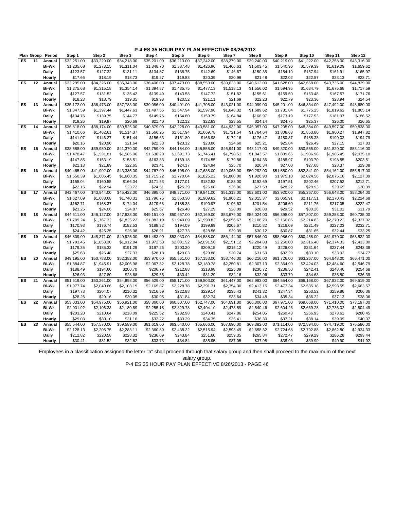|                | Plan Group | Period       | Step 1                 | Step 2                 | Step 3      | Step 4                  | Step 5                 | Step 6                 | Step 7                 | Step 8                 | Step 9                 | Step 10                | Step 11                | Step 12                |
|----------------|------------|--------------|------------------------|------------------------|-------------|-------------------------|------------------------|------------------------|------------------------|------------------------|------------------------|------------------------|------------------------|------------------------|
| ES             | 11         | Annual       | \$32.251.00            | \$33.229.00            | \$34,218.00 | \$35,201.00             | \$36,213.00            | \$37,242.00            | \$38,279.00            | \$39,240.00            | \$40.219.00            | \$41.222.00            | \$42,258.00            | \$43,316.00            |
|                |            | <b>Bi-Wk</b> | \$1,235.68             | \$1,273.15             | \$1,311.04  | \$1,348.70              | \$1,387.48             | \$1,426.90             | \$1,466.63             | \$1,503.45             | \$1,540.96             | \$1,579.39             | \$1,619.09             | \$1,659.62             |
|                |            | <b>Daily</b> | \$123.57               | \$127.32               | \$131.11    | \$134.87                | \$138.75               | \$142.69               | \$146.67               | \$150.35               | \$154.10               | \$157.94               | \$161.91               | \$165.97               |
|                |            | Hourly       | \$17.66                | \$18.19                | \$18.73     | \$19.27                 | \$19.83                | \$20.39                | \$20.96                | \$21.48                | \$22.02                | \$22.57                | \$23.13                | \$23.71                |
| ES             | 12         | Annual       | \$33,295.00            | \$34,326.00            | \$35,343.00 | \$36,406.00             | \$37,473.00            | \$38,553.00            | \$39,623.00            | \$40,612.00            | \$41,628.00            | \$42,668.00            | \$43,735.00            | \$44,829.00            |
|                |            | <b>Bi-Wk</b> | \$1,275.68             | \$1,315.18             | \$1,354.14  | \$1,394.87              | \$1,435.75             | \$1,477.13             | \$1,518.13             | \$1,556.02             | \$1,594.95             | \$1,634.79             | \$1,675.68             | \$1,717.59             |
|                |            | Daily        | \$127.57               | \$131.52               | \$135.42    | \$139.49                | \$143.58               | \$147.72               | \$151.82               | \$155.61               | \$159.50               | \$163.48               | \$167.57               | \$171.76               |
|                |            | Hourly       | \$18.23                | \$18.79                | \$19.35     | \$19.93                 | \$20.52                | \$21.11                | \$21.69                | \$22.23                | \$22.79                | \$23.36                | \$23.94                | \$24.54                |
| ES             | 13         | Annual       | \$35,172.00            | \$36,473.00            | \$37,783.00 | \$39,086.00             | \$40,401.00            | \$41,705.00            | \$43,021.00            | \$44,099.00            | \$45,201.00            | \$46,334.00            | \$47,492.00            | \$48,680.00            |
|                |            | <b>Bi-Wk</b> | \$1,347.59             | \$1,397.44             | \$1,447.63  | \$1,497.55              | \$1,547.94             | \$1,597.90             | \$1,648.32             | \$1,689.62             | \$1,731.84             | \$1,775.25             | \$1,819.62             | \$1,865.14             |
|                |            | <b>Daily</b> | \$134.76               | \$139.75               | \$144.77    | \$149.76                | \$154.80               | \$159.79               | \$164.84               | \$168.97               | \$173.19               | \$177.53               | \$181.97               | \$186.52               |
|                |            | Hourly       | \$19.26                | \$19.97                | \$20.69     | \$21.40                 | \$22.12                | \$22.83                | \$23.55                | \$24.14                | \$24.75                | \$25.37                | \$26.00                | \$26.65                |
| ES             | 14         | Annual       | \$36,818.00            | \$38,174.00            | \$39,525.00 | \$40,879.00             | \$42,228.00            | \$43,581.00            | \$44,932.00            | \$46,057.00            | \$47,205.00            | \$48,384.00            | \$49,597.00            | \$50,838.00            |
|                |            | <b>Bi-Wk</b> | \$1,410.66             | \$1,462.61             | \$1,514.37  | \$1,566.25              | \$1,617.94             | \$1,669.78             | \$1,721.54             | \$1,764.64             | \$1,808.63             | \$1,853.80             | \$1,900.27             | \$1,947.82             |
|                |            | Daily        | \$141.07               | \$146.27               | \$151.44    | \$156.63                | \$161.80               | \$166.98               | \$172.16               | \$176.47               | \$180.87               | \$185.38               | \$190.03               | \$194.79               |
|                |            | Hourly       | \$20.16                | \$20.90                | \$21.64     | \$22.38                 | \$23.12                | \$23.86                | \$24.60                | \$25.21                | \$25.84                | \$26.49                | \$27.15                | \$27.83                |
| ES             | 15         | Annual       | \$38,588.00            | \$39,980.00            | \$41,370.00 | $\overline{$42,759.00}$ | \$44,154.00            | \$45,555.00            | \$46,941.00            | \$48,117.00            | \$49,320.00            | \$50,555.00            | \$51,820.00            | \$53,116.00            |
|                |            | <b>Bi-Wk</b> | \$1,478.47             | \$1,531.81             | \$1,585.06  | \$1,638.28              | \$1,691.73             | \$1,745.41             | \$1,798.51             | \$1,843.57             | \$1,889.66             | \$1,936.98             | \$1,985.45             | \$2,035.10             |
|                |            | Daily        | \$147.85               | \$153.19               | \$158.51    | \$163.83                | \$169.18               | \$174.55               | \$179.86               | \$184.36               | \$188.97               | \$193.70               | \$198.55               | \$203.51               |
|                |            | Hourly       | \$21.13                | \$21.89                | \$22.65     | \$23.41                 | \$24.17                | \$24.94                | \$25.70                | \$26.34                | \$27.00                | \$27.68                | \$28.37                | \$29.08                |
| ES             | 16         | Annual       | \$40,465.00            | \$41,902.00            | \$43,335.00 | \$44,767.00             | \$46,198.00            | \$47,638.00            | \$49,068.00            | \$50,292.00            | \$51,550.00            | \$52,841.00            | \$54,162.00            | \$55,517.00            |
|                |            | <b>Bi-Wk</b> | \$1,550.39             | \$1,605.45             | \$1,660.35  | \$1,715.22              | \$1,770.04             | \$1,825.22             | \$1,880.00             | \$1,926.90             | \$1,975.10             | \$2,024.56             | \$2,075.18             | \$2,127.09             |
|                |            | <b>Daily</b> | \$155.04               | \$160.55               | \$166.04    | \$171.53                | \$177.01               | \$182.53               | \$188.00               | \$192.69               | \$197.51               | \$202.46               | \$207.52               | \$212.71               |
|                |            | Hourly       | \$22.15                | \$22.94                | \$23.72     | \$24.51                 | \$25.29                | \$26.08                | \$26.86                | \$27.53                | \$28.22                | \$28.93                | \$29.65                | \$30.39                |
| ES             | 17         | Annual       | \$42,467.00            | \$43,944.00            | \$45,422.00 | \$46,895.00             | \$48,371.00            | \$49,841.00            | \$51,318.00            | \$52,601.00            | \$53,920.00            | \$55,267.00            | \$56,648.00            | \$58,064.00            |
|                |            | <b>Bi-Wk</b> | \$1,627.09             | \$1,683.68             | \$1,740.31  | \$1,796.75              | \$1,853.30             | \$1,909.62             | \$1,966.21             | \$2,015.37             | \$2,065.91             | \$2,117.51             | \$2,170.43             | \$2,224.68             |
|                |            | Daily        | \$162.71               | \$168.37               | \$174.04    | \$179.68                | \$185.33               | \$190.97               | \$196.63               | \$201.54               | \$206.60               | \$211.76               | \$217.05               | \$222.47               |
|                |            | Hourly       | \$23.25                | \$24.06                | \$24.87     | \$25.67                 | \$26.48                | \$27.29                | \$28.09                | \$28.80                | \$29.52                | \$30.26                | \$31.01                | \$31.79                |
| ES             | 18         | Annual       | \$44,611.00            | \$46,127.00            | \$47,638.00 | \$49,151.00             | \$50,657.00            | \$52,169.00            | \$53,679.00            | \$55,024.00            | \$56,398.00            | \$57,807.00            | \$59,253.00            | \$60,735.00            |
|                |            | <b>Bi-Wk</b> | \$1,709.24             | \$1,767.32             | \$1,825.22  | \$1,883.19              | \$1,940.89             | \$1,998.82             | \$2,056.67             | \$2,108.20             | \$2,160.85             | \$2,214.83             | \$2,270.23             | \$2,327.02             |
|                |            | <b>Daily</b> | \$170.93               | \$176.74               | \$182.53    | \$188.32                | \$194.09               | \$199.89               | \$205.67               | \$210.82               | \$216.09               | \$221.49               | \$227.03               | \$232.71               |
|                |            | Hourly       | \$24.42                | \$25.25                | \$26.08     | \$26.91                 | \$27.73                | \$28.56                | \$29.39                | \$30.12                | \$30.87                | \$31.65                | \$32.44                | \$33.25                |
| ES             | 19         | Annual       | \$46,809.00            | \$48,371.00            | \$49,925.00 | \$51,483.00             | \$53,033.00            | \$54,588.00            | \$56,144.00            | \$57,546.00            | \$58,986.00            | \$60,458.00            | \$61,970.00            | \$63,522.00            |
|                |            | <b>Bi-Wk</b> | \$1,793.45             | \$1,853.30             | \$1,912.84  | \$1,972.53              | \$2,031.92             | \$2,091.50             | \$2,151.12             | \$2,204.83             | \$2,260.00             | \$2,316.40             | \$2,374.33             | \$2,433.80             |
|                |            | <b>Daily</b> | \$179.35               | \$185.33               | \$191.29    | \$197.26                | \$203.20               | \$209.15               | \$215.12               | \$220.49               | \$226.00               | \$231.64               | \$237.44               | \$243.38               |
|                |            | Hourly       | \$25.63                | \$26.48                | \$27.33     | \$28.18                 | \$29.03                | \$29.88                | \$30.74                | \$31.50                | \$32.29                | \$33.10                | \$33.92                | \$34.77                |
| E <sub>S</sub> | 20         | Annual       | \$49,195.00            | \$50,788.00            | \$52,382.00 | \$53,970.00             | \$55,561.00            | \$57,153.00            | \$58,746.00            | \$60,216.00            | \$61,726.00            | \$63,267.00            | \$64,848.00            | \$66,471.00            |
|                |            | <b>Bi-Wk</b> | \$1,884.87             | \$1,945.91             | \$2,006.98  | \$2,067.82              | \$2,128.78             | \$2,189.78             | \$2,250.81             | \$2,307.13             | \$2,364.99             | \$2,424.03             | \$2,484.60             | \$2,546.79             |
|                |            | Daily        | \$188.49               | \$194.60               | \$200.70    | \$206.79                | \$212.88               | \$218.98               | \$225.09               | \$230.72               | \$236.50               | \$242.41               | \$248.46               | \$254.68               |
|                |            | Hourly       | \$26.93                | \$27.80                | \$28.68     | \$29.55                 | \$30.42                | \$31.29                | \$32.16                | \$32.96                | \$33.79                | \$34.63                | \$35.50                | \$36.39                |
| ES             | 21         | Annual       | \$51,619.00            | \$53,261.00            | \$54,893.00 | \$56,529.00             | \$58,171.00            | \$59,803.00            | \$61,447.00            | \$62,983.00            | \$64,554.00            | \$66,168.00            | \$67,822.00            | \$69,519.00            |
|                |            | <b>Bi-Wk</b> | \$1,977.74             | \$2,040.66             | \$2,103.19  | \$2,165.87              | \$2,228.78             | \$2,291.31             | \$2,354.30             | \$2,413.15             | \$2,473.34             | \$2,535.18             | \$2,598.55             | \$2,663.57             |
|                |            | <b>Daily</b> | \$197.78               | \$204.07               | \$210.32    | \$216.59                | \$222.88               | \$229.14               | \$235.43               | \$241.32               | \$247.34               | \$253.52               | \$259.86               | \$266.36               |
|                |            | Hourly       | \$28.26                | \$29.16                | \$30.05     | \$30.95                 | \$31.84                | \$32.74                | \$33.64                | \$34.48                | \$35.34                | \$36.22                | \$37.13                | \$38.06                |
| ES             | 22         | Annual       | \$53,033.00            | \$54,975.00            | \$56,921.00 | \$58,860.00             | \$60,807.00            | \$62,747.00            | \$64,691.00            | \$66,306.00            | \$67,971.00            | \$69,668.00            | \$71,410.00            | \$73,197.00            |
|                |            | <b>Bi-Wk</b> |                        |                        |             |                         |                        |                        |                        |                        |                        |                        |                        |                        |
|                |            |              | \$2,031.92<br>\$203.20 | \$2,106.33<br>\$210.64 | \$2,180.89  | \$2,255.18<br>\$225.52  | \$2,329.78<br>\$232.98 | \$2,404.10<br>\$240.41 | \$2,478.59<br>\$247.86 | \$2,540.46<br>\$254.05 | \$2,604.26<br>\$260.43 | \$2,669.28<br>\$266.93 | \$2,736.02<br>\$273.61 | \$2,804.49<br>\$280.45 |
|                |            | Daily        |                        |                        | \$218.09    |                         |                        |                        |                        |                        |                        |                        |                        |                        |
| ES             | 23         | Hourly       | \$29.03                | \$30.10                | \$31.16     | \$32.22                 | \$33.29<br>\$63,640.00 | \$34.35                | \$35.41<br>\$67,690.00 | \$36.30                | \$37.21                | \$38.14                | \$39.09<br>\$74,719.00 | \$40.07<br>\$76,586.00 |
|                |            | Annual       | \$55,544.00            | \$57,570.00            | \$59,589.00 | \$61,619.00             |                        | \$65,666.00            |                        | \$69,382.00            | \$71,114.00            | \$72,894.00            |                        |                        |
|                |            | <b>Bi-Wk</b> | \$2,128.13             | \$2,205.75             | \$2,283.11  | \$2,360.89              | \$2,438.32             | \$2,515.94             | \$2,593.49             | \$2,658.32             | \$2,724.68             | \$2,792.88             | \$2,862.80             | \$2,934.33             |
|                |            | <b>Daily</b> | \$212.82               | \$220.58               | \$228.32    | \$236.09                | \$243.84               | \$251.60               | \$259.35               | \$265.84               | \$272.47               | \$279.29               | \$286.28               | \$293.44               |
|                |            | Hourly       | \$30.41                | \$31.52                | \$32.62     | \$33.73                 | \$34.84                | \$35.95                | \$37.05                | \$37.98                | \$38.93                | \$39.90                | \$40.90                | \$41.92                |

Employees in a classification assigned the letter "a" shall proceed through that salary group and then shall proceed to the maximum of the next salary group.

P-4 ES 35 HOUR PAY PLAN EFFECTIVE 8/26/2013 - PAGE 46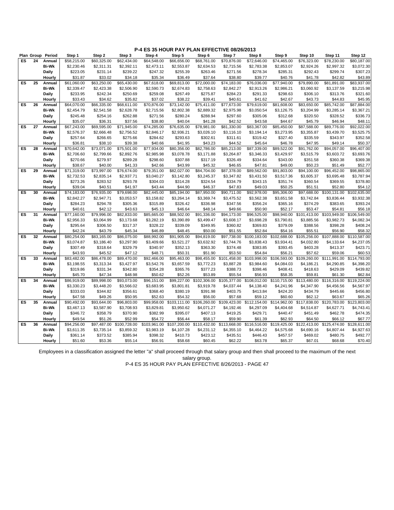|    | Plan Group | Period           | Step 1                 | Step 2              | Step 3                  | Step 4                 | Step 5                  | Step 6                  | Step 7                  | Step 8              | Step 9                  | Step 10             | Step 11                  | Step 12                 |
|----|------------|------------------|------------------------|---------------------|-------------------------|------------------------|-------------------------|-------------------------|-------------------------|---------------------|-------------------------|---------------------|--------------------------|-------------------------|
| ES | 24         | Annual           | \$58,215.00            | \$60,325.00         | \$62,434.00             | \$64,548.00            | \$66,656.00             | \$68,761.00             | \$70,876.00             | \$72,646.00         | \$74,465.00             | \$76,323.00         | \$78,230.00              | \$80,187.00             |
|    |            | <b>Bi-Wk</b>     | \$2,230.46             | \$2,311.31          | \$2,392.11              | \$2,473.11             | \$2,553.87              | \$2,634.53              | \$2,715.56              | \$2,783.38          | \$2,853.07              | \$2,924.26          | \$2,997.32               | \$3,072.30              |
|    |            | <b>Daily</b>     | \$223.05               | \$231.14            | \$239.22                | \$247.32               | \$255.39                | \$263.46                | \$271.56                | \$278.34            | \$285.31                | \$292.43            | \$299.74                 | \$307.23                |
|    |            | Hourly           | \$31.87                | \$33.02             | \$34.18                 | \$35.34                | \$36.49                 | \$37.64                 | \$38.80                 | \$39.77             | \$40.76                 | \$41.78             | \$42.82                  | \$43.89                 |
| ES | 25         | Annual           | \$61,060.00            | \$63,250.00         | \$65,430.00             | \$67,618.00            | \$69,813.00             | \$72,000.00             | \$74,183.00             | \$76,036.00         | \$77,940.00             | \$79,890.00         | \$81,891.00              | \$83,937.00             |
|    |            | <b>Bi-Wk</b>     | \$2,339.47             | \$2,423.38          | \$2,506.90              | \$2,590.73             | \$2,674.83              | \$2,758.63              | \$2,842.27              | \$2,913.26          | \$2,986.21              | \$3,060.92          | \$3,137.59               | \$3,215.98              |
|    |            | <b>Daily</b>     | \$233.95               | \$242.34            | \$250.69                | \$259.08               | \$267.49                | \$275.87                | \$284.23                | \$291.33            | \$298.63                | \$306.10            | \$313.76                 | \$321.60                |
|    |            | Hourly           | \$33.43                | \$34.62             | \$35.82                 | \$37.02                | \$38.22                 | \$39.41                 | \$40.61                 | \$41.62             | \$42.67                 | \$43.73             | \$44.83                  | \$45.95                 |
| ES | 26         | Annual           | \$64,070.00            | \$66,335.00         | \$68,611.00             | \$70,876.00            | \$73,142.00             | \$75,411.00             | \$77,673.00             | \$79,619.00         | \$81,608.00             | \$83,650.00         | \$85,742.00              | \$87,884.00             |
|    |            | <b>Bi-Wk</b>     | \$2,454.79             | \$2,541.58          | \$2,628.78              | \$2,715.56             | \$2,802.38              | \$2,889.32              | \$2,975.98              | \$3,050.54          | \$3,126.75              | \$3,204.99          | \$3,285.14               | \$3,367.21              |
|    |            | <b>Daily</b>     | \$245.48               | \$254.16            | \$262.88                | \$271.56               | \$280.24                | \$288.94                | \$297.60                | \$305.06            | \$312.68                | \$320.50            | \$328.52                 | \$336.73                |
|    |            | Hourly           | \$35.07                | \$36.31             | \$37.56                 | \$38.80                | \$40.04                 | \$41.28                 | \$42.52                 | \$43.58             | \$44.67                 | \$45.79             | \$46.94                  | \$48.11                 |
| ES | 27         | Annual           | \$67,243.00            | \$69,595.00         | $\overline{$}71,945.00$ | \$74,285.00            | \$76,635.00             | \$78,981.00             | \$81,330.00             | \$83,367.00         | \$85,450.00             | \$87,588.00         | \$89,776.00              | \$92,022.00             |
|    |            | <b>Bi-Wk</b>     | \$2,576.37             | \$2,666.48          | \$2,756.52              | \$2,846.17             | \$2,936.21              | \$3,026.10              | \$3,116.10              | \$3,194.14          | \$3,273.95              | \$3,355.87          | \$3,439.70               | \$3,525.75              |
|    |            | Daily            | \$257.64               | \$266.65            | \$275.66                | \$284.62               | \$293.63                | \$302.61                | \$311.61                | \$319.42            | \$327.40                | \$335.59            | \$343.97                 | \$352.58                |
|    |            | Hourly           | \$36.81                | \$38.10             | \$39.38                 | \$40.66                | \$41.95                 | \$43.23                 | \$44.52                 | \$45.64             | \$46.78                 | \$47.95             | \$49.14                  | \$50.37                 |
| ES | 28         | Annual           | \$70,642.00            | \$73,071.00         | \$75,501.00             | \$77,934.00            | \$80,356.00             | \$82,786.00             | \$85,213.00             | \$87,339.00         | \$89,522.00             | \$91,762.00         | \$94,057.00              | \$96,407.00             |
|    |            | <b>Bi-Wk</b>     | \$2,706.60             | \$2,799.66          | \$2,892.76              | \$2,985.98             | \$3,078.78              | \$3,171.88              | \$3,264.87              | \$3,346.33          | \$3,429.97              | \$3,515.79          | \$3,603.72               | \$3,693.76              |
|    |            | Daily            | \$270.66               | \$279.97            | \$289.28                | \$298.60               | \$307.88                | \$317.19                | \$326.49                | \$334.64            | \$343.00                | \$351.58            | \$360.38                 | \$369.38                |
|    |            | Hourly           | \$38.67                | \$40.00             | \$41.33                 | \$42.66                | \$43.99                 | \$45.32                 | \$46.65                 | \$47.81             | \$49.00                 | \$50.23             | \$51.49                  | \$52.77                 |
| ES | 29         | Annual           | \$71,319.00            | \$73,997.00         | \$76,674.00             | \$79,351.00            | \$82,027.00             | \$84,704.00             | \$87,378.00             | \$89,562.00         | \$91,803.00             | \$94,100.00         | \$96,452.00              | \$98,865.00             |
|    |            | <b>Bi-Wk</b>     | \$2,732.53             | \$2,835.14          | \$2,937.71              | \$3,040.27             | \$3,142.80              | \$3,245.37              | \$3,347.82              | \$3,431.50          | \$3,517.36              | \$3,605.37          | \$3,695.48               | \$3,787.94              |
|    |            | <b>Daily</b>     | \$273.26               | \$283.52            | \$293.78                | \$304.03               | \$314.28                | \$324.54                | \$334.79                | \$343.15            | \$351.74                | \$360.54            | \$369.55                 | \$378.80                |
|    |            | Hourly           | \$39.04                | \$40.51             | \$41.97                 | \$43.44                | \$44.90                 | \$46.37                 | \$47.83                 | \$49.03             | \$50.25                 | \$51.51             | \$52.80                  | \$54.12                 |
| ES | 30         | Annual           | \$74,183.00            | \$76,935.00         | \$79,698.00             | \$82,445.00            | \$85,194.00             | \$87,950.00             | \$90,711.00             | \$92,978.00         | \$95,306.00             | \$97,688.00         | \$100,131.00             | \$102,635.00            |
|    |            | <b>Bi-Wk</b>     | \$2,842.27             | \$2,947.71          | \$3,053.57              | \$3,158.82             | \$3,264.14              | \$3,369.74              | \$3,475.52              | \$3,562.38          | \$3,651.58              | \$3,742.84          | \$3,836.44               | \$3,932.38              |
|    |            | <b>Daily</b>     | \$284.23               | \$294.78            | \$305.36                | \$315.89               | \$326.42                | \$336.98                | \$347.56                | \$356.24            | \$365.16                | \$374.29            | \$383.65                 | \$393.24                |
|    |            | Hourly           | \$40.61                | \$42.12             | \$43.63                 | \$45.13                | \$46.64                 | \$48.14                 | \$49.66                 | \$50.90             | \$52.17                 | \$53.47             | \$54.81                  | \$56.18                 |
| ES | 31         | Annual           | \$77,160.00            | \$79,996.00         | \$82,833.00             | \$85,665.00            | \$88,502.00             | \$91,336.00             | \$94,173.00             | \$96,525.00         | \$98,940.00             | \$101.413.00        | \$103,949.00             | \$106,549.00            |
|    |            | <b>Bi-Wk</b>     | \$2,956.33             | \$3,064.99          | \$3,173.68              | \$3,282.19             | \$3,390.89              | \$3,499.47              | \$3,608.17              | \$3,698.28          | \$3,790.81              | \$3,885.56          | \$3,982.73               | \$4,082.34              |
|    |            | Daily            | \$295.64               | \$306.50            | \$317.37                | \$328.22               | \$339.09                | \$349.95                | \$360.82                | \$369.83            | \$379.09                | \$388.56            | \$398.28                 | \$408.24                |
|    |            | Hourly           | \$42.24                | \$43.79             | \$45.34                 | \$46.89                | \$48.45                 | \$50.00                 | \$51.55                 | \$52.84             | \$54.16                 | \$55.51             | \$56.90                  | \$58.32                 |
| ES | 32         | Annual           | \$80,254.00            | \$83,165.00         | \$86,075.00             | \$88,992.00            | \$91,905.00             | \$94,819.00             | \$97,738.00             | \$100,183.00        | \$102,688.00            | \$105,256.00        | \$107,888.00             | \$110,587.00            |
|    |            | <b>Bi-Wk</b>     | \$3,074.87             | \$3,186.40          | \$3,297.90              | \$3,409.66             | \$3,521.27              | \$3,632.92              | \$3,744.76              | \$3,838.43          | \$3,934.41              | \$4,032.80          | \$4,133.64               | \$4,237.05              |
|    |            | <b>Daily</b>     | \$307.49               | \$318.64            | \$329.79                | \$340.97               | \$352.13                | \$363.30                | \$374.48                | \$383.85            | \$393.45                | \$403.28            | \$413.37                 | \$423.71                |
|    |            | Hourly           | \$43.93                | \$45.52             | \$47.12                 | \$48.71                | \$50.31                 | \$51.90                 | \$53.50                 | \$54.84             | \$56.21                 | \$57.62             | \$59.06                  | \$60.53                 |
| ES | 33         | Annual           | \$83,482.00            | \$86,478.00         | \$89,470.00             | \$92,466.00            | \$95,463.00             | \$98,455.00             | \$101,458.00            | \$103,998.00        | \$106,593.00            | \$109,260.00        | \$111,991.00             | \$114,793.00            |
|    |            | <b>Bi-Wk</b>     | \$3,198.55             | \$3,313.34          | \$3,427.97              | \$3,542.76             | \$3,657.59              | \$3,772.23              | \$3,887.28              | \$3,984.60          | \$4,084.03              | \$4,186.21          | \$4,290.85               | \$4,398.20              |
|    |            | <b>Daily</b>     | \$319.86               | \$331.34            | \$342.80                | \$354.28               | \$365.76                | \$377.23                | \$388.73                | \$398.46            | \$408.41                | \$418.63            | \$429.09                 | \$439.82                |
|    |            | Hourly           | \$45.70                | \$47.34             | \$48.98                 | \$50.62                | \$52.26                 | \$53.89                 | \$55.54                 | \$56.93             | \$58.35                 | \$59.81             | \$61.30                  | \$62.84                 |
| ES | 34         | Annual           | \$86,919.00            | \$89,998.00         | \$93,073.00             | \$96,151.00            | \$99,227.00             | \$102,306.00            | \$105,377.00            | \$108,012.00        | \$110,715.00            | \$113,480.00        | $\overline{$116,316.00}$ | \$119,224.00            |
|    |            | <b>Bi-Wk</b>     | \$3,330.23             | \$3,448.20          | \$3,566.02              | \$3,683.95             | \$3,801.81              | \$3,919.78              | \$4,037.44              | \$4,138.40          | \$4,241.96              | \$4,347.90          | \$4,456.56               | \$4,567.97              |
|    |            |                  |                        |                     |                         |                        |                         |                         |                         |                     |                         |                     |                          | \$456.80                |
|    |            | Daily            | \$333.03<br>\$47.58    | \$344.82<br>\$49.26 | \$356.61<br>\$50.95     | \$368.40               | \$380.19<br>\$54.32     | \$391.98                | \$403.75<br>\$57.68     | \$413.84<br>\$59.12 | \$424.20<br>\$60.60     | \$434.79<br>\$62.12 | \$445.66<br>\$63.67      |                         |
| ES | 35         | Hourly<br>Annual | \$90,492.00            | \$93,644.00         | \$96,803.00             | \$52.63<br>\$99,958.00 | \$103,111.00            | \$56.00<br>\$106,260.00 | \$109,423.00            | \$112,154.00        | \$114,962.00            | \$117,838.00        | \$120,783.00             | \$65.26<br>\$123,803.00 |
|    |            | <b>Bi-Wk</b>     |                        |                     | \$3,708.93              |                        | \$3,950.62              |                         | \$4,192.46              | \$4,297.09          |                         |                     |                          | \$4,743.41              |
|    |            |                  | \$3,467.13<br>\$346.72 | \$3,587.90          |                         | \$3,829.81<br>\$382.99 | \$395.07                | \$4,071.27              | \$419.25                | \$429.71            | \$4,404.68              | \$4,514.87          | \$4,627.71<br>\$462.78   |                         |
|    |            | <b>Daily</b>     |                        | \$358.79            | \$370.90                |                        |                         | \$407.13                |                         |                     | \$440.47                | \$451.49            |                          | \$474.35                |
| ES | 36         | Hourly           | \$49.54                | \$51.26             | \$52.99<br>\$100,728.00 | \$54.72                | \$56.44<br>\$107,200.00 | \$58.17                 | \$59.90<br>\$113,668.00 | \$61.39             | \$62.93<br>\$119,425.00 | \$64.50             | \$66.12                  | \$67.77<br>\$128,611.00 |
|    |            | Annual           | \$94,256.00            | \$97,487.00         |                         | \$103,961.00           |                         | \$110,432.00            |                         | \$116,516.00        |                         | \$122,413.00        | \$125,474.00             |                         |
|    |            | <b>Bi-Wk</b>     | \$3,611.35             | \$3,735.14          | \$3,859.32              | \$3,983.19             | \$4,107.28              | \$4,231.12              | \$4,355.10              | \$4,464.22          | \$4,575.68              | \$4,690.16          | \$4,807.44               | \$4,927.63              |
|    |            | <b>Daily</b>     | \$361.14               | \$373.52            | \$385.94                | \$398.32               | \$410.73                | \$423.12                | \$435.51                | \$446.43            | \$457.57                | \$469.02            | \$480.75                 | \$492.77                |
|    |            | Hourly           | \$51.60                | \$53.36             | \$55.14                 | \$56.91                | \$58.68                 | \$60.45                 | \$62.22                 | \$63.78             | \$65.37                 | \$67.01             | \$68.68                  | \$70.40                 |

Employees in a classification assigned the letter "a" shall proceed through that salary group and then shall proceed to the maximum of the next salary group.

P-4 ES 35 HOUR PAY PLAN EFFECTIVE 8/26/2013 - PAGE 47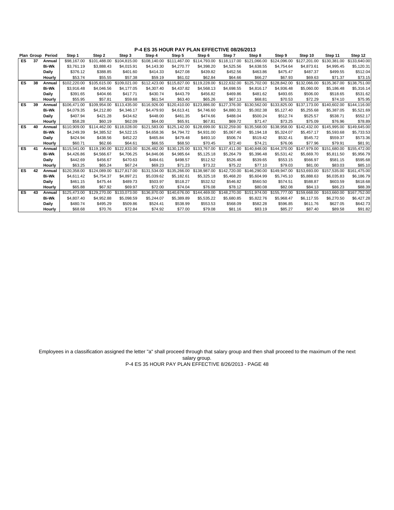|           |    | Plan Group Period | Step 1       | Step 2       | Step 3       | Step 4       | Step 5       | Step 6       | Step 7       | Step 8                    | Step 9       | Step 10      | Step 11      | Step 12      |
|-----------|----|-------------------|--------------|--------------|--------------|--------------|--------------|--------------|--------------|---------------------------|--------------|--------------|--------------|--------------|
| <b>ES</b> | 37 | Annual            | \$98,167.00  | \$101.488.00 | \$104.815.00 | \$108.140.00 | \$111,467.00 | \$114,793.00 | \$118,117.00 | \$121.066.00              | \$124.096.00 | \$127.201.00 | \$130.381.00 | \$133,640.00 |
|           |    | <b>Bi-Wk</b>      | \$3,761.19   | \$3,888.43   | \$4,015.91   | \$4,143.30   | \$4,270.77   | \$4,398.20   | \$4,525.56   | \$4,638.55                | \$4,754.64   | \$4,873.61   | \$4,995.45   | \$5,120.31   |
|           |    | Daily             | \$376.12     | \$388.85     | \$401.60     | \$414.33     | \$427.08     | \$439.82     | \$452.56     | \$463.86                  | \$475.47     | \$487.37     | \$499.55     | \$512.04     |
|           |    | Hourly            | \$53.74      | \$55.55      | \$57.38      | \$59.19      | \$61.02      | \$62.84      | \$64.66      | \$66.27                   | \$67.93      | \$69.63      | \$71.37      | \$73.15      |
| ES        | 38 | Annual            | \$102.220.00 | \$105.615.00 | \$109.021.00 | \$112,423.00 | \$115,827.00 | \$119,228.00 | \$122,632.00 | \$125,702.00              | \$128,842.00 | \$132,066.00 | \$135,367.00 | \$138,751.00 |
|           |    | <b>Bi-Wk</b>      | \$3,916.48   | \$4,046.56   | \$4,177.05   | \$4,307.40   | \$4,437.82   | \$4,568.13   | \$4,698.55   | \$4,816.17                | \$4,936.48   | \$5,060.00   | \$5,186.48   | \$5,316.14   |
|           |    | Daily             | \$391.65     | \$404.66     | \$417.71     | \$430.74     | \$443.79     | \$456.82     | \$469.86     | \$481.62                  | \$493.65     | \$506.00     | \$518.65     | \$531.62     |
|           |    | Hourly            | \$55.95      | \$57.81      | \$59.68      | \$61.54      | \$63.40      | \$65.26      | \$67.13      | \$68.81                   | \$70.53      | \$72.29      | \$74.10      | \$75.95      |
| ES        | 39 | Annual            | \$106.471.00 | \$109.954.00 | \$113,435,00 | \$116,926,00 | \$120,410.00 | \$123,886.00 |              | \$127.376.00 \$130.562.00 | \$133,825,00 | \$137,173,00 | \$140,602.00 | \$144,116.00 |
|           |    | <b>Bi-Wk</b>      | \$4,079.35   | \$4,212.80   | \$4,346.17   | \$4,479.93   | \$4,613.41   | \$4,746.60   | \$4,880.31   | \$5,002.38                | \$5,127.40   | \$5,255.68   | \$5,387.05   | \$5,521.69   |
|           |    | Daily             | \$407.94     | \$421.28     | \$434.62     | \$448.00     | \$461.35     | \$474.66     | \$488.04     | \$500.24                  | \$512.74     | \$525.57     | \$538.71     | \$552.17     |
|           |    | Hourly            | \$58.28      | \$60.19      | \$62.09      | \$64.00      | \$65.91      | \$67.81      | \$69.72      | \$71.47                   | \$73.25      | \$75.09      | \$76.96      | \$78.89      |
| ES        | 40 | Annual            | \$110,909.00 | \$114,462.00 | \$118,028.00 | \$121.583.00 | \$125,142.00 | \$128,699.00 | \$132,259.00 | \$135,568.00              | \$138,958.00 | \$142,432.00 | \$145,995.00 | \$149,645.00 |
|           |    | <b>Bi-Wk</b>      | \$4.249.39   | \$4,385.52   | \$4,522.15   | \$4,658.36   | \$4.794.72   | \$4.931.00   | \$5,067.40   | \$5.194.18                | \$5,324.07   | \$5.457.17   | \$5,593.68   | \$5,733.53   |
|           |    | Daily             | \$424.94     | \$438.56     | \$452.22     | \$465.84     | \$479.48     | \$493.10     | \$506.74     | \$519.42                  | \$532.41     | \$545.72     | \$559.37     | \$573.36     |
|           |    | Hourly            | \$60.71      | \$62.66      | \$64.61      | \$66.55      | \$68.50      | \$70.45      | \$72.40      | \$74.21                   | \$76.06      | \$77.96      | \$79.91      | \$81.91      |
| <b>ES</b> | 41 | Annual            | \$115,541.00 | \$119,190.00 | \$122,833,00 | \$126,482.00 | \$130,125.00 | \$133,767.00 |              | \$137.411.00 \$140.848.00 | \$144.370.00 | \$147,979.00 | \$151,680,00 | \$155,472.00 |
|           |    | <b>Bi-Wk</b>      | \$4,426.86   | \$4,566.67   | \$4,706.25   | \$4,846.06   | \$4,985.64   | \$5,125.18   | \$5,264.79   | \$5,396.48                | \$5,531.42   | \$5,669.70   | \$5,811.50   | \$5,956.79   |
|           |    | Daily             | \$442.69     | \$456.67     | \$470.63     | \$484.61     | \$498.57     | \$512.52     | \$526.48     | \$539.65                  | \$553.15     | \$566.97     | \$581.15     | \$595.68     |
|           |    | Hourly            | \$63.25      | \$65.24      | \$67.24      | \$69.23      | \$71.23      | \$73.22      | \$75.22      | \$77.10                   | \$79.03      | \$81.00      | \$83.03      | \$85.10      |
| ES        | 42 | Annual            | \$120.358.00 | \$124.089.00 | \$127.817.00 | \$131.534.00 | \$135,266.00 | \$138,987.00 |              | \$142,720.00 \$146,290.00 | \$149,947.00 | \$153,693.00 | \$157,535,00 | \$161,475.00 |
|           |    | <b>Bi-Wk</b>      | \$4.611.42   | \$4,754.37   | \$4,897.21   | \$5,039.62   | \$5,182.61   | \$5,325.18   | \$5,468.20   | \$5,604.99                | \$5,745.10   | \$5,888.63   | \$6,035.83   | \$6,186.79   |
|           |    | Daily             | \$461.15     | \$475.44     | \$489.73     | \$503.97     | \$518.27     | \$532.52     | \$546.82     | \$560.50                  | \$574.51     | \$588.87     | \$603.59     | \$618.68     |
|           |    | Hourly            | \$65.88      | \$67.92      | \$69.97      | \$72.00      | \$74.04      | \$76.08      | \$78.12      | \$80.08                   | \$82.08      | \$84.13      | \$86.23      | \$88.39      |
| ES        | 43 | Annual            | \$125.473.00 | \$129,270.00 | \$133.073.00 | \$136,870.00 | \$140,676,00 | \$144,469.00 |              | \$148,270.00 \$151,974.00 | \$155,777.00 | \$159,668,00 | \$163,660.00 | \$167,752.00 |
|           |    | <b>Bi-Wk</b>      | \$4,807.40   | \$4,952.88   | \$5,098.59   | \$5.244.07   | \$5,389.89   | \$5,535.22   | \$5,680.85   | \$5,822.76                | \$5,968.47   | \$6.117.55   | \$6,270.50   | \$6,427.28   |
|           |    | Daily             | \$480.74     | \$495.29     | \$509.86     | \$524.41     | \$538.99     | \$553.53     | \$568.09     | \$582.28                  | \$596.85     | \$611.76     | \$627.05     | \$642.73     |
|           |    | Hourly            | \$68.68      | \$70.76      | \$72.84      | \$74.92      | \$77.00      | \$79.08      | \$81.16      | \$83.19                   | \$85.27      | \$87.40      | \$89.58      | \$91.82      |

Employees in a classification assigned the letter "a" shall proceed through that salary group and then shall proceed to the maximum of the next salary group.

P-4 ES 35 HOUR PAY PLAN EFFECTIVE 8/26/2013 - PAGE 48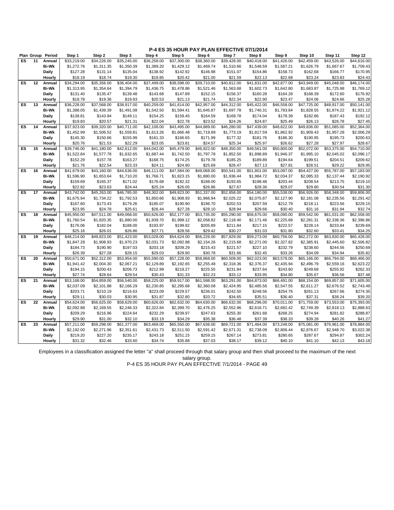|           |    | Plan Group Period | Step 1      | Step 2      | Step 3                  | Step 4      | Step 5      | Step 6      | Step 7      | Step 8                  | Step 9      | Step 10                 | Step 11     | Step 12                 |
|-----------|----|-------------------|-------------|-------------|-------------------------|-------------|-------------|-------------|-------------|-------------------------|-------------|-------------------------|-------------|-------------------------|
| ES        | 11 | Annual            | \$33,219.00 | \$34.226.00 | \$35,245.00             | \$36,258.00 | \$37,300.00 | \$38,360.00 | \$39,428.00 | \$40,418.00             | \$41.426.00 | \$42.459.00             | \$43,526.00 | \$44,616.00             |
|           |    | <b>Bi-Wk</b>      | \$1,272.76  | \$1,311.35  | \$1,350.39              | \$1,389.20  | \$1,429.12  | \$1,469.74  | \$1,510.66  | \$1,548.59              | \$1,587.21  | \$1,626.79              | \$1,667.67  | \$1,709.43              |
|           |    | Daily             | \$127.28    | \$131.14    | \$135.04                | \$138.92    | \$142.92    | \$146.98    | \$151.07    | \$154.86                | \$158.73    | \$162.68                | \$166.77    | \$170.95                |
|           |    | Hourly            | \$18.19     | \$18.74     | \$19.30                 | \$19.85     | \$20.42     | \$21.00     | \$21.59     | \$22.13                 | \$22.68     | \$23.24                 | \$23.83     | \$24.43                 |
| ES        | 12 | Annual            | \$34,294.00 | \$35,356.00 | \$36,404.00             | \$37,499.00 | \$38,598.00 | \$39,710.00 | \$40,812.00 | \$41,831.00             | \$42,877.00 | \$43,949.00             | \$45,048.00 | \$46,174.00             |
|           |    | <b>Bi-Wk</b>      | \$1,313.95  | \$1,354.64  | \$1,394.79              | \$1,436.75  | \$1,478.86  | \$1,521.46  | \$1,563.68  | \$1,602.73              | \$1,642.80  | \$1,683.87              | \$1,725.98  | \$1,769.12              |
|           |    | Daily             | \$131.40    | \$135.47    | \$139.48                | \$143.68    | \$147.89    | \$152.15    | \$156.37    | \$160.28                | \$164.28    | \$168.39                | \$172.60    | \$176.92                |
|           |    | Hourly            | \$18.78     | \$19.36     | \$19.93                 | \$20.53     | \$21.13     | \$21.74     | \$22.34     | \$22.90                 | \$23.47     | \$24.06                 | \$24.66     | \$25.28                 |
| ES        | 13 | Annual            | \$36,228.00 | \$37,568.00 | \$38,917.00             | \$40,259.00 | \$41,614.00 | \$42,957.00 | \$44,312.00 | \$45,422.00             | \$46,558.00 | \$47,725.00             | \$48,917.00 | \$50,141.00             |
|           |    | <b>Bi-Wk</b>      | \$1,388.05  | \$1,439.39  | \$1,491.08              | \$1,542.50  | \$1,594.41  | \$1,645.87  | \$1,697.78  | \$1,740.31              | \$1,783.84  | \$1,828.55              | \$1,874.22  | \$1,921.12              |
|           |    | Daily             | \$138.81    | \$143.94    | \$149.11                | \$154.25    | \$159.45    | \$164.59    | \$169.78    | \$174.04                | \$178.39    | \$182.86                | \$187.43    | \$192.12                |
|           |    | Hourly            | \$19.83     | \$20.57     | \$21.31                 | \$22.04     | \$22.78     | \$23.52     | \$24.26     | \$24.87                 | \$25.49     | \$26.13                 | \$26.78     | \$27.45                 |
| ES        | 14 | Annual            | \$37,923.00 | \$39,320.00 | \$40,711.00             | \$42,106.00 | \$43,495.00 | \$44,889.00 | \$46,280.00 | \$47,439.00             | \$48,622.00 | \$49,836.00             | \$51,085.00 | \$52,364.00             |
|           |    | <b>Bi-Wk</b>      | \$1,452.99  | \$1,506.52  | \$1,559.81              | \$1,613.26  | \$1,666.48  | \$1,719.89  | \$1,773.19  | \$1,817.59              | \$1,862.92  | \$1,909.43              | \$1,957.28  | \$2,006.29              |
|           |    | Daily             | \$145.30    | \$150.66    | \$155.99                | \$161.33    | \$166.65    | \$171.99    | \$177.32    | \$181.76                | \$186.30    | \$190.95                | \$195.73    | \$200.63                |
|           |    | Hourly            | \$20.76     | \$21.53     | \$22.29                 | \$23.05     | \$23.81     | \$24.57     | \$25.34     | \$25.97                 | \$26.62     | \$27.28                 | \$27.97     | \$28.67                 |
| ES        | 15 | Annual            | \$39,746.00 | \$41,180.00 | \$42,612.00             | \$44,042.00 | \$45,479.00 | \$46,922.00 | \$48,350.00 | \$49,561.00             | \$50,800.00 | \$52,072.00             | \$53,375.00 | \$54,710.00             |
|           |    | <b>Bi-Wk</b>      | \$1,522.84  | \$1,577.78  | \$1,632.65              | \$1,687.44  | \$1,742.50  | \$1,797.78  | \$1,852.50  | \$1,898.89              | \$1,946.37  | \$1,995.10              | \$2,045.02  | \$2,096.17              |
|           |    | Daily             | \$152.29    | \$157.78    | \$163.27                | \$168.75    | \$174.25    | \$179.78    | \$185.25    | \$189.89                | \$194.64    | \$199.51                | \$204.51    | \$209.62                |
|           |    | Hourly            | \$21.76     | \$22.54     | \$23.33                 | \$24.11     | \$24.90     | \$25.69     | \$26.47     | \$27.13                 | \$27.81     | \$28.51                 | \$29.22     | \$29.95                 |
| ES        | 16 | Annual            | \$41,679.00 | \$43,160.00 | \$44,636.00             | \$46,111.00 | \$47,584.00 | \$49,068.00 | \$50,541.00 | \$51,801.00             | \$53,097.00 | \$54,427.00             | \$55,787.00 | \$57,183.00             |
|           |    | <b>Bi-Wk</b>      | \$1,596.90  | \$1,653.64  | \$1,710.20              | \$1,766.71  | \$1,823.15  | \$1,880.00  | \$1,936.44  | \$1,984.72              | \$2,034.37  | \$2,085.33              | \$2,137.44  | \$2,190.92              |
|           |    | Daily             | \$159.69    | \$165.37    | \$171.02                | \$176.68    | \$182.32    | \$188.00    | \$193.65    | \$198.48                | \$203.44    | \$208.54                | \$213.75    | \$219.10                |
|           |    | Hourly            | \$22.82     | \$23.63     | \$24.44                 | \$25.24     | \$26.05     | \$26.86     | \$27.67     | \$28.36                 | \$29.07     | \$29.80                 | \$30.54     | \$31.30                 |
| ES        | 17 | Annual            | \$43,742.00 | \$45,263.00 | \$46,785.00             | \$48,302.00 | \$49.823.00 | \$51,337.00 | \$52,858.00 | \$54,180.00             | \$55,538.00 | \$56,926.00             | \$58,348.00 | \$59,806.00             |
|           |    | <b>Bi-Wk</b>      | \$1,675.94  | \$1,734.22  | \$1,792.53              | \$1,850.66  | \$1,908.93  | \$1,966.94  | \$2,025.22  | \$2,075.87              | \$2,127.90  | \$2,181.08              | \$2,235.56  | \$2,291.42              |
|           |    | Daily             | \$167.60    | \$173.43    | \$179.26                | \$185.07    | \$190.90    | \$196.70    | \$202.53    | \$207.59                | \$212.79    | \$218.11                | \$223.56    | \$229.15                |
|           |    | Hourly            | \$23.95     | \$24.78     | \$25.61                 | \$26.44     | \$27.28     | \$28.10     | \$28.94     | \$29.66                 | \$30.40     | \$31.16                 | \$31.94     | \$32.74                 |
| ES        | 18 | Annual            | \$45,950.00 | \$47,511.00 | \$49,068.00             | \$50,626.00 | \$52,177.00 | \$53,735.00 | \$55,290.00 | \$56,675.00             | \$58,090.00 | \$59,542.00             | \$61,031.00 | \$62,558.00             |
|           |    | <b>Bi-Wk</b>      | \$1,760.54  | \$1,820.35  | \$1,880.00              | \$1,939.70  | \$1,999.12  | \$2,058.82  | \$2,118.40  | \$2,171.46              | \$2,225.68  | \$2,281.31              | \$2,338.36  | \$2,396.86              |
|           |    | <b>Daily</b>      | \$176.06    | \$182.04    | \$188.00                | \$193.97    | \$199.92    | \$205.89    | \$211.84    | \$217.15                | \$222.57    | \$228.14                | \$233.84    | \$239.69                |
|           |    | Hourly            | \$25.16     | \$26.01     | \$26.86                 | \$27.71     | \$28.56     | \$29.42     | \$30.27     | \$31.03                 | \$31.80     | \$32.60                 | \$33.41     | \$34.25                 |
| ES        | 19 | Annual            | \$48,214.00 | \$49,823.00 | \$51,423.00             | \$53,028.00 | \$54,624.00 | \$56,226.00 | \$57,829.00 | \$59,273.00             | \$60,756.00 | \$62,272.00             | \$63,830.00 | \$65,428.00             |
|           |    | <b>Bi-Wk</b>      | \$1,847.28  | \$1,908.93  | \$1,970.23              | \$2,031.73  | \$2,092.88  | \$2,154.26  | \$2,215.68  | \$2,271.00              | \$2,327.82  | \$2,385.91              | \$2,445.60  | \$2,506.82              |
|           |    | Daily             | \$184.73    | \$190.90    | \$197.03                | \$203.18    | \$209.29    | \$215.43    | \$221.57    | \$227.10                | \$232.79    | \$238.60                | \$244.56    | \$250.69                |
|           |    | Hourly            | \$26.39     | \$27.28     | \$28.15                 | \$29.03     | \$29.90     | \$30.78     | \$31.66     | \$32.45                 | \$33.26     | \$34.09                 | \$34.94     | \$35.82                 |
| ES        | 20 | Annual            | \$50,671.00 | \$52,312.00 | \$53,954.00             | \$55,590.00 | \$57,228.00 | \$58,868.00 | \$60,509.00 | \$62,023.00             | \$63,578.00 | \$65,166.00             | \$66,794.00 | \$68,466.00             |
|           |    | <b>Bi-Wk</b>      | \$1,941.42  | \$2,004.30  | \$2,067.21              | \$2,129.89  | \$2,192.65  | \$2,255.48  | \$2,318.36  | \$2,376.37              | \$2,435.94  | \$2,496.79              | \$2,559.16  | \$2,623.22              |
|           |    | Daily             | \$194.15    | \$200.43    | \$206.73                | \$212.99    | \$219.27    | \$225.55    | \$231.84    | \$237.64                | \$243.60    | \$249.68                | \$255.92    | \$262.33                |
|           |    | Hourly            | \$27.74     | \$28.64     | \$29.54                 | \$30.43     | \$31.33     | \$32.23     | \$33.12     | \$33.95                 | \$34.80     | \$35.67                 | \$36.56     | \$37.48                 |
| <b>ES</b> | 21 | Annual            | \$53,168.00 | \$54,859.00 | \$56,540.00             | \$58,225.00 | \$59,917.00 | \$61,598.00 | \$63,291.00 | \$64,873.00             | \$66,491.00 | \$68,154.00             | \$69,857.00 | $\overline{$}71,605.00$ |
|           |    | <b>Bi-Wk</b>      | \$2,037.09  | \$2,101.88  | \$2,166.29              | \$2,230.85  | \$2,295.68  | \$2,360.08  | \$2,424.95  | \$2,485.56              | \$2,547.55  | \$2,611.27              | \$2,676.52  | \$2,743.49              |
|           |    | <b>Daily</b>      | \$203.71    | \$210.19    | \$216.63                | \$223.09    | \$229.57    | \$236.01    | \$242.50    | \$248.56                | \$254.76    | \$261.13                | \$267.66    | \$274.35                |
|           |    | Hourly            | \$29.11     | \$30.03     | \$30.95                 | \$31.87     | \$32.80     | \$33.72     | \$34.65     | \$35.51                 | \$36.40     | \$37.31                 | \$38.24     | \$39.20                 |
| ES        | 22 | Annual            | \$54,624.00 | \$56,625.00 | \$58,629.00             | \$60,626.00 | \$62,632.00 | \$64,630.00 | \$66,632.00 | \$68,296.00             | \$70,011.00 | \$71,759.00             | \$73,553.00 | \$75,393.00             |
|           |    | <b>Bi-Wk</b>      | \$2,092.88  | \$2,169.55  | \$2,246.33              | \$2,322.84  | \$2,399.70  | \$2,476.25  | \$2,552.96  | \$2,616.71              | \$2,682.42  | \$2,749.39              | \$2,818.13  | \$2,888.63              |
|           |    | Daily             | \$209.29    | \$216.96    | \$224.64                | \$232.29    | \$239.97    | \$247.63    | \$255.30    | \$261.68                | \$268.25    | \$274.94                | \$281.82    | \$288.87                |
|           |    | Hourly            | \$29.90     | \$31.00     | \$32.10                 | \$33.19     | \$34.29     | \$35.38     | \$36.48     | \$37.39                 | \$38.33     | \$39.28                 | \$40.26     | \$41.27                 |
| ES        | 23 | Annual            | \$57,211.00 | \$59,298.00 | $\overline{$}61,377.00$ | \$63,468.00 | \$65,550.00 | \$67,636.00 | \$69,721.00 | $\overline{$}71,464.00$ | \$73,248.00 | $\overline{$}75,081.00$ | \$76,961.00 | \$78,884.00             |
|           |    | <b>Bi-Wk</b>      | \$2,192.00  | \$2,271.96  | \$2,351.61              | \$2,431.73  | \$2,511.50  | \$2,591.42  | \$2,671.31  | \$2,738.09              | \$2,806.44  | \$2,876.67              | \$2,948.70  | \$3,022.38              |
|           |    | Daily             | \$219.20    | \$227.20    | \$235.17                | \$243.18    | \$251.15    | \$259.15    | \$267.14    | \$273.81                | \$280.65    | \$287.67                | \$294.87    | \$302.24                |
|           |    | Hourly            | \$31.32     | \$32.46     | \$33.60                 | \$34.74     | \$35.88     | \$37.03     | \$38.17     | \$39.12                 | \$40.10     | \$41.10                 | \$42.13     | \$43.18                 |
|           |    |                   |             |             |                         |             |             |             |             |                         |             |                         |             |                         |

Employees in a classification assigned the letter "a" shall proceed through that salary group and then shall proceed to the maximum of the next salary group.

P-4 ES 35 HOUR PAY PLAN EFFECTIVE 7/1/2014 - PAGE 49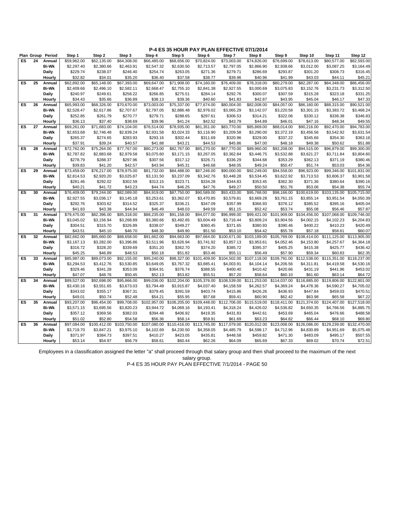|           | Plan Group | Period       | Step 1      | Step 2       | Step 3                  | Step 4                 | Step 5       | Step 6       | Step 7                   | Step 8       | Step 9       | Step 10      | Step 11      | Step 12                 |
|-----------|------------|--------------|-------------|--------------|-------------------------|------------------------|--------------|--------------|--------------------------|--------------|--------------|--------------|--------------|-------------------------|
| <b>ES</b> | 24         | Annual       | \$59.962.00 | \$62,135.00  | \$64,308.00             | \$66,485.00            | \$68,656.00  | \$70,824.00  | \$73,003.00              | \$74,826.00  | \$76,699.00  | \$78,613.00  | \$80,577.00  | \$82,593.00             |
|           |            | Bi-Wk        | \$2,297.40  | \$2,380.66   | \$2,463.91              | \$2,547.32             | \$2,630.50   | \$2,713.57   | \$2,797.05               | \$2,866.90   | \$2,938.66   | \$3,012.00   | \$3,087.25   | \$3,164.49              |
|           |            | Daily        | \$229.74    | \$238.07     | \$246.40                | \$254.74               | \$263.05     | \$271.36     | \$279.71                 | \$286.69     | \$293.87     | \$301.20     | \$308.73     | \$316.45                |
|           |            | Hourly       | \$32.82     | \$34.01      | \$35.20                 | \$36.40                | \$37.58      | \$38.77      | \$39.96                  | \$40.96      | \$41.99      | \$43.03      | \$44.11      | \$45.21                 |
| ES        | 25         | Annual       | \$62,892.00 | \$65,148.00  | \$67,393.00             | \$69,647.00            | \$71,908.00  | \$74,160.00  | \$76,409.00              | \$78,318.00  | \$80,279.00  | \$82,287.00  | \$84,348.00  | \$86,456.00             |
|           |            | <b>Bi-Wk</b> | \$2,409.66  | \$2,496.10   | \$2,582.11              | \$2,668.47             | \$2,755.10   | \$2,841.38   | \$2,927.55               | \$3,000.69   | \$3,075.83   | \$3,152.76   | \$3,231.73   | \$3,312.50              |
|           |            | Daily        | \$240.97    | \$249.61     | \$258.22                | \$266.85               | \$275.51     | \$284.14     | \$292.76                 | \$300.07     | \$307.59     | \$315.28     | \$323.18     | \$331.25                |
|           |            | Hourly       | \$34.43     | \$35.66      | \$36.89                 | \$38.13                | \$39.36      | \$40.60      | \$41.83                  | \$42.87      | \$43.95      | \$45.04      | \$46.17      | \$47.33                 |
| ES        | 26         | Annual       | \$65,993.00 | \$68,326.00  | \$70,670.00             | \$73,003.00            | \$75,337.00  | \$77,674.00  | \$80,004.00              | \$82,008.00  | \$84,057.00  | \$86,160.00  | \$88,315.00  | \$90,521.00             |
|           |            | <b>Bi-Wk</b> | \$2,528.47  | \$2,617.86   | \$2,707.67              | \$2,797.05             | \$2,886.48   | \$2,976.02   | \$3,065.29               | \$3,142.07   | \$3,220.58   | \$3,301.15   | \$3,383.72   | \$3,468.24              |
|           |            | Daily        | \$252.85    | \$261.79     | \$270.77                | \$279.71               | \$288.65     | \$297.61     | \$306.53                 | \$314.21     | \$322.06     | \$330.12     | \$338.38     | \$346.83                |
|           |            | Hourly       | \$36.13     | \$37.40      | \$38.69                 | \$39.96                | \$41.24      | \$42.52      | \$43.79                  | \$44.89      | \$46.01      | \$47.16      | \$48.34      | \$49.55                 |
| <b>ES</b> | 27         | Annual       | \$69,261.00 | \$71,683.00  | \$74,104.00             | \$76,514.00            | \$78,935.00  | \$81,351.00  | \$83,770.00              | \$85,869.00  | \$88,014.00  | \$90,216.00  | \$92,470.00  | \$94,783.00             |
|           |            | <b>Bi-Wk</b> | \$2,653.68  | \$2,746.48   | \$2,839.24              | \$2,931.58             | \$3,024.33   | \$3,116.90   | \$3,209.58               | \$3,290.00   | \$3,372.19   | \$3,456.56   | \$3,542.92   | \$3,631.54              |
|           |            | Daily        | \$265.37    | \$274.65     | \$283.93                | \$293.16               | \$302.44     | \$311.69     | \$320.96                 | \$329.00     | \$337.22     | \$345.66     | \$354.30     | \$363.16                |
|           |            | Hourly       | \$37.91     | \$39.24      | \$40.57                 | \$41.88                | \$43.21      | \$44.53      | \$45.86                  | \$47.00      | \$48.18      | \$49.38      | \$50.62      | \$51.88                 |
| ES        | 28         | Annual       | \$72,762.00 | \$75,264.00  | \$77,767.00             | \$80,273.00            | \$82,767.00  | \$85,270.00  | \$87,770.00              | \$89,960.00  | \$92,208.00  | \$94,515.00  | \$96,879.00  | $\overline{$99,300.00}$ |
|           |            | <b>Bi-Wk</b> | \$2,787.82  | \$2,883.68   | \$2,979.58              | \$3,075.60             | \$3,171.15   | \$3,267.05   | \$3,362.84               | \$3,446.75   | \$3,532.88   | \$3,621.27   | \$3,711.84   | \$3,804.60              |
|           |            |              | \$278.79    |              | \$297.96                |                        |              |              |                          |              | \$353.29     |              |              | \$380.46                |
|           |            | Daily        |             | \$288.37     |                         | \$307.56               | \$317.12     | \$326.71     | \$336.29                 | \$344.68     |              | \$362.13     | \$371.19     |                         |
| ES        | 29         | Hourly       | \$39.83     | \$41.20      | \$42.57                 | \$43.94<br>\$81,732.00 | \$45.31      | \$46.68      | \$48.05                  | \$49.24      | \$50.47      | \$51.74      | \$53.03      | \$54.36<br>\$101,831.00 |
|           |            | Annual       | \$73,459.00 | \$76,217.00  | \$78,975.00             |                        | \$84,488.00  | \$87,246.00  | \$90,000.00              | \$92,249.00  | \$94,558.00  | \$96,923.00  | \$99,346.00  |                         |
|           |            | <b>Bi-Wk</b> | \$2,814.53  | \$2,920.20   | \$3,025.87              | \$3,131.50             | \$3,237.09   | \$3,342.76   | \$3,448.28               | \$3,534.45   | \$3,622.92   | \$3,713.53   | \$3,806.37   | \$3,901.58              |
|           |            | Daily        | \$281.46    | \$292.02     | \$302.59                | \$313.15               | \$323.71     | \$334.28     | \$344.83                 | \$353.45     | \$362.30     | \$371.36     | \$380.64     | \$390.16                |
|           |            | Hourly       | \$40.21     | \$41.72      | \$43.23                 | \$44.74                | \$46.25      | \$47.76      | \$49.27                  | \$50.50      | \$51.76      | \$53.06      | \$54.38      | \$55.74                 |
| ES        | 30         | Annual       | \$76,409.00 | \$79,244.00  | \$82,089.00             | \$84,919.00            | \$87,750.00  | \$90,589.00  | \$93,433.00              | \$95,768.00  | \$98,166.00  | \$100,619.00 | \$103,135.00 | \$105,715.00            |
|           |            | <b>Bi-Wk</b> | \$2,927.55  | \$3,036.17   | \$3,145.18              | \$3,253.61             | \$3,362.07   | \$3,470.85   | \$3,579.81               | \$3,669.28   | \$3,761.15   | \$3,855.14   | \$3,951.54   | \$4,050.39              |
|           |            | Daily        | \$292.76    | \$303.62     | \$314.52                | \$325.37               | \$336.21     | \$347.09     | \$357.99                 | \$366.93     | \$376.12     | \$385.52     | \$395.16     | \$405.04                |
|           |            | Hourly       | \$41.83     | \$43.38      | \$44.94                 | \$46.49                | \$48.03      | \$49.59      | \$51.15                  | \$52.42      | \$53.74      | \$55.08      | \$56.46      | \$57.87                 |
| ES        | 31         | Annual       | \$79,475.00 | \$82,396.00  | \$85,318.00             | \$88,235.00            | \$91,158.00  | \$94,077.00  | \$96,999.00              | \$99,421.00  | \$101.909.00 | \$104.456.00 | \$107,068.00 | \$109,746.00            |
|           |            | <b>Bi-Wk</b> | \$3,045.02  | \$3,156.94   | \$3,268.89              | \$3,380.66             | \$3,492.65   | \$3,604.49   | \$3,716.44               | \$3,809.24   | \$3,904.56   | \$4,002.15   | \$4,102.23   | \$4,204.83              |
|           |            | Daily        | \$304.51    | \$315.70     | \$326.89                | \$338.07               | \$349.27     | \$360.45     | \$371.65                 | \$380.93     | \$390.46     | \$400.22     | \$410.23     | \$420.49                |
|           |            | Hourly       | \$43.51     | \$45.10      | \$46.70                 | \$48.30                | \$49.90      | \$51.50      | \$53.10                  | \$54.42      | \$55.78      | \$57.18      | \$58.61      | \$60.07                 |
| ES        | 32         | Annual       | \$82,662.00 | \$85,660.00  | \$88,658.00             | \$91,662.00            | \$94,663.00  | \$97,664.00  | \$100,671.00             | \$103,189.00 | \$105,769.00 | \$108,414.00 | \$111,125.00 | \$113,905.00            |
|           |            | <b>Bi-Wk</b> | \$3,167.13  | \$3,282.00   | \$3,396.86              | \$3,511.96             | \$3,626.94   | \$3,741.92   | \$3,857.13               | \$3,953.61   | \$4,052.46   | \$4,153.80   | \$4,257.67   | \$4,364.18              |
|           |            | Daily        | \$316.72    | \$328.20     | \$339.69                | \$351.20               | \$362.70     | \$374.20     | \$385.72                 | \$395.37     | \$405.25     | \$415.38     | \$425.77     | \$436.42                |
|           |            | Hourly       | \$45.25     | \$46.89      | \$48.53                 | \$50.18                | \$51.82      | \$53.46      | \$55.11                  | \$56.49      | \$57.90      | \$59.34      | \$60.83      | \$62.35                 |
| <b>ES</b> | 33         | Annual       | \$85,987.00 | \$89,073.00  | $\overline{$92,155.00}$ | \$95,240.00            | \$98,327.00  | \$101,409.00 | \$104,502.00             | \$107,118.00 | \$109,791.00 | \$112,538.00 | \$115,351.00 | \$118,237.00            |
|           |            | <b>Bi-Wk</b> | \$3,294.53  | \$3,412.76   | \$3,530.85              | \$3,649.05             | \$3,767.32   | \$3,885.41   | \$4,003.91               | \$4,104.14   | \$4,206.56   | \$4,311.81   | \$4,419.58   | \$4,530.16              |
|           |            | Daily        | \$329.46    | \$341.28     | \$353.09                | \$364.91               | \$376.74     | \$388.55     | \$400.40                 | \$410.42     | \$420.66     | \$431.19     | \$441.96     | \$453.02                |
|           |            | Hourly       | \$47.07     | \$48.76      | \$50.45                 | \$52.13                | \$53.82      | \$55.51      | \$57.20                  | \$58.64      | \$60.10      | \$61.60      | \$63.14      | \$64.72                 |
| <b>ES</b> | 34         | Annual       | \$89,527.00 | \$92,698.00  | \$95,866.00             | \$99,036.00            | \$102,204.00 | \$105,376.00 | \$108,539.00             | \$111,253.00 | \$114,037.00 | \$116,885.00 | \$119,806.00 | \$122,801.00            |
|           |            | <b>Bi-Wk</b> | \$3,430.16  | \$3,551.65   | \$3,673.03              | \$3,794.49             | \$3,915.87   | \$4,037.40   | \$4,158.59               | \$4,262.57   | \$4,369.24   | \$4,478.36   | \$4,590.27   | \$4,705.02              |
|           |            | Daily        | \$343.02    | \$355.17     | \$367.31                | \$379.45               | \$391.59     | \$403.74     | \$415.86                 | \$426.26     | \$436.93     | \$447.84     | \$459.03     | \$470.51                |
|           |            | Hourly       | \$49.01     | \$50.74      | \$52.48                 | \$54.21                | \$55.95      | \$57.68      | \$59.41                  | \$60.90      | \$62.42      | \$63.98      | \$65.58      | \$67.22                 |
| ES        | 35         | Annual       | \$93,207.00 | \$96,454.00  | \$99,708.00             | \$102,957.00           | \$106,205.00 | \$109,448.00 | $\overline{$112,706.00}$ | \$115,519.00 | \$118,411.00 | \$121,374.00 | \$124,407.00 | \$127,518.00            |
|           |            | <b>Bi-Wk</b> | \$3,571.15  | \$3,695.56   | \$3,820.23              | \$3,944.72             | \$4,069.16   | \$4,193.41   | \$4,318.24               | \$4,426.02   | \$4,536.82   | \$4,650.35   | \$4,766.56   | \$4,885.75              |
|           |            | Daily        | \$357.12    | \$369.56     | \$382.03                | \$394.48               | \$406.92     | \$419.35     | \$431.83                 | \$442.61     | \$453.69     | \$465.04     | \$476.66     | \$488.58                |
|           |            | Hourly       | \$51.02     | \$52.80      | \$54.58                 | \$56.36                | \$58.14      | \$59.91      | \$61.69                  | \$63.23      | \$64.82      | \$66.44      | \$68.10      | \$69.80                 |
| ES        | 36         | Annual       | \$97,084.00 | \$100,412.00 | \$103,750.00            | \$107,080.00           | \$110,416.00 | \$113,745.00 | \$117,079.00             | \$120,012.00 | \$123,008.00 | \$126,086.00 | \$129,239.00 | \$132,470.00            |
|           |            | <b>Bi-Wk</b> | \$3,719.70  | \$3,847.21   | \$3,975.10              | \$4,102.69             | \$4,230.50   | \$4,358.05   | \$4,485.79               | \$4,598.17   | \$4,712.96   | \$4,830.89   | \$4,951.69   | \$5,075.48              |
|           |            | Daily        | \$371.97    | \$384.73     | \$397.51                | \$410.27               | \$423.05     | \$435.81     | \$448.58                 | \$459.82     | \$471.30     | \$483.09     | \$495.17     | \$507.55                |
|           |            | Hourly       | \$53.14     | \$54.97      | \$56.79                 | \$58.61                | \$60.44      | \$62.26      | \$64.09                  | \$65.69      | \$67.33      | \$69.02      | \$70.74      | \$72.51                 |
|           |            |              |             |              |                         |                        |              |              |                          |              |              |              |              |                         |

Employees in a classification assigned the letter "a" shall proceed through that salary group and then shall proceed to the maximum of the next salary group.

P-4 ES 35 HOUR PAY PLAN EFFECTIVE 7/1/2014 - PAGE 50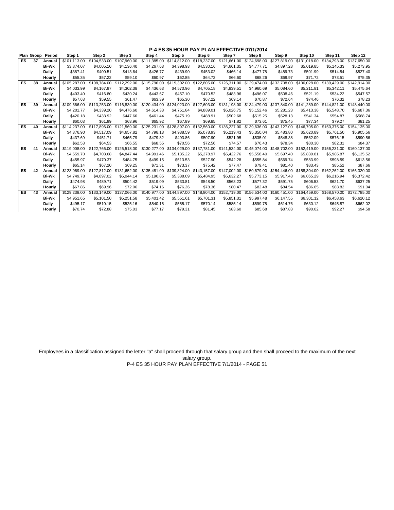|           |    | Plan Group Period | Step 1       | Step 2       | Step 3       | Step 4       | Step 5       | Step 6       | Step 7       | Step 8                    | Step 9       | Step 10      | Step 11      | Step 12      |
|-----------|----|-------------------|--------------|--------------|--------------|--------------|--------------|--------------|--------------|---------------------------|--------------|--------------|--------------|--------------|
| ES.       | 37 | Annual            | \$101.113.00 | \$104.533.00 | \$107.960.00 | \$111.385.00 | \$114.812.00 | \$118,237.00 | \$121.661.00 | \$124,698,00              | \$127.819.00 | \$131.018.00 | \$134.293.00 | \$137,650.00 |
|           |    | <b>Bi-Wk</b>      | \$3,874.07   | \$4,005.10   | \$4,136,40   | \$4,267.63   | \$4,398.93   | \$4,530.16   | \$4,661.35   | \$4,777,71                | \$4,897.28   | \$5.019.85   | \$5.145.33   | \$5,273.95   |
|           |    | Daily             | \$387.41     | \$400.51     | \$413.64     | \$426.77     | \$439.90     | \$453.02     | \$466.14     | \$477.78                  | \$489.73     | \$501.99     | \$514.54     | \$527.40     |
|           |    | Hourly            | \$55.35      | \$57.22      | \$59.10      | \$60.97      | \$62.85      | \$64.72      | \$66.60      | \$68.26                   | \$69.97      | \$71.72      | \$73.51      | \$75.35      |
| ES.       | 38 | Annual            | \$105,287.00 | \$108,784.00 | \$112,292.00 | \$115.796.00 | \$119,302.00 | \$122,805.00 | \$126,311.00 | \$129,474.00              | \$132,708.00 | \$136,028.00 | \$139,429.00 | \$142,914.00 |
|           |    | <b>Bi-Wk</b>      | \$4,033.99   | \$4,167.97   | \$4,302.38   | \$4,436.63   | \$4,570.96   | \$4,705.18   | \$4,839.51   | \$4,960.69                | \$5,084.60   | \$5,211.81   | \$5,342.11   | \$5,475.64   |
|           |    | Daily             | \$403.40     | \$416.80     | \$430.24     | \$443.67     | \$457.10     | \$470.52     | \$483.96     | \$496.07                  | \$508.46     | \$521.19     | \$534.22     | \$547.57     |
|           |    | Hourly            | \$57.63      | \$59.55      | \$61.47      | \$63.39      | \$65.30      | \$67.22      | \$69.14      | \$70.87                   | \$72.64      | \$74.46      | \$76.32      | \$78.23      |
| <b>ES</b> | 39 | Annual            | \$109,666,00 | \$113,253,00 | \$116,839,00 | \$120.434.00 | \$124.023.00 | \$127,603.00 | \$131,198.00 | \$134,479.00              | \$137,840.00 | \$141.289.00 | \$144.821.00 | \$148,440.00 |
|           |    | <b>Bi-Wk</b>      | \$4,201.77   | \$4,339.20   | \$4,476.60   | \$4,614.33   | \$4,751.84   | \$4,889.01   | \$5,026.75   | \$5.152.46                | \$5,281.23   | \$5,413.38   | \$5,548.70   | \$5,687.36   |
|           |    | Daily             | \$420.18     | \$433.92     | \$447.66     | \$461.44     | \$475.19     | \$488.91     | \$502.68     | \$515.25                  | \$528.13     | \$541.34     | \$554.87     | \$568.74     |
|           |    | Hourly            | \$60.03      | \$61.99      | \$63.96      | \$65.92      | \$67.89      | \$69.85      | \$71.82      | \$73.61                   | \$75.45      | \$77.34      | \$79.27      | \$81.25      |
| <b>ES</b> | 40 | Annual            | \$114,237.00 | \$117,896.00 | \$121,569.00 | \$125,231.00 | \$128,897.00 | \$132,560.00 |              | \$136.227.00 \$139.636.00 | \$143.127.00 | \$146,705,00 | \$150,375,00 | \$154,135.00 |
|           |    | <b>Bi-Wk</b>      | \$4,376.90   | \$4.517.09   | \$4,657.82   | \$4,798.13   | \$4,938.59   | \$5.078.93   | \$5,219.43   | \$5,350.04                | \$5.483.80   | \$5,620.89   | \$5,761.50   | \$5,905.56   |
|           |    | Daily             | \$437.69     | \$451.71     | \$465.79     | \$479.82     | \$493.86     | \$507.90     | \$521.95     | \$535.01                  | \$548.38     | \$562.09     | \$576.15     | \$590.56     |
|           |    | Hourly            | \$62.53      | \$64.53      | \$66.55      | \$68.55      | \$70.56      | \$72.56      | \$74.57      | \$76.43                   | \$78.34      | \$80.30      | \$82.31      | \$84.37      |
| ES        | 41 | Annual            | \$119,008.00 | \$122,766.00 | \$126,518.00 | \$130,277.00 | \$134.029.00 | \$137,781.00 | \$141.534.00 | \$145.074.00              | \$148,702.00 | \$152,419.00 | \$156,231.00 | \$160,137.00 |
|           |    | <b>Bi-Wk</b>      | \$4,559.70   | \$4,703.68   | \$4,847,44   | \$4.991.46   | \$5,135.22   | \$5,278.97   | \$5,422.76   | \$5.558.40                | \$5.697.40   | \$5.839.81   | \$5.985.87   | \$6,135.52   |
|           |    | Daily             | \$455.97     | \$470.37     | \$484.75     | \$499.15     | \$513.53     | \$527.90     | \$542.28     | \$555.84                  | \$569.74     | \$583.99     | \$598.59     | \$613.56     |
|           |    | Hourly            | \$65.14      | \$67.20      | \$69.25      | \$71.31      | \$73.37      | \$75.42      | \$77.47      | \$79.41                   | \$81.40      | \$83.43      | \$85.52      | \$87.66      |
| <b>ES</b> | 42 | Annual            | \$123,969.00 | \$127.812.00 | \$131.652.00 | \$135,481.00 | \$139,324,00 | \$143,157.00 | \$147,002.00 | \$150,679.00              | \$154,446.00 | \$158,304.00 | \$162,262,00 | \$166,320.00 |
|           |    | <b>Bi-Wk</b>      | \$4.749.78   | \$4.897.02   | \$5.044.14   | \$5,190.85   | \$5,338.09   | \$5,484.95   | \$5,632.27   | \$5,773.15                | \$5,917.48   | \$6,065.29   | \$6,216.94   | \$6,372.42   |
|           |    | Daily             | \$474.98     | \$489.71     | \$504.42     | \$519.09     | \$533.81     | \$548.50     | \$563.23     | \$577.32                  | \$591.75     | \$606.53     | \$621.70     | \$637.25     |
|           |    | Hourly            | \$67.86      | \$69.96      | \$72.06      | \$74.16      | \$76.26      | \$78.36      | \$80.47      | \$82.48                   | \$84.54      | \$86.65      | \$88.82      | \$91.04      |
| ES        | 43 | Annual            | \$129,238,00 | \$133.149.00 | \$137.066.00 | \$140.977.00 | \$144.897.00 | \$148,804.00 | \$152,719.00 | \$156,534.00              | \$160,451.00 | \$164,459,00 | \$168,570.00 | \$172,785.00 |
|           |    | <b>Bi-Wk</b>      | \$4,951.65   | \$5,101.50   | \$5,251.58   | \$5,401.42   | \$5,551.61   | \$5,701.31   | \$5,851.31   | \$5,997.48                | \$6,147.55   | \$6,301.12   | \$6,458.63   | \$6,620.12   |
|           |    | Daily             | \$495.17     | \$510.15     | \$525.16     | \$540.15     | \$555.17     | \$570.14     | \$585.14     | \$599.75                  | \$614.76     | \$630.12     | \$645.87     | \$662.02     |
|           |    | Hourly            | \$70.74      | \$72.88      | \$75.03      | \$77.17      | \$79.31      | \$81.45      | \$83.60      | \$85.68                   | \$87.83      | \$90.02      | \$92.27      | \$94.58      |

Employees in a classification assigned the letter "a" shall proceed through that salary group and then shall proceed to the maximum of the next salary group.

P-4 ES 35 HOUR PAY PLAN EFFECTIVE 7/1/2014 - PAGE 51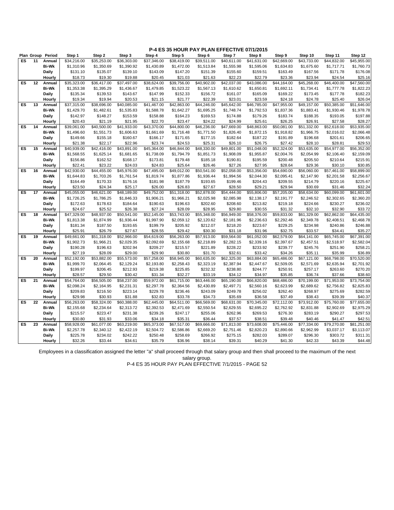|    |    |                   |             |             |             |             | J                       |             |             | v,          |             |             |             |             |
|----|----|-------------------|-------------|-------------|-------------|-------------|-------------------------|-------------|-------------|-------------|-------------|-------------|-------------|-------------|
|    |    | Plan Group Period | Step 1      | Step 2      | Step 3      | Step 4      | Step 5                  | Step 6      | Step 7      | Step 8      | Step 9      | Step 10     | Step 11     | Step 12     |
| ES | 11 | Annual            | \$34,216.00 | \$35,253.00 | \$36,303.00 | \$37,346.00 | \$38,419.00             | \$39,511.00 | \$40,611.00 | \$41,631.00 | \$42,669.00 | \$43,733.00 | \$44,832.00 | \$45,955.00 |
|    |    | <b>Bi-Wk</b>      | \$1,310.96  | \$1,350.69  | \$1,390.92  | \$1,430.89  | \$1,472.00              | \$1,513.84  | \$1,555.98  | \$1,595.06  | \$1,634.83  | \$1,675.60  | \$1,717.71  | \$1,760.73  |
|    |    | Daily             | \$131.10    | \$135.07    | \$139.10    | \$143.09    | \$147.20                | \$151.39    | \$155.60    | \$159.51    | \$163.49    | \$167.56    | \$171.78    | \$176.08    |
|    |    | Hourly            | \$18.73     | \$19.30     | \$19.88     | \$20.45     | \$21.03                 | \$21.63     | \$22.23     | \$22.79     | \$23.36     | \$23.94     | \$24.54     | \$25.16     |
| ES | 12 | Annual            | \$35,323.00 | \$36,417.00 | \$37,497.00 | \$38,624.00 | \$39,756.00             | \$40,902.00 | \$42,037.00 | \$43,086.00 | \$44,164.00 | \$45,268.00 | \$46,400.00 | \$47,560.00 |
|    |    | <b>Bi-Wk</b>      | \$1,353.38  | \$1,395.29  | \$1,436.67  | \$1,479.85  | \$1,523.22              | \$1,567.13  | \$1,610.62  | \$1,650.81  | \$1,692.11  | \$1,734.41  | \$1,777.78  | \$1,822.23  |
|    |    | Daily             | \$135.34    | \$139.53    | \$143.67    | \$147.99    | \$152.33                | \$156.72    | \$161.07    | \$165.09    | \$169.22    | \$173.45    | \$177.78    | \$182.23    |
|    |    | Hourly            | \$19.34     | \$19.94     | \$20.53     | \$21.15     | \$21.77                 | \$22.39     | \$23.01     | \$23.59     | \$24.18     | \$24.78     | \$25.40     | \$26.04     |
| ES | 13 | Annual            | \$37,315.00 | \$38,696.00 | \$40,085.00 | \$41,467.00 | \$42,863.00             | \$44,246.00 | \$45,642.00 | \$46,785.00 | \$47,955.00 | \$49,157.00 | \$50,385.00 | \$51,646.00 |
|    |    | <b>Bi-Wk</b>      | \$1,429.70  | \$1,482.61  | \$1,535.83  | \$1,588.78  | \$1,642.27              | \$1,695.25  | \$1,748.74  | \$1,792.53  | \$1,837.36  | \$1,883.41  | \$1,930.46  | \$1,978.78  |
|    |    | Daily             | \$142.97    | \$148.27    | \$153.59    | \$158.88    | \$164.23                | \$169.53    | \$174.88    | \$179.26    | \$183.74    | \$188.35    | \$193.05    | \$197.88    |
|    |    | Hourly            | \$20.43     | \$21.19     | \$21.95     | \$22.70     | \$23.47                 | \$24.22     | \$24.99     | \$25.61     | \$26.25     | \$26.91     | \$27.58     | \$28.27     |
| ES | 14 | Annual            | \$39,061.00 | \$40,500.00 | \$41,933.00 | \$43,370.00 | \$44,800.00             | \$46,236.00 | \$47,669.00 | \$48,863.00 | \$50,081.00 | \$51,332.00 | \$52,618.00 | \$53,935.00 |
|    |    | <b>Bi-Wk</b>      | \$1,496.60  | \$1,551.73  | \$1,606.63  | \$1,661.69  | \$1,716.48              | \$1,771.50  | \$1,826.40  | \$1,872.15  | \$1,918.82  | \$1,966.75  | \$2,016.02  | \$2,066.48  |
|    |    | Daily             | \$149.66    | \$155.18    | \$160.67    | \$166.17    | \$171.65                | \$177.15    | \$182.64    | \$187.22    | \$191.89    | \$196.68    | \$201.61    | \$206.65    |
|    |    | Hourly            | \$21.38     | \$22.17     | \$22.96     | \$23.74     | \$24.53                 | \$25.31     | \$26.10     | \$26.75     | \$27.42     | \$28.10     | \$28.81     | \$29.53     |
| ES | 15 | Annual            | \$40,939.00 | \$42,416.00 | \$43,891.00 | \$45,364.00 | \$46,844.00             | \$48,330.00 | \$49,801.00 | \$51,048.00 | \$52,324.00 | \$53,635.00 | \$54,977.00 | \$56,352.00 |
|    |    | <b>Bi-Wk</b>      | \$1,568.55  | \$1,625.14  | \$1,681.65  | \$1,738.09  | \$1,794.79              | \$1,851.73  | \$1,908.09  | \$1,955.87  | \$2,004.76  | \$2,054.99  | \$2,106.40  | \$2,159.09  |
|    |    | Daily             | \$156.86    | \$162.52    | \$168.17    | \$173.81    | \$179.48                | \$185.18    | \$190.81    | \$195.59    | \$200.48    | \$205.50    | \$210.64    | \$215.91    |
|    |    | Hourly            | \$22.41     | \$23.22     | \$24.03     | \$24.83     | \$25.64                 | \$26.46     | \$27.26     | \$27.95     | \$28.64     | \$29.36     | \$30.10     | \$30.85     |
| ES | 16 | Annual            | \$42,930.00 | \$44,455.00 | \$45,976.00 | \$47,495.00 | \$49,012.00             | \$50,541.00 | \$52,058.00 | \$53,356.00 | \$54,690.00 | \$56,060.00 | \$57,461.00 | \$58,899.00 |
|    |    | <b>Bi-Wk</b>      | \$1,644.83  | \$1,703.26  | \$1,761.54  | \$1,819.74  | \$1,877.86              | \$1,936.44  | \$1,994.56  | \$2,044.30  | \$2,095.41  | \$2,147.90  | \$2,201.58  | \$2,256.67  |
|    |    | Daily             | \$164.49    | \$170.33    | \$176.16    | \$181.98    | \$187.79                | \$193.65    | \$199.46    | \$204.43    | \$209.55    | \$214.79    | \$220.16    | \$225.67    |
|    |    | Hourly            | \$23.50     | \$24.34     | \$25.17     | \$26.00     | \$26.83                 | \$27.67     | \$28.50     | \$29.21     | \$29.94     | \$30.69     | \$31.46     | \$32.24     |
| ES | 17 | Annual            | \$45,055.00 | \$46,621.00 | \$48,189.00 | \$49,752.00 | $\overline{$}51,318.00$ | \$52,878.00 | \$54,444.00 | \$55,806.00 | \$57,205.00 | \$58,634.00 | \$60,099.00 | \$61,601.00 |
|    |    | <b>Bi-Wk</b>      | \$1,726.25  | \$1,786.25  | \$1,846.33  | \$1,906.21  | \$1,966.21              | \$2,025.98  | \$2,085.98  | \$2,138.17  | \$2,191.77  | \$2,246.52  | \$2,302.65  | \$2,360.20  |
|    |    | Daily             | \$172.63    | \$178.63    | \$184.64    | \$190.63    | \$196.63                | \$202.60    | \$208.60    | \$213.82    | \$219.18    | \$224.66    | \$230.27    | \$236.02    |
|    |    | Hourly            | \$24.67     | \$25.52     | \$26.38     | \$27.24     | \$28.09                 | \$28.95     | \$29.80     | \$30.55     | \$31.32     | \$32.10     | \$32.90     | \$33.72     |
| ES | 18 | Annual            | \$47,329.00 | \$48,937.00 | \$50,541.00 | \$52,145.00 | \$53,743.00             | \$55,348.00 | \$56,949.00 | \$58,376.00 | \$59,833.00 | \$61,329.00 | \$62,862.00 | \$64,435.00 |
|    |    | <b>Bi-Wk</b>      | \$1,813.38  | \$1,874.99  | \$1,936.44  | \$1,997.90  | \$2,059.12              | \$2,120.62  | \$2,181.96  | \$2,236.63  | \$2,292.46  | \$2,349.78  | \$2,408.51  | \$2,468.78  |
|    |    | Daily             | \$181.34    | \$187.50    | \$193.65    | \$199.79    | \$205.92                | \$212.07    | \$218.20    | \$223.67    | \$229.25    | \$234.98    | \$240.86    | \$246.88    |
|    |    | Hourly            | \$25.91     | \$26.79     | \$27.67     | \$28.55     | \$29.42                 | \$30.30     | \$31.18     | \$31.96     | \$32.75     | \$33.57     | \$34.41     | \$35.27     |
| ES | 19 | Annual            | \$49,661.00 | \$51,318.00 | \$52,966.00 | \$54,619.00 | \$56,263.00             | \$57,913.00 | \$59,564.00 | \$61,052.00 | \$62,579.00 | \$64,141.00 | \$65,745.00 | \$67,391.00 |
|    |    | <b>Bi-Wk</b>      | \$1,902.73  | \$1,966.21  | \$2,029.35  | \$2,092.69  | \$2,155.68              | \$2,218.89  | \$2,282.15  | \$2,339.16  | \$2,397.67  | \$2,457.51  | \$2,518.97  | \$2,582.04  |
|    |    | Daily             | \$190.28    | \$196.63    | \$202.94    | \$209.27    | \$215.57                | \$221.89    | \$228.22    | \$233.92    | \$239.77    | \$245.76    | \$251.90    | \$258.21    |
|    |    | Hourly            | \$27.19     | \$28.09     | \$29.00     | \$29.90     | \$30.80                 | \$31.70     | \$32.61     | \$33.42     | \$34.26     | \$35.11     | \$35.99     | \$36.89     |
| ES | 20 | Annual            | \$52,192.00 | \$53,882.00 | \$55,573.00 | \$57,258.00 | \$58,945.00             | \$60,635.00 | \$62,325.00 | \$63,884.00 | \$65,486.00 | \$67,121.00 | \$68,798.00 | \$70,520.00 |
|    |    | <b>Bi-Wk</b>      | \$1,999.70  | \$2,064.45  | \$2,129.24  | \$2,193.80  | \$2,258.43              | \$2,323.19  | \$2,387.94  | \$2,447.67  | \$2,509.05  | \$2,571.69  | \$2,635.94  | \$2,701.92  |
|    |    | Daily             | \$199.97    | \$206.45    | \$212.93    | \$219.38    | \$225.85                | \$232.32    | \$238.80    | \$244.77    | \$250.91    | \$257.17    | \$263.60    | \$270.20    |
|    |    | Hourly            | \$28.57     | \$29.50     | \$30.42     | \$31.34     | \$32.27                 | \$33.19     | \$34.12     | \$34.97     | \$35.85     | \$36.74     | \$37.66     | \$38.60     |
| ES | 21 | Annual            | \$54,764.00 | \$56,505.00 | \$58,237.00 | \$59,972.00 | \$61,715.00             | \$63,446.00 | \$65,190.00 | \$66,820.00 | \$68,486.00 | \$70,199.00 | \$71,953.00 | \$73,754.00 |
|    |    | <b>Bi-Wk</b>      | \$2,098.24  | \$2,164.95  | \$2,231.31  | \$2,297.78  | \$2,364.56              | \$2,430.89  | \$2,497.71  | \$2,560.16  | \$2,623.99  | \$2,689.62  | \$2,756.82  | \$2,825.83  |
|    |    | Daily             | \$209.83    | \$216.50    | \$223.14    | \$229.78    | \$236.46                | \$243.09    | \$249.78    | \$256.02    | \$262.40    | \$268.97    | \$275.69    | \$282.59    |
|    |    | Hourly            | \$29.98     | \$30.93     | \$31.88     | \$32.83     | \$33.78                 | \$34.73     | \$35.69     | \$36.58     | \$37.49     | \$38.43     | \$39.39     | \$40.37     |
| ES | 22 | Annual            | \$56,263.00 | \$58,324.00 | \$60,388.00 | \$62,445.00 | \$64,511.00             | \$66,569.00 | \$68,631.00 | \$70,345.00 | \$72,112.00 | \$73,912.00 | \$75,760.00 | \$77,655.00 |
|    |    | <b>Bi-Wk</b>      | \$2,155.68  | \$2,234.64  | \$2,313.72  | \$2,392.53  | \$2,471.69              | \$2,550.54  | \$2,629.55  | \$2,695.22  | \$2,762.92  | \$2,831.88  | \$2,902.69  | \$2,975.29  |
|    |    | Daily             | \$215.57    | \$223.47    | \$231.38    | \$239.26    | \$247.17                | \$255.06    | \$262.96    | \$269.53    | \$276.30    | \$283.19    | \$290.27    | \$297.53    |
|    |    | Hourly            | \$30.80     | \$31.93     | \$33.06     | \$34.18     | \$35.31                 | \$36.44     | \$37.57     | \$38.51     | \$39.48     | \$40.46     | \$41.47     | \$42.51     |
| ES | 23 | Annual            | \$58,928.00 | \$61,077.00 | \$63,219.00 | \$65,373.00 | \$67,517.00             | \$69,666.00 | \$71,813.00 | \$73,608.00 | \$75,446.00 | \$77,334.00 | \$79,270.00 | \$81,251.00 |
|    |    | <b>Bi-Wk</b>      | \$2,257.78  | \$2,340.12  | \$2,422.19  | \$2,504.72  | \$2,586.86              | \$2,669.20  | \$2,751.46  | \$2,820.23  | \$2,890.66  | \$2,962.99  | \$3,037.17  | \$3,113.07  |
|    |    | Daily             | \$225.78    | \$234.02    | \$242.22    | \$250.48    | \$258.69                | \$266.92    | \$275.15    | \$282.03    | \$289.07    | \$296.30    | \$303.72    | \$311.31    |
|    |    | Hourly            | \$32.26     | \$33.44     | \$34.61     | \$35.79     | \$36.96                 | \$38.14     | \$39.31     | \$40.29     | \$41.30     | \$42.33     | \$43.39     | \$44.48     |
|    |    |                   |             |             |             |             |                         |             |             |             |             |             |             |             |

Employees in a classification assigned the letter "a" shall proceed through that salary group and then shall proceed to the maximum of the next salary group.

P-4 ES 35 HOUR PAY PLAN EFFECTIVE 7/1/2015 - PAGE 52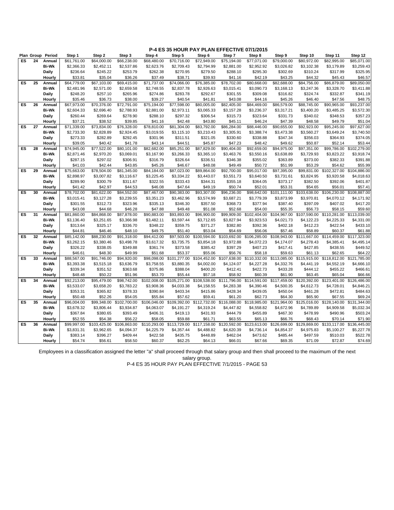|    | Plan Group | Period          | Step 1              | Step 2       | Step 3                  | Step 4       | Step 5              | Step 6                   | Step 7       | Step 8              | Step 9       | Step 10             | Step 11      | Step 12      |
|----|------------|-----------------|---------------------|--------------|-------------------------|--------------|---------------------|--------------------------|--------------|---------------------|--------------|---------------------|--------------|--------------|
| ES | 24         | Annual          | \$61,761.00         | \$64,000.00  | \$66,238.00             | \$68,480.00  | \$70,716.00         | \$72,949.00              | \$75,194.00  | \$77,071.00         | \$79,000.00  | \$80,972.00         | \$82,995.00  | \$85,071.00  |
|    |            | <b>Bi-Wk</b>    | \$2,366.33          | \$2,452.11   | \$2,537.86              | \$2,623.76   | \$2,709.43          | \$2,794.99               | \$2,881.00   | \$2,952.92          | \$3,026.82   | \$3,102.38          | \$3,179.89   | \$3,259.43   |
|    |            | Daily           | \$236.64            | \$245.22     | \$253.79                | \$262.38     | \$270.95            | \$279.50                 | \$288.10     | \$295.30            | \$302.69     | \$310.24            | \$317.99     | \$325.95     |
|    |            | Hourly          | \$33.81             | \$35.04      | \$36.26                 | \$37.49      | \$38.71             | \$39.93                  | \$41.16      | \$42.19             | \$43.25      | \$44.32             | \$45.43      | \$46.57      |
| ES | 25         | Annual          | \$64,779.00         | \$67,103.00  | \$69,415.00             | \$71,737.00  | \$74,066.00         | \$76,385.00              | \$78,702.00  | \$80,668.00         | \$82,688.00  | \$84,756.00         | \$86,879.00  | \$89,050.00  |
|    |            | <b>Bi-Wk</b>    | \$2,481.96          | \$2,571.00   | \$2,659.58              | \$2,748.55   | \$2,837.78          | \$2,926.63               | \$3,015.41   | \$3,090.73          | \$3,168.13   | \$3,247.36          | \$3,328.70   | \$3,411.88   |
|    |            | Daily           | \$248.20            | \$257.10     | \$265.96                | \$274.86     | \$283.78            | \$292.67                 | \$301.55     | \$309.08            | \$316.82     | \$324.74            | \$332.87     | \$341.19     |
|    |            | Hourly          | \$35.46             | \$36.73      | \$38.00                 | \$39.27      | \$40.54             | \$41.81                  | \$43.08      | \$44.16             | \$45.26      | \$46.40             | \$47.56      | \$48.75      |
| ES | 26         | Annual          | \$67,973.00         | \$70,376.00  | \$72,791.00             | \$75,194.00  | \$77,598.00         | \$80,005.00              | \$82,405.00  | \$84,469.00         | \$86,579.00  | \$88,745.00         | \$90,965.00  | \$93,237.00  |
|    |            | <b>Bi-Wk</b>    | \$2,604.33          | \$2,696.40   | \$2,788.93              | \$2,881.00   | \$2,973.11          | \$3,065.33               | \$3,157.28   | \$3,236.37          | \$3,317.21   | \$3,400.20          | \$3,485.25   | \$3,572.30   |
|    |            | Daily           | \$260.44            | \$269.64     | \$278.90                | \$288.10     | \$297.32            | \$306.54                 | \$315.73     | \$323.64            | \$331.73     | \$340.02            | \$348.53     | \$357.23     |
|    |            | Hourly          | \$37.21             | \$38.52      | \$39.85                 | \$41.16      | \$42.48             | \$43.80                  | \$45.11      | \$46.24             | \$47.39      | \$48.58             | \$49.79      | \$51.04      |
| ES | 27         | Annual          | \$71,339.00         | \$73,834.00  | \$76,328.00             | \$78,810.00  | \$81,304.00         | \$83,792.00              | \$86,284.00  | \$88,446.00         | \$90,655.00  | \$92,923.00         | \$95,245.00  | \$97,627.00  |
|    |            | <b>Bi-Wk</b>    | \$2,733.30          | \$2,828.89   | \$2,924.45              | \$3,019.55   | \$3,115.10          | \$3,210.43               | \$3,305.91   | \$3,388.74          | \$3,473.38   | \$3,560.27          | \$3,649.24   | \$3,740.50   |
|    |            |                 |                     | \$282.89     | \$292.45                | \$301.96     |                     |                          | \$330.60     |                     | \$347.34     |                     | \$364.93     | \$374.05     |
|    |            | Daily<br>Hourly | \$273.33<br>\$39.05 | \$40.42      | \$41.78                 | \$43.14      | \$311.51<br>\$44.51 | \$321.05<br>\$45.87      | \$47.23      | \$338.88<br>\$48.42 | \$49.62      | \$356.03<br>\$50.87 | \$52.14      | \$53.44      |
| ES | 28         |                 | \$74,945.00         | \$77,522.00  | \$80,101.00             | \$82,682.00  | \$85,251.00         | \$87,829.00              | \$90,404.00  | \$92,659.00         | \$94,975.00  | \$97,351.00         |              | \$102,279.00 |
|    |            | Annual          |                     |              |                         |              |                     |                          |              |                     |              |                     | \$99,786.00  |              |
|    |            | <b>Bi-Wk</b>    | \$2,871.46          | \$2,970.20   | \$3,069.01              | \$3,167.90   | \$3,266.33          | \$3,365.10               | \$3,463.76   | \$3,550.16          | \$3,638.89   | \$3,729.93          | \$3,823.22   | \$3,918.74   |
|    |            | Daily           | \$287.15            | \$297.02     | \$306.91                | \$316.79     | \$326.64            | \$336.51                 | \$346.38     | \$355.02            | \$363.89     | \$373.00            | \$382.33     | \$391.88     |
|    |            | Hourly          | \$41.03             | \$42.44      | \$43.85                 | \$45.26      | \$46.67             | \$48.08                  | \$49.49      | \$50.72             | \$51.99      | \$53.29             | \$54.62      | \$55.99      |
| ES | 29         | Annual          | \$75,663.00         | \$78,504.00  | \$81,345.00             | \$84,184.00  | \$87,023.00         | \$89,864.00              | \$92,700.00  | \$95,017.00         | \$97,395.00  | \$99,831.00         | \$102,327.00 | \$104,886.00 |
|    |            | <b>Bi-Wk</b>    | \$2,898.97          | \$3,007.82   | \$3,116.67              | \$3,225.45   | \$3,334.22          | \$3,443.07               | \$3,551.73   | \$3,640.50          | \$3,731.61   | \$3,824.95          | \$3,920.58   | \$4,018.63   |
|    |            | Daily           | \$289.90            | \$300.79     | \$311.67                | \$322.55     | \$333.43            | \$344.31                 | \$355.18     | \$364.05            | \$373.17     | \$382.50            | \$392.06     | \$401.87     |
|    |            | Hourly          | \$41.42             | \$42.97      | \$44.53                 | \$46.08      | \$47.64             | \$49.19                  | \$50.74      | \$52.01             | \$53.31      | \$54.65             | \$56.01      | \$57.41      |
| ES | 30         | Annual          | \$78,702.00         | \$81,622.00  | \$84,552.00             | \$87,467.00  | \$90,383.00         | \$93,307.00              | \$96,236.00  | \$98,642.00         | \$101.111.00 | \$103,638.00        | \$106,230.00 | \$108,887.00 |
|    |            | <b>Bi-Wk</b>    | \$3,015.41          | \$3,127.28   | \$3,239.55              | \$3,351.23   | \$3,462.96          | \$3,574.99               | \$3,687.21   | \$3,779.39          | \$3,873.99   | \$3,970.81          | \$4,070.12   | \$4,171.92   |
|    |            | Daily           | \$301.55            | \$312.73     | \$323.96                | \$335.13     | \$346.30            | \$357.50                 | \$368.73     | \$377.94            | \$387.40     | \$397.09            | \$407.02     | \$417.20     |
|    |            | Hourly          | \$43.08             | \$44.68      | \$46.28                 | \$47.88      | \$49.48             | \$51.08                  | \$52.68      | \$54.00             | \$55.35      | \$56.73             | \$58.15      | \$59.60      |
| ES | 31         | Annual          | \$81,860.00         | \$84,868.00  | \$87,878.00             | \$90,883.00  | \$93,893.00         | \$96,900.00              | \$99,909.00  | \$102,404.00        | \$104,967.00 | \$107,590.00        | \$110,281.00 | \$113,039.00 |
|    |            | <b>Bi-Wk</b>    | \$3,136.40          | \$3,251.65   | \$3,366.98              | \$3,482.11   | \$3,597.44          | \$3,712.65               | \$3,827.94   | \$3,923.53          | \$4,021.73   | \$4,122.23          | \$4,225.33   | \$4,331.00   |
|    |            | <b>Daily</b>    | \$313.64            | \$325.17     | \$336.70                | \$348.22     | \$359.75            | \$371.27                 | \$382.80     | \$392.36            | \$402.18     | \$412.23            | \$422.54     | \$433.10     |
|    |            | Hourly          | \$44.81             | \$46.46      | \$48.10                 | \$49.75      | \$51.40             | \$53.04                  | \$54.69      | \$56.06             | \$57.46      | \$58.89             | \$60.37      | \$61.88      |
| ES | 32         | Annual          | \$85,142.00         | \$88,230.00  | \$91,318.00             | \$94,412.00  | \$97,503.00         | \$100,594.00             | \$103,692.00 | \$106,285.00        | \$108,943.00 | \$111,667.00        | \$114,459.00 | \$117,323.00 |
|    |            | <b>Bi-Wk</b>    | \$3,262.15          | \$3,380.46   | \$3,498.78              | \$3,617.32   | \$3,735.75          | \$3,854.18               | \$3,972.88   | \$4,072.23          | \$4,174.07   | \$4,278.43          | \$4,385.41   | \$4,495.14   |
|    |            | Daily           | \$326.22            | \$338.05     | \$349.88                | \$361.74     | \$373.58            | \$385.42                 | \$397.29     | \$407.23            | \$417.41     | \$427.85            | \$438.55     | \$449.52     |
|    |            | Hourly          | \$46.61             | \$48.30      | \$49.99                 | \$51.68      | \$53.37             | \$55.06                  | \$56.76      | \$58.18             | \$59.63      | \$61.13             | \$62.65      | \$64.22      |
| ES | 33         | Annual          | \$88,567.00         | \$91,746.00  | \$94,920.00             | \$98,098.00  | \$101,277.00        | \$104,452.00             | \$107,638.00 | \$110,332.00        | \$113,085.00 | \$115,915.00        | \$118,812.00 | \$121,785.00 |
|    |            | <b>Bi-Wk</b>    | \$3,393.38          | \$3,515.18   | \$3,636.79              | \$3,758.55   | \$3,880.35          | \$4,002.00               | \$4,124.07   | \$4,227.28          | \$4,332.76   | \$4,441.19          | \$4,552.19   | \$4,666.10   |
|    |            | Daily           | \$339.34            | \$351.52     | \$363.68                | \$375.86     | \$388.04            | \$400.20                 | \$412.41     | \$422.73            | \$433.28     | \$444.12            | \$455.22     | \$466.61     |
|    |            | Hourly          | \$48.48             | \$50.22      | \$51.96                 | \$53.70      | \$55.44             | \$57.18                  | \$58.92      | \$60.39             | \$61.90      | \$63.45             | \$65.04      | \$66.66      |
| ES | 34         | Annual          | \$92,213.00         | \$95,479.00  | $\overline{$98,742.00}$ | \$102,008.00 | \$105,271.00        | \$108,538.00             | \$111,796.00 | \$114,591.00        | \$117,459.00 | \$120,392.00        | \$123,401.00 | \$126,486.00 |
|    |            | <b>Bi-Wk</b>    | \$3,533.07          | \$3,658.20   | \$3,783.22              | \$3,908.36   | \$4,033.38          | \$4,158.55               | \$4,283.38   | \$4,390.46          | \$4,500.35   | \$4,612.73          | \$4,728.01   | \$4,846.21   |
|    |            | <b>Daily</b>    | \$353.31            | \$365.82     | \$378.33                | \$390.84     | \$403.34            | \$415.86                 | \$428.34     | \$439.05            | \$450.04     | \$461.28            | \$472.81     | \$484.63     |
|    |            | Hourly          | \$50.48             | \$52.26      | \$54.05                 | \$55.84      | \$57.62             | \$59.41                  | \$61.20      | \$62.73             | \$64.30      | \$65.90             | \$67.55      | \$69.24      |
| ES | 35         | Annual          | \$96,004.00         | \$99.348.00  | \$102,700.00            | \$106,046.00 | \$109.392.00        | \$112,732.00             | \$116,088.00 | \$118,985.00        | \$121.964.00 | \$125.016.00        | \$128.140.00 | \$131.344.00 |
|    |            | <b>Bi-Wk</b>    | \$3,678.32          | \$3,806.44   | \$3,934.87              | \$4,063.07   | \$4,191.27          | \$4,319.24               | \$4,447.82   | \$4,558.82          | \$4,672.96   | \$4,789.89          | \$4,909.58   | \$5,032.34   |
|    |            | Daily           | \$367.84            | \$380.65     | \$393.49                | \$406.31     | \$419.13            | \$431.93                 | \$444.79     | \$455.89            | \$467.30     | \$478.99            | \$490.96     | \$503.24     |
|    |            | Hourly          | \$52.55             | \$54.38      | \$56.22                 | \$58.05      | \$59.88             | \$61.71                  | \$63.55      | \$65.13             | \$66.76      | \$68.43             | \$70.14      | \$71.90      |
| ES | 36         | Annual          | \$99,997.00         | \$103,425.00 | \$106,863.00            | \$110,293.00 | \$113,729.00        | $\overline{$}117,158.00$ | \$120,592.00 | \$123,613.00        | \$126,699.00 | \$129,869.00        | \$133,117.00 | \$136,445.00 |
|    |            | <b>Bi-Wk</b>    | \$3,831.31          | \$3,962.65   | \$4,094.37              | \$4,225.79   | \$4,357.44          | \$4,488.82               | \$4,620.39   | \$4,736.14          | \$4,854.37   | \$4,975.83          | \$5,100.27   | \$5,227.78   |
|    |            | Daily           | \$383.14            | \$396.27     | \$409.44                | \$422.58     | \$435.75            | \$448.89                 | \$462.04     | \$473.62            | \$485.44     | \$497.59            | \$510.03     | \$522.78     |
|    |            | Hourly          | \$54.74             | \$56.61      | \$58.50                 | \$60.37      | \$62.25             | \$64.13                  | \$66.01      | \$67.66             | \$69.35      | \$71.09             | \$72.87      | \$74.69      |
|    |            |                 |                     |              |                         |              |                     |                          |              |                     |              |                     |              |              |

Employees in a classification assigned the letter "a" shall proceed through that salary group and then shall proceed to the maximum of the next salary group.

P-4 ES 35 HOUR PAY PLAN EFFECTIVE 7/1/2015 - PAGE 53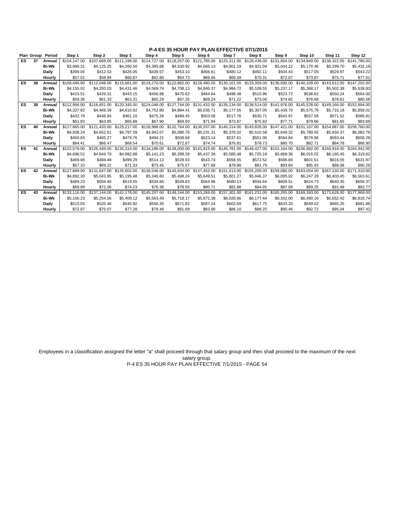|           |    | Plan Group Period | Step 1       | Step 2       | Step 3       | Step 4       | Step 5       | Step 6       | Step 7       | Step 8       | Step 9       | Step 10      | Step 11      | Step 12      |
|-----------|----|-------------------|--------------|--------------|--------------|--------------|--------------|--------------|--------------|--------------|--------------|--------------|--------------|--------------|
| ES.       | 37 | Annual            | \$104.147.00 | \$107.669.00 | \$111.199.00 | \$114,727.00 | \$118,257.00 | \$121.785.00 | \$125.311.00 | \$128,439.00 | \$131.654.00 | \$134.949.00 | \$138.322.00 | \$141.780.00 |
|           |    | <b>Bi-Wk</b>      | \$3,990.31   | \$4,125.25   | \$4,260.50   | \$4,395.68   | \$4,530.92   | \$4,666.10   | \$4,801.19   | \$4,921.04   | \$5,044.22   | \$5.170.46   | \$5,299.70   | \$5,432.19   |
|           |    | Daily             | \$399.04     | \$412.53     | \$426.05     | \$439.57     | \$453.10     | \$466.61     | \$480.12     | \$492.11     | \$504.43     | \$517.05     | \$529.97     | \$543.22     |
|           |    | Hourly            | \$57.01      | \$58.94      | \$60.87      | \$62.80      | \$64.73      | \$66.66      | \$68.59      | \$70.31      | \$72.07      | \$73.87      | \$75.71      | \$77.61      |
| <b>ES</b> | 38 | Annual            | \$108,446.00 | \$112.048.00 | \$115,661.00 | \$119,270.00 | \$122,882.00 | \$126,490.00 | \$130,101.00 | \$133,359.00 | \$136,690.00 | \$140,109.00 | \$143.612.00 | \$147,202.00 |
|           |    | <b>Bi-Wk</b>      | \$4,155.02   | \$4,293.03   | \$4,431.46   | \$4.569.74   | \$4.708.13   | \$4,846.37   | \$4,984.72   | \$5.109.55   | \$5,237.17   | \$5.368.17   | \$5,502.38   | \$5,639.93   |
|           |    | Daily             | \$415.51     | \$429.31     | \$443.15     | \$456.98     | \$470.82     | \$484.64     | \$498.48     | \$510.96     | \$523.72     | \$536.82     | \$550.24     | \$564.00     |
|           |    | Hourly            | \$59.36      | \$61.33      | \$63.31      | \$65.29      | \$67.26      | \$69.24      | \$71.22      | \$73.00      | \$74.82      | \$76.69      | \$78.61      | \$80.58      |
| ES        | 39 | Annual            | \$112,956.00 | \$116,651,00 | \$120,345,00 | \$124,048.00 | \$127,744.00 | \$131,432.00 | \$135,134.00 | \$138,514.00 | \$141,976.00 | \$145,528.00 | \$149,166,00 | \$152,894.00 |
|           |    | <b>Bi-Wk</b>      | \$4,327.82   | \$4,469.39   | \$4,610.92   | \$4,752.80   | \$4,894.41   | \$5,035.71   | \$5,177.55   | \$5,307.05   | \$5,439.70   | \$5,575.79   | \$5,715.18   | \$5,858.01   |
|           |    | Daily             | \$432.79     | \$446.94     | \$461.10     | \$475.28     | \$489.45     | \$503.58     | \$517.76     | \$530.71     | \$543.97     | \$557.58     | \$571.52     | \$585.81     |
|           |    | Hourly            | \$61.83      | \$63.85      | \$65.88      | \$67.90      | \$69.93      | \$71.94      | \$73.97      | \$75.82      | \$77.71      | \$79.66      | \$81.65      | \$83.69      |
| <b>ES</b> | 40 | Annual            | \$117,665,00 | \$121.433.00 | \$125,217,00 | \$128.988.00 | \$132,764.00 | \$136,537.00 | \$140.314.00 | \$143,826,00 | \$147,421,00 | \$151.107.00 | \$154,887,00 | \$158,760.00 |
|           |    | <b>Bi-Wk</b>      | \$4,508.24   | \$4,652.61   | \$4.797.59   | \$4,942.07   | \$5,086.75   | \$5,231.31   | \$5,376.02   | \$5.510.58   | \$5,648.32   | \$5.789.55   | \$5.934.37   | \$6,082.76   |
|           |    | Daily             | \$450.83     | \$465.27     | \$479.76     | \$494.21     | \$508.68     | \$523.14     | \$537.61     | \$551.06     | \$564.84     | \$578.96     | \$593.44     | \$608.28     |
|           |    | Hourly            | \$64.41      | \$66.47      | \$68.54      | \$70.61      | \$72.67      | \$74.74      | \$76.81      | \$78.73      | \$80.70      | \$82.71      | \$84.78      | \$86.90      |
| <b>ES</b> | 41 | Annual            | \$122,579.00 | \$126,449.00 | \$130,314,00 | \$134.186.00 | \$138,050,00 | \$141.915.00 | \$145,781.00 | \$149,427.00 | \$153.164.00 | \$156,992.00 | \$160,918.00 | \$164,942.00 |
|           |    | <b>Bi-Wk</b>      | \$4,696.52   | \$4,844.79   | \$4,992.88   | \$5,141.23   | \$5,289.28   | \$5,437.36   | \$5,585.48   | \$5,725.18   | \$5,868.36   | \$6,015.02   | \$6,165.45   | \$6,319.62   |
|           |    | Daily             | \$469.66     | \$484.48     | \$499.29     | \$514.13     | \$528.93     | \$543.74     | \$558.55     | \$572.52     | \$586.84     | \$601.51     | \$616.55     | \$631.97     |
|           |    | Hourly            | \$67.10      | \$69.22      | \$71.33      | \$73.45      | \$75.57      | \$77.68      | \$79.80      | \$81.79      | \$83.84      | \$85.93      | \$88.08      | \$90.29      |
| <b>ES</b> | 42 | Annual            | \$127.689.00 | \$131.647.00 | \$135,602.00 | \$139,546.00 | \$143,504.00 | \$147.452.00 | \$151,413.00 | \$155,200.00 | \$159,080.00 | \$163.054.00 | \$167,130.00 | \$171.310.00 |
|           |    | <b>Bi-Wk</b>      | \$4.892.30   | \$5.043.95   | \$5,195.48   | \$5,346.60   | \$5.498.24   | \$5.649.51   | \$5,801.27   | \$5.946.37   | \$6.095.02   | \$6,247.28   | \$6,403.45   | \$6,563.61   |
|           |    | Daily             | \$489.23     | \$504.40     | \$519.55     | \$534.66     | \$549.83     | \$564.96     | \$580.13     | \$594.64     | \$609.51     | \$624.73     | \$640.35     | \$656.37     |
|           |    | Hourly            | \$69.89      | \$72.06      | \$74.23      | \$76.38      | \$78.55      | \$80.71      | \$82.88      | \$84.95      | \$87.08      | \$89.25      | \$91.48      | \$93.77      |
| ES        | 43 | Annual            | \$133,116.00 | \$137,144.00 | \$141.178.00 | \$145,207.00 | \$149,244,00 | \$153,269.00 | \$157,301.00 | \$161.231.00 | \$165,265.00 | \$169,393.00 | \$173,628.00 | \$177,969.00 |
|           |    | <b>Bi-Wk</b>      | \$5,100.23   | \$5,254.56   | \$5,409.12   | \$5,563.49   | \$5,718.17   | \$5,872.38   | \$6,026.86   | \$6,177.44   | \$6,332.00   | \$6,490.16   | \$6,652.42   | \$6,818.74   |
|           |    | Daily             | \$510.03     | \$525.46     | \$540.92     | \$556.35     | \$571.82     | \$587.24     | \$602.69     | \$617.75     | \$633.20     | \$649.02     | \$665.25     | \$681.88     |
|           |    | Hourly            | \$72.87      | \$75.07      | \$77.28      | \$79.48      | \$81.69      | \$83.90      | \$86.10      | \$88.25      | \$90.46      | \$92.72      | \$95.04      | \$97.42      |

Employees in a classification assigned the letter "a" shall proceed through that salary group and then shall proceed to the maximum of the next salary group.

P-4 ES 35 HOUR PAY PLAN EFFECTIVE 7/1/2015 - PAGE 54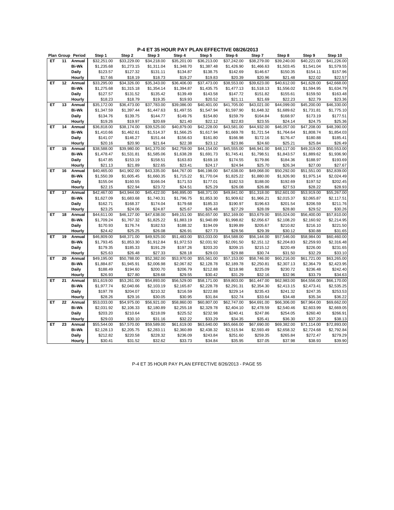|    |    | Plan Group Period | Step 1      | Step 2      | Step 3                  | Step 4      | Step 5                  | Step 6      | Step 7      | Step 8      | Step 9              | Step 10     |
|----|----|-------------------|-------------|-------------|-------------------------|-------------|-------------------------|-------------|-------------|-------------|---------------------|-------------|
| ET | 11 | Annual            | \$32,251.00 | \$33.229.00 | \$34,218.00             | \$35,201.00 | \$36,213.00             | \$37,242.00 | \$38,279.00 | \$39,240.00 | \$40,221.00         | \$41,226.00 |
|    |    | <b>Bi-Wk</b>      | \$1,235.68  | \$1,273.15  | \$1,311.04              | \$1,348.70  | \$1,387.48              | \$1,426.90  | \$1,466.63  | \$1,503.45  | \$1,541.04          | \$1,579.55  |
|    |    | Daily             | \$123.57    | \$127.32    | \$131.11                | \$134.87    | \$138.75                | \$142.69    | \$146.67    | \$150.35    | \$154.11            | \$157.96    |
|    |    | Hourly            | \$17.66     | \$18.19     | \$18.73                 | \$19.27     | \$19.83                 | \$20.39     | \$20.96     | \$21.48     | \$22.02             | \$22.57     |
| ET | 12 | Annual            | \$33,295.00 | \$34,326.00 | \$35,343.00             | \$36,406.00 | \$37,473.00             | \$38,553.00 | \$39,623.00 | \$40,612.00 | \$41,628.00         | \$42,668.00 |
|    |    | <b>Bi-Wk</b>      | \$1,275.68  | \$1,315.18  | \$1,354.14              | \$1,394.87  | \$1,435.75              | \$1,477.13  | \$1,518.13  | \$1,556.02  | \$1,594.95          | \$1,634.79  |
|    |    | Daily             | \$127.57    | \$131.52    | \$135.42                | \$139.49    | \$143.58                | \$147.72    | \$151.82    | \$155.61    | \$159.50            | \$163.48    |
|    |    | Hourly            | \$18.23     | \$18.79     | \$19.35                 | \$19.93     | \$20.52                 | \$21.11     | \$21.69     | \$22.23     | \$22.79             | \$23.36     |
| ET | 13 | Annual            | \$35,172.00 | \$36,473.00 | \$37,783.00             | \$39,086.00 | \$40,401.00             | \$41,705.00 | \$43,021.00 | \$44,099.00 | \$45,200.00         | \$46,330.00 |
|    |    | <b>Bi-Wk</b>      | \$1,347.59  | \$1,397.44  | \$1,447.63              | \$1,497.55  | \$1,547.94              | \$1,597.90  | \$1,648.32  | \$1,689.62  | \$1,731.81          | \$1,775.10  |
|    |    | Daily             | \$134.76    | \$139.75    | \$144.77                | \$149.76    | \$154.80                | \$159.79    | \$164.84    | \$168.97    | \$173.19            | \$177.51    |
|    |    | Hourly            | \$19.26     | \$19.97     | \$20.69                 | \$21.40     | \$22.12                 | \$22.83     | \$23.55     | \$24.14     | \$24.75             | \$25.36     |
| ET | 14 | Annual            | \$36,818.00 | \$38,174.00 | \$39,525.00             | \$40,879.00 | \$42,228.00             | \$43,581.00 | \$44,932.00 | \$46,057.00 | \$47,208.00         | \$48,390.00 |
|    |    | <b>Bi-Wk</b>      | \$1,410.66  | \$1,462.61  | \$1,514.37              | \$1,566.25  | \$1,617.94              | \$1,669.78  | \$1,721.54  | \$1,764.64  | \$1,808.74          | \$1,854.03  |
|    |    | <b>Daily</b>      | \$141.07    | \$146.27    | \$151.44                | \$156.63    | \$161.80                | \$166.98    | \$172.16    | \$176.47    | \$180.88            | \$185.41    |
|    |    | Hourly            | \$20.16     | \$20.90     | \$21.64                 | \$22.38     | \$23.12                 | \$23.86     | \$24.60     | \$25.21     | \$25.84             | \$26.49     |
| EТ | 15 | Annual            | \$38,588.00 | \$39,980.00 | $\overline{$}41,370.00$ | \$42,759.00 | \$44,154.00             | \$45,555.00 | \$46,941.00 | \$48,117.00 | \$49,319.00         | \$50,553.00 |
|    |    | <b>Bi-Wk</b>      | \$1,478.47  | \$1,531.81  | \$1,585.06              | \$1,638.28  | \$1,691.73              | \$1,745.41  | \$1,798.51  | \$1,843.57  | \$1,889.62          | \$1,936.90  |
|    |    | <b>Daily</b>      | \$147.85    | \$153.19    | \$158.51                | \$163.83    | \$169.18                | \$174.55    | \$179.86    | \$184.36    | \$188.97            | \$193.69    |
|    |    | Hourly            | \$21.13     | \$21.89     | \$22.65                 | \$23.41     | \$24.17                 | \$24.94     | \$25.70     | \$26.34     | \$27.00             | \$27.67     |
| ET | 16 | Annual            | \$40,465.00 | \$41,902.00 | \$43,335.00             | \$44,767.00 | $\overline{$46,198.00}$ | \$47,638.00 | \$49,068.00 | \$50,292.00 | \$51,551.00         | \$52,839.00 |
|    |    | <b>Bi-Wk</b>      | \$1,550.39  | \$1,605.45  | \$1,660.35              | \$1,715.22  | \$1,770.04              | \$1,825.22  | \$1,880.00  | \$1,926.90  | \$1,975.14          | \$2,024.49  |
|    |    | Daily             | \$155.04    | \$160.55    | \$166.04                | \$171.53    | \$177.01                | \$182.53    | \$188.00    | \$192.69    | \$197.52            | \$202.45    |
|    |    | Hourly            | \$22.15     | \$22.94     | \$23.72                 | \$24.51     | \$25.29                 | \$26.08     | \$26.86     | \$27.53     | \$28.22             | \$28.93     |
| ET | 17 | Annual            | \$42,467.00 | \$43,944.00 | \$45,422.00             | \$46,895.00 | \$48,371.00             | \$49,841.00 | \$51,318.00 | \$52,601.00 | \$53,919.00         | \$55,267.00 |
|    |    | <b>Bi-Wk</b>      | \$1,627.09  | \$1,683.68  | \$1,740.31              | \$1,796.75  | \$1,853.30              | \$1,909.62  | \$1,966.21  | \$2,015.37  | \$2,065.87          | \$2,117.51  |
|    |    | Daily             | \$162.71    | \$168.37    | \$174.04                | \$179.68    | \$185.33                | \$190.97    | \$196.63    | \$201.54    | \$206.59            | \$211.76    |
|    |    | Hourly            | \$23.25     | \$24.06     | \$24.87                 | \$25.67     | \$26.48                 | \$27.29     | \$28.09     | \$28.80     | \$29.52             | \$30.26     |
| ET | 18 | Annual            | \$44,611.00 | \$46,127.00 | \$47,638.00             | \$49,151.00 | \$50,657.00             | \$52,169.00 | \$53,679.00 | \$55,024.00 | \$56,400.00         | \$57,810.00 |
|    |    | <b>Bi-Wk</b>      | \$1,709.24  | \$1,767.32  | \$1,825.22              | \$1,883.19  | \$1,940.89              | \$1,998.82  | \$2,056.67  | \$2,108.20  | \$2,160.92          | \$2,214.95  |
|    |    | Daily             | \$170.93    | \$176.74    | \$182.53                | \$188.32    | \$194.09                | \$199.89    | \$205.67    | \$210.82    | \$216.10            | \$221.50    |
|    |    | Hourly            | \$24.42     | \$25.25     | \$26.08                 | \$26.91     | \$27.73                 | \$28.56     | \$29.39     | \$30.12     | \$30.88             | \$31.65     |
| ET | 19 | Annual            | \$46,809.00 | \$48,371.00 | \$49,925.00             | \$51,483.00 | \$53,033.00             | \$54,588.00 | \$56,144.00 | \$57,546.00 | \$58,984.00         | \$60,460.00 |
|    |    | Bi-Wk             | \$1,793.45  | \$1,853.30  | \$1,912.84              | \$1,972.53  | \$2,031.92              | \$2,091.50  | \$2,151.12  | \$2,204.83  | \$2,259.93          | \$2,316.48  |
|    |    | Daily             | \$179.35    | \$185.33    | \$191.29                | \$197.26    | \$203.20                | \$209.15    | \$215.12    | \$220.49    | \$226.00            | \$231.65    |
|    |    | Hourly            | \$25.63     | \$26.48     | \$27.33                 | \$28.18     | \$29.03                 | \$29.88     | \$30.74     | \$31.50     | \$32.29             | \$33.10     |
| ET | 20 | Annual            | \$49,195.00 | \$50,788.00 | \$52,382.00             | \$53,970.00 | \$55,561.00             | \$57,153.00 | \$58,746.00 | \$60,216.00 | \$61,721.00         | \$63,265.00 |
|    |    | <b>Bi-Wk</b>      | \$1,884.87  | \$1,945.91  | \$2,006.98              | \$2,067.82  | \$2,128.78              | \$2,189.78  | \$2,250.81  | \$2,307.13  | \$2,364.79          | \$2,423.95  |
|    |    | Daily             | \$188.49    | \$194.60    | \$200.70                | \$206.79    | \$212.88                | \$218.98    | \$225.09    | \$230.72    | \$236.48            | \$242.40    |
|    |    | Hourly            | \$26.93     | \$27.80     | \$28.68                 | \$29.55     | \$30.42                 | \$31.29     | \$32.16     | \$32.96     | \$33.79             | \$34.63     |
| ET | 21 | Annual            | \$51,619.00 | \$53,261.00 | \$54,893.00             | \$56,529.00 | \$58,171.00             | \$59,803.00 | \$61,447.00 | \$62,983.00 | \$64,556.00         | \$66,170.00 |
|    |    | <b>Bi-Wk</b>      | \$1,977.74  | \$2,040.66  | \$2,103.19              | \$2,165.87  | \$2,228.78              | \$2,291.31  | \$2,354.30  | \$2,413.15  | \$2,473.41          | \$2,535.25  |
|    |    | Daily             | \$197.78    | \$204.07    | \$210.32                | \$216.59    | \$222.88                | \$229.14    | \$235.43    | \$241.32    | \$247.35            | \$253.53    |
|    |    | Hourly            | \$28.26     | \$29.16     | \$30.05                 | \$30.95     | \$31.84                 | \$32.74     | \$33.64     | \$34.48     | \$35.34             | \$36.22     |
| EТ | 22 | Annual            | \$53,033.00 | \$54,975.00 | \$56,921.00             | \$58,860.00 | \$60,807.00             | \$62,747.00 | \$64,691.00 | \$66,306.00 | \$67,964.00         | \$69,662.00 |
|    |    | <b>Bi-Wk</b>      | \$2,031.92  | \$2,106.33  | \$2,180.89              | \$2,255.18  | \$2,329.78              | \$2,404.10  | \$2,478.59  | \$2,540.46  | \$2,603.99          | \$2,669.05  |
|    |    | Daily             | \$203.20    | \$210.64    | \$218.09                | \$225.52    | \$232.98                | \$240.41    | \$247.86    | \$254.05    | \$260.40            | \$266.91    |
|    |    | Hourly            | \$29.03     | \$30.10     | \$31.16                 | \$32.22     | \$33.29                 | \$34.35     | \$35.41     | \$36.30     | \$37.20             | \$38.13     |
| ET | 23 | Annual            | \$55,544.00 | \$57,570.00 | \$59,589.00             | \$61,619.00 | \$63,640.00             | \$65,666.00 | \$67,690.00 | \$69,382.00 | \$71,114.00         | \$72,893.00 |
|    |    | <b>Bi-Wk</b>      | \$2,128.13  | \$2,205.75  | \$2,283.11              | \$2,360.89  | \$2,438.32              | \$2,515.94  | \$2,593.49  | \$2,658.32  | \$2,724.68          | \$2,792.84  |
|    |    |                   |             |             | \$228.32                |             |                         | \$251.60    | \$259.35    |             |                     | \$279.29    |
|    |    | Daily             | \$212.82    | \$220.58    |                         | \$236.09    | \$243.84                |             |             | \$265.84    | \$272.47<br>\$38.93 |             |
|    |    | Hourly            | \$30.41     | \$31.52     | \$32.62                 | \$33.73     | \$34.84                 | \$35.95     | \$37.05     | \$37.98     |                     | \$39.90     |

P-4 ET 35 HOUR PAY PLAN EFFECTIVE 8/26/2013 - PAGE 55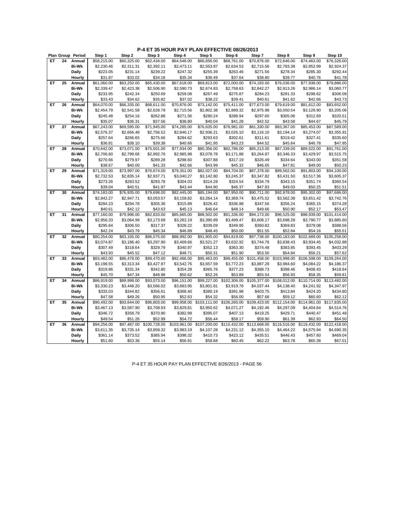|    |    | Plan Group Period | Step 1      | Step 2      | Step 3       | Step 4       | Step 5       | Step 6       | Step 7       | Step 8       | Step 9       | Step 10      |
|----|----|-------------------|-------------|-------------|--------------|--------------|--------------|--------------|--------------|--------------|--------------|--------------|
| ET | 24 | Annual            | \$58,215.00 | \$60,325.00 | \$62,434.00  | \$64,548.00  | \$66,656.00  | \$68,761.00  | \$70,876.00  | \$72,646.00  | \$74,463.00  | \$76,326.00  |
|    |    | <b>Bi-Wk</b>      | \$2,230.46  | \$2,311.31  | \$2,392.11   | \$2,473.11   | \$2,553.87   | \$2,634.53   | \$2,715.56   | \$2,783.38   | \$2,852.99   | \$2,924.37   |
|    |    | Daily             | \$223.05    | \$231.14    | \$239.22     | \$247.32     | \$255.39     | \$263.46     | \$271.56     | \$278.34     | \$285.30     | \$292.44     |
|    |    | Hourly            | \$31.87     | \$33.02     | \$34.18      | \$35.34      | \$36.49      | \$37.64      | \$38.80      | \$39.77      | \$40.76      | \$41.78      |
| ET | 25 | Annual            | \$61,060.00 | \$63,250.00 | \$65,430.00  | \$67,618.00  | \$69,813.00  | \$72,000.00  | \$74,183.00  | \$76,036.00  | \$77,938.00  | \$79,886.00  |
|    |    | <b>Bi-Wk</b>      | \$2,339.47  | \$2,423.38  | \$2,506.90   | \$2,590.73   | \$2,674.83   | \$2,758.63   | \$2,842.27   | \$2,913.26   | \$2,986.14   | \$3,060.77   |
|    |    | <b>Daily</b>      | \$233.95    | \$242.34    | \$250.69     | \$259.08     | \$267.49     | \$275.87     | \$284.23     | \$291.33     | \$298.62     | \$306.08     |
|    |    | Hourly            | \$33.43     | \$34.62     | \$35.82      | \$37.02      | \$38.22      | \$39.41      | \$40.61      | \$41.62      | \$42.66      | \$43.73      |
| ET | 26 | Annual            | \$64,070.00 | \$66,335.00 | \$68,611.00  | \$70,876.00  | \$73,142.00  | \$75,411.00  | \$77,673.00  | \$79,619.00  | \$81,612.00  | \$83,652.00  |
|    |    | <b>Bi-Wk</b>      | \$2,454.79  | \$2,541.58  | \$2,628.78   | \$2,715.56   | \$2,802.38   | \$2,889.32   | \$2,975.98   | \$3,050.54   | \$3,126.90   | \$3,205.06   |
|    |    | <b>Daily</b>      | \$245.48    | \$254.16    | \$262.88     | \$271.56     | \$280.24     | \$288.94     | \$297.60     | \$305.06     | \$312.69     | \$320.51     |
|    |    | Hourly            | \$35.07     | \$36.31     | \$37.56      | \$38.80      | \$40.04      | \$41.28      | \$42.52      | \$43.58      | \$44.67      | \$45.79      |
| ET | 27 | Annual            | \$67,243.00 | \$69,595.00 | \$71,945.00  | \$74,285.00  | \$76,635.00  | \$78,981.00  | \$81,330.00  | \$83,367.00  | \$85,453.00  | \$87,589.00  |
|    |    | <b>Bi-Wk</b>      | \$2,576.37  | \$2,666.48  | \$2,756.52   | \$2,846.17   | \$2,936.21   | \$3,026.10   | \$3,116.10   | \$3,194.14   | \$3,274.07   | \$3,355.91   |
|    |    | <b>Daily</b>      | \$257.64    | \$266.65    | \$275.66     | \$284.62     | \$293.63     | \$302.61     | \$311.61     | \$319.42     | \$327.41     | \$335.60     |
|    |    | Hourly            | \$36.81     | \$38.10     | \$39.38      | \$40.66      | \$41.95      | \$43.23      | \$44.52      | \$45.64      | \$46.78      | \$47.95      |
| EТ | 28 | Annual            | \$70,642.00 | \$73,071.00 | \$75,501.00  | \$77,934.00  | \$80,356.00  | \$82,786.00  | \$85,213.00  | \$87,339.00  | \$89,522.00  | \$91,761.00  |
|    |    | <b>Bi-Wk</b>      | \$2,706.60  | \$2,799.66  | \$2,892.76   | \$2,985.98   | \$3,078.78   | \$3,171.88   | \$3,264.87   | \$3,346.33   | \$3,429.97   | \$3,515.75   |
|    |    | <b>Daily</b>      | \$270.66    | \$279.97    | \$289.28     | \$298.60     | \$307.88     | \$317.19     | \$326.49     | \$334.64     | \$343.00     | \$351.58     |
|    |    | Hourly            | \$38.67     | \$40.00     | \$41.33      | \$42.66      | \$43.99      | \$45.32      | \$46.65      | \$47.81      | \$49.00      | \$50.23      |
| ET | 29 | Annual            | \$71,319.00 | \$73,997.00 | \$76,674.00  | \$79,351.00  | \$82,027.00  | \$84,704.00  | \$87,378.00  | \$89,562.00  | \$91,803.00  | \$94,100.00  |
|    |    | <b>Bi-Wk</b>      | \$2,732.53  | \$2,835.14  | \$2,937.71   | \$3,040.27   | \$3,142.80   | \$3,245.37   | \$3,347.82   | \$3,431.50   | \$3,517.36   | \$3,605.37   |
|    |    | Daily             | \$273.26    | \$283.52    | \$293.78     | \$304.03     | \$314.28     | \$324.54     | \$334.79     | \$343.15     | \$351.74     | \$360.54     |
|    |    | Hourly            | \$39.04     | \$40.51     | \$41.97      | \$43.44      | \$44.90      | \$46.37      | \$47.83      | \$49.03      | \$50.25      | \$51.51      |
| ET | 30 | Annual            | \$74,183.00 | \$76,935.00 | \$79,698.00  | \$82,445.00  | \$85,194.00  | \$87,950.00  | \$90,711.00  | \$92,978.00  | \$95,302.00  | \$97,686.00  |
|    |    | <b>Bi-Wk</b>      | \$2,842.27  | \$2,947.71  | \$3,053.57   | \$3,158.82   | \$3,264.14   | \$3,369.74   | \$3,475.52   | \$3,562.38   | \$3,651.42   | \$3,742.76   |
|    |    | Daily             | \$284.23    | \$294.78    | \$305.36     | \$315.89     | \$326.42     | \$336.98     | \$347.56     | \$356.24     | \$365.15     | \$374.28     |
|    |    | Hourly            | \$40.61     | \$42.12     | \$43.63      | \$45.13      | \$46.64      | \$48.14      | \$49.66      | \$50.90      | \$52.17      | \$53.47      |
| ET | 31 | Annual            | \$77,160.00 | \$79,996.00 | \$82,833.00  | \$85,665.00  | \$88,502.00  | \$91,336.00  | \$94,173.00  | \$96,525.00  | \$98,939.00  | \$101,414.00 |
|    |    | <b>Bi-Wk</b>      | \$2,956.33  | \$3,064.99  | \$3,173.68   | \$3,282.19   | \$3,390.89   | \$3,499.47   | \$3,608.17   | \$3,698.28   | \$3,790.77   | \$3,885.60   |
|    |    | Daily             | \$295.64    | \$306.50    | \$317.37     | \$328.22     | \$339.09     | \$349.95     | \$360.82     | \$369.83     | \$379.08     | \$388.56     |
|    |    | Hourly            | \$42.24     | \$43.79     | \$45.34      | \$46.89      | \$48.45      | \$50.00      | \$51.55      | \$52.84      | \$54.16      | \$55.51      |
| ET | 32 | Annual            | \$80,254.00 | \$83,165.00 | \$86,075.00  | \$88,992.00  | \$91,905.00  | \$94,819.00  | \$97,738.00  | \$100,183.00 | \$102,689.00 | \$105,258.00 |
|    |    | Bi-Wk             | \$3,074.87  | \$3,186.40  | \$3,297.90   | \$3,409.66   | \$3,521.27   | \$3,632.92   | \$3,744.76   | \$3,838.43   | \$3,934.45   | \$4,032.88   |
|    |    | <b>Daily</b>      | \$307.49    | \$318.64    | \$329.79     | \$340.97     | \$352.13     | \$363.30     | \$374.48     | \$383.85     | \$393.45     | \$403.29     |
|    |    | Hourly            | \$43.93     | \$45.52     | \$47.12      | \$48.71      | \$50.31      | \$51.90      | \$53.50      | \$54.84      | \$56.21      | \$57.62      |
| ET | 33 | Annual            | \$83,482.00 | \$86,478.00 | \$89,470.00  | \$92,466.00  | \$95,463.00  | \$98,455.00  | \$101,458.00 | \$103,998.00 | \$106,598.00 | \$109,264.00 |
|    |    | <b>Bi-Wk</b>      | \$3,198.55  | \$3,313.34  | \$3,427.97   | \$3,542.76   | \$3,657.59   | \$3,772.23   | \$3,887.28   | \$3,984.60   | \$4,084.22   | \$4,186.37   |
|    |    | Daily             | \$319.86    | \$331.34    | \$342.80     | \$354.28     | \$365.76     | \$377.23     | \$388.73     | \$398.46     | \$408.43     | \$418.64     |
|    |    | Hourly            | \$45.70     | \$47.34     | \$48.98      | \$50.62      | \$52.26      | \$53.89      | \$55.54      | \$56.93      | \$58.35      | \$59.81      |
| ET | 34 | Annual            | \$86,919.00 | \$89,998.00 | \$93,073.00  | \$96,151.00  | \$99,227.00  | \$102,306.00 | \$105,377.00 | \$108,012.00 | \$110,714.00 | \$113,482.00 |
|    |    | <b>Bi-Wk</b>      | \$3,330.23  | \$3,448.20  | \$3,566.02   | \$3,683.95   | \$3,801.81   | \$3,919.78   | \$4,037.44   | \$4,138.40   | \$4,241.92   | \$4,347.97   |
|    |    | Daily             | \$333.03    | \$344.82    | \$356.61     | \$368.40     | \$380.19     | \$391.98     | \$403.75     | \$413.84     | \$424.20     | \$434.80     |
|    |    | Hourly            | \$47.58     | \$49.26     | \$50.95      | \$52.63      | \$54.32      | \$56.00      | \$57.68      | \$59.12      | \$60.60      | \$62.12      |
| ET | 35 | Annual            | \$90,492.00 | \$93,644.00 | \$96,803.00  | \$99,958.00  | \$103,111.00 | \$106,260.00 | \$109,423.00 | \$112,154.00 | \$114,961.00 | \$117,835.00 |
|    |    | <b>Bi-Wk</b>      | \$3,467.13  | \$3,587.90  | \$3,708.93   | \$3,829.81   | \$3,950.62   | \$4,071.27   | \$4,192.46   | \$4,297.09   | \$4,404.64   | \$4,514.76   |
|    |    | <b>Daily</b>      | \$346.72    | \$358.79    | \$370.90     | \$382.99     | \$395.07     | \$407.13     | \$419.25     | \$429.71     | \$440.47     | \$451.48     |
|    |    | Hourly            | \$49.54     | \$51.26     | \$52.99      | \$54.72      | \$56.44      | \$58.17      | \$59.90      | \$61.39      | \$62.93      | \$64.50      |
| ET | 36 | Annual            | \$94,256.00 | \$97,487.00 | \$100,728.00 | \$103,961.00 | \$107,200.00 | \$110,432.00 | \$113,668.00 | \$116,516.00 | \$119,432.00 | \$122,418.00 |
|    |    | <b>Bi-Wk</b>      | \$3,611.35  | \$3,735.14  | \$3,859.32   | \$3,983.19   | \$4,107.28   | \$4,231.12   | \$4,355.10   | \$4,464.22   | \$4,575.94   | \$4,690.35   |
|    |    | Daily             | \$361.14    | \$373.52    | \$385.94     | \$398.32     | \$410.73     | \$423.12     | \$435.51     | \$446.43     | \$457.60     | \$469.04     |
|    |    | Hourly            | \$51.60     | \$53.36     | \$55.14      | \$56.91      | \$58.68      | \$60.45      | \$62.22      | \$63.78      | \$65.38      | \$67.01      |
|    |    |                   |             |             |              |              |              |              |              |              |              |              |

P-4 ET 35 HOUR PAY PLAN EFFECTIVE 8/26/2013 - PAGE 56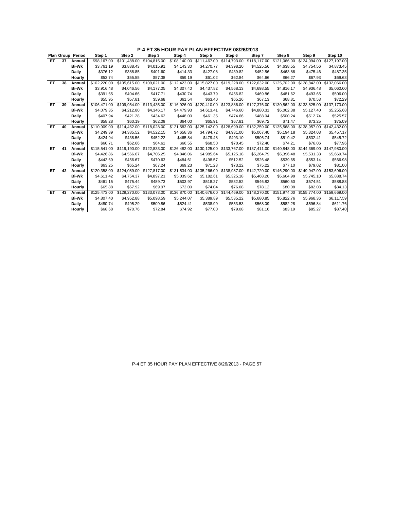|     |    | Plan Group Period | Step 1       | Step 2       | Step 3       | Step 4       | Step 5       | Step 6                    | Step 7       | Step 8       | Step 9       | Step 10      |
|-----|----|-------------------|--------------|--------------|--------------|--------------|--------------|---------------------------|--------------|--------------|--------------|--------------|
| ET. | 37 | Annual            | \$98.167.00  | \$101.488.00 | \$104.815.00 | \$108.140.00 | \$111.467.00 | \$114.793.00              | \$118,117.00 | \$121.066.00 | \$124.094.00 | \$127.197.00 |
|     |    | <b>Bi-Wk</b>      | \$3,761.19   | \$3,888.43   | \$4,015.91   | \$4,143.30   | \$4,270.77   | \$4,398.20                | \$4,525.56   | \$4,638.55   | \$4,754.56   | \$4,873.45   |
|     |    | Daily             | \$376.12     | \$388.85     | \$401.60     | \$414.33     | \$427.08     | \$439.82                  | \$452.56     | \$463.86     | \$475.46     | \$487.35     |
|     |    | Hourly            | \$53.74      | \$55.55      | \$57.38      | \$59.19      | \$61.02      | \$62.84                   | \$64.66      | \$66.27      | \$67.93      | \$69.63      |
| ET  | 38 | Annual            | \$102.220.00 | \$105.615.00 | \$109,021.00 | \$112,423.00 | \$115,827.00 | \$119,228.00              | \$122,632.00 | \$125,702.00 | \$128.842.00 | \$132,066.00 |
|     |    | <b>Bi-Wk</b>      | \$3,916.48   | \$4,046.56   | \$4,177.05   | \$4,307.40   | \$4,437.82   | \$4,568.13                | \$4,698.55   | \$4,816.17   | \$4,936.48   | \$5,060.00   |
|     |    | <b>Daily</b>      | \$391.65     | \$404.66     | \$417.71     | \$430.74     | \$443.79     | \$456.82                  | \$469.86     | \$481.62     | \$493.65     | \$506.00     |
|     |    | Hourly            | \$55.95      | \$57.81      | \$59.68      | \$61.54      | \$63.40      | \$65.26                   | \$67.13      | \$68.81      | \$70.53      | \$72.29      |
| ET  | 39 | Annual            | \$106,471.00 | \$109,954.00 | \$113,435.00 | \$116,926.00 | \$120,410.00 | \$123,886.00              | \$127,376.00 | \$130,562.00 | \$133,825.00 | \$137,173.00 |
|     |    | <b>Bi-Wk</b>      | \$4.079.35   | \$4,212.80   | \$4.346.17   | \$4,479.93   | \$4.613.41   | \$4,746.60                | \$4.880.31   | \$5,002.38   | \$5.127.40   | \$5,255.68   |
|     |    | <b>Daily</b>      | \$407.94     | \$421.28     | \$434.62     | \$448.00     | \$461.35     | \$474.66                  | \$488.04     | \$500.24     | \$512.74     | \$525.57     |
|     |    | Hourly            | \$58.28      | \$60.19      | \$62.09      | \$64.00      | \$65.91      | \$67.81                   | \$69.72      | \$71.47      | \$73.25      | \$75.09      |
| ET  | 40 | Annual            | \$110,909.00 | \$114,462.00 | \$118,028.00 | \$121,583.00 | \$125,142.00 | \$128,699.00              | \$132,259.00 | \$135,568.00 | \$138,957.00 | \$142,432.00 |
|     |    | <b>Bi-Wk</b>      | \$4.249.39   | \$4,385.52   | \$4,522.15   | \$4,658,36   | \$4.794.72   | \$4.931.00                | \$5.067.40   | \$5.194.18   | \$5,324.03   | \$5,457.17   |
|     |    | <b>Daily</b>      | \$424.94     | \$438.56     | \$452.22     | \$465.84     | \$479.48     | \$493.10                  | \$506.74     | \$519.42     | \$532.41     | \$545.72     |
|     |    | Hourly            | \$60.71      | \$62.66      | \$64.61      | \$66.55      | \$68.50      | \$70.45                   | \$72.40      | \$74.21      | \$76.06      | \$77.96      |
| ET  | 41 | Annual            | \$115,541.00 | \$119,190.00 | \$122,833.00 | \$126,482.00 | \$130.125.00 | \$133,767.00              | \$137,411.00 | \$140,848.00 | \$144,369.00 | \$147,980.00 |
|     |    | <b>Bi-Wk</b>      | \$4,426.86   | \$4.566.67   | \$4,706.25   | \$4,846.06   | \$4,985.64   | \$5,125.18                | \$5,264.79   | \$5,396.48   | \$5,531.38   | \$5,669.74   |
|     |    | <b>Daily</b>      | \$442.69     | \$456.67     | \$470.63     | \$484.61     | \$498.57     | \$512.52                  | \$526.48     | \$539.65     | \$553.14     | \$566.98     |
|     |    | Hourly            | \$63.25      | \$65.24      | \$67.24      | \$69.23      | \$71.23      | \$73.22                   | \$75.22      | \$77.10      | \$79.02      | \$81.00      |
| ET  | 42 | Annual            | \$120,358,00 | \$124.089.00 | \$127,817.00 | \$131,534.00 |              | \$135,266.00 \$138,987.00 | \$142,720.00 | \$146,290.00 | \$149,947.00 | \$153,696,00 |
|     |    | <b>Bi-Wk</b>      | \$4.611.42   | \$4,754.37   | \$4,897.21   | \$5,039.62   | \$5.182.61   | \$5,325.18                | \$5,468.20   | \$5,604.99   | \$5.745.10   | \$5,888.74   |
|     |    | Daily             | \$461.15     | \$475.44     | \$489.73     | \$503.97     | \$518.27     | \$532.52                  | \$546.82     | \$560.50     | \$574.51     | \$588.88     |
|     |    | Hourly            | \$65.88      | \$67.92      | \$69.97      | \$72.00      | \$74.04      | \$76.08                   | \$78.12      | \$80.08      | \$82.08      | \$84.13      |
| ET  | 43 | Annual            | \$125,473.00 | \$129,270.00 | \$133,073.00 | \$136,870.00 | \$140,676.00 | \$144,469.00              | \$148,270.00 | \$151,974.00 | \$155,774.00 | \$159,669.00 |
|     |    | <b>Bi-Wk</b>      | \$4,807.40   | \$4,952.88   | \$5,098.59   | \$5,244.07   | \$5,389.89   | \$5,535.22                | \$5.680.85   | \$5,822.76   | \$5,968.36   | \$6,117.59   |
|     |    | Daily             | \$480.74     | \$495.29     | \$509.86     | \$524.41     | \$538.99     | \$553.53                  | \$568.09     | \$582.28     | \$596.84     | \$611.76     |
|     |    | Hourly            | \$68.68      | \$70.76      | \$72.84      | \$74.92      | \$77.00      | \$79.08                   | \$81.16      | \$83.19      | \$85.27      | \$87.40      |

P-4 ET 35 HOUR PAY PLAN EFFECTIVE 8/26/2013 - PAGE 57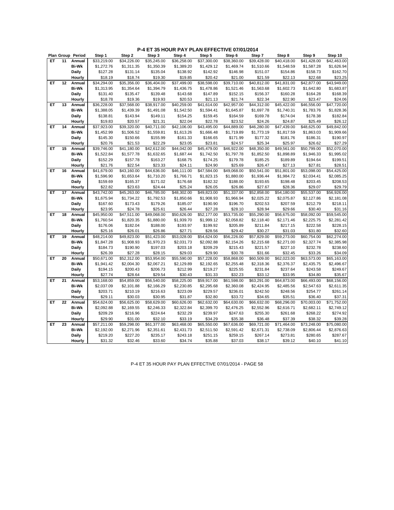|    |    | Plan Group Period      | Step 1                 | Step 2                 | Step 3                 | Step 4                 | Step 5                    | Step 6      | Step 7                    | Step 8                    | Step 9                    | Step 10                |
|----|----|------------------------|------------------------|------------------------|------------------------|------------------------|---------------------------|-------------|---------------------------|---------------------------|---------------------------|------------------------|
| ET | 11 | Annual                 | \$33,219.00            | \$34.226.00            | \$35,245.00            | \$36,258.00            | \$37,300.00               | \$38,360.00 | \$39,428.00               | \$40,418.00               | \$41,428.00               | \$42,463.00            |
|    |    | <b>Bi-Wk</b>           | \$1,272.76             | \$1,311.35             | \$1,350.39             | \$1,389.20             | \$1,429.12                | \$1,469.74  | \$1,510.66                | \$1,548.59                | \$1,587.28                | \$1,626.94             |
|    |    | Daily                  | \$127.28               | \$131.14               | \$135.04               | \$138.92               | \$142.92                  | \$146.98    | \$151.07                  | \$154.86                  | \$158.73                  | \$162.70               |
|    |    | Hourly                 | \$18.19                | \$18.74                | \$19.30                | \$19.85                | \$20.42                   | \$21.00     | \$21.59                   | \$22.13                   | \$22.68                   | \$23.25                |
| ET | 12 | Annual                 | \$34,294.00            | \$35,356.00            | \$36,404.00            | \$37,499.00            | \$38,598.00               | \$39,710.00 | \$40,812.00               | \$41,831.00               | \$42,877.00               | \$43,949.00            |
|    |    | <b>Bi-Wk</b>           | \$1,313.95             | \$1,354.64             | \$1,394.79             | \$1,436.75             | \$1,478.86                | \$1,521.46  | \$1,563.68                | \$1,602.73                | \$1,642.80                | \$1,683.87             |
|    |    | Daily                  | \$131.40               | \$135.47               | \$139.48               | \$143.68               | \$147.89                  | \$152.15    | \$156.37                  | \$160.28                  | \$164.28                  | \$168.39               |
|    |    | Hourly                 | \$18.78                | \$19.36                | \$19.93                | \$20.53                | \$21.13                   | \$21.74     | \$22.34                   | \$22.90                   | \$23.47                   | \$24.06                |
| EТ | 13 | Annual                 | \$36,228.00            | \$37,568.00            | \$38,917.00            | \$40,259.00            | \$41,614.00               | \$42,957.00 | \$44,312.00               | \$45,422.00               | \$46,556.00               | \$47,720.00            |
|    |    | <b>Bi-Wk</b>           | \$1,388.05             | \$1,439.39             | \$1,491.08             | \$1,542.50             | \$1,594.41                | \$1,645.87  | \$1,697.78                | \$1,740.31                | \$1,783.76                | \$1,828.36             |
|    |    | Daily                  | \$138.81               | \$143.94               | \$149.11               | \$154.25               | \$159.45                  | \$164.59    | \$169.78                  | \$174.04                  | \$178.38                  | \$182.84               |
|    |    | Hourly                 | \$19.83                | \$20.57                | \$21.31                | \$22.04                | \$22.78                   | \$23.52     | \$24.26                   | \$24.87                   | \$25.49                   | \$26.12                |
| ET | 14 | Annual                 | \$37,923.00            | \$39,320.00            | \$40,711.00            | \$42,106.00            | \$43,495.00               | \$44,889.00 | \$46,280.00               | \$47,439.00               | \$48,625.00               | \$49,842.00            |
|    |    | <b>Bi-Wk</b>           | \$1,452.99             | \$1,506.52             | \$1,559.81             | \$1,613.26             | \$1,666.48                | \$1,719.89  | \$1,773.19                | \$1,817.59                | \$1,863.03                | \$1,909.66             |
|    |    | Daily                  | \$145.30               | \$150.66               | \$155.99               | \$161.33               | \$166.65                  | \$171.99    | \$177.32                  | \$181.76                  | \$186.31                  | \$190.97               |
|    |    | Hourly                 | \$20.76                | \$21.53                | \$22.29                | \$23.05                | \$23.81                   | \$24.57     | \$25.34                   | \$25.97                   | \$26.62                   | \$27.29                |
| ET | 15 | Annual                 | \$39,746.00            | \$41,180.00            | \$42,612.00            | \$44,042.00            | \$45,479.00               | \$46,922.00 | \$48,350.00               | \$49,561.00               | \$50,799.00               | \$52,070.00            |
|    |    | <b>Bi-Wk</b>           | \$1,522.84             | \$1,577.78             | \$1,632.65             | \$1,687.44             | \$1,742.50                | \$1,797.78  | \$1,852.50                | \$1,898.89                | \$1,946.33                | \$1,995.02             |
|    |    | <b>Daily</b>           | \$152.29               | \$157.78               | \$163.27               | \$168.75               | \$174.25                  | \$179.78    | \$185.25                  | \$189.89                  | \$194.64                  | \$199.51               |
|    |    | Hourly                 | \$21.76                | \$22.54                | \$23.33                | \$24.11                | \$24.90                   | \$25.69     | \$26.47                   | \$27.13                   | \$27.81                   | \$28.51                |
| ET | 16 | Annual                 | \$41,679.00            | \$43,160.00            | \$44,636.00            | \$46,111.00            | \$47,584.00               | \$49,068.00 | \$50,541.00               | \$51,801.00               | \$53,098.00               | \$54,425.00            |
|    |    | <b>Bi-Wk</b>           | \$1,596.90             | \$1,653.64             | \$1,710.20             | \$1,766.71             | \$1,823.15                | \$1,880.00  | \$1,936.44                | \$1,984.72                | \$2,034.41                | \$2,085.25             |
|    |    | <b>Daily</b>           | \$159.69               | \$165.37               | \$171.02               | \$176.68               | \$182.32                  | \$188.00    | \$193.65                  | \$198.48                  | \$203.45                  | \$208.53               |
|    |    | Hourly                 | \$22.82                | \$23.63                | \$24.44                | \$25.24                | \$26.05                   | \$26.86     | \$27.67                   | \$28.36                   | \$29.07                   | \$29.79                |
| ET | 17 | Annual                 | \$43,742.00            | \$45,263.00            | \$46,785.00            | \$48,302.00            | \$49.823.00               | \$51,337.00 | \$52,858.00               | \$54,180.00               | \$55,537.00               | \$56,926.00            |
|    |    | <b>Bi-Wk</b>           | \$1,675.94             | \$1,734.22             | \$1,792.53             | \$1,850.66             | \$1,908.93                | \$1,966.94  | \$2,025.22                | \$2,075.87                | \$2,127.86                | \$2,181.08             |
|    |    | <b>Daily</b>           | \$167.60               | \$173.43               | \$179.26               | \$185.07               | \$190.90                  | \$196.70    | \$202.53                  | \$207.59                  | \$212.79                  | \$218.11               |
|    |    | Hourly                 | \$23.95                | \$24.78                | \$25.61                | \$26.44                | \$27.28                   | \$28.10     | \$28.94                   | \$29.66                   | \$30.40                   | \$31.16                |
| ET | 18 | Annual                 | \$45,950.00            | \$47,511.00            | \$49,068.00            | \$50,626.00            | \$52,177.00               | \$53,735.00 | \$55,290.00               | \$56,675.00               | \$58,092.00               | \$59,545.00            |
|    |    | <b>Bi-Wk</b>           | \$1,760.54             | \$1,820.35             | \$1,880.00             | \$1,939.70             | \$1,999.12                | \$2,058.82  | \$2,118.40                | \$2,171.46                | \$2,225.75                | \$2,281.42             |
|    |    | Daily                  | \$176.06               | \$182.04               | \$188.00               | \$193.97               | \$199.92                  | \$205.89    | \$211.84                  | \$217.15                  | \$222.58                  | \$228.15               |
|    |    |                        |                        |                        |                        | \$27.71                |                           |             | \$30.27                   |                           |                           | \$32.60                |
| ET | 19 | Hourly                 | \$25.16<br>\$48,214.00 | \$26.01                | \$26.86                | \$53,028.00            | \$28.56                   | \$29.42     |                           | \$31.03                   | \$31.80                   | \$62,274.00            |
|    |    | Annual<br><b>Bi-Wk</b> | \$1,847.28             | \$49,823.00            | \$51,423.00            | \$2,031.73             | \$54,624.00<br>\$2,092.88 | \$56,226.00 | \$57,829.00<br>\$2,215.68 | \$59,273.00<br>\$2,271.00 | \$60,754.00<br>\$2,327.74 | \$2,385.98             |
|    |    |                        |                        | \$1,908.93             | \$1,970.23             |                        |                           | \$2,154.26  |                           |                           |                           |                        |
|    |    | Daily                  | \$184.73               | \$190.90               | \$197.03               | \$203.18               | \$209.29                  | \$215.43    | \$221.57                  | \$227.10                  | \$232.78                  | \$238.60               |
| ET | 20 | Hourly                 | \$26.39<br>\$50,671.00 | \$27.28<br>\$52,312.00 | \$28.15<br>\$53,954.00 | \$29.03<br>\$55,590.00 | \$29.90                   | \$30.78     | \$31.66                   | \$32.45                   | \$33.26<br>\$63,573.00    | \$34.09<br>\$65,163.00 |
|    |    | Annual<br><b>Bi-Wk</b> |                        |                        |                        |                        | \$57,228.00               | \$58,868.00 | \$60,509.00               | \$62,023.00               |                           |                        |
|    |    |                        | \$1,941.42             | \$2,004.30             | \$2,067.21             | \$2,129.89             | \$2,192.65                | \$2,255.48  | \$2,318.36                | \$2,376.37                | \$2,435.75                | \$2,496.67             |
|    |    | Daily                  | \$194.15               | \$200.43               | \$206.73               | \$212.99               | \$219.27                  | \$225.55    | \$231.84                  | \$237.64                  | \$243.58                  | \$249.67               |
|    |    | Hourly                 | \$27.74                | \$28.64                | \$29.54                | \$30.43                | \$31.33                   | \$32.23     | \$33.12                   | \$33.95                   | \$34.80                   | \$35.67                |
| ET | 21 | Annual                 | \$53,168.00            | \$54,859.00            | \$56,540.00            | \$58,225.00            | \$59,917.00               | \$61,598.00 | \$63,291.00               | \$64,873.00               | \$66,493.00               | \$68,156.00            |
|    |    | <b>Bi-Wk</b>           | \$2,037.09             | \$2,101.88             | \$2,166.29             | \$2,230.85             | \$2,295.68                | \$2,360.08  | \$2,424.95                | \$2,485.56                | \$2,547.63                | \$2,611.35             |
|    |    | Daily                  | \$203.71               | \$210.19               | \$216.63               | \$223.09               | \$229.57                  | \$236.01    | \$242.50                  | \$248.56                  | \$254.77                  | \$261.14               |
|    |    | Hourly                 | \$29.11                | \$30.03                | \$30.95                | \$31.87                | \$32.80                   | \$33.72     | \$34.65                   | \$35.51                   | \$36.40                   | \$37.31                |
| EТ | 22 | Annual                 | \$54,624.00            | \$56,625.00            | \$58,629.00            | \$60,626.00            | \$62,632.00               | \$64,630.00 | \$66,632.00               | \$68,296.00               | \$70,003.00               | \$71,752.00            |
|    |    | <b>Bi-Wk</b>           | \$2,092.88             | \$2,169.55             | \$2,246.33             | \$2,322.84             | \$2,399.70                | \$2,476.25  | \$2,552.96                | \$2,616.71                | \$2,682.11                | \$2,749.12             |
|    |    | Daily                  | \$209.29               | \$216.96               | \$224.64               | \$232.29               | \$239.97                  | \$247.63    | \$255.30                  | \$261.68                  | \$268.22                  | \$274.92               |
|    |    | Hourly                 | \$29.90                | \$31.00                | \$32.10                | \$33.19                | \$34.29                   | \$35.38     | \$36.48                   | \$37.39                   | \$38.32                   | \$39.28                |
| ET | 23 | Annual                 | \$57,211.00            | \$59,298.00            | \$61,377.00            | \$63,468.00            | \$65,550.00               | \$67,636.00 | \$69,721.00               | \$71,464.00               | \$73,248.00               | \$75,080.00            |
|    |    | <b>Bi-Wk</b>           | \$2,192.00             | \$2,271.96             | \$2,351.61             | \$2,431.73             | \$2,511.50                | \$2,591.42  | \$2,671.31                | \$2,738.09                | \$2,806.44                | \$2,876.63             |
|    |    | Daily                  | \$219.20               | \$227.20               | \$235.17               | \$243.18               | \$251.15                  | \$259.15    | \$267.14                  | \$273.81                  | \$280.65                  | \$287.67               |
|    |    | Hourly                 | \$31.32                | \$32.46                | \$33.60                | \$34.74                | \$35.88                   | \$37.03     | \$38.17                   | \$39.12                   | \$40.10                   | \$41.10                |

P-4 ET 35 HOUR PAY PLAN EFFECTIVE 07/01/2014 - PAGE 58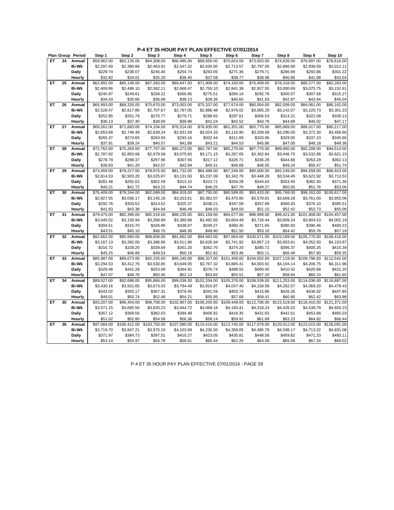|    |    | Plan Group Period | Step 1      | Step 2       | Step 3                  | Step 4       | Step 5       | Step 6       | Step 7       | Step 8       | Step 9       | Step 10      |
|----|----|-------------------|-------------|--------------|-------------------------|--------------|--------------|--------------|--------------|--------------|--------------|--------------|
| ET | 24 | Annual            | \$59,962.00 | \$62,135.00  | \$64,308.00             | \$66,485.00  | \$68,656.00  | \$70,824.00  | \$73,003.00  | \$74,826.00  | \$76,697.00  | \$78,616.00  |
|    |    | <b>Bi-Wk</b>      | \$2,297.40  | \$2,380.66   | \$2,463.91              | \$2,547.32   | \$2,630.50   | \$2,713.57   | \$2,797.05   | \$2,866.90   | \$2,938.59   | \$3,012.11   |
|    |    | Daily             | \$229.74    | \$238.07     | \$246.40                | \$254.74     | \$263.05     | \$271.36     | \$279.71     | \$286.69     | \$293.86     | \$301.22     |
|    |    | Hourly            | \$32.82     | \$34.01      | \$35.20                 | \$36.40      | \$37.58      | \$38.77      | \$39.96      | \$40.96      | \$41.98      | \$43.04      |
| ET | 25 | Annual            | \$62,892.00 | \$65,148.00  | \$67,393.00             | \$69,647.00  | \$71,908.00  | \$74,160.00  | \$76,409.00  | \$78,318.00  | \$80,277.00  | \$82,283.00  |
|    |    | <b>Bi-Wk</b>      | \$2,409.66  | \$2,496.10   | \$2,582.11              | \$2,668.47   | \$2,755.10   | \$2,841.38   | \$2,927.55   | \$3,000.69   | \$3,075.75   | \$3,152.61   |
|    |    | Daily             | \$240.97    | \$249.61     | \$258.22                | \$266.85     | \$275.51     | \$284.14     | \$292.76     | \$300.07     | \$307.58     | \$315.27     |
|    |    | Hourly            | \$34.43     | \$35.66      | \$36.89                 | \$38.13      | \$39.36      | \$40.60      | \$41.83      | \$42.87      | \$43.94      | \$45.04      |
| EТ | 26 | Annual            | \$65,993.00 | \$68,326.00  | \$70,670.00             | \$73,003.00  | \$75,337.00  | \$77,674.00  | \$80,004.00  | \$82,008.00  | \$84,061.00  | \$86,162.00  |
|    |    | <b>Bi-Wk</b>      | \$2,528.47  | \$2,617.86   | \$2,707.67              | \$2,797.05   | \$2,886.48   | \$2,976.02   | \$3,065.29   | \$3,142.07   | \$3,220.73   | \$3,301.23   |
|    |    | Daily             | \$252.85    | \$261.79     | \$270.77                | \$279.71     | \$288.65     | \$297.61     | \$306.53     | \$314.21     | \$322.08     | \$330.13     |
|    |    | Hourly            | \$36.13     | \$37.40      | \$38.69                 | \$39.96      | \$41.24      | \$42.52      | \$43.79      | \$44.89      | \$46.02      | \$47.17      |
| ET | 27 | Annual            | \$69,261.00 | \$71,683.00  | \$74,104.00             | \$76,514.00  | \$78,935.00  | \$81,351.00  | \$83,770.00  | \$85,869.00  | \$88,017.00  | \$90,217.00  |
|    |    | <b>Bi-Wk</b>      | \$2,653.68  | \$2,746.48   | \$2,839.24              | \$2,931.58   | \$3,024.33   | \$3,116.90   | \$3,209.58   | \$3,290.00   | \$3,372.30   | \$3,456.60   |
|    |    | <b>Daily</b>      | \$265.37    | \$274.65     | \$283.93                | \$293.16     | \$302.44     | \$311.69     | \$320.96     | \$329.00     | \$337.23     | \$345.66     |
|    |    | Hourly            | \$37.91     | \$39.24      | \$40.57                 | \$41.88      | \$43.21      | \$44.53      | \$45.86      | \$47.00      | \$48.18      | \$49.38      |
| EТ | 28 | Annual            | \$72,762.00 | \$75,264.00  | \$77,767.00             | \$80,273.00  | \$82,767.00  | \$85,270.00  | \$87,770.00  | \$89,960.00  | \$92,208.00  | \$94,514.00  |
|    |    | <b>Bi-Wk</b>      | \$2,787.82  | \$2,883.68   | \$2,979.58              | \$3,075.60   | \$3,171.15   | \$3,267.05   | \$3,362.84   | \$3,446.75   | \$3,532.88   | \$3,621.23   |
|    |    | Daily             | \$278.79    | \$288.37     | \$297.96                | \$307.56     | \$317.12     | \$326.71     | \$336.29     | \$344.68     | \$353.29     | \$362.13     |
|    |    | Hourly            | \$39.83     | \$41.20      | \$42.57                 | \$43.94      | \$45.31      | \$46.68      | \$48.05      | \$49.24      | \$50.47      | \$51.74      |
| ET | 29 | Annual            | \$73,459.00 | \$76,217.00  | \$78,975.00             | \$81,732.00  | \$84,488.00  | \$87,246.00  | \$90,000.00  | \$92,249.00  | \$94,558.00  | \$96,923.00  |
|    |    | <b>Bi-Wk</b>      | \$2,814.53  | \$2,920.20   | \$3,025.87              | \$3,131.50   | \$3,237.09   | \$3,342.76   | \$3,448.28   | \$3,534.45   | \$3,622.92   | \$3,713.53   |
|    |    | <b>Daily</b>      | \$281.46    | \$292.02     | \$302.59                | \$313.15     | \$323.71     | \$334.28     | \$344.83     | \$353.45     | \$362.30     | \$371.36     |
|    |    | Hourly            | \$40.21     | \$41.72      | \$43.23                 | \$44.74      | \$46.25      | \$47.76      | \$49.27      | \$50.50      | \$51.76      | \$53.06      |
| ET | 30 | Annual            | \$76,409.00 | \$79,244.00  | \$82,089.00             | \$84,919.00  | \$87,750.00  | \$90,589.00  | \$93,433.00  | \$95,768.00  | \$98,162.00  | \$100,617.00 |
|    |    | <b>Bi-Wk</b>      | \$2,927.55  | \$3,036.17   | \$3,145.18              | \$3,253.61   | \$3,362.07   | \$3,470.85   | \$3,579.81   | \$3,669.28   | \$3,761.00   | \$3,855.06   |
|    |    | <b>Daily</b>      | \$292.76    | \$303.62     | \$314.52                | \$325.37     | \$336.21     | \$347.09     | \$357.99     | \$366.93     | \$376.10     | \$385.51     |
|    |    | Hourly            | \$41.83     | \$43.38      | \$44.94                 | \$46.49      | \$48.03      | \$49.59      | \$51.15      | \$52.42      | \$53.73      | \$55.08      |
| ET | 31 | Annual            | \$79,475.00 | \$82,396.00  | \$85,318.00             | \$88,235.00  | \$91,158.00  | \$94,077.00  | \$96,999.00  | \$99,421.00  | \$101,908.00 | \$104,457.00 |
|    |    | <b>Bi-Wk</b>      | \$3,045.02  | \$3,156.94   | \$3,268.89              | \$3,380.66   | \$3,492.65   | \$3,604.49   | \$3,716.44   | \$3,809.24   | \$3,904.53   | \$4,002.19   |
|    |    | Daily             | \$304.51    | \$315.70     | \$326.89                | \$338.07     | \$349.27     | \$360.45     | \$371.65     | \$380.93     | \$390.46     | \$400.22     |
|    |    | Hourly            | \$43.51     | \$45.10      | \$46.70                 | \$48.30      | \$49.90      | \$51.50      | \$53.10      | \$54.42      | \$55.78      | \$57.18      |
| ET | 32 | Annual            | \$82,662.00 | \$85,660.00  | \$88,658.00             | \$91,662.00  | \$94,663.00  | \$97,664.00  | \$100,671.00 | \$103,189.00 | \$105,770.00 | \$108,416.00 |
|    |    | <b>Bi-Wk</b>      | \$3,167.13  | \$3,282.00   | \$3,396.86              | \$3,511.96   | \$3,626.94   | \$3,741.92   | \$3,857.13   | \$3,953.61   | \$4,052.50   | \$4,153.87   |
|    |    | Daily             | \$316.72    | \$328.20     | \$339.69                | \$351.20     | \$362.70     | \$374.20     | \$385.72     | \$395.37     | \$405.25     | \$415.39     |
|    |    | Hourly            | \$45.25     | \$46.89      | \$48.53                 | \$50.18      | \$51.82      | \$53.46      | \$55.11      | \$56.49      | \$57.90      | \$59.35      |
| ET | 33 | Annual            | \$85,987.00 | \$89,073.00  | $\overline{$92,155.00}$ | \$95,240.00  | \$98,327.00  | \$101,409.00 | \$104,502.00 | \$107,118.00 | \$109,796.00 | \$112,542.00 |
|    |    | <b>Bi-Wk</b>      | \$3,294.53  | \$3,412.76   | \$3,530.85              | \$3,649.05   | \$3,767.32   | \$3,885.41   | \$4,003.91   | \$4,104.14   | \$4,206.75   | \$4,311.96   |
|    |    | <b>Daily</b>      | \$329.46    | \$341.28     | \$353.09                | \$364.91     | \$376.74     | \$388.55     | \$400.40     | \$410.42     | \$420.68     | \$431.20     |
|    |    | Hourly            | \$47.07     | \$48.76      | \$50.45                 | \$52.13      | \$53.82      | \$55.51      | \$57.20      | \$58.64      | \$60.10      | \$61.60      |
| EТ | 34 | Annual            | \$89,527.00 | \$92,698.00  | \$95,866.00             | \$99,036.00  | \$102,204.00 | \$105,376.00 | \$108,539.00 | \$111,253.00 | \$114,036.00 | \$116,887.00 |
|    |    | <b>Bi-Wk</b>      | \$3,430.16  | \$3,551.65   | \$3,673.03              | \$3,794.49   | \$3,915.87   | \$4,037.40   | \$4,158.59   | \$4,262.57   | \$4,369.20   | \$4,478.43   |
|    |    | <b>Daily</b>      | \$343.02    | \$355.17     | \$367.31                | \$379.45     | \$391.59     | \$403.74     | \$415.86     | \$426.26     | \$436.92     | \$447.85     |
|    |    | Hourly            | \$49.01     | \$50.74      | \$52.48                 | \$54.21      | \$55.95      | \$57.68      | \$59.41      | \$60.90      | \$62.42      | \$63.98      |
| ET | 35 | Annual            | \$93,207.00 | \$96,454.00  | \$99,708.00             | \$102,957.00 | \$106,205.00 | \$109,448.00 | \$112,706.00 | \$115,519.00 | \$118,410.00 | \$121,371.00 |
|    |    | <b>Bi-Wk</b>      | \$3,571.15  | \$3,695.56   | \$3,820.23              | \$3,944.72   | \$4,069.16   | \$4,193.41   | \$4,318.24   | \$4,426.02   | \$4,536.79   | \$4,650.23   |
|    |    | Daily             | \$357.12    | \$369.56     | \$382.03                | \$394.48     | \$406.92     | \$419.35     | \$431.83     | \$442.61     | \$453.68     | \$465.03     |
|    |    | Hourly            | \$51.02     | \$52.80      | \$54.58                 | \$56.36      | \$58.14      | \$59.91      | \$61.69      | \$63.23      | \$64.82      | \$66.44      |
| ET | 36 | Annual            | \$97,084.00 | \$100,412.00 | \$103,750.00            | \$107,080.00 | \$110,416.00 | \$113,745.00 | \$117,079.00 | \$120,012.00 | \$123,015.00 | \$126,091.00 |
|    |    | Bi-Wk             | \$3,719.70  | \$3,847.21   | \$3,975.10              | \$4,102.69   | \$4,230.50   | \$4,358.05   | \$4,485.79   | \$4,598.17   | \$4,713.22   | \$4,831.08   |
|    |    | <b>Daily</b>      | \$371.97    | \$384.73     | \$397.51                | \$410.27     | \$423.05     | \$435.81     | \$448.58     | \$459.82     | \$471.33     | \$483.11     |
|    |    | Hourly            | \$53.14     | \$54.97      | \$56.79                 | \$58.61      | \$60.44      | \$62.26      | \$64.09      | \$65.69      | \$67.34      | \$69.02      |

P-4 ET 35 HOUR PAY PLAN EFFECTIVE 07/01/2014 - PAGE 59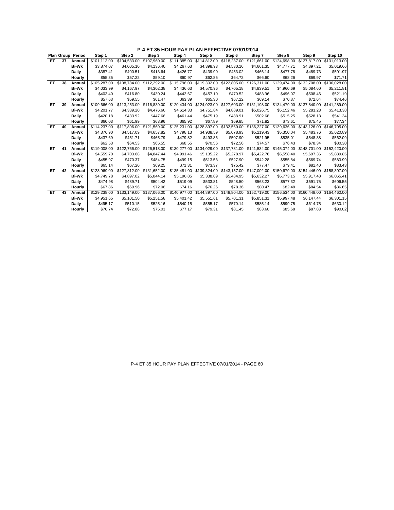| P-4 ET 35 HOUR PAY PLAN EFFECTIVE 07/01/2014 |  |  |  |
|----------------------------------------------|--|--|--|
|----------------------------------------------|--|--|--|

|     |    | <b>Plan Group Period</b> | Step 1       | Step 2       | Step 3       | Step 4       | Step 5       | Step 6                    | Step 7       | Step 8                    | Step 9       | Step 10      |
|-----|----|--------------------------|--------------|--------------|--------------|--------------|--------------|---------------------------|--------------|---------------------------|--------------|--------------|
| ET. | 37 | Annual                   | \$101.113.00 | \$104.533.00 | \$107.960.00 | \$111,385.00 | \$114,812.00 | \$118,237.00              | \$121.661.00 | \$124,698,00              | \$127.817.00 | \$131,013.00 |
|     |    | <b>Bi-Wk</b>             | \$3.874.07   | \$4,005.10   | \$4.136.40   | \$4,267.63   | \$4.398.93   | \$4,530.16                | \$4,661.35   | \$4,777.71                | \$4.897.21   | \$5,019.66   |
|     |    | <b>Daily</b>             | \$387.41     | \$400.51     | \$413.64     | \$426.77     | \$439.90     | \$453.02                  | \$466.14     | \$477.78                  | \$489.73     | \$501.97     |
|     |    | Hourly                   | \$55.35      | \$57.22      | \$59.10      | \$60.97      | \$62.85      | \$64.72                   | \$66.60      | \$68.26                   | \$69.97      | \$71.71      |
| ET  | 38 | Annual                   | \$105,287.00 | \$108.784.00 | \$112,292.00 | \$115,796.00 | \$119,302.00 | \$122,805.00              | \$126,311.00 | \$129,474.00              | \$132,708.00 | \$136,028.00 |
|     |    | <b>Bi-Wk</b>             | \$4,033.99   | \$4,167.97   | \$4,302.38   | \$4,436.63   | \$4,570.96   | \$4,705.18                | \$4,839.51   | \$4,960.69                | \$5,084.60   | \$5,211.81   |
|     |    | <b>Daily</b>             | \$403.40     | \$416.80     | \$430.24     | \$443.67     | \$457.10     | \$470.52                  | \$483.96     | \$496.07                  | \$508.46     | \$521.19     |
|     |    | Hourly                   | \$57.63      | \$59.55      | \$61.47      | \$63.39      | \$65.30      | \$67.22                   | \$69.14      | \$70.87                   | \$72.64      | \$74.46      |
| ET  | 39 | Annual                   | \$109,666.00 | \$113,253,00 | \$116,839.00 | \$120.434.00 | \$124.023.00 | \$127,603.00              | \$131.198.00 | \$134,479.00              | \$137,840,00 | \$141.289.00 |
|     |    | <b>Bi-Wk</b>             | \$4,201.77   | \$4,339.20   | \$4,476.60   | \$4,614.33   | \$4,751.84   | \$4,889.01                | \$5,026.75   | \$5,152.46                | \$5,281.23   | \$5,413.38   |
|     |    | <b>Daily</b>             | \$420.18     | \$433.92     | \$447.66     | \$461.44     | \$475.19     | \$488.91                  | \$502.68     | \$515.25                  | \$528.13     | \$541.34     |
|     |    | Hourly                   | \$60.03      | \$61.99      | \$63.96      | \$65.92      | \$67.89      | \$69.85                   | \$71.82      | \$73.61                   | \$75.45      | \$77.34      |
| ET  | 40 | Annual                   | \$114,237.00 | \$117,896.00 | \$121,569.00 | \$125,231.00 | \$128,897.00 | \$132,560.00              |              | \$136,227.00 \$139,636.00 | \$143,126.00 | \$146,705.00 |
|     |    | <b>Bi-Wk</b>             | \$4.376.90   | \$4.517.09   | \$4,657.82   | \$4,798.13   | \$4.938.59   | \$5.078.93                | \$5,219.43   | \$5.350.04                | \$5,483.76   | \$5,620.89   |
|     |    | Daily                    | \$437.69     | \$451.71     | \$465.79     | \$479.82     | \$493.86     | \$507.90                  | \$521.95     | \$535.01                  | \$548.38     | \$562.09     |
|     |    | Hourly                   | \$62.53      | \$64.53      | \$66.55      | \$68.55      | \$70.56      | \$72.56                   | \$74.57      | \$76.43                   | \$78.34      | \$80.30      |
| ET  | 41 | Annual                   | \$119,008.00 | \$122,766.00 | \$126,518.00 | \$130,277.00 |              | \$134,029.00 \$137,781.00 |              | \$141,534.00 \$145,074.00 | \$148,701.00 | \$152,420.00 |
|     |    | <b>Bi-Wk</b>             | \$4.559.70   | \$4,703.68   | \$4.847.44   | \$4,991.46   | \$5.135.22   | \$5,278.97                | \$5,422.76   | \$5.558.40                | \$5.697.36   | \$5,839.85   |
|     |    | Daily                    | \$455.97     | \$470.37     | \$484.75     | \$499.15     | \$513.53     | \$527.90                  | \$542.28     | \$555.84                  | \$569.74     | \$583.99     |
|     |    | Hourly                   | \$65.14      | \$67.20      | \$69.25      | \$71.31      | \$73.37      | \$75.42                   | \$77.47      | \$79.41                   | \$81.40      | \$83.43      |
| ET  | 42 | Annual                   | \$123,969.00 | \$127.812.00 | \$131,652.00 | \$135.481.00 |              | \$139,324.00 \$143,157.00 | \$147,002.00 | \$150,679.00              | \$154,446.00 | \$158,307.00 |
|     |    | <b>Bi-Wk</b>             | \$4.749.78   | \$4,897.02   | \$5,044.14   | \$5,190.85   | \$5,338.09   | \$5,484.95                | \$5,632.27   | \$5,773.15                | \$5,917.48   | \$6,065.41   |
|     |    | Daily                    | \$474.98     | \$489.71     | \$504.42     | \$519.09     | \$533.81     | \$548.50                  | \$563.23     | \$577.32                  | \$591.75     | \$606.55     |
|     |    | Hourly                   | \$67.86      | \$69.96      | \$72.06      | \$74.16      | \$76.26      | \$78.36                   | \$80.47      | \$82.48                   | \$84.54      | \$86.65      |
| ET  | 43 | Annual                   | \$129.238.00 | \$133.149.00 | \$137,066.00 | \$140.977.00 | \$144,897.00 | \$148,804.00              | \$152,719.00 | \$156,534.00              | \$160,448.00 | \$164,460.00 |
|     |    | <b>Bi-Wk</b>             | \$4,951.65   | \$5,101.50   | \$5,251.58   | \$5,401.42   | \$5,551.61   | \$5,701.31                | \$5,851.31   | \$5,997.48                | \$6,147.44   | \$6,301.15   |
|     |    | Daily                    | \$495.17     | \$510.15     | \$525.16     | \$540.15     | \$555.17     | \$570.14                  | \$585.14     | \$599.75                  | \$614.75     | \$630.12     |
|     |    | Hourly                   | \$70.74      | \$72.88      | \$75.03      | \$77.17      | \$79.31      | \$81.45                   | \$83.60      | \$85.68                   | \$87.83      | \$90.02      |

P-4 ET 35 HOUR PAY PLAN EFFECTIVE 07/01/2014 - PAGE 60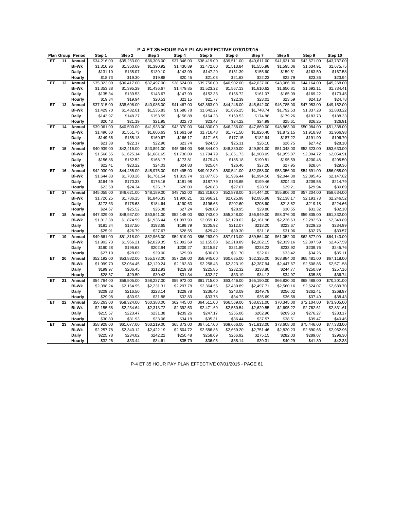|     |    | Plan Group Period | Step 1      | Step 2      | Step 3      | Step 4      | Step 5      | Step 6      | Step 7      | Step 8      | Step 9      | Step 10     |
|-----|----|-------------------|-------------|-------------|-------------|-------------|-------------|-------------|-------------|-------------|-------------|-------------|
| ET. | 11 | Annual            | \$34,216.00 | \$35,253.00 | \$36,303.00 | \$37,346.00 | \$38,419.00 | \$39,511.00 | \$40,611.00 | \$41,631.00 | \$42,671.00 | \$43,737.00 |
|     |    | <b>Bi-Wk</b>      | \$1,310.96  | \$1,350.69  | \$1,390.92  | \$1,430.89  | \$1,472.00  | \$1,513.84  | \$1,555.98  | \$1,595.06  | \$1,634.91  | \$1,675.75  |
|     |    | Daily             | \$131.10    | \$135.07    | \$139.10    | \$143.09    | \$147.20    | \$151.39    | \$155.60    | \$159.51    | \$163.50    | \$167.58    |
|     |    | Hourly            | \$18.73     | \$19.30     | \$19.88     | \$20.45     | \$21.03     | \$21.63     | \$22.23     | \$22.79     | \$23.36     | \$23.94     |
| ET  | 12 | Annual            | \$35,323.00 | \$36,417.00 | \$37,497.00 | \$38,624.00 | \$39,756.00 | \$40,902.00 | \$42,037.00 | \$43,086.00 | \$44,164.00 | \$45,268.00 |
|     |    | <b>Bi-Wk</b>      | \$1,353.38  | \$1,395.29  | \$1,436.67  | \$1,479.85  | \$1,523.22  | \$1,567.13  | \$1,610.62  | \$1,650.81  | \$1,692.11  | \$1,734.41  |
|     |    |                   |             |             |             |             |             |             |             |             |             |             |
|     |    | Daily             | \$135.34    | \$139.53    | \$143.67    | \$147.99    | \$152.33    | \$156.72    | \$161.07    | \$165.09    | \$169.22    | \$173.45    |
|     |    | Hourly            | \$19.34     | \$19.94     | \$20.53     | \$21.15     | \$21.77     | \$22.39     | \$23.01     | \$23.59     | \$24.18     | \$24.78     |
| ET  | 13 | Annual            | \$37,315.00 | \$38,696.00 | \$40,085.00 | \$41,467.00 | \$42,863.00 | \$44,246.00 | \$45,642.00 | \$46,785.00 | \$47,953.00 | \$49,152.00 |
|     |    | <b>Bi-Wk</b>      | \$1,429.70  | \$1,482.61  | \$1,535.83  | \$1,588.78  | \$1,642.27  | \$1,695.25  | \$1,748.74  | \$1,792.53  | \$1,837.28  | \$1,883.22  |
|     |    | Daily             | \$142.97    | \$148.27    | \$153.59    | \$158.88    | \$164.23    | \$169.53    | \$174.88    | \$179.26    | \$183.73    | \$188.33    |
|     |    | Hourly            | \$20.43     | \$21.19     | \$21.95     | \$22.70     | \$23.47     | \$24.22     | \$24.99     | \$25.61     | \$26.25     | \$26.91     |
| ET  | 14 | Annual            | \$39,061.00 | \$40,500.00 | \$41,933.00 | \$43,370.00 | \$44,800.00 | \$46,236.00 | \$47,669.00 | \$48,863.00 | \$50,084.00 | \$51,338.00 |
|     |    | <b>Bi-Wk</b>      | \$1,496.60  | \$1,551.73  | \$1,606.63  | \$1,661.69  | \$1,716.48  | \$1,771.50  | \$1,826.40  | \$1,872.15  | \$1,918.93  | \$1,966.98  |
|     |    | Daily             | \$149.66    | \$155.18    | \$160.67    | \$166.17    | \$171.65    | \$177.15    | \$182.64    | \$187.22    | \$191.90    | \$196.70    |
|     |    | Hourly            | \$21.38     | \$22.17     | \$22.96     | \$23.74     | \$24.53     | \$25.31     | \$26.10     | \$26.75     | \$27.42     | \$28.10     |
| ET  | 15 | Annual            | \$40,939.00 | \$42,416.00 | \$43,891.00 | \$45,364.00 | \$46,844.00 | \$48,330.00 | \$49,801.00 | \$51,048.00 | \$52,323.00 | \$53,633.00 |
|     |    | <b>Bi-Wk</b>      | \$1,568.55  | \$1,625.14  | \$1,681.65  | \$1,738.09  | \$1,794.79  | \$1,851.73  | \$1,908.09  | \$1,955.87  | \$2,004.72  | \$2,054.91  |
|     |    | Daily             | \$156.86    | \$162.52    | \$168.17    | \$173.81    | \$179.48    | \$185.18    | \$190.81    | \$195.59    | \$200.48    | \$205.50    |
|     |    | Hourly            | \$22.41     | \$23.22     | \$24.03     | \$24.83     | \$25.64     | \$26.46     | \$27.26     | \$27.95     | \$28.64     | \$29.36     |
| ET  | 16 | Annual            | \$42,930.00 | \$44,455.00 | \$45,976.00 | \$47,495.00 | \$49,012.00 | \$50,541.00 | \$52,058.00 | \$53,356.00 | \$54,691.00 | \$56,058.00 |
|     |    | <b>Bi-Wk</b>      | \$1,644.83  | \$1,703.26  | \$1,761.54  | \$1,819.74  | \$1,877.86  | \$1,936.44  | \$1,994.56  | \$2,044.30  | \$2,095.45  | \$2,147.82  |
|     |    | <b>Daily</b>      | \$164.49    | \$170.33    | \$176.16    | \$181.98    | \$187.79    | \$193.65    | \$199.46    | \$204.43    | \$209.55    | \$214.79    |
|     |    | Hourly            | \$23.50     | \$24.34     | \$25.17     | \$26.00     | \$26.83     | \$27.67     | \$28.50     | \$29.21     | \$29.94     | \$30.69     |
| ET  | 17 | Annual            | \$45,055.00 | \$46,621.00 | \$48,189.00 | \$49,752.00 | \$51,318.00 | \$52,878.00 | \$54,444.00 | \$55,806.00 | \$57,204.00 | \$58,634.00 |
|     |    | <b>Bi-Wk</b>      | \$1,726.25  | \$1,786.25  | \$1,846.33  | \$1,906.21  | \$1,966.21  | \$2,025.98  | \$2,085.98  | \$2,138.17  | \$2,191.73  | \$2,246.52  |
|     |    | <b>Daily</b>      | \$172.63    | \$178.63    | \$184.64    | \$190.63    | \$196.63    | \$202.60    | \$208.60    | \$213.82    | \$219.18    | \$224.66    |
|     |    | Hourly            | \$24.67     | \$25.52     | \$26.38     | \$27.24     | \$28.09     | \$28.95     | \$29.80     | \$30.55     | \$31.32     | \$32.10     |
| ET  | 18 | Annual            | \$47,329.00 | \$48,937.00 | \$50,541.00 | \$52,145.00 | \$53,743.00 | \$55,348.00 | \$56,949.00 | \$58,376.00 | \$59,835.00 | \$61,332.00 |
|     |    | Bi-Wk             | \$1,813.38  | \$1,874.99  | \$1,936.44  | \$1,997.90  | \$2,059.12  | \$2,120.62  | \$2,181.96  | \$2,236.63  | \$2,292.53  | \$2,349.89  |
|     |    | Daily             | \$181.34    | \$187.50    | \$193.65    | \$199.79    | \$205.92    | \$212.07    | \$218.20    | \$223.67    | \$229.26    | \$234.99    |
|     |    | Hourly            | \$25.91     | \$26.79     | \$27.67     | \$28.55     | \$29.42     | \$30.30     | \$31.18     | \$31.96     | \$32.76     | \$33.57     |
| ET  | 19 | Annual            | \$49,661.00 | \$51,318.00 | \$52,966.00 | \$54,619.00 | \$56,263.00 | \$57,913.00 | \$59,564.00 | \$61,052.00 | \$62,577.00 | \$64,143.00 |
|     |    | <b>Bi-Wk</b>      | \$1,902.73  | \$1,966.21  | \$2,029.35  | \$2,092.69  | \$2,155.68  | \$2,218.89  | \$2,282.15  | \$2,339.16  | \$2,397.59  | \$2,457.59  |
|     |    | Daily             | \$190.28    | \$196.63    | \$202.94    | \$209.27    | \$215.57    | \$221.89    | \$228.22    | \$233.92    | \$239.76    | \$245.76    |
|     |    | Hourly            | \$27.19     | \$28.09     | \$29.00     | \$29.90     | \$30.80     | \$31.70     | \$32.61     | \$33.42     | \$34.26     | \$35.11     |
| ET  | 20 | Annual            | \$52,192.00 | \$53,882.00 | \$55,573.00 | \$57,258.00 | \$58,945.00 | \$60,635.00 | \$62,325.00 | \$63,884.00 | \$65,481.00 | \$67,118.00 |
|     |    | <b>Bi-Wk</b>      | \$1,999.70  | \$2,064.45  | \$2,129.24  | \$2,193.80  | \$2,258.43  | \$2,323.19  | \$2,387.94  | \$2,447.67  | \$2,508.86  | \$2,571.58  |
|     |    | <b>Daily</b>      | \$199.97    | \$206.45    | \$212.93    | \$219.38    | \$225.85    | \$232.32    | \$238.80    | \$244.77    | \$250.89    | \$257.16    |
|     |    | Hourly            | \$28.57     | \$29.50     | \$30.42     | \$31.34     | \$32.27     | \$33.19     | \$34.12     | \$34.97     | \$35.85     | \$36.74     |
| ET  | 21 | Annual            | \$54,764.00 | \$56,505.00 | \$58,237.00 | \$59,972.00 | \$61,715.00 | \$63,446.00 | \$65,190.00 | \$66,820.00 | \$68,488.00 | \$70,201.00 |
|     |    | <b>Bi-Wk</b>      | \$2,098.24  | \$2,164.95  | \$2,231.31  | \$2,297.78  | \$2,364.56  | \$2,430.89  | \$2,497.71  | \$2,560.16  | \$2,624.07  | \$2,689.70  |
|     |    | <b>Daily</b>      | \$209.83    | \$216.50    | \$223.14    | \$229.78    | \$236.46    | \$243.09    | \$249.78    | \$256.02    | \$262.41    | \$268.97    |
|     |    | Hourly            | \$29.98     | \$30.93     | \$31.88     | \$32.83     | \$33.78     | \$34.73     | \$35.69     | \$36.58     | \$37.49     | \$38.43     |
| EТ  | 22 | Annual            | \$56,263.00 | \$58,324.00 | \$60,388.00 | \$62,445.00 | \$64,511.00 | \$66,569.00 | \$68,631.00 | \$70,345.00 | \$72,104.00 | \$73,905.00 |
|     |    | <b>Bi-Wk</b>      | \$2,155.68  | \$2,234.64  | \$2,313.72  | \$2,392.53  | \$2,471.69  | \$2,550.54  | \$2,629.55  | \$2,695.22  | \$2,762.61  | \$2,831.61  |
|     |    | Daily             | \$215.57    | \$223.47    | \$231.38    | \$239.26    | \$247.17    | \$255.06    | \$262.96    | \$269.53    | \$276.27    | \$283.17    |
|     |    | Hourly            | \$30.80     | \$31.93     | \$33.06     | \$34.18     | \$35.31     | \$36.44     | \$37.57     | \$38.51     | \$39.47     | \$40.46     |
| ET  | 23 | Annual            | \$58,928.00 | \$61,077.00 | \$63,219.00 | \$65,373.00 | \$67,517.00 | \$69,666.00 | \$71,813.00 | \$73,608.00 | \$75,446.00 | \$77,333.00 |
|     |    | Bi-Wk             | \$2,257.78  | \$2,340.12  | \$2,422.19  | \$2,504.72  | \$2,586.86  | \$2,669.20  | \$2,751.46  | \$2,820.23  | \$2,890.66  | \$2,962.96  |
|     |    | Daily             | \$225.78    | \$234.02    | \$242.22    | \$250.48    | \$258.69    | \$266.92    | \$275.15    | \$282.03    | \$289.07    | \$296.30    |
|     |    | Hourly            | \$32.26     | \$33.44     | \$34.61     | \$35.79     | \$36.96     | \$38.14     | \$39.31     | \$40.29     | \$41.30     | \$42.33     |
|     |    |                   |             |             |             |             |             |             |             |             |             |             |

P-4 ET 35 HOUR PAY PLAN EFFECTIVE 07/01/2015 - PAGE 61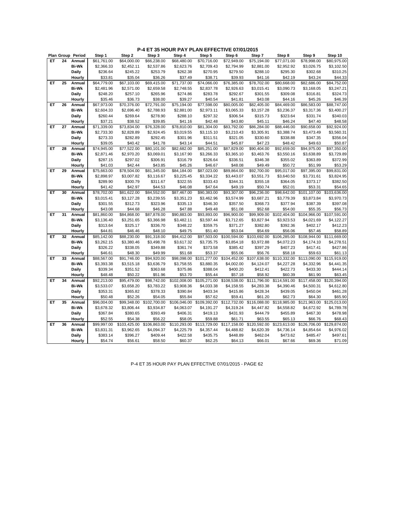|    |    | Plan Group Period      | Step 1                 | Step 2                   | Step 3                  | Step 4              | Step 5                  | Step 6                  | Step 7                  | Step 8                     | Step 9                  | Step 10                 |
|----|----|------------------------|------------------------|--------------------------|-------------------------|---------------------|-------------------------|-------------------------|-------------------------|----------------------------|-------------------------|-------------------------|
| ET | 24 | Annual                 | \$61,761.00            | \$64,000.00              | \$66,238.00             | \$68,480.00         | \$70,716.00             | \$72,949.00             | \$75.194.00             | \$77,071.00                | \$78,998.00             | \$80,975.00             |
|    |    | <b>Bi-Wk</b>           | \$2,366.33             | \$2,452.11               | \$2,537.86              | \$2,623.76          | \$2,709.43              | \$2,794.99              | \$2,881.00              | \$2,952.92                 | \$3,026.75              | \$3,102.50              |
|    |    | Daily                  | \$236.64               | \$245.22                 | \$253.79                | \$262.38            | \$270.95                | \$279.50                | \$288.10                | \$295.30                   | \$302.68                | \$310.25                |
|    |    | Hourly                 | \$33.81                | \$35.04                  | \$36.26                 | \$37.49             | \$38.71                 | \$39.93                 | \$41.16                 | \$42.19                    | \$43.24                 | \$44.33                 |
| ET | 25 | Annual                 | \$64,779.00            | \$67,103.00              | \$69,415.00             | \$71,737.00         | \$74,066.00             | \$76,385.00             | \$78,702.00             | \$80,668.00                | \$82,686.00             | \$84,752.00             |
|    |    | <b>Bi-Wk</b>           | \$2,481.96             | \$2,571.00               | \$2,659.58              | \$2,748.55          | \$2,837.78              | \$2,926.63              | \$3,015.41              | \$3,090.73                 | \$3,168.05              | \$3,247.21              |
|    |    | <b>Daily</b>           | \$248.20               | \$257.10                 | \$265.96                | \$274.86            | \$283.78                | \$292.67                | \$301.55                | \$309.08                   | \$316.81                | \$324.73                |
|    |    | Hourly                 | \$35.46                | \$36.73                  | \$38.00                 | \$39.27             | \$40.54                 | \$41.81                 | \$43.08                 | \$44.16                    | \$45.26                 | \$46.39                 |
| ET | 26 | Annual                 | \$67,973.00            | \$70,376.00              | $\overline{$}72,791.00$ | \$75,194.00         | \$77,598.00             | \$80,005.00             | \$82,405.00             | \$84,469.00                | \$86,583.00             | \$88,747.00             |
|    |    | <b>Bi-Wk</b>           | \$2,604.33             | \$2,696.40               | \$2,788.93              | \$2,881.00          | \$2,973.11              | \$3,065.33              | \$3,157.28              | \$3,236.37                 | \$3,317.36              | \$3,400.27              |
|    |    | Daily                  | \$260.44               | \$269.64                 | \$278.90                | \$288.10            | \$297.32                | \$306.54                | \$315.73                | \$323.64                   | \$331.74                | \$340.03                |
|    |    | Hourly                 | \$37.21                | \$38.52                  | \$39.85                 | \$41.16             | \$42.48                 | \$43.80                 | \$45.11                 | \$46.24                    | \$47.40                 | \$48.58                 |
| ET | 27 | Annual                 | \$71,339.00            | \$73,834.00              | \$76,328.00             | \$78,810.00         | \$81,304.00             | \$83,792.00             | \$86,284.00             | \$88,446.00                | \$90,658.00             | \$92,924.00             |
|    |    | <b>Bi-Wk</b>           | \$2,733.30             | \$2,828.89               | \$2,924.45              | \$3,019.55          | \$3,115.10              | \$3,210.43              | \$3,305.91              | \$3,388.74                 | \$3,473.49              | \$3,560.31              |
|    |    | Daily                  | \$273.33               | \$282.89                 | \$292.45                | \$301.96            | \$311.51                | \$321.05                | \$330.60                | \$338.88                   | \$347.35                | \$356.04                |
|    |    | Hourly                 | \$39.05                | \$40.42                  | \$41.78                 | \$43.14             | \$44.51                 | \$45.87                 | \$47.23                 | \$48.42                    | \$49.63                 | \$50.87                 |
| ET | 28 | Annual                 | \$74,945.00            | \$77,522.00              | \$80,101.00             | \$82,682.00         | \$85,251.00             | \$87,829.00             | \$90,404.00             | \$92,659.00                | \$94,975.00             | \$97,350.00             |
|    |    | <b>Bi-Wk</b>           | \$2,871.46             | \$2,970.20               | \$3,069.01              | \$3,167.90          | \$3,266.33              | \$3,365.10              | \$3,463.76              | \$3,550.16                 | \$3,638.89              | \$3,729.89              |
|    |    | <b>Daily</b>           | \$287.15               | \$297.02                 | \$306.91                | \$316.79            | \$326.64                | \$336.51                | \$346.38                | \$355.02                   | \$363.89                | \$372.99                |
|    |    | Hourly                 | \$41.03                | \$42.44                  | \$43.85                 | \$45.26             | \$46.67                 | \$48.08                 | \$49.49                 | \$50.72                    | \$51.99                 | \$53.29                 |
| ET | 29 | Annual                 | \$75,663.00            | \$78,504.00              | \$81,345.00             | \$84,184.00         | \$87,023.00             | \$89,864.00             | \$92,700.00             | \$95,017.00                | \$97,395.00             | \$99,831.00             |
|    |    | <b>Bi-Wk</b>           | \$2,898.97             | \$3,007.82               | \$3,116.67              | \$3,225.45          | \$3,334.22              | \$3,443.07              | \$3,551.73              | \$3,640.50                 | \$3,731.61              | \$3,824.95              |
|    |    | Daily                  | \$289.90               | \$300.79                 | \$311.67                | \$322.55            | \$333.43                | \$344.31                | \$355.18                | \$364.05                   | \$373.17                | \$382.50                |
|    |    | Hourly                 | \$41.42                | \$42.97                  | \$44.53                 | \$46.08             | \$47.64                 | \$49.19                 | \$50.74                 | \$52.01                    | \$53.31                 | \$54.65                 |
| ET | 30 | Annual                 | \$78,702.00            | \$81,622.00              | \$84,552.00             | \$87,467.00         | \$90,383.00             | \$93,307.00             | \$96,236.00             | \$98,642.00                | \$101,107.00            | \$103,636.00            |
|    |    | <b>Bi-Wk</b>           | \$3,015.41             | \$3,127.28               | \$3,239.55              | \$3,351.23          | \$3,462.96              | \$3,574.99              | \$3,687.21              | \$3,779.39                 | \$3,873.84              | \$3,970.73              |
|    |    | <b>Daily</b>           | \$301.55               | \$312.73                 | \$323.96                | \$335.13            | \$346.30                | \$357.50                | \$368.73                | \$377.94                   | \$387.39                | \$397.08                |
|    |    | Hourly                 | \$43.08                | \$44.68                  | \$46.28                 | \$47.88             | \$49.48                 | \$51.08                 | \$52.68                 | \$54.00                    | \$55.35                 | \$56.73                 |
| ET | 31 | Annual                 | \$81,860.00            | \$84,868.00              | \$87,878.00             | \$90,883.00         | \$93,893.00             | \$96,900.00             | \$99,909.00             | \$102,404.00               | \$104,966.00            | \$107,591.00            |
|    |    | <b>Bi-Wk</b>           | \$3,136.40             | \$3,251.65               | \$3,366.98              | \$3,482.11          | \$3,597.44              | \$3,712.65              | \$3,827.94              | \$3,923.53                 | \$4,021.69              | \$4,122.27              |
|    |    | Daily                  | \$313.64               | \$325.17                 | \$336.70                | \$348.22            | \$359.75                | \$371.27                | \$382.80                | \$392.36                   | \$402.17                | \$412.23                |
|    |    | Hourly                 | \$44.81                | \$46.46                  | \$48.10                 | \$49.75             | \$51.40                 | \$53.04                 | \$54.69                 | \$56.06                    | \$57.46                 | \$58.89                 |
| ET | 32 | Annual                 | \$85,142.00            | \$88,230.00              | \$91,318.00             | \$94,412.00         | \$97,503.00             | \$100,594.00            | \$103,692.00            | \$106,285.00               | \$108,944.00            | \$111,669.00            |
|    |    | <b>Bi-Wk</b>           | \$3,262.15             | \$3,380.46               | \$3,498.78              | \$3,617.32          | \$3,735.75              | \$3,854.18              | \$3,972.88              | \$4,072.23                 | \$4,174.10              | \$4,278.51              |
|    |    | Daily                  | \$326.22               | \$338.05                 | \$349.88                | \$361.74            | \$373.58                | \$385.42                | \$397.29                | \$407.23                   | \$417.41                | \$427.86                |
|    |    | Hourly                 | \$46.61                | \$48.30                  | \$49.99                 | \$51.68             | \$53.37                 | \$55.06                 | \$56.76                 | \$58.18                    | \$59.63                 | \$61.13                 |
| ET | 33 | Annual                 | \$88,567.00            | \$91,746.00              | \$94,920.00             | \$98,098.00         | \$101,277.00            | \$104,452.00            | \$107,638.00            | \$110,332.00               | \$113,090.00            | \$115,919.00            |
|    |    | <b>Bi-Wk</b>           | \$3,393.38             | \$3,515.18               | \$3,636.79              | \$3,758.55          | \$3,880.35              | \$4,002.00              | \$4,124.07              | \$4,227.28                 | \$4,332.96              | \$4,441.35              |
|    |    |                        | \$339.34               |                          | \$363.68                |                     | \$388.04                | \$400.20                |                         | \$422.73                   |                         | \$444.14                |
|    |    | Daily<br>Hourly        |                        | \$351.52<br>\$50.22      | \$51.96                 | \$375.86<br>\$53.70 | \$55.44                 |                         | \$412.41<br>\$58.92     | \$60.39                    | \$433.30                |                         |
| ET | 34 | Annual                 | \$48.48<br>\$92,213.00 | \$95,479.00              | \$98,742.00             | \$102,008.00        | \$105,271.00            | \$57.18<br>\$108,538.00 | \$111,796.00            | \$114,591.00               | \$61.90<br>\$117,458.00 | \$63.45<br>\$120,394.00 |
|    |    | <b>Bi-Wk</b>           | \$3,533.07             |                          | \$3,783.22              | \$3,908.36          | \$4,033.38              |                         | \$4,283.38              | \$4,390.46                 |                         | \$4,612.80              |
|    |    | Daily                  |                        | \$3,658.20               |                         |                     |                         | \$4,158.55              |                         | \$439.05                   | \$4,500.31              |                         |
|    |    |                        | \$353.31               | \$365.82                 | \$378.33                | \$390.84            | \$403.34                | \$415.86                | \$428.34                |                            | \$450.04                | \$461.28                |
| ET | 35 | Hourly                 | \$50.48<br>\$96,004.00 | \$52.26<br>\$99,348.00   | \$54.05<br>\$102,700.00 | \$55.84             | \$57.62<br>\$109,392.00 | \$59.41<br>\$112,732.00 | \$61.20<br>\$116,088.00 | \$62.73                    | \$64.30                 | \$65.90<br>\$125,013.00 |
|    |    | Annual<br><b>Bi-Wk</b> | \$3,678.32             | \$3,806.44               |                         | \$106,046.00        | \$4,191.27              | \$4,319.24              |                         | \$118,985.00<br>\$4,558.82 | \$121,963.00            | \$4,789.78              |
|    |    |                        |                        |                          | \$3,934.87              | \$4,063.07          |                         |                         | \$4,447.82<br>\$444.79  |                            | \$4,672.92              |                         |
|    |    | <b>Daily</b>           | \$367.84               | \$380.65                 | \$393.49                | \$406.31            | \$419.13                | \$431.93                |                         | \$455.89                   | \$467.30                | \$478.98                |
| ET | 36 | Hourly                 | \$52.55                | \$54.38                  | \$56.22                 | \$58.05             | \$59.88                 | \$61.71                 | \$63.55                 | \$65.13                    | \$66.76                 | \$68.43                 |
|    |    | Annual                 | \$99,997.00            | $\overline{$}103,425.00$ | \$106,863.00            | \$110,293.00        | \$113,729.00            | \$117,158.00            | \$120,592.00            | $\overline{$}123,613.00$   | \$126,706.00            | \$129,874.00            |
|    |    | <b>Bi-Wk</b>           | \$3,831.31             | \$3,962.65               | \$4,094.37              | \$4,225.79          | \$4,357.44              | \$4,488.82              | \$4,620.39              | \$4,736.14                 | \$4,854.64              | \$4,976.02              |
|    |    | Daily                  | \$383.14               | \$396.27                 | \$409.44                | \$422.58            | \$435.75                | \$448.89                | \$462.04                | \$473.62                   | \$485.47                | \$497.61                |
|    |    | Hourly                 | \$54.74                | \$56.61                  | \$58.50                 | \$60.37             | \$62.25                 | \$64.13                 | \$66.01                 | \$67.66                    | \$69.36                 | \$71.09                 |

P-4 ET 35 HOUR PAY PLAN EFFECTIVE 07/01/2015 - PAGE 62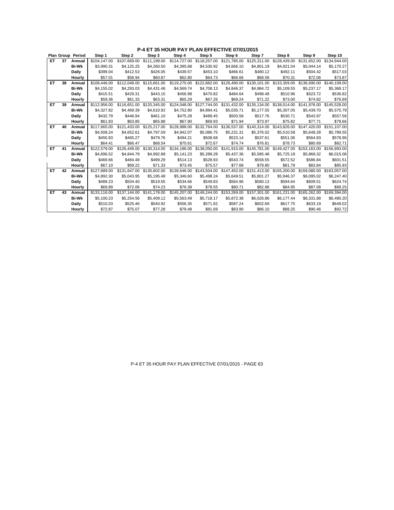|    |    | Plan Group Period | Step 1       | Step 2       | Step 3       | Step 4       | Step 5       | Step 6                    | Step 7                    | Step 8       | Step 9                    | Step 10      |
|----|----|-------------------|--------------|--------------|--------------|--------------|--------------|---------------------------|---------------------------|--------------|---------------------------|--------------|
| EТ | 37 | Annual            | \$104,147.00 | \$107.669.00 | \$111.199.00 | \$114.727.00 | \$118,257.00 | \$121.785.00              | \$125,311.00              | \$128,439.00 | \$131.652.00              | \$134.944.00 |
|    |    | <b>Bi-Wk</b>      | \$3,990.31   | \$4,125.25   | \$4,260.50   | \$4,395.68   | \$4,530.92   | \$4,666.10                | \$4,801.19                | \$4,921.04   | \$5,044.14                | \$5,170.27   |
|    |    | Daily             | \$399.04     | \$412.53     | \$426.05     | \$439.57     | \$453.10     | \$466.61                  | \$480.12                  | \$492.11     | \$504.42                  | \$517.03     |
|    |    | Hourly            | \$57.01      | \$58.94      | \$60.87      | \$62.80      | \$64.73      | \$66.66                   | \$68.59                   | \$70.31      | \$72.06                   | \$73.87      |
| EТ | 38 | Annual            | \$108,446.00 | \$112,048.00 | \$115,661.00 | \$119,270.00 |              | \$122,882.00 \$126,490.00 | \$130,101.00              | \$133,359.00 | \$136,690.00              | \$140,109.00 |
|    |    | <b>Bi-Wk</b>      | \$4.155.02   | \$4,293.03   | \$4,431.46   | \$4,569.74   | \$4.708.13   | \$4.846.37                | \$4.984.72                | \$5,109.55   | \$5,237.17                | \$5,368.17   |
|    |    | Daily             | \$415.51     | \$429.31     | \$443.15     | \$456.98     | \$470.82     | \$484.64                  | \$498.48                  | \$510.96     | \$523.72                  | \$536.82     |
|    |    | Hourly            | \$59.36      | \$61.33      | \$63.31      | \$65.29      | \$67.26      | \$69.24                   | \$71.22                   | \$73.00      | \$74.82                   | \$76.69      |
| EТ | 39 | Annual            | \$112.956.00 | \$116,651.00 | \$120,345.00 | \$124,048.00 | \$127,744.00 | \$131,432.00              | \$135,134.00              | \$138,514.00 | \$141,976.00              | \$145,528.00 |
|    |    | <b>Bi-Wk</b>      | \$4,327.82   | \$4.469.39   | \$4,610.92   | \$4,752.80   | \$4.894.41   | \$5,035.71                | \$5.177.55                | \$5,307.05   | \$5.439.70                | \$5,575.79   |
|    |    | Daily             | \$432.79     | \$446.94     | \$461.10     | \$475.28     | \$489.45     | \$503.58                  | \$517.76                  | \$530.71     | \$543.97                  | \$557.58     |
|    |    | Hourly            | \$61.83      | \$63.85      | \$65.88      | \$67.90      | \$69.93      | \$71.94                   | \$73.97                   | \$75.82      | \$77.71                   | \$79.66      |
| EТ | 40 | Annual            | \$117,665.00 | \$121,433.00 | \$125,217.00 | \$128,988.00 | \$132,764.00 | \$136,537.00              | \$140,314.00              | \$143,826.00 | \$147,420.00 \$151,107.00 |              |
|    |    | <b>Bi-Wk</b>      | \$4,508.24   | \$4,652.61   | \$4,797.59   | \$4,942.07   | \$5,086.75   | \$5,231.31                | \$5,376.02                | \$5,510.58   | \$5,648.28                | \$5,789.55   |
|    |    | Daily             | \$450.83     | \$465.27     | \$479.76     | \$494.21     | \$508.68     | \$523.14                  | \$537.61                  | \$551.06     | \$564.83                  | \$578.96     |
|    |    | Hourly            | \$64.41      | \$66.47      | \$68.54      | \$70.61      | \$72.67      | \$74.74                   | \$76.81                   | \$78.73      | \$80.69                   | \$82.71      |
| EТ | 41 | Annual            | \$122,579.00 | \$126,449.00 | \$130,314.00 | \$134,186.00 |              | \$138,050.00 \$141,915.00 | \$145,781.00 \$149,427.00 |              | \$153,163.00 \$156,993.00 |              |
|    |    | <b>Bi-Wk</b>      | \$4,696.52   | \$4.844.79   | \$4,992.88   | \$5,141.23   | \$5.289.28   | \$5.437.36                | \$5,585.48                | \$5,725.18   | \$5.868.32                | \$6,015.06   |
|    |    | Daily             | \$469.66     | \$484.48     | \$499.29     | \$514.13     | \$528.93     | \$543.74                  | \$558.55                  | \$572.52     | \$586.84                  | \$601.51     |
|    |    | Hourly            | \$67.10      | \$69.22      | \$71.33      | \$73.45      | \$75.57      | \$77.68                   | \$79.80                   | \$81.79      | \$83.84                   | \$85.93      |
| EТ | 42 | Annual            | \$127,689.00 | \$131,647.00 | \$135,602.00 | \$139,546.00 |              | \$143,504.00 \$147,452.00 | \$151,413.00              | \$155,200.00 | \$159,080.00              | \$163,057.00 |
|    |    | <b>Bi-Wk</b>      | \$4.892.30   | \$5.043.95   | \$5,195.48   | \$5,346.60   | \$5.498.24   | \$5.649.51                | \$5,801.27                | \$5.946.37   | \$6.095.02                | \$6,247.40   |
|    |    | Daily             | \$489.23     | \$504.40     | \$519.55     | \$534.66     | \$549.83     | \$564.96                  | \$580.13                  | \$594.64     | \$609.51                  | \$624.74     |
|    |    | Hourly            | \$69.89      | \$72.06      | \$74.23      | \$76.38      | \$78.55      | \$80.71                   | \$82.88                   | \$84.95      | \$87.08                   | \$89.25      |
| EТ | 43 | Annual            | \$133,116.00 | \$137.144.00 | \$141,178.00 | \$145,207.00 | \$149,244.00 | \$153,269.00              | \$157,301.00              | \$161,231.00 | \$165,262.00              | \$169,394.00 |
|    |    | <b>Bi-Wk</b>      | \$5.100.23   | \$5,254.56   | \$5,409.12   | \$5,563.49   | \$5.718.17   | \$5,872.38                | \$6,026.86                | \$6.177.44   | \$6,331.88                | \$6,490.20   |
|    |    | Daily             | \$510.03     | \$525.46     | \$540.92     | \$556.35     | \$571.82     | \$587.24                  | \$602.69                  | \$617.75     | \$633.19                  | \$649.02     |
|    |    | Hourly            | \$72.87      | \$75.07      | \$77.28      | \$79.48      | \$81.69      | \$83.90                   | \$86.10                   | \$88.25      | \$90.46                   | \$92.72      |

P-4 ET 35 HOUR PAY PLAN EFFECTIVE 07/01/2015 - PAGE 63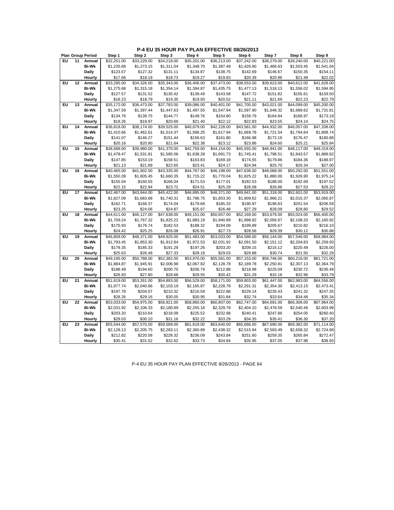|  | P-4 EU 35 HOUR PAY PLAN EFFECTIVE 08/26/2013 |  |
|--|----------------------------------------------|--|
|--|----------------------------------------------|--|

|    |    | <b>Plan Group Period</b> | Step 1      | Step 2      | Step 3      | Step 4      | Step 5      | Step 6      | Step 7      | Step 8      | Step 9      |
|----|----|--------------------------|-------------|-------------|-------------|-------------|-------------|-------------|-------------|-------------|-------------|
| EU | 11 | Annual                   | \$32,251.00 | \$33,229.00 | \$34,218.00 | \$35,201.00 | \$36,213.00 | \$37,242.00 | \$38.279.00 | \$39,240.00 | \$40.221.00 |
|    |    | <b>Bi-Wk</b>             | \$1,235.68  | \$1,273.15  | \$1,311.04  | \$1,348.70  | \$1,387.48  | \$1,426.90  | \$1,466.63  | \$1,503.45  | \$1,541.04  |
|    |    | Daily                    | \$123.57    | \$127.32    | \$131.11    | \$134.87    | \$138.75    | \$142.69    | \$146.67    | \$150.35    | \$154.11    |
|    |    | Hourly                   | \$17.66     | \$18.19     | \$18.73     | \$19.27     | \$19.83     | \$20.39     | \$20.96     | \$21.48     | \$22.02     |
| EU | 12 | Annual                   | \$33,295.00 | \$34,326.00 | \$35,343.00 | \$36,406.00 | \$37,473.00 | \$38,553.00 | \$39,623.00 | \$40,612.00 | \$41,628.00 |
|    |    | <b>Bi-Wk</b>             | \$1,275.68  | \$1,315.18  | \$1,354.14  | \$1,394.87  | \$1,435.75  | \$1,477.13  | \$1,518.13  | \$1,556.02  | \$1,594.95  |
|    |    | Daily                    | \$127.57    | \$131.52    | \$135.42    | \$139.49    | \$143.58    | \$147.72    | \$151.82    | \$155.61    | \$159.50    |
|    |    | Hourly                   | \$18.23     | \$18.79     | \$19.35     | \$19.93     | \$20.52     | \$21.11     | \$21.69     | \$22.23     | \$22.79     |
| EU | 13 | Annual                   | \$35,172.00 | \$36,473.00 | \$37,783.00 | \$39,086.00 | \$40,401.00 | \$41,705.00 | \$43,021.00 | \$44,099.00 | \$45,200.00 |
|    |    | <b>Bi-Wk</b>             | \$1,347.59  | \$1,397.44  | \$1,447.63  | \$1,497.55  | \$1,547.94  | \$1,597.90  | \$1,648.32  | \$1,689.62  | \$1,731.81  |
|    |    | Daily                    | \$134.76    | \$139.75    | \$144.77    | \$149.76    | \$154.80    | \$159.79    | \$164.84    | \$168.97    | \$173.19    |
|    |    | Hourly                   | \$19.26     | \$19.97     | \$20.69     | \$21.40     | \$22.12     | \$22.83     | \$23.55     | \$24.14     | \$24.75     |
| EU | 14 | Annual                   | \$36,818.00 | \$38,174.00 | \$39,525.00 | \$40,879.00 | \$42,228.00 | \$43,581.00 | \$44,932.00 | \$46,057.00 | \$47,208.00 |
|    |    | <b>Bi-Wk</b>             | \$1,410.66  | \$1,462.61  | \$1,514.37  | \$1,566.25  | \$1,617.94  | \$1,669.78  | \$1,721.54  | \$1,764.64  | \$1,808.74  |
|    |    | Daily                    | \$141.07    | \$146.27    | \$151.44    | \$156.63    | \$161.80    | \$166.98    | \$172.16    | \$176.47    | \$180.88    |
|    |    | Hourly                   | \$20.16     | \$20.90     | \$21.64     | \$22.38     | \$23.12     | \$23.86     | \$24.60     | \$25.21     | \$25.84     |
| EU | 15 | Annual                   | \$38,588.00 | \$39,980.00 | \$41,370.00 | \$42,759.00 | \$44,154.00 | \$45,555.00 | \$46,941.00 | \$48,117.00 | \$49,319.00 |
|    |    | <b>Bi-Wk</b>             | \$1,478.47  | \$1,531.81  | \$1,585.06  | \$1,638.28  | \$1,691.73  | \$1,745.41  | \$1,798.51  | \$1,843.57  | \$1,889.62  |
|    |    | Daily                    | \$147.85    | \$153.19    | \$158.51    | \$163.83    | \$169.18    | \$174.55    | \$179.86    | \$184.36    | \$188.97    |
|    |    | Hourly                   | \$21.13     | \$21.89     | \$22.65     | \$23.41     | \$24.17     | \$24.94     | \$25.70     | \$26.34     | \$27.00     |
| EU | 16 | Annual                   | \$40,465.00 | \$41,902.00 | \$43,335.00 | \$44,767.00 | \$46,198.00 | \$47,638.00 | \$49,068.00 | \$50,292.00 | \$51,551.00 |
|    |    | <b>Bi-Wk</b>             | \$1,550.39  | \$1,605.45  | \$1,660.35  | \$1,715.22  | \$1,770.04  | \$1,825.22  | \$1,880.00  | \$1,926.90  | \$1,975.14  |
|    |    | Daily                    | \$155.04    | \$160.55    | \$166.04    | \$171.53    | \$177.01    | \$182.53    | \$188.00    | \$192.69    | \$197.52    |
|    |    | Hourly                   | \$22.15     | \$22.94     | \$23.72     | \$24.51     | \$25.29     | \$26.08     | \$26.86     | \$27.53     | \$28.22     |
| EU | 17 | Annual                   | \$42,467.00 | \$43,944.00 | \$45,422.00 | \$46,895.00 | \$48,371.00 | \$49,841.00 | \$51,318.00 | \$52,601.00 | \$53,919.00 |
|    |    | <b>Bi-Wk</b>             | \$1,627.09  | \$1,683.68  | \$1,740.31  | \$1,796.75  | \$1,853.30  | \$1,909.62  | \$1,966.21  | \$2,015.37  | \$2,065.87  |
|    |    | Daily                    | \$162.71    | \$168.37    | \$174.04    | \$179.68    | \$185.33    | \$190.97    | \$196.63    | \$201.54    | \$206.59    |
|    |    | Hourly                   | \$23.25     | \$24.06     | \$24.87     | \$25.67     | \$26.48     | \$27.29     | \$28.09     | \$28.80     | \$29.52     |
| EU | 18 | Annual                   | \$44,611.00 | \$46,127.00 | \$47,638.00 | \$49,151.00 | \$50,657.00 | \$52,169.00 | \$53,679.00 | \$55,024.00 | \$56,400.00 |
|    |    | <b>Bi-Wk</b>             | \$1,709.24  | \$1,767.32  | \$1,825.22  | \$1,883.19  | \$1,940.89  | \$1,998.82  | \$2,056.67  | \$2,108.20  | \$2,160.92  |
|    |    | Daily                    | \$170.93    | \$176.74    | \$182.53    | \$188.32    | \$194.09    | \$199.89    | \$205.67    | \$210.82    | \$216.10    |
|    |    | Hourly                   | \$24.42     | \$25.25     | \$26.08     | \$26.91     | \$27.73     | \$28.56     | \$29.39     | \$30.12     | \$30.88     |
| EU | 19 | Annual                   | \$46,809.00 | \$48,371.00 | \$49,925.00 | \$51,483.00 | \$53,033.00 | \$54,588.00 | \$56,144.00 | \$57,546.00 | \$58,984.00 |
|    |    | <b>Bi-Wk</b>             | \$1,793.45  | \$1,853.30  | \$1,912.84  | \$1,972.53  | \$2,031.92  | \$2,091.50  | \$2,151.12  | \$2,204.83  | \$2,259.93  |
|    |    | Daily                    | \$179.35    | \$185.33    | \$191.29    | \$197.26    | \$203.20    | \$209.15    | \$215.12    | \$220.49    | \$226.00    |
|    |    | Hourly                   | \$25.63     | \$26.48     | \$27.33     | \$28.18     | \$29.03     | \$29.88     | \$30.74     | \$31.50     | \$32.29     |
| EU | 20 | Annual                   | \$49,195.00 | \$50,788.00 | \$52,382.00 | \$53,970.00 | \$55,561.00 | \$57,153.00 | \$58,746.00 | \$60,216.00 | \$61,721.00 |
|    |    | <b>Bi-Wk</b>             | \$1,884.87  | \$1,945.91  | \$2,006.98  | \$2,067.82  | \$2,128.78  | \$2,189.78  | \$2,250.81  | \$2,307.13  | \$2,364.79  |
|    |    | Daily                    | \$188.49    | \$194.60    | \$200.70    | \$206.79    | \$212.88    | \$218.98    | \$225.09    | \$230.72    | \$236.48    |
|    |    | Hourly                   | \$26.93     | \$27.80     | \$28.68     | \$29.55     | \$30.42     | \$31.29     | \$32.16     | \$32.96     | \$33.79     |
| EU | 21 | Annual                   | \$51,619.00 | \$53,261.00 | \$54,893.00 | \$56,529.00 | \$58,171.00 | \$59,803.00 | \$61,447.00 | \$62,983.00 | \$64,556.00 |
|    |    | <b>Bi-Wk</b>             | \$1,977.74  | \$2,040.66  | \$2,103.19  | \$2,165.87  | \$2,228.78  | \$2,291.31  | \$2,354.30  | \$2,413.15  | \$2,473.41  |
|    |    | Daily                    | \$197.78    | \$204.07    | \$210.32    | \$216.59    | \$222.88    | \$229.14    | \$235.43    | \$241.32    | \$247.35    |
|    |    | Hourly                   | \$28.26     | \$29.16     | \$30.05     | \$30.95     | \$31.84     | \$32.74     | \$33.64     | \$34.48     | \$35.34     |
| EU | 22 | Annual                   | \$53,033.00 | \$54,975.00 | \$56,921.00 | \$58,860.00 | \$60,807.00 | \$62,747.00 | \$64,691.00 | \$66,306.00 | \$67,964.00 |
|    |    | <b>Bi-Wk</b>             | \$2,031.92  | \$2,106.33  | \$2,180.89  | \$2,255.18  | \$2,329.78  | \$2,404.10  | \$2,478.59  | \$2,540.46  | \$2,603.99  |
|    |    | Daily                    | \$203.20    | \$210.64    | \$218.09    | \$225.52    | \$232.98    | \$240.41    | \$247.86    | \$254.05    | \$260.40    |
|    |    | Hourly                   | \$29.03     | \$30.10     | \$31.16     | \$32.22     | \$33.29     | \$34.35     | \$35.41     | \$36.30     | \$37.20     |
| EU | 23 | Annual                   | \$55,544.00 | \$57,570.00 | \$59,589.00 | \$61,619.00 | \$63,640.00 | \$65,666.00 | \$67,690.00 | \$69,382.00 | \$71,114.00 |
|    |    | <b>Bi-Wk</b>             | \$2,128.13  | \$2,205.75  | \$2,283.11  | \$2,360.89  | \$2,438.32  | \$2,515.94  | \$2,593.49  | \$2,658.32  | \$2,724.68  |
|    |    | Daily                    | \$212.82    | \$220.58    | \$228.32    | \$236.09    | \$243.84    | \$251.60    | \$259.35    | \$265.84    | \$272.47    |
|    |    | Hourly                   | \$30.41     | \$31.52     | \$32.62     | \$33.73     | \$34.84     | \$35.95     | \$37.05     | \$37.98     | \$38.93     |

P-4 EU 35 HOUR PAY PLAN EFFECTIVE 8/26/2013 - PAGE 64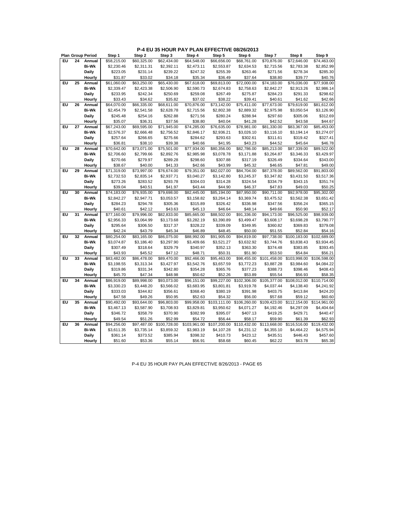**P-4 EU 35 HOUR PAY PLAN EFFECTIVE 08/26/2013**

|    |    | <b>Plan Group Period</b> | Step 1      | Step 2      | Step 3       | Step 4       | Step 5       | Step 6       | Step 7       | Step 8        | Step 9       |
|----|----|--------------------------|-------------|-------------|--------------|--------------|--------------|--------------|--------------|---------------|--------------|
| EU | 24 | Annual                   | \$58,215.00 | \$60,325.00 | \$62,434.00  | \$64,548.00  | \$66,656.00  | \$68,761.00  | \$70,876.00  | \$72,646.00   | \$74.463.00  |
|    |    | <b>Bi-Wk</b>             | \$2,230.46  | \$2,311.31  | \$2,392.11   | \$2,473.11   | \$2,553.87   | \$2,634.53   | \$2,715.56   | \$2,783.38    | \$2,852.99   |
|    |    | Daily                    | \$223.05    | \$231.14    | \$239.22     | \$247.32     | \$255.39     | \$263.46     | \$271.56     | \$278.34      | \$285.30     |
|    |    | Hourly                   | \$31.87     | \$33.02     | \$34.18      | \$35.34      | \$36.49      | \$37.64      | \$38.80      | \$39.77       | \$40.76      |
| EU | 25 | Annual                   | \$61,060.00 | \$63,250.00 | \$65,430.00  | \$67,618.00  | \$69,813.00  | \$72,000.00  | \$74,183.00  | \$76,036.00   | \$77,938.00  |
|    |    | <b>Bi-Wk</b>             | \$2,339.47  | \$2,423.38  | \$2,506.90   | \$2,590.73   | \$2,674.83   | \$2,758.63   | \$2,842.27   | \$2,913.26    | \$2,986.14   |
|    |    | Daily                    | \$233.95    | \$242.34    | \$250.69     | \$259.08     | \$267.49     | \$275.87     | \$284.23     | \$291.33      | \$298.62     |
|    |    | Hourly                   | \$33.43     | \$34.62     | \$35.82      | \$37.02      | \$38.22      | \$39.41      | \$40.61      | \$41.62       | \$42.66      |
| EU | 26 | Annual                   | \$64,070.00 | \$66,335.00 | \$68,611.00  | \$70,876.00  | \$73,142.00  | \$75,411.00  | \$77,673.00  | \$79,619.00   | \$81,612.00  |
|    |    | <b>Bi-Wk</b>             | \$2,454.79  | \$2,541.58  | \$2,628.78   | \$2,715.56   | \$2,802.38   | \$2,889.32   | \$2,975.98   | \$3,050.54    | \$3,126.90   |
|    |    | Daily                    | \$245.48    | \$254.16    | \$262.88     | \$271.56     | \$280.24     | \$288.94     | \$297.60     | \$305.06      | \$312.69     |
|    |    | Hourly                   | \$35.07     | \$36.31     | \$37.56      | \$38.80      | \$40.04      | \$41.28      | \$42.52      | \$43.58       | \$44.67      |
| EU | 27 | Annual                   | \$67,243.00 | \$69,595.00 | \$71,945.00  | \$74,285.00  | \$76,635.00  | \$78,981.00  | \$81,330.00  | \$83,367.00   | \$85,453.00  |
|    |    | <b>Bi-Wk</b>             | \$2,576.37  | \$2,666.48  | \$2,756.52   | \$2,846.17   | \$2,936.21   | \$3,026.10   | \$3,116.10   | \$3,194.14    | \$3,274.07   |
|    |    | Daily                    | \$257.64    | \$266.65    | \$275.66     | \$284.62     | \$293.63     | \$302.61     | \$311.61     | \$319.42      | \$327.41     |
|    |    | Hourly                   | \$36.81     | \$38.10     | \$39.38      | \$40.66      | \$41.95      | \$43.23      | \$44.52      | \$45.64       | \$46.78      |
| EU | 28 | Annual                   | \$70,642.00 | \$73,071.00 | \$75,501.00  | \$77,934.00  | \$80,356.00  | \$82,786.00  | \$85,213.00  | \$87,339.00   | \$89,522.00  |
|    |    | <b>Bi-Wk</b>             | \$2,706.60  | \$2,799.66  | \$2,892.76   | \$2,985.98   | \$3,078.78   | \$3,171.88   | \$3,264.87   | \$3,346.33    | \$3,429.97   |
|    |    | Daily                    | \$270.66    | \$279.97    | \$289.28     | \$298.60     | \$307.88     | \$317.19     | \$326.49     | \$334.64      | \$343.00     |
|    |    | Hourly                   | \$38.67     | \$40.00     | \$41.33      | \$42.66      | \$43.99      | \$45.32      | \$46.65      | \$47.81       | \$49.00      |
| EU | 29 | Annual                   | \$71,319.00 | \$73,997.00 | \$76,674.00  | \$79,351.00  | \$82,027.00  | \$84,704.00  | \$87,378.00  | \$89,562.00   | \$91,803.00  |
|    |    | <b>Bi-Wk</b>             | \$2,732.53  | \$2,835.14  | \$2,937.71   | \$3,040.27   | \$3,142.80   | \$3,245.37   | \$3,347.82   | \$3,431.50    | \$3,517.36   |
|    |    | Daily                    | \$273.26    | \$283.52    | \$293.78     | \$304.03     | \$314.28     | \$324.54     | \$334.79     | \$343.15      | \$351.74     |
|    |    | Hourly                   | \$39.04     | \$40.51     | \$41.97      | \$43.44      | \$44.90      | \$46.37      | \$47.83      | \$49.03       | \$50.25      |
| EU | 30 | Annual                   | \$74,183.00 | \$76,935.00 | \$79,698.00  | \$82,445.00  | \$85,194.00  | \$87,950.00  | \$90,711.00  | \$92,978.00   | \$95,302.00  |
|    |    | <b>Bi-Wk</b>             | \$2,842.27  | \$2,947.71  | \$3,053.57   | \$3,158.82   | \$3,264.14   | \$3,369.74   | \$3,475.52   | \$3,562.38    | \$3,651.42   |
|    |    | Daily                    | \$284.23    | \$294.78    | \$305.36     | \$315.89     | \$326.42     | \$336.98     | \$347.56     | \$356.24      | \$365.15     |
|    |    | Hourly                   | \$40.61     | \$42.12     | \$43.63      | \$45.13      | \$46.64      | \$48.14      | \$49.66      | \$50.90       | \$52.17      |
| EU | 31 | Annual                   | \$77,160.00 | \$79,996.00 | \$82,833.00  | \$85,665.00  | \$88,502.00  | \$91,336.00  | \$94,173.00  | \$96,525.00   | \$98,939.00  |
|    |    | <b>Bi-Wk</b>             | \$2,956.33  | \$3,064.99  | \$3,173.68   | \$3,282.19   | \$3,390.89   | \$3,499.47   | \$3,608.17   | \$3,698.28    | \$3,790.77   |
|    |    | Daily                    | \$295.64    | \$306.50    | \$317.37     | \$328.22     | \$339.09     | \$349.95     | \$360.82     | \$369.83      | \$379.08     |
|    |    | Hourly                   | \$42.24     | \$43.79     | \$45.34      | \$46.89      | \$48.45      | \$50.00      | \$51.55      | \$52.84       | \$54.16      |
| EU | 32 | Annual                   | \$80,254.00 | \$83,165.00 | \$86,075.00  | \$88,992.00  | \$91,905.00  | \$94,819.00  | \$97,738.00  | \$100, 183.00 | \$102,689.00 |
|    |    | <b>Bi-Wk</b>             | \$3,074.87  | \$3,186.40  | \$3,297.90   | \$3,409.66   | \$3,521.27   | \$3,632.92   | \$3,744.76   | \$3,838.43    | \$3,934.45   |
|    |    | Daily                    | \$307.49    | \$318.64    | \$329.79     | \$340.97     | \$352.13     | \$363.30     | \$374.48     | \$383.85      | \$393.45     |
|    |    | Hourly                   | \$43.93     | \$45.52     | \$47.12      | \$48.71      | \$50.31      | \$51.90      | \$53.50      | \$54.84       | \$56.21      |
| EU | 33 | Annual                   | \$83,482.00 | \$86,478.00 | \$89,470.00  | \$92,466.00  | \$95,463.00  | \$98,455.00  | \$101,458.00 | \$103,998.00  | \$106,598.00 |
|    |    | <b>Bi-Wk</b>             | \$3,198.55  | \$3,313.34  | \$3,427.97   | \$3,542.76   | \$3,657.59   | \$3,772.23   | \$3,887.28   | \$3,984.60    | \$4,084.22   |
|    |    | Daily                    | \$319.86    | \$331.34    | \$342.80     | \$354.28     | \$365.76     | \$377.23     | \$388.73     | \$398.46      | \$408.43     |
|    |    | Hourly                   | \$45.70     | \$47.34     | \$48.98      | \$50.62      | \$52.26      | \$53.89      | \$55.54      | \$56.93       | \$58.35      |
| EU | 34 | Annual                   | \$86,919.00 | \$89,998.00 | \$93,073.00  | \$96,151.00  | \$99,227.00  | \$102,306.00 | \$105,377.00 | \$108,012.00  | \$110,714.00 |
|    |    | <b>Bi-Wk</b>             | \$3,330.23  | \$3,448.20  | \$3,566.02   | \$3,683.95   | \$3,801.81   | \$3,919.78   | \$4,037.44   | \$4,138.40    | \$4,241.92   |
|    |    | Daily                    | \$333.03    | \$344.82    | \$356.61     | \$368.40     | \$380.19     | \$391.98     | \$403.75     | \$413.84      | \$424.20     |
|    |    | Hourly                   | \$47.58     | \$49.26     | \$50.95      | \$52.63      | \$54.32      | \$56.00      | \$57.68      | \$59.12       | \$60.60      |
| EU | 35 | Annual                   | \$90,492.00 | \$93,644.00 | \$96,803.00  | \$99,958.00  | \$103,111.00 | \$106,260.00 | \$109,423.00 | \$112,154.00  | \$114,961.00 |
|    |    | <b>Bi-Wk</b>             | \$3,467.13  | \$3,587.90  | \$3,708.93   | \$3,829.81   | \$3,950.62   | \$4,071.27   | \$4,192.46   | \$4,297.09    | \$4,404.64   |
|    |    | Daily                    | \$346.72    | \$358.79    | \$370.90     | \$382.99     | \$395.07     | \$407.13     | \$419.25     | \$429.71      | \$440.47     |
|    |    | Hourly                   | \$49.54     | \$51.26     | \$52.99      | \$54.72      | \$56.44      | \$58.17      | \$59.90      | \$61.39       | \$62.93      |
| EU | 36 | Annual                   | \$94,256.00 | \$97,487.00 | \$100,728.00 | \$103,961.00 | \$107,200.00 | \$110,432.00 | \$113,668.00 | \$116,516.00  | \$119,432.00 |
|    |    | <b>Bi-Wk</b>             | \$3,611.35  | \$3,735.14  | \$3,859.32   | \$3,983.19   | \$4,107.28   | \$4,231.12   | \$4,355.10   | \$4,464.22    | \$4,575.94   |
|    |    | Daily                    | \$361.14    | \$373.52    | \$385.94     | \$398.32     | \$410.73     | \$423.12     | \$435.51     | \$446.43      | \$457.60     |
|    |    | Hourly                   | \$51.60     | \$53.36     | \$55.14      | \$56.91      | \$58.68      | \$60.45      | \$62.22      | \$63.78       | \$65.38      |

P-4 EU 35 HOUR PAY PLAN EFFECTIVE 8/26/2013 - PAGE 65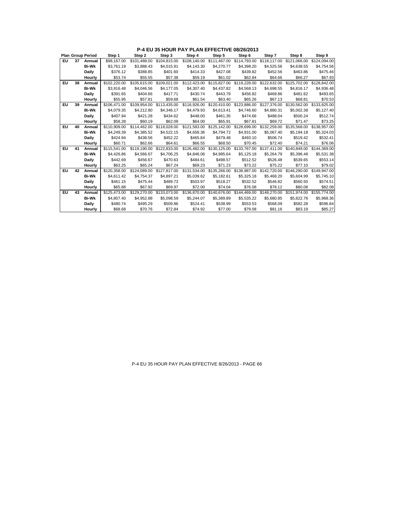|    |    | <b>Plan Group Period</b> | Step 1       | Step 2       | Step 3                    | Step 4       | Step 5                                 | Step 6       | Step 7       | Step 8                                 | Step 9       |
|----|----|--------------------------|--------------|--------------|---------------------------|--------------|----------------------------------------|--------------|--------------|----------------------------------------|--------------|
| EU | 37 | Annual                   | \$98,167.00  | \$101,488.00 | \$104.815.00              | \$108,140.00 | \$111,467.00                           | \$114.793.00 | \$118,117.00 | \$121.066.00                           | \$124,094.00 |
|    |    | <b>Bi-Wk</b>             | \$3.761.19   | \$3.888.43   | \$4.015.91                | \$4,143,30   | \$4,270.77                             | \$4,398.20   | \$4.525.56   | \$4.638.55                             | \$4,754.56   |
|    |    | Daily                    | \$376.12     | \$388.85     | \$401.60                  | \$414.33     | \$427.08                               | \$439.82     | \$452.56     | \$463.86                               | \$475.46     |
|    |    | Hourly                   | \$53.74      | \$55.55      | \$57.38                   | \$59.19      | \$61.02                                | \$62.84      | \$64.66      | \$66.27                                | \$67.93      |
| EU | 38 | Annual                   | \$102,220.00 | \$105.615.00 | \$109.021.00              | \$112,423.00 | \$115,827.00                           | \$119,228.00 | \$122,632.00 | \$125,702.00                           | \$128,842.00 |
|    |    | <b>Bi-Wk</b>             | \$3.916.48   | \$4.046.56   | \$4,177,05                | \$4,307.40   | \$4,437.82                             | \$4,568.13   | \$4.698.55   | \$4.816.17                             | \$4,936.48   |
|    |    | <b>Daily</b>             | \$391.65     | \$404.66     | \$417.71                  | \$430.74     | \$443.79                               | \$456.82     | \$469.86     | \$481.62                               | \$493.65     |
|    |    | Hourly                   | \$55.95      | \$57.81      | \$59.68                   | \$61.54      | \$63.40                                | \$65.26      | \$67.13      | \$68.81                                | \$70.53      |
| EU | 39 | Annual                   | \$106,471.00 | \$109.954.00 | \$113,435,00              | \$116,926,00 | \$120,410.00                           | \$123.886.00 | \$127.376.00 | \$130,562.00                           | \$133,825,00 |
|    |    | <b>Bi-Wk</b>             | \$4,079.35   | \$4,212.80   | \$4,346.17                | \$4,479.93   | \$4,613.41                             | \$4,746.60   | \$4,880.31   | \$5,002.38                             | \$5,127.40   |
|    |    | <b>Daily</b>             | \$407.94     | \$421.28     | \$434.62                  | \$448.00     | \$461.35                               | \$474.66     | \$488.04     | \$500.24                               | \$512.74     |
|    |    | Hourly                   | \$58.28      | \$60.19      | \$62.09                   | \$64.00      | \$65.91                                | \$67.81      | \$69.72      | \$71.47                                | \$73.25      |
| EU | 40 | Annual                   | \$110,909.00 |              | \$114.462.00 \$118.028.00 |              | \$121.583.00 \$125.142.00 \$128.699.00 |              |              | \$132,259.00 \$135,568.00              | \$138,957.00 |
|    |    | <b>Bi-Wk</b>             | \$4,249.39   | \$4,385.52   | \$4,522.15                | \$4,658.36   | \$4,794.72                             | \$4,931.00   | \$5,067.40   | \$5,194.18                             | \$5,324.03   |
|    |    | <b>Daily</b>             | \$424.94     | \$438.56     | \$452.22                  | \$465.84     | \$479.48                               | \$493.10     | \$506.74     | \$519.42                               | \$532.41     |
|    |    | Hourly                   | \$60.71      | \$62.66      | \$64.61                   | \$66.55      | \$68.50                                | \$70.45      | \$72.40      | \$74.21                                | \$76.06      |
| ΕU | 41 | Annual                   | \$115,541.00 |              | \$119,190.00 \$122,833.00 | \$126,482,00 | \$130,125.00                           |              |              | \$133,767.00 \$137,411.00 \$140,848.00 | \$144,369,00 |
|    |    | <b>Bi-Wk</b>             | \$4,426.86   | \$4,566.67   | \$4,706.25                | \$4,846.06   | \$4,985.64                             | \$5,125.18   | \$5,264.79   | \$5,396.48                             | \$5,531.38   |
|    |    | <b>Daily</b>             | \$442.69     | \$456.67     | \$470.63                  | \$484.61     | \$498.57                               | \$512.52     | \$526.48     | \$539.65                               | \$553.14     |
|    |    | Hourly                   | \$63.25      | \$65.24      | \$67.24                   | \$69.23      | \$71.23                                | \$73.22      | \$75.22      | \$77.10                                | \$79.02      |
| EU | 42 | Annual                   | \$120.358.00 | \$124.089.00 | \$127,817.00              | \$131.534.00 | \$135,266.00                           | \$138,987.00 |              | \$142,720.00 \$146,290.00              | \$149.947.00 |
|    |    | <b>Bi-Wk</b>             | \$4,611.42   | \$4,754.37   | \$4,897.21                | \$5,039.62   | \$5,182.61                             | \$5,325.18   | \$5,468.20   | \$5,604.99                             | \$5,745.10   |
|    |    | Daily                    | \$461.15     | \$475.44     | \$489.73                  | \$503.97     | \$518.27                               | \$532.52     | \$546.82     | \$560.50                               | \$574.51     |
|    |    | Hourly                   | \$65.88      | \$67.92      | \$69.97                   | \$72.00      | \$74.04                                | \$76.08      | \$78.12      | \$80.08                                | \$82.08      |
| EU | 43 | Annual                   | \$125,473.00 | \$129,270.00 | \$133,073.00              | \$136,870,00 | \$140,676,00                           | \$144,469.00 | \$148,270.00 | \$151,974.00                           | \$155,774.00 |
|    |    | <b>Bi-Wk</b>             | \$4,807.40   | \$4,952.88   | \$5,098.59                | \$5,244.07   | \$5,389.89                             | \$5,535.22   | \$5,680.85   | \$5,822.76                             | \$5,968.36   |
|    |    | Daily                    | \$480.74     | \$495.29     | \$509.86                  | \$524.41     | \$538.99                               | \$553.53     | \$568.09     | \$582.28                               | \$596.84     |
|    |    | Hourly                   | \$68.68      | \$70.76      | \$72.84                   | \$74.92      | \$77.00                                | \$79.08      | \$81.16      | \$83.19                                | \$85.27      |

**P-4 EU 35 HOUR PAY PLAN EFFECTIVE 08/26/2013**

### P-4 EU 35 HOUR PAY PLAN EFFECTIVE 8/26/2013 - PAGE 66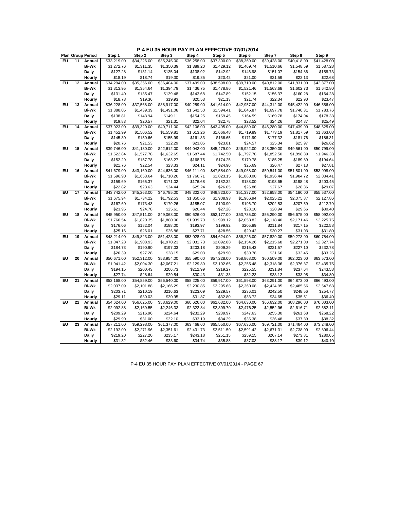|    |    | <b>Plan Group Period</b> | Step 1      | Step 2      | Step 3      | Step 4      | Step 5      | Step 6      | Step 7      | Step 8      | Step 9      |
|----|----|--------------------------|-------------|-------------|-------------|-------------|-------------|-------------|-------------|-------------|-------------|
| EU | 11 | Annual                   | \$33,219.00 | \$34,226.00 | \$35,245.00 | \$36,258.00 | \$37,300.00 | \$38,360.00 | \$39,428.00 | \$40.418.00 | \$41,428.00 |
|    |    | <b>Bi-Wk</b>             | \$1,272.76  | \$1,311.35  | \$1,350.39  | \$1,389.20  | \$1,429.12  | \$1,469.74  | \$1,510.66  | \$1,548.59  | \$1,587.28  |
|    |    | Daily                    | \$127.28    | \$131.14    | \$135.04    | \$138.92    | \$142.92    | \$146.98    | \$151.07    | \$154.86    | \$158.73    |
|    |    | Hourly                   | \$18.19     | \$18.74     | \$19.30     | \$19.85     | \$20.42     | \$21.00     | \$21.59     | \$22.13     | \$22.68     |
| EU | 12 | Annual                   | \$34,294.00 | \$35,356.00 | \$36,404.00 | \$37,499.00 | \$38,598.00 | \$39,710.00 | \$40,812.00 | \$41,831.00 | \$42,877.00 |
|    |    | Bi-Wk                    | \$1,313.95  | \$1,354.64  | \$1,394.79  | \$1,436.75  | \$1,478.86  | \$1,521.46  | \$1,563.68  | \$1,602.73  | \$1,642.80  |
|    |    | Daily                    | \$131.40    | \$135.47    | \$139.48    | \$143.68    | \$147.89    | \$152.15    | \$156.37    | \$160.28    | \$164.28    |
|    |    | Hourly                   | \$18.78     | \$19.36     | \$19.93     | \$20.53     | \$21.13     | \$21.74     | \$22.34     | \$22.90     | \$23.47     |
| ΕU | 13 | Annual                   | \$36,228.00 | \$37,568.00 | \$38,917.00 | \$40,259.00 | \$41,614.00 | \$42,957.00 | \$44,312.00 | \$45,422.00 | \$46,556.00 |
|    |    | Bi-Wk                    | \$1,388.05  | \$1,439.39  | \$1,491.08  | \$1,542.50  | \$1,594.41  | \$1,645.87  | \$1,697.78  | \$1,740.31  | \$1,783.76  |
|    |    | Daily                    | \$138.81    | \$143.94    | \$149.11    | \$154.25    | \$159.45    | \$164.59    | \$169.78    | \$174.04    | \$178.38    |
|    |    | Hourly                   | \$19.83     | \$20.57     | \$21.31     | \$22.04     | \$22.78     | \$23.52     | \$24.26     | \$24.87     | \$25.49     |
| EU | 14 | Annual                   | \$37,923.00 | \$39,320.00 | \$40,711.00 | \$42,106.00 | \$43,495.00 | \$44,889.00 | \$46,280.00 | \$47,439.00 | \$48,625.00 |
|    |    | <b>Bi-Wk</b>             | \$1,452.99  | \$1,506.52  | \$1,559.81  | \$1,613.26  | \$1,666.48  | \$1,719.89  | \$1,773.19  | \$1,817.59  | \$1,863.03  |
|    |    | Daily                    | \$145.30    | \$150.66    | \$155.99    | \$161.33    | \$166.65    | \$171.99    | \$177.32    | \$181.76    | \$186.31    |
|    |    | Hourly                   | \$20.76     | \$21.53     | \$22.29     | \$23.05     | \$23.81     | \$24.57     | \$25.34     | \$25.97     | \$26.62     |
| EU | 15 | Annual                   | \$39,746.00 | \$41,180.00 | \$42,612.00 | \$44,042.00 | \$45,479.00 | \$46,922.00 | \$48,350.00 | \$49,561.00 | \$50,799.00 |
|    |    | <b>Bi-Wk</b>             | \$1,522.84  | \$1,577.78  | \$1,632.65  | \$1,687.44  | \$1,742.50  | \$1,797.78  | \$1,852.50  | \$1,898.89  | \$1,946.33  |
|    |    | Daily                    | \$152.29    | \$157.78    | \$163.27    | \$168.75    | \$174.25    | \$179.78    | \$185.25    | \$189.89    | \$194.64    |
|    |    | Hourly                   | \$21.76     | \$22.54     | \$23.33     | \$24.11     | \$24.90     | \$25.69     | \$26.47     | \$27.13     | \$27.81     |
| EU | 16 | Annual                   | \$41,679.00 | \$43,160.00 | \$44,636.00 | \$46,111.00 | \$47,584.00 | \$49,068.00 | \$50,541.00 | \$51,801.00 | \$53,098.00 |
|    |    | Bi-Wk                    | \$1,596.90  | \$1,653.64  | \$1,710.20  | \$1,766.71  | \$1,823.15  | \$1,880.00  | \$1,936.44  | \$1,984.72  | \$2,034.41  |
|    |    | Daily                    | \$159.69    | \$165.37    | \$171.02    | \$176.68    | \$182.32    | \$188.00    | \$193.65    | \$198.48    | \$203.45    |
|    |    | Hourly                   | \$22.82     | \$23.63     | \$24.44     | \$25.24     | \$26.05     | \$26.86     | \$27.67     | \$28.36     | \$29.07     |
| EU | 17 | Annual                   | \$43,742.00 | \$45,263.00 | \$46,785.00 | \$48,302.00 | \$49,823.00 | \$51,337.00 | \$52,858.00 | \$54,180.00 | \$55,537.00 |
|    |    | <b>Bi-Wk</b>             | \$1,675.94  | \$1,734.22  | \$1,792.53  | \$1,850.66  | \$1,908.93  | \$1,966.94  | \$2,025.22  | \$2,075.87  | \$2,127.86  |
|    |    | Daily                    | \$167.60    | \$173.43    | \$179.26    | \$185.07    | \$190.90    | \$196.70    | \$202.53    | \$207.59    | \$212.79    |
|    |    | Hourly                   | \$23.95     | \$24.78     | \$25.61     | \$26.44     | \$27.28     | \$28.10     | \$28.94     | \$29.66     | \$30.40     |
| EU | 18 | Annual                   | \$45,950.00 | \$47,511.00 | \$49,068.00 | \$50,626.00 | \$52,177.00 | \$53,735.00 | \$55,290.00 | \$56,675.00 | \$58,092.00 |
|    |    | <b>Bi-Wk</b>             | \$1,760.54  | \$1,820.35  | \$1,880.00  | \$1,939.70  | \$1,999.12  | \$2,058.82  | \$2,118.40  | \$2,171.46  | \$2,225.75  |
|    |    | Daily                    | \$176.06    | \$182.04    | \$188.00    | \$193.97    | \$199.92    | \$205.89    | \$211.84    | \$217.15    | \$222.58    |
|    |    | Hourly                   | \$25.16     | \$26.01     | \$26.86     | \$27.71     | \$28.56     | \$29.42     | \$30.27     | \$31.03     | \$31.80     |
| EU | 19 | Annual                   | \$48,214.00 | \$49,823.00 | \$51,423.00 | \$53,028.00 | \$54,624.00 | \$56,226.00 | \$57,829.00 | \$59,273.00 | \$60,754.00 |
|    |    | <b>Bi-Wk</b>             | \$1,847.28  | \$1,908.93  | \$1,970.23  | \$2,031.73  | \$2,092.88  | \$2,154.26  | \$2,215.68  | \$2,271.00  | \$2,327.74  |
|    |    | Daily                    | \$184.73    | \$190.90    | \$197.03    | \$203.18    | \$209.29    | \$215.43    | \$221.57    | \$227.10    | \$232.78    |
|    |    | Hourly                   | \$26.39     | \$27.28     | \$28.15     | \$29.03     | \$29.90     | \$30.78     | \$31.66     | \$32.45     | \$33.26     |
| EU | 20 | Annual                   | \$50,671.00 | \$52,312.00 | \$53,954.00 | \$55,590.00 | \$57,228.00 | \$58,868.00 | \$60,509.00 | \$62,023.00 | \$63,573.00 |
|    |    | <b>Bi-Wk</b>             | \$1,941.42  | \$2,004.30  | \$2,067.21  | \$2,129.89  | \$2,192.65  | \$2,255.48  | \$2,318.36  | \$2,376.37  | \$2,435.75  |
|    |    | Daily                    | \$194.15    | \$200.43    | \$206.73    | \$212.99    | \$219.27    | \$225.55    | \$231.84    | \$237.64    | \$243.58    |
|    |    | Hourly                   | \$27.74     | \$28.64     | \$29.54     | \$30.43     | \$31.33     | \$32.23     | \$33.12     | \$33.95     | \$34.80     |
| EU | 21 | Annual                   | \$53,168.00 | \$54,859.00 | \$56,540.00 | \$58,225.00 | \$59,917.00 | \$61,598.00 | \$63,291.00 | \$64,873.00 | \$66,493.00 |
|    |    | <b>Bi-Wk</b>             | \$2,037.09  | \$2,101.88  | \$2,166.29  | \$2,230.85  | \$2,295.68  | \$2,360.08  | \$2,424.95  | \$2,485.56  | \$2,547.63  |
|    |    | Daily                    | \$203.71    | \$210.19    | \$216.63    | \$223.09    | \$229.57    | \$236.01    | \$242.50    | \$248.56    | \$254.77    |
|    |    | Hourly                   | \$29.11     | \$30.03     | \$30.95     | \$31.87     | \$32.80     | \$33.72     | \$34.65     | \$35.51     | \$36.40     |
| EU | 22 | Annual                   | \$54,624.00 | \$56,625.00 | \$58,629.00 | \$60,626.00 | \$62,632.00 | \$64,630.00 | \$66,632.00 | \$68,296.00 | \$70,003.00 |
|    |    | <b>Bi-Wk</b>             | \$2,092.88  | \$2,169.55  | \$2,246.33  | \$2,322.84  | \$2,399.70  | \$2,476.25  | \$2,552.96  | \$2,616.71  | \$2,682.11  |
|    |    | Daily                    | \$209.29    | \$216.96    | \$224.64    | \$232.29    | \$239.97    | \$247.63    | \$255.30    | \$261.68    | \$268.22    |
|    |    | Hourly                   | \$29.90     | \$31.00     | \$32.10     | \$33.19     | \$34.29     | \$35.38     | \$36.48     | \$37.39     | \$38.32     |
| EU | 23 | Annual                   | \$57,211.00 | \$59,298.00 | \$61,377.00 | \$63,468.00 | \$65,550.00 | \$67,636.00 | \$69,721.00 | \$71,464.00 | \$73,248.00 |
|    |    | Bi-Wk                    | \$2,192.00  | \$2,271.96  | \$2,351.61  | \$2,431.73  | \$2,511.50  | \$2,591.42  | \$2,671.31  | \$2,738.09  | \$2,806.44  |
|    |    | Daily                    | \$219.20    | \$227.20    | \$235.17    | \$243.18    | \$251.15    | \$259.15    | \$267.14    | \$273.81    | \$280.65    |
|    |    | Hourly                   | \$31.32     | \$32.46     | \$33.60     | \$34.74     | \$35.88     | \$37.03     | \$38.17     | \$39.12     | \$40.10     |
|    |    |                          |             |             |             |             |             |             |             |             |             |

P-4 EU 35 HOUR PAY PLAN EFFECTIVE 07/01/2014 - PAGE 67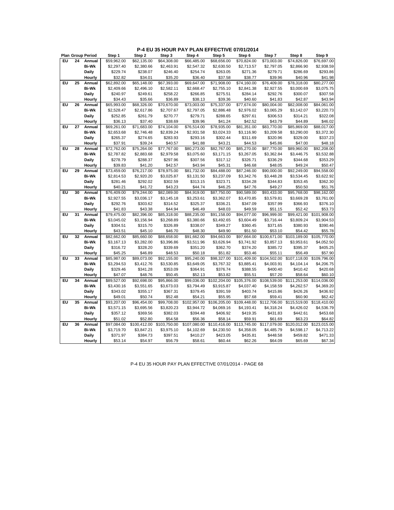**P-4 EU 35 HOUR PAY PLAN EFFECTIVE 07/01/2014**

|    |    | <b>Plan Group Period</b> | Step 1      | Step 2       | Step 3       | Step 4       | Step 5       | Step 6       | Step 7       | Step 8       | Step 9       |
|----|----|--------------------------|-------------|--------------|--------------|--------------|--------------|--------------|--------------|--------------|--------------|
| EU | 24 | Annual                   | \$59,962.00 | \$62,135.00  | \$64,308.00  | \$66,485.00  | \$68,656.00  | \$70,824.00  | \$73,003.00  | \$74,826.00  | \$76,697.00  |
|    |    | <b>Bi-Wk</b>             | \$2,297.40  | \$2,380.66   | \$2,463.91   | \$2,547.32   | \$2,630.50   | \$2,713.57   | \$2,797.05   | \$2,866.90   | \$2,938.59   |
|    |    | Daily                    | \$229.74    | \$238.07     | \$246.40     | \$254.74     | \$263.05     | \$271.36     | \$279.71     | \$286.69     | \$293.86     |
|    |    | Hourly                   | \$32.82     | \$34.01      | \$35.20      | \$36.40      | \$37.58      | \$38.77      | \$39.96      | \$40.96      | \$41.98      |
| EU | 25 | Annual                   | \$62,892.00 | \$65,148.00  | \$67,393.00  | \$69,647.00  | \$71,908.00  | \$74,160.00  | \$76,409.00  | \$78,318.00  | \$80,277.00  |
|    |    | <b>Bi-Wk</b>             | \$2,409.66  | \$2,496.10   | \$2,582.11   | \$2,668.47   | \$2,755.10   | \$2,841.38   | \$2,927.55   | \$3,000.69   | \$3,075.75   |
|    |    | Daily                    | \$240.97    | \$249.61     | \$258.22     | \$266.85     | \$275.51     | \$284.14     | \$292.76     | \$300.07     | \$307.58     |
|    |    | Hourly                   | \$34.43     | \$35.66      | \$36.89      | \$38.13      | \$39.36      | \$40.60      | \$41.83      | \$42.87      | \$43.94      |
| EU | 26 | Annual                   | \$65,993.00 | \$68,326.00  | \$70,670.00  | \$73,003.00  | \$75,337.00  | \$77,674.00  | \$80,004.00  | \$82,008.00  | \$84,061.00  |
|    |    | <b>Bi-Wk</b>             | \$2,528.47  | \$2,617.86   | \$2,707.67   | \$2,797.05   | \$2,886.48   | \$2,976.02   | \$3,065.29   | \$3,142.07   | \$3,220.73   |
|    |    | Daily                    | \$252.85    | \$261.79     | \$270.77     | \$279.71     | \$288.65     | \$297.61     | \$306.53     | \$314.21     | \$322.08     |
|    |    | Hourly                   | \$36.13     | \$37.40      | \$38.69      | \$39.96      | \$41.24      | \$42.52      | \$43.79      | \$44.89      | \$46.02      |
| ΕU | 27 | Annual                   | \$69,261.00 | \$71,683.00  | \$74,104.00  | \$76,514.00  | \$78,935.00  | \$81,351.00  | \$83,770.00  | \$85,869.00  | \$88,017.00  |
|    |    | <b>Bi-Wk</b>             | \$2,653.68  | \$2,746.48   | \$2,839.24   | \$2,931.58   | \$3,024.33   | \$3,116.90   | \$3,209.58   | \$3,290.00   | \$3,372.30   |
|    |    | Daily                    | \$265.37    | \$274.65     | \$283.93     | \$293.16     | \$302.44     | \$311.69     | \$320.96     | \$329.00     | \$337.23     |
|    |    | Hourly                   | \$37.91     | \$39.24      | \$40.57      | \$41.88      | \$43.21      | \$44.53      | \$45.86      | \$47.00      | \$48.18      |
| EU | 28 | Annual                   | \$72,762.00 | \$75,264.00  | \$77,767.00  | \$80,273.00  | \$82,767.00  | \$85,270.00  | \$87,770.00  | \$89,960.00  | \$92,208.00  |
|    |    | <b>Bi-Wk</b>             | \$2,787.82  | \$2,883.68   | \$2,979.58   | \$3,075.60   | \$3,171.15   | \$3,267.05   | \$3,362.84   | \$3,446.75   | \$3,532.88   |
|    |    | Daily                    | \$278.79    | \$288.37     | \$297.96     | \$307.56     | \$317.12     | \$326.71     | \$336.29     | \$344.68     | \$353.29     |
|    |    | Hourly                   | \$39.83     | \$41.20      | \$42.57      | \$43.94      | \$45.31      | \$46.68      | \$48.05      | \$49.24      | \$50.47      |
| EU | 29 | Annual                   | \$73,459.00 | \$76,217.00  | \$78,975.00  | \$81,732.00  | \$84,488.00  | \$87,246.00  | \$90,000.00  | \$92,249.00  | \$94,558.00  |
|    |    | <b>Bi-Wk</b>             | \$2,814.53  | \$2,920.20   | \$3,025.87   | \$3,131.50   | \$3,237.09   | \$3,342.76   | \$3,448.28   | \$3,534.45   | \$3,622.92   |
|    |    | Daily                    | \$281.46    | \$292.02     | \$302.59     | \$313.15     | \$323.71     | \$334.28     | \$344.83     | \$353.45     | \$362.30     |
|    |    | Hourly                   | \$40.21     | \$41.72      | \$43.23      | \$44.74      | \$46.25      | \$47.76      | \$49.27      | \$50.50      | \$51.76      |
| EU | 30 | Annual                   | \$76,409.00 | \$79,244.00  | \$82,089.00  | \$84,919.00  | \$87,750.00  | \$90,589.00  | \$93,433.00  | \$95,768.00  | \$98,162.00  |
|    |    | <b>Bi-Wk</b>             | \$2,927.55  | \$3,036.17   | \$3,145.18   | \$3,253.61   | \$3,362.07   | \$3,470.85   | \$3,579.81   | \$3,669.28   | \$3,761.00   |
|    |    | Daily                    | \$292.76    | \$303.62     | \$314.52     | \$325.37     | \$336.21     | \$347.09     | \$357.99     | \$366.93     | \$376.10     |
|    |    | Hourly                   | \$41.83     | \$43.38      | \$44.94      | \$46.49      | \$48.03      | \$49.59      | \$51.15      | \$52.42      | \$53.73      |
| EU | 31 | Annual                   | \$79,475.00 | \$82,396.00  | \$85,318.00  | \$88,235.00  | \$91,158.00  | \$94,077.00  | \$96,999.00  | \$99,421.00  | \$101,908.00 |
|    |    | <b>Bi-Wk</b>             | \$3,045.02  | \$3,156.94   | \$3,268.89   | \$3,380.66   | \$3,492.65   | \$3,604.49   | \$3,716.44   | \$3,809.24   | \$3,904.53   |
|    |    | Daily                    | \$304.51    | \$315.70     | \$326.89     | \$338.07     | \$349.27     | \$360.45     | \$371.65     | \$380.93     | \$390.46     |
|    |    | Hourly                   | \$43.51     | \$45.10      | \$46.70      | \$48.30      | \$49.90      | \$51.50      | \$53.10      | \$54.42      | \$55.78      |
| EU | 32 | Annual                   | \$82,662.00 | \$85,660.00  | \$88,658.00  | \$91,662.00  | \$94,663.00  | \$97,664.00  | \$100,671.00 | \$103,189.00 | \$105,770.00 |
|    |    | <b>Bi-Wk</b>             | \$3,167.13  | \$3,282.00   | \$3,396.86   | \$3,511.96   | \$3,626.94   | \$3,741.92   | \$3,857.13   | \$3,953.61   | \$4,052.50   |
|    |    | Daily                    | \$316.72    | \$328.20     | \$339.69     | \$351.20     | \$362.70     | \$374.20     | \$385.72     | \$395.37     | \$405.25     |
|    |    | Hourly                   | \$45.25     | \$46.89      | \$48.53      | \$50.18      | \$51.82      | \$53.46      | \$55.11      | \$56.49      | \$57.90      |
| EU | 33 | Annual                   | \$85,987.00 | \$89,073.00  | \$92,155.00  | \$95,240.00  | \$98,327.00  | \$101,409.00 | \$104,502.00 | \$107,118.00 | \$109,796.00 |
|    |    | <b>Bi-Wk</b>             | \$3,294.53  | \$3,412.76   | \$3,530.85   | \$3,649.05   | \$3,767.32   | \$3,885.41   | \$4,003.91   | \$4,104.14   | \$4,206.75   |
|    |    | Daily                    | \$329.46    | \$341.28     | \$353.09     | \$364.91     | \$376.74     | \$388.55     | \$400.40     | \$410.42     | \$420.68     |
|    |    | Hourly                   | \$47.07     | \$48.76      | \$50.45      | \$52.13      | \$53.82      | \$55.51      | \$57.20      | \$58.64      | \$60.10      |
| EU | 34 | Annual                   | \$89,527.00 | \$92,698.00  | \$95,866.00  | \$99,036.00  | \$102,204.00 | \$105,376.00 | \$108,539.00 | \$111,253.00 | \$114,036.00 |
|    |    | <b>Bi-Wk</b>             | \$3,430.16  | \$3,551.65   | \$3,673.03   | \$3,794.49   | \$3,915.87   | \$4,037.40   | \$4,158.59   | \$4,262.57   | \$4,369.20   |
|    |    | Daily                    | \$343.02    | \$355.17     | \$367.31     | \$379.45     | \$391.59     | \$403.74     | \$415.86     | \$426.26     | \$436.92     |
|    |    | Hourly                   | \$49.01     | \$50.74      | \$52.48      | \$54.21      | \$55.95      | \$57.68      | \$59.41      | \$60.90      | \$62.42      |
| EU | 35 | Annual                   | \$93,207.00 | \$96,454.00  | \$99,708.00  | \$102,957.00 | \$106,205.00 | \$109,448.00 | \$112,706.00 | \$115,519.00 | \$118,410.00 |
|    |    | <b>Bi-Wk</b>             | \$3,571.15  | \$3,695.56   | \$3,820.23   | \$3,944.72   | \$4,069.16   | \$4,193.41   | \$4,318.24   | \$4,426.02   | \$4,536.79   |
|    |    | Daily                    | \$357.12    | \$369.56     | \$382.03     | \$394.48     | \$406.92     | \$419.35     | \$431.83     | \$442.61     | \$453.68     |
|    |    | Hourly                   | \$51.02     | \$52.80      | \$54.58      | \$56.36      | \$58.14      | \$59.91      | \$61.69      | \$63.23      | \$64.82      |
| EU | 36 | Annual                   | \$97,084.00 | \$100,412.00 | \$103,750.00 | \$107,080.00 | \$110,416.00 | \$113,745.00 | \$117,079.00 | \$120,012.00 | \$123,015.00 |
|    |    | <b>Bi-Wk</b>             | \$3,719.70  | \$3,847.21   | \$3,975.10   | \$4,102.69   | \$4,230.50   | \$4,358.05   | \$4,485.79   | \$4,598.17   | \$4,713.22   |
|    |    | Daily                    | \$371.97    | \$384.73     | \$397.51     | \$410.27     | \$423.05     | \$435.81     | \$448.58     | \$459.82     | \$471.33     |
|    |    | Hourly                   | \$53.14     | \$54.97      | \$56.79      | \$58.61      | \$60.44      | \$62.26      | \$64.09      | \$65.69      | \$67.34      |

P-4 EU 35 HOUR PAY PLAN EFFECTIVE 07/01/2014 - PAGE 68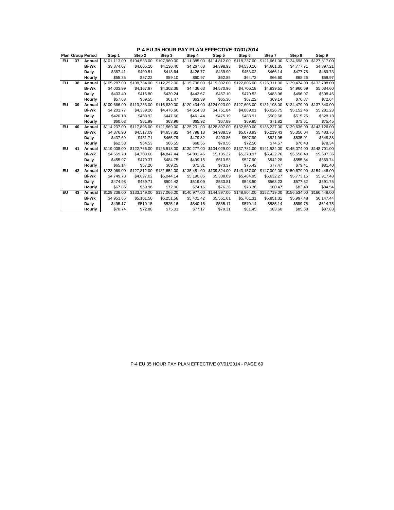|    |    | <b>Plan Group Period</b> | Step 1       | Step 2       | Step 3                    | Step 4       | Step 5                    | Step 6       | Step 7       | Step 8                                                       | Step 9       |
|----|----|--------------------------|--------------|--------------|---------------------------|--------------|---------------------------|--------------|--------------|--------------------------------------------------------------|--------------|
| EU | 37 | Annual                   | \$101.113.00 | \$104,533,00 | \$107.960.00              | \$111,385.00 | \$114,812,00              | \$118,237.00 | \$121.661.00 | \$124.698.00                                                 | \$127,817,00 |
|    |    | <b>Bi-Wk</b>             | \$3.874.07   | \$4,005.10   | \$4,136,40                | \$4,267.63   | \$4,398.93                | \$4,530.16   | \$4,661.35   | \$4,777,71                                                   | \$4,897.21   |
|    |    | <b>Daily</b>             | \$387.41     | \$400.51     | \$413.64                  | \$426.77     | \$439.90                  | \$453.02     | \$466.14     | \$477.78                                                     | \$489.73     |
|    |    | Hourly                   | \$55.35      | \$57.22      | \$59.10                   | \$60.97      | \$62.85                   | \$64.72      | \$66.60      | \$68.26                                                      | \$69.97      |
| EU | 38 | Annual                   | \$105,287.00 | \$108,784.00 | \$112,292.00              | \$115,796.00 | \$119,302.00              | \$122,805.00 | \$126,311.00 | \$129,474.00                                                 | \$132,708.00 |
|    |    | <b>Bi-Wk</b>             | \$4,033.99   | \$4,167.97   | \$4,302.38                | \$4,436.63   | \$4,570.96                | \$4,705.18   | \$4.839.51   | \$4.960.69                                                   | \$5,084.60   |
|    |    | <b>Daily</b>             | \$403.40     | \$416.80     | \$430.24                  | \$443.67     | \$457.10                  | \$470.52     | \$483.96     | \$496.07                                                     | \$508.46     |
|    |    | Hourly                   | \$57.63      | \$59.55      | \$61.47                   | \$63.39      | \$65.30                   | \$67.22      | \$69.14      | \$70.87                                                      | \$72.64      |
| EU | 39 | Annual                   | \$109,666.00 | \$113,253,00 | \$116,839,00              | \$120,434.00 | \$124.023.00              | \$127,603.00 | \$131.198.00 | \$134,479.00                                                 | \$137,840,00 |
|    |    | <b>Bi-Wk</b>             | \$4,201.77   | \$4,339.20   | \$4,476.60                | \$4,614.33   | \$4,751.84                | \$4,889.01   | \$5,026.75   | \$5,152.46                                                   | \$5,281.23   |
|    |    | <b>Daily</b>             | \$420.18     | \$433.92     | \$447.66                  | \$461.44     | \$475.19                  | \$488.91     | \$502.68     | \$515.25                                                     | \$528.13     |
|    |    | Hourly                   | \$60.03      | \$61.99      | \$63.96                   | \$65.92      | \$67.89                   | \$69.85      | \$71.82      | \$73.61                                                      | \$75.45      |
| EU | 40 | Annual                   | \$114,237.00 |              | \$117.896.00 \$121.569.00 |              | \$125,231.00 \$128,897.00 | \$132,560.00 |              | \$136.227.00 \$139.636.00                                    | \$143,126,00 |
|    |    | <b>Bi-Wk</b>             | \$4,376.90   | \$4.517.09   | \$4.657.82                | \$4.798.13   | \$4.938.59                | \$5,078.93   | \$5.219.43   | \$5.350.04                                                   | \$5,483.76   |
|    |    | Daily                    | \$437.69     | \$451.71     | \$465.79                  | \$479.82     | \$493.86                  | \$507.90     | \$521.95     | \$535.01                                                     | \$548.38     |
|    |    | Hourly                   | \$62.53      | \$64.53      | \$66.55                   | \$68.55      | \$70.56                   | \$72.56      | \$74.57      | \$76.43                                                      | \$78.34      |
| EU | 41 | Annual                   | \$119,008.00 |              | \$122,766.00 \$126,518.00 |              | \$130,277.00 \$134,029.00 |              |              | \$137,781.00    \$141,534.00    \$145,074.00    \$148,701.00 |              |
|    |    | <b>Bi-Wk</b>             | \$4,559.70   | \$4,703.68   | \$4.847.44                | \$4.991.46   | \$5.135.22                | \$5,278.97   | \$5,422.76   | \$5.558.40                                                   | \$5,697.36   |
|    |    | <b>Daily</b>             | \$455.97     | \$470.37     | \$484.75                  | \$499.15     | \$513.53                  | \$527.90     | \$542.28     | \$555.84                                                     | \$569.74     |
|    |    | Hourly                   | \$65.14      | \$67.20      | \$69.25                   | \$71.31      | \$73.37                   | \$75.42      | \$77.47      | \$79.41                                                      | \$81.40      |
| ΕU | 42 | Annual                   | \$123.969.00 |              | \$127,812.00 \$131,652.00 | \$135,481.00 | \$139,324.00              | \$143,157.00 | \$147,002.00 | \$150,679.00                                                 | \$154,446.00 |
|    |    | <b>Bi-Wk</b>             | \$4,749.78   | \$4.897.02   | \$5.044.14                | \$5,190.85   | \$5,338.09                | \$5,484.95   | \$5.632.27   | \$5,773.15                                                   | \$5,917.48   |
|    |    | Daily                    | \$474.98     | \$489.71     | \$504.42                  | \$519.09     | \$533.81                  | \$548.50     | \$563.23     | \$577.32                                                     | \$591.75     |
|    |    | Hourly                   | \$67.86      | \$69.96      | \$72.06                   | \$74.16      | \$76.26                   | \$78.36      | \$80.47      | \$82.48                                                      | \$84.54      |
| EU | 43 | Annual                   | \$129,238.00 | \$133,149.00 | \$137,066.00              | \$140,977.00 | \$144,897.00              | \$148,804.00 | \$152,719.00 | \$156,534.00                                                 | \$160,448.00 |
|    |    | <b>Bi-Wk</b>             | \$4,951.65   | \$5,101.50   | \$5,251.58                | \$5,401.42   | \$5,551.61                | \$5,701.31   | \$5,851.31   | \$5,997.48                                                   | \$6,147.44   |
|    |    | Daily                    | \$495.17     | \$510.15     | \$525.16                  | \$540.15     | \$555.17                  | \$570.14     | \$585.14     | \$599.75                                                     | \$614.75     |
|    |    | Hourly                   | \$70.74      | \$72.88      | \$75.03                   | \$77.17      | \$79.31                   | \$81.45      | \$83.60      | \$85.68                                                      | \$87.83      |

**P-4 EU 35 HOUR PAY PLAN EFFECTIVE 07/01/2014**

### P-4 EU 35 HOUR PAY PLAN EFFECTIVE 07/01/2014 - PAGE 69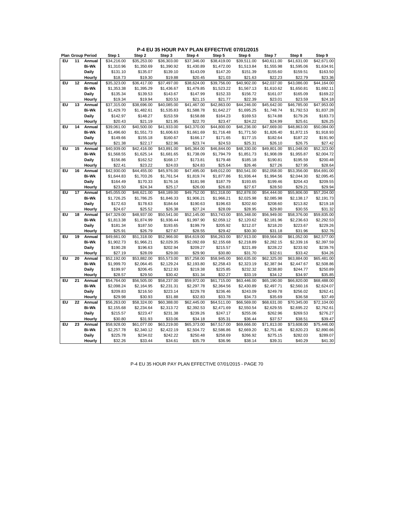|    |    | <b>Plan Group Period</b> | Step 1      | Step 2      | Step 3      | Step 4                  | Step 5      | Step 6      | Step 7      | Step 8      | Step 9      |
|----|----|--------------------------|-------------|-------------|-------------|-------------------------|-------------|-------------|-------------|-------------|-------------|
| EU | 11 | Annual                   | \$34,216.00 | \$35,253.00 | \$36,303.00 | \$37,346.00             | \$38,419.00 | \$39,511.00 | \$40,611.00 | \$41,631.00 | \$42,671.00 |
|    |    | <b>Bi-Wk</b>             | \$1,310.96  | \$1,350.69  | \$1,390.92  | \$1,430.89              | \$1,472.00  | \$1,513.84  | \$1,555.98  | \$1,595.06  | \$1,634.91  |
|    |    | Daily                    | \$131.10    | \$135.07    | \$139.10    | \$143.09                | \$147.20    | \$151.39    | \$155.60    | \$159.51    | \$163.50    |
|    |    | Hourly                   | \$18.73     | \$19.30     | \$19.88     | \$20.45                 | \$21.03     | \$21.63     | \$22.23     | \$22.79     | \$23.36     |
| EU | 12 | Annual                   | \$35,323.00 | \$36,417.00 | \$37,497.00 | \$38,624.00             | \$39.756.00 | \$40,902.00 | \$42.037.00 | \$43,086.00 | \$44,164.00 |
|    |    | Bi-Wk                    | \$1,353.38  | \$1,395.29  | \$1,436.67  | \$1,479.85              | \$1,523.22  | \$1,567.13  | \$1,610.62  | \$1,650.81  | \$1,692.11  |
|    |    | Daily                    | \$135.34    | \$139.53    | \$143.67    | \$147.99                | \$152.33    | \$156.72    | \$161.07    | \$165.09    | \$169.22    |
|    |    | Hourly                   | \$19.34     | \$19.94     | \$20.53     | \$21.15                 | \$21.77     | \$22.39     | \$23.01     | \$23.59     | \$24.18     |
| ΕU | 13 | Annual                   | \$37,315.00 | \$38,696.00 | \$40,085.00 | \$41,467.00             | \$42,863.00 | \$44,246.00 | \$45,642.00 | \$46,785.00 | \$47,953.00 |
|    |    | Bi-Wk                    | \$1,429.70  | \$1,482.61  | \$1,535.83  | \$1,588.78              | \$1,642.27  | \$1,695.25  | \$1,748.74  | \$1,792.53  | \$1,837.28  |
|    |    | Daily                    | \$142.97    | \$148.27    | \$153.59    | \$158.88                | \$164.23    | \$169.53    | \$174.88    | \$179.26    | \$183.73    |
|    |    | Hourly                   | \$20.43     | \$21.19     | \$21.95     | \$22.70                 | \$23.47     | \$24.22     | \$24.99     | \$25.61     | \$26.25     |
| EU | 14 | Annual                   | \$39,061.00 | \$40,500.00 | \$41,933.00 | \$43,370.00             | \$44,800.00 | \$46,236.00 | \$47,669.00 | \$48,863.00 | \$50,084.00 |
|    |    | <b>Bi-Wk</b>             | \$1,496.60  | \$1,551.73  | \$1,606.63  | \$1,661.69              | \$1,716.48  | \$1,771.50  | \$1,826.40  | \$1,872.15  | \$1,918.93  |
|    |    | Daily                    | \$149.66    | \$155.18    | \$160.67    | \$166.17                | \$171.65    | \$177.15    | \$182.64    | \$187.22    | \$191.90    |
|    |    | Hourly                   | \$21.38     | \$22.17     | \$22.96     | \$23.74                 | \$24.53     | \$25.31     | \$26.10     | \$26.75     | \$27.42     |
| EU | 15 | Annual                   | \$40,939.00 | \$42,416.00 | \$43,891.00 | \$45,364.00             | \$46,844.00 | \$48,330.00 | \$49,801.00 | \$51,048.00 | \$52,323.00 |
|    |    | <b>Bi-Wk</b>             | \$1,568.55  | \$1,625.14  | \$1,681.65  | \$1,738.09              | \$1,794.79  | \$1,851.73  | \$1,908.09  | \$1,955.87  | \$2,004.72  |
|    |    | Daily                    | \$156.86    | \$162.52    | \$168.17    | \$173.81                | \$179.48    | \$185.18    | \$190.81    | \$195.59    | \$200.48    |
|    |    | Hourly                   | \$22.41     | \$23.22     | \$24.03     | \$24.83                 | \$25.64     | \$26.46     | \$27.26     | \$27.95     | \$28.64     |
| EU | 16 | Annual                   | \$42,930.00 | \$44,455.00 | \$45,976.00 | $\overline{547,495.00}$ | \$49,012.00 | \$50,541.00 | \$52,058.00 | \$53,356.00 | \$54,691.00 |
|    |    | Bi-Wk                    | \$1,644.83  | \$1,703.26  | \$1,761.54  | \$1,819.74              | \$1,877.86  | \$1,936.44  | \$1,994.56  | \$2,044.30  | \$2,095.45  |
|    |    | Daily                    | \$164.49    | \$170.33    | \$176.16    | \$181.98                | \$187.79    | \$193.65    | \$199.46    | \$204.43    | \$209.55    |
|    |    | Hourly                   | \$23.50     | \$24.34     | \$25.17     | \$26.00                 | \$26.83     | \$27.67     | \$28.50     | \$29.21     | \$29.94     |
| EU | 17 | Annual                   | \$45,055.00 | \$46,621.00 | \$48,189.00 | \$49,752.00             | \$51,318.00 | \$52,878.00 | \$54,444.00 | \$55,806.00 | \$57,204.00 |
|    |    | <b>Bi-Wk</b>             | \$1,726.25  | \$1,786.25  | \$1,846.33  | \$1,906.21              | \$1,966.21  | \$2,025.98  | \$2,085.98  | \$2,138.17  | \$2,191.73  |
|    |    | Daily                    | \$172.63    | \$178.63    | \$184.64    | \$190.63                | \$196.63    | \$202.60    | \$208.60    | \$213.82    | \$219.18    |
|    |    | Hourly                   | \$24.67     | \$25.52     | \$26.38     | \$27.24                 | \$28.09     | \$28.95     | \$29.80     | \$30.55     | \$31.32     |
| EU | 18 | Annual                   | \$47,329.00 | \$48,937.00 | \$50,541.00 | \$52,145.00             | \$53,743.00 | \$55,348.00 | \$56,949.00 | \$58,376.00 | \$59,835.00 |
|    |    | <b>Bi-Wk</b>             | \$1,813.38  | \$1,874.99  | \$1,936.44  | \$1,997.90              | \$2,059.12  | \$2,120.62  | \$2,181.96  | \$2,236.63  | \$2,292.53  |
|    |    | Daily                    | \$181.34    | \$187.50    | \$193.65    | \$199.79                | \$205.92    | \$212.07    | \$218.20    | \$223.67    | \$229.26    |
|    |    | Hourly                   | \$25.91     | \$26.79     | \$27.67     | \$28.55                 | \$29.42     | \$30.30     | \$31.18     | \$31.96     | \$32.76     |
| EU | 19 | Annual                   | \$49,661.00 | \$51,318.00 | \$52,966.00 | \$54,619.00             | \$56,263.00 | \$57,913.00 | \$59,564.00 | \$61,052.00 | \$62,577.00 |
|    |    | <b>Bi-Wk</b>             | \$1,902.73  | \$1,966.21  | \$2,029.35  | \$2,092.69              | \$2,155.68  | \$2,218.89  | \$2,282.15  | \$2,339.16  | \$2,397.59  |
|    |    | Daily                    | \$190.28    | \$196.63    | \$202.94    | \$209.27                | \$215.57    | \$221.89    | \$228.22    | \$233.92    | \$239.76    |
|    |    | Hourly                   | \$27.19     | \$28.09     | \$29.00     | \$29.90                 | \$30.80     | \$31.70     | \$32.61     | \$33.42     | \$34.26     |
| EU | 20 | Annual                   | \$52,192.00 | \$53,882.00 | \$55,573.00 | \$57,258.00             | \$58,945.00 | \$60,635.00 | \$62,325.00 | \$63,884.00 | \$65,481.00 |
|    |    | <b>Bi-Wk</b>             | \$1,999.70  | \$2,064.45  | \$2,129.24  | \$2,193.80              | \$2,258.43  | \$2,323.19  | \$2,387.94  | \$2,447.67  | \$2,508.86  |
|    |    | Daily                    | \$199.97    | \$206.45    | \$212.93    | \$219.38                | \$225.85    | \$232.32    | \$238.80    | \$244.77    | \$250.89    |
|    |    | Hourly                   | \$28.57     | \$29.50     | \$30.42     | \$31.34                 | \$32.27     | \$33.19     | \$34.12     | \$34.97     | \$35.85     |
| EU | 21 | Annual                   | \$54,764.00 | \$56,505.00 | \$58,237.00 | \$59,972.00             | \$61,715.00 | \$63,446.00 | \$65,190.00 | \$66,820.00 | \$68,488.00 |
|    |    | <b>Bi-Wk</b>             | \$2,098.24  | \$2,164.95  | \$2,231.31  | \$2,297.78              | \$2,364.56  | \$2,430.89  | \$2,497.71  | \$2,560.16  | \$2,624.07  |
|    |    | Daily                    | \$209.83    | \$216.50    | \$223.14    | \$229.78                | \$236.46    | \$243.09    | \$249.78    | \$256.02    | \$262.41    |
|    |    | Hourly                   | \$29.98     | \$30.93     | \$31.88     | \$32.83                 | \$33.78     | \$34.73     | \$35.69     | \$36.58     | \$37.49     |
| EU | 22 | Annual                   | \$56,263.00 | \$58,324.00 | \$60,388.00 | \$62,445.00             | \$64,511.00 | \$66,569.00 | \$68,631.00 | \$70,345.00 | \$72,104.00 |
|    |    | <b>Bi-Wk</b>             | \$2,155.68  | \$2,234.64  | \$2,313.72  | \$2,392.53              | \$2,471.69  | \$2,550.54  | \$2,629.55  | \$2,695.22  | \$2,762.61  |
|    |    | Daily                    | \$215.57    | \$223.47    | \$231.38    | \$239.26                | \$247.17    | \$255.06    | \$262.96    | \$269.53    | \$276.27    |
|    |    | Hourly                   | \$30.80     | \$31.93     | \$33.06     | \$34.18                 | \$35.31     | \$36.44     | \$37.57     | \$38.51     | \$39.47     |
| EU | 23 | Annual                   | \$58,928.00 | \$61,077.00 | \$63,219.00 | \$65,373.00             | \$67,517.00 | \$69,666.00 | \$71,813.00 | \$73,608.00 | \$75,446.00 |
|    |    | Bi-Wk                    | \$2,257.78  | \$2,340.12  | \$2,422.19  | \$2,504.72              | \$2,586.86  | \$2,669.20  | \$2,751.46  | \$2,820.23  | \$2,890.66  |
|    |    | Daily                    | \$225.78    | \$234.02    | \$242.22    | \$250.48                | \$258.69    | \$266.92    | \$275.15    | \$282.03    | \$289.07    |
|    |    | Hourly                   | \$32.26     | \$33.44     | \$34.61     | \$35.79                 | \$36.96     | \$38.14     | \$39.31     | \$40.29     | \$41.30     |

P-4 EU 35 HOUR PAY PLAN EFFECTIVE 07/01/2015 - PAGE 70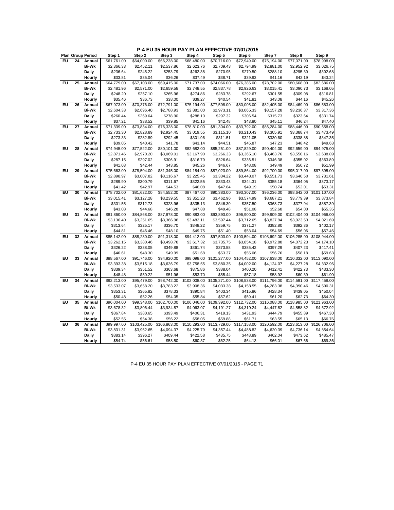**P-4 EU 35 HOUR PAY PLAN EFFECTIVE 07/01/2015**

|    |    | <b>Plan Group Period</b> | Step 1      | Step 2       | Step 3       | Step 4                   | Step 5       | Step 6       | Step 7       | Step 8       | Step 9       |
|----|----|--------------------------|-------------|--------------|--------------|--------------------------|--------------|--------------|--------------|--------------|--------------|
| EU | 24 | Annual                   | \$61,761.00 | \$64,000.00  | \$66,238.00  | \$68,480.00              | \$70.716.00  | \$72,949.00  | \$75.194.00  | \$77.071.00  | \$78,998.00  |
|    |    | <b>Bi-Wk</b>             | \$2,366.33  | \$2,452.11   | \$2,537.86   | \$2,623.76               | \$2,709.43   | \$2,794.99   | \$2,881.00   | \$2,952.92   | \$3,026.75   |
|    |    | Daily                    | \$236.64    | \$245.22     | \$253.79     | \$262.38                 | \$270.95     | \$279.50     | \$288.10     | \$295.30     | \$302.68     |
|    |    | Hourly                   | \$33.81     | \$35.04      | \$36.26      | \$37.49                  | \$38.71      | \$39.93      | \$41.16      | \$42.19      | \$43.24      |
| EU | 25 | Annual                   | \$64,779.00 | \$67,103.00  | \$69,415.00  | \$71,737.00              | \$74,066.00  | \$76,385.00  | \$78,702.00  | \$80,668.00  | \$82,686.00  |
|    |    | <b>Bi-Wk</b>             | \$2,481.96  | \$2,571.00   | \$2,659.58   | \$2,748.55               | \$2,837.78   | \$2,926.63   | \$3,015.41   | \$3,090.73   | \$3,168.05   |
|    |    | Daily                    | \$248.20    | \$257.10     | \$265.96     | \$274.86                 | \$283.78     | \$292.67     | \$301.55     | \$309.08     | \$316.81     |
|    |    | Hourly                   | \$35.46     | \$36.73      | \$38.00      | \$39.27                  | \$40.54      | \$41.81      | \$43.08      | \$44.16      | \$45.26      |
| EU | 26 | Annual                   | \$67,973.00 | \$70,376.00  | \$72,791.00  | \$75,194.00              | \$77,598.00  | \$80,005.00  | \$82,405.00  | \$84,469.00  | \$86,583.00  |
|    |    | <b>Bi-Wk</b>             | \$2,604.33  | \$2,696.40   | \$2,788.93   | \$2,881.00               | \$2,973.11   | \$3,065.33   | \$3,157.28   | \$3,236.37   | \$3,317.36   |
|    |    | Daily                    | \$260.44    | \$269.64     | \$278.90     | \$288.10                 | \$297.32     | \$306.54     | \$315.73     | \$323.64     | \$331.74     |
|    |    | Hourly                   | \$37.21     | \$38.52      | \$39.85      | \$41.16                  | \$42.48      | \$43.80      | \$45.11      | \$46.24      | \$47.40      |
| EU | 27 | Annual                   | \$71,339.00 | \$73,834.00  | \$76,328.00  | \$78,810.00              | \$81,304.00  | \$83,792.00  | \$86,284.00  | \$88,446.00  | \$90,658.00  |
|    |    | <b>Bi-Wk</b>             | \$2,733.30  | \$2,828.89   | \$2,924.45   | \$3,019.55               | \$3,115.10   | \$3,210.43   | \$3,305.91   | \$3,388.74   | \$3,473.49   |
|    |    | Daily                    | \$273.33    | \$282.89     | \$292.45     | \$301.96                 | \$311.51     | \$321.05     | \$330.60     | \$338.88     | \$347.35     |
|    |    | Hourly                   | \$39.05     | \$40.42      | \$41.78      | \$43.14                  | \$44.51      | \$45.87      | \$47.23      | \$48.42      | \$49.63      |
| EU | 28 | Annual                   | \$74,945.00 | \$77,522.00  | \$80,101.00  | \$82,682.00              | \$85,251.00  | \$87,829.00  | \$90,404.00  | \$92,659.00  | \$94,975.00  |
|    |    | <b>Bi-Wk</b>             | \$2,871.46  | \$2,970.20   | \$3,069.01   | \$3,167.90               | \$3,266.33   | \$3,365.10   | \$3,463.76   | \$3,550.16   | \$3,638.89   |
|    |    | Daily                    | \$287.15    | \$297.02     | \$306.91     | \$316.79                 | \$326.64     | \$336.51     | \$346.38     | \$355.02     | \$363.89     |
|    |    | Hourly                   | \$41.03     | \$42.44      | \$43.85      | \$45.26                  | \$46.67      | \$48.08      | \$49.49      | \$50.72      | \$51.99      |
| EU | 29 | Annual                   | \$75,663.00 | \$78,504.00  | \$81,345.00  | \$84,184.00              | \$87,023.00  | \$89,864.00  | \$92,700.00  | \$95,017.00  | \$97,395.00  |
|    |    | <b>Bi-Wk</b>             | \$2,898.97  | \$3,007.82   | \$3,116.67   | \$3,225.45               | \$3,334.22   | \$3,443.07   | \$3,551.73   | \$3,640.50   | \$3,731.61   |
|    |    | Daily                    | \$289.90    | \$300.79     | \$311.67     | \$322.55                 | \$333.43     | \$344.31     | \$355.18     | \$364.05     | \$373.17     |
|    |    | Hourly                   | \$41.42     | \$42.97      | \$44.53      | \$46.08                  | \$47.64      | \$49.19      | \$50.74      | \$52.01      | \$53.31      |
| EU | 30 | Annual                   | \$78,702.00 | \$81,622.00  | \$84,552.00  | \$87,467.00              | \$90,383.00  | \$93,307.00  | \$96,236.00  | \$98,642.00  | \$101,107.00 |
|    |    | <b>Bi-Wk</b>             | \$3,015.41  | \$3,127.28   | \$3,239.55   | \$3,351.23               | \$3,462.96   | \$3,574.99   | \$3,687.21   | \$3,779.39   | \$3,873.84   |
|    |    | Daily                    | \$301.55    | \$312.73     | \$323.96     | \$335.13                 | \$346.30     | \$357.50     | \$368.73     | \$377.94     | \$387.39     |
|    |    | Hourly                   | \$43.08     | \$44.68      | \$46.28      | \$47.88                  | \$49.48      | \$51.08      | \$52.68      | \$54.00      | \$55.35      |
| EU | 31 | Annual                   | \$81,860.00 | \$84,868.00  | \$87,878.00  | \$90,883.00              | \$93,893.00  | \$96,900.00  | \$99,909.00  | \$102,404.00 | \$104,966.00 |
|    |    | <b>Bi-Wk</b>             | \$3,136.40  | \$3,251.65   | \$3,366.98   | \$3,482.11               | \$3,597.44   | \$3,712.65   | \$3,827.94   | \$3,923.53   | \$4,021.69   |
|    |    | Daily                    | \$313.64    | \$325.17     | \$336.70     | \$348.22                 | \$359.75     | \$371.27     | \$382.80     | \$392.36     | \$402.17     |
|    |    | Hourly                   | \$44.81     | \$46.46      | \$48.10      | \$49.75                  | \$51.40      | \$53.04      | \$54.69      | \$56.06      | \$57.46      |
| EU | 32 | Annual                   | \$85,142.00 | \$88,230.00  | \$91,318.00  | \$94,412.00              | \$97,503.00  | \$100,594.00 | \$103,692.00 | \$106,285.00 | \$108,944.00 |
|    |    | <b>Bi-Wk</b>             | \$3,262.15  | \$3,380.46   | \$3,498.78   | \$3,617.32               | \$3,735.75   | \$3,854.18   | \$3,972.88   | \$4,072.23   | \$4,174.10   |
|    |    | Daily                    | \$326.22    | \$338.05     | \$349.88     | \$361.74                 | \$373.58     | \$385.42     | \$397.29     | \$407.23     | \$417.41     |
|    |    | Hourly                   | \$46.61     | \$48.30      | \$49.99      | \$51.68                  | \$53.37      | \$55.06      | \$56.76      | \$58.18      | \$59.63      |
| EU | 33 | Annual                   | \$88,567.00 | \$91,746.00  | \$94,920.00  | \$98,098.00              | \$101,277.00 | \$104,452.00 | \$107,638.00 | \$110,332.00 | \$113,090.00 |
|    |    | <b>Bi-Wk</b>             | \$3,393.38  | \$3,515.18   | \$3,636.79   | \$3,758.55               | \$3,880.35   | \$4,002.00   | \$4,124.07   | \$4,227.28   | \$4,332.96   |
|    |    | Daily                    | \$339.34    | \$351.52     | \$363.68     | \$375.86                 | \$388.04     | \$400.20     | \$412.41     | \$422.73     | \$433.30     |
|    |    | Hourly                   | \$48.48     | \$50.22      | \$51.96      | \$53.70                  | \$55.44      | \$57.18      | \$58.92      | \$60.39      | \$61.90      |
| EU | 34 | Annual                   | \$92,213.00 | \$95,479.00  | \$98,742.00  | $\overline{$}102,008.00$ | \$105,271.00 | \$108,538.00 | \$111,796.00 | \$114,591.00 | \$117,458.00 |
|    |    | <b>Bi-Wk</b>             | \$3,533.07  | \$3,658.20   | \$3,783.22   | \$3,908.36               | \$4,033.38   | \$4,158.55   | \$4,283.38   | \$4,390.46   | \$4,500.31   |
|    |    | Daily                    | \$353.31    | \$365.82     | \$378.33     | \$390.84                 | \$403.34     | \$415.86     | \$428.34     | \$439.05     | \$450.04     |
|    |    | Hourly                   | \$50.48     | \$52.26      | \$54.05      | \$55.84                  | \$57.62      | \$59.41      | \$61.20      | \$62.73      | \$64.30      |
| EU | 35 | Annual                   | \$96,004.00 | \$99,348.00  | \$102,700.00 | \$106,046.00             | \$109,392.00 | \$112,732.00 | \$116,088.00 | \$118,985.00 | \$121,963.00 |
|    |    | <b>Bi-Wk</b>             | \$3,678.32  | \$3,806.44   | \$3,934.87   | \$4,063.07               | \$4,191.27   | \$4,319.24   | \$4,447.82   | \$4,558.82   | \$4,672.92   |
|    |    | Daily                    | \$367.84    | \$380.65     | \$393.49     | \$406.31                 | \$419.13     | \$431.93     | \$444.79     | \$455.89     | \$467.30     |
|    |    | Hourly                   | \$52.55     | \$54.38      | \$56.22      | \$58.05                  | \$59.88      | \$61.71      | \$63.55      | \$65.13      | \$66.76      |
| EU | 36 | Annual                   | \$99,997.00 | \$103,425.00 | \$106,863.00 | \$110,293.00             | \$113,729.00 | \$117,158.00 | \$120,592.00 | \$123,613.00 | \$126,706.00 |
|    |    | <b>Bi-Wk</b>             | \$3,831.31  | \$3,962.65   | \$4,094.37   | \$4,225.79               | \$4,357.44   | \$4,488.82   | \$4,620.39   | \$4,736.14   | \$4,854.64   |
|    |    | Daily                    | \$383.14    | \$396.27     | \$409.44     | \$422.58                 | \$435.75     | \$448.89     | \$462.04     | \$473.62     | \$485.47     |
|    |    | Hourly                   | \$54.74     | \$56.61      | \$58.50      | \$60.37                  | \$62.25      | \$64.13      | \$66.01      | \$67.66      | \$69.36      |
|    |    |                          |             |              |              |                          |              |              |              |              |              |

P-4 EU 35 HOUR PAY PLAN EFFECTIVE 07/01/2015 - PAGE 71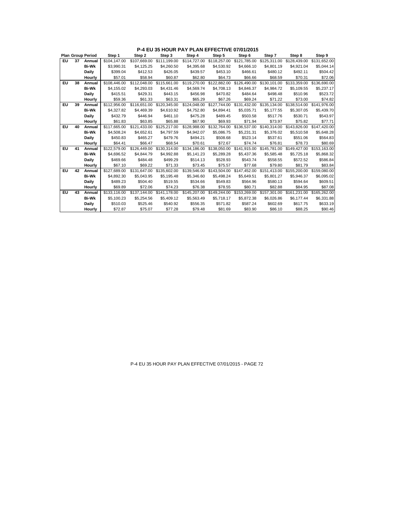|    |    | <b>Plan Group Period</b> | Step 1       | Step 2       | Step 3                    | Step 4       | Step 5       | Step 6       | Step 7       | Step 8                                                           | Step 9       |
|----|----|--------------------------|--------------|--------------|---------------------------|--------------|--------------|--------------|--------------|------------------------------------------------------------------|--------------|
| EU | 37 | Annual                   | \$104.147.00 | \$107,669.00 | \$111.199.00              | \$114,727.00 | \$118,257.00 | \$121.785.00 | \$125,311.00 | \$128,439.00                                                     | \$131.652.00 |
|    |    | <b>Bi-Wk</b>             | \$3,990.31   | \$4,125.25   | \$4,260.50                | \$4,395.68   | \$4,530.92   | \$4,666.10   | \$4,801.19   | \$4,921.04                                                       | \$5,044.14   |
|    |    | <b>Daily</b>             | \$399.04     | \$412.53     | \$426.05                  | \$439.57     | \$453.10     | \$466.61     | \$480.12     | \$492.11                                                         | \$504.42     |
|    |    | Hourly                   | \$57.01      | \$58.94      | \$60.87                   | \$62.80      | \$64.73      | \$66.66      | \$68.59      | \$70.31                                                          | \$72.06      |
| EU | 38 | Annual                   | \$108,446.00 | \$112,048.00 | \$115,661.00              | \$119,270.00 | \$122,882.00 | \$126,490.00 | \$130,101.00 | \$133,359.00                                                     | \$136,690.00 |
|    |    | <b>Bi-Wk</b>             | \$4.155.02   | \$4.293.03   | \$4,431.46                | \$4.569.74   | \$4.708.13   | \$4.846.37   | \$4.984.72   | \$5.109.55                                                       | \$5,237.17   |
|    |    | <b>Daily</b>             | \$415.51     | \$429.31     | \$443.15                  | \$456.98     | \$470.82     | \$484.64     | \$498.48     | \$510.96                                                         | \$523.72     |
|    |    | Hourly                   | \$59.36      | \$61.33      | \$63.31                   | \$65.29      | \$67.26      | \$69.24      | \$71.22      | \$73.00                                                          | \$74.82      |
| EU | 39 | Annual                   | \$112.956.00 | \$116,651.00 | \$120,345.00              | \$124,048.00 | \$127,744.00 | \$131.432.00 | \$135,134.00 | \$138,514.00                                                     | \$141.976.00 |
|    |    | <b>Bi-Wk</b>             | \$4,327.82   | \$4,469.39   | \$4.610.92                | \$4,752.80   | \$4,894.41   | \$5,035.71   | \$5.177.55   | \$5,307.05                                                       | \$5,439.70   |
|    |    | <b>Daily</b>             | \$432.79     | \$446.94     | \$461.10                  | \$475.28     | \$489.45     | \$503.58     | \$517.76     | \$530.71                                                         | \$543.97     |
|    |    | Hourly                   | \$61.83      | \$63.85      | \$65.88                   | \$67.90      | \$69.93      | \$71.94      | \$73.97      | \$75.82                                                          | \$77.71      |
| EU | 40 | Annual                   | \$117,665.00 | \$121,433.00 | \$125,217.00              | \$128,988.00 | \$132,764.00 | \$136,537.00 | \$140,314.00 | \$143,826.00                                                     | \$147,420.00 |
|    |    | <b>Bi-Wk</b>             | \$4,508.24   | \$4.652.61   | \$4.797.59                | \$4.942.07   | \$5.086.75   | \$5,231.31   | \$5.376.02   | \$5.510.58                                                       | \$5,648.28   |
|    |    | <b>Daily</b>             | \$450.83     | \$465.27     | \$479.76                  | \$494.21     | \$508.68     | \$523.14     | \$537.61     | \$551.06                                                         | \$564.83     |
|    |    | Hourly                   | \$64.41      | \$66.47      | \$68.54                   | \$70.61      | \$72.67      | \$74.74      | \$76.81      | \$78.73                                                          | \$80.69      |
| EU | 41 | Annual                   | \$122,579.00 | \$126,449.00 | \$130,314.00              |              |              |              |              | \$134,186.00 \$138,050.00 \$141,915.00 \$145,781.00 \$149,427.00 | \$153,163,00 |
|    |    | <b>Bi-Wk</b>             | \$4,696.52   | \$4.844.79   | \$4.992.88                | \$5,141.23   | \$5,289.28   | \$5,437.36   | \$5.585.48   | \$5,725.18                                                       | \$5,868.32   |
|    |    | Daily                    | \$469.66     | \$484.48     | \$499.29                  | \$514.13     | \$528.93     | \$543.74     | \$558.55     | \$572.52                                                         | \$586.84     |
|    |    | Hourly                   | \$67.10      | \$69.22      | \$71.33                   | \$73.45      | \$75.57      | \$77.68      | \$79.80      | \$81.79                                                          | \$83.84      |
| EU | 42 | Annual                   | \$127,689.00 |              | \$131,647.00 \$135,602.00 |              |              |              |              | \$139,546.00 \$143,504.00 \$147,452.00 \$151,413.00 \$155,200.00 | \$159,080.00 |
|    |    | <b>Bi-Wk</b>             | \$4,892.30   | \$5.043.95   | \$5.195.48                | \$5,346.60   | \$5,498.24   | \$5.649.51   | \$5,801.27   | \$5.946.37                                                       | \$6,095.02   |
|    |    | Daily                    | \$489.23     | \$504.40     | \$519.55                  | \$534.66     | \$549.83     | \$564.96     | \$580.13     | \$594.64                                                         | \$609.51     |
|    |    | Hourly                   | \$69.89      | \$72.06      | \$74.23                   | \$76.38      | \$78.55      | \$80.71      | \$82.88      | \$84.95                                                          | \$87.08      |
| EU | 43 | Annual                   | \$133,116.00 | \$137.144.00 | \$141.178.00              | \$145,207.00 | \$149,244,00 | \$153,269.00 | \$157,301.00 | \$161.231.00                                                     | \$165,262.00 |
|    |    | <b>Bi-Wk</b>             | \$5,100.23   | \$5,254.56   | \$5,409.12                | \$5,563.49   | \$5,718.17   | \$5,872.38   | \$6,026.86   | \$6,177.44                                                       | \$6,331.88   |
|    |    | <b>Daily</b>             | \$510.03     | \$525.46     | \$540.92                  | \$556.35     | \$571.82     | \$587.24     | \$602.69     | \$617.75                                                         | \$633.19     |
|    |    | Hourly                   | \$72.87      | \$75.07      | \$77.28                   | \$79.48      | \$81.69      | \$83.90      | \$86.10      | \$88.25                                                          | \$90.46      |

**P-4 EU 35 HOUR PAY PLAN EFFECTIVE 07/01/2015**

P-4 EU 35 HOUR PAY PLAN EFFECTIVE 07/01/2015 - PAGE 72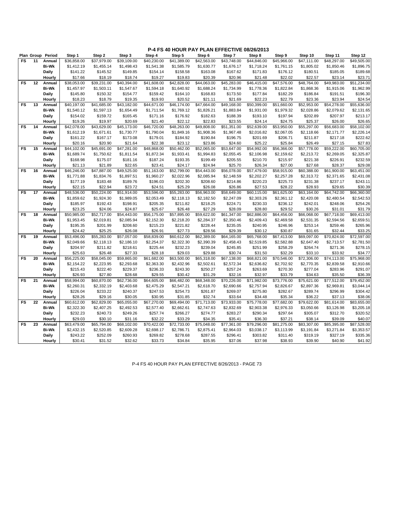|           |    | Plan Group Period | Step 1                  | Step 2      | Step 3      | Step 4      | Step 5      | Step 6      | Step 7      | Step 8      | Step 9      | Step 10     | Step 11                 | Step 12     |
|-----------|----|-------------------|-------------------------|-------------|-------------|-------------|-------------|-------------|-------------|-------------|-------------|-------------|-------------------------|-------------|
| <b>FS</b> | 11 | Annual            | \$36,858.00             | \$37,979.00 | \$39,109.00 | \$40,230.00 | \$41,389.00 | \$42,563.00 | \$43,748.00 | \$44,846.00 | \$45,966.00 | \$47,111.00 | \$48,297.00             | \$49,505.00 |
|           |    | <b>Bi-Wk</b>      | \$1,412.19              | \$1,455.14  | \$1,498.43  | \$1,541.38  | \$1,585.79  | \$1,630.77  | \$1,676.17  | \$1,718.24  | \$1,761.15  | \$1,805.02  | \$1,850.46              | \$1,896.75  |
|           |    |                   |                         |             |             |             |             |             |             |             |             |             |                         |             |
|           |    | Daily             | \$141.22                | \$145.52    | \$149.85    | \$154.14    | \$158.58    | \$163.08    | \$167.62    | \$171.83    | \$176.12    | \$180.51    | \$185.05                | \$189.68    |
|           |    | Hourly            | \$17.66                 | \$18.19     | \$18.74     | \$19.27     | \$19.83     | \$20.39     | \$20.96     | \$21.48     | \$22.02     | \$22.57     | \$23.14                 | \$23.71     |
| FS        | 12 | Annual            | \$38,053.00             | \$39,231.00 | \$40,394.00 | \$41,608.00 | \$42,828.00 | \$44.063.00 | \$45,283.00 | \$46,415.00 | \$47,576.00 | \$48.764.00 | \$49,983.00             | \$51,234.00 |
|           |    | <b>Bi-Wk</b>      | \$1,457.97              | \$1,503.11  | \$1,547.67  | \$1,594.18  | \$1,640.92  | \$1,688.24  | \$1,734.99  | \$1,778.36  | \$1,822.84  | \$1,868.36  | \$1,915.06              | \$1,962.99  |
|           |    | Daily             | \$145.80                | \$150.32    | \$154.77    | \$159.42    | \$164.10    | \$168.83    | \$173.50    | \$177.84    | \$182.29    | \$186.84    | \$191.51                | \$196.30    |
|           |    | Hourly            | \$18.23                 | \$18.79     | \$19.35     | \$19.93     | \$20.52     | \$21.11     | \$21.69     | \$22.23     | \$22.79     | \$23.36     | \$23.94                 | \$24.54     |
| FS        | 13 | Annual            | \$40,197.00             | \$41,685.00 | \$43,182.00 | \$44,671.00 | \$46,174.00 | \$47,664.00 | \$49,168.00 | \$50,399.00 | \$51,660.00 | \$52,953.00 | \$54,278.00             | \$55,636.00 |
|           |    | Bi-Wk             | \$1,540.12              | \$1,597.13  | \$1,654.49  | \$1,711.54  | \$1,769.12  | \$1,826.21  | \$1,883.84  | \$1,931.00  | \$1,979.32  | \$2,028.86  | \$2,079.62              | \$2,131.65  |
|           |    | Daily             | \$154.02                | \$159.72    | \$165.45    | \$171.16    | \$176.92    | \$182.63    | \$188.39    | \$193.10    | \$197.94    | \$202.89    | \$207.97                | \$213.17    |
|           |    | Hourly            | \$19.26                 | \$19.97     | \$20.69     | \$21.40     | \$22.12     | \$22.83     | \$23.55     | \$24.14     | \$24.75     | \$25.37     | \$26.00                 | \$26.65     |
| <b>FS</b> | 14 | Annual            | \$42,078.00             | \$43,629.00 | \$45,173.00 | \$46,720.00 | \$48,263.00 | \$49,808.00 | \$51,351.00 | \$52,639.00 | \$53,950.00 | \$55,297.00 | \$56,683.00             | \$58,102.00 |
|           |    | <b>Bi-Wk</b>      | \$1,612.19              | \$1,671.61  | \$1,730.77  | \$1,790.04  | \$1,849.16  | \$1,908.36  | \$1,967.48  | \$2,016.82  | \$2,067.05  | \$2,118.66  | \$2,171.77              | \$2,226.14  |
|           |    | Daily             | \$161.22                | \$167.17    | \$173.08    | \$179.01    | \$184.92    | \$190.84    | \$196.75    | \$201.69    | \$206.71    | \$211.87    | \$217.18                | \$222.62    |
|           |    | Hourly            | \$20.16                 | \$20.90     | \$21.64     | \$22.38     | \$23.12     | \$23.86     | \$24.60     | \$25.22     | \$25.84     | \$26.49     | \$27.15                 | \$27.83     |
| <b>FS</b> | 15 | Annual            | \$44,102.00             | \$45,691.00 | \$47,281.00 | \$48,868.00 | \$50,462.00 | \$52,065.00 | \$53,647.00 | \$54,992.00 | \$56,366.00 | \$57,778.00 | \$59,222.00             | \$60,705.00 |
|           |    | <b>Bi-Wk</b>      | \$1,689.74              | \$1,750.62  | \$1,811.54  | \$1,872.34  | \$1,933.41  | \$1,994.83  | \$2,055.45  | \$2,106.98  | \$2,159.62  | \$2,213.72  | \$2,269.05              | \$2,325.87  |
|           |    | Daily             | \$168.98                | \$175.07    | \$181.16    | \$187.24    | \$193.35    | \$199.49    | \$205.55    | \$210.70    | \$215.97    | \$221.38    | \$226.91                | \$232.59    |
|           |    | Hourly            | \$21.13                 | \$21.89     | \$22.65     | \$23.41     | \$24.17     | \$24.94     | \$25.70     | \$26.34     | \$27.00     | \$27.68     | \$28.37                 | \$29.08     |
| FS        | 16 | Annual            | $\overline{$46,246.00}$ | \$47,887.00 | \$49,525.00 | \$51,163.00 | \$52,799.00 | \$54,443.00 | \$56,078.00 | \$57,479.00 | \$58,915.00 | \$60,388.00 | \$61,900.00             | \$63,451.00 |
|           |    | <b>Bi-Wk</b>      | \$1,771.88              | \$1,834.76  | \$1,897.51  | \$1,960.27  | \$2,022.96  | \$2,085.94  | \$2,148.59  | \$2,202.27  | \$2,257.28  | \$2,313.72  | \$2,371.65              | \$2,431.08  |
|           |    | Daily             | \$177.19                | \$183.48    | \$189.76    | \$196.03    | \$202.30    | \$208.60    | \$214.86    | \$220.23    | \$225.73    | \$231.38    | \$237.17                | \$243.11    |
|           |    | Hourly            | \$22.15                 | \$22.94     | \$23.72     | \$24.51     | \$25.29     | \$26.08     | \$26.86     | \$27.53     | \$28.22     | \$28.93     | \$29.65                 | \$30.39     |
| <b>FS</b> | 17 | Annual            | \$48,536.00             | \$50,224.00 | \$51,914.00 | \$53,596.00 | \$55,283.00 | \$56,963.00 | \$58,649.00 | \$60,115.00 | \$61,625.00 | \$63,164.00 | \$64,742.00             | \$66,360.00 |
|           |    | <b>Bi-Wk</b>      | \$1,859.62              | \$1,924.30  | \$1,989.05  | \$2,053.49  | \$2,118.13  | \$2,182.50  | \$2,247.09  | \$2,303.26  | \$2,361.12  | \$2,420.08  | \$2,480.54              | \$2,542.53  |
|           |    | Daily             | \$185.97                | \$192.43    | \$198.91    | \$205.35    | \$211.82    | \$218.25    | \$224.71    | \$230.33    | \$236.12    | \$242.01    | \$248.06                | \$254.26    |
|           |    | Hourly            | \$23.25                 | \$24.06     | \$24.87     | \$25.67     | \$26.48     | \$27.29     | \$28.09     | \$28.80     | \$29.52     | \$30.26     | \$31.01                 | \$31.79     |
| <b>FS</b> | 18 | Annual            | \$50,985.00             | \$52,717.00 | \$54,443.00 | \$56,175.00 | \$57,895.00 | \$59,622.00 | \$61,347.00 | \$62,886.00 | \$64,456.00 | \$66,068.00 | \$67,718.00             | \$69,413.00 |
|           |    | <b>Bi-Wk</b>      | \$1,953.45              | \$2,019.81  | \$2,085.94  | \$2,152.30  | \$2,218.20  | \$2,284.37  | \$2,350.46  | \$2,409.43  | \$2,469.58  | \$2,531.35  | \$2,594.56              | \$2,659.51  |
|           |    | Daily             | \$195.35                | \$201.99    | \$208.60    | \$215.23    | \$221.82    | \$228.44    | \$235.05    | \$240.95    | \$246.96    | \$253.14    | \$259.46                | \$265.96    |
|           |    | Hourly            | \$24.42                 | \$25.25     | \$26.08     | \$26.91     | \$27.73     | \$28.56     | \$29.39     | \$30.12     | \$30.87     | \$31.65     | \$32.44                 | \$33.25     |
| <b>FS</b> | 19 | Annual            | \$53,496.00             | \$55,283.00 | \$57,057.00 | \$58,839.00 | \$60,612.00 | \$62,389.00 | \$64,165.00 | \$65,768.00 | \$67,413.00 | \$69,097.00 | \$70,824.00             | \$72,597.00 |
|           |    | <b>Bi-Wk</b>      | \$2,049.66              | \$2,118.13  | \$2,186.10  | \$2,254.37  | \$2,322.30  | \$2,390.39  | \$2,458.43  | \$2,519.85  | \$2,582.88  | \$2,647.40  | \$2,713.57              | \$2,781.50  |
|           |    | Daily             | \$204.97                | \$211.82    | \$218.61    | \$225.44    | \$232.23    | \$239.04    | \$245.85    | \$251.99    | \$258.29    | \$264.74    | \$271.36                | \$278.15    |
|           |    | Hourly            | \$25.63                 | \$26.48     | \$27.33     | \$28.18     | \$29.03     | \$29.88     | \$30.74     | \$31.50     | \$32.29     | \$33.10     | \$33.92                 | \$34.77     |
| <b>FS</b> | 20 | Annual            | \$56,225.00             | \$58,045.00 | \$59,865.00 | \$61,682.00 | \$63,500.00 | \$65,318.00 | \$67,138.00 | \$68,821.00 | \$70,546.00 | \$72,306.00 | $\overline{$}74,113.00$ | \$75,968.00 |
|           |    | <b>Bi-Wk</b>      | \$2,154.22              | \$2,223.95  | \$2,293.68  | \$2,363.30  | \$2,432.96  | \$2,502.61  | \$2,572.34  | \$2,636.82  | \$2,702.92  | \$2,770.35  | \$2,839.58              | \$2,910.66  |
|           |    | Daily             | \$215.43                | \$222.40    | \$229.37    | \$236.33    | \$243.30    | \$250.27    | \$257.24    | \$263.69    | \$270.30    | \$277.04    | \$283.96                | \$291.07    |
|           |    | Hourly            | \$26.93                 | \$27.80     | \$28.68     | \$29.55     | \$30.42     | \$31.29     | \$32.16     | \$32.97     | \$33.79     | \$34.63     | \$35.50                 | \$36.39     |
| <b>FS</b> | 21 | Annual            | \$58,994.00             | \$60,870.00 | \$62,736.00 | \$64,605.00 | \$66,482.00 | \$68,348.00 | \$70,226.00 | \$71,982.00 | \$73,776.00 | \$75,621.00 | \$77,512.00             | \$79,452.00 |
|           |    | <b>Bi-Wk</b>      | \$2,260.31              | \$2,332.19  | \$2,403.68  | \$2,475.29  | \$2,547.21  | \$2,618.70  | \$2,690.66  | \$2,757.94  | \$2,826.67  | \$2,897.36  | \$2,969.81              | \$3,044.14  |
|           |    | Daily             | \$226.04                | \$233.22    | \$240.37    | \$247.53    | \$254.73    | \$261.87    | \$269.07    | \$275.80    | \$282.67    | \$289.74    | \$296.99                | \$304.42    |
|           |    | Hourly            | \$28.26                 | \$29.16     | \$30.05     | \$30.95     | \$31.85     | \$32.74     | \$33.64     | \$34.48     | \$35.34     | \$36.22     | \$37.13                 | \$38.06     |
| FS        | 22 | Annual            | \$60,612.00             | \$62,829.00 | \$65,055.00 | \$67,270.00 | \$69,494.00 | \$71,713.00 | \$73,933.00 | \$75,778.00 | \$77,682.00 | \$79,622.00 | \$81,614.00             | \$83,655.00 |
|           |    | <b>Bi-Wk</b>      | \$2,322.30              | \$2,407.25  | \$2,492.53  | \$2,577.40  | \$2,662.61  | \$2,747.63  | \$2,832.69  | \$2,903.38  | \$2,976.33  | \$3,050.66  | \$3,126.98              | \$3,205.18  |
|           |    |                   |                         |             |             |             |             |             |             |             |             |             |                         |             |
|           |    | Daily             | \$232.23                | \$240.73    | \$249.26    | \$257.74    | \$266.27    | \$274.77    | \$283.27    | \$290.34    | \$297.64    | \$305.07    | \$312.70                | \$320.52    |
|           |    | Hourly            | \$29.03                 | \$30.10     | \$31.16     | \$32.22     | \$33.29     | \$34.35     | \$35.41     | \$36.30     | \$37.21     | \$38.14     | \$39.09                 | \$40.07     |
| <b>FS</b> | 23 | Annual            | \$63,479.00             | \$65,794.00 | \$68,102.00 | \$70,422.00 | \$72,733.00 | \$75,048.00 | \$77,361.00 | \$79,296.00 | \$81,275.00 | \$83,307.00 | \$85,395.00             | \$87,528.00 |
|           |    | <b>Bi-Wk</b>      | \$2,432.15              | \$2,520.85  | \$2,609.28  | \$2,698.17  | \$2,786.71  | \$2,875.41  | \$2,964.03  | \$3,038.17  | \$3,113.99  | \$3,191.84  | \$3,271.84              | \$3,353.57  |
|           |    | Daily             | \$243.22                | \$252.09    | \$260.93    | \$269.82    | \$278.68    | \$287.55    | \$296.41    | \$303.82    | \$311.40    | \$319.19    | \$327.19                | \$335.36    |
|           |    | Hourly            | \$30.41                 | \$31.52     | \$32.62     | \$33.73     | \$34.84     | \$35.95     | \$37.06     | \$37.98     | \$38.93     | \$39.90     | \$40.90                 | \$41.92     |

P-4 FS 40 HOUR PAY PLAN EFFECTIVE 8/26/2013 - PAGE 73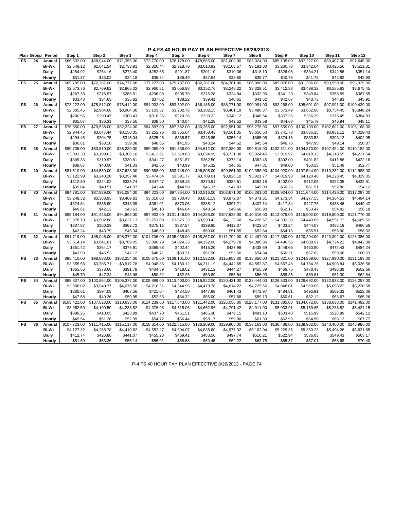| Plan Group |    | Period           | Step 1                  | Step 2                  | Step 3                  | Step 4                  | Step 5                  | Step 6              | Step 7                  | Step 8                  | Step 9              | Step 10                 | Step 11                 | Step 12                 |
|------------|----|------------------|-------------------------|-------------------------|-------------------------|-------------------------|-------------------------|---------------------|-------------------------|-------------------------|---------------------|-------------------------|-------------------------|-------------------------|
| FS         | 24 | Annual           | \$66,532.00             | \$68,944.00             | \$71,355.00             | \$73,770.00             | \$76,178.00             | \$78,585.00         | \$81,003.00             | \$83,024.00             | \$85,105.00         | \$87,227.00             | \$89,407.00             | \$91,645.00             |
|            |    | <b>Bi-Wk</b>     | \$2,549.12              | \$2,641.54              | \$2,733.91              | \$2,826.44              | \$2,918.70              | \$3,010.92          | \$3,103.57              | \$3,181.00              | \$3,260.73          | \$3,342.04              | \$3,425.56              | \$3,511.31              |
|            |    | <b>Daily</b>     | \$254.92                | \$264.16                | \$273.40                | \$282.65                | \$291.87                | \$301.10            | \$310.36                | \$318.10                | \$326.08            | \$334.21                | \$342.56                | \$351.14                |
|            |    | Hourly           | \$31.87                 | \$33.02                 | \$34.18                 | \$35.34                 | \$36.49                 | \$37.64             | \$38.80                 | \$39.77                 | \$40.76             | \$41.78                 | \$42.82                 | \$43.90                 |
| FS         | 25 | Annual           | \$69,785.00             | \$72,287.00             | \$74,777.00             | \$77,277.00             | \$79,787.00             | \$82,287.00         | \$84,781.00             | \$86,900.00             | \$89,076.00         | \$91,306.00             | \$93,590.00             | \$95,929.00             |
|            |    | <b>Bi-Wk</b>     | \$2,673.76              | \$2,769.62              | \$2,865.02              | \$2,960.81              | \$3,056.98              | \$3,152.76          | \$3,248.32              | \$3,329.51              | \$3,412.88          | \$3,498.32              | \$3,585.83              | \$3,675.45              |
|            |    | Daily            | \$267.38                | \$276.97                | \$286.51                | \$296.09                | \$305.70                | \$315.28            | \$324.84                | \$332.96                | \$341.29            | \$349.84                | \$358.59                | \$367.55                |
|            |    | Hourly           | \$33.43                 | \$34.63                 | \$35.82                 | \$37.02                 | \$38.22                 | \$39.41             | \$40.61                 | \$41.62                 | \$42.67             | \$43.73                 | \$44.83                 | \$45.95                 |
| FS         | 26 | Annual           | \$73,222.00             | \$75,812.00             | \$78,412.00             | \$81,003.00             | \$83,592.00             | \$86,186.00         | \$88,771.00             | \$90,994.00             | \$93,268.00         | \$95,601.00             | \$97,991.00             | \$100,439.00            |
|            |    | <b>Bi-Wk</b>     | \$2,805.45              | \$2,904.68              | \$3,004.30              | \$3,103.57              | \$3,202.76              | \$3,302.15          | \$3,401.19              | \$3,486.37              | \$3,573.49          | \$3,662.88              | \$3,754.45              | \$3,848.24              |
|            |    | Daily            | \$280.55                | \$290.47                | \$300.43                | \$310.36                | \$320.28                | \$330.22            | \$340.12                | \$348.64                | \$357.35            | \$366.29                | \$375.45                | \$384.83                |
|            |    | Hourly           | \$35.07                 | \$36.31                 | \$37.56                 | \$38.80                 | \$40.04                 | \$41.28             | \$42.52                 | \$43.58                 | \$44.67             | \$45.79                 | \$46.94                 | \$48.11                 |
| FS         | 27 | Annual           | \$76,850.00             | \$79,538.00             | \$82,224.00             | \$84,897.00             | \$87,582.00             | \$90,265.00         | \$92,951.00             | \$95,278.00             | \$97,659.00         | \$100,100.00            | \$102,602.00            | \$105,168.00            |
|            |    | <b>Bi-Wk</b>     | \$2,944.45              | \$3,047.44              | \$3,150.35              | \$3,252.76              | \$3,355.64              | \$3,458.43          | \$3,561.35              | \$3,650.50              | \$3,741.73          | \$3,835.25              | \$3,931.12              | \$4,029.43              |
|            |    | Daily            | \$294.45                | \$304.75                | \$315.04                | \$325.28                | \$335.57                | \$345.85            | \$356.14                | \$365.05                | \$374.18            | \$383.53                | \$393.12                | \$402.95                |
|            |    | Hourly           | \$36.81                 | \$38.10                 | \$39.38                 | \$40.66                 | \$41.95                 | \$43.24             | \$44.52                 | \$45.64                 | \$46.78             | \$47.95                 | \$49.14                 | \$50.37                 |
| FS         | 28 | Annual           | \$80,735.00             | \$83,510.00             | \$86,289.00             | \$89,069.00             | \$91,836.00             | \$94,612.00         | \$97,389.00             | \$99,818.00             | \$102,311.00        | \$104,873.00            | \$107,494.00            | \$110,182.00            |
|            |    | <b>Bi-Wk</b>     | \$3,093.30              | \$3,199.62              | \$3,306.10              | \$3,412.61              | \$3,518.63              | \$3,624.99          | \$3,731.38              | \$3,824.45              | \$3,919.97          | \$4,018.13              | \$4,118.55              | \$4,221.54              |
|            |    | Daily            | \$309.33                | \$319.97                | \$330.61                | \$341.27                | \$351.87                | \$362.50            | \$373.14                | \$382.45                | \$392.00            | \$401.82                | \$411.86                | \$422.16                |
|            |    | Hourly           | \$38.67                 | \$40.00                 | \$41.33                 | \$42.66                 | \$43.99                 | \$45.32             | \$46.65                 | \$47.81                 | \$49.00             | \$50.23                 | \$51.49                 | \$52.77                 |
| FS         | 29 | Annual           | \$81,510.00             | \$84,569.00             | \$87,628.00             | \$90,688.00             | \$93,745.00             | \$96,805.00         | \$99,861.00             | \$102,358.00            | \$104.920.00        | \$107.544.00            | \$110,232.00            | \$112,988.00            |
|            |    | <b>Bi-Wk</b>     | \$3,122.99              | \$3,240.20              | \$3,357.40              | \$3,474.64              | \$3,591.77              | \$3,709.01          | \$3,826.10              | \$3,921.77              | \$4,019.93          | \$4,120.46              | \$4,223.45              | \$4,329.05              |
|            |    | Daily            | \$312.30                | \$324.02                | \$335.74                | \$347.47                | \$359.18                | \$370.91            | \$382.61                | \$392.18                | \$402.00            | \$412.05                | \$422.35                | \$432.91                |
|            |    | Hourly           | \$39.04                 | \$40.51                 | \$41.97                 | \$43.44                 | \$44.90                 | \$46.37             | \$47.83                 | \$49.03                 | \$50.25             | \$51.51                 | \$52.80                 | \$54.12                 |
| FS         | 30 | Annual           | \$84,781.00             | \$87,929.00             | \$91,084.00             | \$94,223.00             | \$97,364.00             | \$100,516.00        | \$103,671.00            | \$106,261.00            | \$108.924.00        | \$111.644.00            | \$114,436.00            | \$117,297.00            |
|            |    | <b>Bi-Wk</b>     | \$3,248.32              | \$3,368.93              | \$3,489.81              | \$3,610.08              | \$3,730.43              | \$3,851.19          | \$3,972.07              | \$4,071.31              | \$4,173.34          | \$4,277.55              | \$4,384.53              | \$4,494.14              |
|            |    |                  | \$324.84                | \$336.90                | \$348.99                | \$361.01                | \$373.05                | \$385.12            | \$397.21                | \$407.14                | \$417.34            | \$427.76                | \$438.46                | \$449.42                |
|            |    | Daily<br>Hourly  | \$40.61                 | \$42.12                 | \$43.63                 | \$45.13                 | \$46.64                 | \$48.14             | \$49.66                 | \$50.90                 | \$52.17             | \$53.47                 | \$54.81                 | \$56.18                 |
| FS         | 31 | Annual           | \$88,184.00             | \$91,425.00             | \$94,668.00             | \$97,903.00             | \$101,146.00            | \$104,385.00        | \$107,628.00            | \$110,316.00            | \$113,075.00        | \$115,902.00            | \$118,800.00            | \$121,770.00            |
|            |    | <b>Bi-Wk</b>     | \$3,378.70              | \$3,502.88              | \$3,627.13              | \$3,751.08              | \$3,875.33              | \$3,999.43          | \$4,123.68              | \$4,226.67              | \$4,332.38          | \$4,440.69              | \$4,551.73              | \$4,665.52              |
|            |    | Daily            | \$337.87                | \$350.29                | \$362.72                | \$375.11                | \$387.54                | \$399.95            | \$412.37                | \$422.67                | \$433.24            | \$444.07                | \$455.18                | \$466.56                |
|            |    | Hourly           | \$42.24                 | \$43.79                 | \$45.34                 | \$46.89                 | \$48.45                 | \$50.00             | \$51.55                 | \$52.84                 | \$54.16             | \$55.51                 | \$56.90                 | \$58.32                 |
| <b>FS</b>  | 32 | Annual           | \$91,719.00             | \$95,046.00             | \$98,372.00             | \$101,706.00            | \$105,035.00            | \$108,367.00        | \$111,702.00            | \$114,497.00            | \$117,360.00        | \$120,294.00            | \$123,302.00            | \$126,386.00            |
|            |    | <b>Bi-Wk</b>     |                         |                         | \$3,769.05              |                         |                         |                     |                         |                         |                     |                         |                         | \$4,842.38              |
|            |    |                  | \$3,514.14              | \$3,641.61              |                         | \$3,896.79              | \$4,024.33              | \$4,152.00          | \$4,279.78              | \$4,386.86              | \$4,496.56          | \$4,608.97              | \$4,724.22              |                         |
|            |    | Daily            | \$351.42                | \$364.17                | \$376.91<br>\$47.12     | \$389.68                | \$402.44<br>\$50.31     | \$415.20<br>\$51.90 | \$427.98<br>\$53.50     | \$438.69                | \$449.66<br>\$56.21 | \$460.90                | \$472.43                | \$484.24                |
| FS         | 33 | Hourly<br>Annual | \$43.93<br>\$95,410.00  | \$45.53<br>\$98,833.00  | \$102,254.00            | \$48.71<br>\$105,675.00 | \$109.101.00            | \$112,522.00        | \$115,953.00            | \$54.84<br>\$118,856.00 | \$121,821.00        | \$57.62<br>\$124,869.00 | \$59.06<br>\$127,990.00 | \$60.53<br>\$131,193.00 |
|            |    | <b>Bi-Wk</b>     |                         |                         | \$3,917.78              | \$4,048.86              |                         |                     | \$4,442.65              |                         |                     | \$4,784.26              | \$4,903.84              | \$5,026.56              |
|            |    |                  | \$3,655.56              | \$3,786.71              |                         |                         | \$4,180.12              | \$4,311.19          |                         | \$4,553.87              | \$4,667.48          |                         |                         |                         |
|            |    | Daily            | \$365.56<br>\$45.70     | \$378.68<br>\$47.34     | \$391.78<br>\$48.98     | \$404.89<br>\$50.62     | \$418.02<br>\$52.26     | \$431.12<br>\$53.89 | \$444.27<br>\$55.54     | \$455.39<br>\$56.93     | \$466.75<br>\$58.35 | \$478.43<br>\$59.81     | \$490.39<br>\$61.30     | \$502.66                |
| FS         | 34 | Hourly<br>Annual | \$99,337.00             | \$102,854.00            | \$106,372.00            | \$109,889.00            | \$113,403.00            | \$116,922.00        | \$120,431.00            | \$123,444.00            | \$126,533.00        | \$129,692.00            | \$132,933.00            | \$62.84<br>\$136,257.00 |
|            |    | <b>Bi-Wk</b>     | \$3,806.02              |                         | \$4,075.56              | \$4,210.31              |                         | \$4,479.78          |                         | \$4,729.66              | \$4,848.01          | \$4,969.05              | \$5,093.22              | \$5,220.58              |
|            |    |                  |                         | \$3,940.77              |                         | \$421.04                | \$4,344.95<br>\$434.50  |                     | \$4,614.22              | \$472.97                | \$484.81            |                         | \$509.33                | \$522.06                |
|            |    | Daily            | \$380.61<br>\$47.58     | \$394.08<br>\$49.26     | \$407.56<br>\$50.95     | \$52.63                 | \$54.32                 | \$447.98<br>\$56.00 | \$461.43                | \$59.13                 | \$60.61             | \$496.91<br>\$62.12     | \$63.67                 |                         |
| <b>FS</b>  | 35 | Hourly           |                         | \$107,023.00            | \$110,633.00            | \$114,239.00            | \$117,843.00            | \$121,442.00        | \$57.68<br>\$125,056.00 |                         |                     | \$134,672.00            |                         | \$65.26<br>\$141,492.00 |
|            |    | Annual           | \$103,421.00            |                         |                         |                         |                         |                     |                         | \$128,177.00            | \$131,385.00        |                         | \$138,038.00            |                         |
|            |    | <b>Bi-Wk</b>     | \$3,962.50              | \$4,100.50              | \$4,238.82              | \$4,376.98              | \$4,515.06              | \$4,652.96          | \$4,791.42              | \$4,911.00              | \$5,033.91          | \$5,159.85              | \$5,288.82              | \$5,421.15              |
|            |    | Daily            | \$396.25                | \$410.05                | \$423.89                | \$437.70                | \$451.51                | \$465.30            | \$479.15                | \$491.10                | \$503.40            | \$515.99                | \$528.89                | \$542.12                |
| FS         | 36 | Hourly           | \$49.54<br>\$107,723.00 | \$51.26<br>\$111,415.00 | \$52.99<br>\$115,117.00 | \$54.72                 | \$56.44<br>\$122,515.00 | \$58.17             | \$59.90<br>\$129,908.00 | \$61.39                 | \$62.93             | \$64.50<br>\$139,902.00 | \$66.12                 | \$67.77<br>\$146,986.00 |
|            |    | Annual           |                         |                         |                         | \$118,814.00            |                         | \$126,209.00        |                         | \$133,163.00            | \$136,486.00        |                         | \$143,400.00            |                         |
|            |    | <b>Bi-Wk</b>     | \$4,127.32              | \$4,268.78              | \$4,410.62              | \$4,552.27              | \$4,694.07              | \$4,835.60          | \$4,977.32              | \$5,102.04              | \$5,229.35          | \$5,360.23              | \$5,494.26              | \$5,631.65              |
|            |    | Daily            | \$412.74                | \$426.88                | \$441.07                | \$455.23                | \$469.41                | \$483.56            | \$497.74                | \$510.21                | \$522.94            | \$536.03                | \$549.43                | \$563.17                |
|            |    | Hourly           | \$51.60                 | \$53.36                 | \$55.14                 | \$56.91                 | \$58.68                 | \$60.45             | \$62.22                 | \$63.78                 | \$65.37             | \$67.01                 | \$68.68                 | \$70.40                 |

P-4 FS 40 HOUR PAY PLAN EFFECTIVE 8/26/2013 - PAGE 74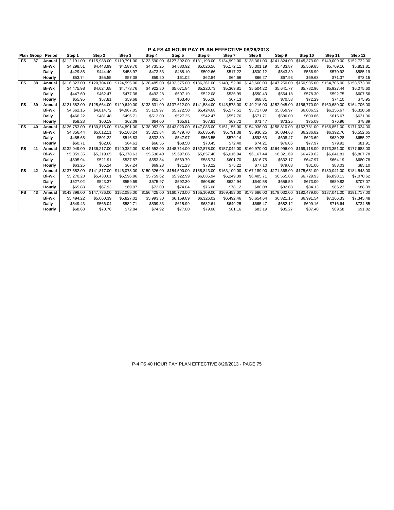|           |    | Plan Group Period | Step 1       | Step 2       | Step 3       | Step 4       | Step 5       | Step 6       | Step 7       | Step 8                    | Step 9       | Step 10      | Step 11      | Step 12      |
|-----------|----|-------------------|--------------|--------------|--------------|--------------|--------------|--------------|--------------|---------------------------|--------------|--------------|--------------|--------------|
| FS.       | 37 | Annual            | \$112.191.00 | \$115,988.00 | \$119,791.00 | \$123.590.00 | \$127,392.00 | \$131.193.00 | \$134,992.00 | \$138,361.00              | \$141.824.00 | \$145,373,00 | \$149.009.00 | \$152,732.00 |
|           |    | <b>Bi-Wk</b>      | \$4,298.51   | \$4,443.99   | \$4,589.70   | \$4,735.25   | \$4,880.92   | \$5,026.56   | \$5,172.11   | \$5,301.19                | \$5,433.87   | \$5,569.85   | \$5,709.16   | \$5,851.81   |
|           |    | Daily             | \$429.86     | \$444.40     | \$458.97     | \$473.53     | \$488.10     | \$502.66     | \$517.22     | \$530.12                  | \$543.39     | \$556.99     | \$570.92     | \$585.19     |
|           |    | Hourly            | \$53.74      | \$55.55      | \$57.38      | \$59.20      | \$61.02      | \$62.84      | \$64.66      | \$66.27                   | \$67.93      | \$69.63      | \$71.37      | \$73.15      |
| <b>FS</b> | 38 | Annual            | \$116,823.00 | \$120.704.00 | \$124,595.00 | \$128,485.00 | \$132,375.00 | \$136,261.00 | \$140,152.00 | \$143,660.00              | \$147,250.00 | \$150,935.00 | \$154,706.00 | \$158,573.00 |
|           |    | <b>Bi-Wk</b>      | \$4,475.98   | \$4,624.68   | \$4,773.76   | \$4,922.80   | \$5.071.84   | \$5,220.73   | \$5,369.81   | \$5,504.22                | \$5,641.77   | \$5,782.96   | \$5,927.44   | \$6,075.60   |
|           |    | Daily             | \$447.60     | \$462.47     | \$477.38     | \$492.28     | \$507.19     | \$522.08     | \$536.99     | \$550.43                  | \$564.18     | \$578.30     | \$592.75     | \$607.56     |
|           |    | Hourly            | \$55.95      | \$57.81      | \$59.68      | \$61.54      | \$63.40      | \$65.26      | \$67.13      | \$68.81                   | \$70.53      | \$72.29      | \$74.10      | \$75.95      |
| <b>FS</b> | 39 | Annual            | \$121.682.00 | \$125.664.00 | \$129,640,00 | \$133,631,00 | \$137,612.00 | \$141,584.00 | \$145,573,00 | \$149,216.00              | \$152,945.00 | \$156,770.00 | \$160,689,00 | \$164,706.00 |
|           |    | <b>Bi-Wk</b>      | \$4.662.15   | \$4.814.72   | \$4.967.05   | \$5,119.97   | \$5.272.50   | \$5,424.68   | \$5.577.51   | \$5.717.09                | \$5.859.97   | \$6.006.52   | \$6.156.67   | \$6,310.58   |
|           |    | Daily             | \$466.22     | \$481.48     | \$496.71     | \$512.00     | \$527.25     | \$542.47     | \$557.76     | \$571.71                  | \$586.00     | \$600.66     | \$615.67     | \$631.06     |
|           |    | Hourly            | \$58.28      | \$60.19      | \$62.09      | \$64.00      | \$65.91      | \$67.81      | \$69.72      | \$71.47                   | \$73.25      | \$75.09      | \$76.96      | \$78.89      |
| <b>FS</b> | 40 | Annual            | \$126,753.00 | \$130,816.00 | \$134.891.00 | \$138,952.00 | \$143,020.00 | \$147,086.00 | \$151.155.00 | \$154,936.00              | \$158,810.00 | \$162,781.00 | \$166,851.00 | \$171,024.00 |
|           |    | <b>Bi-Wk</b>      | \$4.856.44   | \$5.012.11   | \$5.168.24   | \$5,323.84   | \$5,479.70   | \$5.635.48   | \$5.791.38   | \$5.936.25                | \$6.084.68   | \$6,236.82   | \$6,392.76   | \$6,552.65   |
|           |    | Daily             | \$485.65     | \$501.22     | \$516.83     | \$532.39     | \$547.97     | \$563.55     | \$579.14     | \$593.63                  | \$608.47     | \$623.69     | \$639.28     | \$655.27     |
|           |    | Hourly            | \$60.71      | \$62.66      | \$64.61      | \$66.55      | \$68.50      | \$70.45      | \$72.40      | \$74.21                   | \$76.06      | \$77.97      | \$79.91      | \$81.91      |
| <b>FS</b> | 41 | Annual            | \$132,049.00 | \$136,217.00 | \$140.382.00 | \$144.552.00 | \$148,714.00 | \$152,878.00 | \$157,042.00 | \$160,970.00              | \$164.996.00 | \$169,118,00 | \$173,351.00 | \$177,683.00 |
|           |    | <b>Bi-Wk</b>      | \$5,059.35   | \$5,219.05   | \$5,378.63   | \$5,538.40   | \$5,697.86   | \$5,857.40   | \$6.016.94   | \$6,167.44                | \$6,321.69   | \$6,479.62   | \$6.641.81   | \$6,807.78   |
|           |    | Daily             | \$505.94     | \$521.91     | \$537.87     | \$553.84     | \$569.79     | \$585.74     | \$601.70     | \$616.75                  | \$632.17     | \$647.97     | \$664.19     | \$680.78     |
|           |    | Hourly            | \$63.25      | \$65.24      | \$67.24      | \$69.23      | \$71.23      | \$73.22      | \$75.22      | \$77.10                   | \$79.03      | \$81.00      | \$83.03      | \$85.10      |
| <b>FS</b> | 42 | Annual            | \$137,552.00 | \$141.817.00 | \$146,078,00 | \$150,326.00 | \$154,590.00 | \$158,843.00 | \$163,109.00 | \$167.189.00              | \$171.368.00 | \$175,651.00 | \$180,041,00 | \$184,543.00 |
|           |    | <b>Bi-Wk</b>      | \$5,270.20   | \$5,433.61   | \$5,596.86   | \$5,759.62   | \$5,922.99   | \$6,085.94   | \$6,249.39   | \$6,405.71                | \$6,565.83   | \$6,729.93   | \$6,898.13   | \$7,070.62   |
|           |    | Daily             | \$527.02     | \$543.37     | \$559.69     | \$575.97     | \$592.30     | \$608.60     | \$624.94     | \$640.58                  | \$656.59     | \$673.00     | \$689.82     | \$707.07     |
|           |    | Hourly            | \$65.88      | \$67.93      | \$69.97      | \$72.00      | \$74.04      | \$76.08      | \$78.12      | \$80.08                   | \$82.08      | \$84.13      | \$86.23      | \$88.39      |
| <b>FS</b> | 43 | Annual            | \$143.399.00 | \$147.736.00 | \$152,085.00 | \$156,425.00 | \$160,773.00 | \$165,109.00 |              | \$169,453.00 \$173,686.00 | \$178,032.00 | \$182,479.00 | \$187.041.00 | \$191,717.00 |
|           |    | <b>Bi-Wk</b>      | \$5,494.22   | \$5,660.39   | \$5,827.02   | \$5,993.30   | \$6,159.89   | \$6,326.02   | \$6,492.46   | \$6,654.64                | \$6,821.15   | \$6,991.54   | \$7,166.33   | \$7,345.48   |
|           |    | Daily             | \$549.43     | \$566.04     | \$582.71     | \$599.33     | \$615.99     | \$632.61     | \$649.25     | \$665.47                  | \$682.12     | \$699.16     | \$716.64     | \$734.55     |
|           |    | Hourly            | \$68.68      | \$70.76      | \$72.84      | \$74.92      | \$77.00      | \$79.08      | \$81.16      | \$83.19                   | \$85.27      | \$87.40      | \$89.58      | \$91.82      |

P-4 FS 40 HOUR PAY PLAN EFFECTIVE 8/26/2013 - PAGE 75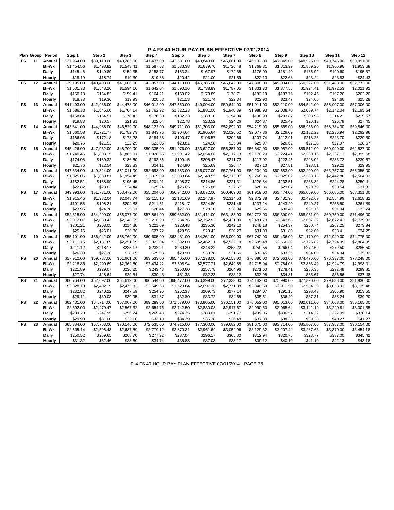|                | Plan Group | Period          | Step 1      | Step 2      | Step 3      | Step 4      | Step 5                  | Step 6      | Step 7      | Step 8      | Step 9      | Step 10     | Step 11                 | Step 12     |
|----------------|------------|-----------------|-------------|-------------|-------------|-------------|-------------------------|-------------|-------------|-------------|-------------|-------------|-------------------------|-------------|
| <b>FS</b>      | 11         | Annual          | \$37,964.00 | \$39.119.00 | \$40,283.00 | \$41,437.00 | \$42.631.00             | \$43,840.00 | \$45,061.00 | \$46,192.00 | \$47.345.00 | \$48.525.00 | \$49,746.00             | \$50,991.00 |
|                |            | <b>Bi-Wk</b>    | \$1,454.56  | \$1,498.82  | \$1,543.41  | \$1,587.63  | \$1,633.38              | \$1,679.70  | \$1,726.48  | \$1,769.81  | \$1,813.99  | \$1,859.20  | \$1,905.98              | \$1,953.68  |
|                |            | Daily           | \$145.46    | \$149.89    | \$154.35    | \$158.77    | \$163.34                | \$167.97    | \$172.65    | \$176.99    | \$181.40    | \$185.92    | \$190.60                | \$195.37    |
|                |            | Hourly          | \$18.19     | \$18.74     | \$19.30     | \$19.85     | \$20.42                 | \$21.00     | \$21.59     | \$22.13     | \$22.68     | \$23.24     | \$23.83                 | \$24.43     |
| <b>FS</b>      | 12         | Annual          | \$39,195.00 | \$40,408.00 | \$41,606.00 | \$42,857.00 | \$44,113.00             | \$45,385.00 | \$46,642.00 | \$47,808.00 | \$49,004.00 | \$50,227.00 | \$51,483.00             | \$52,772.00 |
|                |            | <b>Bi-Wk</b>    | \$1,501.73  | \$1,548.20  | \$1,594.10  | \$1,642.04  | \$1,690.16              | \$1,738.89  | \$1,787.05  | \$1,831.73  | \$1,877.55  | \$1,924.41  | \$1,972.53              | \$2,021.92  |
|                |            | Daily           | \$150.18    | \$154.82    | \$159.41    | \$164.21    | \$169.02                | \$173.89    | \$178.71    | \$183.18    | \$187.76    | \$192.45    | \$197.26                | \$202.20    |
|                |            | Hourly          | \$18.78     | \$19.36     | \$19.93     | \$20.53     | \$21.13                 | \$21.74     | \$22.34     | \$22.90     | \$23.47     | \$24.06     | \$24.66                 | \$25.28     |
| <b>FS</b>      | 13         | Annual          | \$41,403.00 | \$42,936.00 | \$44,478.00 | \$46,012.00 | \$47,560.00             | \$49,094.00 | \$50,644.00 | \$51,911.00 | \$53,210.00 | \$54,542.00 | \$55,907.00             | \$57,306.00 |
|                |            | <b>Bi-Wk</b>    | \$1,586.33  | \$1,645.06  | \$1,704.14  | \$1,762.92  | \$1,822.23              | \$1,881.00  | \$1,940.39  | \$1,988.93  | \$2,038.70  | \$2,089.74  | \$2,142.04              | \$2,195.64  |
|                |            | Daily           | \$158.64    | \$164.51    | \$170.42    | \$176.30    | \$182.23                | \$188.10    | \$194.04    | \$198.90    | \$203.87    | \$208.98    | \$214.21                | \$219.57    |
|                |            | Hourly          | \$19.83     | \$20.57     | \$21.31     | \$22.04     | \$22.78                 | \$23.52     | \$24.26     | \$24.87     | \$25.49     | \$26.13     | \$26.78                 | \$27.45     |
| <b>FS</b>      | 14         | Annual          | \$43,341.00 | \$44,938.00 | \$46,529.00 | \$48,122.00 | \$49,711.00             | \$51,303.00 | \$52,892.00 | \$54,219.00 | \$55,569.00 | \$56,956.00 | \$58,384.00             | \$59,846.00 |
|                |            | <b>Bi-Wk</b>    | \$1,660.58  | \$1,721.77  | \$1,782.73  | \$1,843.76  | \$1,904.64              | \$1,965.64  | \$2,026.52  | \$2,077.36  | \$2,129.09  | \$2,182.23  | \$2,236.94              | \$2,292.96  |
|                |            | Daily           | \$166.06    | \$172.18    | \$178.28    | \$184.38    | \$190.47                | \$196.57    | \$202.66    | \$207.74    | \$212.91    | \$218.23    | \$223.70                | \$229.30    |
|                |            | Hourly          | \$20.76     | \$21.53     | \$22.29     | \$23.05     | \$23.81                 | \$24.58     | \$25.34     | \$25.97     | \$26.62     | \$27.28     | \$27.97                 | \$28.67     |
| <b>FS</b>      | 15         | Annual          | \$45,426.00 | \$47,062.00 | \$48,700.00 | \$50,335.00 | $\overline{$}51,976.00$ | \$53,627.00 | \$55,257.00 | \$56,642.00 | \$58,057.00 | \$59,512.00 | \$60,999.00             | \$62,527.00 |
|                |            | <b>Bi-Wk</b>    | \$1,740.46  | \$1,803.15  | \$1,865.91  | \$1,928.55  | \$1,991.42              | \$2,054.68  | \$2,117.13  | \$2,170.20  | \$2,224.41  | \$2,280.16  | \$2,337.13              | \$2,395.68  |
|                |            | Daily           | \$174.05    | \$180.32    | \$186.60    | \$192.86    | \$199.15                | \$205.47    | \$211.72    | \$217.02    | \$222.45    | \$228.02    | \$233.72                | \$239.57    |
|                |            | Hourly          | \$21.76     | \$22.54     | \$23.33     | \$24.11     | \$24.90                 | \$25.69     | \$26.47     | \$27.13     | \$27.81     | \$28.51     | \$29.22                 | \$29.95     |
| FS             | 16         | Annual          | \$47,634.00 | \$49,324.00 | \$51,011.00 | \$52,698.00 | \$54,383.00             | \$56,077.00 | \$57,761.00 | \$59,204.00 | \$60,683.00 | \$62,200.00 | \$63,757.00             | \$65,355.00 |
|                |            | <b>Bi-Wk</b>    | \$1,825.06  | \$1,889.81  | \$1,954.45  | \$2,019.09  | \$2,083.64              | \$2,148.55  | \$2,213.07  | \$2,268.36  | \$2,325.02  | \$2,383.15  | \$2,442.80              | \$2,504.03  |
|                |            | Daily           | \$182.51    | \$188.99    | \$195.45    | \$201.91    | \$208.37                | \$214.86    | \$221.31    | \$226.84    | \$232.51    | \$238.32    | \$244.28                | \$250.41    |
|                |            | Hourly          | \$22.82     | \$23.63     | \$24.44     | \$25.24     | \$26.05                 | \$26.86     | \$27.67     | \$28.36     | \$29.07     | \$29.79     | \$30.54                 | \$31.31     |
| <b>FS</b>      | 17         | Annual          | \$49,993.00 | \$51,731.00 | \$53,472.00 | \$55,204.00 | \$56,942.00             | \$58,672.00 | \$60,409.00 | \$61,919.00 | \$63.474.00 | \$65,059.00 | \$66,685.00             | \$68,351.00 |
|                |            | <b>Bi-Wk</b>    | \$1,915.45  | \$1,982.04  | \$2,048.74  | \$2,115.10  | \$2,181.69              | \$2,247.97  | \$2,314.53  | \$2,372.38  | \$2,431.96  | \$2,492.69  | \$2,554.99              | \$2,618.82  |
|                |            | Daily           | \$191.55    | \$198.21    | \$204.88    | \$211.51    | \$218.17                | \$224.80    | \$231.46    | \$237.24    | \$243.20    | \$249.27    | \$255.50                | \$261.89    |
|                |            | Hourly          | \$23.95     | \$24.78     | \$25.61     | \$26.44     | \$27.28                 | \$28.10     | \$28.94     | \$29.66     | \$30.40     | \$31.16     | \$31.94                 | \$32.74     |
| <b>FS</b>      | 18         | Annual          | \$52,515.00 | \$54,299.00 | \$56,077.00 | \$57,861.00 | \$59,632.00             | \$61,411.00 | \$63,188.00 | \$64,773.00 | \$66,390.00 | \$68,051.00 | \$69,750.00             | \$71,496.00 |
|                |            | <b>Bi-Wk</b>    | \$2,012.07  | \$2,080.43  | \$2,148.55  | \$2,216.90  | \$2,284.76              | \$2,352.92  | \$2,421.00  | \$2,481.73  | \$2,543.68  | \$2,607.32  | \$2,672.42              | \$2,739.32  |
|                |            | Daily           | \$201.21    | \$208.05    | \$214.86    | \$221.69    | \$228.48                | \$235.30    | \$242.10    | \$248.18    | \$254.37    | \$260.74    | \$267.25                | \$273.94    |
|                |            | Hourly          | \$25.16     | \$26.01     | \$26.86     | \$27.72     | \$28.56                 | \$29.42     | \$30.27     | \$31.03     | \$31.80     | \$32.60     | \$33.41                 | \$34.25     |
| <b>FS</b>      | 19         | Annual          | \$55,101.00 | \$56,942.00 | \$58,769.00 | \$60,605.00 | \$62,431.00             | \$64,261.00 | \$66,090.00 | \$67,742.00 | \$69,436.00 | \$71,170.00 | \$72,949.00             | \$74,775.00 |
|                |            | <b>Bi-Wk</b>    | \$2,111.15  | \$2,181.69  | \$2,251.69  | \$2,322.04  | \$2,392.00              | \$2,462.11  | \$2,532.19  | \$2,595.48  | \$2,660.39  | \$2,726.82  | \$2,794.99              | \$2,864.95  |
|                |            | Daily           | \$211.12    | \$218.17    | \$225.17    | \$232.21    | \$239.20                | \$246.22    | \$253.22    | \$259.55    | \$266.04    | \$272.69    | \$279.50                | \$286.50    |
|                |            | Hourly          | \$26.39     | \$27.28     | \$28.15     | \$29.03     | \$29.90                 | \$30.78     | \$31.66     | \$32.45     | \$33.26     | \$34.09     | \$34.94                 | \$35.82     |
| F <sub>S</sub> | 20         | Annual          | \$57,912.00 | \$59,787.00 | \$61,661.00 | \$63,533.00 | \$65,405.00             | \$67,278.00 | \$69,153.00 | \$70,886.00 | \$72,663.00 | \$74,476.00 | \$76,337.00             | \$78,248.00 |
|                |            | <b>Bi-Wk</b>    | \$2,218.86  | \$2,290.69  | \$2,362.50  | \$2,434.22  | \$2,505.94              | \$2,577.71  | \$2,649.55  | \$2,715.94  | \$2,784.03  | \$2,853.49  | \$2,924.79              | \$2,998.01  |
|                |            |                 | \$221.89    | \$229.07    | \$236.25    | \$243.43    | \$250.60                | \$257.78    | \$264.96    | \$271.60    | \$278.41    | \$285.35    | \$292.48                | \$299.81    |
|                |            | Daily<br>Hourly | \$27.74     | \$28.64     | \$29.54     | \$30.43     | \$31.33                 | \$32.23     | \$33.12     | \$33.95     | \$34.81     | \$35.67     | \$36.56                 | \$37.48     |
| <b>FS</b>      | 21         | Annual          | \$60,764.00 | \$62,697.00 | \$64,619.00 | \$66,544.00 | \$68,477.00             | \$70,399.00 | \$72,333.00 | \$74,142.00 | \$75,990.00 | \$77,890.00 | $\overline{$79,838.00}$ | \$81,836.00 |
|                |            | <b>Bi-Wk</b>    | \$2,328.13  | \$2,402.19  | \$2,475.83  | \$2,549.58  | \$2,623.64              |             | \$2,771.38  | \$2,840.69  |             |             | \$3,058.93              | \$3,135.48  |
|                |            |                 |             |             |             |             |                         | \$2,697.28  |             |             | \$2,911.50  | \$2,984.30  |                         |             |
|                |            | Daily           | \$232.82    | \$240.22    | \$247.59    | \$254.96    | \$262.37                | \$269.73    | \$277.14    | \$284.07    | \$291.15    | \$298.43    | \$305.90                | \$313.55    |
|                |            | Hourly          | \$29.11     | \$30.03     | \$30.95     | \$31.87     | \$32.80                 | \$33.72     | \$34.65     | \$35.51     | \$36.40     | \$37.31     | \$38.24                 | \$39.20     |
| <b>FS</b>      | 22         | Annual          | \$62,431.00 | \$64,714.00 | \$67,007.00 | \$69,289.00 | \$71,579.00             | \$73,865.00 | \$76,151.00 | \$78,052.00 | \$80,013.00 | \$82,011.00 | \$84,063.00             | \$86,165.00 |
|                |            | <b>Bi-Wk</b>    | \$2,392.00  | \$2,479.47  | \$2,567.32  | \$2,654.76  | \$2,742.50              | \$2,830.08  | \$2,917.67  | \$2,990.50  | \$3,065.64  | \$3,142.19  | \$3,220.81              | \$3,301.35  |
|                |            | Daily           | \$239.20    | \$247.95    | \$256.74    | \$265.48    | \$274.25                | \$283.01    | \$291.77    | \$299.05    | \$306.57    | \$314.22    | \$322.09                | \$330.14    |
|                |            | Hourly          | \$29.90     | \$31.00     | \$32.10     | \$33.19     | \$34.29                 | \$35.38     | \$36.48     | \$37.39     | \$38.33     | \$39.28     | \$40.27                 | \$41.27     |
| <b>FS</b>      | 23         | Annual          | \$65,384.00 | \$67,768.00 | \$70,146.00 | \$72,535.00 | \$74,915.00             | \$77,300.00 | \$79,682.00 | \$81,675.00 | \$83.714.00 | \$85,807.00 | \$87,957.00             | \$90,154.00 |
|                |            | <b>Bi-Wk</b>    | \$2,505.14  | \$2,596.48  | \$2,687.59  | \$2,779.12  | \$2,870.31              | \$2,961.69  | \$3,052.96  | \$3,129.32  | \$3,207.44  | \$3,287.63  | \$3,370.00              | \$3,454.18  |
|                |            | Daily           | \$250.52    | \$259.65    | \$268.76    | \$277.92    | \$287.04                | \$296.17    | \$305.30    | \$312.94    | \$320.75    | \$328.77    | \$337.00                | \$345.42    |
|                |            | Hourly          | \$31.32     | \$32.46     | \$33.60     | \$34.74     | \$35.88                 | \$37.03     | \$38.17     | \$39.12     | \$40.10     | \$41.10     | \$42.13                 | \$43.18     |

P-4 FS 40 HOUR PAY PLAN EFFECTIVE 07/01/2014 - PAGE 76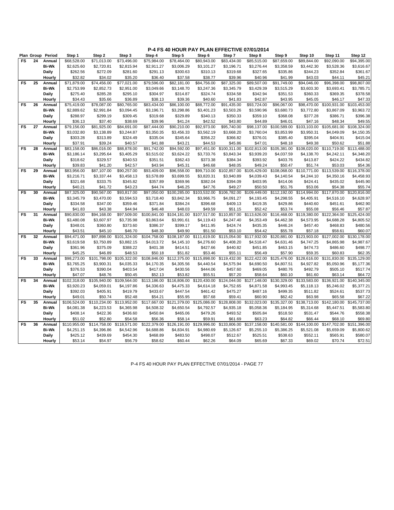|           | Plan Group | Period       | Step 1       | Step 2       | Step 3       | Step 4       | Step 5       | Step 6       | Step 7       | Step 8       | Step 9       | Step 10      | Step 11      | Step 12      |
|-----------|------------|--------------|--------------|--------------|--------------|--------------|--------------|--------------|--------------|--------------|--------------|--------------|--------------|--------------|
| FS        | 24         | Annual       | \$68,528.00  | \$71,013.00  | \$73,496.00  | \$75,984.00  | \$78,464.00  | \$80,943.00  | \$83,434.00  | \$85,515.00  | \$87,659.00  | \$89,844.00  | \$92,090.00  | \$94,395.00  |
|           |            | <b>Bi-Wk</b> | \$2,625.60   | \$2,720.81   | \$2,815.94   | \$2,911.27   | \$3,006.29   | \$3,101.27   | \$3,196.71   | \$3,276.44   | \$3,358.59   | \$3,442.30   | \$3,528.36   | \$3,616.67   |
|           |            | <b>Daily</b> | \$262.56     | \$272.09     | \$281.60     | \$291.13     | \$300.63     | \$310.13     | \$319.68     | \$327.65     | \$335.86     | \$344.23     | \$352.84     | \$361.67     |
|           |            | Hourly       | \$32.82      | \$34.02      | \$35.20      | \$36.40      | \$37.58      | \$38.77      | \$39.96      | \$40.96      | \$41.99      | \$43.03      | \$44.11      | \$45.21      |
| FS        | 25         | Annual       | \$71,879.00  | \$74,456.00  | \$77,021.00  | \$79,596.00  | \$82,181.00  | \$84,756.00  | \$87,325.00  | \$89,507.00  | \$91,749.00  | \$94,046.00  | \$96,398.00  | \$98,807.00  |
|           |            | <b>Bi-Wk</b> | \$2,753.99   | \$2,852.73   | \$2,951.00   | \$3,049.66   | \$3,148.70   | \$3,247.36   | \$3,345.79   | \$3,429.39   | \$3,515.29   | \$3,603.30   | \$3,693.41   | \$3,785.71   |
|           |            | Daily        | \$275.40     | \$285.28     | \$295.10     | \$304.97     | \$314.87     | \$324.74     | \$334.58     | \$342.94     | \$351.53     | \$360.33     | \$369.35     | \$378.58     |
|           |            | Hourly       | \$34.43      | \$35.66      | \$36.89      | \$38.13      | \$39.36      | \$40.60      | \$41.83      | \$42.87      | \$43.95      | \$45.05      | \$46.17      | \$47.33      |
| FS        | 26         | Annual       | \$75,419.00  | \$78,087.00  | \$80,765.00  | \$83,434.00  | \$86,100.00  | \$88,772.00  | \$91,435.00  | \$93,724.00  | \$96,067.00  | \$98,470.00  | \$100,931.00 | \$103,453.00 |
|           |            | <b>Bi-Wk</b> | \$2,889.62   | \$2,991.84   | \$3,094.45   | \$3,196.71   | \$3,298.86   | \$3,401.23   | \$3,503.26   | \$3,590.96   | \$3,680.73   | \$3,772.80   | \$3,867.09   | \$3,963.72   |
|           |            | Daily        | \$288.97     | \$299.19     | \$309.45     | \$319.68     | \$329.89     | \$340.13     | \$350.33     | \$359.10     | \$368.08     | \$377.28     | \$386.71     | \$396.38     |
|           |            | Hourly       | \$36.13      | \$37.40      | \$38.69      | \$39.96      | \$41.24      | \$42.52      | \$43.80      | \$44.89      | \$46.01      | \$47.16      | \$48.34      | \$49.55      |
| FS        | 27         | Annual       | \$79,156.00  | \$81,925.00  | \$84,691.00  | \$87,444.00  | \$90,210.00  | \$92,973.00  | \$95,740.00  | \$98,137.00  | \$100,589.00 | \$103,103.00 | \$105,681.00 | \$108,324.00 |
|           |            | <b>Bi-Wk</b> | \$3,032.80   | \$3,138.89   | \$3,244.87   | \$3,350.35   | \$3,456.33   | \$3,562.19   | \$3,668.20   | \$3,760.04   | \$3,853.99   | \$3,950.31   | \$4,049.09   | \$4,150.35   |
|           |            | Daily        | \$303.28     | \$313.89     | \$324.49     | \$335.04     | \$345.64     | \$356.22     | \$366.82     | \$376.01     | \$385.40     | \$395.04     | \$404.91     | \$415.04     |
|           |            | Hourly       | \$37.91      | \$39.24      | \$40.57      | \$41.88      | \$43.21      | \$44.53      | \$45.86      | \$47.01      | \$48.18      | \$49.38      | \$50.62      | \$51.88      |
| FS        | 28         | Annual       | \$83,158.00  | \$86,016.00  | \$88,878.00  | \$91,742.00  | \$94,592.00  | \$97,451.00  | \$100,311.00 | \$102,813.00 | \$105,381.00 | \$108,020.00 | \$110,719.00 | \$113,488.00 |
|           |            | <b>Bi-Wk</b> | \$3,186.14   | \$3,295.64   | \$3,405.29   | \$3,515.02   | \$3,624.22   | \$3,733.76   | \$3,843.34   | \$3,939.20   | \$4,037.59   | \$4,138.70   | \$4,242.11   | \$4,348.20   |
|           |            | Daily        | \$318.62     | \$329.57     | \$340.53     | \$351.51     | \$362.43     | \$373.38     | \$384.34     | \$393.92     | \$403.76     | \$413.87     | \$424.22     | \$434.82     |
|           |            | Hourly       | \$39.83      | \$41.20      | \$42.57      | \$43.94      | \$45.31      | \$46.68      | \$48.05      | \$49.24      | \$50.47      | \$51.74      | \$53.03      | \$54.36      |
| FS        | 29         | Annual       | \$83,956.00  | \$87,107.00  | \$90,257.00  | \$93,409.00  | \$96,558.00  | \$99,710.00  | \$102,857.00 | \$105,429.00 | \$108.068.00 | \$110.771.00 | \$113,539.00 | \$116,378.00 |
|           |            | <b>Bi-Wk</b> | \$3,216.71   | \$3,337.44   | \$3,458.13   | \$3,578.89   | \$3,699.55   | \$3,820.31   | \$3,940.89   | \$4,039.43   | \$4,140.54   | \$4,244.10   | \$4,350.16   | \$4,458.93   |
|           |            | Daily        | \$321.68     | \$333.75     | \$345.82     | \$357.89     | \$369.96     | \$382.04     | \$394.09     | \$403.95     | \$414.06     | \$424.41     | \$435.02     | \$445.90     |
|           |            | Hourly       | \$40.21      | \$41.72      | \$43.23      | \$44.74      | \$46.25      | \$47.76      | \$49.27      | \$50.50      | \$51.76      | \$53.06      | \$54.38      | \$55.74      |
| FS        | 30         | Annual       | \$87,325.00  | \$90,567.00  | \$93,817.00  | \$97,050.00  | \$100.285.00 | \$103,532.00 | \$106,782.00 | \$109.449.00 | \$112.192.00 | \$114.994.00 | \$117,870.00 | \$120,816.00 |
|           |            | <b>Bi-Wk</b> | \$3,345.79   | \$3,470.00   | \$3,594.53   | \$3,718.40   | \$3,842.34   | \$3,966.75   | \$4,091.27   | \$4,193.45   | \$4,298.55   | \$4,405.91   | \$4,516.10   | \$4,628.97   |
|           |            | Daily        | \$334.58     | \$347.00     | \$359.46     | \$371.84     | \$384.24     | \$396.68     | \$409.13     | \$419.35     | \$429.86     | \$440.60     | \$451.61     | \$462.90     |
|           |            | Hourly       | \$41.83      | \$43.38      | \$44.94      | \$46.48      | \$48.03      | \$49.59      | \$51.15      | \$52.42      | \$53.74      | \$55.08      | \$56.46      | \$57.87      |
| FS        | 31         | Annual       | \$90,830.00  | \$94,168.00  | \$97,509.00  | \$100,841.00 | \$104.181.00 | \$107,517.00 | \$110,857.00 | \$113,626.00 | \$116,468.00 | \$119,380.00 | \$122,364.00 | \$125,424.00 |
|           |            | <b>Bi-Wk</b> | \$3,480.08   | \$3,607.97   | \$3,735.98   | \$3,863.64   | \$3,991.61   | \$4,119.43   | \$4,247.40   | \$4,353.49   | \$4,462.38   | \$4,573.95   | \$4,688.28   | \$4,805.52   |
|           |            | Daily        | \$348.01     | \$360.80     | \$373.60     | \$386.37     | \$399.17     | \$411.95     | \$424.74     | \$435.35     | \$446.24     | \$457.40     | \$468.83     | \$480.56     |
|           |            | Hourly       | \$43.51      | \$45.10      | \$46.70      | \$48.30      | \$49.90      | \$51.50      | \$53.10      | \$54.42      | \$55.78      | \$57.18      | \$58.61      | \$60.07      |
| <b>FS</b> | 32         | Annual       | \$94,471.00  | \$97,898.00  | \$101,324.00 | \$104,758.00 | \$108,187.00 | \$111,619.00 | \$115,054.00 | \$117,932.00 | \$120,881.00 | \$123,903.00 | \$127,002.00 | \$130,178.00 |
|           |            | <b>Bi-Wk</b> | \$3,619.58   | \$3,750.89   | \$3,882.15   | \$4,013.72   | \$4,145.10   | \$4,276.60   | \$4,408.20   | \$4,518.47   | \$4,631.46   | \$4,747.25   | \$4,865.98   | \$4,987.67   |
|           |            | Daily        | \$361.96     | \$375.09     | \$388.22     | \$401.38     | \$414.51     | \$427.66     | \$440.82     | \$451.85     | \$463.15     | \$474.73     | \$486.60     | \$498.77     |
|           |            | Hourly       | \$45.25      | \$46.89      | \$48.53      | \$50.18      | \$51.82      | \$53.46      | \$55.11      | \$56.49      | \$57.90      | \$59.35      | \$60.83      | \$62.35      |
| FS        | 33         | Annual       | \$98,273.00  | \$101,798.00 | \$105,322.00 | \$108,846.00 | \$112,375.00 | \$115,898.00 | \$119,432.00 | \$122,422.00 | \$125,476.00 | \$128,616.00 | \$131,830.00 | \$135,129.00 |
|           |            | <b>Bi-Wk</b> | \$3,765.25   | \$3,900.31   | \$4,035.33   | \$4,170.35   | \$4,305.56   | \$4,440.54   | \$4,575.94   | \$4,690.50   | \$4,807.51   | \$4,927.82   | \$5,050.96   | \$5,177.36   |
|           |            | Daily        | \$376.53     | \$390.04     | \$403.54     | \$417.04     | \$430.56     | \$444.06     | \$457.60     | \$469.05     | \$480.76     | \$492.79     | \$505.10     | \$517.74     |
|           |            | Hourly       | \$47.07      | \$48.76      | \$50.45      | \$52.13      | \$53.82      | \$55.51      | \$57.20      | \$58.64      | \$60.10      | \$61.60      | \$63.14      | \$64.72      |
| FS        | 34         | Annual       | \$102,318.00 | \$105,940.00 | \$109,564.00 | \$113,186.00 | \$116,806.00 | \$120,430.00 | \$124,044.00 | \$127,148.00 | \$130,329.00 | \$133,583.00 | \$136,921.00 | \$140,345.00 |
|           |            | <b>Bi-Wk</b> | \$3,920.23   | \$4,059.01   | \$4,197.86   | \$4,336.63   | \$4,475.33   | \$4,614.18   | \$4,752.65   | \$4,871.58   | \$4,993.45   | \$5,118.13   | \$5,246.02   | \$5,377.21   |
|           |            | Daily        | \$392.03     | \$405.91     | \$419.79     | \$433.67     | \$447.54     | \$461.42     | \$475.27     | \$487.16     | \$499.35     | \$511.82     | \$524.61     | \$537.73     |
|           |            | Hourly       | \$49.01      | \$50.74      | \$52.48      | \$54.21      | \$55.95      | \$57.68      | \$59.41      | \$60.90      | \$62.42      | \$63.98      | \$65.58      | \$67.22      |
| <b>FS</b> | 35         | Annual       | \$106,524.00 | \$110,234.00 | \$113,952.00 | \$117,667.00 | \$121,379.00 | \$125,086.00 | \$128,808.00 | \$132,023.00 | \$135,327.00 | \$138,713.00 | \$142,180.00 | \$145,737.00 |
|           |            | <b>Bi-Wk</b> | \$4,081.38   | \$4,223.53   | \$4,365.98   | \$4,508.32   | \$4,650.54   | \$4,792.57   | \$4,935.18   | \$5,058.36   | \$5,184.95   | \$5,314.68   | \$5,447.51   | \$5,583.80   |
|           |            | Daily        | \$408.14     | \$422.36     | \$436.60     | \$450.84     | \$465.06     | \$479.26     | \$493.52     | \$505.84     | \$518.50     | \$531.47     | \$544.76     | \$558.38     |
|           |            | Hourly       | \$51.02      | \$52.80      | \$54.58      | \$56.36      | \$58.14      | \$59.91      | \$61.69      | \$63.23      | \$64.82      | \$66.44      | \$68.10      | \$69.80      |
| FS        | 36         | Annual       | \$110,955.00 | \$114,758.00 | \$118,571.00 | \$122,379.00 | \$126,191.00 | \$129,996.00 | \$133,806.00 | \$137,158.00 | \$140,581.00 | \$144,100.00 | \$147,702.00 | \$151,396.00 |
|           |            | <b>Bi-Wk</b> | \$4,251.15   | \$4,396.86   | \$4,542.96   | \$4,688.86   | \$4,834.91   | \$4,980.69   | \$5,126.67   | \$5,255.10   | \$5,386.25   | \$5,521.08   | \$5,659.09   | \$5,800.62   |
|           |            | Daily        | \$425.12     | \$439.69     | \$454.30     | \$468.89     | \$483.50     | \$498.07     | \$512.67     | \$525.51     | \$538.63     | \$552.11     | \$565.91     | \$580.07     |
|           |            | Hourly       | \$53.14      | \$54.97      | \$56.79      | \$58.62      | \$60.44      | \$62.26      | \$64.09      | \$65.69      | \$67.33      | \$69.02      | \$70.74      | \$72.51      |

P-4 FS 40 HOUR PAY PLAN EFFECTIVE 07/01/2014 - PAGE 77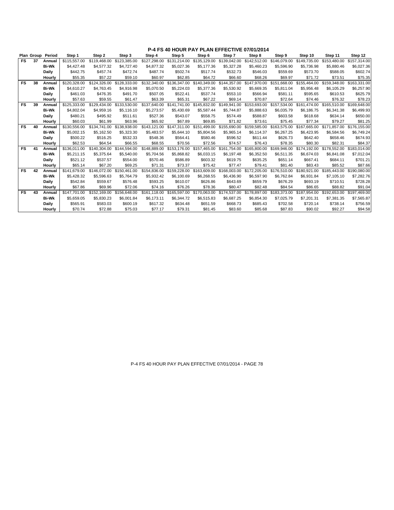|           |    | Plan Group Period | Step 1       | Step 2       | Step 3       | Step 4       | Step 5       | Step 6       | Step 7       | Step 8                    | Step 9       | Step 10      | Step 11      | Step 12      |
|-----------|----|-------------------|--------------|--------------|--------------|--------------|--------------|--------------|--------------|---------------------------|--------------|--------------|--------------|--------------|
| FS.       | 37 | Annual            | \$115,557.00 | \$119,468.00 | \$123,385.00 | \$127,298.00 | \$131.214.00 | \$135.129.00 | \$139,042.00 | \$142,512.00              | \$146.079.00 | \$149.735.00 | \$153,480.00 | \$157,314.00 |
|           |    | <b>Bi-Wk</b>      | \$4,427.48   | \$4.577.32   | \$4,727.40   | \$4,877.32   | \$5,027.36   | \$5,177.36   | \$5,327.28   | \$5,460.23                | \$5,596.90   | \$5,736.98   | \$5,880.46   | \$6,027.36   |
|           |    | Daily             | \$442.75     | \$457.74     | \$472.74     | \$487.74     | \$502.74     | \$517.74     | \$532.73     | \$546.03                  | \$559.69     | \$573.70     | \$588.05     | \$602.74     |
|           |    | Hourly            | \$55.35      | \$57.22      | \$59.10      | \$60.97      | \$62.85      | \$64.72      | \$66.60      | \$68.26                   | \$69.97      | \$71.72      | \$73.51      | \$75.35      |
| FS        | 38 | Annual            | \$120,328,00 | \$124,326,00 | \$128.333.00 | \$132.340.00 | \$136,347.00 | \$140,349.00 | \$144.357.00 | \$147,970.00              | \$151.668.00 | \$155,464.00 | \$159.348.00 | \$163,331,00 |
|           |    | <b>Bi-Wk</b>      | \$4,610.27   | \$4.763.45   | \$4.916.98   | \$5.070.50   | \$5,224.03   | \$5,377,36   | \$5,530.92   | \$5.669.35                | \$5.811.04   | \$5.956.48   | \$6,105.29   | \$6,257.90   |
|           |    | Daily             | \$461.03     | \$476.35     | \$491.70     | \$507.05     | \$522.41     | \$537.74     | \$553.10     | \$566.94                  | \$581.11     | \$595.65     | \$610.53     | \$625.79     |
|           |    | Hourly            | \$57.63      | \$59.55      | \$61.47      | \$63.39      | \$65.31      | \$67.22      | \$69.14      | \$70.87                   | \$72.64      | \$74.46      | \$76.32      | \$78.23      |
| <b>FS</b> | 39 | Annual            | \$125.333.00 | \$129,434.00 | \$133,530.00 | \$137.640.00 | \$141,741.00 | \$145.832.00 | \$149.941.00 | \$153,693,00              | \$157.534.00 | \$161,474.00 | \$165,510.00 | \$169,648.00 |
|           |    | <b>Bi-Wk</b>      | \$4.802.04   | \$4.959.16   | \$5,116,10   | \$5,273,57   | \$5.430.69   | \$5.587.44   | \$5.744.87   | \$5.888.63                | \$6.035.79   | \$6.186.75   | \$6.341.38   | \$6,499.93   |
|           |    | Daily             | \$480.21     | \$495.92     | \$511.61     | \$527.36     | \$543.07     | \$558.75     | \$574.49     | \$588.87                  | \$603.58     | \$618.68     | \$634.14     | \$650.00     |
|           |    | Hourly            | \$60.03      | \$61.99      | \$63.96      | \$65.92      | \$67.89      | \$69.85      | \$71.82      | \$73.61                   | \$75.45      | \$77.34      | \$79.27      | \$81.25      |
| <b>FS</b> | 40 | Annual            | \$130,556.00 | \$134,741.00 | \$138,938.00 | \$143.121.00 | \$147,311,00 | \$151,499.00 | \$155,690.00 | \$159,585.00              | \$163,575.00 | \$167,665,00 | \$171,857.00 | \$176,155.00 |
|           |    | <b>Bi-Wk</b>      | \$5.002.15   | \$5.162.50   | \$5,323,30   | \$5.483.57   | \$5.644.10   | \$5,804.56   | \$5.965.14   | \$6.114.37                | \$6,267.25   | \$6.423.95   | \$6,584.56   | \$6,749.24   |
|           |    | Daily             | \$500.22     | \$516.25     | \$532.33     | \$548.36     | \$564.41     | \$580.46     | \$596.52     | \$611.44                  | \$626.73     | \$642.40     | \$658.46     | \$674.93     |
|           |    | Hourly            | \$62.53      | \$64.54      | \$66.55      | \$68.55      | \$70.56      | \$72.56      | \$74.57      | \$76.43                   | \$78.35      | \$80.30      | \$82.31      | \$84.37      |
| <b>FS</b> | 41 | Annual            | \$136.011.00 | \$140,304.00 | \$144.594.00 | \$148,889.00 | \$153,176.00 | \$157,465.00 | \$161.754.00 | \$165,800.00              | \$169,946.00 | \$174.192.00 | \$178,552.00 | \$183,014,00 |
|           |    | <b>Bi-Wk</b>      | \$5.211.15   | \$5.375.64   | \$5.540.00   | \$5.704.56   | \$5.868.82   | \$6,033.15   | \$6,197.48   | \$6,352.50                | \$6,511.35   | \$6.674.03   | \$6.841.08   | \$7,012.04   |
|           |    | Daily             | \$521.12     | \$537.57     | \$554.00     | \$570.46     | \$586.89     | \$603.32     | \$619.75     | \$635.25                  | \$651.14     | \$667.41     | \$684.11     | \$701.21     |
|           |    | Hourly            | \$65.14      | \$67.20      | \$69.25      | \$71.31      | \$73.37      | \$75.42      | \$77.47      | \$79.41                   | \$81.40      | \$83.43      | \$85.52      | \$87.66      |
| FS        | 42 | Annual            | \$141,679.00 | \$146,072.00 | \$150,461.00 | \$154,836,00 | \$159,228,00 | \$163,609.00 |              | \$168.003.00 \$172.205.00 | \$176,510.00 | \$180,921.00 | \$185,443.00 | \$190,080,00 |
|           |    | <b>Bi-Wk</b>      | \$5,428.32   | \$5,596.63   | \$5.764.79   | \$5,932.42   | \$6,100.69   | \$6,268,55   | \$6,436.90   | \$6.597.90                | \$6.762.84   | \$6.931.84   | \$7,105.10   | \$7,282.76   |
|           |    | Daily             | \$542.84     | \$559.67     | \$576.48     | \$593.25     | \$610.07     | \$626.86     | \$643.69     | \$659.79                  | \$676.29     | \$693.19     | \$710.51     | \$728.28     |
|           |    | Hourly            | \$67.86      | \$69.96      | \$72.06      | \$74.16      | \$76.26      | \$78.36      | \$80.47      | \$82.48                   | \$84.54      | \$86.65      | \$88.82      | \$91.04      |
| <b>FS</b> | 43 | Annual            | \$147.701.00 | \$152,169.00 | \$156,648.00 | \$161.118.00 | \$165,597.00 | \$170,063.00 | \$174,537.00 | \$178,897.00              | \$183,373.00 | \$187,954.00 | \$192.653.00 | \$197,469.00 |
|           |    | <b>Bi-Wk</b>      | \$5.659.05   | \$5,830.23   | \$6,001.84   | \$6.173.11   | \$6.344.72   | \$6.515.83   | \$6.687.25   | \$6.854.30                | \$7,025.79   | \$7.201.31   | \$7.381.35   | \$7,565.87   |
|           |    | Daily             | \$565.91     | \$583.03     | \$600.19     | \$617.32     | \$634.48     | \$651.59     | \$668.73     | \$685.43                  | \$702.58     | \$720.14     | \$738.14     | \$756.59     |
|           |    | Hourly            | \$70.74      | \$72.88      | \$75.03      | \$77.17      | \$79.31      | \$81.45      | \$83.60      | \$85.68                   | \$87.83      | \$90.02      | \$92.27      | \$94.58      |

P-4 FS 40 HOUR PAY PLAN EFFECTIVE 07/01/2014 - PAGE 78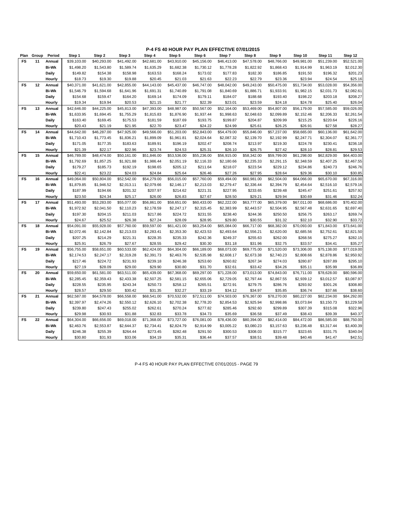**P-4 FS 40 HOUR PAY PLAN EFFECTIVE 07/01/2015**

| Plan      | Group | Period       | Step 1      | Step 2      | Step 3      | Step 4      | Step 5      | Step 6      | Step 7      | Step 8      | Step 9      | Step 10     | Step 11     | Step 12     |
|-----------|-------|--------------|-------------|-------------|-------------|-------------|-------------|-------------|-------------|-------------|-------------|-------------|-------------|-------------|
| FS        | 11    | Annual       | \$39,103.00 | \$40,293.00 | \$41,492.00 | \$42,681.00 | \$43,910.00 | \$45,156.00 | \$46,413.00 | \$47,578.00 | \$48,766.00 | \$49,981.00 | \$51,239.00 | \$52,521.00 |
|           |       | <b>Bi-Wk</b> | \$1,498.20  | \$1,543.80  | \$1,589.74  | \$1,635.29  | \$1,682.38  | \$1,730.12  | \$1,778.28  | \$1,822.92  | \$1,868.43  | \$1,914.99  | \$1,963.19  | \$2,012.30  |
|           |       | <b>Daily</b> | \$149.82    | \$154.38    | \$158.98    | \$163.53    | \$168.24    | \$173.02    | \$177.83    | \$182.30    | \$186.85    | \$191.50    | \$196.32    | \$201.23    |
|           |       | Hourly       | \$18.73     | \$19.30     | \$19.88     | \$20.45     | \$21.03     | \$21.63     | \$22.23     | \$22.79     | \$23.36     | \$23.94     | \$24.54     | \$25.16     |
| <b>FS</b> | 12    | Annual       | \$40,371.00 | \$41,621.00 | \$42,855.00 | \$44,143.00 | \$45,437.00 | \$46,747.00 | \$48,042.00 | \$49,243.00 | \$50,475.00 | \$51,734.00 | \$53,028.00 | \$54,356.00 |
|           |       | <b>Bi-Wk</b> | \$1,546.79  | \$1,594.68  | \$1,641.96  | \$1,691.31  | \$1,740.89  | \$1,791.08  | \$1,840.69  | \$1,886.71  | \$1,933.91  | \$1,982.15  | \$2,031.73  | \$2,082.61  |
|           |       | Daily        | \$154.68    | \$159.47    | \$164.20    | \$169.14    | \$174.09    | \$179.11    | \$184.07    | \$188.68    | \$193.40    | \$198.22    | \$203.18    | \$208.27    |
|           |       | Hourly       | \$19.34     | \$19.94     | \$20.53     | \$21.15     | \$21.77     | \$22.39     | \$23.01     | \$23.59     | \$24.18     | \$24.78     | \$25.40     | \$26.04     |
| FS        | 13    | Annual       | \$42,646.00 | \$44,225.00 | \$45,813.00 | \$47,393.00 | \$48,987.00 | \$50,567.00 | \$52,164.00 | \$53,469.00 | \$54,807.00 | \$56,179.00 | \$57,585.00 | \$59,026.00 |
|           |       | <b>Bi-Wk</b> | \$1,633.95  | \$1,694.45  | \$1,755.29  | \$1,815.83  | \$1,876.90  | \$1,937.44  | \$1,998.63  | \$2,048.63  | \$2,099.89  | \$2,152.46  | \$2,206.33  | \$2,261.54  |
|           |       | <b>Daily</b> | \$163.40    | \$169.45    | \$175.53    | \$181.59    | \$187.69    | \$193.75    | \$199.87    | \$204.87    | \$209.99    | \$215.25    | \$220.64    | \$226.16    |
|           |       | Hourly       | \$20.43     | \$21.19     | \$21.95     | \$22.70     | \$23.47     | \$24.22     | \$24.99     | \$25.61     | \$26.25     | \$26.91     | \$27.58     | \$28.27     |
| <b>FS</b> | 14    | Annual       | \$44,642.00 | \$46,287.00 | \$47,925.00 | \$49,566.00 | \$51,203.00 | \$52,843.00 | \$54,479.00 | \$55,846.00 | \$57,237.00 | \$58,665.00 | \$60,136.00 | \$61,642.00 |
|           |       | <b>Bi-Wk</b> | \$1,710.43  | \$1,773.45  | \$1,836.21  | \$1,899.09  | \$1,961.81  | \$2,024.64  | \$2,087.32  | \$2,139.70  | \$2,192.99  | \$2,247.71  | \$2,304.07  | \$2,361.77  |
|           |       | <b>Daily</b> | \$171.05    | \$177.35    | \$183.63    | \$189.91    | \$196.19    | \$202.47    | \$208.74    | \$213.97    | \$219.30    | \$224.78    | \$230.41    | \$236.18    |
|           |       | Hourly       | \$21.39     | \$22.17     | \$22.96     | \$23.74     | \$24.53     | \$25.31     | \$26.10     | \$26.75     | \$27.42     | \$28.10     | \$28.81     | \$29.53     |
| FS        | 15    | Annual       | \$46,789.00 | \$48,474.00 | \$50,161.00 | \$51,846.00 | \$53,536.00 | \$55,236.00 | \$56,915.00 | \$58,342.00 | \$59,799.00 | \$61,298.00 | \$62,829.00 | \$64,403.00 |
|           |       | <b>Bi-Wk</b> | \$1,792.69  | \$1,857.25  | \$1,921.88  | \$1,986.44  | \$2,051.19  | \$2,116.33  | \$2,180.66  | \$2,235.33  | \$2,291.15  | \$2,348.59  | \$2,407.25  | \$2,467.55  |
|           |       | <b>Daily</b> | \$179.27    | \$185.73    | \$192.19    | \$198.65    | \$205.12    | \$211.64    | \$218.07    | \$223.54    | \$229.12    | \$234.86    | \$240.73    | \$246.76    |
|           |       | Hourly       | \$22.41     | \$23.22     | \$24.03     | \$24.84     | \$25.64     | \$26.46     | \$27.26     | \$27.95     | \$28.64     | \$29.36     | \$30.10     | \$30.85     |
| <b>FS</b> | 16    | Annual       | \$49,064.00 | \$50,804.00 | \$52,542.00 | \$54,279.00 | \$56,015.00 | \$57,760.00 | \$59,494.00 | \$60,981.00 | \$62,504.00 | \$64,066.00 | \$65,670.00 | \$67,316.00 |
|           |       | <b>Bi-Wk</b> | \$1,879.85  | \$1,946.52  | \$2,013.11  | \$2,079.66  | \$2,146.17  | \$2,213.03  | \$2,279.47  | \$2,336.44  | \$2,394.79  | \$2,454.64  | \$2,516.10  | \$2,579.16  |
|           |       | <b>Daily</b> | \$187.99    | \$194.66    | \$201.32    | \$207.97    | \$214.62    | \$221.31    | \$227.95    | \$233.65    | \$239.48    | \$245.47    | \$251.61    | \$257.92    |
|           |       | Hourly       | \$23.50     | \$24.34     | \$25.17     | \$26.00     | \$26.83     | \$27.67     | \$28.50     | \$29.21     | \$29.94     | \$30.69     | \$31.46     | \$32.24     |
| FS        | 17    | Annual       | \$51,493.00 | \$53,283.00 | \$55,077.00 | \$56,861.00 | \$58,651.00 | \$60,433.00 | \$62,222.00 | \$63,777.00 | \$65,379.00 | \$67,011.00 | \$68,686.00 | \$70,402.00 |
|           |       | <b>Bi-Wk</b> | \$1,972.92  | \$2,041.50  | \$2,110.23  | \$2,178.59  | \$2,247.17  | \$2,315.45  | \$2,383.99  | \$2,443.57  | \$2,504.95  | \$2,567.48  | \$2,631.65  | \$2,697.40  |
|           |       | <b>Daily</b> | \$197.30    | \$204.15    | \$211.03    | \$217.86    | \$224.72    | \$231.55    | \$238.40    | \$244.36    | \$250.50    | \$256.75    | \$263.17    | \$269.74    |
|           |       | Hourly       | \$24.67     | \$25.52     | \$26.38     | \$27.24     | \$28.09     | \$28.95     | \$29.80     | \$30.55     | \$31.32     | \$32.10     | \$32.90     | \$33.72     |
| <b>FS</b> | 18    | Annual       | \$54,091.00 | \$55,928.00 | \$57,760.00 | \$59,597.00 | \$61,421.00 | \$63,254.00 | \$65,084.00 | \$66,717.00 | \$68,382.00 | \$70,093.00 | \$71,843.00 | \$73,641.00 |
|           |       | <b>Bi-Wk</b> | \$2,072.46  | \$2,142.84  | \$2,213.03  | \$2,283.41  | \$2,353.30  | \$2,423.53  | \$2,493.64  | \$2,556.21  | \$2,620.00  | \$2,685.56  | \$2,752.61  | \$2,821.50  |
|           |       | <b>Daily</b> | \$207.25    | \$214.29    | \$221.31    | \$228.35    | \$235.33    | \$242.36    | \$249.37    | \$255.63    | \$262.00    | \$268.56    | \$275.27    | \$282.15    |
|           |       | Hourly       | \$25.91     | \$26.79     | \$27.67     | \$28.55     | \$29.42     | \$30.30     | \$31.18     | \$31.96     | \$32.75     | \$33.57     | \$34.41     | \$35.27     |
| FS        | 19    | Annual       | \$56,755.00 | \$58,651.00 | \$60,533.00 | \$62,424.00 | \$64,304.00 | \$66,189.00 | \$68,073.00 | \$69,775.00 | \$71,520.00 | \$73,306.00 | \$75,138.00 | \$77,019.00 |
|           |       | <b>Bi-Wk</b> | \$2,174.53  | \$2,247.17  | \$2,319.28  | \$2,391.73  | \$2,463.76  | \$2,535.98  | \$2,608.17  | \$2,673.38  | \$2,740.23  | \$2,808.66  | \$2,878.86  | \$2,950.92  |
|           |       | <b>Daily</b> | \$217.46    | \$224.72    | \$231.93    | \$239.18    | \$246.38    | \$253.60    | \$260.82    | \$267.34    | \$274.03    | \$280.87    | \$287.89    | \$295.10    |
|           |       | Hourly       | \$27.19     | \$28.09     | \$29.00     | \$29.90     | \$30.80     | \$31.70     | \$32.61     | \$33.42     | \$34.26     | \$35.11     | \$35.99     | \$36.89     |
| FS        | 20    | Annual       | \$59,650.00 | \$61,581.00 | \$63,511.00 | \$65,439.00 | \$67,368.00 | \$69,297.00 | \$71,228.00 | \$73,013.00 | \$74,843.00 | \$76,711.00 | \$78,628.00 | \$80,596.00 |
|           |       | <b>Bi-Wk</b> | \$2,285.45  | \$2,359.43  | \$2,433.38  | \$2,507.25  | \$2,581.15  | \$2,655.06  | \$2,729.05  | \$2,797.44  | \$2,867.55  | \$2,939.12  | \$3,012.57  | \$3,087.97  |
|           |       | <b>Daily</b> | \$228.55    | \$235.95    | \$243.34    | \$250.73    | \$258.12    | \$265.51    | \$272.91    | \$279.75    | \$286.76    | \$293.92    | \$301.26    | \$308.80    |
|           |       | Hourly       | \$28.57     | \$29.50     | \$30.42     | \$31.35     | \$32.27     | \$33.19     | \$34.12     | \$34.97     | \$35.85     | \$36.74     | \$37.66     | \$38.60     |
| FS        | 21    | Annual       | \$62,587.00 | \$64,578.00 | \$66,558.00 | \$68,541.00 | \$70,532.00 | \$72,511.00 | \$74,503.00 | \$76,367.00 | \$78,270.00 | \$80,227.00 | \$82,234.00 | \$84,292.00 |
|           |       | <b>Bi-Wk</b> | \$2,397.97  | \$2,474.26  | \$2,550.12  | \$2,626.10  | \$2,702.38  | \$2,778.20  | \$2,854.53  | \$2,925.94  | \$2,998.86  | \$3,073.84  | \$3,150.73  | \$3,229.58  |
|           |       | Daily        | \$239.80    | \$247.43    | \$255.02    | \$262.61    | \$270.24    | \$277.82    | \$285.46    | \$292.60    | \$299.89    | \$307.39    | \$315.08    | \$322.96    |
|           |       | Hourly       | \$29.98     | \$30.93     | \$31.88     | \$32.83     | \$33.78     | \$34.73     | \$35.69     | \$36.58     | \$37.49     | \$38.43     | \$39.39     | \$40.37     |
| <b>FS</b> | 22    | Annual       | \$64,304.00 | \$66,656.00 | \$69,018.00 | \$71,368.00 | \$73,727.00 | \$76,081.00 | \$78,436.00 | \$80,394.00 | \$82,414.00 | \$84,472.00 | \$86,585.00 | \$88,750.00 |
|           |       | <b>Bi-Wk</b> | \$2,463.76  | \$2,553.87  | \$2,644.37  | \$2,734.41  | \$2,824.79  | \$2,914.99  | \$3,005.22  | \$3,080.23  | \$3,157.63  | \$3,236.48  | \$3,317.44  | \$3,400.39  |
|           |       | <b>Daily</b> | \$246.38    | \$255.39    | \$264.44    | \$273.45    | \$282.48    | \$291.50    | \$300.53    | \$308.03    | \$315.77    | \$323.65    | \$331.75    | \$340.04    |
|           |       | Hourly       | \$30.80     | \$31.93     | \$33.06     | \$34.19     | \$35.31     | \$36.44     | \$37.57     | \$38.51     | \$39.48     | \$40.46     | \$41.47     | \$42.51     |

P-4 FS 40 HOUR PAY PLAN EFFECTIVE 07/01/2015 - PAGE 79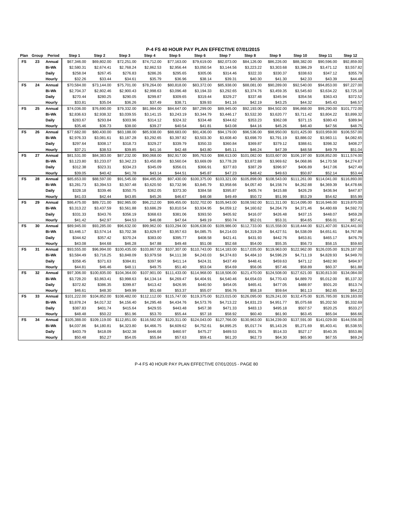**P-4 FS 40 HOUR PAY PLAN EFFECTIVE 07/01/2015**

| Plan      | Group | Period       | Step 1       | Step 2       | Step 3       | Step 4       | Step 5       | Step 6       | Step 7       | Step 8       | Step 9       | Step 10      | Step 11      | Step 12      |
|-----------|-------|--------------|--------------|--------------|--------------|--------------|--------------|--------------|--------------|--------------|--------------|--------------|--------------|--------------|
| FS        | 23    | Annual       | \$67,346.00  | \$69,802.00  | \$72,251.00  | \$74,712.00  | \$77,163.00  | \$79,619.00  | \$82,073.00  | \$84,126.00  | \$86,226.00  | \$88,382.00  | \$90,596.00  | \$92,859.00  |
|           |       | <b>Bi-Wk</b> | \$2,580.31   | \$2,674.41   | \$2,768.24   | \$2,862.53   | \$2,956.44   | \$3,050.54   | \$3,144.56   | \$3,223.22   | \$3,303.68   | \$3,386.29   | \$3,471.12   | \$3,557.82   |
|           |       | <b>Daily</b> | \$258.04     | \$267.45     | \$276.83     | \$286.26     | \$295.65     | \$305.06     | \$314.46     | \$322.33     | \$330.37     | \$338.63     | \$347.12     | \$355.79     |
|           |       | Hourly       | \$32.26      | \$33.44      | \$34.61      | \$35.79      | \$36.96      | \$38.14      | \$39.31      | \$40.30      | \$41.30      | \$42.33      | \$43.39      | \$44.48      |
| FS        | 24    | Annual       | \$70,584.00  | \$73,144.00  | \$75,701.00  | \$78,264.00  | \$80,818.00  | \$83,372.00  | \$85,938.00  | \$88,081.00  | \$90,289.00  | \$92,540.00  | \$94,853.00  | \$97,227.00  |
|           |       | <b>Bi-Wk</b> | \$2,704.37   | \$2,802.46   | \$2,900.43   | \$2,998.63   | \$3,096.48   | \$3,194.33   | \$3,292.65   | \$3,374.76   | \$3,459.35   | \$3,545.60   | \$3,634.22   | \$3,725.18   |
|           |       | <b>Daily</b> | \$270.44     | \$280.25     | \$290.05     | \$299.87     | \$309.65     | \$319.44     | \$329.27     | \$337.48     | \$345.94     | \$354.56     | \$363.43     | \$372.52     |
|           |       | Hourly       | \$33.81      | \$35.04      | \$36.26      | \$37.49      | \$38.71      | \$39.93      | \$41.16      | \$42.19      | \$43.25      | \$44.32      | \$45.43      | \$46.57      |
| FS        | 25    | Annual       | \$74,036.00  | \$76,690.00  | \$79,332.00  | \$81,984.00  | \$84,647.00  | \$87,299.00  | \$89,945.00  | \$92,193.00  | \$94,502.00  | \$96,868.00  | \$99,290.00  | \$101,772.00 |
|           |       | <b>Bi-Wk</b> | \$2,836.63   | \$2,938.32   | \$3,039.55   | \$3,141.15   | \$3,243.19   | \$3,344.79   | \$3,446.17   | \$3,532.30   | \$3,620.77   | \$3,711.42   | \$3,804.22   | \$3,899.32   |
|           |       | <b>Daily</b> | \$283.67     | \$293.84     | \$303.96     | \$314.12     | \$324.32     | \$334.48     | \$344.62     | \$353.23     | \$362.08     | \$371.15     | \$380.43     | \$389.94     |
|           |       | Hourly       | \$35.46      | \$36.73      | \$38.00      | \$39.27      | \$40.54      | \$41.81      | \$43.08      | \$44.16      | \$45.26      | \$46.40      | \$47.56      | \$48.75      |
| <b>FS</b> | 26    | Annual       | \$77,682.00  | \$80,430.00  | \$83,188.00  | \$85,938.00  | \$88,683.00  | \$91,436.00  | \$94,179.00  | \$96,536.00  | \$98,950.00  | \$101,425.00 | \$103,959.00 | \$106,557.00 |
|           |       | <b>Bi-Wk</b> | \$2,976.33   | \$3,081.61   | \$3,187.28   | \$3,292.65   | \$3,397.82   | \$3,503.30   | \$3,608.40   | \$3,698.70   | \$3,791.19   | \$3,886.02   | \$3,983.11   | \$4,082.65   |
|           |       | <b>Daily</b> | \$297.64     | \$308.17     | \$318.73     | \$329.27     | \$339.79     | \$350.33     | \$360.84     | \$369.87     | \$379.12     | \$388.61     | \$398.32     | \$408.27     |
|           |       | Hourly       | \$37.21      | \$38.53      | \$39.85      | \$41.16      | \$42.48      | \$43.80      | \$45.11      | \$46.24      | \$47.39      | \$48.58      | \$49.79      | \$51.04      |
| <b>FS</b> | 27    | Annual       | \$81,531.00  | \$84,383.00  | \$87,232.00  | \$90,068.00  | \$92,917.00  | \$95,763.00  | \$98,613.00  | \$101,082.00 | \$103,607.00 | \$106,197.00 | \$108,852.00 | \$111,574.00 |
|           |       | <b>Bi-Wk</b> | \$3,123.80   | \$3,233.07   | \$3,342.23   | \$3,450.89   | \$3,560.04   | \$3,669.09   | \$3,778.28   | \$3,872.88   | \$3,969.62   | \$4,068.86   | \$4,170.58   | \$4,274.87   |
|           |       | <b>Daily</b> | \$312.38     | \$323.31     | \$334.23     | \$345.09     | \$356.01     | \$366.91     | \$377.83     | \$387.29     | \$396.97     | \$406.89     | \$417.06     | \$427.49     |
|           |       | Hourly       | \$39.05      | \$40.42      | \$41.78      | \$43.14      | \$44.51      | \$45.87      | \$47.23      | \$48.42      | \$49.63      | \$50.87      | \$52.14      | \$53.44      |
| <b>FS</b> | 28    | Annual       | \$85,653.00  | \$88,597.00  | \$91,545.00  | \$94,495.00  | \$97,430.00  | \$100,375.00 | \$103,321.00 | \$105,898.00 | \$108,543.00 | \$111,261.00 | \$114,041.00 | \$116,893.00 |
|           |       | <b>Bi-Wk</b> | \$3,281.73   | \$3,394.53   | \$3,507.48   | \$3,620.50   | \$3,732.96   | \$3,845.79   | \$3,958.66   | \$4,057.40   | \$4,158.74   | \$4,262.88   | \$4,369.39   | \$4,478.66   |
|           |       |              |              |              |              |              |              |              |              |              |              |              |              |              |
|           |       | <b>Daily</b> | \$328.18     | \$339.46     | \$350.75     | \$362.05     | \$373.30     | \$384.58     | \$395.87     | \$405.74     | \$415.88     | \$426.29     | \$436.94     | \$447.87     |
|           |       | Hourly       | \$41.03      | \$42.44      | \$43.85      | \$45.26      | \$46.67      | \$48.08      | \$49.49      | \$50.72      | \$51.99      | \$53.29      | \$54.62      | \$55.99      |
| <b>FS</b> | 29    | Annual       | \$86,475.00  | \$89,721.00  | \$92,965.00  | \$96,212.00  | \$99,455.00  | \$102,702.00 | \$105,943.00 | \$108,592.00 | \$111,311.00 | \$114,095.00 | \$116,946.00 | \$119,870.00 |
|           |       | <b>Bi-Wk</b> | \$3,313.22   | \$3,437.59   | \$3,561.88   | \$3,686.29   | \$3,810.54   | \$3,934.95   | \$4,059.12   | \$4,160.62   | \$4,264.79   | \$4,371.46   | \$4,480.69   | \$4,592.73   |
|           |       | <b>Daily</b> | \$331.33     | \$343.76     | \$356.19     | \$368.63     | \$381.06     | \$393.50     | \$405.92     | \$416.07     | \$426.48     | \$437.15     | \$448.07     | \$459.28     |
|           |       | Hourly       | \$41.42      | \$42.97      | \$44.53      | \$46.08      | \$47.64      | \$49.19      | \$50.74      | \$52.01      | \$53.31      | \$54.65      | \$56.01      | \$57.41      |
| FS        | 30    | Annual       | \$89,945.00  | \$93,285.00  | \$96,632.00  | \$99,962.00  | \$103,294.00 | \$106,638.00 | \$109,986.00 | \$112,733.00 | \$115,558.00 | \$118,444.00 | \$121,407.00 | \$124,441.00 |
|           |       | <b>Bi-Wk</b> | \$3,446.17   | \$3,574.14   | \$3,702.38   | \$3,829.97   | \$3,957.63   | \$4,085.75   | \$4,214.03   | \$4,319.28   | \$4,427.51   | \$4,538.09   | \$4,651.61   | \$4,767.86   |
|           |       | <b>Daily</b> | \$344.62     | \$357.42     | \$370.24     | \$383.00     | \$395.77     | \$408.58     | \$421.41     | \$431.93     | \$442.76     | \$453.81     | \$465.17     | \$476.79     |
|           |       | Hourly       | \$43.08      | \$44.68      | \$46.28      | \$47.88      | \$49.48      | \$51.08      | \$52.68      | \$54.00      | \$55.35      | \$56.73      | \$58.15      | \$59.60      |
| FS        | 31    | Annual       | \$93,555.00  | \$96,994.00  | \$100,435.00 | \$103,867.00 | \$107,307.00 | \$110,743.00 | \$114,183.00 | \$117,035.00 | \$119,963.00 | \$122,962.00 | \$126,035.00 | \$129,187.00 |
|           |       | <b>Bi-Wk</b> | \$3,584.49   | \$3,716.25   | \$3,848.09   | \$3,979.58   | \$4,111.38   | \$4,243.03   | \$4,374.83   | \$4,484.10   | \$4,596.29   | \$4,711.19   | \$4,828.93   | \$4,949.70   |
|           |       | <b>Daily</b> | \$358.45     | \$371.63     | \$384.81     | \$397.96     | \$411.14     | \$424.31     | \$437.49     | \$448.41     | \$459.63     | \$471.12     | \$482.90     | \$494.97     |
|           |       | Hourly       | \$44.81      | \$46.46      | \$48.11      | \$49.75      | \$51.40      | \$53.04      | \$54.69      | \$56.06      | \$57.46      | \$58.89      | \$60.37      | \$61.88      |
| <b>FS</b> | 32    | Annual       | \$97,306.00  | \$100,835.00 | \$104,364.00 | \$107,901.00 | \$111,433.00 | \$114,968.00 | \$118,506.00 | \$121,470.00 | \$124,508.00 | \$127,621.00 | \$130,813.00 | \$134,084.00 |
|           |       | <b>Bi-Wk</b> | \$3,728.20   | \$3,863.41   | \$3,998.63   | \$4,134.14   | \$4,269.47   | \$4,404.91   | \$4,540.46   | \$4,654.03   | \$4,770.43   | \$4,889.70   | \$5,012.00   | \$5,137.32   |
|           |       | Daily        | \$372.82     | \$386.35     | \$399.87     | \$413.42     | \$426.95     | \$440.50     | \$454.05     | \$465.41     | \$477.05     | \$488.97     | \$501.20     | \$513.74     |
|           |       | Hourly       | \$46.61      | \$48.30      | \$49.99      | \$51.68      | \$53.37      | \$55.07      | \$56.76      | \$58.18      | \$59.64      | \$61.13      | \$62.65      | \$64.22      |
| FS        | 33    | Annual       | \$101,222.00 | \$104,852.00 | \$108,482.00 | \$112,112.00 | \$115,747.00 | \$119,375.00 | \$123,015.00 | \$126,095.00 | \$129,241.00 | \$132,475.00 | \$135,785.00 | \$139,183.00 |
|           |       | <b>Bi-Wk</b> | \$3,878.24   | \$4,017.32   | \$4,156.40   | \$4,295.48   | \$4,434.76   | \$4,573.76   | \$4,713.22   | \$4,831.23   | \$4,951.77   | \$5,075.68   | \$5,202.50   | \$5,332.69   |
|           |       | <b>Daily</b> | \$387.83     | \$401.74     | \$415.64     | \$429.55     | \$443.48     | \$457.38     | \$471.33     | \$483.13     | \$495.18     | \$507.57     | \$520.25     | \$533.27     |
|           |       | Hourly       | \$48.48      | \$50.22      | \$51.96      | \$53.70      | \$55.44      | \$57.18      | \$58.92      | \$60.40      | \$61.90      | \$63.45      | \$65.04      | \$66.66      |
| <b>FS</b> | 34    | Annual       | \$105,388.00 | \$109,119.00 | \$112,851.00 | \$116,582.00 | \$120,311.00 | \$124,043.00 | \$127,766.00 | \$130,963.00 | \$134,239.00 | \$137,591.00 | \$141,029.00 | \$144,556.00 |
|           |       | <b>Bi-Wk</b> | \$4,037.86   | \$4,180.81   | \$4,323.80   | \$4,466.75   | \$4,609.62   | \$4,752.61   | \$4,895.25   | \$5,017.74   | \$5,143.26   | \$5,271.69   | \$5,403.41   | \$5,538.55   |
|           |       | <b>Daily</b> | \$403.79     | \$418.09     | \$432.38     | \$446.68     | \$460.97     | \$475.27     | \$489.53     | \$501.78     | \$514.33     | \$527.17     | \$540.35     | \$553.86     |
|           |       | Hourly       | \$50.48      | \$52.27      | \$54.05      | \$55.84      | \$57.63      | \$59.41      | \$61.20      | \$62.73      | \$64.30      | \$65.90      | \$67.55      | \$69.24      |

P-4 FS 40 HOUR PAY PLAN EFFECTIVE 07/01/2015 - PAGE 80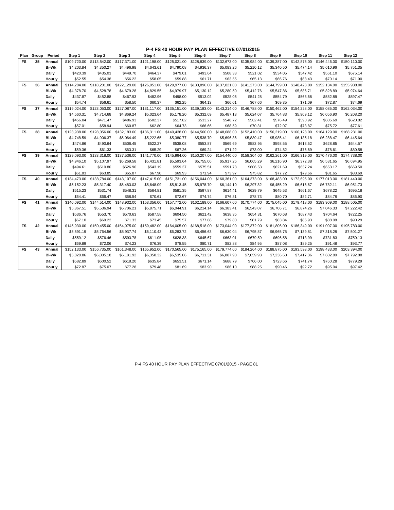| Plan      | Group | Period       | Step 1       | Step 2       | Step 3       | Step 4       | Step 5       | Step 6       | Step 7       | Step 8                       | Step 9       | Step 10      | Step 11      | Step 12      |
|-----------|-------|--------------|--------------|--------------|--------------|--------------|--------------|--------------|--------------|------------------------------|--------------|--------------|--------------|--------------|
| <b>FS</b> | 35    | Annual       | \$109,720.00 | \$113,542.00 | \$117,371.00 | \$121,198.00 | \$125,021.00 | \$128,839.00 | \$132,673.00 | \$135,984.00                 | \$139,387.00 | \$142,875.00 | \$146,446.00 | \$150,110.00 |
|           |       | <b>Bi-Wk</b> | \$4,203.84   | \$4,350.27   | \$4,496.98   | \$4,643.61   | \$4,790.08   | \$4,936.37   | \$5,083.26   | \$5,210.12                   | \$5,340.50   | \$5,474.14   | \$5,610.96   | \$5,751.35   |
|           |       | Daily        | \$420.39     | \$435.03     | \$449.70     | \$464.37     | \$479.01     | \$493.64     | \$508.33     | \$521.02                     | \$534.05     | \$547.42     | \$561.10     | \$575.14     |
|           |       | Hourly       | \$52.55      | \$54.38      | \$56.22      | \$58.05      | \$59.88      | \$61.71      | \$63.55      | \$65.13                      | \$66.76      | \$68.43      | \$70.14      | \$71.90      |
| FS        | 36    | Annual       | \$114,284.00 | \$118,201.00 | \$122,129.00 | \$126,051.00 | \$129,977.00 | \$133,896.00 |              | \$137,821.00 \$141,273.00    | \$144,799.00 | \$148,423.00 | \$152,134.00 | \$155,938.00 |
|           |       | <b>Bi-Wk</b> | \$4,378.70   | \$4,528.78   | \$4,679.28   | \$4,829.55   | \$4,979.97   | \$5,130.12   | \$5,280.50   | \$5,412.76                   | \$5,547.86   | \$5,686.71   | \$5,828.89   | \$5,974.64   |
|           |       | Daily        | \$437.87     | \$452.88     | \$467.93     | \$482.96     | \$498.00     | \$513.02     | \$528.05     | \$541.28                     | \$554.79     | \$568.68     | \$582.89     | \$597.47     |
|           |       | Hourly       | \$54.74      | \$56.61      | \$58.50      | \$60.37      | \$62.25      | \$64.13      | \$66.01      | \$67.66                      | \$69.35      | \$71.09      | \$72.87      | \$74.69      |
| FS        | 37    | Annual       | \$119,024.00 | \$123,053.00 | \$127,087.00 | \$131,117.00 | \$135,151.00 | \$139,183.00 |              | \$143,214.00    \$146,788.00 | \$150,462.00 | \$154,228.00 | \$158,085.00 | \$162,034.00 |
|           |       | <b>Bi-Wk</b> | \$4,560.31   | \$4,714.68   | \$4,869.24   | \$5,023.64   | \$5,178.20   | \$5,332.69   | \$5,487.13   | \$5,624.07                   | \$5,764.83   | \$5,909.12   | \$6,056.90   | \$6,208.20   |
|           |       | Daily        | \$456.04     | \$471.47     | \$486.93     | \$502.37     | \$517.82     | \$533.27     | \$548.72     | \$562.41                     | \$576.49     | \$590.92     | \$605.69     | \$620.82     |
|           |       | Hourly       | \$57.01      | \$58.94      | \$60.87      | \$62.80      | \$64.73      | \$66.66      | \$68.59      | \$70.31                      | \$72.07      | \$73.87      | \$75.72      | \$77.61      |
| FS        | 38    | Annual       | \$123,938.00 | \$128,056.00 | \$132,183.00 | \$136,311.00 | \$140,438.00 | \$144,560.00 |              | \$148,688.00 \$152,410.00    | \$156,219.00 | \$160,128.00 | \$164,129.00 | \$168,231.00 |
|           |       | <b>Bi-Wk</b> | \$4,748.59   | \$4,906.37   | \$5,064.49   | \$5,222.65   | \$5,380.77   | \$5,538.70   | \$5,696.86   | \$5,839.47                   | \$5,985.41   | \$6,135.18   | \$6,288.47   | \$6,445.64   |
|           |       | Daily        | \$474.86     | \$490.64     | \$506.45     | \$522.27     | \$538.08     | \$553.87     | \$569.69     | \$583.95                     | \$598.55     | \$613.52     | \$628.85     | \$644.57     |
|           |       | Hourly       | \$59.36      | \$61.33      | \$63.31      | \$65.29      | \$67.26      | \$69.24      | \$71.22      | \$73.00                      | \$74.82      | \$76.69      | \$78.61      | \$80.58      |
| FS        | 39    | Annual       | \$129,093.00 | \$133,318.00 | \$137,536.00 | \$141,770.00 | \$145,994.00 | \$150,207.00 |              | \$154,440.00 \$158,304.00    | \$162,261.00 | \$166,319.00 | \$170,476.00 | \$174,738.00 |
|           |       | <b>Bi-Wk</b> | \$4,946.10   | \$5,107.97   | \$5,269.58   | \$5,431.81   | \$5,593.64   | \$5,755.06   | \$5,917.25   | \$6,065.29                   | \$6,216.90   | \$6,372.38   | \$6,531.65   | \$6,694.95   |
|           |       | Daily        | \$494.61     | \$510.80     | \$526.96     | \$543.19     | \$559.37     | \$575.51     | \$591.73     | \$606.53                     | \$621.69     | \$637.24     | \$653.17     | \$669.50     |
|           |       | Hourly       | \$61.83      | \$63.85      | \$65.87      | \$67.90      | \$69.93      | \$71.94      | \$73.97      | \$75.82                      | \$77.72      | \$79.66      | \$81.65      | \$83.69      |
| FS        | 40    | Annual       | \$134,473.00 | \$138,784.00 | \$143,107.00 | \$147,415.00 | \$151,731.00 | \$156,044.00 |              | \$160,361.00 \$164,373.00    | \$168,483.00 | \$172,695.00 | \$177,013.00 | \$181,440.00 |
|           |       | <b>Bi-Wk</b> | \$5,152.23   | \$5,317.40   | \$5,483.03   | \$5,648.09   | \$5,813.45   | \$5,978.70   | \$6,144.10   | \$6,297.82                   | \$6,455.29   | \$6,616.67   | \$6,782.11   | \$6,951.73   |
|           |       | Daily        | \$515.23     | \$531.74     | \$548.31     | \$564.81     | \$581.35     | \$597.87     | \$614.41     | \$629.79                     | \$645.53     | \$661.67     | \$678.22     | \$695.18     |
|           |       | Hourly       | \$64.41      | \$66.47      | \$68.54      | \$70.61      | \$72.67      | \$74.74      | \$76.81      | \$78.73                      | \$80.70      | \$82.71      | \$84.78      | \$86.90      |
| FS        | 41    | Annual       | \$140,092.00 | \$144,514.00 | \$148,932.00 | \$153,356.00 | \$157,772.00 | \$162,189.00 |              | \$166,607.00 \$170,774.00    | \$175,045.00 | \$179,418.00 | \$183,909.00 | \$188,505.00 |
|           |       | <b>Bi-Wk</b> | \$5,367.51   | \$5,536.94   | \$5,706.21   | \$5,875.71   | \$6,044.91   | \$6,214.14   | \$6,383.41   | \$6,543.07                   | \$6,706.71   | \$6,874.26   | \$7,046.33   | \$7,222.42   |
|           |       | Daily        | \$536.76     | \$553.70     | \$570.63     | \$587.58     | \$604.50     | \$621.42     | \$638.35     | \$654.31                     | \$670.68     | \$687.43     | \$704.64     | \$722.25     |
|           |       | Hourly       | \$67.10      | \$69.22      | \$71.33      | \$73.45      | \$75.57      | \$77.68      | \$79.80      | \$81.79                      | \$83.84      | \$85.93      | \$88.08      | \$90.29      |
| FS        | 42    | Annual       | \$145,930.00 | \$150,455.00 | \$154,975.00 | \$159,482.00 | \$164,005.00 | \$168,518.00 |              | \$173,044.00 \$177,372.00    | \$181,806.00 | \$186,349.00 | \$191,007.00 | \$195,783.00 |
|           |       | <b>Bi-Wk</b> | \$5,591.19   | \$5,764.56   | \$5,937.74   | \$6,110.43   | \$6,283.72   | \$6,456.63   | \$6,630.04   | \$6,795.87                   | \$6,965.75   | \$7,139.81   | \$7,318.28   | \$7,501.27   |
|           |       | Daily        | \$559.12     | \$576.46     | \$593.78     | \$611.05     | \$628.38     | \$645.67     | \$663.01     | \$679.59                     | \$696.58     | \$713.99     | \$731.83     | \$750.13     |
|           |       | Hourly       | \$69.89      | \$72.06      | \$74.23      | \$76.39      | \$78.55      | \$80.71      | \$82.88      | \$84.95                      | \$87.08      | \$89.25      | \$91.48      | \$93.77      |
| FS        | 43    | Annual       | \$152,133.00 | \$156,735.00 | \$161,348.00 | \$165,952.00 | \$170,565.00 | \$175,165.00 | \$179,774.00 | \$184,264.00                 | \$188,875.00 | \$193,593.00 | \$198,433.00 | \$203,394.00 |
|           |       | <b>Bi-Wk</b> | \$5,828.86   | \$6,005.18   | \$6,181.92   | \$6,358.32   | \$6,535.06   | \$6,711.31   | \$6,887.90   | \$7,059.93                   | \$7,236.60   | \$7,417.36   | \$7,602.80   | \$7,792.88   |
|           |       | Daily        | \$582.89     | \$600.52     | \$618.20     | \$635.84     | \$653.51     | \$671.14     | \$688.79     | \$706.00                     | \$723.66     | \$741.74     | \$760.28     | \$779.29     |
|           |       | Hourly       | \$72.87      | \$75.07      | \$77.28      | \$79.48      | \$81.69      | \$83.90      | \$86.10      | \$88.25                      | \$90.46      | \$92.72      | \$95.04      | \$97.42      |

P-4 FS 40 HOUR PAY PLAN EFFECTIVE 07/01/2015 - PAGE 81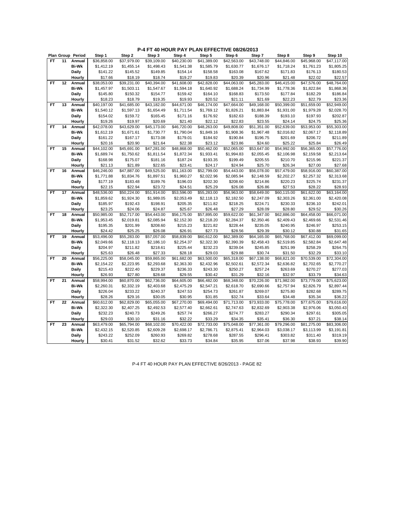# **P-4 FT 40 HOUR PAY PLAN EFFECTIVE 08/26/2013**

|           |    | Plan Group Period | Step 1      | Step 2      | Step 3      | Step 4      | Step 5      | Step 6      | Step 7      | Step 8      | Step 9      | Step 10     |
|-----------|----|-------------------|-------------|-------------|-------------|-------------|-------------|-------------|-------------|-------------|-------------|-------------|
| FT.       | 11 | Annual            | \$36,858.00 | \$37.979.00 | \$39,109.00 | \$40,230.00 | \$41,389.00 | \$42,563.00 | \$43,748.00 | \$44,846.00 | \$45,968.00 | \$47,117.00 |
|           |    | <b>Bi-Wk</b>      | \$1,412.19  | \$1,455.14  | \$1,498.43  | \$1,541.38  | \$1,585.79  | \$1,630.77  | \$1,676.17  | \$1,718.24  | \$1,761.23  | \$1,805.25  |
|           |    | Daily             | \$141.22    | \$145.52    | \$149.85    | \$154.14    | \$158.58    | \$163.08    | \$167.62    | \$171.83    | \$176.13    | \$180.53    |
|           |    | Hourly            | \$17.66     | \$18.19     | \$18.74     | \$19.27     | \$19.83     | \$20.39     | \$20.96     | \$21.48     | \$22.02     | \$22.57     |
| FT        | 12 | Annual            | \$38,053.00 | \$39,231.00 | \$40,394.00 | \$41,608.00 | \$42,828.00 | \$44,063.00 | \$45,283.00 | \$46,415.00 | \$47,576.00 | \$48,764.00 |
|           |    | <b>Bi-Wk</b>      | \$1,457.97  | \$1,503.11  | \$1,547.67  | \$1,594.18  | \$1,640.92  | \$1,688.24  | \$1,734.99  | \$1,778.36  | \$1,822.84  | \$1,868.36  |
|           |    | Daily             | \$145.80    | \$150.32    | \$154.77    | \$159.42    | \$164.10    | \$168.83    | \$173.50    | \$177.84    | \$182.29    | \$186.84    |
|           |    | Hourly            | \$18.23     | \$18.79     | \$19.35     | \$19.93     | \$20.52     | \$21.11     | \$21.69     | \$22.23     | \$22.79     | \$23.36     |
| FT        | 13 | Annual            | \$40,197.00 | \$41,685.00 | \$43,182.00 | \$44,671.00 | \$46,174.00 | \$47,664.00 | \$49,168.00 | \$50,399.00 | \$51,659.00 | \$52,949.00 |
|           |    | <b>Bi-Wk</b>      | \$1,540.12  | \$1,597.13  | \$1,654.49  | \$1,711.54  | \$1,769.12  | \$1,826.21  | \$1,883.84  | \$1,931.00  | \$1,979.28  | \$2,028.70  |
|           |    | Daily             | \$154.02    | \$159.72    | \$165.45    | \$171.16    | \$176.92    | \$182.63    | \$188.39    | \$193.10    | \$197.93    | \$202.87    |
|           |    | Hourly            | \$19.26     | \$19.97     | \$20.69     | \$21.40     | \$22.12     | \$22.83     | \$23.55     | \$24.14     | \$24.75     | \$25.36     |
| <b>FT</b> | 14 | Annual            | \$42,078.00 | \$43,629.00 | \$45,173.00 | \$46,720.00 | \$48,263.00 | \$49,808.00 | \$51,351.00 | \$52,639.00 | \$53,953.00 | \$55,303.00 |
|           |    | <b>Bi-Wk</b>      | \$1,612.19  | \$1,671.61  | \$1,730.77  | \$1,790.04  | \$1,849.16  | \$1,908.36  | \$1,967.48  | \$2,016.82  | \$2,067.17  | \$2,118.89  |
|           |    | <b>Daily</b>      | \$161.22    | \$167.17    | \$173.08    | \$179.01    | \$184.92    | \$190.84    | \$196.75    | \$201.69    | \$206.72    | \$211.89    |
|           |    | Hourly            | \$20.16     | \$20.90     | \$21.64     | \$22.38     | \$23.12     | \$23.86     | \$24.60     | \$25.22     | \$25.84     | \$26.49     |
| <b>FT</b> | 15 | Annual            | \$44,102.00 | \$45,691.00 | \$47,281.00 | \$48,868.00 | \$50,462.00 | \$52,065.00 | \$53,647.00 | \$54,992.00 | \$56,365.00 | \$57,776.00 |
|           |    | <b>Bi-Wk</b>      | \$1,689.74  | \$1,750.62  | \$1,811.54  | \$1,872.34  | \$1,933.41  | \$1,994.83  | \$2,055.45  | \$2,106.98  | \$2,159.58  | \$2,213.64  |
|           |    | Daily             | \$168.98    | \$175.07    | \$181.16    | \$187.24    | \$193.35    | \$199.49    | \$205.55    | \$210.70    | \$215.96    | \$221.37    |
|           |    | Hourly            | \$21.13     | \$21.89     | \$22.65     | \$23.41     | \$24.17     | \$24.94     | \$25.70     | \$26.34     | \$27.00     | \$27.68     |
| <b>FT</b> | 16 | Annual            | \$46,246.00 | \$47,887.00 | \$49,525.00 | \$51,163.00 | \$52,799.00 | \$54,443.00 | \$56,078.00 | \$57,479.00 | \$58,916.00 | \$60,387.00 |
|           |    | <b>Bi-Wk</b>      | \$1,771.88  | \$1,834.76  | \$1,897.51  | \$1,960.27  | \$2,022.96  | \$2,085.94  | \$2,148.59  | \$2,202.27  | \$2,257.32  | \$2,313.68  |
|           |    | Daily             | \$177.19    | \$183.48    | \$189.76    | \$196.03    | \$202.30    | \$208.60    | \$214.86    | \$220.23    | \$225.74    | \$231.37    |
|           |    | Hourly            | \$22.15     | \$22.94     | \$23.72     | \$24.51     | \$25.29     | \$26.08     | \$26.86     | \$27.53     | \$28.22     | \$28.93     |
| FT.       | 17 | Annual            | \$48,536.00 | \$50,224.00 | \$51,914.00 | \$53,596.00 | \$55,283.00 | \$56,963.00 | \$58,649.00 | \$60,115.00 | \$61,622.00 | \$63,164.00 |
|           |    | <b>Bi-Wk</b>      | \$1,859.62  | \$1,924.30  | \$1,989.05  | \$2,053.49  | \$2,118.13  | \$2,182.50  | \$2,247.09  | \$2,303.26  | \$2,361.00  | \$2,420.08  |
|           |    | Daily             | \$185.97    | \$192.43    | \$198.91    | \$205.35    | \$211.82    | \$218.25    | \$224.71    | \$230.33    | \$236.10    | \$242.01    |
|           |    | Hourly            | \$23.25     | \$24.06     | \$24.87     | \$25.67     | \$26.48     | \$27.29     | \$28.09     | \$28.80     | \$29.52     | \$30.26     |
| <b>FT</b> | 18 | Annual            | \$50,985.00 | \$52,717.00 | \$54,443.00 | \$56,175.00 | \$57,895.00 | \$59,622.00 | \$61,347.00 | \$62,886.00 | \$64,458.00 | \$66,071.00 |
|           |    | <b>Bi-Wk</b>      | \$1,953.45  | \$2,019.81  | \$2,085.94  | \$2,152.30  | \$2,218.20  | \$2,284.37  | \$2,350.46  | \$2,409.43  | \$2,469.66  | \$2,531.46  |
|           |    | Daily             | \$195.35    | \$201.99    | \$208.60    | \$215.23    | \$221.82    | \$228.44    | \$235.05    | \$240.95    | \$246.97    | \$253.15    |
|           |    | Hourly            | \$24.42     | \$25.25     | \$26.08     | \$26.91     | \$27.73     | \$28.56     | \$29.39     | \$30.12     | \$30.88     | \$31.65     |
| <b>FT</b> | 19 | Annual            | \$53,496.00 | \$55,283.00 | \$57,057.00 | \$58,839.00 | \$60,612.00 | \$62,389.00 | \$64,165.00 | \$65,768.00 | \$67,412.00 | \$69.099.00 |
|           |    | <b>Bi-Wk</b>      | \$2,049.66  | \$2,118.13  | \$2,186.10  | \$2,254.37  | \$2,322.30  | \$2,390.39  | \$2,458.43  | \$2,519.85  | \$2,582.84  | \$2,647.48  |
|           |    | Daily             | \$204.97    | \$211.82    | \$218.61    | \$225.44    | \$232.23    | \$239.04    | \$245.85    | \$251.99    | \$258.29    | \$264.75    |
|           |    | Hourly            | \$25.63     | \$26.48     | \$27.33     | \$28.18     | \$29.03     | \$29.88     | \$30.74     | \$31.50     | \$32.29     | \$33.10     |
| <b>FT</b> | 20 | Annual            | \$56,225.00 | \$58,045.00 | \$59,865.00 | \$61,682.00 | \$63,500.00 | \$65,318.00 | \$67,138.00 | \$68,821.00 | \$70,539.00 | \$72,304.00 |
|           |    | <b>Bi-Wk</b>      | \$2,154.22  | \$2,223.95  | \$2,293.68  | \$2,363.30  | \$2,432.96  | \$2,502.61  | \$2,572.34  | \$2,636.82  | \$2,702.65  | \$2,770.27  |
|           |    | <b>Daily</b>      | \$215.43    | \$222.40    | \$229.37    | \$236.33    | \$243.30    | \$250.27    | \$257.24    | \$263.69    | \$270.27    | \$277.03    |
|           |    | Hourly            | \$26.93     | \$27.80     | \$28.68     | \$29.55     | \$30.42     | \$31.29     | \$32.16     | \$32.97     | \$33.79     | \$34.63     |
| <b>FT</b> | 21 | Annual            | \$58,994.00 | \$60,870.00 | \$62,736.00 | \$64,605.00 | \$66,482.00 | \$68,348.00 | \$70,226.00 | \$71,982.00 | \$73,779.00 | \$75,623.00 |
|           |    | <b>Bi-Wk</b>      | \$2,260.31  | \$2,332.19  | \$2,403.68  | \$2,475.29  | \$2,547.21  | \$2,618.70  | \$2,690.66  | \$2,757.94  | \$2,826.79  | \$2,897.44  |
|           |    | <b>Daily</b>      | \$226.04    | \$233.22    | \$240.37    | \$247.53    | \$254.73    | \$261.87    | \$269.07    | \$275.80    | \$282.68    | \$289.75    |
|           |    | Hourly            | \$28.26     | \$29.16     | \$30.05     | \$30.95     | \$31.85     | \$32.74     | \$33.64     | \$34.48     | \$35.34     | \$36.22     |
| <b>FT</b> | 22 | Annual            | \$60,612.00 | \$62,829.00 | \$65,055.00 | \$67,270.00 | \$69,494.00 | \$71,713.00 | \$73,933.00 | \$75,778.00 | \$77,675.00 | \$79,616.00 |
|           |    | <b>Bi-Wk</b>      | \$2,322.30  | \$2,407.25  | \$2,492.53  | \$2,577.40  | \$2,662.61  | \$2,747.63  | \$2,832.69  | \$2,903.38  | \$2,976.06  | \$3,050.43  |
|           |    | Daily             | \$232.23    | \$240.73    | \$249.26    | \$257.74    | \$266.27    | \$274.77    | \$283.27    | \$290.34    | \$297.61    | \$305.05    |
|           |    | Hourly            | \$29.03     | \$30.10     | \$31.16     | \$32.22     | \$33.29     | \$34.35     | \$35.41     | \$36.30     | \$37.21     | \$38.14     |
| <b>FT</b> | 23 | Annual            | \$63,479.00 | \$65,794.00 | \$68,102.00 | \$70,422.00 | \$72,733.00 | \$75,048.00 | \$77,361.00 | \$79,296.00 | \$81,275.00 | \$83,306.00 |
|           |    | Bi-Wk             | \$2,432.15  | \$2,520.85  | \$2,609.28  | \$2,698.17  | \$2,786.71  | \$2,875.41  | \$2,964.03  | \$3,038.17  | \$3,113.99  | \$3,191.81  |
|           |    | Daily             | \$243.22    | \$252.09    | \$260.93    | \$269.82    | \$278.68    | \$287.55    | \$296.41    | \$303.82    | \$311.40    | \$319.19    |
|           |    | Hourly            | \$30.41     | \$31.52     | \$32.62     | \$33.73     | \$34.84     | \$35.95     | \$37.06     | \$37.98     | \$38.93     | \$39.90     |

P-4 FT 40 HOUR PAY PLAN EFFECTIVE 8/26/2013 - PAGE 82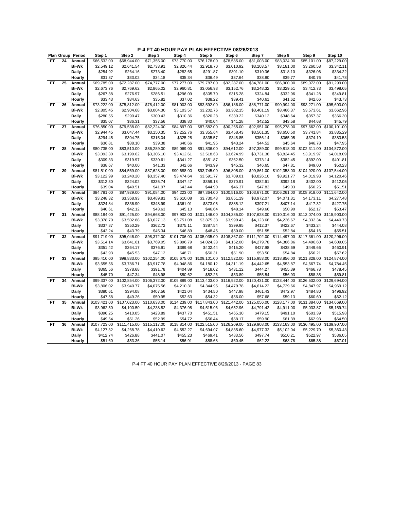#### **P-4 FT 40 HOUR PAY PLAN EFFECTIVE 08/26/2013**

| Plan Group Period<br>\$87,229.00<br>FT.<br>24<br>Annual<br>\$66,532.00<br>\$68.944.00<br>\$71,355.00<br>\$73,770.00<br>\$76,178.00<br>\$78,585.00<br>\$81,003.00<br>\$83,024.00<br>\$85,101.00<br><b>Bi-Wk</b><br>\$2,549.12<br>\$2,641.54<br>\$2,733.91<br>\$2,826.44<br>\$2,918.70<br>\$3,010.92<br>\$3,103.57<br>\$3,181.00<br>\$3,260.58<br>\$3,342.11<br>Daily<br>\$291.87<br>\$254.92<br>\$264.16<br>\$273.40<br>\$282.65<br>\$301.10<br>\$310.36<br>\$318.10<br>\$326.06<br>\$334.22<br>\$31.87<br>\$33.02<br>\$34.18<br>\$35.34<br>\$36.49<br>\$37.64<br>\$38.80<br>\$39.77<br>\$40.76<br>\$41.78<br>Hourly<br>\$91.299.00<br><b>FT</b><br>25<br>\$69,785.00<br>\$74,777.00<br>\$77,277.00<br>\$79,787.00<br>\$82,287.00<br>\$84,781.00<br>\$86,900.00<br>\$89,072.00<br>Annual<br>\$72,287.00<br><b>Bi-Wk</b><br>\$3,248.32<br>\$3,498.05<br>\$2,673.76<br>\$2,769.62<br>\$2,865.02<br>\$2,960.81<br>\$3,056.98<br>\$3,152.76<br>\$3,329.51<br>\$3,412.73<br>Daily<br>\$267.38<br>\$276.97<br>\$286.51<br>\$296.09<br>\$305.70<br>\$315.28<br>\$324.84<br>\$332.96<br>\$341.28<br>\$349.81<br>\$33.43<br>\$34.63<br>\$35.82<br>\$37.02<br>\$38.22<br>\$39.41<br>\$40.61<br>\$42.66<br>\$43.73<br>Hourly<br>\$41.62<br>FT<br>26<br>Annual<br>\$73,222.00<br>\$75,812.00<br>\$78,412.00<br>\$81,003.00<br>\$83,592.00<br>\$86,186.00<br>\$88,771.00<br>\$90,994.00<br>\$93,271.00<br>\$95,603.00<br><b>Bi-Wk</b><br>\$2,805.45<br>\$3,004.30<br>\$2,904.68<br>\$3,103.57<br>\$3,202.76<br>\$3,302.15<br>\$3,401.19<br>\$3,486.37<br>\$3,573.61<br>\$3,662.96<br>\$366.30<br>Daily<br>\$280.55<br>\$290.47<br>\$300.43<br>\$310.36<br>\$320.28<br>\$330.22<br>\$340.12<br>\$348.64<br>\$357.37<br>\$40.04<br>\$45.79<br>\$35.07<br>\$36.31<br>\$37.56<br>\$38.80<br>\$41.28<br>\$42.52<br>\$43.58<br>\$44.68<br>Hourly<br><b>FT</b><br>27<br>\$76,850.00<br>\$79,538.00<br>\$82,224.00<br>\$84,897.00<br>\$87,582.00<br>\$90,265.00<br>\$92,951.00<br>\$95,278.00<br>\$97,662.00<br>\$100,101.00<br>Annual<br><b>Bi-Wk</b><br>\$2,944.45<br>\$3,047.44<br>\$3,150.35<br>\$3,252.76<br>\$3,355.64<br>\$3,458.43<br>\$3,561.35<br>\$3,650.50<br>\$3,741.84<br>\$3,835.29<br><b>Daily</b><br>\$294.45<br>\$304.75<br>\$315.04<br>\$325.28<br>\$335.57<br>\$345.85<br>\$356.14<br>\$365.05<br>\$374.19<br>\$383.53<br>\$38.10<br>\$39.38<br>\$43.24<br>\$44.52<br>\$46.78<br>\$47.95<br>Hourly<br>\$36.81<br>\$40.66<br>\$41.95<br>\$45.64<br>\$86,289.00<br>\$91,836.00<br>\$99,818.00<br>\$104,872.00<br><b>FT</b><br>28<br>\$80,735.00<br>\$83,510.00<br>\$89,069.00<br>\$94,612.00<br>\$97,389.00<br>\$102,311.00<br>Annual<br><b>Bi-Wk</b><br>\$3,093.30<br>\$3,199.62<br>\$3,306.10<br>\$3,412.61<br>\$3,518.63<br>\$3,624.99<br>\$3,731.38<br>\$3,824.45<br>\$3,919.97<br>\$4,018.09<br><b>Daily</b><br>\$309.33<br>\$319.97<br>\$330.61<br>\$341.27<br>\$351.87<br>\$362.50<br>\$373.14<br>\$382.45<br>\$392.00<br>\$401.81<br>\$46.65<br>Hourly<br>\$38.67<br>\$40.00<br>\$41.33<br>\$42.66<br>\$43.99<br>\$45.32<br>\$47.81<br>\$49.00<br>\$50.23<br>29<br>\$81,510.00<br>\$84,569.00<br>\$87,628.00<br>\$90,688.00<br>\$93,745.00<br>\$96,805.00<br>\$99,861.00<br>\$102,358.00<br>\$104,920.00<br>\$107,544.00<br><b>FT</b><br>Annual<br><b>Bi-Wk</b><br>\$3,122.99<br>\$3,240.20<br>\$3,357.40<br>\$3,474.64<br>\$3,591.77<br>\$3,709.01<br>\$3,826.10<br>\$3,921.77<br>\$4,120.46<br>\$4,019.93<br><b>Daily</b><br>\$312.30<br>\$324.02<br>\$335.74<br>\$347.47<br>\$359.18<br>\$382.61<br>\$392.18<br>\$402.00<br>\$412.05<br>\$370.91<br>\$39.04<br>\$40.51<br>\$41.97<br>\$43.44<br>\$44.90<br>\$46.37<br>\$47.83<br>\$49.03<br>\$50.25<br>\$51.51<br>Hourly<br>\$100,516.00<br><b>FT</b><br>30<br>\$87,929.00<br>\$91,084.00<br>\$94,223.00<br>\$97,364.00<br>\$103,671.00<br>\$106,261.00<br>\$108,918.00<br>\$111,642.00<br>Annual<br>\$84,781.00<br><b>Bi-Wk</b><br>\$3,248.32<br>\$3,368.93<br>\$3,489.81<br>\$3,610.08<br>\$3,730.43<br>\$3,851.19<br>\$3,972.07<br>\$4,071.31<br>\$4,277.48<br>\$4,173.11<br>\$397.21<br><b>Daily</b><br>\$324.84<br>\$336.90<br>\$348.99<br>\$361.01<br>\$373.05<br>\$385.12<br>\$407.14<br>\$417.32<br>\$427.75<br>\$40.61<br>\$42.12<br>\$43.63<br>\$45.13<br>\$46.64<br>\$48.14<br>\$49.66<br>\$50.90<br>\$52.17<br>\$53.47<br>Hourly<br>31<br>\$88,184.00<br>\$91,425.00<br>\$94,668.00<br>\$97,903.00<br>\$101,146.00<br>\$104,385.00<br>\$107,628.00<br>\$110,316.00<br>\$113,074.00<br>\$115,903.00<br>FT<br>Annual<br><b>Bi-Wk</b><br>\$4,440.73<br>\$3,378.70<br>\$3,502.88<br>\$3,627.13<br>\$3,751.08<br>\$3,875.33<br>\$3,999.43<br>\$4,123.68<br>\$4,226.67<br>\$4,332.34<br><b>Daily</b><br>\$387.54<br>\$399.95<br>\$412.37<br>\$422.67<br>\$433.24<br>\$444.08<br>\$337.87<br>\$350.29<br>\$362.72<br>\$375.11<br>\$42.24<br>\$43.79<br>\$45.34<br>\$46.89<br>\$48.45<br>\$50.00<br>\$51.55<br>\$52.84<br>\$54.16<br>\$55.51<br>Hourly<br>32<br>\$91,719.00<br>\$95,046.00<br>\$98,372.00<br>\$101,706.00<br>\$105,035.00<br>\$108,367.00<br>\$111,702.00<br>\$114,497.00<br>\$117,361.00<br>\$120,296.00<br><b>FT</b><br>Annual<br><b>Bi-Wk</b><br>\$3,514.14<br>\$3,641.61<br>\$3,769.05<br>\$3,896.79<br>\$4,024.33<br>\$4,152.00<br>\$4,279.78<br>\$4,386.86<br>\$4,496.60<br>\$4,609.05<br>\$402.44<br>\$427.98<br>\$460.91<br>Daily<br>\$351.42<br>\$364.17<br>\$376.91<br>\$389.68<br>\$415.20<br>\$438.69<br>\$449.66<br>\$43.93<br>\$45.53<br>\$47.12<br>\$48.71<br>\$50.31<br>\$51.90<br>\$53.50<br>\$54.84<br>\$56.21<br>\$57.62<br>Hourly<br>33<br>\$98,833.00<br>\$102,254.00<br>\$105,675.00<br>\$109,101.00<br>\$112,522.00<br>\$115,953.00<br>\$118,856.00<br>\$121,828.00<br>\$124,874.00<br><b>FT</b><br>Annual<br>\$95,410.00<br><b>Bi-Wk</b><br>\$3,917.78<br>\$3,655.56<br>\$3,786.71<br>\$4,048.86<br>\$4,180.12<br>\$4,311.19<br>\$4,442.65<br>\$4,553.87<br>\$4,667.74<br>\$4,784.45<br><b>Daily</b><br>\$365.56<br>\$378.68<br>\$391.78<br>\$404.89<br>\$418.02<br>\$431.12<br>\$444.27<br>\$455.39<br>\$466.78<br>\$478.45<br>Hourly<br>\$45.70<br>\$47.34<br>\$48.98<br>\$50.62<br>\$53.89<br>\$55.54<br>\$56.93<br>\$59.81<br>\$52.26<br>\$58.35<br>\$102,854.00<br>$\overline{$106,372.00}$<br>\$109,889.00<br>\$113,403.00<br>\$116,922.00<br>\$120,431.00<br>\$123,444.00<br>34<br>\$99,337.00<br>\$126,532.00<br>\$129,694.00<br>FT<br>Annual<br><b>Bi-Wk</b><br>\$3,806.02<br>\$3,940.77<br>\$4,075.56<br>\$4,210.31<br>\$4,344.95<br>\$4,479.78<br>\$4,614.22<br>\$4,729.66<br>\$4,969.12<br>\$4,847.97<br>\$496.92<br><b>Daily</b><br>\$380.61<br>\$394.08<br>\$407.56<br>\$421.04<br>\$434.50<br>\$447.98<br>\$461.43<br>\$472.97<br>\$484.80<br>Hourly<br>\$47.58<br>\$49.26<br>\$50.95<br>\$52.63<br>\$54.32<br>\$56.00<br>\$57.68<br>\$59.13<br>\$60.60<br>\$62.12<br>\$107,023.00<br>\$117,843.00<br>\$121,442.00<br>\$128,177.00<br><b>FT</b><br>35<br>\$103,421.00<br>\$110,633.00<br>\$114,239.00<br>\$125,056.00<br>\$131,384.00<br>\$134,669.00<br>Annual<br><b>Bi-Wk</b><br>\$4,791.42<br>\$3,962.50<br>\$4,100.50<br>\$4,238.82<br>\$4,376.98<br>\$4,515.06<br>\$4,652.96<br>\$4,911.00<br>\$5,033.87<br>\$5,159.74<br>Daily<br>\$396.25<br>\$410.05<br>\$423.89<br>\$465.30<br>\$491.10<br>\$503.39<br>\$515.98<br>\$437.70<br>\$451.51<br>\$479.15<br>\$52.99<br>\$62.93<br>Hourly<br>\$49.54<br>\$51.26<br>\$54.72<br>\$56.44<br>\$58.17<br>\$59.90<br>\$61.39<br>\$64.50<br>\$111,415.00<br>\$118,814.00<br>\$122,515.00<br>\$126,209.00<br>\$133,163.00<br><b>FT</b><br>36<br>Annual<br>\$107,723.00<br>\$115,117.00<br>\$129,908.00<br>\$136,495.00<br>\$139,907.00<br>\$4,410.62<br>Bi-Wk<br>\$4,127.32<br>\$4,268.78<br>\$4,552.27<br>\$4,694.07<br>\$4,835.60<br>\$4,977.32<br>\$5,102.04<br>\$5,229.70<br>\$5,360.43<br><b>Daily</b><br>\$412.74<br>\$426.88<br>\$441.07<br>\$455.23<br>\$469.41<br>\$483.56<br>\$497.74<br>\$510.21<br>\$522.97<br>\$536.05<br>\$51.60<br>\$55.14<br>\$56.91<br>\$62.22<br>\$63.78<br>\$65.38<br>Hourly<br>\$53.36<br>\$58.68<br>\$60.45 |  |        |        |        |        |        |        |        |        |        |         |
|---------------------------------------------------------------------------------------------------------------------------------------------------------------------------------------------------------------------------------------------------------------------------------------------------------------------------------------------------------------------------------------------------------------------------------------------------------------------------------------------------------------------------------------------------------------------------------------------------------------------------------------------------------------------------------------------------------------------------------------------------------------------------------------------------------------------------------------------------------------------------------------------------------------------------------------------------------------------------------------------------------------------------------------------------------------------------------------------------------------------------------------------------------------------------------------------------------------------------------------------------------------------------------------------------------------------------------------------------------------------------------------------------------------------------------------------------------------------------------------------------------------------------------------------------------------------------------------------------------------------------------------------------------------------------------------------------------------------------------------------------------------------------------------------------------------------------------------------------------------------------------------------------------------------------------------------------------------------------------------------------------------------------------------------------------------------------------------------------------------------------------------------------------------------------------------------------------------------------------------------------------------------------------------------------------------------------------------------------------------------------------------------------------------------------------------------------------------------------------------------------------------------------------------------------------------------------------------------------------------------------------------------------------------------------------------------------------------------------------------------------------------------------------------------------------------------------------------------------------------------------------------------------------------------------------------------------------------------------------------------------------------------------------------------------------------------------------------------------------------------------------------------------------------------------------------------------------------------------------------------------------------------------------------------------------------------------------------------------------------------------------------------------------------------------------------------------------------------------------------------------------------------------------------------------------------------------------------------------------------------------------------------------------------------------------------------------------------------------------------------------------------------------------------------------------------------------------------------------------------------------------------------------------------------------------------------------------------------------------------------------------------------------------------------------------------------------------------------------------------------------------------------------------------------------------------------------------------------------------------------------------------------------------------------------------------------------------------------------------------------------------------------------------------------------------------------------------------------------------------------------------------------------------------------------------------------------------------------------------------------------------------------------------------------------------------------------------------------------------------------------------------------------------------------------------------------------------------------------------------------------------------------------------------------------------------------------------------------------------------------------------------------------------------------------------------------------------------------------------------------------------------------------------------------------------------------------------------------------------------------------------------------------------------------------------------------------------------------------------------------------------------------------------------------------------------------------------------------------------------------------------------------------------------------------------------------------------------------------------------------------------------------------------------------------------------------------------------------------------------------------------------------------------------------------------------------------------------------------------------------------------------------------------------------------------------------------------------------------------------------------------------------------------------------------------------------------------------------------------------------------------------------------------------------------------------------------------------------------------------------------------------------------------------------------------------------------------------------------------------------------------------------------------------------------------------------------------------------------------------------------------------------------------------------------------------------------------------------------------------------------------------------------------------------------------------------------------------------------------------------------------------------------------------------------------------------------------------------------------------------------------------------------------------------------------------------------------------------------------------------------------------------------------------------------------------------------------------------------------------------------------------------------------------------------------------------------------------------------------------------------------------------------------------------------------------------------------------------------------------------------------------------------------------------------------------------------------------------------------------------------------------------------------------------------------------------------------------------------------------------------------------------------------------------------------------------------------------------------------------------------------------------------------------------------------------------------------------------------------------------------------------------------------------------------------------------------------------------------------------------------------------|--|--------|--------|--------|--------|--------|--------|--------|--------|--------|---------|
|                                                                                                                                                                                                                                                                                                                                                                                                                                                                                                                                                                                                                                                                                                                                                                                                                                                                                                                                                                                                                                                                                                                                                                                                                                                                                                                                                                                                                                                                                                                                                                                                                                                                                                                                                                                                                                                                                                                                                                                                                                                                                                                                                                                                                                                                                                                                                                                                                                                                                                                                                                                                                                                                                                                                                                                                                                                                                                                                                                                                                                                                                                                                                                                                                                                                                                                                                                                                                                                                                                                                                                                                                                                                                                                                                                                                                                                                                                                                                                                                                                                                                                                                                                                                                                                                                                                                                                                                                                                                                                                                                                                                                                                                                                                                                                                                                                                                                                                                                                                                                                                                                                                                                                                                                                                                                                                                                                                                                                                                                                                                                                                                                                                                                                                                                                                                                                                                                                                                                                                                                                                                                                                                                                                                                                                                                                                                                                                                                                                                                                                                                                                                                                                                                                                                                                                                                                                                                                                                                                                                                                                                                                                                                                                                                                                                                                                                                                                                                                                                                                                                                                                                                                                                                                                                                                                                                                                                                                                                                                                                               |  | Step 1 | Step 2 | Step 3 | Step 4 | Step 5 | Step 6 | Step 7 | Step 8 | Step 9 | Step 10 |
|                                                                                                                                                                                                                                                                                                                                                                                                                                                                                                                                                                                                                                                                                                                                                                                                                                                                                                                                                                                                                                                                                                                                                                                                                                                                                                                                                                                                                                                                                                                                                                                                                                                                                                                                                                                                                                                                                                                                                                                                                                                                                                                                                                                                                                                                                                                                                                                                                                                                                                                                                                                                                                                                                                                                                                                                                                                                                                                                                                                                                                                                                                                                                                                                                                                                                                                                                                                                                                                                                                                                                                                                                                                                                                                                                                                                                                                                                                                                                                                                                                                                                                                                                                                                                                                                                                                                                                                                                                                                                                                                                                                                                                                                                                                                                                                                                                                                                                                                                                                                                                                                                                                                                                                                                                                                                                                                                                                                                                                                                                                                                                                                                                                                                                                                                                                                                                                                                                                                                                                                                                                                                                                                                                                                                                                                                                                                                                                                                                                                                                                                                                                                                                                                                                                                                                                                                                                                                                                                                                                                                                                                                                                                                                                                                                                                                                                                                                                                                                                                                                                                                                                                                                                                                                                                                                                                                                                                                                                                                                                                               |  |        |        |        |        |        |        |        |        |        |         |
|                                                                                                                                                                                                                                                                                                                                                                                                                                                                                                                                                                                                                                                                                                                                                                                                                                                                                                                                                                                                                                                                                                                                                                                                                                                                                                                                                                                                                                                                                                                                                                                                                                                                                                                                                                                                                                                                                                                                                                                                                                                                                                                                                                                                                                                                                                                                                                                                                                                                                                                                                                                                                                                                                                                                                                                                                                                                                                                                                                                                                                                                                                                                                                                                                                                                                                                                                                                                                                                                                                                                                                                                                                                                                                                                                                                                                                                                                                                                                                                                                                                                                                                                                                                                                                                                                                                                                                                                                                                                                                                                                                                                                                                                                                                                                                                                                                                                                                                                                                                                                                                                                                                                                                                                                                                                                                                                                                                                                                                                                                                                                                                                                                                                                                                                                                                                                                                                                                                                                                                                                                                                                                                                                                                                                                                                                                                                                                                                                                                                                                                                                                                                                                                                                                                                                                                                                                                                                                                                                                                                                                                                                                                                                                                                                                                                                                                                                                                                                                                                                                                                                                                                                                                                                                                                                                                                                                                                                                                                                                                                               |  |        |        |        |        |        |        |        |        |        |         |
|                                                                                                                                                                                                                                                                                                                                                                                                                                                                                                                                                                                                                                                                                                                                                                                                                                                                                                                                                                                                                                                                                                                                                                                                                                                                                                                                                                                                                                                                                                                                                                                                                                                                                                                                                                                                                                                                                                                                                                                                                                                                                                                                                                                                                                                                                                                                                                                                                                                                                                                                                                                                                                                                                                                                                                                                                                                                                                                                                                                                                                                                                                                                                                                                                                                                                                                                                                                                                                                                                                                                                                                                                                                                                                                                                                                                                                                                                                                                                                                                                                                                                                                                                                                                                                                                                                                                                                                                                                                                                                                                                                                                                                                                                                                                                                                                                                                                                                                                                                                                                                                                                                                                                                                                                                                                                                                                                                                                                                                                                                                                                                                                                                                                                                                                                                                                                                                                                                                                                                                                                                                                                                                                                                                                                                                                                                                                                                                                                                                                                                                                                                                                                                                                                                                                                                                                                                                                                                                                                                                                                                                                                                                                                                                                                                                                                                                                                                                                                                                                                                                                                                                                                                                                                                                                                                                                                                                                                                                                                                                                               |  |        |        |        |        |        |        |        |        |        |         |
|                                                                                                                                                                                                                                                                                                                                                                                                                                                                                                                                                                                                                                                                                                                                                                                                                                                                                                                                                                                                                                                                                                                                                                                                                                                                                                                                                                                                                                                                                                                                                                                                                                                                                                                                                                                                                                                                                                                                                                                                                                                                                                                                                                                                                                                                                                                                                                                                                                                                                                                                                                                                                                                                                                                                                                                                                                                                                                                                                                                                                                                                                                                                                                                                                                                                                                                                                                                                                                                                                                                                                                                                                                                                                                                                                                                                                                                                                                                                                                                                                                                                                                                                                                                                                                                                                                                                                                                                                                                                                                                                                                                                                                                                                                                                                                                                                                                                                                                                                                                                                                                                                                                                                                                                                                                                                                                                                                                                                                                                                                                                                                                                                                                                                                                                                                                                                                                                                                                                                                                                                                                                                                                                                                                                                                                                                                                                                                                                                                                                                                                                                                                                                                                                                                                                                                                                                                                                                                                                                                                                                                                                                                                                                                                                                                                                                                                                                                                                                                                                                                                                                                                                                                                                                                                                                                                                                                                                                                                                                                                                               |  |        |        |        |        |        |        |        |        |        |         |
|                                                                                                                                                                                                                                                                                                                                                                                                                                                                                                                                                                                                                                                                                                                                                                                                                                                                                                                                                                                                                                                                                                                                                                                                                                                                                                                                                                                                                                                                                                                                                                                                                                                                                                                                                                                                                                                                                                                                                                                                                                                                                                                                                                                                                                                                                                                                                                                                                                                                                                                                                                                                                                                                                                                                                                                                                                                                                                                                                                                                                                                                                                                                                                                                                                                                                                                                                                                                                                                                                                                                                                                                                                                                                                                                                                                                                                                                                                                                                                                                                                                                                                                                                                                                                                                                                                                                                                                                                                                                                                                                                                                                                                                                                                                                                                                                                                                                                                                                                                                                                                                                                                                                                                                                                                                                                                                                                                                                                                                                                                                                                                                                                                                                                                                                                                                                                                                                                                                                                                                                                                                                                                                                                                                                                                                                                                                                                                                                                                                                                                                                                                                                                                                                                                                                                                                                                                                                                                                                                                                                                                                                                                                                                                                                                                                                                                                                                                                                                                                                                                                                                                                                                                                                                                                                                                                                                                                                                                                                                                                                               |  |        |        |        |        |        |        |        |        |        |         |
|                                                                                                                                                                                                                                                                                                                                                                                                                                                                                                                                                                                                                                                                                                                                                                                                                                                                                                                                                                                                                                                                                                                                                                                                                                                                                                                                                                                                                                                                                                                                                                                                                                                                                                                                                                                                                                                                                                                                                                                                                                                                                                                                                                                                                                                                                                                                                                                                                                                                                                                                                                                                                                                                                                                                                                                                                                                                                                                                                                                                                                                                                                                                                                                                                                                                                                                                                                                                                                                                                                                                                                                                                                                                                                                                                                                                                                                                                                                                                                                                                                                                                                                                                                                                                                                                                                                                                                                                                                                                                                                                                                                                                                                                                                                                                                                                                                                                                                                                                                                                                                                                                                                                                                                                                                                                                                                                                                                                                                                                                                                                                                                                                                                                                                                                                                                                                                                                                                                                                                                                                                                                                                                                                                                                                                                                                                                                                                                                                                                                                                                                                                                                                                                                                                                                                                                                                                                                                                                                                                                                                                                                                                                                                                                                                                                                                                                                                                                                                                                                                                                                                                                                                                                                                                                                                                                                                                                                                                                                                                                                               |  |        |        |        |        |        |        |        |        |        |         |
|                                                                                                                                                                                                                                                                                                                                                                                                                                                                                                                                                                                                                                                                                                                                                                                                                                                                                                                                                                                                                                                                                                                                                                                                                                                                                                                                                                                                                                                                                                                                                                                                                                                                                                                                                                                                                                                                                                                                                                                                                                                                                                                                                                                                                                                                                                                                                                                                                                                                                                                                                                                                                                                                                                                                                                                                                                                                                                                                                                                                                                                                                                                                                                                                                                                                                                                                                                                                                                                                                                                                                                                                                                                                                                                                                                                                                                                                                                                                                                                                                                                                                                                                                                                                                                                                                                                                                                                                                                                                                                                                                                                                                                                                                                                                                                                                                                                                                                                                                                                                                                                                                                                                                                                                                                                                                                                                                                                                                                                                                                                                                                                                                                                                                                                                                                                                                                                                                                                                                                                                                                                                                                                                                                                                                                                                                                                                                                                                                                                                                                                                                                                                                                                                                                                                                                                                                                                                                                                                                                                                                                                                                                                                                                                                                                                                                                                                                                                                                                                                                                                                                                                                                                                                                                                                                                                                                                                                                                                                                                                                               |  |        |        |        |        |        |        |        |        |        |         |
|                                                                                                                                                                                                                                                                                                                                                                                                                                                                                                                                                                                                                                                                                                                                                                                                                                                                                                                                                                                                                                                                                                                                                                                                                                                                                                                                                                                                                                                                                                                                                                                                                                                                                                                                                                                                                                                                                                                                                                                                                                                                                                                                                                                                                                                                                                                                                                                                                                                                                                                                                                                                                                                                                                                                                                                                                                                                                                                                                                                                                                                                                                                                                                                                                                                                                                                                                                                                                                                                                                                                                                                                                                                                                                                                                                                                                                                                                                                                                                                                                                                                                                                                                                                                                                                                                                                                                                                                                                                                                                                                                                                                                                                                                                                                                                                                                                                                                                                                                                                                                                                                                                                                                                                                                                                                                                                                                                                                                                                                                                                                                                                                                                                                                                                                                                                                                                                                                                                                                                                                                                                                                                                                                                                                                                                                                                                                                                                                                                                                                                                                                                                                                                                                                                                                                                                                                                                                                                                                                                                                                                                                                                                                                                                                                                                                                                                                                                                                                                                                                                                                                                                                                                                                                                                                                                                                                                                                                                                                                                                                               |  |        |        |        |        |        |        |        |        |        |         |
|                                                                                                                                                                                                                                                                                                                                                                                                                                                                                                                                                                                                                                                                                                                                                                                                                                                                                                                                                                                                                                                                                                                                                                                                                                                                                                                                                                                                                                                                                                                                                                                                                                                                                                                                                                                                                                                                                                                                                                                                                                                                                                                                                                                                                                                                                                                                                                                                                                                                                                                                                                                                                                                                                                                                                                                                                                                                                                                                                                                                                                                                                                                                                                                                                                                                                                                                                                                                                                                                                                                                                                                                                                                                                                                                                                                                                                                                                                                                                                                                                                                                                                                                                                                                                                                                                                                                                                                                                                                                                                                                                                                                                                                                                                                                                                                                                                                                                                                                                                                                                                                                                                                                                                                                                                                                                                                                                                                                                                                                                                                                                                                                                                                                                                                                                                                                                                                                                                                                                                                                                                                                                                                                                                                                                                                                                                                                                                                                                                                                                                                                                                                                                                                                                                                                                                                                                                                                                                                                                                                                                                                                                                                                                                                                                                                                                                                                                                                                                                                                                                                                                                                                                                                                                                                                                                                                                                                                                                                                                                                                               |  |        |        |        |        |        |        |        |        |        |         |
|                                                                                                                                                                                                                                                                                                                                                                                                                                                                                                                                                                                                                                                                                                                                                                                                                                                                                                                                                                                                                                                                                                                                                                                                                                                                                                                                                                                                                                                                                                                                                                                                                                                                                                                                                                                                                                                                                                                                                                                                                                                                                                                                                                                                                                                                                                                                                                                                                                                                                                                                                                                                                                                                                                                                                                                                                                                                                                                                                                                                                                                                                                                                                                                                                                                                                                                                                                                                                                                                                                                                                                                                                                                                                                                                                                                                                                                                                                                                                                                                                                                                                                                                                                                                                                                                                                                                                                                                                                                                                                                                                                                                                                                                                                                                                                                                                                                                                                                                                                                                                                                                                                                                                                                                                                                                                                                                                                                                                                                                                                                                                                                                                                                                                                                                                                                                                                                                                                                                                                                                                                                                                                                                                                                                                                                                                                                                                                                                                                                                                                                                                                                                                                                                                                                                                                                                                                                                                                                                                                                                                                                                                                                                                                                                                                                                                                                                                                                                                                                                                                                                                                                                                                                                                                                                                                                                                                                                                                                                                                                                               |  |        |        |        |        |        |        |        |        |        |         |
|                                                                                                                                                                                                                                                                                                                                                                                                                                                                                                                                                                                                                                                                                                                                                                                                                                                                                                                                                                                                                                                                                                                                                                                                                                                                                                                                                                                                                                                                                                                                                                                                                                                                                                                                                                                                                                                                                                                                                                                                                                                                                                                                                                                                                                                                                                                                                                                                                                                                                                                                                                                                                                                                                                                                                                                                                                                                                                                                                                                                                                                                                                                                                                                                                                                                                                                                                                                                                                                                                                                                                                                                                                                                                                                                                                                                                                                                                                                                                                                                                                                                                                                                                                                                                                                                                                                                                                                                                                                                                                                                                                                                                                                                                                                                                                                                                                                                                                                                                                                                                                                                                                                                                                                                                                                                                                                                                                                                                                                                                                                                                                                                                                                                                                                                                                                                                                                                                                                                                                                                                                                                                                                                                                                                                                                                                                                                                                                                                                                                                                                                                                                                                                                                                                                                                                                                                                                                                                                                                                                                                                                                                                                                                                                                                                                                                                                                                                                                                                                                                                                                                                                                                                                                                                                                                                                                                                                                                                                                                                                                               |  |        |        |        |        |        |        |        |        |        |         |
|                                                                                                                                                                                                                                                                                                                                                                                                                                                                                                                                                                                                                                                                                                                                                                                                                                                                                                                                                                                                                                                                                                                                                                                                                                                                                                                                                                                                                                                                                                                                                                                                                                                                                                                                                                                                                                                                                                                                                                                                                                                                                                                                                                                                                                                                                                                                                                                                                                                                                                                                                                                                                                                                                                                                                                                                                                                                                                                                                                                                                                                                                                                                                                                                                                                                                                                                                                                                                                                                                                                                                                                                                                                                                                                                                                                                                                                                                                                                                                                                                                                                                                                                                                                                                                                                                                                                                                                                                                                                                                                                                                                                                                                                                                                                                                                                                                                                                                                                                                                                                                                                                                                                                                                                                                                                                                                                                                                                                                                                                                                                                                                                                                                                                                                                                                                                                                                                                                                                                                                                                                                                                                                                                                                                                                                                                                                                                                                                                                                                                                                                                                                                                                                                                                                                                                                                                                                                                                                                                                                                                                                                                                                                                                                                                                                                                                                                                                                                                                                                                                                                                                                                                                                                                                                                                                                                                                                                                                                                                                                                               |  |        |        |        |        |        |        |        |        |        |         |
|                                                                                                                                                                                                                                                                                                                                                                                                                                                                                                                                                                                                                                                                                                                                                                                                                                                                                                                                                                                                                                                                                                                                                                                                                                                                                                                                                                                                                                                                                                                                                                                                                                                                                                                                                                                                                                                                                                                                                                                                                                                                                                                                                                                                                                                                                                                                                                                                                                                                                                                                                                                                                                                                                                                                                                                                                                                                                                                                                                                                                                                                                                                                                                                                                                                                                                                                                                                                                                                                                                                                                                                                                                                                                                                                                                                                                                                                                                                                                                                                                                                                                                                                                                                                                                                                                                                                                                                                                                                                                                                                                                                                                                                                                                                                                                                                                                                                                                                                                                                                                                                                                                                                                                                                                                                                                                                                                                                                                                                                                                                                                                                                                                                                                                                                                                                                                                                                                                                                                                                                                                                                                                                                                                                                                                                                                                                                                                                                                                                                                                                                                                                                                                                                                                                                                                                                                                                                                                                                                                                                                                                                                                                                                                                                                                                                                                                                                                                                                                                                                                                                                                                                                                                                                                                                                                                                                                                                                                                                                                                                               |  |        |        |        |        |        |        |        |        |        |         |
|                                                                                                                                                                                                                                                                                                                                                                                                                                                                                                                                                                                                                                                                                                                                                                                                                                                                                                                                                                                                                                                                                                                                                                                                                                                                                                                                                                                                                                                                                                                                                                                                                                                                                                                                                                                                                                                                                                                                                                                                                                                                                                                                                                                                                                                                                                                                                                                                                                                                                                                                                                                                                                                                                                                                                                                                                                                                                                                                                                                                                                                                                                                                                                                                                                                                                                                                                                                                                                                                                                                                                                                                                                                                                                                                                                                                                                                                                                                                                                                                                                                                                                                                                                                                                                                                                                                                                                                                                                                                                                                                                                                                                                                                                                                                                                                                                                                                                                                                                                                                                                                                                                                                                                                                                                                                                                                                                                                                                                                                                                                                                                                                                                                                                                                                                                                                                                                                                                                                                                                                                                                                                                                                                                                                                                                                                                                                                                                                                                                                                                                                                                                                                                                                                                                                                                                                                                                                                                                                                                                                                                                                                                                                                                                                                                                                                                                                                                                                                                                                                                                                                                                                                                                                                                                                                                                                                                                                                                                                                                                                               |  |        |        |        |        |        |        |        |        |        |         |
|                                                                                                                                                                                                                                                                                                                                                                                                                                                                                                                                                                                                                                                                                                                                                                                                                                                                                                                                                                                                                                                                                                                                                                                                                                                                                                                                                                                                                                                                                                                                                                                                                                                                                                                                                                                                                                                                                                                                                                                                                                                                                                                                                                                                                                                                                                                                                                                                                                                                                                                                                                                                                                                                                                                                                                                                                                                                                                                                                                                                                                                                                                                                                                                                                                                                                                                                                                                                                                                                                                                                                                                                                                                                                                                                                                                                                                                                                                                                                                                                                                                                                                                                                                                                                                                                                                                                                                                                                                                                                                                                                                                                                                                                                                                                                                                                                                                                                                                                                                                                                                                                                                                                                                                                                                                                                                                                                                                                                                                                                                                                                                                                                                                                                                                                                                                                                                                                                                                                                                                                                                                                                                                                                                                                                                                                                                                                                                                                                                                                                                                                                                                                                                                                                                                                                                                                                                                                                                                                                                                                                                                                                                                                                                                                                                                                                                                                                                                                                                                                                                                                                                                                                                                                                                                                                                                                                                                                                                                                                                                                               |  |        |        |        |        |        |        |        |        |        |         |
|                                                                                                                                                                                                                                                                                                                                                                                                                                                                                                                                                                                                                                                                                                                                                                                                                                                                                                                                                                                                                                                                                                                                                                                                                                                                                                                                                                                                                                                                                                                                                                                                                                                                                                                                                                                                                                                                                                                                                                                                                                                                                                                                                                                                                                                                                                                                                                                                                                                                                                                                                                                                                                                                                                                                                                                                                                                                                                                                                                                                                                                                                                                                                                                                                                                                                                                                                                                                                                                                                                                                                                                                                                                                                                                                                                                                                                                                                                                                                                                                                                                                                                                                                                                                                                                                                                                                                                                                                                                                                                                                                                                                                                                                                                                                                                                                                                                                                                                                                                                                                                                                                                                                                                                                                                                                                                                                                                                                                                                                                                                                                                                                                                                                                                                                                                                                                                                                                                                                                                                                                                                                                                                                                                                                                                                                                                                                                                                                                                                                                                                                                                                                                                                                                                                                                                                                                                                                                                                                                                                                                                                                                                                                                                                                                                                                                                                                                                                                                                                                                                                                                                                                                                                                                                                                                                                                                                                                                                                                                                                                               |  |        |        |        |        |        |        |        |        |        |         |
|                                                                                                                                                                                                                                                                                                                                                                                                                                                                                                                                                                                                                                                                                                                                                                                                                                                                                                                                                                                                                                                                                                                                                                                                                                                                                                                                                                                                                                                                                                                                                                                                                                                                                                                                                                                                                                                                                                                                                                                                                                                                                                                                                                                                                                                                                                                                                                                                                                                                                                                                                                                                                                                                                                                                                                                                                                                                                                                                                                                                                                                                                                                                                                                                                                                                                                                                                                                                                                                                                                                                                                                                                                                                                                                                                                                                                                                                                                                                                                                                                                                                                                                                                                                                                                                                                                                                                                                                                                                                                                                                                                                                                                                                                                                                                                                                                                                                                                                                                                                                                                                                                                                                                                                                                                                                                                                                                                                                                                                                                                                                                                                                                                                                                                                                                                                                                                                                                                                                                                                                                                                                                                                                                                                                                                                                                                                                                                                                                                                                                                                                                                                                                                                                                                                                                                                                                                                                                                                                                                                                                                                                                                                                                                                                                                                                                                                                                                                                                                                                                                                                                                                                                                                                                                                                                                                                                                                                                                                                                                                                               |  |        |        |        |        |        |        |        |        |        |         |
|                                                                                                                                                                                                                                                                                                                                                                                                                                                                                                                                                                                                                                                                                                                                                                                                                                                                                                                                                                                                                                                                                                                                                                                                                                                                                                                                                                                                                                                                                                                                                                                                                                                                                                                                                                                                                                                                                                                                                                                                                                                                                                                                                                                                                                                                                                                                                                                                                                                                                                                                                                                                                                                                                                                                                                                                                                                                                                                                                                                                                                                                                                                                                                                                                                                                                                                                                                                                                                                                                                                                                                                                                                                                                                                                                                                                                                                                                                                                                                                                                                                                                                                                                                                                                                                                                                                                                                                                                                                                                                                                                                                                                                                                                                                                                                                                                                                                                                                                                                                                                                                                                                                                                                                                                                                                                                                                                                                                                                                                                                                                                                                                                                                                                                                                                                                                                                                                                                                                                                                                                                                                                                                                                                                                                                                                                                                                                                                                                                                                                                                                                                                                                                                                                                                                                                                                                                                                                                                                                                                                                                                                                                                                                                                                                                                                                                                                                                                                                                                                                                                                                                                                                                                                                                                                                                                                                                                                                                                                                                                                               |  |        |        |        |        |        |        |        |        |        |         |
|                                                                                                                                                                                                                                                                                                                                                                                                                                                                                                                                                                                                                                                                                                                                                                                                                                                                                                                                                                                                                                                                                                                                                                                                                                                                                                                                                                                                                                                                                                                                                                                                                                                                                                                                                                                                                                                                                                                                                                                                                                                                                                                                                                                                                                                                                                                                                                                                                                                                                                                                                                                                                                                                                                                                                                                                                                                                                                                                                                                                                                                                                                                                                                                                                                                                                                                                                                                                                                                                                                                                                                                                                                                                                                                                                                                                                                                                                                                                                                                                                                                                                                                                                                                                                                                                                                                                                                                                                                                                                                                                                                                                                                                                                                                                                                                                                                                                                                                                                                                                                                                                                                                                                                                                                                                                                                                                                                                                                                                                                                                                                                                                                                                                                                                                                                                                                                                                                                                                                                                                                                                                                                                                                                                                                                                                                                                                                                                                                                                                                                                                                                                                                                                                                                                                                                                                                                                                                                                                                                                                                                                                                                                                                                                                                                                                                                                                                                                                                                                                                                                                                                                                                                                                                                                                                                                                                                                                                                                                                                                                               |  |        |        |        |        |        |        |        |        |        |         |
|                                                                                                                                                                                                                                                                                                                                                                                                                                                                                                                                                                                                                                                                                                                                                                                                                                                                                                                                                                                                                                                                                                                                                                                                                                                                                                                                                                                                                                                                                                                                                                                                                                                                                                                                                                                                                                                                                                                                                                                                                                                                                                                                                                                                                                                                                                                                                                                                                                                                                                                                                                                                                                                                                                                                                                                                                                                                                                                                                                                                                                                                                                                                                                                                                                                                                                                                                                                                                                                                                                                                                                                                                                                                                                                                                                                                                                                                                                                                                                                                                                                                                                                                                                                                                                                                                                                                                                                                                                                                                                                                                                                                                                                                                                                                                                                                                                                                                                                                                                                                                                                                                                                                                                                                                                                                                                                                                                                                                                                                                                                                                                                                                                                                                                                                                                                                                                                                                                                                                                                                                                                                                                                                                                                                                                                                                                                                                                                                                                                                                                                                                                                                                                                                                                                                                                                                                                                                                                                                                                                                                                                                                                                                                                                                                                                                                                                                                                                                                                                                                                                                                                                                                                                                                                                                                                                                                                                                                                                                                                                                               |  |        |        |        |        |        |        |        |        |        |         |
|                                                                                                                                                                                                                                                                                                                                                                                                                                                                                                                                                                                                                                                                                                                                                                                                                                                                                                                                                                                                                                                                                                                                                                                                                                                                                                                                                                                                                                                                                                                                                                                                                                                                                                                                                                                                                                                                                                                                                                                                                                                                                                                                                                                                                                                                                                                                                                                                                                                                                                                                                                                                                                                                                                                                                                                                                                                                                                                                                                                                                                                                                                                                                                                                                                                                                                                                                                                                                                                                                                                                                                                                                                                                                                                                                                                                                                                                                                                                                                                                                                                                                                                                                                                                                                                                                                                                                                                                                                                                                                                                                                                                                                                                                                                                                                                                                                                                                                                                                                                                                                                                                                                                                                                                                                                                                                                                                                                                                                                                                                                                                                                                                                                                                                                                                                                                                                                                                                                                                                                                                                                                                                                                                                                                                                                                                                                                                                                                                                                                                                                                                                                                                                                                                                                                                                                                                                                                                                                                                                                                                                                                                                                                                                                                                                                                                                                                                                                                                                                                                                                                                                                                                                                                                                                                                                                                                                                                                                                                                                                                               |  |        |        |        |        |        |        |        |        |        |         |
|                                                                                                                                                                                                                                                                                                                                                                                                                                                                                                                                                                                                                                                                                                                                                                                                                                                                                                                                                                                                                                                                                                                                                                                                                                                                                                                                                                                                                                                                                                                                                                                                                                                                                                                                                                                                                                                                                                                                                                                                                                                                                                                                                                                                                                                                                                                                                                                                                                                                                                                                                                                                                                                                                                                                                                                                                                                                                                                                                                                                                                                                                                                                                                                                                                                                                                                                                                                                                                                                                                                                                                                                                                                                                                                                                                                                                                                                                                                                                                                                                                                                                                                                                                                                                                                                                                                                                                                                                                                                                                                                                                                                                                                                                                                                                                                                                                                                                                                                                                                                                                                                                                                                                                                                                                                                                                                                                                                                                                                                                                                                                                                                                                                                                                                                                                                                                                                                                                                                                                                                                                                                                                                                                                                                                                                                                                                                                                                                                                                                                                                                                                                                                                                                                                                                                                                                                                                                                                                                                                                                                                                                                                                                                                                                                                                                                                                                                                                                                                                                                                                                                                                                                                                                                                                                                                                                                                                                                                                                                                                                               |  |        |        |        |        |        |        |        |        |        |         |
|                                                                                                                                                                                                                                                                                                                                                                                                                                                                                                                                                                                                                                                                                                                                                                                                                                                                                                                                                                                                                                                                                                                                                                                                                                                                                                                                                                                                                                                                                                                                                                                                                                                                                                                                                                                                                                                                                                                                                                                                                                                                                                                                                                                                                                                                                                                                                                                                                                                                                                                                                                                                                                                                                                                                                                                                                                                                                                                                                                                                                                                                                                                                                                                                                                                                                                                                                                                                                                                                                                                                                                                                                                                                                                                                                                                                                                                                                                                                                                                                                                                                                                                                                                                                                                                                                                                                                                                                                                                                                                                                                                                                                                                                                                                                                                                                                                                                                                                                                                                                                                                                                                                                                                                                                                                                                                                                                                                                                                                                                                                                                                                                                                                                                                                                                                                                                                                                                                                                                                                                                                                                                                                                                                                                                                                                                                                                                                                                                                                                                                                                                                                                                                                                                                                                                                                                                                                                                                                                                                                                                                                                                                                                                                                                                                                                                                                                                                                                                                                                                                                                                                                                                                                                                                                                                                                                                                                                                                                                                                                                               |  |        |        |        |        |        |        |        |        |        |         |
|                                                                                                                                                                                                                                                                                                                                                                                                                                                                                                                                                                                                                                                                                                                                                                                                                                                                                                                                                                                                                                                                                                                                                                                                                                                                                                                                                                                                                                                                                                                                                                                                                                                                                                                                                                                                                                                                                                                                                                                                                                                                                                                                                                                                                                                                                                                                                                                                                                                                                                                                                                                                                                                                                                                                                                                                                                                                                                                                                                                                                                                                                                                                                                                                                                                                                                                                                                                                                                                                                                                                                                                                                                                                                                                                                                                                                                                                                                                                                                                                                                                                                                                                                                                                                                                                                                                                                                                                                                                                                                                                                                                                                                                                                                                                                                                                                                                                                                                                                                                                                                                                                                                                                                                                                                                                                                                                                                                                                                                                                                                                                                                                                                                                                                                                                                                                                                                                                                                                                                                                                                                                                                                                                                                                                                                                                                                                                                                                                                                                                                                                                                                                                                                                                                                                                                                                                                                                                                                                                                                                                                                                                                                                                                                                                                                                                                                                                                                                                                                                                                                                                                                                                                                                                                                                                                                                                                                                                                                                                                                                               |  |        |        |        |        |        |        |        |        |        |         |
|                                                                                                                                                                                                                                                                                                                                                                                                                                                                                                                                                                                                                                                                                                                                                                                                                                                                                                                                                                                                                                                                                                                                                                                                                                                                                                                                                                                                                                                                                                                                                                                                                                                                                                                                                                                                                                                                                                                                                                                                                                                                                                                                                                                                                                                                                                                                                                                                                                                                                                                                                                                                                                                                                                                                                                                                                                                                                                                                                                                                                                                                                                                                                                                                                                                                                                                                                                                                                                                                                                                                                                                                                                                                                                                                                                                                                                                                                                                                                                                                                                                                                                                                                                                                                                                                                                                                                                                                                                                                                                                                                                                                                                                                                                                                                                                                                                                                                                                                                                                                                                                                                                                                                                                                                                                                                                                                                                                                                                                                                                                                                                                                                                                                                                                                                                                                                                                                                                                                                                                                                                                                                                                                                                                                                                                                                                                                                                                                                                                                                                                                                                                                                                                                                                                                                                                                                                                                                                                                                                                                                                                                                                                                                                                                                                                                                                                                                                                                                                                                                                                                                                                                                                                                                                                                                                                                                                                                                                                                                                                                               |  |        |        |        |        |        |        |        |        |        |         |
|                                                                                                                                                                                                                                                                                                                                                                                                                                                                                                                                                                                                                                                                                                                                                                                                                                                                                                                                                                                                                                                                                                                                                                                                                                                                                                                                                                                                                                                                                                                                                                                                                                                                                                                                                                                                                                                                                                                                                                                                                                                                                                                                                                                                                                                                                                                                                                                                                                                                                                                                                                                                                                                                                                                                                                                                                                                                                                                                                                                                                                                                                                                                                                                                                                                                                                                                                                                                                                                                                                                                                                                                                                                                                                                                                                                                                                                                                                                                                                                                                                                                                                                                                                                                                                                                                                                                                                                                                                                                                                                                                                                                                                                                                                                                                                                                                                                                                                                                                                                                                                                                                                                                                                                                                                                                                                                                                                                                                                                                                                                                                                                                                                                                                                                                                                                                                                                                                                                                                                                                                                                                                                                                                                                                                                                                                                                                                                                                                                                                                                                                                                                                                                                                                                                                                                                                                                                                                                                                                                                                                                                                                                                                                                                                                                                                                                                                                                                                                                                                                                                                                                                                                                                                                                                                                                                                                                                                                                                                                                                                               |  |        |        |        |        |        |        |        |        |        |         |
|                                                                                                                                                                                                                                                                                                                                                                                                                                                                                                                                                                                                                                                                                                                                                                                                                                                                                                                                                                                                                                                                                                                                                                                                                                                                                                                                                                                                                                                                                                                                                                                                                                                                                                                                                                                                                                                                                                                                                                                                                                                                                                                                                                                                                                                                                                                                                                                                                                                                                                                                                                                                                                                                                                                                                                                                                                                                                                                                                                                                                                                                                                                                                                                                                                                                                                                                                                                                                                                                                                                                                                                                                                                                                                                                                                                                                                                                                                                                                                                                                                                                                                                                                                                                                                                                                                                                                                                                                                                                                                                                                                                                                                                                                                                                                                                                                                                                                                                                                                                                                                                                                                                                                                                                                                                                                                                                                                                                                                                                                                                                                                                                                                                                                                                                                                                                                                                                                                                                                                                                                                                                                                                                                                                                                                                                                                                                                                                                                                                                                                                                                                                                                                                                                                                                                                                                                                                                                                                                                                                                                                                                                                                                                                                                                                                                                                                                                                                                                                                                                                                                                                                                                                                                                                                                                                                                                                                                                                                                                                                                               |  |        |        |        |        |        |        |        |        |        |         |
|                                                                                                                                                                                                                                                                                                                                                                                                                                                                                                                                                                                                                                                                                                                                                                                                                                                                                                                                                                                                                                                                                                                                                                                                                                                                                                                                                                                                                                                                                                                                                                                                                                                                                                                                                                                                                                                                                                                                                                                                                                                                                                                                                                                                                                                                                                                                                                                                                                                                                                                                                                                                                                                                                                                                                                                                                                                                                                                                                                                                                                                                                                                                                                                                                                                                                                                                                                                                                                                                                                                                                                                                                                                                                                                                                                                                                                                                                                                                                                                                                                                                                                                                                                                                                                                                                                                                                                                                                                                                                                                                                                                                                                                                                                                                                                                                                                                                                                                                                                                                                                                                                                                                                                                                                                                                                                                                                                                                                                                                                                                                                                                                                                                                                                                                                                                                                                                                                                                                                                                                                                                                                                                                                                                                                                                                                                                                                                                                                                                                                                                                                                                                                                                                                                                                                                                                                                                                                                                                                                                                                                                                                                                                                                                                                                                                                                                                                                                                                                                                                                                                                                                                                                                                                                                                                                                                                                                                                                                                                                                                               |  |        |        |        |        |        |        |        |        |        |         |
|                                                                                                                                                                                                                                                                                                                                                                                                                                                                                                                                                                                                                                                                                                                                                                                                                                                                                                                                                                                                                                                                                                                                                                                                                                                                                                                                                                                                                                                                                                                                                                                                                                                                                                                                                                                                                                                                                                                                                                                                                                                                                                                                                                                                                                                                                                                                                                                                                                                                                                                                                                                                                                                                                                                                                                                                                                                                                                                                                                                                                                                                                                                                                                                                                                                                                                                                                                                                                                                                                                                                                                                                                                                                                                                                                                                                                                                                                                                                                                                                                                                                                                                                                                                                                                                                                                                                                                                                                                                                                                                                                                                                                                                                                                                                                                                                                                                                                                                                                                                                                                                                                                                                                                                                                                                                                                                                                                                                                                                                                                                                                                                                                                                                                                                                                                                                                                                                                                                                                                                                                                                                                                                                                                                                                                                                                                                                                                                                                                                                                                                                                                                                                                                                                                                                                                                                                                                                                                                                                                                                                                                                                                                                                                                                                                                                                                                                                                                                                                                                                                                                                                                                                                                                                                                                                                                                                                                                                                                                                                                                               |  |        |        |        |        |        |        |        |        |        |         |
|                                                                                                                                                                                                                                                                                                                                                                                                                                                                                                                                                                                                                                                                                                                                                                                                                                                                                                                                                                                                                                                                                                                                                                                                                                                                                                                                                                                                                                                                                                                                                                                                                                                                                                                                                                                                                                                                                                                                                                                                                                                                                                                                                                                                                                                                                                                                                                                                                                                                                                                                                                                                                                                                                                                                                                                                                                                                                                                                                                                                                                                                                                                                                                                                                                                                                                                                                                                                                                                                                                                                                                                                                                                                                                                                                                                                                                                                                                                                                                                                                                                                                                                                                                                                                                                                                                                                                                                                                                                                                                                                                                                                                                                                                                                                                                                                                                                                                                                                                                                                                                                                                                                                                                                                                                                                                                                                                                                                                                                                                                                                                                                                                                                                                                                                                                                                                                                                                                                                                                                                                                                                                                                                                                                                                                                                                                                                                                                                                                                                                                                                                                                                                                                                                                                                                                                                                                                                                                                                                                                                                                                                                                                                                                                                                                                                                                                                                                                                                                                                                                                                                                                                                                                                                                                                                                                                                                                                                                                                                                                                               |  |        |        |        |        |        |        |        |        |        |         |
|                                                                                                                                                                                                                                                                                                                                                                                                                                                                                                                                                                                                                                                                                                                                                                                                                                                                                                                                                                                                                                                                                                                                                                                                                                                                                                                                                                                                                                                                                                                                                                                                                                                                                                                                                                                                                                                                                                                                                                                                                                                                                                                                                                                                                                                                                                                                                                                                                                                                                                                                                                                                                                                                                                                                                                                                                                                                                                                                                                                                                                                                                                                                                                                                                                                                                                                                                                                                                                                                                                                                                                                                                                                                                                                                                                                                                                                                                                                                                                                                                                                                                                                                                                                                                                                                                                                                                                                                                                                                                                                                                                                                                                                                                                                                                                                                                                                                                                                                                                                                                                                                                                                                                                                                                                                                                                                                                                                                                                                                                                                                                                                                                                                                                                                                                                                                                                                                                                                                                                                                                                                                                                                                                                                                                                                                                                                                                                                                                                                                                                                                                                                                                                                                                                                                                                                                                                                                                                                                                                                                                                                                                                                                                                                                                                                                                                                                                                                                                                                                                                                                                                                                                                                                                                                                                                                                                                                                                                                                                                                                               |  |        |        |        |        |        |        |        |        |        |         |
|                                                                                                                                                                                                                                                                                                                                                                                                                                                                                                                                                                                                                                                                                                                                                                                                                                                                                                                                                                                                                                                                                                                                                                                                                                                                                                                                                                                                                                                                                                                                                                                                                                                                                                                                                                                                                                                                                                                                                                                                                                                                                                                                                                                                                                                                                                                                                                                                                                                                                                                                                                                                                                                                                                                                                                                                                                                                                                                                                                                                                                                                                                                                                                                                                                                                                                                                                                                                                                                                                                                                                                                                                                                                                                                                                                                                                                                                                                                                                                                                                                                                                                                                                                                                                                                                                                                                                                                                                                                                                                                                                                                                                                                                                                                                                                                                                                                                                                                                                                                                                                                                                                                                                                                                                                                                                                                                                                                                                                                                                                                                                                                                                                                                                                                                                                                                                                                                                                                                                                                                                                                                                                                                                                                                                                                                                                                                                                                                                                                                                                                                                                                                                                                                                                                                                                                                                                                                                                                                                                                                                                                                                                                                                                                                                                                                                                                                                                                                                                                                                                                                                                                                                                                                                                                                                                                                                                                                                                                                                                                                               |  |        |        |        |        |        |        |        |        |        |         |
|                                                                                                                                                                                                                                                                                                                                                                                                                                                                                                                                                                                                                                                                                                                                                                                                                                                                                                                                                                                                                                                                                                                                                                                                                                                                                                                                                                                                                                                                                                                                                                                                                                                                                                                                                                                                                                                                                                                                                                                                                                                                                                                                                                                                                                                                                                                                                                                                                                                                                                                                                                                                                                                                                                                                                                                                                                                                                                                                                                                                                                                                                                                                                                                                                                                                                                                                                                                                                                                                                                                                                                                                                                                                                                                                                                                                                                                                                                                                                                                                                                                                                                                                                                                                                                                                                                                                                                                                                                                                                                                                                                                                                                                                                                                                                                                                                                                                                                                                                                                                                                                                                                                                                                                                                                                                                                                                                                                                                                                                                                                                                                                                                                                                                                                                                                                                                                                                                                                                                                                                                                                                                                                                                                                                                                                                                                                                                                                                                                                                                                                                                                                                                                                                                                                                                                                                                                                                                                                                                                                                                                                                                                                                                                                                                                                                                                                                                                                                                                                                                                                                                                                                                                                                                                                                                                                                                                                                                                                                                                                                               |  |        |        |        |        |        |        |        |        |        |         |
|                                                                                                                                                                                                                                                                                                                                                                                                                                                                                                                                                                                                                                                                                                                                                                                                                                                                                                                                                                                                                                                                                                                                                                                                                                                                                                                                                                                                                                                                                                                                                                                                                                                                                                                                                                                                                                                                                                                                                                                                                                                                                                                                                                                                                                                                                                                                                                                                                                                                                                                                                                                                                                                                                                                                                                                                                                                                                                                                                                                                                                                                                                                                                                                                                                                                                                                                                                                                                                                                                                                                                                                                                                                                                                                                                                                                                                                                                                                                                                                                                                                                                                                                                                                                                                                                                                                                                                                                                                                                                                                                                                                                                                                                                                                                                                                                                                                                                                                                                                                                                                                                                                                                                                                                                                                                                                                                                                                                                                                                                                                                                                                                                                                                                                                                                                                                                                                                                                                                                                                                                                                                                                                                                                                                                                                                                                                                                                                                                                                                                                                                                                                                                                                                                                                                                                                                                                                                                                                                                                                                                                                                                                                                                                                                                                                                                                                                                                                                                                                                                                                                                                                                                                                                                                                                                                                                                                                                                                                                                                                                               |  |        |        |        |        |        |        |        |        |        |         |
|                                                                                                                                                                                                                                                                                                                                                                                                                                                                                                                                                                                                                                                                                                                                                                                                                                                                                                                                                                                                                                                                                                                                                                                                                                                                                                                                                                                                                                                                                                                                                                                                                                                                                                                                                                                                                                                                                                                                                                                                                                                                                                                                                                                                                                                                                                                                                                                                                                                                                                                                                                                                                                                                                                                                                                                                                                                                                                                                                                                                                                                                                                                                                                                                                                                                                                                                                                                                                                                                                                                                                                                                                                                                                                                                                                                                                                                                                                                                                                                                                                                                                                                                                                                                                                                                                                                                                                                                                                                                                                                                                                                                                                                                                                                                                                                                                                                                                                                                                                                                                                                                                                                                                                                                                                                                                                                                                                                                                                                                                                                                                                                                                                                                                                                                                                                                                                                                                                                                                                                                                                                                                                                                                                                                                                                                                                                                                                                                                                                                                                                                                                                                                                                                                                                                                                                                                                                                                                                                                                                                                                                                                                                                                                                                                                                                                                                                                                                                                                                                                                                                                                                                                                                                                                                                                                                                                                                                                                                                                                                                               |  |        |        |        |        |        |        |        |        |        |         |
|                                                                                                                                                                                                                                                                                                                                                                                                                                                                                                                                                                                                                                                                                                                                                                                                                                                                                                                                                                                                                                                                                                                                                                                                                                                                                                                                                                                                                                                                                                                                                                                                                                                                                                                                                                                                                                                                                                                                                                                                                                                                                                                                                                                                                                                                                                                                                                                                                                                                                                                                                                                                                                                                                                                                                                                                                                                                                                                                                                                                                                                                                                                                                                                                                                                                                                                                                                                                                                                                                                                                                                                                                                                                                                                                                                                                                                                                                                                                                                                                                                                                                                                                                                                                                                                                                                                                                                                                                                                                                                                                                                                                                                                                                                                                                                                                                                                                                                                                                                                                                                                                                                                                                                                                                                                                                                                                                                                                                                                                                                                                                                                                                                                                                                                                                                                                                                                                                                                                                                                                                                                                                                                                                                                                                                                                                                                                                                                                                                                                                                                                                                                                                                                                                                                                                                                                                                                                                                                                                                                                                                                                                                                                                                                                                                                                                                                                                                                                                                                                                                                                                                                                                                                                                                                                                                                                                                                                                                                                                                                                               |  |        |        |        |        |        |        |        |        |        |         |
|                                                                                                                                                                                                                                                                                                                                                                                                                                                                                                                                                                                                                                                                                                                                                                                                                                                                                                                                                                                                                                                                                                                                                                                                                                                                                                                                                                                                                                                                                                                                                                                                                                                                                                                                                                                                                                                                                                                                                                                                                                                                                                                                                                                                                                                                                                                                                                                                                                                                                                                                                                                                                                                                                                                                                                                                                                                                                                                                                                                                                                                                                                                                                                                                                                                                                                                                                                                                                                                                                                                                                                                                                                                                                                                                                                                                                                                                                                                                                                                                                                                                                                                                                                                                                                                                                                                                                                                                                                                                                                                                                                                                                                                                                                                                                                                                                                                                                                                                                                                                                                                                                                                                                                                                                                                                                                                                                                                                                                                                                                                                                                                                                                                                                                                                                                                                                                                                                                                                                                                                                                                                                                                                                                                                                                                                                                                                                                                                                                                                                                                                                                                                                                                                                                                                                                                                                                                                                                                                                                                                                                                                                                                                                                                                                                                                                                                                                                                                                                                                                                                                                                                                                                                                                                                                                                                                                                                                                                                                                                                                               |  |        |        |        |        |        |        |        |        |        |         |
|                                                                                                                                                                                                                                                                                                                                                                                                                                                                                                                                                                                                                                                                                                                                                                                                                                                                                                                                                                                                                                                                                                                                                                                                                                                                                                                                                                                                                                                                                                                                                                                                                                                                                                                                                                                                                                                                                                                                                                                                                                                                                                                                                                                                                                                                                                                                                                                                                                                                                                                                                                                                                                                                                                                                                                                                                                                                                                                                                                                                                                                                                                                                                                                                                                                                                                                                                                                                                                                                                                                                                                                                                                                                                                                                                                                                                                                                                                                                                                                                                                                                                                                                                                                                                                                                                                                                                                                                                                                                                                                                                                                                                                                                                                                                                                                                                                                                                                                                                                                                                                                                                                                                                                                                                                                                                                                                                                                                                                                                                                                                                                                                                                                                                                                                                                                                                                                                                                                                                                                                                                                                                                                                                                                                                                                                                                                                                                                                                                                                                                                                                                                                                                                                                                                                                                                                                                                                                                                                                                                                                                                                                                                                                                                                                                                                                                                                                                                                                                                                                                                                                                                                                                                                                                                                                                                                                                                                                                                                                                                                               |  |        |        |        |        |        |        |        |        |        |         |
|                                                                                                                                                                                                                                                                                                                                                                                                                                                                                                                                                                                                                                                                                                                                                                                                                                                                                                                                                                                                                                                                                                                                                                                                                                                                                                                                                                                                                                                                                                                                                                                                                                                                                                                                                                                                                                                                                                                                                                                                                                                                                                                                                                                                                                                                                                                                                                                                                                                                                                                                                                                                                                                                                                                                                                                                                                                                                                                                                                                                                                                                                                                                                                                                                                                                                                                                                                                                                                                                                                                                                                                                                                                                                                                                                                                                                                                                                                                                                                                                                                                                                                                                                                                                                                                                                                                                                                                                                                                                                                                                                                                                                                                                                                                                                                                                                                                                                                                                                                                                                                                                                                                                                                                                                                                                                                                                                                                                                                                                                                                                                                                                                                                                                                                                                                                                                                                                                                                                                                                                                                                                                                                                                                                                                                                                                                                                                                                                                                                                                                                                                                                                                                                                                                                                                                                                                                                                                                                                                                                                                                                                                                                                                                                                                                                                                                                                                                                                                                                                                                                                                                                                                                                                                                                                                                                                                                                                                                                                                                                                               |  |        |        |        |        |        |        |        |        |        |         |
|                                                                                                                                                                                                                                                                                                                                                                                                                                                                                                                                                                                                                                                                                                                                                                                                                                                                                                                                                                                                                                                                                                                                                                                                                                                                                                                                                                                                                                                                                                                                                                                                                                                                                                                                                                                                                                                                                                                                                                                                                                                                                                                                                                                                                                                                                                                                                                                                                                                                                                                                                                                                                                                                                                                                                                                                                                                                                                                                                                                                                                                                                                                                                                                                                                                                                                                                                                                                                                                                                                                                                                                                                                                                                                                                                                                                                                                                                                                                                                                                                                                                                                                                                                                                                                                                                                                                                                                                                                                                                                                                                                                                                                                                                                                                                                                                                                                                                                                                                                                                                                                                                                                                                                                                                                                                                                                                                                                                                                                                                                                                                                                                                                                                                                                                                                                                                                                                                                                                                                                                                                                                                                                                                                                                                                                                                                                                                                                                                                                                                                                                                                                                                                                                                                                                                                                                                                                                                                                                                                                                                                                                                                                                                                                                                                                                                                                                                                                                                                                                                                                                                                                                                                                                                                                                                                                                                                                                                                                                                                                                               |  |        |        |        |        |        |        |        |        |        |         |
|                                                                                                                                                                                                                                                                                                                                                                                                                                                                                                                                                                                                                                                                                                                                                                                                                                                                                                                                                                                                                                                                                                                                                                                                                                                                                                                                                                                                                                                                                                                                                                                                                                                                                                                                                                                                                                                                                                                                                                                                                                                                                                                                                                                                                                                                                                                                                                                                                                                                                                                                                                                                                                                                                                                                                                                                                                                                                                                                                                                                                                                                                                                                                                                                                                                                                                                                                                                                                                                                                                                                                                                                                                                                                                                                                                                                                                                                                                                                                                                                                                                                                                                                                                                                                                                                                                                                                                                                                                                                                                                                                                                                                                                                                                                                                                                                                                                                                                                                                                                                                                                                                                                                                                                                                                                                                                                                                                                                                                                                                                                                                                                                                                                                                                                                                                                                                                                                                                                                                                                                                                                                                                                                                                                                                                                                                                                                                                                                                                                                                                                                                                                                                                                                                                                                                                                                                                                                                                                                                                                                                                                                                                                                                                                                                                                                                                                                                                                                                                                                                                                                                                                                                                                                                                                                                                                                                                                                                                                                                                                                               |  |        |        |        |        |        |        |        |        |        |         |
|                                                                                                                                                                                                                                                                                                                                                                                                                                                                                                                                                                                                                                                                                                                                                                                                                                                                                                                                                                                                                                                                                                                                                                                                                                                                                                                                                                                                                                                                                                                                                                                                                                                                                                                                                                                                                                                                                                                                                                                                                                                                                                                                                                                                                                                                                                                                                                                                                                                                                                                                                                                                                                                                                                                                                                                                                                                                                                                                                                                                                                                                                                                                                                                                                                                                                                                                                                                                                                                                                                                                                                                                                                                                                                                                                                                                                                                                                                                                                                                                                                                                                                                                                                                                                                                                                                                                                                                                                                                                                                                                                                                                                                                                                                                                                                                                                                                                                                                                                                                                                                                                                                                                                                                                                                                                                                                                                                                                                                                                                                                                                                                                                                                                                                                                                                                                                                                                                                                                                                                                                                                                                                                                                                                                                                                                                                                                                                                                                                                                                                                                                                                                                                                                                                                                                                                                                                                                                                                                                                                                                                                                                                                                                                                                                                                                                                                                                                                                                                                                                                                                                                                                                                                                                                                                                                                                                                                                                                                                                                                                               |  |        |        |        |        |        |        |        |        |        |         |
|                                                                                                                                                                                                                                                                                                                                                                                                                                                                                                                                                                                                                                                                                                                                                                                                                                                                                                                                                                                                                                                                                                                                                                                                                                                                                                                                                                                                                                                                                                                                                                                                                                                                                                                                                                                                                                                                                                                                                                                                                                                                                                                                                                                                                                                                                                                                                                                                                                                                                                                                                                                                                                                                                                                                                                                                                                                                                                                                                                                                                                                                                                                                                                                                                                                                                                                                                                                                                                                                                                                                                                                                                                                                                                                                                                                                                                                                                                                                                                                                                                                                                                                                                                                                                                                                                                                                                                                                                                                                                                                                                                                                                                                                                                                                                                                                                                                                                                                                                                                                                                                                                                                                                                                                                                                                                                                                                                                                                                                                                                                                                                                                                                                                                                                                                                                                                                                                                                                                                                                                                                                                                                                                                                                                                                                                                                                                                                                                                                                                                                                                                                                                                                                                                                                                                                                                                                                                                                                                                                                                                                                                                                                                                                                                                                                                                                                                                                                                                                                                                                                                                                                                                                                                                                                                                                                                                                                                                                                                                                                                               |  |        |        |        |        |        |        |        |        |        |         |
|                                                                                                                                                                                                                                                                                                                                                                                                                                                                                                                                                                                                                                                                                                                                                                                                                                                                                                                                                                                                                                                                                                                                                                                                                                                                                                                                                                                                                                                                                                                                                                                                                                                                                                                                                                                                                                                                                                                                                                                                                                                                                                                                                                                                                                                                                                                                                                                                                                                                                                                                                                                                                                                                                                                                                                                                                                                                                                                                                                                                                                                                                                                                                                                                                                                                                                                                                                                                                                                                                                                                                                                                                                                                                                                                                                                                                                                                                                                                                                                                                                                                                                                                                                                                                                                                                                                                                                                                                                                                                                                                                                                                                                                                                                                                                                                                                                                                                                                                                                                                                                                                                                                                                                                                                                                                                                                                                                                                                                                                                                                                                                                                                                                                                                                                                                                                                                                                                                                                                                                                                                                                                                                                                                                                                                                                                                                                                                                                                                                                                                                                                                                                                                                                                                                                                                                                                                                                                                                                                                                                                                                                                                                                                                                                                                                                                                                                                                                                                                                                                                                                                                                                                                                                                                                                                                                                                                                                                                                                                                                                               |  |        |        |        |        |        |        |        |        |        |         |
|                                                                                                                                                                                                                                                                                                                                                                                                                                                                                                                                                                                                                                                                                                                                                                                                                                                                                                                                                                                                                                                                                                                                                                                                                                                                                                                                                                                                                                                                                                                                                                                                                                                                                                                                                                                                                                                                                                                                                                                                                                                                                                                                                                                                                                                                                                                                                                                                                                                                                                                                                                                                                                                                                                                                                                                                                                                                                                                                                                                                                                                                                                                                                                                                                                                                                                                                                                                                                                                                                                                                                                                                                                                                                                                                                                                                                                                                                                                                                                                                                                                                                                                                                                                                                                                                                                                                                                                                                                                                                                                                                                                                                                                                                                                                                                                                                                                                                                                                                                                                                                                                                                                                                                                                                                                                                                                                                                                                                                                                                                                                                                                                                                                                                                                                                                                                                                                                                                                                                                                                                                                                                                                                                                                                                                                                                                                                                                                                                                                                                                                                                                                                                                                                                                                                                                                                                                                                                                                                                                                                                                                                                                                                                                                                                                                                                                                                                                                                                                                                                                                                                                                                                                                                                                                                                                                                                                                                                                                                                                                                               |  |        |        |        |        |        |        |        |        |        |         |
|                                                                                                                                                                                                                                                                                                                                                                                                                                                                                                                                                                                                                                                                                                                                                                                                                                                                                                                                                                                                                                                                                                                                                                                                                                                                                                                                                                                                                                                                                                                                                                                                                                                                                                                                                                                                                                                                                                                                                                                                                                                                                                                                                                                                                                                                                                                                                                                                                                                                                                                                                                                                                                                                                                                                                                                                                                                                                                                                                                                                                                                                                                                                                                                                                                                                                                                                                                                                                                                                                                                                                                                                                                                                                                                                                                                                                                                                                                                                                                                                                                                                                                                                                                                                                                                                                                                                                                                                                                                                                                                                                                                                                                                                                                                                                                                                                                                                                                                                                                                                                                                                                                                                                                                                                                                                                                                                                                                                                                                                                                                                                                                                                                                                                                                                                                                                                                                                                                                                                                                                                                                                                                                                                                                                                                                                                                                                                                                                                                                                                                                                                                                                                                                                                                                                                                                                                                                                                                                                                                                                                                                                                                                                                                                                                                                                                                                                                                                                                                                                                                                                                                                                                                                                                                                                                                                                                                                                                                                                                                                                               |  |        |        |        |        |        |        |        |        |        |         |
|                                                                                                                                                                                                                                                                                                                                                                                                                                                                                                                                                                                                                                                                                                                                                                                                                                                                                                                                                                                                                                                                                                                                                                                                                                                                                                                                                                                                                                                                                                                                                                                                                                                                                                                                                                                                                                                                                                                                                                                                                                                                                                                                                                                                                                                                                                                                                                                                                                                                                                                                                                                                                                                                                                                                                                                                                                                                                                                                                                                                                                                                                                                                                                                                                                                                                                                                                                                                                                                                                                                                                                                                                                                                                                                                                                                                                                                                                                                                                                                                                                                                                                                                                                                                                                                                                                                                                                                                                                                                                                                                                                                                                                                                                                                                                                                                                                                                                                                                                                                                                                                                                                                                                                                                                                                                                                                                                                                                                                                                                                                                                                                                                                                                                                                                                                                                                                                                                                                                                                                                                                                                                                                                                                                                                                                                                                                                                                                                                                                                                                                                                                                                                                                                                                                                                                                                                                                                                                                                                                                                                                                                                                                                                                                                                                                                                                                                                                                                                                                                                                                                                                                                                                                                                                                                                                                                                                                                                                                                                                                                               |  |        |        |        |        |        |        |        |        |        |         |
|                                                                                                                                                                                                                                                                                                                                                                                                                                                                                                                                                                                                                                                                                                                                                                                                                                                                                                                                                                                                                                                                                                                                                                                                                                                                                                                                                                                                                                                                                                                                                                                                                                                                                                                                                                                                                                                                                                                                                                                                                                                                                                                                                                                                                                                                                                                                                                                                                                                                                                                                                                                                                                                                                                                                                                                                                                                                                                                                                                                                                                                                                                                                                                                                                                                                                                                                                                                                                                                                                                                                                                                                                                                                                                                                                                                                                                                                                                                                                                                                                                                                                                                                                                                                                                                                                                                                                                                                                                                                                                                                                                                                                                                                                                                                                                                                                                                                                                                                                                                                                                                                                                                                                                                                                                                                                                                                                                                                                                                                                                                                                                                                                                                                                                                                                                                                                                                                                                                                                                                                                                                                                                                                                                                                                                                                                                                                                                                                                                                                                                                                                                                                                                                                                                                                                                                                                                                                                                                                                                                                                                                                                                                                                                                                                                                                                                                                                                                                                                                                                                                                                                                                                                                                                                                                                                                                                                                                                                                                                                                                               |  |        |        |        |        |        |        |        |        |        |         |
|                                                                                                                                                                                                                                                                                                                                                                                                                                                                                                                                                                                                                                                                                                                                                                                                                                                                                                                                                                                                                                                                                                                                                                                                                                                                                                                                                                                                                                                                                                                                                                                                                                                                                                                                                                                                                                                                                                                                                                                                                                                                                                                                                                                                                                                                                                                                                                                                                                                                                                                                                                                                                                                                                                                                                                                                                                                                                                                                                                                                                                                                                                                                                                                                                                                                                                                                                                                                                                                                                                                                                                                                                                                                                                                                                                                                                                                                                                                                                                                                                                                                                                                                                                                                                                                                                                                                                                                                                                                                                                                                                                                                                                                                                                                                                                                                                                                                                                                                                                                                                                                                                                                                                                                                                                                                                                                                                                                                                                                                                                                                                                                                                                                                                                                                                                                                                                                                                                                                                                                                                                                                                                                                                                                                                                                                                                                                                                                                                                                                                                                                                                                                                                                                                                                                                                                                                                                                                                                                                                                                                                                                                                                                                                                                                                                                                                                                                                                                                                                                                                                                                                                                                                                                                                                                                                                                                                                                                                                                                                                                               |  |        |        |        |        |        |        |        |        |        |         |
|                                                                                                                                                                                                                                                                                                                                                                                                                                                                                                                                                                                                                                                                                                                                                                                                                                                                                                                                                                                                                                                                                                                                                                                                                                                                                                                                                                                                                                                                                                                                                                                                                                                                                                                                                                                                                                                                                                                                                                                                                                                                                                                                                                                                                                                                                                                                                                                                                                                                                                                                                                                                                                                                                                                                                                                                                                                                                                                                                                                                                                                                                                                                                                                                                                                                                                                                                                                                                                                                                                                                                                                                                                                                                                                                                                                                                                                                                                                                                                                                                                                                                                                                                                                                                                                                                                                                                                                                                                                                                                                                                                                                                                                                                                                                                                                                                                                                                                                                                                                                                                                                                                                                                                                                                                                                                                                                                                                                                                                                                                                                                                                                                                                                                                                                                                                                                                                                                                                                                                                                                                                                                                                                                                                                                                                                                                                                                                                                                                                                                                                                                                                                                                                                                                                                                                                                                                                                                                                                                                                                                                                                                                                                                                                                                                                                                                                                                                                                                                                                                                                                                                                                                                                                                                                                                                                                                                                                                                                                                                                                               |  |        |        |        |        |        |        |        |        |        |         |
|                                                                                                                                                                                                                                                                                                                                                                                                                                                                                                                                                                                                                                                                                                                                                                                                                                                                                                                                                                                                                                                                                                                                                                                                                                                                                                                                                                                                                                                                                                                                                                                                                                                                                                                                                                                                                                                                                                                                                                                                                                                                                                                                                                                                                                                                                                                                                                                                                                                                                                                                                                                                                                                                                                                                                                                                                                                                                                                                                                                                                                                                                                                                                                                                                                                                                                                                                                                                                                                                                                                                                                                                                                                                                                                                                                                                                                                                                                                                                                                                                                                                                                                                                                                                                                                                                                                                                                                                                                                                                                                                                                                                                                                                                                                                                                                                                                                                                                                                                                                                                                                                                                                                                                                                                                                                                                                                                                                                                                                                                                                                                                                                                                                                                                                                                                                                                                                                                                                                                                                                                                                                                                                                                                                                                                                                                                                                                                                                                                                                                                                                                                                                                                                                                                                                                                                                                                                                                                                                                                                                                                                                                                                                                                                                                                                                                                                                                                                                                                                                                                                                                                                                                                                                                                                                                                                                                                                                                                                                                                                                               |  |        |        |        |        |        |        |        |        |        |         |
|                                                                                                                                                                                                                                                                                                                                                                                                                                                                                                                                                                                                                                                                                                                                                                                                                                                                                                                                                                                                                                                                                                                                                                                                                                                                                                                                                                                                                                                                                                                                                                                                                                                                                                                                                                                                                                                                                                                                                                                                                                                                                                                                                                                                                                                                                                                                                                                                                                                                                                                                                                                                                                                                                                                                                                                                                                                                                                                                                                                                                                                                                                                                                                                                                                                                                                                                                                                                                                                                                                                                                                                                                                                                                                                                                                                                                                                                                                                                                                                                                                                                                                                                                                                                                                                                                                                                                                                                                                                                                                                                                                                                                                                                                                                                                                                                                                                                                                                                                                                                                                                                                                                                                                                                                                                                                                                                                                                                                                                                                                                                                                                                                                                                                                                                                                                                                                                                                                                                                                                                                                                                                                                                                                                                                                                                                                                                                                                                                                                                                                                                                                                                                                                                                                                                                                                                                                                                                                                                                                                                                                                                                                                                                                                                                                                                                                                                                                                                                                                                                                                                                                                                                                                                                                                                                                                                                                                                                                                                                                                                               |  |        |        |        |        |        |        |        |        |        | \$67.01 |

P-4 FT 40 HOUR PAY PLAN EFFECTIVE 8/26/2013 - PAGE 83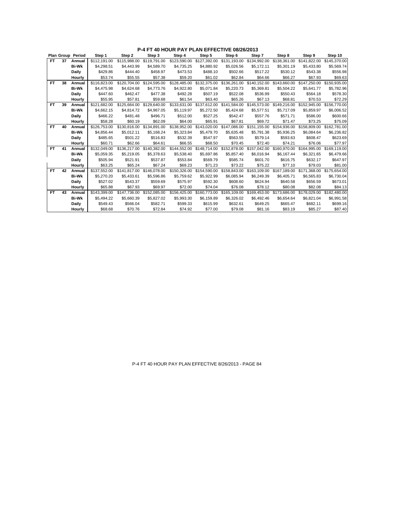|           |    | Plan Group Period | Step 1       | Step 2       | Step 3       | Step 4       | Step 5       | Step 6       | Step 7       | Step 8                    | Step 9                    | Step 10                   |
|-----------|----|-------------------|--------------|--------------|--------------|--------------|--------------|--------------|--------------|---------------------------|---------------------------|---------------------------|
| FT.       | 37 | Annual            | \$112,191.00 | \$115.988.00 | \$119,791.00 | \$123.590.00 | \$127,392.00 | \$131.193.00 | \$134.992.00 | \$138.361.00              | \$141.822.00              | \$145,370.00              |
|           |    | <b>Bi-Wk</b>      | \$4,298.51   | \$4,443.99   | \$4,589.70   | \$4,735.25   | \$4,880.92   | \$5,026.56   | \$5,172.11   | \$5,301.19                | \$5,433.80                | \$5,569.74                |
|           |    | <b>Daily</b>      | \$429.86     | \$444.40     | \$458.97     | \$473.53     | \$488.10     | \$502.66     | \$517.22     | \$530.12                  | \$543.38                  | \$556.98                  |
|           |    | Hourly            | \$53.74      | \$55.55      | \$57.38      | \$59.20      | \$61.02      | \$62.84      | \$64.66      | \$66.27                   | \$67.93                   | \$69.63                   |
| FT.       | 38 | Annual            | \$116.823.00 | \$120,704.00 | \$124,595.00 | \$128.485.00 | \$132,375.00 | \$136,261.00 | \$140,152.00 | \$143.660.00              | \$147,250.00              | \$150,935.00              |
|           |    | <b>Bi-Wk</b>      | \$4,475.98   | \$4,624.68   | \$4,773.76   | \$4,922.80   | \$5.071.84   | \$5,220.73   | \$5,369.81   | \$5,504.22                | \$5,641.77                | \$5,782.96                |
|           |    | <b>Daily</b>      | \$447.60     | \$462.47     | \$477.38     | \$492.28     | \$507.19     | \$522.08     | \$536.99     | \$550.43                  | \$564.18                  | \$578.30                  |
|           |    | Hourly            | \$55.95      | \$57.81      | \$59.68      | \$61.54      | \$63.40      | \$65.26      | \$67.13      | \$68.81                   | \$70.53                   | \$72.29                   |
| FT        | 39 | Annual            | \$121,682.00 | \$125,664.00 | \$129,640.00 | \$133,631.00 | \$137,612.00 | \$141,584.00 | \$145,573.00 | \$149,216.00              | \$152,945.00              | \$156,770.00              |
|           |    | <b>Bi-Wk</b>      | \$4,662.15   | \$4.814.72   | \$4,967.05   | \$5,119.97   | \$5,272.50   | \$5,424.68   | \$5,577.51   | \$5.717.09                | \$5,859.97                | \$6,006.52                |
|           |    | <b>Daily</b>      | \$466.22     | \$481.48     | \$496.71     | \$512.00     | \$527.25     | \$542.47     | \$557.76     | \$571.71                  | \$586.00                  | \$600.66                  |
|           |    | Hourly            | \$58.28      | \$60.19      | \$62.09      | \$64.00      | \$65.91      | \$67.81      | \$69.72      | \$71.47                   | \$73.25                   | \$75.09                   |
| <b>FT</b> | 40 | Annual            | \$126,753.00 | \$130,816.00 | \$134.891.00 | \$138,952.00 | \$143,020.00 | \$147.086.00 | \$151,155.00 | \$154,936.00              | \$158,809.00              | \$162,781.00              |
|           |    | <b>Bi-Wk</b>      | \$4.856.44   | \$5.012.11   | \$5.168.24   | \$5.323.84   | \$5,479.70   | \$5.635.48   | \$5.791.38   | \$5.936.25                | \$6.084.64                | \$6,236.82                |
|           |    | <b>Daily</b>      | \$485.65     | \$501.22     | \$516.83     | \$532.39     | \$547.97     | \$563.55     | \$579.14     | \$593.63                  | \$608.47                  | \$623.69                  |
|           |    | Hourly            | \$60.71      | \$62.66      | \$64.61      | \$66.55      | \$68.50      | \$70.45      | \$72.40      | \$74.21                   | \$76.06                   | \$77.97                   |
| FT.       | 41 | Annual            | \$132,049.00 | \$136,217.00 | \$140,382.00 | \$144,552.00 | \$148,714.00 | \$152,878.00 |              | \$157,042.00 \$160,970.00 |                           | \$164.995.00 \$169.119.00 |
|           |    | <b>Bi-Wk</b>      | \$5.059.35   | \$5,219.05   | \$5,378.63   | \$5,538.40   | \$5,697.86   | \$5,857.40   | \$6,016.94   | \$6,167.44                | \$6,321.65                | \$6,479.66                |
|           |    | <b>Daily</b>      | \$505.94     | \$521.91     | \$537.87     | \$553.84     | \$569.79     | \$585.74     | \$601.70     | \$616.75                  | \$632.17                  | \$647.97                  |
|           |    | Hourly            | \$63.25      | \$65.24      | \$67.24      | \$69.23      | \$71.23      | \$73.22      | \$75.22      | \$77.10                   | \$79.03                   | \$81.00                   |
| <b>FT</b> | 42 | Annual            | \$137,552.00 | \$141.817.00 | \$146,078.00 | \$150,326,00 | \$154,590.00 | \$158,843,00 |              | \$163,109.00 \$167,189.00 | \$171.368.00 \$175.654.00 |                           |
|           |    | <b>Bi-Wk</b>      | \$5.270.20   | \$5,433.61   | \$5,596.86   | \$5,759.62   | \$5,922.99   | \$6.085.94   | \$6,249.39   | \$6,405.71                | \$6,565.83                | \$6,730.04                |
|           |    | Daily             | \$527.02     | \$543.37     | \$559.69     | \$575.97     | \$592.30     | \$608.60     | \$624.94     | \$640.58                  | \$656.59                  | \$673.01                  |
|           |    | Hourly            | \$65.88      | \$67.93      | \$69.97      | \$72.00      | \$74.04      | \$76.08      | \$78.12      | \$80.08                   | \$82.08                   | \$84.13                   |
| FT.       | 43 | Annual            | \$143.399.00 | \$147,736.00 | \$152,085.00 | \$156,425.00 | \$160,773.00 | \$165,109.00 | \$169,453.00 | \$173,686.00              | \$178,029.00              | \$182,480.00              |
|           |    | <b>Bi-Wk</b>      | \$5.494.22   | \$5.660.39   | \$5,827.02   | \$5,993.30   | \$6,159.89   | \$6,326.02   | \$6,492.46   | \$6,654.64                | \$6,821.04                | \$6,991.58                |
|           |    | Daily             | \$549.43     | \$566.04     | \$582.71     | \$599.33     | \$615.99     | \$632.61     | \$649.25     | \$665.47                  | \$682.11                  | \$699.16                  |
|           |    | Hourly            | \$68.68      | \$70.76      | \$72.84      | \$74.92      | \$77.00      | \$79.08      | \$81.16      | \$83.19                   | \$85.27                   | \$87.40                   |

P-4 FT 40 HOUR PAY PLAN EFFECTIVE 8/26/2013 - PAGE 84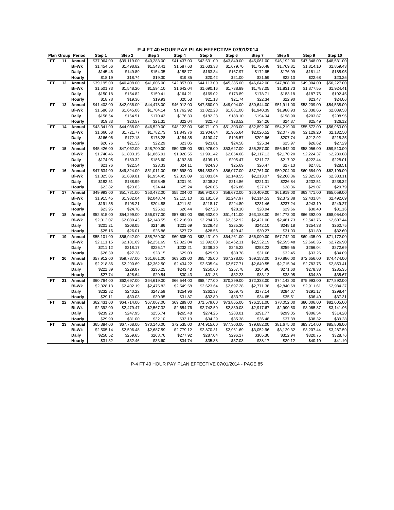|           |    | Plan Group Period | Step 1      | Step 2      | Step 3                  | Step 4      | Step 5      | Step 6      | Step 7      | Step 8      | Step 9      | Step 10                 |
|-----------|----|-------------------|-------------|-------------|-------------------------|-------------|-------------|-------------|-------------|-------------|-------------|-------------------------|
| FT.       | 11 | Annual            | \$37,964.00 | \$39.119.00 | \$40,283.00             | \$41,437.00 | \$42,631.00 | \$43,840.00 | \$45,061.00 | \$46,192.00 | \$47.348.00 | $\overline{$48,531.00}$ |
|           |    | <b>Bi-Wk</b>      | \$1,454.56  | \$1,498.82  | \$1,543.41              | \$1,587.63  | \$1,633.38  | \$1,679.70  | \$1,726.48  | \$1,769.81  | \$1,814.10  | \$1,859.43              |
|           |    | Daily             | \$145.46    | \$149.89    | \$154.35                | \$158.77    | \$163.34    | \$167.97    | \$172.65    | \$176.99    | \$181.41    | \$185.95                |
|           |    | Hourly            | \$18.19     | \$18.74     | \$19.30                 | \$19.85     | \$20.42     | \$21.00     | \$21.59     | \$22.13     | \$22.68     | \$23.25                 |
| FT        | 12 | Annual            | \$39,195.00 | \$40,408.00 | \$41,606.00             | \$42,857.00 | \$44,113.00 | \$45,385.00 | \$46,642.00 | \$47,808.00 | \$49,004.00 | \$50,227.00             |
|           |    | <b>Bi-Wk</b>      | \$1,501.73  | \$1,548.20  | \$1,594.10              | \$1,642.04  | \$1,690.16  | \$1,738.89  | \$1,787.05  | \$1,831.73  | \$1,877.55  | \$1,924.41              |
|           |    | Daily             | \$150.18    | \$154.82    | \$159.41                | \$164.21    | \$169.02    | \$173.89    | \$178.71    | \$183.18    | \$187.76    | \$192.45                |
|           |    | Hourly            | \$18.78     | \$19.36     | \$19.93                 | \$20.53     | \$21.13     | \$21.74     | \$22.34     | \$22.90     | \$23.47     | \$24.06                 |
| <b>FT</b> | 13 | Annual            | \$41,403.00 | \$42,936.00 | \$44,478.00             | \$46,012.00 | \$47,560.00 | \$49,094.00 | \$50,644.00 | \$51,911.00 | \$53,209.00 | \$54,538.00             |
|           |    | <b>Bi-Wk</b>      | \$1,586.33  | \$1,645.06  | \$1,704.14              | \$1,762.92  | \$1,822.23  | \$1,881.00  | \$1,940.39  | \$1,988.93  | \$2,038.66  | \$2,089.58              |
|           |    | Daily             | \$158.64    | \$164.51    | \$170.42                | \$176.30    | \$182.23    | \$188.10    | \$194.04    | \$198.90    | \$203.87    | \$208.96                |
|           |    | Hourly            | \$19.83     | \$20.57     | \$21.31                 | \$22.04     | \$22.78     | \$23.52     | \$24.26     | \$24.87     | \$25.49     | \$26.12                 |
| FT        | 14 | Annual            | \$43,341.00 | \$44,938.00 | \$46,529.00             | \$48,122.00 | \$49,711.00 | \$51,303.00 | \$52,892.00 | \$54,219.00 | \$55,572.00 | \$56,963.00             |
|           |    | <b>Bi-Wk</b>      | \$1,660.58  | \$1,721.77  | \$1,782.73              | \$1,843.76  | \$1,904.64  | \$1,965.64  | \$2,026.52  | \$2,077.36  | \$2,129.20  | \$2,182.50              |
|           |    | <b>Daily</b>      | \$166.06    | \$172.18    | \$178.28                | \$184.38    | \$190.47    | \$196.57    | \$202.66    | \$207.74    | \$212.92    | \$218.25                |
|           |    | Hourly            | \$20.76     | \$21.53     | \$22.29                 | \$23.05     | \$23.81     | \$24.58     | \$25.34     | \$25.97     | \$26.62     | \$27.29                 |
| <b>FT</b> | 15 | Annual            | \$45,426.00 | \$47,062.00 | \$48,700.00             | \$50,335.00 | \$51,976.00 | \$53,627.00 | \$55,257.00 | \$56,642.00 | \$58,056.00 | \$59,510.00             |
|           |    | <b>Bi-Wk</b>      | \$1,740.46  | \$1,803.15  | \$1,865.91              | \$1,928.55  | \$1,991.42  | \$2,054.68  | \$2,117.13  | \$2,170.20  | \$2,224.37  | \$2,280.08              |
|           |    | <b>Daily</b>      | \$174.05    | \$180.32    | \$186.60                | \$192.86    | \$199.15    | \$205.47    | \$211.72    | \$217.02    | \$222.44    | \$228.01                |
|           |    | Hourly            | \$21.76     | \$22.54     | \$23.33                 | \$24.11     | \$24.90     | \$25.69     | \$26.47     | \$27.13     | \$27.81     | \$28.51                 |
| FT        | 16 | Annual            | \$47,634.00 | \$49,324.00 | \$51,011.00             | \$52,698.00 | \$54,383.00 | \$56,077.00 | \$57,761.00 | \$59,204.00 | \$60,684.00 | \$62,199.00             |
|           |    | <b>Bi-Wk</b>      | \$1,825.06  | \$1,889.81  | \$1,954.45              | \$2,019.09  | \$2,083.64  | \$2,148.55  | \$2,213.07  | \$2,268.36  | \$2,325.06  | \$2,383.11              |
|           |    | Daily             | \$182.51    | \$188.99    | \$195.45                | \$201.91    | \$208.37    | \$214.86    | \$221.31    | \$226.84    | \$232.51    | \$238.32                |
|           |    | Hourly            | \$22.82     | \$23.63     | \$24.44                 | \$25.24     | \$26.05     | \$26.86     | \$27.67     | \$28.36     | \$29.07     | \$29.79                 |
| <b>FT</b> | 17 | Annual            | \$49,993.00 | \$51,731.00 | \$53,472.00             | \$55,204.00 | \$56,942.00 | \$58,672.00 | \$60,409.00 | \$61,919.00 | \$63,471.00 | \$65,059.00             |
|           |    | <b>Bi-Wk</b>      | \$1,915.45  | \$1,982.04  | \$2,048.74              | \$2,115.10  | \$2,181.69  | \$2,247.97  | \$2,314.53  | \$2,372.38  | \$2,431.84  | \$2,492.69              |
|           |    | Daily             | \$191.55    | \$198.21    | \$204.88                | \$211.51    | \$218.17    | \$224.80    | \$231.46    | \$237.24    | \$243.19    | \$249.27                |
|           |    | Hourly            | \$23.95     | \$24.78     | \$25.61                 | \$26.44     | \$27.28     | \$28.10     | \$28.94     | \$29.66     | \$30.40     | \$31.16                 |
| FT        | 18 | Annual            | \$52,515.00 | \$54,299.00 | \$56,077.00             | \$57,861.00 | \$59,632.00 | \$61,411.00 | \$63,188.00 | \$64,773.00 | \$66,392.00 | \$68,054.00             |
|           |    | <b>Bi-Wk</b>      | \$2,012.07  | \$2,080.43  | \$2,148.55              | \$2,216.90  | \$2,284.76  | \$2,352.92  | \$2,421.00  | \$2,481.73  | \$2,543.76  | \$2,607.44              |
|           |    | Daily             | \$201.21    | \$208.05    | \$214.86                | \$221.69    | \$228.48    | \$235.30    | \$242.10    | \$248.18    | \$254.38    | \$260.75                |
|           |    | Hourly            | \$25.16     | \$26.01     | \$26.86                 | \$27.72     | \$28.56     | \$29.42     | \$30.27     | \$31.03     | \$31.80     | \$32.60                 |
| <b>FT</b> | 19 | Annual            | \$55,101.00 | \$56,942.00 | \$58,769.00             | \$60,605.00 | \$62,431.00 | \$64,261.00 | \$66,090.00 | \$67,742.00 | \$69,435.00 | \$71,172.00             |
|           |    | <b>Bi-Wk</b>      | \$2,111.15  | \$2,181.69  | \$2,251.69              | \$2,322.04  | \$2,392.00  | \$2,462.11  | \$2,532.19  | \$2,595.48  | \$2,660.35  | \$2,726.90              |
|           |    | Daily             | \$211.12    | \$218.17    | \$225.17                | \$232.21    | \$239.20    | \$246.22    | \$253.22    | \$259.55    | \$266.04    | \$272.69                |
|           |    | Hourly            | \$26.39     | \$27.28     | \$28.15                 | \$29.03     | \$29.90     | \$30.78     | \$31.66     | \$32.45     | \$33.26     | \$34.09                 |
| FT        | 20 | Annual            | \$57,912.00 | \$59,787.00 | $\overline{$61,661.00}$ | \$63,533.00 | \$65,405.00 | \$67,278.00 | \$69,153.00 | \$70,886.00 | \$72,656.00 | \$74,474.00             |
|           |    | <b>Bi-Wk</b>      | \$2,218.86  | \$2,290.69  | \$2,362.50              | \$2,434.22  | \$2,505.94  | \$2,577.71  | \$2,649.55  | \$2,715.94  | \$2,783.76  | \$2,853.41              |
|           |    | Daily             | \$221.89    | \$229.07    | \$236.25                | \$243.43    | \$250.60    | \$257.78    | \$264.96    | \$271.60    | \$278.38    | \$285.35                |
|           |    | Hourly            | \$27.74     | \$28.64     | \$29.54                 | \$30.43     | \$31.33     | \$32.23     | \$33.12     | \$33.95     | \$34.80     | \$35.67                 |
| <b>FT</b> | 21 | Annual            | \$60,764.00 | \$62,697.00 | \$64,619.00             | \$66,544.00 | \$68,477.00 | \$70,399.00 | \$72,333.00 | \$74,142.00 | \$75,993.00 | \$77,892.00             |
|           |    | <b>Bi-Wk</b>      | \$2,328.13  | \$2,402.19  | \$2,475.83              | \$2,549.58  | \$2,623.64  | \$2,697.28  | \$2,771.38  | \$2,840.69  | \$2,911.61  | \$2,984.37              |
|           |    | Daily             | \$232.82    | \$240.22    | \$247.59                | \$254.96    | \$262.37    | \$269.73    | \$277.14    | \$284.07    | \$291.17    | \$298.44                |
|           |    | Hourly            | \$29.11     | \$30.03     | \$30.95                 | \$31.87     | \$32.80     | \$33.72     | \$34.65     | \$35.51     | \$36.40     | \$37.31                 |
| <b>FT</b> | 22 | Annual            | \$62,431.00 | \$64,714.00 | \$67,007.00             | \$69,289.00 | \$71,579.00 | \$73,865.00 | \$76,151.00 | \$78,052.00 | \$80,006.00 | \$82,005.00             |
|           |    | <b>Bi-Wk</b>      | \$2,392.00  | \$2,479.47  | \$2,567.32              | \$2,654.76  | \$2,742.50  | \$2,830.08  | \$2,917.67  | \$2,990.50  | \$3,065.37  | \$3,141.96              |
|           |    | Daily             | \$239.20    | \$247.95    | \$256.74                | \$265.48    | \$274.25    | \$283.01    | \$291.77    | \$299.05    | \$306.54    | \$314.20                |
|           |    | Hourly            | \$29.90     | \$31.00     | \$32.10                 | \$33.19     | \$34.29     | \$35.38     | \$36.48     | \$37.39     | \$38.32     | \$39.28                 |
| <b>FT</b> | 23 | Annual            | \$65,384.00 | \$67,768.00 | \$70,146.00             | \$72,535.00 | \$74,915.00 | \$77,300.00 | \$79,682.00 | \$81,675.00 | \$83,714.00 | \$85,806.00             |
|           |    | <b>Bi-Wk</b>      | \$2,505.14  | \$2,596.48  | \$2,687.59              | \$2,779.12  | \$2,870.31  | \$2,961.69  | \$3,052.96  | \$3,129.32  | \$3,207.44  | \$3,287.59              |
|           |    | Daily             | \$250.52    | \$259.65    | \$268.76                | \$277.92    | \$287.04    | \$296.17    | \$305.30    | \$312.94    | \$320.75    | \$328.76                |
|           |    | Hourly            | \$31.32     | \$32.46     | \$33.60                 | \$34.74     | \$35.88     | \$37.03     | \$38.17     | \$39.12     | \$40.10     | \$41.10                 |
|           |    |                   |             |             |                         |             |             |             |             |             |             |                         |

P-4 FT 40 HOUR PAY PLAN EFFECTIVE 07/01/2014 - PAGE 85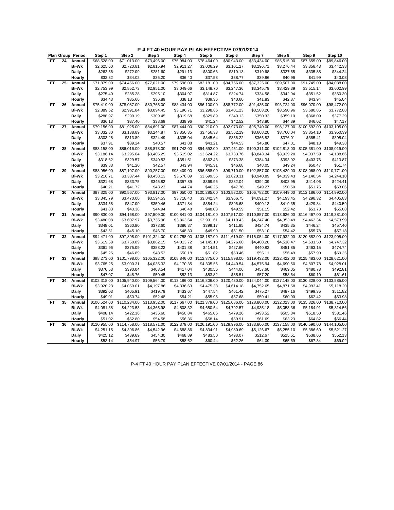|           |    | Plan Group Period | Step 1       | Step 2       | Step 3       | Step 4                   | Step 5       | Step 6       | Step 7       | Step 8                   | Step 9       | Step 10      |
|-----------|----|-------------------|--------------|--------------|--------------|--------------------------|--------------|--------------|--------------|--------------------------|--------------|--------------|
| FT        | 24 | Annual            | \$68,528.00  | \$71,013.00  | \$73,496.00  | \$75,984.00              | \$78,464.00  | \$80,943.00  | \$83.434.00  | \$85,515.00              | \$87,655.00  | \$89,846.00  |
|           |    | <b>Bi-Wk</b>      | \$2,625.60   | \$2,720.81   | \$2,815.94   | \$2,911.27               | \$3,006.29   | \$3,101.27   | \$3,196.71   | \$3,276.44               | \$3,358.43   | \$3,442.38   |
|           |    | Daily             | \$262.56     | \$272.09     | \$281.60     | \$291.13                 | \$300.63     | \$310.13     | \$319.68     | \$327.65                 | \$335.85     | \$344.24     |
|           |    | Hourly            | \$32.82      | \$34.02      | \$35.20      | \$36.40                  | \$37.58      | \$38.77      | \$39.96      | \$40.96                  | \$41.99      | \$43.03      |
| <b>FT</b> | 25 | Annual            | \$71,879.00  | \$74,456.00  | \$77,021.00  | \$79,596.00              | \$82,181.00  | \$84,756.00  | \$87,325.00  | \$89,507.00              | \$91,745.00  | \$94,038.00  |
|           |    | <b>Bi-Wk</b>      | \$2,753.99   | \$2,852.73   | \$2,951.00   | \$3,049.66               | \$3,148.70   | \$3,247.36   | \$3,345.79   | \$3,429.39               | \$3,515.14   | \$3,602.99   |
|           |    | Daily             | \$275.40     | \$285.28     | \$295.10     | \$304.97                 | \$314.87     | \$324.74     | \$334.58     | \$342.94                 | \$351.52     | \$360.30     |
|           |    | Hourly            | \$34.43      | \$35.66      | \$36.89      | \$38.13                  | \$39.36      | \$40.60      | \$41.83      | \$42.87                  | \$43.94      | \$45.04      |
| FT        | 26 | Annual            | \$75,419.00  | \$78,087.00  | \$80,765.00  | \$83,434.00              | \$86,100.00  | \$88,772.00  | \$91,435.00  | \$93,724.00              | \$96,070.00  | \$98,472.00  |
|           |    | <b>Bi-Wk</b>      | \$2,889.62   | \$2,991.84   | \$3,094.45   | \$3,196.71               | \$3,298.86   | \$3,401.23   | \$3,503.26   | \$3,590.96               | \$3,680.85   | \$3,772.88   |
|           |    | Daily             | \$288.97     | \$299.19     | \$309.45     | \$319.68                 | \$329.89     | \$340.13     | \$350.33     | \$359.10                 | \$368.09     | \$377.29     |
|           |    | Hourly            | \$36.13      | \$37.40      | \$38.69      | \$39.96                  | \$41.24      | \$42.52      | \$43.80      | \$44.89                  | \$46.02      | \$47.17      |
| FT        | 27 | Annual            | \$79,156.00  | \$81,925.00  | \$84,691.00  | \$87,444.00              | \$90,210.00  | \$92,973.00  | \$95,740.00  | \$98,137.00              | \$100,592.00 | \$103,105.00 |
|           |    | <b>Bi-Wk</b>      | \$3,032.80   | \$3,138.89   | \$3,244.87   | \$3,350.35               | \$3,456.33   | \$3,562.19   | \$3,668.20   | \$3,760.04               | \$3,854.10   | \$3,950.39   |
|           |    | Daily             | \$303.28     | \$313.89     | \$324.49     | \$335.04                 | \$345.64     | \$356.22     | \$366.82     | \$376.01                 | \$385.41     | \$395.04     |
|           |    | Hourly            | \$37.91      | \$39.24      | \$40.57      | \$41.88                  | \$43.21      | \$44.53      | \$45.86      | \$47.01                  | \$48.18      | \$49.38      |
| FT        | 28 | Annual            | \$83,158.00  | \$86,016.00  | \$88,878.00  | \$91,742.00              | \$94,592.00  | \$97,451.00  | \$100,311.00 | \$102,813.00             | \$105,381.00 | \$108,019.00 |
|           |    | <b>Bi-Wk</b>      | \$3,186.14   | \$3,295.64   | \$3,405.29   | \$3,515.02               | \$3,624.22   | \$3,733.76   | \$3,843.34   | \$3,939.20               | \$4,037.59   | \$4,138.66   |
|           |    | Daily             | \$318.62     | \$329.57     | \$340.53     | \$351.51                 | \$362.43     | \$373.38     | \$384.34     | \$393.92                 | \$403.76     | \$413.87     |
|           |    | Hourly            | \$39.83      | \$41.20      | \$42.57      | \$43.94                  | \$45.31      | \$46.68      | \$48.05      | \$49.24                  | \$50.47      | \$51.74      |
| <b>FT</b> | 29 | Annual            | \$83,956.00  | \$87,107.00  | \$90,257.00  | \$93,409.00              | \$96,558.00  | \$99,710.00  | \$102,857.00 | \$105.429.00             | \$108,068.00 | \$110,771.00 |
|           |    | <b>Bi-Wk</b>      | \$3,216.71   | \$3,337.44   | \$3,458.13   | \$3,578.89               | \$3,699.55   | \$3,820.31   | \$3,940.89   | \$4,039.43               | \$4,140.54   | \$4,244.10   |
|           |    | Daily             | \$321.68     | \$333.75     | \$345.82     | \$357.89                 | \$369.96     | \$382.04     | \$394.09     | \$403.95                 | \$414.06     | \$424.41     |
|           |    | Hourly            | \$40.21      | \$41.72      | \$43.23      | \$44.74                  | \$46.25      | \$47.76      | \$49.27      | \$50.50                  | \$51.76      | \$53.06      |
| <b>FT</b> | 30 | Annual            | \$87,325.00  | \$90,567.00  | \$93,817.00  | \$97,050.00              | \$100,285.00 | \$103,532.00 | \$106,782.00 | $\overline{$}109,449.00$ | \$112,186.00 | \$114,992.00 |
|           |    | <b>Bi-Wk</b>      | \$3,345.79   | \$3,470.00   | \$3,594.53   | \$3,718.40               | \$3,842.34   | \$3,966.75   | \$4,091.27   | \$4,193.45               | \$4,298.32   | \$4,405.83   |
|           |    | Daily             | \$334.58     | \$347.00     | \$359.46     | \$371.84                 | \$384.24     | \$396.68     | \$409.13     | \$419.35                 | \$429.84     | \$440.59     |
|           |    | Hourly            | \$41.83      | \$43.38      | \$44.94      | \$46.48                  | \$48.03      | \$49.59      | \$51.15      | \$52.42                  | \$53.73      | \$55.08      |
| <b>FT</b> | 31 | Annual            | \$90,830.00  | \$94,168.00  | \$97,509.00  | \$100,841.00             | \$104,181.00 | \$107,517.00 | \$110,857.00 | \$113,626.00             | \$116,467.00 | \$119,381.00 |
|           |    | <b>Bi-Wk</b>      | \$3,480.08   | \$3,607.97   | \$3,735.98   | \$3,863.64               | \$3,991.61   | \$4,119.43   | \$4,247.40   | \$4,353.49               | \$4,462.34   | \$4,573.99   |
|           |    | Daily             | \$348.01     | \$360.80     | \$373.60     | \$386.37                 | \$399.17     | \$411.95     | \$424.74     | \$435.35                 | \$446.24     | \$457.40     |
|           |    | Hourly            | \$43.51      | \$45.10      | \$46.70      | \$48.30                  | \$49.90      | \$51.50      | \$53.10      | \$54.42                  | \$55.78      | \$57.18      |
| FT        | 32 | Annual            | \$94,471.00  | \$97,898.00  | \$101,324.00 | \$104,758.00             | \$108,187.00 | \$111,619.00 | \$115,054.00 | \$117,932.00             | \$120,882.00 | \$123,905.00 |
|           |    | <b>Bi-Wk</b>      | \$3,619.58   | \$3,750.89   | \$3,882.15   | \$4,013.72               | \$4,145.10   | \$4,276.60   | \$4,408.20   | \$4,518.47               | \$4,631.50   | \$4,747.32   |
|           |    | Daily             | \$361.96     | \$375.09     | \$388.22     | \$401.38                 | \$414.51     | \$427.66     | \$440.82     | \$451.85                 | \$463.15     | \$474.74     |
|           |    | Hourly            | \$45.25      | \$46.89      | \$48.53      | \$50.18                  | \$51.82      | \$53.46      | \$55.11      | \$56.49                  | \$57.90      | \$59.35      |
| FT        | 33 | Annual            | \$98,273.00  | \$101,798.00 | \$105,322.00 | \$108,846.00             | \$112,375.00 | \$115,898.00 | \$119,432.00 | \$122,422.00             | \$125,483.00 | \$128,621.00 |
|           |    | <b>Bi-Wk</b>      | \$3,765.25   | \$3,900.31   | \$4,035.33   | \$4,170.35               | \$4,305.56   | \$4,440.54   | \$4,575.94   | \$4,690.50               | \$4,807.78   | \$4,928.01   |
|           |    | Daily             | \$376.53     | \$390.04     | \$403.54     | \$417.04                 | \$430.56     | \$444.06     | \$457.60     | \$469.05                 | \$480.78     | \$492.81     |
|           |    | Hourly            | \$47.07      | \$48.76      | \$50.45      | \$52.13                  | \$53.82      | \$55.51      | \$57.20      | \$58.64                  | \$60.10      | \$61.61      |
| <b>FT</b> | 34 | Annual            | \$102,318.00 | \$105,940.00 | \$109,564.00 | $\overline{$}113,186.00$ | \$116,806.00 | \$120,430.00 | \$124,044.00 | \$127,148.00             | \$130,328.00 | \$133,585.00 |
|           |    | <b>Bi-Wk</b>      | \$3,920.23   | \$4,059.01   | \$4,197.86   | \$4,336.63               | \$4,475.33   | \$4,614.18   | \$4,752.65   | \$4,871.58               | \$4,993.41   | \$5,118.20   |
|           |    | Daily             | \$392.03     | \$405.91     | \$419.79     | \$433.67                 | \$447.54     | \$461.42     | \$475.27     | \$487.16                 | \$499.35     | \$511.82     |
|           |    | Hourly            | \$49.01      | \$50.74      | \$52.48      | \$54.21                  | \$55.95      | \$57.68      | \$59.41      | \$60.90                  | \$62.42      | \$63.98      |
| <b>FT</b> | 35 | Annual            | \$106,524.00 | \$110,234.00 | \$113,952.00 | \$117,667.00             | \$121,379.00 | \$125,086.00 | \$128,808.00 | \$132,023.00             | \$135,326.00 | \$138,710.00 |
|           |    | <b>Bi-Wk</b>      | \$4,081.38   | \$4,223.53   | \$4,365.98   | \$4,508.32               | \$4,650.54   | \$4,792.57   | \$4,935.18   | \$5,058.36               | \$5,184.91   | \$5,314.56   |
|           |    | Daily             | \$408.14     | \$422.36     | \$436.60     | \$450.84                 | \$465.06     | \$479.26     | \$493.52     | \$505.84                 | \$518.50     | \$531.46     |
|           |    | Hourly            | \$51.02      | \$52.80      | \$54.58      | \$56.36                  | \$58.14      | \$59.91      | \$61.69      | \$63.23                  | \$64.82      | \$66.44      |
| <b>FT</b> | 36 | Annual            | \$110,955.00 | \$114,758.00 | \$118,571.00 | $\overline{$}122,379.00$ | \$126,191.00 | \$129,996.00 | \$133,806.00 | \$137,158.00             | \$140,590.00 | \$144,105.00 |
|           |    | <b>Bi-Wk</b>      |              |              |              | \$4,688.86               |              |              |              | \$5,255.10               | \$5,386.60   | \$5,521.27   |
|           |    |                   | \$4,251.15   | \$4,396.86   | \$4,542.96   |                          | \$4,834.91   | \$4,980.69   | \$5,126.67   |                          |              |              |
|           |    | Daily             | \$425.12     | \$439.69     | \$454.30     | \$468.89                 | \$483.50     | \$498.07     | \$512.67     | \$525.51                 | \$538.66     | \$552.13     |
|           |    | Hourly            | \$53.14      | \$54.97      | \$56.79      | \$58.62                  | \$60.44      | \$62.26      | \$64.09      | \$65.69                  | \$67.34      | \$69.02      |

P-4 FT 40 HOUR PAY PLAN EFFECTIVE 07/01/2014 - PAGE 86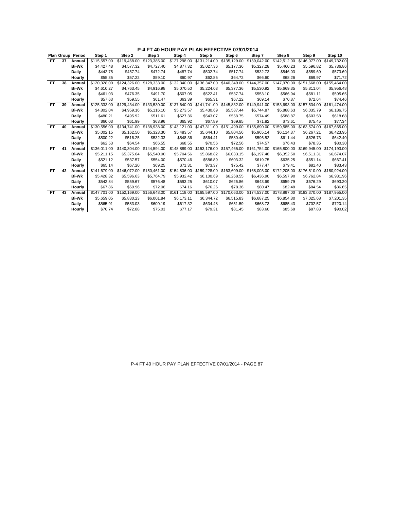|           |    | <b>Plan Group Period</b> | Step 1       | Step 2       | Step 3       | Step 4       | Step 5       | Step 6                    | Step 7       | Step 8                    | Step 9       | Step 10      |
|-----------|----|--------------------------|--------------|--------------|--------------|--------------|--------------|---------------------------|--------------|---------------------------|--------------|--------------|
| FT.       | 37 | Annual                   | \$115,557.00 | \$119,468.00 | \$123,385,00 | \$127,298.00 | \$131,214.00 | \$135,129.00              | \$139,042.00 | \$142,512.00              | \$146.077.00 | \$149.732.00 |
|           |    | <b>Bi-Wk</b>             | \$4,427.48   | \$4.577.32   | \$4,727.40   | \$4,877.32   | \$5,027.36   | \$5.177.36                | \$5,327.28   | \$5,460.23                | \$5,596.82   | \$5,736.86   |
|           |    | <b>Daily</b>             | \$442.75     | \$457.74     | \$472.74     | \$487.74     | \$502.74     | \$517.74                  | \$532.73     | \$546.03                  | \$559.69     | \$573.69     |
|           |    | Hourly                   | \$55.35      | \$57.22      | \$59.10      | \$60.97      | \$62.85      | \$64.72                   | \$66.60      | \$68.26                   | \$69.97      | \$71.72      |
| FT        | 38 | Annual                   | \$120,328.00 | \$124,326.00 | \$128,333.00 | \$132,340.00 | \$136,347.00 | \$140,349,00              | \$144,357.00 | \$147,970,00              | \$151.668.00 | \$155,464.00 |
|           |    | <b>Bi-Wk</b>             | \$4,610.27   | \$4,763.45   | \$4,916.98   | \$5,070.50   | \$5,224.03   | \$5,377.36                | \$5,530.92   | \$5,669.35                | \$5,811.04   | \$5,956.48   |
|           |    | <b>Daily</b>             | \$461.03     | \$476.35     | \$491.70     | \$507.05     | \$522.41     | \$537.74                  | \$553.10     | \$566.94                  | \$581.11     | \$595.65     |
|           |    | Hourly                   | \$57.63      | \$59.55      | \$61.47      | \$63.39      | \$65.31      | \$67.22                   | \$69.14      | \$70.87                   | \$72.64      | \$74.46      |
| <b>FT</b> | 39 | Annual                   | \$125.333.00 | \$129.434.00 | \$133,530.00 | \$137,640.00 | \$141.741.00 | \$145,832,00              | \$149.941.00 | \$153,693.00              | \$157,534.00 | \$161,474.00 |
|           |    | <b>Bi-Wk</b>             | \$4,802.04   | \$4,959.16   | \$5,116.10   | \$5,273.57   | \$5,430.69   | \$5,587.44                | \$5,744.87   | \$5,888.63                | \$6,035.79   | \$6,186.75   |
|           |    | <b>Daily</b>             | \$480.21     | \$495.92     | \$511.61     | \$527.36     | \$543.07     | \$558.75                  | \$574.49     | \$588.87                  | \$603.58     | \$618.68     |
|           |    | Hourly                   | \$60.03      | \$61.99      | \$63.96      | \$65.92      | \$67.89      | \$69.85                   | \$71.82      | \$73.61                   | \$75.45      | \$77.34      |
| <b>FT</b> | 40 | Annual                   | \$130,556.00 | \$134,741.00 | \$138,938.00 | \$143,121.00 |              | \$147,311.00 \$151,499.00 |              | \$155,690.00 \$159,585.00 | \$163,574,00 | \$167,665.00 |
|           |    | <b>Bi-Wk</b>             | \$5,002.15   | \$5.162.50   | \$5,323.30   | \$5.483.57   | \$5,644.10   | \$5,804.56                | \$5.965.14   | \$6.114.37                | \$6,267.21   | \$6,423.95   |
|           |    | Daily                    | \$500.22     | \$516.25     | \$532.33     | \$548.36     | \$564.41     | \$580.46                  | \$596.52     | \$611.44                  | \$626.73     | \$642.40     |
|           |    | Hourly                   | \$62.53      | \$64.54      | \$66.55      | \$68.55      | \$70.56      | \$72.56                   | \$74.57      | \$76.43                   | \$78.35      | \$80.30      |
| FT.       | 41 | Annual                   | \$136,011.00 | \$140,304.00 | \$144,594.00 | \$148,889.00 |              | \$153,176.00 \$157,465.00 |              | \$161,754.00 \$165,800.00 | \$169,945.00 | \$174,193.00 |
|           |    | <b>Bi-Wk</b>             | \$5.211.15   | \$5.375.64   | \$5,540.00   | \$5,704.56   | \$5,868.82   | \$6.033.15                | \$6.197.48   | \$6,352.50                | \$6.511.31   | \$6,674.07   |
|           |    | Daily                    | \$521.12     | \$537.57     | \$554.00     | \$570.46     | \$586.89     | \$603.32                  | \$619.75     | \$635.25                  | \$651.14     | \$667.41     |
|           |    | Hourly                   | \$65.14      | \$67.20      | \$69.25      | \$71.31      | \$73.37      | \$75.42                   | \$77.47      | \$79.41                   | \$81.40      | \$83.43      |
| FT.       | 42 | Annual                   | \$141.679.00 | \$146.072.00 | \$150,461.00 | \$154,836.00 |              | \$159.228.00 \$163.609.00 |              | \$168,003.00 \$172,205.00 | \$176.510.00 | \$180.924.00 |
|           |    | <b>Bi-Wk</b>             | \$5,428.32   | \$5,596.63   | \$5,764.79   | \$5,932.42   | \$6,100.69   | \$6,268.55                | \$6,436.90   | \$6,597.90                | \$6,762.84   | \$6,931.96   |
|           |    | Daily                    | \$542.84     | \$559.67     | \$576.48     | \$593.25     | \$610.07     | \$626.86                  | \$643.69     | \$659.79                  | \$676.29     | \$693.20     |
|           |    | Hourly                   | \$67.86      | \$69.96      | \$72.06      | \$74.16      | \$76.26      | \$78.36                   | \$80.47      | \$82.48                   | \$84.54      | \$86.65      |
| <b>FT</b> | 43 | Annual                   | \$147.701.00 | \$152.169.00 | \$156,648.00 | \$161.118.00 | \$165,597.00 | \$170.063.00              | \$174,537.00 | \$178,897.00              | \$183,370,00 | \$187,955.00 |
|           |    | <b>Bi-Wk</b>             | \$5,659.05   | \$5,830.23   | \$6,001.84   | \$6,173.11   | \$6,344.72   | \$6,515.83                | \$6,687.25   | \$6,854.30                | \$7,025.68   | \$7,201.35   |
|           |    | Daily                    | \$565.91     | \$583.03     | \$600.19     | \$617.32     | \$634.48     | \$651.59                  | \$668.73     | \$685.43                  | \$702.57     | \$720.14     |
|           |    | Hourly                   | \$70.74      | \$72.88      | \$75.03      | \$77.17      | \$79.31      | \$81.45                   | \$83.60      | \$85.68                   | \$87.83      | \$90.02      |

P-4 FT 40 HOUR PAY PLAN EFFECTIVE 07/01/2014 - PAGE 87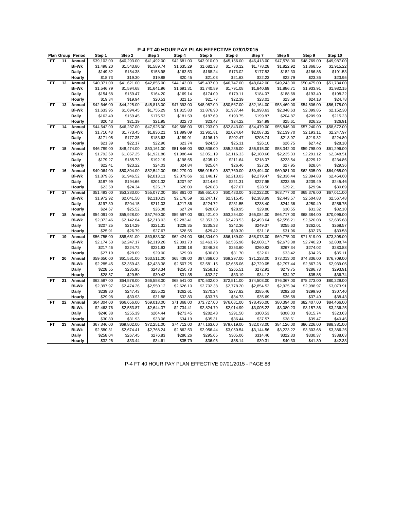|           |    | Plan Group Period | Step 1      | Step 2      | Step 3      | Step 4      | Step 5      | Step 6      | Step 7      | Step 8      | Step 9      | Step 10     |
|-----------|----|-------------------|-------------|-------------|-------------|-------------|-------------|-------------|-------------|-------------|-------------|-------------|
| FT.       | 11 | Annual            | \$39,103.00 | \$40.293.00 | \$41,492.00 | \$42,681.00 | \$43,910.00 | \$45,156.00 | \$46,413.00 | \$47,578.00 | \$48,769.00 | \$49,987.00 |
|           |    | <b>Bi-Wk</b>      | \$1,498.20  | \$1,543.80  | \$1,589.74  | \$1,635.29  | \$1,682.38  | \$1,730.12  | \$1,778.28  | \$1,822.92  | \$1,868.55  | \$1,915.22  |
|           |    | Daily             | \$149.82    | \$154.38    | \$158.98    | \$163.53    | \$168.24    | \$173.02    | \$177.83    | \$182.30    | \$186.86    | \$191.53    |
|           |    | Hourly            | \$18.73     | \$19.30     | \$19.88     | \$20.45     | \$21.03     | \$21.63     | \$22.23     | \$22.79     | \$23.36     | \$23.95     |
| FT        | 12 | Annual            | \$40,371.00 | \$41,621.00 | \$42,855.00 | \$44,143.00 | \$45,437.00 | \$46,747.00 | \$48,042.00 | \$49,243.00 | \$50,475.00 | \$51,734.00 |
|           |    | <b>Bi-Wk</b>      | \$1,546.79  | \$1,594.68  | \$1,641.96  | \$1,691.31  | \$1,740.89  | \$1,791.08  | \$1,840.69  | \$1,886.71  | \$1,933.91  | \$1,982.15  |
|           |    | Daily             | \$154.68    | \$159.47    | \$164.20    | \$169.14    | \$174.09    | \$179.11    | \$184.07    | \$188.68    | \$193.40    | \$198.22    |
|           |    | Hourly            | \$19.34     | \$19.94     | \$20.53     | \$21.15     | \$21.77     | \$22.39     | \$23.01     | \$23.59     | \$24.18     | \$24.78     |
| <b>FT</b> | 13 | Annual            | \$42,646.00 | \$44,225.00 | \$45,813.00 | \$47,393.00 | \$48,987.00 | \$50,567.00 | \$52,164.00 | \$53,469.00 | \$54,806.00 | \$56,175.00 |
|           |    | <b>Bi-Wk</b>      | \$1,633.95  | \$1,694.45  | \$1,755.29  | \$1,815.83  | \$1,876.90  | \$1,937.44  | \$1,998.63  | \$2,048.63  | \$2,099.85  | \$2,152.30  |
|           |    | Daily             | \$163.40    | \$169.45    | \$175.53    | \$181.59    | \$187.69    | \$193.75    | \$199.87    | \$204.87    | \$209.99    | \$215.23    |
|           |    | Hourly            | \$20.43     | \$21.19     | \$21.95     | \$22.70     | \$23.47     | \$24.22     | \$24.99     | \$25.61     | \$26.25     | \$26.91     |
| <b>FT</b> | 14 | Annual            | \$44,642.00 | \$46,287.00 | \$47,925.00 | \$49,566.00 | \$51,203.00 | \$52,843.00 | \$54,479.00 | \$55,846.00 | \$57,240.00 | \$58,672.00 |
|           |    | <b>Bi-Wk</b>      | \$1,710.43  | \$1,773.45  | \$1,836.21  | \$1,899.09  | \$1,961.81  | \$2,024.64  | \$2,087.32  | \$2,139.70  | \$2,193.11  | \$2,247.97  |
|           |    | Daily             | \$171.05    | \$177.35    | \$183.63    | \$189.91    | \$196.19    | \$202.47    | \$208.74    | \$213.97    | \$219.32    | \$224.80    |
|           |    | Hourly            | \$21.39     | \$22.17     | \$22.96     | \$23.74     | \$24.53     | \$25.31     | \$26.10     | \$26.75     | \$27.42     | \$28.10     |
| FT        | 15 | Annual            | \$46,789.00 | \$48,474.00 | \$50,161.00 | \$51,846.00 | \$53,536.00 | \$55,236.00 | \$56,915.00 | \$58,342.00 | \$59,798.00 | \$61,296.00 |
|           |    | <b>Bi-Wk</b>      | \$1,792.69  | \$1,857.25  | \$1,921.88  | \$1,986.44  | \$2,051.19  | \$2,116.33  | \$2,180.66  | \$2,235.33  | \$2,291.12  | \$2,348.51  |
|           |    | Daily             | \$179.27    | \$185.73    | \$192.19    | \$198.65    | \$205.12    | \$211.64    | \$218.07    | \$223.54    | \$229.12    | \$234.86    |
|           |    | Hourly            | \$22.41     | \$23.22     | \$24.03     | \$24.84     | \$25.64     | \$26.46     | \$27.26     | \$27.95     | \$28.64     | \$29.36     |
| <b>FT</b> | 16 | Annual            | \$49,064.00 | \$50,804.00 | \$52,542.00 | \$54,279.00 | \$56,015.00 | \$57,760.00 | \$59,494.00 | \$60,981.00 | \$62,505.00 | \$64,065.00 |
|           |    | <b>Bi-Wk</b>      | \$1,879.85  | \$1,946.52  | \$2,013.11  | \$2,079.66  | \$2,146.17  | \$2,213.03  | \$2,279.47  | \$2,336.44  | \$2,394.83  | \$2,454.60  |
|           |    | Daily             | \$187.99    | \$194.66    | \$201.32    | \$207.97    | \$214.62    | \$221.31    | \$227.95    | \$233.65    | \$239.49    | \$245.46    |
|           |    | Hourly            | \$23.50     | \$24.34     | \$25.17     | \$26.00     | \$26.83     | \$27.67     | \$28.50     | \$29.21     | \$29.94     | \$30.69     |
| FT        | 17 | Annual            | \$51,493.00 | \$53,283.00 | \$55,077.00 | \$56,861.00 | \$58,651.00 | \$60,433.00 | \$62,222.00 | \$63,777.00 | \$65,376.00 | \$67,011.00 |
|           |    | <b>Bi-Wk</b>      | \$1,972.92  | \$2,041.50  | \$2,110.23  | \$2,178.59  | \$2,247.17  | \$2,315.45  | \$2,383.99  | \$2,443.57  | \$2,504.83  | \$2,567.48  |
|           |    | Daily             | \$197.30    | \$204.15    | \$211.03    | \$217.86    | \$224.72    | \$231.55    | \$238.40    | \$244.36    | \$250.49    | \$256.75    |
|           |    | Hourly            | \$24.67     | \$25.52     | \$26.38     | \$27.24     | \$28.09     | \$28.95     | \$29.80     | \$30.55     | \$31.32     | \$32.10     |
| <b>FT</b> | 18 | Annual            | \$54,091.00 | \$55,928.00 | \$57,760.00 | \$59,597.00 | \$61,421.00 | \$63,254.00 | \$65,084.00 | \$66,717.00 | \$68,384.00 | \$70,096.00 |
|           |    | <b>Bi-Wk</b>      | \$2,072.46  | \$2,142.84  | \$2,213.03  | \$2,283.41  | \$2,353.30  | \$2,423.53  | \$2,493.64  | \$2,556.21  | \$2,620.08  | \$2,685.68  |
|           |    | Daily             | \$207.25    | \$214.29    | \$221.31    | \$228.35    | \$235.33    | \$242.36    | \$249.37    | \$255.63    | \$262.01    | \$268.57    |
|           |    | Hourly            | \$25.91     | \$26.79     | \$27.67     | \$28.55     | \$29.42     | \$30.30     | \$31.18     | \$31.96     | \$32.76     | \$33.58     |
| <b>FT</b> | 19 | Annual            | \$56,755.00 | \$58,651.00 | \$60,533.00 | \$62,424.00 | \$64,304.00 | \$66,189.00 | \$68,073.00 | \$69,775.00 | \$71,519.00 | \$73,308.00 |
|           |    | Bi-Wk             | \$2,174.53  | \$2,247.17  | \$2,319.28  | \$2,391.73  | \$2,463.76  | \$2,535.98  | \$2,608.17  | \$2,673.38  | \$2,740.20  | \$2,808.74  |
|           |    | Daily             | \$217.46    | \$224.72    | \$231.93    | \$239.18    | \$246.38    | \$253.60    | \$260.82    | \$267.34    | \$274.02    | \$280.88    |
|           |    | Hourly            | \$27.19     | \$28.09     | \$29.00     | \$29.90     | \$30.80     | \$31.70     | \$32.61     | \$33.42     | \$34.26     | \$35.11     |
| FT        | 20 | Annual            | \$59,650.00 | \$61,581.00 | \$63,511.00 | \$65,439.00 | \$67,368.00 | \$69,297.00 | \$71,228.00 | \$73,013.00 | \$74,836.00 | \$76,709.00 |
|           |    | <b>Bi-Wk</b>      | \$2,285.45  | \$2,359.43  | \$2,433.38  | \$2,507.25  | \$2,581.15  | \$2,655.06  | \$2,729.05  | \$2,797.44  | \$2,867.28  | \$2,939.05  |
|           |    | Daily             | \$228.55    | \$235.95    | \$243.34    | \$250.73    | \$258.12    | \$265.51    | \$272.91    | \$279.75    | \$286.73    | \$293.91    |
|           |    | Hourly            | \$28.57     | \$29.50     | \$30.42     | \$31.35     | \$32.27     | \$33.19     | \$34.12     | \$34.97     | \$35.85     | \$36.74     |
| <b>FT</b> | 21 | Annual            | \$62,587.00 | \$64,578.00 | \$66,558.00 | \$68,541.00 | \$70,532.00 | \$72,511.00 | \$74,503.00 | \$76,367.00 | \$78,273.00 | \$80,229.00 |
|           |    | <b>Bi-Wk</b>      | \$2,397.97  | \$2,474.26  | \$2,550.12  | \$2,626.10  | \$2,702.38  | \$2,778.20  | \$2,854.53  | \$2,925.94  | \$2,998.97  | \$3,073.91  |
|           |    | Daily             | \$239.80    | \$247.43    | \$255.02    | \$262.61    | \$270.24    | \$277.82    | \$285.46    | \$292.60    | \$299.90    | \$307.40    |
|           |    | Hourly            | \$29.98     | \$30.93     | \$31.88     | \$32.83     | \$33.78     | \$34.73     | \$35.69     | \$36.58     | \$37.49     | \$38.43     |
| FT        | 22 | Annual            | \$64,304.00 | \$66,656.00 | \$69,018.00 | \$71,368.00 | \$73,727.00 | \$76,081.00 | \$78,436.00 | \$80,394.00 | \$82,407.00 | \$84,466.00 |
|           |    | <b>Bi-Wk</b>      | \$2,463.76  | \$2,553.87  | \$2,644.37  | \$2,734.41  | \$2,824.79  | \$2,914.99  | \$3,005.22  | \$3,080.23  | \$3,157.36  | \$3,236.25  |
|           |    | Daily             | \$246.38    | \$255.39    | \$264.44    | \$273.45    | \$282.48    | \$291.50    | \$300.53    | \$308.03    | \$315.74    | \$323.63    |
|           |    | Hourly            | \$30.80     | \$31.93     | \$33.06     | \$34.19     | \$35.31     | \$36.44     | \$37.57     | \$38.51     | \$39.47     | \$40.46     |
| <b>FT</b> | 23 | Annual            | \$67,346.00 | \$69,802.00 | \$72,251.00 | \$74,712.00 | \$77,163.00 | \$79,619.00 | \$82,073.00 | \$84,126.00 | \$86,226.00 | \$88,381.00 |
|           |    | <b>Bi-Wk</b>      | \$2,580.31  | \$2,674.41  | \$2,768.24  | \$2,862.53  | \$2,956.44  | \$3,050.54  | \$3,144.56  | \$3,223.22  | \$3,303.68  | \$3,386.25  |
|           |    | Daily             | \$258.04    | \$267.45    | \$276.83    | \$286.26    | \$295.65    | \$305.06    | \$314.46    | \$322.33    | \$330.37    | \$338.63    |
|           |    | Hourly            | \$32.26     | \$33.44     | \$34.61     | \$35.79     | \$36.96     | \$38.14     | \$39.31     | \$40.30     | \$41.30     | \$42.33     |
|           |    |                   |             |             |             |             |             |             |             |             |             |             |

P-4 FT 40 HOUR PAY PLAN EFFECTIVE 07/01/2015 - PAGE 88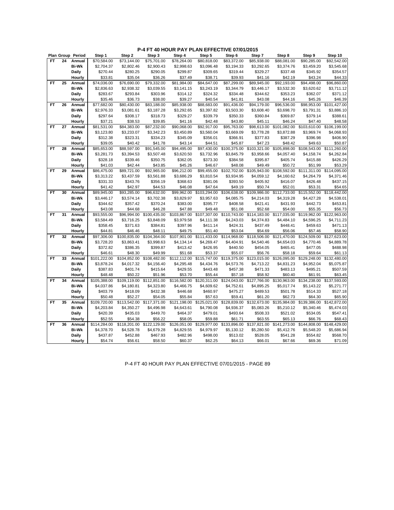|           |    | Plan Group Period | Step 1                  | Step 2                  | Step 3                  | Step 4                   | Step 5                  | Step 6       | Step 7                   | Step 8                  | Step 9                  | Step 10                  |
|-----------|----|-------------------|-------------------------|-------------------------|-------------------------|--------------------------|-------------------------|--------------|--------------------------|-------------------------|-------------------------|--------------------------|
| FT.       | 24 | Annual            | \$70,584.00             | \$73.144.00             | \$75,701.00             | \$78,264.00              | \$80,818.00             | \$83,372.00  | \$85,938.00              | \$88,081.00             | \$90,285.00             | \$92,542.00              |
|           |    | <b>Bi-Wk</b>      | \$2,704.37              | \$2,802.46              | \$2,900.43              | \$2,998.63               | \$3,096.48              | \$3,194.33   | \$3,292.65               | \$3,374.76              | \$3,459.20              | \$3,545.68               |
|           |    | Daily             | \$270.44                | \$280.25                | \$290.05                | \$299.87                 | \$309.65                | \$319.44     | \$329.27                 | \$337.48                | \$345.92                | \$354.57                 |
|           |    | Hourly            | \$33.81                 | \$35.04                 | \$36.26                 | \$37.49                  | \$38.71                 | \$39.93      | \$41.16                  | \$42.19                 | \$43.24                 | \$44.33                  |
| <b>FT</b> | 25 | Annual            | \$74,036.00             | \$76,690.00             | \$79,332.00             | \$81,984.00              | \$84,647.00             | \$87,299.00  | \$89,945.00              | \$92,193.00             | \$94,498.00             | \$96,860.00              |
|           |    | <b>Bi-Wk</b>      | \$2,836.63              | \$2,938.32              | \$3,039.55              | \$3,141.15               | \$3,243.19              | \$3,344.79   | \$3,446.17               | \$3,532.30              | \$3,620.62              | \$3,711.12               |
|           |    | Daily             | \$283.67                | \$293.84                | \$303.96                | \$314.12                 | \$324.32                | \$334.48     | \$344.62                 | \$353.23                | \$362.07                | \$371.12                 |
|           |    | Hourly            | \$35.46                 | \$36.73                 | \$38.00                 | \$39.27                  | \$40.54                 | \$41.81      | \$43.08                  | \$44.16                 | \$45.26                 | \$46.39                  |
| FT        | 26 | Annual            | \$77,682.00             | \$80,430.00             | \$83,188.00             | \$85,938.00              | \$88,683.00             | \$91,436.00  | \$94,179.00              | \$96,536.00             | \$98,953.00             | \$101,427.00             |
|           |    | <b>Bi-Wk</b>      | \$2,976.33              | \$3,081.61              | \$3,187.28              | \$3,292.65               | \$3,397.82              | \$3,503.30   | \$3,608.40               | \$3,698.70              | \$3,791.31              | \$3,886.10               |
|           |    | Daily             | \$297.64                | \$308.17                | \$318.73                | \$329.27                 | \$339.79                | \$350.33     | \$360.84                 | \$369.87                | \$379.14                | \$388.61                 |
|           |    | Hourly            | \$37.21                 | \$38.53                 | \$39.85                 | \$41.16                  | \$42.48                 | \$43.80      | \$45.11                  | \$46.24                 | \$47.40                 | \$48.58                  |
| <b>FT</b> | 27 | Annual            | \$81,531.00             | \$84,383.00             | \$87,232.00             | \$90,068.00              | \$92,917.00             | \$95,763.00  | \$98,613.00              | \$101,082.00            | \$103,610.00            | \$106,199.00             |
|           |    | <b>Bi-Wk</b>      | \$3,123.80              | \$3,233.07              | \$3,342.23              | \$3,450.89               | \$3,560.04              | \$3,669.09   | \$3,778.28               | \$3,872.88              | \$3,969.74              | \$4,068.93               |
|           |    | Daily             | \$312.38                | \$323.31                | \$334.23                | \$345.09                 | \$356.01                | \$366.91     | \$377.83                 | \$387.29                | \$396.98                | \$406.90                 |
|           |    | Hourly            | \$39.05                 | \$40.42                 | \$41.78                 | \$43.14                  | \$44.51                 | \$45.87      | \$47.23                  | \$48.42                 | \$49.63                 | \$50.87                  |
| <b>FT</b> | 28 | Annual            | \$85,653.00             | \$88,597.00             | \$91,545.00             | \$94,495.00              | \$97,430.00             | \$100,375.00 | \$103,321.00             | \$105,898.00            | \$108,543.00            | \$111,260.00             |
|           |    | <b>Bi-Wk</b>      | \$3,281.73              | \$3,394.53              | \$3,507.48              | \$3,620.50               | \$3,732.96              | \$3,845.79   | \$3,958.66               | \$4,057.40              | \$4,158.74              | \$4,262.84               |
|           |    | Daily             | \$328.18                | \$339.46                | \$350.75                | \$362.05                 | \$373.30                | \$384.58     | \$395.87                 | \$405.74                | \$415.88                | \$426.29                 |
|           |    | Hourly            | \$41.03                 | \$42.44                 | \$43.85                 | \$45.26                  | \$46.67                 | \$48.08      | \$49.49                  | \$50.72                 | \$51.99                 | \$53.29                  |
| <b>FT</b> | 29 | Annual            | \$86,475.00             | \$89,721.00             | \$92,965.00             | \$96,212.00              | \$99,455.00             | \$102,702.00 | \$105,943.00             | \$108,592.00            | \$111,311.00            | $\overline{$114,095.00}$ |
|           |    | <b>Bi-Wk</b>      | \$3,313.22              | \$3,437.59              | \$3,561.88              | \$3,686.29               | \$3,810.54              | \$3,934.95   | \$4,059.12               | \$4,160.62              | \$4,264.79              | \$4,371.46               |
|           |    | <b>Daily</b>      | \$331.33                | \$343.76                | \$356.19                | \$368.63                 | \$381.06                | \$393.50     | \$405.92                 | \$416.07                | \$426.48                | \$437.15                 |
|           |    | Hourly            | \$41.42                 | \$42.97                 | \$44.53                 | \$46.08                  | \$47.64                 | \$49.19      | \$50.74                  | \$52.01                 | \$53.31                 | \$54.65                  |
| <b>FT</b> | 30 | Annual            | \$89,945.00             | \$93,285.00             | \$96,632.00             | \$99,962.00              | \$103,294.00            | \$106,638.00 | \$109,986.00             | \$112,733.00            | \$115,552.00            | \$118,442.00             |
|           |    | <b>Bi-Wk</b>      | \$3,446.17              | \$3,574.14              | \$3,702.38              | \$3,829.97               | \$3,957.63              | \$4,085.75   | \$4,214.03               | \$4,319.28              | \$4,427.28              | \$4,538.01               |
|           |    | <b>Daily</b>      | \$344.62                | \$357.42                | \$370.24                | \$383.00                 | \$395.77                | \$408.58     | \$421.41                 | \$431.93                | \$442.73                | \$453.81                 |
|           |    | Hourly            | \$43.08                 | \$44.68                 | \$46.28                 | \$47.88                  | \$49.48                 | \$51.08      | \$52.68                  | \$54.00                 | \$55.35                 | \$56.73                  |
| FT        | 31 | Annual            | \$93,555.00             | \$96,994.00             | \$100,435.00            | \$103,867.00             | \$107,307.00            | \$110,743.00 | \$114,183.00             | \$117,035.00            | \$119,962.00            | \$122,963.00             |
|           |    | <b>Bi-Wk</b>      | \$3,584.49              | \$3,716.25              | \$3,848.09              | \$3,979.58               | \$4,111.38              | \$4,243.03   | \$4,374.83               | \$4,484.10              | \$4,596.25              | \$4,711.23               |
|           |    | Daily             | \$358.45                | \$371.63                | \$384.81                | \$397.96                 | \$411.14                | \$424.31     | \$437.49                 | \$448.41                | \$459.63                | \$471.13                 |
|           |    | Hourly            | \$44.81                 | \$46.46                 | \$48.11                 | \$49.75                  | \$51.40                 | \$53.04      | \$54.69                  | \$56.06                 | \$57.46                 | \$58.90                  |
| <b>FT</b> | 32 | Annual            | \$97,306.00             | \$100,835.00            | \$104,364.00            | \$107,901.00             | \$111,433.00            | \$114,968.00 | \$118,506.00             | \$121,470.00            | \$124,509.00            | \$127,623.00             |
|           |    | <b>Bi-Wk</b>      | \$3,728.20              | \$3,863.41              | \$3,998.63              | \$4,134.14               | \$4,269.47              | \$4,404.91   | \$4,540.46               | \$4,654.03              | \$4,770.46              | \$4,889.78               |
|           |    | Daily             | \$372.82                | \$386.35                | \$399.87                | \$413.42                 | \$426.95                | \$440.50     | \$454.05                 | \$465.41                | \$477.05                | \$488.98                 |
|           |    | Hourly            | \$46.61                 | \$48.30                 | \$49.99                 | \$51.68                  | \$53.37                 | \$55.07      | \$56.76                  | \$58.18                 | \$59.64                 | \$61.13                  |
| <b>FT</b> | 33 | Annual            | \$101,222.00            | \$104,852.00            | \$108,482.00            | $\overline{$112,112.00}$ | \$115,747.00            | \$119,375.00 | \$123,015.00             | \$126,095.00            | \$129,248.00            | \$132,480.00             |
|           |    | <b>Bi-Wk</b>      | \$3,878.24              | \$4,017.32              | \$4,156.40              | \$4,295.48               | \$4,434.76              | \$4,573.76   | \$4,713.22               | \$4,831.23              | \$4,952.04              | \$5,075.87               |
|           |    | <b>Daily</b>      | \$387.83                | \$401.74                | \$415.64                | \$429.55                 | \$443.48                | \$457.38     | \$471.33                 | \$483.13                | \$495.21                | \$507.59                 |
|           |    | Hourly            | \$48.48                 | \$50.22                 | \$51.96                 | \$53.70                  | \$55.44                 | \$57.18      | \$58.92                  | \$60.40                 | \$61.91                 | \$63.45                  |
| FT        | 34 | Annual            | \$105,388.00            | \$109,119.00            | \$112,851.00            | \$116,582.00             | \$120,311.00            | \$124,043.00 | $\overline{$127,766.00}$ | \$130,963.00            | \$134,238.00            | \$137,593.00             |
|           |    | <b>Bi-Wk</b>      | \$4,037.86              | \$4,180.81              | \$4,323.80              | \$4,466.75               | \$4,609.62              | \$4,752.61   | \$4,895.25               | \$5,017.74              | \$5,143.22              | \$5,271.77               |
|           |    | <b>Daily</b>      | \$403.79                | \$418.09                | \$432.38                | \$446.68                 | \$460.97                | \$475.27     | \$489.53                 | \$501.78                | \$514.33                | \$527.18                 |
|           |    | Hourly            | \$50.48                 | \$52.27                 | \$54.05                 | \$55.84                  | \$57.63                 | \$59.41      | \$61.20                  | \$62.73                 | \$64.30                 | \$65.90                  |
| <b>FT</b> | 35 | Annual            | \$109,720.00            | \$113,542.00            | \$117,371.00            | \$121,198.00             | \$125,021.00            | \$128,839.00 | \$132,673.00             | \$135,984.00            | \$139,386.00            | \$142,872.00             |
|           |    | <b>Bi-Wk</b>      | \$4,203.84              | \$4,350.27              | \$4,496.98              | \$4,643.61               | \$4,790.08              | \$4,936.37   | \$5,083.26               | \$5,210.12              | \$5,340.46              | \$5,474.03               |
|           |    | Daily             |                         | \$435.03                |                         |                          |                         | \$493.64     | \$508.33                 | \$521.02                |                         | \$547.41                 |
|           |    |                   | \$420.39                |                         | \$449.70                | \$464.37                 | \$479.01                | \$61.71      |                          |                         | \$534.05                |                          |
| <b>FT</b> | 36 | Hourly<br>Annual  | \$52.55<br>\$114,284.00 | \$54.38<br>\$118,201.00 | \$56.22<br>\$122,129.00 | \$58.05<br>\$126,051.00  | \$59.88<br>\$129,977.00 | \$133,896.00 | \$63.55<br>\$137,821.00  | \$65.13<br>\$141,273.00 | \$66.76<br>\$144,808.00 | \$68.43<br>\$148,429.00  |
|           |    |                   |                         |                         |                         |                          |                         |              |                          |                         |                         |                          |
|           |    | Bi-Wk             | \$4,378.70              | \$4,528.78              | \$4,679.28              | \$4,829.55               | \$4,979.97              | \$5,130.12   | \$5,280.50               | \$5,412.76              | \$5,548.20              | \$5,686.94               |
|           |    | Daily             | \$437.87                | \$452.88                | \$467.93                | \$482.96                 | \$498.00                | \$513.02     | \$528.05                 | \$541.28                | \$554.82                | \$568.70                 |
|           |    | Hourly            | \$54.74                 | \$56.61                 | \$58.50                 | \$60.37                  | \$62.25                 | \$64.13      | \$66.01                  | \$67.66                 | \$69.36                 | \$71.09                  |

P-4 FT 40 HOUR PAY PLAN EFFECTIVE 07/01/2015 - PAGE 89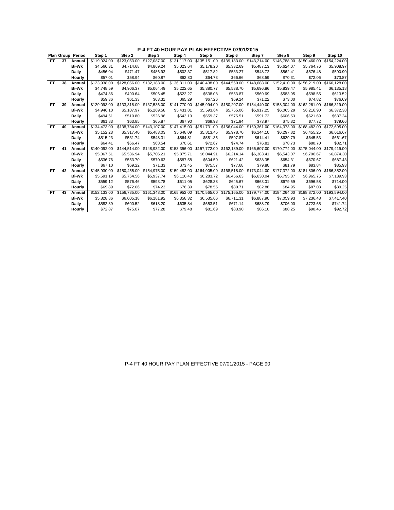|           |    | Plan Group Period | Step 1       | Step 2       | Step 3       | Step 4       | Step 5       | Step 6                    | Step 7       | Step 8                    | Step 9       | Step 10      |
|-----------|----|-------------------|--------------|--------------|--------------|--------------|--------------|---------------------------|--------------|---------------------------|--------------|--------------|
| FT.       | 37 | Annual            | \$119.024.00 | \$123.053.00 | \$127,087.00 | \$131.117.00 | \$135,151.00 | \$139,183,00              | \$143,214.00 | \$146,788.00              | \$150.460.00 | \$154.224.00 |
|           |    | <b>Bi-Wk</b>      | \$4,560.31   | \$4,714.68   | \$4,869.24   | \$5,023.64   | \$5,178.20   | \$5,332.69                | \$5,487.13   | \$5,624.07                | \$5,764.76   | \$5,908.97   |
|           |    | Daily             | \$456.04     | \$471.47     | \$486.93     | \$502.37     | \$517.82     | \$533.27                  | \$548.72     | \$562.41                  | \$576.48     | \$590.90     |
|           |    | Hourly            | \$57.01      | \$58.94      | \$60.87      | \$62.80      | \$64.73      | \$66.66                   | \$68.59      | \$70.31                   | \$72.06      | \$73.87      |
| FT.       | 38 | Annual            | \$123,938.00 | \$128,056.00 | \$132,183.00 | \$136,311.00 | \$140,438.00 | \$144,560.00              | \$148,688.00 | \$152,410.00              | \$156,219.00 | \$160,128.00 |
|           |    | <b>Bi-Wk</b>      | \$4.748.59   | \$4.906.37   | \$5.064.49   | \$5,222.65   | \$5,380.77   | \$5.538.70                | \$5,696.86   | \$5.839.47                | \$5.985.41   | \$6,135.18   |
|           |    | Daily             | \$474.86     | \$490.64     | \$506.45     | \$522.27     | \$538.08     | \$553.87                  | \$569.69     | \$583.95                  | \$598.55     | \$613.52     |
|           |    | Hourly            | \$59.36      | \$61.33      | \$63.31      | \$65.29      | \$67.26      | \$69.24                   | \$71.22      | \$73.00                   | \$74.82      | \$76.69      |
| FT        | 39 | Annual            | \$129.093.00 | \$133,318,00 | \$137,536.00 | \$141,770.00 | \$145.994.00 | \$150,207.00              | \$154,440.00 | \$158,304.00              | \$162,261.00 | \$166,319.00 |
|           |    | <b>Bi-Wk</b>      | \$4,946.10   | \$5.107.97   | \$5,269.58   | \$5,431.81   | \$5,593.64   | \$5,755.06                | \$5,917.25   | \$6,065.29                | \$6,216.90   | \$6,372.38   |
|           |    | Daily             | \$494.61     | \$510.80     | \$526.96     | \$543.19     | \$559.37     | \$575.51                  | \$591.73     | \$606.53                  | \$621.69     | \$637.24     |
|           |    | Hourly            | \$61.83      | \$63.85      | \$65.87      | \$67.90      | \$69.93      | \$71.94                   | \$73.97      | \$75.82                   | \$77.72      | \$79.66      |
| FT.       | 40 | Annual            | \$134,473.00 | \$138,784.00 | \$143,107.00 | \$147,415.00 | \$151,731.00 | \$156,044.00              | \$160,361.00 | \$164,373.00              | \$168,482.00 | \$172,695.00 |
|           |    | <b>Bi-Wk</b>      | \$5,152.23   | \$5.317.40   | \$5,483.03   | \$5,648.09   | \$5.813.45   | \$5.978.70                | \$6,144.10   | \$6,297.82                | \$6,455.25   | \$6,616.67   |
|           |    | Daily             | \$515.23     | \$531.74     | \$548.31     | \$564.81     | \$581.35     | \$597.87                  | \$614.41     | \$629.79                  | \$645.53     | \$661.67     |
|           |    | Hourly            | \$64.41      | \$66.47      | \$68.54      | \$70.61      | \$72.67      | \$74.74                   | \$76.81      | \$78.73                   | \$80.70      | \$82.71      |
| <b>FT</b> | 41 | Annual            | \$140.092.00 | \$144.514.00 | \$148,932.00 | \$153,356.00 | \$157,772.00 | \$162,189,00              |              | \$166.607.00 \$170.774.00 | \$175.044.00 | \$179.419.00 |
|           |    | <b>Bi-Wk</b>      | \$5.367.51   | \$5,536.94   | \$5,706.21   | \$5,875.71   | \$6.044.91   | \$6.214.14                | \$6.383.41   | \$6.543.07                | \$6.706.67   | \$6,874.30   |
|           |    | Daily             | \$536.76     | \$553.70     | \$570.63     | \$587.58     | \$604.50     | \$621.42                  | \$638.35     | \$654.31                  | \$670.67     | \$687.43     |
|           |    | Hourly            | \$67.10      | \$69.22      | \$71.33      | \$73.45      | \$75.57      | \$77.68                   | \$79.80      | \$81.79                   | \$83.84      | \$85.93      |
| FT.       | 42 | Annual            | \$145,930.00 | \$150,455.00 | \$154,975.00 | \$159,482.00 |              | \$164,005.00 \$168,518.00 |              | \$173,044.00 \$177,372.00 | \$181,806.00 | \$186,352.00 |
|           |    | <b>Bi-Wk</b>      | \$5,591.19   | \$5.764.56   | \$5.937.74   | \$6,110.43   | \$6,283.72   | \$6.456.63                | \$6.630.04   | \$6.795.87                | \$6.965.75   | \$7,139.93   |
|           |    | Daily             | \$559.12     | \$576.46     | \$593.78     | \$611.05     | \$628.38     | \$645.67                  | \$663.01     | \$679.59                  | \$696.58     | \$714.00     |
|           |    | Hourly            | \$69.89      | \$72.06      | \$74.23      | \$76.39      | \$78.55      | \$80.71                   | \$82.88      | \$84.95                   | \$87.08      | \$89.25      |
| <b>FT</b> | 43 | Annual            | \$152.133.00 | \$156,735.00 | \$161,348.00 | \$165.952.00 | \$170,565.00 | \$175,165,00              | \$179,774.00 | \$184.264.00              | \$188,872.00 | \$193.594.00 |
|           |    | <b>Bi-Wk</b>      | \$5,828.86   | \$6,005.18   | \$6,181.92   | \$6,358.32   | \$6,535.06   | \$6,711.31                | \$6,887.90   | \$7,059.93                | \$7,236.48   | \$7,417.40   |
|           |    | Daily             | \$582.89     | \$600.52     | \$618.20     | \$635.84     | \$653.51     | \$671.14                  | \$688.79     | \$706.00                  | \$723.65     | \$741.74     |
|           |    | Hourly            | \$72.87      | \$75.07      | \$77.28      | \$79.48      | \$81.69      | \$83.90                   | \$86.10      | \$88.25                   | \$90.46      | \$92.72      |

### P-4 FT 40 HOUR PAY PLAN EFFECTIVE 07/01/2015 - PAGE 90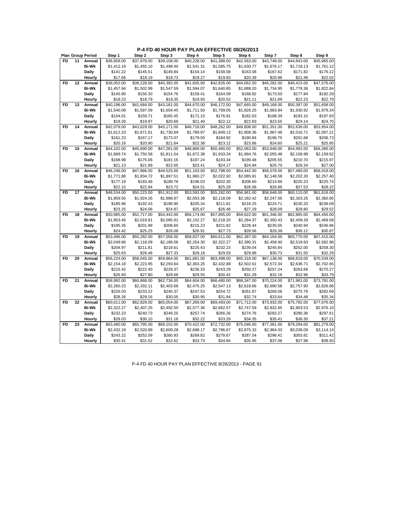## **P-4 FD 40 HOUR PAY PLAN EFFECTIVE 08/26/2013**

|           |    | <b>Plan Group Period</b> | Step 1      | Step 2      | Step 3      | Step 4      | Step 5                  | Step 6      | Step 7                  | Step 8      | Step 9      |
|-----------|----|--------------------------|-------------|-------------|-------------|-------------|-------------------------|-------------|-------------------------|-------------|-------------|
| <b>FD</b> | 11 | Annual                   | \$36,858.00 | \$37,978.00 | \$39,108.00 | \$40,228.00 | \$41,388.00             | \$42,563.00 | \$43.748.00             | \$44,843.00 | \$45,965.00 |
|           |    | <b>Bi-Wk</b>             | \$1,412.19  | \$1,455.10  | \$1,498.40  | \$1,541.31  | \$1,585.75              | \$1,630.77  | \$1,676.17              | \$1,718.13  | \$1,761.12  |
|           |    | Daily                    | \$141.22    | \$145.51    | \$149.84    | \$154.14    | \$158.58                | \$163.08    | \$167.62                | \$171.82    | \$176.12    |
|           |    | Hourly                   | \$17.66     | \$18.19     | \$18.73     | \$19.27     | \$19.83                 | \$20.39     | \$20.96                 | \$21.48     | \$22.02     |
| <b>FD</b> | 12 | Annual                   | \$38,052.00 | \$39,228.00 | \$40,392.00 | \$41,605.00 | \$42,826.00             | \$44.062.00 | \$45,282.00             | \$46,415.00 | \$47,576.00 |
|           |    | Bi-Wk                    | \$1,457.94  | \$1,502.99  | \$1,547.59  | \$1,594.07  | \$1,640.85              | \$1,688.20  | \$1,734.95              | \$1,778.36  | \$1,822.84  |
|           |    | Daily                    | \$145.80    | \$150.30    | \$154.76    | \$159.41    | \$164.09                | \$168.82    | \$173.50                | \$177.84    | \$182.29    |
|           |    | Hourly                   | \$18.23     | \$18.79     | \$19.35     | \$19.93     | \$20.52                 | \$21.11     | \$21.69                 | \$22.23     | \$22.79     |
| FD        | 13 | Annual                   | \$40,196.00 | \$41,684.00 | \$43,181.00 | \$44,670.00 | \$46,172.00             | \$47,665.00 | \$49,168.00             | \$50,397.00 | \$51,658.00 |
|           |    | Bi-Wk                    | \$1,540.08  | \$1,597.09  | \$1,654.45  | \$1,711.50  | \$1,769.05              | \$1,826.25  | \$1,883.84              | \$1,930.92  | \$1,979.24  |
|           |    | Daily                    | \$154.01    | \$159.71    | \$165.45    | \$171.15    | \$176.91                | \$182.63    | \$188.39                | \$193.10    | \$197.93    |
|           |    | Hourly                   | \$19.26     | \$19.97     | \$20.69     | \$21.40     | \$22.12                 | \$22.83     | \$23.55                 | \$24.14     | \$24.75     |
| <b>FD</b> | 14 | Annual                   | \$42,079.00 | \$43,629.00 | \$45,171.00 | \$46,718.00 | \$48,262.00             | \$49,808.00 | \$51,351.00             | \$52,636.00 | \$53,954.00 |
|           |    | <b>Bi-Wk</b>             | \$1,612.23  | \$1,671.61  | \$1,730.69  | \$1,789.97  | \$1,849.12              | \$1,908.36  | \$1,967.48              | \$2,016.71  | \$2,067.21  |
|           |    | Daily                    | \$161.23    | \$167.17    | \$173.07    | \$179.00    | \$184.92                | \$190.84    | \$196.75                | \$201.68    | \$206.73    |
|           |    | Hourly                   | \$20.16     | \$20.90     | \$21.64     | \$22.38     | \$23.12                 | \$23.86     | \$24.60                 | \$25.21     | \$25.85     |
| <b>FD</b> | 15 | Annual                   | \$44,102.00 | \$45,690.00 | \$47,281.00 | \$48,869.00 | \$50,460.00             | \$52,063.00 | \$53,648.00             | \$54,992.00 | \$56,366.00 |
|           |    | <b>Bi-Wk</b>             | \$1,689.74  | \$1,750.58  | \$1,811.54  | \$1,872.38  | \$1,933.34              | \$1,994.76  | \$2,055.48              | \$2,106.98  | \$2,159.62  |
|           |    | Daily                    | \$168.98    | \$175.06    | \$181.16    | \$187.24    | \$193.34                | \$199.48    | \$205.55                | \$210.70    | \$215.97    |
|           |    | Hourly                   | \$21.13     | \$21.89     | \$22.65     | \$23.41     | \$24.17                 | \$24.94     | \$25.70                 | \$26.34     | \$27.00     |
| <b>FD</b> | 16 | Annual                   | \$46,246.00 | \$47,886.00 | \$49,525.00 | \$51,163.00 | $\overline{$}52,798.00$ | \$54,442.00 | $\overline{$}56,078.00$ | \$57,480.00 | \$58,918.00 |
|           |    | Bi-Wk                    | \$1,771.88  | \$1,834.72  | \$1,897.51  | \$1,960.27  | \$2,022.92              | \$2,085.91  | \$2,148.59              | \$2,202.30  | \$2,257.40  |
|           |    | Daily                    | \$177.19    | \$183.48    | \$189.76    | \$196.03    | \$202.30                | \$208.60    | \$214.86                | \$220.23    | \$225.74    |
|           |    | Hourly                   | \$22.15     | \$22.94     | \$23.72     | \$24.51     | \$25.29                 | \$26.08     | \$26.86                 | \$27.53     | \$28.22     |
| FD        | 17 | Annual                   | \$48,534.00 | \$50,223.00 | \$51,912.00 | \$53,593.00 | \$55,282.00             | \$56,961.00 | \$58,648.00             | \$60,115.00 | \$61,618.00 |
|           |    | <b>Bi-Wk</b>             | \$1,859.55  | \$1,924.26  | \$1,988.97  | \$2,053.38  | \$2,118.09              | \$2,182.42  | \$2,247.05              | \$2,303.26  | \$2,360.85  |
|           |    | Daily                    | \$185.96    | \$192.43    | \$198.90    | \$205.34    | \$211.81                | \$218.25    | \$224.71                | \$230.33    | \$236.09    |
|           |    | Hourly                   | \$23.25     | \$24.06     | \$24.87     | \$25.67     | \$26.48                 | \$27.29     | \$28.09                 | \$28.80     | \$29.52     |
| <b>FD</b> | 18 | Annual                   | \$50,985.00 | \$52,717.00 | \$54,442.00 | \$56,174.00 | \$57,895.00             | \$59,622.00 | \$61,346.00             | \$62,885.00 | \$64,456.00 |
|           |    | <b>Bi-Wk</b>             | \$1,953.45  | \$2,019.81  | \$2,085.91  | \$2,152.27  | \$2,218.20              | \$2,284.37  | \$2,350.43              | \$2,409.39  | \$2,469.58  |
|           |    | Daily                    | \$195.35    | \$201.99    | \$208.60    | \$215.23    | \$221.82                | \$228.44    | \$235.05                | \$240.94    | \$246.96    |
|           |    | Hourly                   | \$24.42     | \$25.25     | \$26.08     | \$26.91     | \$27.73                 | \$28.56     | \$29.39                 | \$30.12     | \$30.87     |
| <b>FD</b> | 19 | Annual                   | \$53,496.00 | \$55,282.00 | \$57,056.00 | \$58,837.00 | \$60,611.00             | \$62,387.00 | \$64,164.00             | \$65,770.00 | \$67,415.00 |
|           |    | <b>Bi-Wk</b>             | \$2,049.66  | \$2,118.09  | \$2,186.06  | \$2,254.30  | \$2,322.27              | \$2,390.31  | \$2,458.40              | \$2,519.93  | \$2,582.96  |
|           |    | Daily                    | \$204.97    | \$211.81    | \$218.61    | \$225.43    | \$232.23                | \$239.04    | \$245.84                | \$252.00    | \$258.30    |
|           |    | Hourly                   | \$25.63     | \$26.48     | \$27.33     | \$28.18     | \$29.03                 | \$29.88     | \$30.73                 | \$31.50     | \$32.29     |
| FD        | 20 | Annual                   | \$56,224.00 | \$58,045.00 | \$59,864.00 | \$61,681.00 | \$63,498.00             | \$65,318.00 | \$67,138.00             | \$68,818.00 | \$70,539.00 |
|           |    | <b>Bi-Wk</b>             | \$2,154.18  | \$2,223.95  | \$2,293.64  | \$2,363.26  | \$2,432.88              | \$2,502.61  | \$2,572.34              | \$2,636.71  | \$2,702.65  |
|           |    | Daily                    | \$215.42    | \$222.40    | \$229.37    | \$236.33    | \$243.29                | \$250.27    | \$257.24                | \$263.68    | \$270.27    |
|           |    | Hourly                   | \$26.93     | \$27.80     | \$28.68     | \$29.55     | \$30.42                 | \$31.29     | \$32.16                 | \$32.96     | \$33.79     |
| <b>FD</b> | 21 | Annual                   | \$58,992.00 | \$60,868.00 | \$62,736.00 | \$64,604.00 | \$66,480.00             | \$68,347.00 | \$70,224.00             | \$71,981.00 | \$73,781.00 |
|           |    | <b>Bi-Wk</b>             | \$2,260.23  | \$2,332.11  | \$2,403.68  | \$2,475.25  | \$2,547.13              | \$2,618.66  | \$2,690.58              | \$2,757.90  | \$2,826.86  |
|           |    | Daily                    | \$226.03    | \$233.22    | \$240.37    | \$247.53    | \$254.72                | \$261.87    | \$269.06                | \$275.79    | \$282.69    |
|           |    | Hourly                   | \$28.26     | \$29.16     | \$30.05     | \$30.95     | \$31.84                 | \$32.74     | \$33.64                 | \$34.48     | \$35.34     |
| <b>FD</b> | 22 | Annual                   | \$60,611.00 | \$62,829.00 | \$65,054.00 | \$67,269.00 | \$69,493.00             | \$71,712.00 | \$73,932.00             | \$75,782.00 | \$77,676.00 |
|           |    | <b>Bi-Wk</b>             | \$2,322.27  | \$2,407.25  | \$2,492.50  | \$2,577.36  | \$2,662.57              | \$2,747.59  | \$2,832.65              | \$2,903.53  | \$2,976.10  |
|           |    | Daily                    | \$232.23    | \$240.73    | \$249.25    | \$257.74    | \$266.26                | \$274.76    | \$283.27                | \$290.36    | \$297.61    |
|           |    | Hourly                   | \$29.03     | \$30.10     | \$31.16     | \$32.22     | \$33.29                 | \$34.35     | \$35.41                 | \$36.30     | \$37.21     |
| <b>FD</b> | 23 | Annual                   | \$63,480.00 | \$65,795.00 | \$68,102.00 | \$70,422.00 | \$72,732.00             | \$75,046.00 | \$77,361.00             | \$79,294.00 | \$81,279.00 |
|           |    | Bi-Wk                    | \$2,432.19  | \$2,520.89  | \$2,609.28  | \$2,698.17  | \$2,786.67              | \$2,875.33  | \$2,964.03              | \$3,038.09  | \$3,114.14  |
|           |    | Daily                    | \$243.22    | \$252.09    | \$260.93    | \$269.82    | \$278.67                | \$287.54    | \$296.41                | \$303.81    | \$311.42    |
|           |    | Hourly                   | \$30.41     | \$31.52     | \$32.62     | \$33.73     | \$34.84                 | \$35.95     | \$37.06                 | \$37.98     | \$38.93     |

P-4 FD 40 HOUR PAY PLAN EFFECTIVE 8/26/2013 - PAGE 91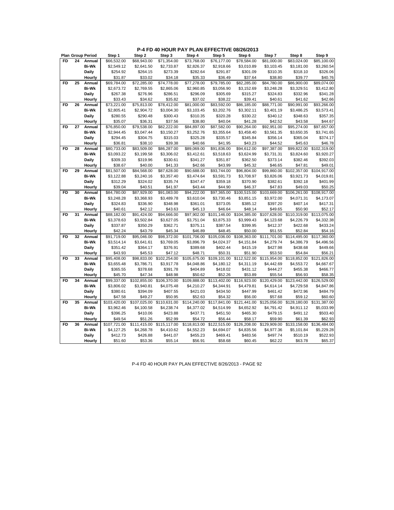**P-4 FD 40 HOUR PAY PLAN EFFECTIVE 08/26/2013**

|           |    | <b>Plan Group Period</b> | Step 1       | Step 2       | Step 3       | Step 4       | Step 5       | Step 6       | Step 7       | Step 8       | Step 9       |
|-----------|----|--------------------------|--------------|--------------|--------------|--------------|--------------|--------------|--------------|--------------|--------------|
| <b>FD</b> | 24 | Annual                   | \$66,532.00  | \$68,943.00  | \$71,354.00  | \$73,768.00  | \$76,177.00  | \$78,584.00  | \$81.000.00  | \$83.024.00  | \$85.100.00  |
|           |    | <b>Bi-Wk</b>             | \$2,549.12   | \$2,641.50   | \$2,733.87   | \$2,826.37   | \$2,918.66   | \$3,010.89   | \$3,103.45   | \$3,181.00   | \$3,260.54   |
|           |    | Daily                    | \$254.92     | \$264.15     | \$273.39     | \$282.64     | \$291.87     | \$301.09     | \$310.35     | \$318.10     | \$326.06     |
|           |    | Hourly                   | \$31.87      | \$33.02      | \$34.18      | \$35.33      | \$36.49      | \$37.64      | \$38.80      | \$39.77      | \$40.76      |
| FD        | 25 | Annual                   | \$69,784.00  | \$72,285.00  | \$74,778.00  | \$77,278.00  | \$79,785.00  | \$82,285.00  | \$84,780.00  | \$86,900.00  | \$89,074.00  |
|           |    | <b>Bi-Wk</b>             | \$2,673.72   | \$2,769.55   | \$2,865.06   | \$2,960.85   | \$3,056.90   | \$3,152.69   | \$3,248.28   | \$3,329.51   | \$3,412.80   |
|           |    | Daily                    | \$267.38     | \$276.96     | \$286.51     | \$296.09     | \$305.69     | \$315.27     | \$324.83     | \$332.96     | \$341.28     |
|           |    |                          | \$33.43      | \$34.62      | \$35.82      | \$37.02      | \$38.22      | \$39.41      | \$40.61      | \$41.62      | \$42.66      |
| <b>FD</b> | 26 | Hourly                   |              |              |              |              |              |              | \$88,771.00  |              | \$93,266.00  |
|           |    | Annual                   | \$73,221.00  | \$75,813.00  | \$78,412.00  | \$81,000.00  | \$83,592.00  | \$86,185.00  |              | \$90,991.00  |              |
|           |    | <b>Bi-Wk</b>             | \$2,805.41   | \$2,904.72   | \$3,004.30   | \$3,103.45   | \$3,202.76   | \$3,302.11   | \$3,401.19   | \$3,486.25   | \$3,573.41   |
|           |    | Daily                    | \$280.55     | \$290.48     | \$300.43     | \$310.35     | \$320.28     | \$330.22     | \$340.12     | \$348.63     | \$357.35     |
|           |    | Hourly                   | \$35.07      | \$36.31      | \$37.56      | \$38.80      | \$40.04      | \$41.28      | \$42.52      | \$43.58      | \$44.67      |
| FD        | 27 | Annual                   | \$76,850.00  | \$79,538.00  | \$82,222.00  | \$84,897.00  | \$87,582.00  | \$90,264.00  | \$92,951.00  | \$95,274.00  | \$97,657.00  |
|           |    | <b>Bi-Wk</b>             | \$2,944.45   | \$3,047.44   | \$3,150.27   | \$3,252.76   | \$3,355.64   | \$3,458.40   | \$3,561.35   | \$3,650.35   | \$3,741.65   |
|           |    | Daily                    | \$294.45     | \$304.75     | \$315.03     | \$325.28     | \$335.57     | \$345.84     | \$356.14     | \$365.04     | \$374.17     |
|           |    | Hourly                   | \$36.81      | \$38.10      | \$39.38      | \$40.66      | \$41.95      | \$43.23      | \$44.52      | \$45.63      | \$46.78      |
| <b>FD</b> | 28 | Annual                   | \$80,733.00  | \$83,509.00  | \$86,287.00  | \$89,069.00  | \$91,836.00  | \$94,612.00  | \$97,387.00  | \$99,822.00  | \$102,319.00 |
|           |    | <b>Bi-Wk</b>             | \$3,093.22   | \$3,199.58   | \$3,306.02   | \$3,412.61   | \$3,518.63   | \$3,624.99   | \$3,731.31   | \$3,824.60   | \$3,920.27   |
|           |    | Daily                    | \$309.33     | \$319.96     | \$330.61     | \$341.27     | \$351.87     | \$362.50     | \$373.14     | \$382.46     | \$392.03     |
|           |    | Hourly                   | \$38.67      | \$40.00      | \$41.33      | \$42.66      | \$43.99      | \$45.32      | \$46.65      | \$47.81      | \$49.01      |
| FD        | 29 | Annual                   | \$81,507.00  | \$84,568.00  | \$87,628.00  | \$90,688.00  | \$93,744.00  | \$96,804.00  | \$99,860.00  | \$102,357.00 | \$104,917.00 |
|           |    | <b>Bi-Wk</b>             | \$3,122.88   | \$3,240.16   | \$3,357.40   | \$3,474.64   | \$3,591.73   | \$3,708.97   | \$3,826.06   | \$3,921.73   | \$4.019.81   |
|           |    | Daily                    | \$312.29     | \$324.02     | \$335.74     | \$347.47     | \$359.18     | \$370.90     | \$382.61     | \$392.18     | \$401.99     |
|           |    | Hourly                   | \$39.04      | \$40.51      | \$41.97      | \$43.44      | \$44.90      | \$46.37      | \$47.83      | \$49.03      | \$50.25      |
| <b>FD</b> | 30 | Annual                   | \$84,780.00  | \$87,929.00  | \$91,083.00  | \$94,222.00  | \$97,365.00  | \$100,515.00 | \$103,669.00 | \$106,261.00 | \$108,917.00 |
|           |    | <b>Bi-Wk</b>             | \$3,248.28   | \$3,368.93   | \$3,489.78   | \$3,610.04   | \$3,730.46   | \$3,851.15   | \$3,972.00   | \$4,071.31   | \$4,173.07   |
|           |    | Daily                    | \$324.83     | \$336.90     | \$348.98     | \$361.01     | \$373.05     | \$385.12     | \$397.20     | \$407.14     | \$417.31     |
|           |    | Hourly                   | \$40.61      | \$42.12      | \$43.63      | \$45.13      | \$46.64      | \$48.14      | \$49.65      | \$50.90      | \$52.17      |
| <b>FD</b> | 31 | Annual                   | \$88,182.00  | \$91,424.00  | \$94,666.00  | \$97,902.00  | \$101,146.00 | \$104,385.00 | \$107,628.00 | \$110,319.00 | \$113,075.00 |
|           |    | <b>Bi-Wk</b>             | \$3,378.63   | \$3,502.84   | \$3,627.05   | \$3,751.04   | \$3,875.33   | \$3,999.43   | \$4,123.68   | \$4,226.79   | \$4,332.38   |
|           |    | Daily                    | \$337.87     | \$350.29     | \$362.71     | \$375.11     | \$387.54     | \$399.95     | \$412.37     | \$422.68     | \$433.24     |
|           |    | Hourly                   | \$42.24      | \$43.79      | \$45.34      | \$46.89      | \$48.45      | \$50.00      | \$51.55      | \$52.84      | \$54.16      |
| <b>FD</b> | 32 | Annual                   | \$91,719.00  | \$95,046.00  | \$98,372.00  | \$101,706.00 | \$105,036.00 | \$108,363.00 | \$111,701.00 | \$114,495.00 | \$117,360.00 |
|           |    | <b>Bi-Wk</b>             | \$3,514.14   | \$3,641.61   | \$3,769.05   | \$3,896.79   | \$4,024.37   | \$4,151.84   | \$4,279.74   | \$4,386.79   | \$4,496.56   |
|           |    | Daily                    | \$351.42     | \$364.17     | \$376.91     | \$389.68     | \$402.44     | \$415.19     | \$427.98     | \$438.68     | \$449.66     |
|           |    | Hourly                   | \$43.93      | \$45.53      | \$47.12      | \$48.71      | \$50.31      | \$51.90      | \$53.50      | \$54.84      | \$56.21      |
| <b>FD</b> | 33 | Annual                   | \$95,408.00  | \$98,833.00  | \$102,254.00 | \$105,675.00 | \$109,101.00 | \$112,522.00 | \$115,954.00 | \$118,852.00 | \$121,826.00 |
|           |    | <b>Bi-Wk</b>             | \$3,655.48   | \$3,786.71   | \$3,917.78   | \$4,048.86   | \$4,180.12   | \$4,311.19   | \$4,442.69   | \$4,553.72   | \$4,667.67   |
|           |    | Daily                    | \$365.55     | \$378.68     | \$391.78     | \$404.89     | \$418.02     | \$431.12     | \$444.27     | \$455.38     | \$466.77     |
|           |    | Hourly                   | \$45.70      | \$47.34      | \$48.98      | \$50.62      | \$52.26      | \$53.89      | \$55.54      | \$56.93      | \$58.35      |
| FD        | 34 | Annual                   | \$99,337.00  | \$102,855.00 | \$106,370.00 | \$109,888.00 | \$113,402.00 | \$116,923.00 | \$120,429.00 | \$123,442.00 | \$126,529.00 |
|           |    | <b>Bi-Wk</b>             | \$3,806.02   | \$3,940.81   | \$4,075.48   | \$4,210.27   | \$4,344.91   | \$4,479.81   | \$4,614.14   | \$4,729.58   | \$4,847.86   |
|           |    | Daily                    | \$380.61     | \$394.09     | \$407.55     | \$421.03     | \$434.50     | \$447.99     | \$461.42     | \$472.96     | \$484.79     |
|           |    | Hourly                   | \$47.58      | \$49.27      | \$50.95      | \$52.63      | \$54.32      | \$56.00      | \$57.68      | \$59.12      | \$60.60      |
| <b>FD</b> | 35 | Annual                   | \$103,420.00 | \$107,025.00 | \$110,631.00 | \$114,240.00 | \$117,841.00 | \$121,441.00 | \$125,056.00 | \$128,180.00 | \$131,387.00 |
|           |    | <b>Bi-Wk</b>             | \$3,962.46   | \$4,100.58   | \$4,238.74   | \$4,377.02   | \$4,514.99   | \$4,652.92   | \$4,791.42   | \$4,911.12   | \$5,033.99   |
|           |    | Daily                    | \$396.25     | \$410.06     | \$423.88     | \$437.71     | \$451.50     | \$465.30     | \$479.15     | \$491.12     | \$503.40     |
|           |    | Hourly                   | \$49.54      | \$51.26      | \$52.99      | \$54.72      | \$56.44      | \$58.17      | \$59.90      | \$61.39      | \$62.93      |
| <b>FD</b> | 36 | Annual                   | \$107,721.00 | \$111,415.00 | \$115,117.00 | \$118,813.00 | \$122,515.00 | \$126,208.00 | \$129,909.00 | \$133,158.00 | \$136,484.00 |
|           |    | <b>Bi-Wk</b>             | \$4,127.25   | \$4,268.78   | \$4,410.62   | \$4,552.23   | \$4,694.07   | \$4,835.56   | \$4,977.36   | \$5,101.84   | \$5,229.28   |
|           |    | Daily                    | \$412.73     | \$426.88     | \$441.07     | \$455.23     | \$469.41     | \$483.56     | \$497.74     | \$510.19     | \$522.93     |
|           |    | Hourly                   | \$51.60      | \$53.36      | \$55.14      | \$56.91      | \$58.68      | \$60.45      | \$62.22      | \$63.78      | \$65.37      |

P-4 FD 40 HOUR PAY PLAN EFFECTIVE 8/26/2013 - PAGE 92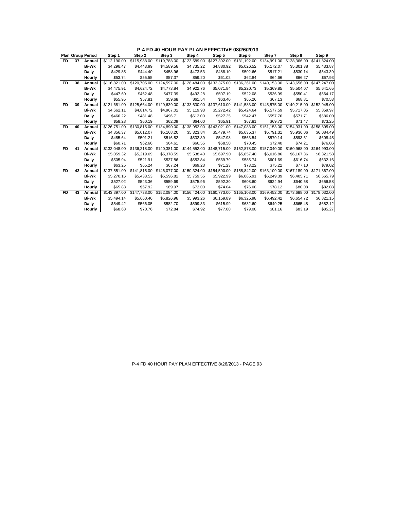|     |    | <b>Plan Group Period</b> | Step 1       | Step 2       | Step 3                    | Step 4       | Step 5                                 | Step 6                    | Step 7       | Step 8                    | Step 9       |
|-----|----|--------------------------|--------------|--------------|---------------------------|--------------|----------------------------------------|---------------------------|--------------|---------------------------|--------------|
| FD. | 37 | Annual                   | \$112,190.00 | \$115,988.00 | \$119,788.00              | \$123,589.00 | \$127.392.00                           | \$131.192.00              | \$134.991.00 | \$138,366,00              | \$141.824.00 |
|     |    | <b>Bi-Wk</b>             | \$4.298.47   | \$4,443.99   | \$4.589.58                | \$4.735.22   | \$4,880.92                             | \$5.026.52                | \$5.172.07   | \$5,301.38                | \$5,433.87   |
|     |    | Daily                    | \$429.85     | \$444.40     | \$458.96                  | \$473.53     | \$488.10                               | \$502.66                  | \$517.21     | \$530.14                  | \$543.39     |
|     |    | Hourly                   | \$53.74      | \$55.55      | \$57.37                   | \$59.20      | \$61.02                                | \$62.84                   | \$64.66      | \$66.27                   | \$67.93      |
| FD  | 38 | Annual                   | \$116.821.00 | \$120,705.00 | \$124,597.00              | \$128,484.00 | \$132,375,00                           | \$136,261.00              | \$140,153,00 | \$143,656,00              | \$147,247.00 |
|     |    | <b>Bi-Wk</b>             | \$4,475.91   | \$4,624.72   | \$4,773.84                | \$4.922.76   | \$5.071.84                             | \$5,220.73                | \$5.369.85   | \$5,504.07                | \$5,641.65   |
|     |    | <b>Daily</b>             | \$447.60     | \$462.48     | \$477.39                  | \$492.28     | \$507.19                               | \$522.08                  | \$536.99     | \$550.41                  | \$564.17     |
|     |    | Hourly                   | \$55.95      | \$57.81      | \$59.68                   | \$61.54      | \$63.40                                | \$65.26                   | \$67.13      | \$68.81                   | \$70.53      |
| FD  | 39 | Annual                   | \$121,681.00 | \$125.664.00 | \$129,639,00              | \$133,630.00 |                                        | \$137.610.00 \$141.583.00 | \$145,575.00 | \$149,215,00              | \$152,945.00 |
|     |    | <b>Bi-Wk</b>             | \$4,662.11   | \$4,814.72   | \$4,967.02                | \$5,119.93   | \$5,272.42                             | \$5,424.64                | \$5,577.59   | \$5,717.05                | \$5,859.97   |
|     |    | <b>Daily</b>             | \$466.22     | \$481.48     | \$496.71                  | \$512.00     | \$527.25                               | \$542.47                  | \$557.76     | \$571.71                  | \$586.00     |
|     |    | Hourly                   | \$58.28      | \$60.19      | \$62.09                   | \$64.00      | \$65.91                                | \$67.81                   | \$69.72      | \$71.47                   | \$73.25      |
| FD  | 40 | Annual                   | \$126,751.00 |              | \$130.815.00 \$134.890.00 |              | \$138.952.00 \$143.021.00 \$147.083.00 |                           |              | \$151.153.00 \$154.931.00 | \$158,805.00 |
|     |    | <b>Bi-Wk</b>             | \$4,856.37   | \$5,012.07   | \$5,168.20                | \$5,323.84   | \$5,479.74                             | \$5,635.37                | \$5,791.31   | \$5,936.06                | \$6,084.49   |
|     |    | <b>Daily</b>             | \$485.64     | \$501.21     | \$516.82                  | \$532.39     | \$547.98                               | \$563.54                  | \$579.14     | \$593.61                  | \$608.45     |
|     |    | Hourly                   | \$60.71      | \$62.66      | \$64.61                   | \$66.55      | \$68.50                                | \$70.45                   | \$72.40      | \$74.21                   | \$76.06      |
| FD. | 41 | Annual                   | \$132,048,00 |              | \$136.218.00 \$140.381.00 |              | \$144,552.00 \$148,715.00 \$152,878.00 |                           | \$157.040.00 | \$160,968,00              | \$164,993,00 |
|     |    | <b>Bi-Wk</b>             | \$5,059.32   | \$5,219.09   | \$5,378.59                | \$5,538.40   | \$5,697.90                             | \$5,857.40                | \$6,016.86   | \$6,167.36                | \$6,321.58   |
|     |    | <b>Daily</b>             | \$505.94     | \$521.91     | \$537.86                  | \$553.84     | \$569.79                               | \$585.74                  | \$601.69     | \$616.74                  | \$632.16     |
|     |    | Hourly                   | \$63.25      | \$65.24      | \$67.24                   | \$69.23      | \$71.23                                | \$73.22                   | \$75.22      | \$77.10                   | \$79.02      |
| FD  | 42 | Annual                   | \$137,551.00 | \$141,815.00 | \$146.077.00              | \$150,324.00 | \$154,590.00                           | \$158,842.00              | \$163,109.00 | \$167.189.00              | \$171.367.00 |
|     |    | <b>Bi-Wk</b>             | \$5,270.16   | \$5,433.53   | \$5,596.82                | \$5,759.55   | \$5,922.99                             | \$6,085.91                | \$6,249.39   | \$6,405.71                | \$6,565.79   |
|     |    | Daily                    | \$527.02     | \$543.36     | \$559.69                  | \$575.96     | \$592.30                               | \$608.60                  | \$624.94     | \$640.58                  | \$656.58     |
|     |    | Hourly                   | \$65.88      | \$67.92      | \$69.97                   | \$72.00      | \$74.04                                | \$76.08                   | \$78.12      | \$80.08                   | \$82.08      |
| FD  | 43 | Annual                   | \$143,397.00 | \$147,738.00 | \$152,084,00              | \$156,424.00 | \$160,773.00                           | \$165,108,00              | \$169,452.00 | \$173,688,00              | \$178.032.00 |
|     |    | <b>Bi-Wk</b>             | \$5,494.14   | \$5,660.46   | \$5,826.98                | \$5,993.26   | \$6,159.89                             | \$6,325.98                | \$6,492.42   | \$6,654.72                | \$6,821.15   |
|     |    | Daily                    | \$549.42     | \$566.05     | \$582.70                  | \$599.33     | \$615.99                               | \$632.60                  | \$649.25     | \$665.48                  | \$682.12     |
|     |    | Hourly                   | \$68.68      | \$70.76      | \$72.84                   | \$74.92      | \$77.00                                | \$79.08                   | \$81.16      | \$83.19                   | \$85.27      |

**P-4 FD 40 HOUR PAY PLAN EFFECTIVE 08/26/2013**

P-4 FD 40 HOUR PAY PLAN EFFECTIVE 8/26/2013 - PAGE 93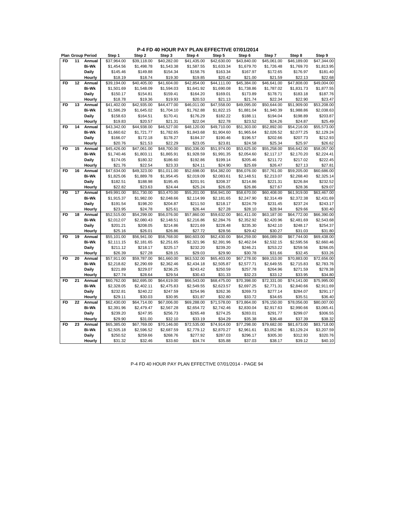| <b>FD</b><br>11<br>Annual<br>\$37,964.00<br>\$39,118.00<br>\$40,282.00<br>\$41,435.00<br>\$42,630.00<br>\$43,840.00<br>\$45,061.00<br>\$46,189.00<br><b>Bi-Wk</b><br>\$1,454.56<br>\$1,543.38<br>\$1,633.34<br>\$1,726.48<br>\$1,498.78<br>\$1,587.55<br>\$1,679.70<br>\$1,769.70 | \$47.344.00<br>\$1,813.95 |
|-----------------------------------------------------------------------------------------------------------------------------------------------------------------------------------------------------------------------------------------------------------------------------------|---------------------------|
|                                                                                                                                                                                                                                                                                   |                           |
|                                                                                                                                                                                                                                                                                   |                           |
| Daily<br>\$149.88<br>\$154.34<br>\$158.76<br>\$163.34<br>\$167.97<br>\$172.65<br>\$176.97<br>\$145.46                                                                                                                                                                             | \$181.40                  |
| \$20.42<br>Hourly<br>\$18.19<br>\$18.74<br>\$19.30<br>\$19.85<br>\$21.00<br>\$21.59<br>\$22.13                                                                                                                                                                                    | \$22.68                   |
| <b>FD</b><br>12<br>\$40,405.00<br>Annual<br>\$39,194.00<br>\$41,604.00<br>\$42,854.00<br>\$44.111.00<br>\$45,384.00<br>\$46,641.00<br>\$47,808.00                                                                                                                                 | \$49,004.00               |
| Bi-Wk<br>\$1,501.69<br>\$1,548.09<br>\$1,594.03<br>\$1,641.92<br>\$1,690.08<br>\$1,738.86<br>\$1,787.02<br>\$1,831.73                                                                                                                                                             | \$1,877.55                |
| \$150.17<br>\$159.41<br>\$173.89<br>\$183.18<br>Daily<br>\$154.81<br>\$164.20<br>\$169.01<br>\$178.71                                                                                                                                                                             | \$187.76                  |
| \$19.36<br>\$19.93<br>Hourly<br>\$18.78<br>\$20.53<br>\$21.13<br>\$21.74<br>\$22.34<br>\$22.90                                                                                                                                                                                    | \$23.47                   |
| Annual<br>\$41,402.00<br>\$42,935.00<br>\$44,477.00<br>\$46,011.00<br>\$47,558.00<br>\$49,095.00<br>\$50,644.00<br>\$51,909.00<br>FD<br>13                                                                                                                                        | \$53,208.00               |
| Bi-Wk<br>\$1,586.29<br>\$1,645.02<br>\$1,704.10<br>\$1,762.88<br>\$1,822.15<br>\$1,881.04<br>\$1,940.39<br>\$1,988.86                                                                                                                                                             | \$2,038.63                |
| Daily<br>\$158.63<br>\$164.51<br>\$170.41<br>\$176.29<br>\$182.22<br>\$188.11<br>\$194.04<br>\$198.89                                                                                                                                                                             | \$203.87                  |
| \$19.83<br>\$20.57<br>\$22.04<br>\$22.78<br>\$23.52<br>Hourly<br>\$21.31<br>\$24.26<br>\$24.87                                                                                                                                                                                    | \$25.49                   |
| <b>FD</b><br>14<br>\$44,938.00<br>\$46,527.00<br>\$48,120.00<br>\$49,710.00<br>\$51,303.00<br>\$52,892.00<br>\$54,216.00<br>Annual<br>\$43,342.00                                                                                                                                 | \$55,573.00               |
| <b>Bi-Wk</b><br>\$1,660.62<br>\$1,721.77<br>\$1,782.65<br>\$1,843.68<br>\$1,904.60<br>\$1,965.64<br>\$2,026.52<br>\$2,077.25                                                                                                                                                      | \$2,129.24                |
| Daily<br>\$166.07<br>\$178.27<br>\$184.37<br>\$190.46<br>\$202.66<br>\$172.18<br>\$196.57<br>\$207.73                                                                                                                                                                             | \$212.93                  |
| Hourly<br>\$20.76<br>\$21.53<br>\$22.29<br>\$23.05<br>\$23.81<br>\$24.58<br>\$25.34<br>\$25.97                                                                                                                                                                                    | \$26.62                   |
| <b>FD</b><br>15<br>\$45,426.00<br>\$47,061.00<br>\$48,700.00<br>\$50,336.00<br>\$51,974.00<br>\$53,625.00<br>\$55,258.00<br>\$56,642.00<br>Annual                                                                                                                                 | \$58,057.00               |
| <b>Bi-Wk</b><br>\$1,740.46<br>\$1,803.11<br>\$1,865.91<br>\$1,928.59<br>\$1,991.35<br>\$2,117.17<br>\$2,170.20<br>\$2,054.60                                                                                                                                                      | \$2,224.41                |
| Daily<br>\$174.05<br>\$180.32<br>\$186.60<br>\$192.86<br>\$199.14<br>\$205.46<br>\$211.72<br>\$217.02                                                                                                                                                                             | \$222.45                  |
| Hourly<br>\$21.76<br>\$22.54<br>\$23.33<br>\$24.11<br>\$24.90<br>\$25.69<br>\$26.47<br>\$27.13                                                                                                                                                                                    | \$27.81                   |
| \$47,634.00<br>\$49,323.00<br>\$52,698.00<br>\$56,076.00<br>\$57,761.00<br>\$59,205.00<br><b>FD</b><br>16<br>Annual<br>\$51,011.00<br>\$54,382.00                                                                                                                                 | \$60,686.00               |
| \$1,825.06<br>Bi-Wk<br>\$1,889.78<br>\$1,954.45<br>\$2,019.09<br>\$2,083.61<br>\$2,148.51<br>\$2,213.07<br>\$2,268.40                                                                                                                                                             | \$2,325.14                |
| \$182.51<br>\$221.31<br>\$226.84<br>Daily<br>\$188.98<br>\$195.45<br>\$201.91<br>\$208.37<br>\$214.86                                                                                                                                                                             | \$232.52                  |
| \$22.82<br>\$23.63<br>\$24.44<br>\$25.24<br>\$26.05<br>\$26.86<br>\$27.67<br>\$28.36<br>Hourly                                                                                                                                                                                    | \$29.07                   |
| 17<br>FD<br>Annual<br>\$49,991.00<br>\$51,730.00<br>\$53,470.00<br>\$55,201.00<br>\$56,941.00<br>\$58,670.00<br>\$60,408.00<br>\$61,919.00                                                                                                                                        | \$63,467.00               |
| <b>Bi-Wk</b><br>\$1,915.37<br>\$1,982.00<br>\$2,114.99<br>\$2,247.90<br>\$2,314.49<br>\$2,372.38<br>\$2,048.66<br>\$2,181.65                                                                                                                                                      | \$2,431.69                |
| Daily<br>\$191.54<br>\$198.20<br>\$204.87<br>\$211.50<br>\$224.79<br>\$231.45<br>\$237.24<br>\$218.17                                                                                                                                                                             | \$243.17                  |
| \$23.95<br>\$24.78<br>\$25.61<br>\$26.44<br>\$27.28<br>\$28.10<br>\$28.94<br>\$29.66<br>Hourly                                                                                                                                                                                    | \$30.40                   |
| <b>FD</b><br>\$52,515.00<br>\$54,299.00<br>\$56,076.00<br>\$57,860.00<br>\$59,632.00<br>\$61,411.00<br>\$63,187.00<br>\$64,772.00<br>18<br>Annual                                                                                                                                 | \$66,390.00               |
| \$2,080.43<br><b>Bi-Wk</b><br>\$2,012.07<br>\$2,148.51<br>\$2,216.86<br>\$2,284.76<br>\$2,352.92<br>\$2,420.96<br>\$2,481.69                                                                                                                                                      | \$2,543.68                |
| Daily<br>\$201.21<br>\$208.05<br>\$214.86<br>\$221.69<br>\$228.48<br>\$235.30<br>\$242.10<br>\$248.17                                                                                                                                                                             | \$254.37                  |
| \$25.16<br>Hourly<br>\$26.01<br>\$26.86<br>\$27.72<br>\$28.56<br>\$29.42<br>\$30.27<br>\$31.03                                                                                                                                                                                    | \$31.80                   |
| \$55,101.00<br>\$56,941.00<br>\$58,768.00<br>\$67,744.00<br><b>FD</b><br>19<br>\$60,603.00<br>\$62,430.00<br>\$64,259.00<br>\$66,089.00<br>Annual                                                                                                                                 | \$69,438.00               |
| <b>Bi-Wk</b><br>\$2,111.15<br>\$2,181.65<br>\$2,251.65<br>\$2,321.96<br>\$2,391.96<br>\$2,462.04<br>\$2,532.15<br>\$2,595.56                                                                                                                                                      | \$2,660.46                |
| Daily<br>\$211.12<br>\$218.17<br>\$225.17<br>\$232.20<br>\$239.20<br>\$246.21<br>\$253.22<br>\$259.56                                                                                                                                                                             | \$266.05                  |
| \$26.39<br>\$29.03<br>\$29.90<br>\$30.78<br>\$31.66<br>\$32.45<br>Hourly<br>\$27.28<br>\$28.15                                                                                                                                                                                    | \$33.26                   |
| 20<br>\$57,911.00<br>\$59,787.00<br>\$63,532.00<br>\$67,278.00<br>\$70,883.00<br>FD<br>Annual<br>\$61,660.00<br>\$65,403.00<br>\$69,153.00                                                                                                                                        | \$72,656.00               |
| \$2,290.69<br><b>Bi-Wk</b><br>\$2,218.82<br>\$2,362.46<br>\$2,434.18<br>\$2,505.87<br>\$2,577.71<br>\$2,649.55<br>\$2,715.83                                                                                                                                                      | \$2,783.76                |
| \$221.89<br>\$229.07<br>\$236.25<br>\$243.42<br>\$250.59<br>\$257.78<br>\$264.96<br>\$271.59<br>Daily                                                                                                                                                                             | \$278.38                  |
| \$27.74<br>Hourly<br>\$28.64<br>\$29.54<br>\$30.43<br>\$31.33<br>\$32.23<br>\$33.12<br>\$33.95                                                                                                                                                                                    | \$34.80                   |
| <b>FD</b><br>21<br>\$60,762.00<br>\$62,695.00<br>\$66,543.00<br>\$68,475.00<br>\$70,398.00<br>\$74,141.00<br>Annual<br>\$64,619.00<br>\$72,331.00                                                                                                                                 | \$75,995.00               |
| <b>Bi-Wk</b><br>\$2,328.05<br>\$2,402.11<br>\$2,549.55<br>\$2,623.57<br>\$2,771.31<br>\$2,475.83<br>\$2,697.25<br>\$2,840.66                                                                                                                                                      | \$2,911.69                |
| \$232.81<br>\$240.22<br>\$247.59<br>\$254.96<br>\$262.36<br>\$269.73<br>\$277.14<br>\$284.07<br>Daily                                                                                                                                                                             | \$291.17                  |
| \$29.11<br>\$30.03<br>\$30.95<br>\$31.87<br>\$32.80<br>\$33.72<br>\$34.65<br>\$35.51<br>Hourly                                                                                                                                                                                    | \$36.40                   |
| <b>FD</b><br>22<br>Annual<br>\$62,430.00<br>\$64,714.00<br>\$67,006.00<br>\$69,288.00<br>\$71,578.00<br>\$73,864.00<br>\$76,150.00<br>\$78,056.00                                                                                                                                 | \$80,007.00               |
| <b>Bi-Wk</b><br>\$2,391.96<br>\$2,479.47<br>\$2,567.28<br>\$2,654.72<br>\$2,742.46<br>\$2,830.04<br>\$2,917.63<br>\$2,990.66                                                                                                                                                      | \$3,065.41                |
| Daily<br>\$239.20<br>\$247.95<br>\$256.73<br>\$265.48<br>\$274.25<br>\$283.01<br>\$291.77<br>\$299.07                                                                                                                                                                             | \$306.55                  |
| \$29.90<br>\$31.00<br>\$32.10<br>\$33.19<br>\$34.29<br>\$35.38<br>\$36.48<br>\$37.39<br>Hourly                                                                                                                                                                                    | \$38.32                   |
| <b>FD</b><br>23<br>Annual<br>\$65,385.00<br>\$67,769.00<br>\$70,146.00<br>\$72,535.00<br>\$74,914.00<br>\$77,298.00<br>\$79,682.00<br>\$81,673.00                                                                                                                                 | \$83,718.00               |
| Bi-Wk<br>\$2,505.18<br>\$2,596.52<br>\$2,687.59<br>\$2,779.12<br>\$2,961.61<br>\$3,129.24<br>\$2,870.27<br>\$3,052.96                                                                                                                                                             | \$3,207.59                |
| \$250.52<br>\$259.66<br>\$268.76<br>\$277.92<br>\$287.03<br>\$296.17<br>\$305.30<br>\$312.93<br>Daily                                                                                                                                                                             | \$320.76                  |
| Hourly<br>\$31.32<br>\$32.46<br>\$33.60<br>\$34.74<br>\$35.88<br>\$37.03<br>\$38.17<br>\$39.12                                                                                                                                                                                    | \$40.10                   |

P-4 FD 40 HOUR PAY PLAN EFFECTIVE 07/01/2014 - PAGE 94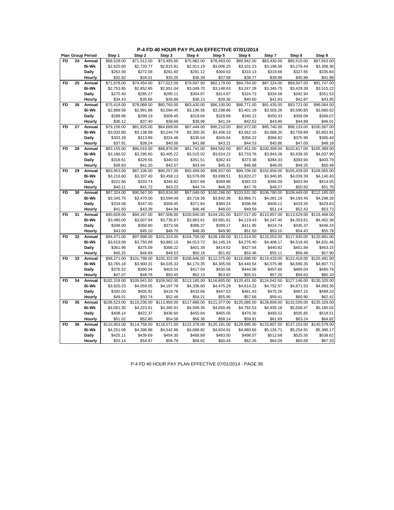|           |    | <b>Plan Group Period</b> | Step 1                     | Step 2                  | Step 3                     | Step 4                  | Step 5                  | Step 6                  | Step 7                 | Step 8                  | Step 9                  |
|-----------|----|--------------------------|----------------------------|-------------------------|----------------------------|-------------------------|-------------------------|-------------------------|------------------------|-------------------------|-------------------------|
| <b>FD</b> | 24 | Annual                   | \$68,528.00                | \$71,012.00             | \$73,495.00                | \$75,982.00             | \$78,463.00             | \$80,942.00             | \$83,430.00            | \$85,515.00             | \$87,653.00             |
|           |    | <b>Bi-Wk</b>             | \$2,625.60                 | \$2,720.77              | \$2,815.91                 | \$2,911.19              | \$3,006.25              | \$3,101.23              | \$3,196.56             | \$3,276.44              | \$3,358.36              |
|           |    | Daily                    | \$262.56                   | \$272.08                | \$281.60                   | \$291.12                | \$300.63                | \$310.13                | \$319.66               | \$327.65                | \$335.84                |
|           |    | Hourly                   | \$32.82                    | \$34.01                 | \$35.20                    | \$36.39                 | \$37.58                 | \$38.77                 | \$39.96                | \$40.96                 | \$41.98                 |
| <b>FD</b> | 25 | Annual                   | \$71,878.00                | \$74,454.00             | \$77,022.00                | \$79,597.00             | \$82,179.00             | \$84,754.00             | \$87,324.00            | \$89,507.00             | \$91,747.00             |
|           |    | <b>Bi-Wk</b>             | \$2,753.95                 | \$2,852.65              | \$2,951.04                 | \$3,049.70              | \$3,148.63              | \$3,247.28              | \$3,345.75             | \$3,429.39              | \$3,515.22              |
|           |    | Daily                    | \$275.40                   | \$285.27                | \$295.11                   | \$304.97                | \$314.87                | \$324.73                | \$334.58               | \$342.94                | \$351.53                |
|           |    | Hourly                   | \$34.43                    | \$35.66                 | \$36.89                    | \$38.13                 | \$39.36                 | \$40.60                 | \$41.83                | \$42.87                 | \$43.95                 |
| <b>FD</b> | 26 | Annual                   | \$75,418.00                | \$78,088.00             | \$80,765.00                | \$83,430.00             | \$86,100.00             | \$88,771.00             | \$91,435.00            | \$93,721.00             | \$96,064.00             |
|           |    | <b>Bi-Wk</b>             | \$2,889.58                 | \$2,991.88              | \$3,094.45                 | \$3,196.56              | \$3,298.86              | \$3,401.19              | \$3,503.26             | \$3,590.85              | \$3,680.62              |
|           |    | Daily                    | \$288.96                   | \$299.19                | \$309.45                   | \$319.66                | \$329.89                | \$340.12                | \$350.33               | \$359.09                | \$368.07                |
|           |    | Hourly                   | \$36.12                    | \$37.40                 | \$38.69                    | \$39.96                 | \$41.24                 | \$42.52                 | \$43.80                | \$44.89                 | \$46.01                 |
| <b>FD</b> | 27 | Annual                   | \$79,156.00                | \$81,925.00             | \$84,689.00                | \$87,444.00             | \$90,210.00             | \$92,972.00             | \$95,740.00            | \$98,133.00             | \$100,587.00            |
|           |    | <b>Bi-Wk</b>             | \$3,032.80                 | \$3,138.89              | \$3,244.79                 | \$3,350.35              | \$3,456.33              | \$3,562.15              | \$3,668.20             | \$3,759.89              | \$3,853.91              |
|           |    |                          |                            |                         |                            |                         |                         |                         |                        |                         | \$385.40                |
|           |    | Daily<br>Hourly          | \$303.28<br>\$37.91        | \$313.89<br>\$39.24     | \$324.48<br>\$40.56        | \$335.04<br>\$41.88     | \$345.64<br>\$43.21     | \$356.22<br>\$44.53     | \$366.82<br>\$45.86    | \$375.99<br>\$47.00     | \$48.18                 |
| <b>FD</b> | 28 | Annual                   | \$83,155.00                | \$86,015.00             | \$88,876.00                | \$91,742.00             | \$94,592.00             | \$97,451.00             | \$100,309.00           | \$102,817.00            | \$105,389.00            |
|           |    |                          |                            |                         |                            |                         |                         |                         |                        |                         |                         |
|           |    | <b>Bi-Wk</b>             | \$3,186.02                 | \$3,295.60              | \$3,405.22                 | \$3,515.02              | \$3,624.22              | \$3,733.76              | \$3,843.26             | \$3,939.35              | \$4,037.90              |
|           |    | Daily                    | \$318.61                   | \$329.56                | \$340.53                   | \$351.51                | \$362.43                | \$373.38                | \$384.33               | \$393.94                | \$403.79                |
| FD        | 29 | Hourly                   | \$39.83                    | \$41.20<br>\$87,106.00  | \$42.57                    | \$43.94                 | \$45.31                 | \$46.68                 | \$48.05                | \$49.25<br>\$105,428.00 | \$50.48<br>\$108.065.00 |
|           |    | Annual                   | \$83,953.00                |                         | \$90,257.00                | \$93,409.00             | \$96,557.00             | \$99,709.00             | \$102,856.00           |                         | \$4,140.43              |
|           |    | <b>Bi-Wk</b>             | \$3,216.60                 | \$3,337.40              | \$3,458.13                 | \$3,578.89              | \$3,699.51              | \$3,820.27              | \$3,940.85             | \$4,039.39              |                         |
|           |    | Daily                    | \$321.66                   | \$333.74                | \$345.82                   | \$357.89                | \$369.96                | \$382.03                | \$394.09               | \$403.94                | \$414.05                |
| <b>FD</b> | 30 | Hourly                   | \$40.21                    | \$41.72                 | \$43.23                    | \$44.74                 | \$46.25                 | \$47.76                 | \$49.27                | \$50.50                 | \$51.76                 |
|           |    | Annual                   | \$87,324.00                | \$90,567.00             | \$93,816.00                | \$97,049.00             | \$100,286.00            | \$103,531.00            | \$106,780.00           | \$109,449.00            | \$112,185.00            |
|           |    | <b>Bi-Wk</b>             | \$3,345.75                 | \$3,470.00              | \$3,594.49                 | \$3,718.36              | \$3,842.38              | \$3,966.71              | \$4,091.19             | \$4,193.45              | \$4,298.28              |
|           |    | Daily                    | \$334.58                   | \$347.00                | \$359.45                   | \$371.84                | \$384.24                | \$396.68                | \$409.12               | \$419.35                | \$429.83                |
|           |    | Hourly                   | \$41.83                    | \$43.38                 | \$44.94                    | \$46.48                 | \$48.03                 | \$49.59                 | \$51.14                | \$52.42                 | \$53.73                 |
| FD        | 31 | Annual                   | \$90,828.00                | \$94,167.00             | \$97,506.00                | \$100,840.00            | \$104,181.00            | \$107,517.00            | \$110,857.00           | \$113,629.00            | \$116,468.00            |
|           |    | <b>Bi-Wk</b>             | \$3,480.00                 | \$3,607.94              | \$3,735.87                 | \$3,863.61              | \$3,991.61              | \$4,119.43              | \$4,247.40             | \$4,353.61              | \$4,462.38<br>\$446.24  |
|           |    | Daily                    | \$348.00                   | \$360.80                | \$373.59                   | \$386.37                | \$399.17                | \$411.95                | \$424.74               | \$435.37                |                         |
| <b>FD</b> |    | Hourly                   | \$43.50                    | \$45.10                 | \$46.70                    | \$48.30<br>\$104,758.00 | \$49.90<br>\$108.188.00 | \$51.50                 | \$53.10                | \$54.43<br>\$117.930.00 | \$55.78<br>\$120,881.00 |
|           | 32 | Annual                   | \$94.471.00                | $\overline{$97,898.00}$ | \$101,324.00               |                         |                         | \$111,614.00            | \$115,053.00           |                         |                         |
|           |    | <b>Bi-Wk</b>             | \$3,619.58                 | \$3,750.89              | \$3,882.15                 | \$4,013.72              | \$4,145.14              | \$4,276.40              | \$4,408.17             | \$4,518.40              | \$4,631.46              |
|           |    | Daily                    | \$361.96                   | \$375.09                | \$388.22                   | \$401.38                | \$414.52                | \$427.64                | \$440.82               | \$451.84                | \$463.15                |
| FD        | 33 | Hourly                   | \$45.25                    | \$46.89                 | \$48.53                    | \$50.18                 | \$51.82                 | \$53.46                 | \$55.11                | \$56.48                 | \$57.90<br>\$125,481.00 |
|           |    | Annual<br><b>Bi-Wk</b>   | \$98,271.00                | \$101,798.00            | \$105,322.00               | \$108,846.00            | \$112,375.00            | \$115,898.00            | \$119,433.00           | \$122,418.00            | \$4,807.71              |
|           |    |                          | \$3,765.18                 | \$3,900.31              | \$4,035.33                 | \$4,170.35              | \$4,305.56              | \$4,440.54              | \$4,575.98             | \$4,690.35              |                         |
|           |    | Daily                    | \$376.52                   | \$390.04                | \$403.54                   | \$417.04                | \$430.56                | \$444.06                | \$457.60               | \$469.04                | \$480.78                |
| <b>FD</b> | 34 | Hourly<br>Annual         | \$47.07                    | \$48.76                 | \$50.45                    | \$52.13                 | \$53.82                 | \$55.51                 | \$57.20                | \$58.63                 | \$60.10<br>\$130,325.00 |
|           |    | <b>Bi-Wk</b>             | \$102,318.00<br>\$3,920.23 | \$105,941.00            | \$109,562.00<br>\$4,197.78 | \$113,185.00            | \$116,805.00            | \$120,431.00            | \$124,042.00           | \$127,146.00            | \$4,993.30              |
|           |    | Daily                    | \$392.03                   | \$4,059.05<br>\$405.91  | \$419.78                   | \$4,336.60<br>\$433.66  | \$4,475.29<br>\$447.53  | \$4,614.22<br>\$461.43  | \$4,752.57<br>\$475.26 | \$4,871.50<br>\$487.15  | \$499.33                |
|           |    |                          | \$49.01                    | \$50.74                 | \$52.48                    | \$54.21                 |                         |                         | \$59.41                | \$60.90                 | \$62.42                 |
| <b>FD</b> | 35 | Hourly<br>Annual         | \$106,523.00               | \$110,236.00            | \$113,950.00               | \$117,668.00            | \$55.95<br>\$121,377.00 | \$57.68<br>\$125,085.00 | \$128,808.00           | \$132,026.00            | \$135,329.00            |
|           |    | <b>Bi-Wk</b>             | \$4,081.35                 | \$4,223.61              | \$4,365.91                 | \$4,508.36              | \$4,650.46              | \$4,792.53              | \$4,935.18             | \$5,058.47              | \$5,185.02              |
|           |    | Daily                    | \$408.14                   | \$422.37                | \$436.60                   | \$450.84                | \$465.05                | \$479.26                | \$493.52               | \$505.85                | \$518.51                |
|           |    | Hourly                   | \$51.02                    | \$52.80                 | \$54.58                    | \$56.36                 | \$58.14                 | \$59.91                 | \$61.69                | \$63.24                 | \$64.82                 |
| <b>FD</b> | 36 | Annual                   | \$110,953.00               | \$114,758.00            | \$118,571.00               | \$122,378.00            | \$126,191.00            | \$129,995.00            | \$133,807.00           | \$137,153.00            | \$140,579.00            |
|           |    | <b>Bi-Wk</b>             | \$4,251.08                 | \$4,396.86              | \$4,542.96                 | \$4,688.82              | \$4,834.91              | \$4,980.66              | \$5,126.71             | \$5,254.91              | \$5,386.17              |
|           |    | Daily                    | \$425.11                   | \$439.69                | \$454.30                   | \$468.89                | \$483.50                | \$498.07                | \$512.68               | \$525.50                | \$538.62                |
|           |    | Hourly                   | \$53.14                    | \$54.97                 | \$56.79                    | \$58.62                 | \$60.44                 | \$62.26                 | \$64.09                | \$65.69                 | \$67.33                 |
|           |    |                          |                            |                         |                            |                         |                         |                         |                        |                         |                         |

P-4 FD 40 HOUR PAY PLAN EFFECTIVE 07/01/2014 - PAGE 95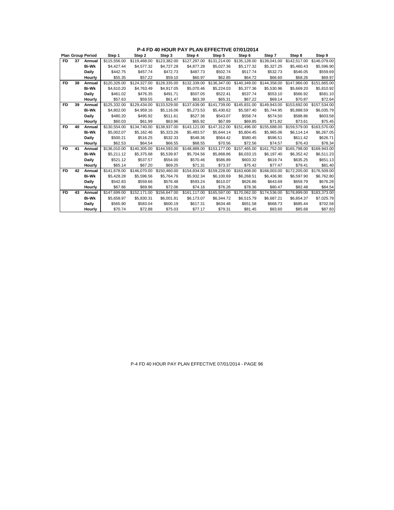|           |    | <b>Plan Group Period</b> | Step 1       | Step 2       | Step 3                    | Step 4       | Step 5       | Step 6       | Step 7       | Step 8                                                           | Step 9       |
|-----------|----|--------------------------|--------------|--------------|---------------------------|--------------|--------------|--------------|--------------|------------------------------------------------------------------|--------------|
| <b>FD</b> | 37 | Annual                   | \$115,556.00 | \$119,468.00 | \$123,382.00              | \$127,297.00 | \$131,214.00 | \$135,128.00 | \$139,041.00 | \$142,517.00                                                     | \$146,079.00 |
|           |    | <b>Bi-Wk</b>             | \$4,427.44   | \$4,577.32   | \$4,727.28                | \$4,877.28   | \$5,027.36   | \$5,177.32   | \$5,327.25   | \$5,460.43                                                       | \$5,596.90   |
|           |    | <b>Daily</b>             | \$442.75     | \$457.74     | \$472.73                  | \$487.73     | \$502.74     | \$517.74     | \$532.73     | \$546.05                                                         | \$559.69     |
|           |    | Hourly                   | \$55.35      | \$57.22      | \$59.10                   | \$60.97      | \$62.85      | \$64.72      | \$66.60      | \$68.26                                                          | \$69.97      |
| FD.       | 38 | Annual                   | \$120,326.00 | \$124,327.00 | \$128,335.00              | \$132,339.00 | \$136,347.00 | \$140,349.00 | \$144.358.00 | \$147.966.00                                                     | \$151,665.00 |
|           |    | <b>Bi-Wk</b>             | \$4,610.20   | \$4.763.49   | \$4.917.05                | \$5.070.46   | \$5,224.03   | \$5,377.36   | \$5,530.96   | \$5,669.20                                                       | \$5,810.92   |
|           |    | <b>Daily</b>             | \$461.02     | \$476.35     | \$491.71                  | \$507.05     | \$522.41     | \$537.74     | \$553.10     | \$566.92                                                         | \$581.10     |
|           |    | Hourly                   | \$57.63      | \$59.55      | \$61.47                   | \$63.39      | \$65.31      | \$67.22      | \$69.14      | \$70.87                                                          | \$72.64      |
| <b>FD</b> | 39 | Annual                   | \$125,332.00 |              | \$129.434.00 \$133.529.00 | \$137.639.00 | \$141.739.00 | \$145.831.00 | \$149.943.00 | \$153,692.00                                                     | \$157,534.00 |
|           |    | <b>Bi-Wk</b>             | \$4,802.00   | \$4.959.16   | \$5,116,06                | \$5,273.53   | \$5,430.62   | \$5,587.40   | \$5.744.95   | \$5.888.59                                                       | \$6,035.79   |
|           |    | Daily                    | \$480.20     | \$495.92     | \$511.61                  | \$527.36     | \$543.07     | \$558.74     | \$574.50     | \$588.86                                                         | \$603.58     |
|           |    | Hourly                   | \$60.03      | \$61.99      | \$63.96                   | \$65.92      | \$67.89      | \$69.85      | \$71.82      | \$73.61                                                          | \$75.45      |
| FD.       | 40 | Annual                   | \$130,554.00 |              | \$134,740.00 \$138,937.00 |              |              |              |              | \$143.121.00 \$147.312.00 \$151.496.00 \$155.688.00 \$159.579.00 | \$163,570.00 |
|           |    | <b>Bi-Wk</b>             | \$5,002.07   | \$5,162.46   | \$5,323.26                | \$5,483.57   | \$5.644.14   | \$5,804.45   | \$5,965.06   | \$6,114.14                                                       | \$6,267.05   |
|           |    | Daily                    | \$500.21     | \$516.25     | \$532.33                  | \$548.36     | \$564.42     | \$580.45     | \$596.51     | \$611.42                                                         | \$626.71     |
|           |    | Hourly                   | \$62.53      | \$64.54      | \$66.55                   | \$68.55      | \$70.56      | \$72.56      | \$74.57      | \$76.43                                                          | \$78.34      |
| FD.       | 41 | Annual                   | \$136,010.00 |              | \$140,305.00 \$144,593.00 |              |              |              |              | \$148,889.00 \$153,177.00 \$157,465.00 \$161,752.00 \$165,798.00 | \$169,943.00 |
|           |    | <b>Bi-Wk</b>             | \$5.211.12   | \$5,375.68   | \$5,539.97                | \$5,704.56   | \$5,868,86   | \$6,033.15   | \$6.197.40   | \$6,352.42                                                       | \$6,511.23   |
|           |    | <b>Daily</b>             | \$521.12     | \$537.57     | \$554.00                  | \$570.46     | \$586.89     | \$603.32     | \$619.74     | \$635.25                                                         | \$651.13     |
|           |    | Hourly                   | \$65.14      | \$67.20      | \$69.25                   | \$71.31      | \$73.37      | \$75.42      | \$77.47      | \$79.41                                                          | \$81.40      |
| <b>FD</b> | 42 | Annual                   | \$141.678.00 | \$146,070.00 | \$150,460.00              | \$154,834.00 | \$159,228.00 | \$163,608.00 | \$168,003.00 | \$172,205.00                                                     | \$176,509.00 |
|           |    | <b>Bi-Wk</b>             | \$5.428.28   | \$5,596.56   | \$5.764.76                | \$5,932.34   | \$6.100.69   | \$6,268.51   | \$6,436.90   | \$6,597.90                                                       | \$6,762.80   |
|           |    | Daily                    | \$542.83     | \$559.66     | \$576.48                  | \$593.24     | \$610.07     | \$626.86     | \$643.69     | \$659.79                                                         | \$676.28     |
|           |    | Hourly                   | \$67.86      | \$69.96      | \$72.06                   | \$74.16      | \$76.26      | \$78.36      | \$80.47      | \$82.48                                                          | \$84.54      |
| FD.       | 43 | Annual                   | \$147.699.00 | \$152,171.00 | \$156,647.00              | \$161,117,00 | \$165,597.00 | \$170,062,00 | \$174,536.00 | \$178,899,00                                                     | \$183,373,00 |
|           |    | <b>Bi-Wk</b>             | \$5,658.97   | \$5,830.31   | \$6,001.81                | \$6,173.07   | \$6,344.72   | \$6,515.79   | \$6,687.21   | \$6,854.37                                                       | \$7,025.79   |
|           |    | Daily                    | \$565.90     | \$583.04     | \$600.19                  | \$617.31     | \$634.48     | \$651.58     | \$668.73     | \$685.44                                                         | \$702.58     |
|           |    | Hourly                   | \$70.74      | \$72.88      | \$75.03                   | \$77.17      | \$79.31      | \$81.45      | \$83.60      | \$85.68                                                          | \$87.83      |

**P-4 FD 40 HOUR PAY PLAN EFFECTIVE 07/01/2014**

P-4 FD 40 HOUR PAY PLAN EFFECTIVE 07/01/2014 - PAGE 96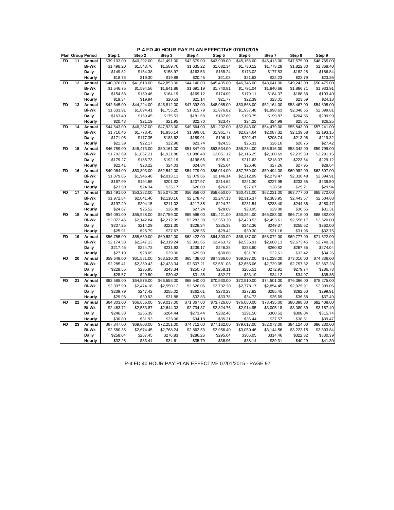| <b>FD</b><br>11<br>\$39,103.00<br>\$40,292.00<br>\$41,491.00<br>\$42,679.00<br>\$43,909.00<br>\$45,156.00<br>\$46.413.00<br>\$47,575.00<br>Annual<br><b>Bi-Wk</b><br>\$1,498.20<br>\$1,682.34<br>\$1,778.28<br>\$1,543.76<br>\$1,589.70<br>\$1,635.22<br>\$1,730.12<br>\$1,822.80 | \$48.765.00<br>\$1,868.40 |
|-----------------------------------------------------------------------------------------------------------------------------------------------------------------------------------------------------------------------------------------------------------------------------------|---------------------------|
|                                                                                                                                                                                                                                                                                   |                           |
|                                                                                                                                                                                                                                                                                   |                           |
| Daily<br>\$149.82<br>\$158.97<br>\$163.53<br>\$168.24<br>\$177.83<br>\$182.28<br>\$154.38<br>\$173.02                                                                                                                                                                             | \$186.84                  |
| \$21.03<br>Hourly<br>\$18.73<br>\$19.30<br>\$19.88<br>\$20.45<br>\$21.63<br>\$22.23<br>\$22.79                                                                                                                                                                                    | \$23.36                   |
| 12<br>FD<br>Annual<br>\$40,370.00<br>\$41,618.00<br>\$42,853.00<br>\$44.140.00<br>\$45.435.00<br>\$46.746.00<br>\$48.041.00<br>\$49.243.00                                                                                                                                        | \$50.475.00               |
| <b>Bi-Wk</b><br>\$1,546.75<br>\$1,594.56<br>\$1,641.88<br>\$1,691.19<br>\$1,740.81<br>\$1,791.04<br>\$1,840.66<br>\$1,886.71                                                                                                                                                      | \$1,933.91                |
| \$154.68<br>Daily<br>\$159.46<br>\$164.19<br>\$169.12<br>\$174.09<br>\$179.11<br>\$184.07<br>\$188.68                                                                                                                                                                             | \$193.40                  |
| \$19.34<br>\$23.01<br>Hourly<br>\$19.94<br>\$20.53<br>\$21.14<br>\$21.77<br>\$22.39<br>\$23.59                                                                                                                                                                                    | \$24.18                   |
| FD<br>Annual<br>\$42,645.00<br>\$44,224.00<br>\$45,812.00<br>\$47,392.00<br>\$48,985.00<br>\$50,568.00<br>13<br>\$52,164.00<br>\$53,467.00                                                                                                                                        | \$54,805.00               |
| <b>Bi-Wk</b><br>\$1,633.91<br>\$1,694.41<br>\$1,755.25<br>\$1,815.79<br>\$1,937.48<br>\$1,998.63<br>\$2,048.55<br>\$1,876.82                                                                                                                                                      | \$2,099.81                |
| Daily<br>\$163.40<br>\$169.45<br>\$175.53<br>\$181.58<br>\$187.69<br>\$193.75<br>\$199.87<br>\$204.86                                                                                                                                                                             | \$209.99                  |
| \$20.43<br>\$22.70<br>\$23.47<br>\$25.61<br>Hourly<br>\$21.19<br>\$21.95<br>\$24.22<br>\$24.99                                                                                                                                                                                    | \$26.25                   |
| <b>FD</b><br>14<br>\$46,287.00<br>\$47,923.00<br>\$49,564.00<br>\$51,202.00<br>Annual<br>\$44,643.00<br>\$52,843.00<br>\$54,479.00<br>\$55,843.00                                                                                                                                 | \$57,241.00               |
| <b>Bi-Wk</b><br>\$1,710.46<br>\$1,836.14<br>\$1,899.01<br>\$1,961.77<br>\$2,024.64<br>\$2,087.32<br>\$2,139.58<br>\$1,773.45                                                                                                                                                      | \$2,193.15                |
| <b>Daily</b><br>\$171.05<br>\$183.62<br>\$196.18<br>\$202.47<br>\$208.74<br>\$177.35<br>\$189.91<br>\$213.96                                                                                                                                                                      | \$219.32                  |
| \$22.96<br>\$24.53<br>Hourly<br>\$21.39<br>\$22.17<br>\$23.74<br>\$25.31<br>\$26.10<br>\$26.75                                                                                                                                                                                    | \$27.42                   |
| <b>FD</b><br>15<br>\$46,789.00<br>\$48,473.00<br>\$50,161.00<br>\$51,847.00<br>\$53,534.00<br>\$55,234.00<br>\$56,916.00<br>\$58,342.00<br>Annual                                                                                                                                 | \$59,799.00               |
| <b>Bi-Wk</b><br>\$1,792.69<br>\$1,857.21<br>\$1,921.88<br>\$1,986.48<br>\$2,051.12<br>\$2,180.69<br>\$2,235.33<br>\$2,116.25                                                                                                                                                      | \$2,291.15                |
| Daily<br>\$179.27<br>\$185.73<br>\$192.19<br>\$198.65<br>\$205.12<br>\$211.63<br>\$218.07<br>\$223.54                                                                                                                                                                             | \$229.12                  |
| Hourly<br>\$22.41<br>\$23.22<br>\$24.03<br>\$24.84<br>\$25.64<br>\$26.46<br>\$27.26<br>\$27.95                                                                                                                                                                                    | \$28.64                   |
| \$50,803.00<br>\$54,279.00<br>\$56,014.00<br>\$57,759.00<br><b>FD</b><br>16<br>Annual<br>\$49,064.00<br>\$52,542.00<br>\$59,494.00<br>\$60,982.00                                                                                                                                 | \$62,507.00               |
| <b>Bi-Wk</b><br>\$1,879.85<br>\$1,946.48<br>\$2,013.11<br>\$2,079.66<br>\$2,146.14<br>\$2,212.99<br>\$2,279.47<br>\$2,336.48                                                                                                                                                      | \$2,394.91                |
| Daily<br>\$227.95<br>\$187.99<br>\$194.65<br>\$201.32<br>\$207.97<br>\$214.62<br>\$221.30<br>\$233.65                                                                                                                                                                             | \$239.50                  |
| \$23.50<br>\$24.34<br>\$25.17<br>\$26.00<br>\$26.83<br>\$27.67<br>\$28.50<br>\$29.21<br>Hourly                                                                                                                                                                                    | \$29.94                   |
| FD<br>17<br>\$51,491.00<br>\$53,282.00<br>\$55,075.00<br>\$56,858.00<br>\$58,650.00<br>\$60,431.00<br>\$62,221.00<br>\$63,777.00<br>Annual                                                                                                                                        | \$65,372.00               |
| <b>Bi-Wk</b><br>\$1,972.84<br>\$2,041.46<br>\$2,178.47<br>\$2,110.16<br>\$2,247.13<br>\$2,315.37<br>\$2,383.95<br>\$2,443.57                                                                                                                                                      | \$2,504.68                |
| Daily<br>\$197.29<br>\$211.02<br>\$217.85<br>\$224.72<br>\$231.54<br>\$238.40<br>\$244.36<br>\$204.15                                                                                                                                                                             | \$250.47                  |
| \$24.67<br>\$25.52<br>\$26.38<br>\$27.24<br>\$28.09<br>\$28.95<br>\$29.80<br>Hourly<br>\$30.55                                                                                                                                                                                    | \$31.31                   |
| \$54,091.00<br>\$55,928.00<br>\$57,759.00<br>\$59,596.00<br>\$61,421.00<br>\$63,254.00<br>\$65,083.00<br>\$66,716.00<br>FD<br>18<br>Annual                                                                                                                                        | \$68,382.00               |
| <b>Bi-Wk</b><br>\$2,072.46<br>\$2,142.84<br>\$2,212.99<br>\$2,283.38<br>\$2,353.30<br>\$2,423.53<br>\$2,493.61<br>\$2,556.17                                                                                                                                                      | \$2,620.00                |
| Daily<br>\$207.25<br>\$214.29<br>\$221.30<br>\$228.34<br>\$235.33<br>\$242.36<br>\$249.37<br>\$255.62                                                                                                                                                                             | \$262.00                  |
| Hourly<br>\$25.91<br>\$26.79<br>\$27.67<br>\$28.55<br>\$29.42<br>\$30.30<br>\$31.18<br>\$31.96                                                                                                                                                                                    | \$32.75                   |
| <b>FD</b><br>\$58,650.00<br>\$60,532.00<br>19<br>\$56,755.00<br>\$62,422.00<br>\$64,303.00<br>\$66,187.00<br>\$68,072.00<br>\$69,777.00<br>Annual                                                                                                                                 | \$71,522.00               |
| <b>Bi-Wk</b><br>\$2,174.53<br>\$2,247.13<br>\$2,319.24<br>\$2,391.65<br>\$2,463.72<br>\$2,535.91<br>\$2,608.13<br>\$2,673.45                                                                                                                                                      | \$2,740.31                |
| Daily<br>\$217.46<br>\$224.72<br>\$231.93<br>\$239.17<br>\$246.38<br>\$253.60<br>\$260.82<br>\$267.35                                                                                                                                                                             | \$274.04                  |
| \$28.09<br>\$29.00<br>\$29.90<br>\$30.80<br>Hourly<br>\$27.19<br>\$31.70<br>\$32.61<br>\$33.42                                                                                                                                                                                    | \$34.26                   |
| 20<br>\$61,581.00<br>FD<br>Annual<br>\$59,649.00<br>\$63,510.00<br>\$65,438.00<br>\$67,366.00<br>\$69,297.00<br>\$71,228.00<br>\$73,010.00                                                                                                                                        | \$74,836.00               |
| <b>Bi-Wk</b><br>\$2,285.41<br>\$2,359.43<br>\$2,433.34<br>\$2,507.21<br>\$2,581.08<br>\$2,655.06<br>\$2,729.05<br>\$2,797.32                                                                                                                                                      | \$2,867.28                |
| \$228.55<br>\$235.95<br>\$243.34<br>\$250.73<br>\$258.11<br>\$265.51<br>\$272.91<br>\$279.74<br>Daily                                                                                                                                                                             | \$286.73                  |
| Hourly<br>\$28.57<br>\$29.50<br>\$30.42<br>\$31.35<br>\$32.27<br>\$33.19<br>\$34.12<br>\$34.97                                                                                                                                                                                    | \$35.85                   |
| <b>FD</b><br>21<br>\$64,576.00<br>\$68,540.00<br>\$72,510.00<br>\$76,366.00<br>Annual<br>\$62,585.00<br>\$66,558.00<br>\$70,530.00<br>\$74,501.00                                                                                                                                 | \$78,275.00               |
| <b>Bi-Wk</b><br>\$2,397.90<br>\$2,626.06<br>\$2,702.30<br>\$2,925.91<br>\$2,474.18<br>\$2,550.12<br>\$2,778.17<br>\$2,854.45                                                                                                                                                      | \$2,999.05                |
| <b>Daily</b><br>\$239.79<br>\$247.42<br>\$255.02<br>\$270.23<br>\$277.82<br>\$285.45<br>\$292.60<br>\$262.61                                                                                                                                                                      | \$299.91                  |
| \$29.98<br>\$30.93<br>\$31.88<br>\$32.83<br>\$33.78<br>\$34.73<br>\$35.69<br>\$36.58<br>Hourly                                                                                                                                                                                    | \$37.49                   |
| FD<br>22<br>Annual<br>\$64,303.00<br>\$66,656.00<br>\$69,017.00<br>\$71,367.00<br>\$73,726.00<br>\$76,080.00<br>\$78,435.00<br>\$80,398.00                                                                                                                                        | \$82,408.00               |
| <b>Bi-Wk</b><br>\$2,463.72<br>\$2,553.87<br>\$2,644.33<br>\$2,734.37<br>\$2,824.76<br>\$2,914.95<br>\$3,005.18<br>\$3,080.39                                                                                                                                                      | \$3,157.40                |
| Daily<br>\$246.38<br>\$255.39<br>\$264.44<br>\$273.44<br>\$282.48<br>\$291.50<br>\$300.52<br>\$308.04                                                                                                                                                                             | \$315.74                  |
| Hourly<br>\$30.80<br>\$31.93<br>\$33.06<br>\$34.18<br>\$35.31<br>\$36.44<br>\$37.57<br>\$38.51                                                                                                                                                                                    | \$39.47                   |
| <b>FD</b><br>23<br>Annual<br>\$67,347.00<br>\$69,803.00<br>\$72,251.00<br>\$74,712.00<br>\$77,162.00<br>\$79,617.00<br>\$82,073.00<br>\$84,124.00                                                                                                                                 | \$86,230.00               |
| <b>Bi-Wk</b><br>\$2,580.35<br>\$2,674.45<br>\$2,768.24<br>\$2,862.53<br>\$2,956.40<br>\$3,050.46<br>\$3,223.15<br>\$3,144.56                                                                                                                                                      | \$3,303.84                |
| \$258.04<br>\$267.45<br>\$286.26<br>\$295.64<br>\$305.05<br>\$322.32<br>Daily<br>\$276.83<br>\$314.46                                                                                                                                                                             | \$330.39                  |
| \$40.29<br>Hourly<br>\$32.26<br>\$33.44<br>\$34.61<br>\$35.79<br>\$36.96<br>\$38.14<br>\$39.31                                                                                                                                                                                    | \$41.30                   |

P-4 FD 40 HOUR PAY PLAN EFFECTIVE 07/01/2015 - PAGE 97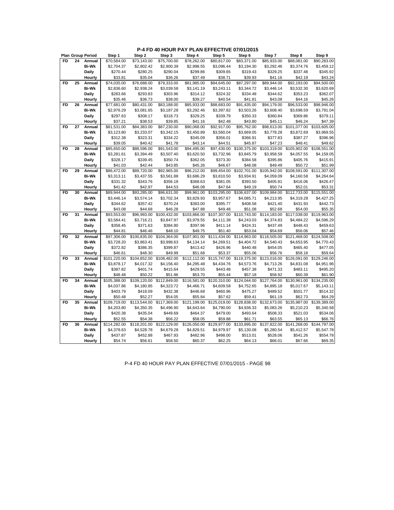**P-4 FD 40 HOUR PAY PLAN EFFECTIVE 07/01/2015**

|           |    | <b>Plan Group Period</b> | Step 1       | Step 2       | Step 3       | Step 4       | Step 5       | Step 6       | Step 7       | Step 8                   | Step 9       |
|-----------|----|--------------------------|--------------|--------------|--------------|--------------|--------------|--------------|--------------|--------------------------|--------------|
| <b>FD</b> | 24 | Annual                   | \$70,584.00  | \$73,143.00  | \$75,700.00  | \$78,262.00  | \$80,817.00  | \$83,371.00  | \$85,933.00  | \$88,081.00              | \$90,283.00  |
|           |    | <b>Bi-Wk</b>             | \$2,704.37   | \$2,802.42   | \$2,900.39   | \$2,998.55   | \$3,096.44   | \$3,194.30   | \$3,292.46   | \$3,374.76               | \$3,459.12   |
|           |    | Daily                    | \$270.44     | \$280.25     | \$290.04     | \$299.86     | \$309.65     | \$319.43     | \$329.25     | \$337.48                 | \$345.92     |
|           |    | Hourly                   | \$33.81      | \$35.04      | \$36.26      | \$37.49      | \$38.71      | \$39.93      | \$41.16      | \$42.19                  | \$43.24      |
| <b>FD</b> | 25 | Annual                   | \$74,035.00  | \$76,688.00  | \$79,333.00  | \$81,985.00  | \$84,645.00  | \$87,297.00  | \$89,944.00  | \$92,193.00              | \$94,500.00  |
|           |    | <b>Bi-Wk</b>             | \$2,836.60   | \$2,938.24   | \$3,039.58   | \$3,141.19   | \$3,243.11   | \$3,344.72   | \$3,446.14   | \$3,532.30               | \$3,620.69   |
|           |    | Daily                    | \$283.66     | \$293.83     | \$303.96     | \$314.12     | \$324.32     | \$334.48     | \$344.62     | \$353.23                 | \$362.07     |
|           |    | Hourly                   | \$35.46      | \$36.73      | \$38.00      | \$39.27      | \$40.54      | \$41.81      | \$43.08      | \$44.16                  | \$45.26      |
| FD        | 26 | Annual                   | \$77,681.00  | \$80,431.00  | \$83,188.00  | \$85,933.00  | \$88,683.00  | \$91,435.00  | \$94,179.00  | \$96,533.00              | \$98,946.00  |
|           |    | <b>Bi-Wk</b>             | \$2,976.29   | \$3,081.65   | \$3,187.28   | \$3,292.46   | \$3,397.82   | \$3,503.26   | \$3,608.40   | \$3,698.59               | \$3,791.04   |
|           |    | Daily                    | \$297.63     | \$308.17     | \$318.73     | \$329.25     | \$339.79     | \$350.33     | \$360.84     | \$369.86                 | \$379.11     |
|           |    | Hourly                   | \$37.21      | \$38.53      | \$39.85      | \$41.16      | \$42.48      | \$43.80      | \$45.11      | \$46.24                  | \$47.39      |
| FD        | 27 | Annual                   | \$81,531.00  | \$84,383.00  | \$87,230.00  | \$90,068.00  | \$92,917.00  | \$95,762.00  | \$98,613.00  | \$101,077.00             | \$103,605.00 |
|           |    | <b>Bi-Wk</b>             | \$3,123.80   | \$3,233.07   | \$3,342.15   | \$3,450.89   | \$3,560.04   | \$3,669.05   | \$3,778.28   | \$3,872.69               | \$3,969.55   |
|           |    | Daily                    | \$312.38     | \$323.31     | \$334.22     | \$345.09     | \$356.01     | \$366.91     | \$377.83     | \$387.27                 | \$396.96     |
|           |    | Hourly                   | \$39.05      | \$40.42      | \$41.78      | \$43.14      | \$44.51      | \$45.87      | \$47.23      | \$48.41                  | \$49.62      |
| <b>FD</b> | 28 | Annual                   | \$85,650.00  | \$88,596.00  | \$91,543.00  | \$94,495.00  | \$97,430.00  | \$100,375.00 | \$103,319.00 | \$105,902.00             | \$108,551.00 |
|           |    | <b>Bi-Wk</b>             | \$3,281.61   | \$3,394.49   | \$3,507.40   | \$3,620.50   | \$3,732.96   | \$3,845.79   | \$3,958.59   | \$4,057.55               | \$4,159.05   |
|           |    | Daily                    | \$328.17     | \$339.45     | \$350.74     | \$362.05     | \$373.30     | \$384.58     | \$395.86     | \$405.76                 | \$415.91     |
|           |    | Hourly                   | \$41.03      | \$42.44      | \$43.85      | \$45.26      | \$46.67      | \$48.08      | \$49.49      | \$50.72                  | \$51.99      |
| <b>FD</b> | 29 | Annual                   | \$86,472.00  | \$89,720.00  | \$92,965.00  | \$96,212.00  | \$99,454.00  | \$102,701.00 | \$105,942.00 | $\overline{$}108,591.00$ | \$111.307.00 |
|           |    | <b>Bi-Wk</b>             | \$3,313.11   | \$3,437.55   | \$3,561.88   | \$3,686.29   | \$3,810.50   | \$3,934.91   | \$4,059.09   | \$4,160.58               | \$4,264.64   |
|           |    | Daily                    | \$331.32     | \$343.76     | \$356.19     | \$368.63     | \$381.05     | \$393.50     | \$405.91     | \$416.06                 | \$426.47     |
|           |    | Hourly                   | \$41.42      | \$42.97      | \$44.53      | \$46.08      | \$47.64      | \$49.19      | \$50.74      | \$52.01                  | \$53.31      |
| <b>FD</b> | 30 | Annual                   | \$89,944.00  | \$93,285.00  | \$96,631.00  | \$99,961.00  | \$103,295.00 | \$106,637.00 | \$109,984.00 | \$112,733.00             | \$115,551.00 |
|           |    | <b>Bi-Wk</b>             | \$3,446.14   | \$3,574.14   | \$3,702.34   | \$3,829.93   | \$3,957.67   | \$4,085.71   | \$4,213.95   | \$4,319.28               | \$4,427.25   |
|           |    | Daily                    | \$344.62     | \$357.42     | \$370.24     | \$383.00     | \$395.77     | \$408.58     | \$421.40     | \$431.93                 | \$442.73     |
|           |    | Hourly                   | \$43.08      | \$44.68      | \$46.28      | \$47.88      | \$49.48      | \$51.08      | \$52.68      | \$54.00                  | \$55.35      |
| <b>FD</b> | 31 | Annual                   | \$93,553.00  | \$96,993.00  | \$100,432.00 | \$103,866.00 | \$107.307.00 | \$110,743.00 | \$114,183.00 | \$117,038.00             | \$119,963.00 |
|           |    | <b>Bi-Wk</b>             | \$3,584.41   | \$3,716.21   | \$3,847.97   | \$3,979.55   | \$4,111.38   | \$4,243.03   | \$4,374.83   | \$4,484.22               | \$4,596.29   |
|           |    | Daily                    | \$358.45     | \$371.63     | \$384.80     | \$397.96     | \$411.14     | \$424.31     | \$437.49     | \$448.43                 | \$459.63     |
|           |    | Hourly                   | \$44.81      | \$46.46      | \$48.10      | \$49.75      | \$51.40      | \$53.04      | \$54.69      | \$56.06                  | \$57.46      |
| <b>FD</b> | 32 | Annual                   | \$97,306.00  | \$100,835.00 | \$104.364.00 | \$107.901.00 | \$111,434.00 | \$114.963.00 | \$118,505.00 | \$121.468.00             | \$124,508.00 |
|           |    | <b>Bi-Wk</b>             | \$3,728.20   | \$3,863.41   | \$3,998.63   | \$4,134.14   | \$4,269.51   | \$4,404.72   | \$4,540.43   | \$4,653.95               | \$4,770.43   |
|           |    | Daily                    | \$372.82     | \$386.35     | \$399.87     | \$413.42     | \$426.96     | \$440.48     | \$454.05     | \$465.40                 | \$477.05     |
|           |    | Hourly                   | \$46.61      | \$48.30      | \$49.99      | \$51.68      | \$53.37      | \$55.06      | \$56.76      | \$58.18                  | \$59.64      |
| FD        | 33 | Annual                   | \$101,220.00 | \$104,852.00 | \$108,482.00 | \$112,112.00 | \$115,747.00 | \$119,375.00 | \$123,016.00 | \$126,091.00             | \$129,246.00 |
|           |    | <b>Bi-Wk</b>             | \$3,878.17   | \$4,017.32   | \$4,156.40   | \$4,295.48   | \$4,434.76   | \$4,573.76   | \$4,713.26   | \$4,831.08               | \$4,951.96   |
|           |    | Daily                    | \$387.82     | \$401.74     | \$415.64     | \$429.55     | \$443.48     | \$457.38     | \$471.33     | \$483.11                 | \$495.20     |
|           |    | Hourly                   | \$48.48      | \$50.22      | \$51.96      | \$53.70      | \$55.44      | \$57.18      | \$58.92      | \$60.39                  | \$61.90      |
| <b>FD</b> | 34 | Annual                   | \$105,388.00 | \$109,120.00 | \$112,849.00 | \$116,581.00 | \$120,310.00 | \$124,044.00 | \$127,764.00 | \$130,961.00             | \$134,235.00 |
|           |    | <b>Bi-Wk</b>             | \$4,037.86   | \$4,180.85   | \$4,323.72   | \$4,466.71   | \$4,609.58   | \$4,752.65   | \$4,895.18   | \$5,017.67               | \$5,143.11   |
|           |    | Daily                    | \$403.79     | \$418.09     | \$432.38     | \$446.68     | \$460.96     | \$475.27     | \$489.52     | \$501.77                 | \$514.32     |
|           |    | Hourly                   | \$50.48      | \$52.27      | \$54.05      | \$55.84      | \$57.62      | \$59.41      | \$61.19      | \$62.73                  | \$64.29      |
| <b>FD</b> | 35 | Annual                   | \$109,719.00 | \$113,544.00 | \$117,369.00 | \$121,199.00 | \$125,019.00 | \$128,838.00 | \$132,673.00 | \$135,987.00             | \$139,389.00 |
|           |    | <b>Bi-Wk</b>             | \$4,203.80   | \$4,350.35   | \$4,496.90   | \$4,643.64   | \$4,790.00   | \$4,936.33   | \$5,083.26   | \$5,210.23               | \$5,340.58   |
|           |    | Daily                    | \$420.38     | \$435.04     | \$449.69     | \$464.37     | \$479.00     | \$493.64     | \$508.33     | \$521.03                 | \$534.06     |
|           |    | Hourly                   | \$52.55      | \$54.38      | \$56.22      | \$58.05      | \$59.88      | \$61.71      | \$63.55      | \$65.13                  | \$66.76      |
| <b>FD</b> | 36 | Annual                   | \$114,282.00 | \$118,201.00 | \$122,129.00 | \$126,050.00 | \$129,977.00 | \$133,895.00 | \$137,822.00 | \$141,268.00             | \$144,797.00 |
|           |    | <b>Bi-Wk</b>             | \$4,378.63   | \$4,528.78   | \$4,679.28   | \$4,829.51   | \$4,979.97   | \$5,130.08   | \$5,280.54   | \$5,412.57               | \$5,547.78   |
|           |    | Daily                    | \$437.87     | \$452.88     | \$467.93     | \$482.96     | \$498.00     | \$513.01     | \$528.06     | \$541.26                 | \$554.78     |
|           |    | Hourly                   | \$54.74      | \$56.61      | \$58.50      | \$60.37      | \$62.25      | \$64.13      | \$66.01      | \$67.66                  | \$69.35      |

P-4 FD 40 HOUR PAY PLAN EFFECTIVE 07/01/2015 - PAGE 98